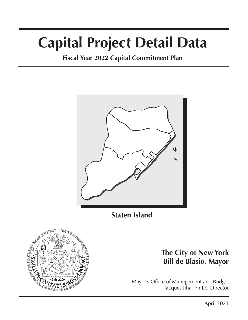# **Capital Project Detail Data**

**Fiscal Year 2022 Capital Commitment Plan**



**Staten Island**



# **The City of New York Bill de Blasio, Mayor**

Mayor's Office of Management and Budget Jacques Jiha, Ph.D., Director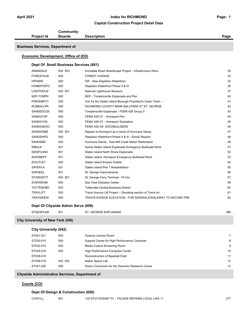### **Capital Construction Project Detail Data**

|                                         | Community                                       |                                                              |                |
|-----------------------------------------|-------------------------------------------------|--------------------------------------------------------------|----------------|
| <b>Project Id</b>                       | <b>Boards</b>                                   | <b>Description</b>                                           | Page           |
| <b>Business Services, Department of</b> |                                                 |                                                              |                |
|                                         |                                                 |                                                              |                |
|                                         | Economic Development, Office of (ED)            |                                                              |                |
|                                         | Dept Of Small Business Services (801)           |                                                              |                |
| ANNADALE                                | 500 503                                         | Annadale Road Streetscape Project - Infrastructure Reno      | 29             |
| <b>FORESTAVE</b>                        | 500                                             | <b>FOREST AVENUE</b>                                         | 32             |
| <b>HIFNSW</b>                           | 500                                             | HIF - New Stapleton Waterfront                               | 34             |
| HOMEPORT2                               | 500                                             | Stapleton Waterfront Phase II & III                          | 35             |
| <b>LIGHTHOUS</b>                        | 500 501                                         | National Lighthouse Museum                                   | 37             |
| NDF-TOMPK                               | 500                                             | NDF - Tompkinsville Esplanade and Pier                       | 40             |
| <b>PWDSIBPCT</b>                        | 500                                             | Van for the Staten Island Borough President's Clean Team --  | 41             |
| <b>RCBBALLPK</b>                        | 500                                             | RICHMOND COUNTY BANK BALLPARK AT ST. GEORGE                  | 42             |
| SANDEDCG5                               | 500                                             | Tompkinsville Esplanade - FEMA 428 Group 5                   | 43             |
| SANDG1HP                                | 500                                             | FEMA 428 G1 - Homeport Pier                                  | 44             |
| SANDG1HS                                | 500                                             | FEMA 428 G1 - Homeport Substation                            | 45             |
| SANDG4DOC                               | 500                                             | FEMA 428 G4- DOCKBUILDERS                                    | 46             |
| <b>SANDHOME</b>                         | 500 501                                         | Repairs to Homeport as a result of Hurricane Sandy           | 47             |
| SANDSIHP2                               | 500                                             | Stapleton Waterfront Phase II & III - Sandy Repairs          | 48             |
| SANDSMC                                 | 500                                             | Hurricane Sandy - Saw Mill Creek Marsh Restoration           | 49             |
| <b>SIBULK</b>                           | 501                                             | Sandy Staten Island Esplanade Emergency Bulkhead Work        | 51             |
| <b>SIESPLAND</b>                        | 501                                             | Staten Island North Shore Esplanade                          | 52             |
| <b>SIHOMEPT</b>                         | 501                                             | Staten Island Homeport Emergency Bulkhead Work               | 53             |
| <b>SIOUTLET</b>                         | 500                                             | <b>Staten Island Empire Outlets</b>                          | 54             |
| SIPIER <sub>1</sub> A                   | 501                                             | Staten Island Pier 1 Rehabilitation                          | 55             |
| <b>SIWHEEL</b>                          | 501                                             | St. George Improvements                                      | 56             |
| <b>STGRGEFIT</b>                        | 500 501                                         | St. George Ferry Terminal - Fit Out                          | 57             |
| <b>SVIEWDIAB</b>                        | 500                                             | Sea View Diabetes Center                                     | 59             |
| <b>TOTTENCBD</b>                        | 503                                             | <b>Tottenville Central Business District</b>                 | 60             |
| <b>TRAVLIFT</b>                         | 500                                             | Travis Avenue Lift Project -- Elevating section of Travis Av | 61             |
| <b>TRAVSIDEW</b>                        | 500                                             | TRAVIS AVENUE ELEVATION - FOR SIDEWALK/WALKWAY TO NATURE PRE | 62             |
|                                         | Dept Of Citywide Admin Servs (856)              |                                                              |                |
| <b>STGESPLND</b>                        | 501                                             | ST. GEORGE ESPLANADE                                         | 396            |
| <b>City University of New York (HN)</b> |                                                 |                                                              |                |
| <b>City University (042)</b>            |                                                 |                                                              |                |
|                                         |                                                 |                                                              |                |
| ST001-021                               | 500                                             | Science Lecture Room                                         | $\overline{7}$ |
| ST030-015                               | 500                                             | Support Center for High Performance Computer                 | 8              |
| ST032-015                               | 500                                             | Media Culture Screening Room                                 | 9              |
| ST034-016                               | 500                                             | High Performance Computer Center                             | 10             |
| ST038-018                               |                                                 | Reconstruction of Baseball Field                             | 11             |
| ST039-019                               | 500 502                                         | Maker Space Lab                                              | 12             |
| ST041-020                               | 500                                             | Room Conversion for the Genomic Research Center              | 13             |
|                                         | Citywide Administrative Services, Department of |                                                              |                |
| Courts (CO)                             |                                                 |                                                              |                |
|                                         | Dept Of Design & Construction (850)             |                                                              |                |

CO301LL 501 130 STUYVESANT PL - FACADE REPAIRS LOCAL LAW 11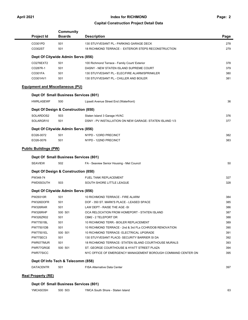### **Page: 2**

### **Capital Construction Project Detail Data**

| Project Id                              |                                       |                                                              |      |
|-----------------------------------------|---------------------------------------|--------------------------------------------------------------|------|
|                                         | <b>Boards</b>                         | <b>Description</b>                                           | Page |
| CO301PD                                 | 501                                   | 130 STUYVESANT PL.- PARKING GARAGE DECK                      | 278  |
| CO302ST                                 | 501                                   | 18 RICHMOND TERRACE - EXTERIOR STEPS RECONSTRUCTION          | 279  |
|                                         | Dept Of Citywide Admin Servs (856)    |                                                              |      |
| CO276EXT2                               | 501                                   | 100 Richmond Terrace - Family Court/ Exterior                | 378  |
| CO287R-1                                | 501                                   | DASNY - NEW STATEN ISLAND SUPREME COURT                      | 379  |
| CO301FA                                 | 501                                   | 130 STUYVESANT PL.- ELEC/FIRE ALARM/SPRINKLER                | 380  |
| CO301HV1                                | 501                                   | 130 STUYVESANT PL.- CHILLER AND BOILER                       | 381  |
| <b>Equipment and Miscellaneous (PU)</b> |                                       |                                                              |      |
|                                         | Dept Of Small Business Services (801) |                                                              |      |
| <b>HWRLASEWF</b>                        | 500                                   | Lipsett Avenue Street End (Waterfront)                       | 36   |
|                                         | Dept Of Design & Construction (850)   |                                                              |      |
| SOLARDOS2                               | 503                                   | Staten Island 3 Garage HVAC                                  | 376  |
| SOLARGR10                               | 501                                   | DSNY - PV INSTALLATION ON NEW GARAGE- STATEN ISLAND 1/3      | 377  |
|                                         | Dept Of Citywide Admin Servs (856)    |                                                              |      |
| EO26-0072                               | 501                                   | NYPD - 123RD PRECINCT                                        | 382  |
| EO26-0076                               | 501                                   | NYPD - 122ND PRECINCT                                        | 383  |
| <b>Public Buildings (PW)</b>            |                                       |                                                              |      |
|                                         | Dept Of Small Business Services (801) |                                                              |      |
| <b>SEAVIEW</b>                          | 502                                   | FA - Seaview Senior Housing - Met Council                    | 50   |
|                                         | Dept Of Design & Construction (850)   |                                                              |      |
| PW348-74                                |                                       | FUEL TANK REPLACEMENT                                        | 327  |
| PWD5SOUTH                               | 503                                   | SOUTH SHORE LITTLE LEAGUE                                    | 328  |
|                                         | Dept Of Citywide Admin Servs (856)    |                                                              |      |
| PW29310R                                | 501                                   | 10 RICHMOND TERRACE - FIRE ALARM                             | 384  |
| PW326DOFR                               | 501                                   | DOF - 350 ST. MARK'S PLACE - LEASED SPACE                    | 385  |
| PW326RAR                                | 501                                   | LAW DEPT - RAISE THE AGE -SI                                 | 386  |
| PW326RHP                                | 500 501                               | OCA RELOCATION FROM HOMEPORT - STATEN ISLAND                 | 387  |
| PW326ZR02                               | 501                                   | CB#2 - 2 TELEPORT DR                                         | 388  |
| <b>PW77501BL</b>                        | 501                                   | 10 RICHMOND TERR. - BOILER REPLACEMENT                       | 389  |
| <b>PW77501DB</b>                        | 501                                   | 10 RICHMOND TERRACE - 2nd & 3rd FLs CCHR/DOB RENOVATION      | 390  |
| PW77501EL                               | 500 501                               | 10 RICHMOND TERRACE- ELECTRICAL UPGRADE                      | 391  |
| PW77SEC3                                | 501                                   | 130 STUYVESANT PLACE- SECURITY BARRIER SI DA                 | 392  |
| PWR077MUR                               | 501                                   | 18 RICHMOND TERRACE- STATEN ISLAND COURTHOUSE MURALS         | 393  |
| PWR77GRGE                               | 500 501                               | ST. GEORGE COURTHOUSE & HYATT STREET PLAZA                   | 394  |
| PWR77SICC                               |                                       | NYC OFFICE OF EMERGENCY MANAGEMENT BOROUGH COMMAND CENTER ON | 395  |
|                                         |                                       |                                                              |      |
| Dept Of Info Tech & Telecomm (858)      |                                       |                                                              |      |

# **Real Property (RE)**

| Dept Of Small Business Services (801) |  |
|---------------------------------------|--|
|---------------------------------------|--|

| 63 |
|----|
|    |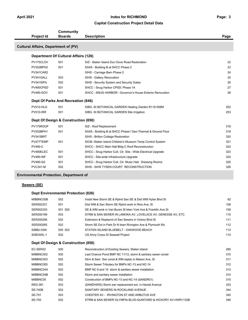### **Capital Construction Project Detail Data**

| <b>Project Id</b>                           | Community<br><b>Boards</b>                  | <b>Description</b>                                           | Page |
|---------------------------------------------|---------------------------------------------|--------------------------------------------------------------|------|
|                                             |                                             |                                                              |      |
| <b>Cultural Affairs, Department of (PV)</b> |                                             |                                                              |      |
|                                             | <b>Department Of Cultural Affairs (126)</b> |                                                              |      |
| PV175CLOV                                   | 501                                         | SIZ - Staten Island Zoo Clove Road Restoration               | 22   |
| PV302BPH2                                   | 501                                         | SIIAS - Building B at SHCC Phase 2                           | 23   |
| PV341CAR2                                   |                                             | SIHS - Carriage Barn Phase 2                                 | 24   |
| PV341GALL                                   | 503                                         | SIHS - Gallery Renovation                                    | 25   |
| PV341SIPA                                   | 502                                         | SIHS - Security System and Security Gates                    | 26   |
| PV490CPSD                                   | 501                                         | SHCC - Snug Harbor CPSD: Phase 1A                            | 27   |
| <b>PV490-GOV</b>                            | 501                                         | SHCC - SNUG HARBOR - Governor's House Exterior Renovation    | 28   |
|                                             | Dept Of Parks And Recreation (846)          |                                                              |      |
| PV510-HLG                                   | 501                                         | SIBG -SI BOTANICAL GARDEN Healing Garden R116-506M           | 252  |
| <b>PV510-IRR</b>                            | 501                                         | SIBG -SI BOTANICAL GARDEN Site Irrigation                    | 253  |
|                                             | Dept Of Design & Construction (850)         |                                                              |      |
| PV175ROOF                                   | 501                                         | SIZ - Roof Replacement                                       | 318  |
| PV302BPH1                                   | 501                                         | SIIAS - Building B at SHCC Phase1 Geo-Thermal & Ground Floor | 319  |
| PV341BRIT                                   |                                             | SIHS - Britton Cottage Restoration                           | 320  |
| PV477TEMP                                   | 501                                         | SICM-Staten Island Children's Museum Temp Control System     | 321  |
| <b>PV490-C</b>                              |                                             | SHCC - SHCC Main Hall Bldg C Roof Reconstruction             | 322  |
| PV490ELEC                                   | 501                                         | SHCC - Snug Harbor Cult. Ctr. Site - Wide Electrical Upgrade | 323  |
| <b>PV490-INF</b>                            | 501                                         | SHCC - Site-wide Infrastructure Upgrade                      | 324  |
| PV490-Q3                                    | 501                                         | SHCC - Snug Harbor Cult. Ctr. Music Hall, Dressing Rooms     | 325  |
| <b>PVC341-M</b>                             | 502                                         | SIHS - SIHS TYSEN COURT RECONSTRUCTION                       | 326  |

### **Environmental Protection, Department of**

### **Sewers (SE)**

### **Dept Environmental Protection (826)**

| MIBBNC05B | 502     | Instal New Storm SE & Rplmt San SE & Dist WM Hylan Blvd SI   | 82  |
|-----------|---------|--------------------------------------------------------------|-----|
| SER002331 | 501     | Dist WM & San Storm SE Rplmt work in Rice Ave, SI            | 108 |
| SER002333 | 501 502 | SE & WM work in Van Buren St btwn York Ave & Franklin Ave SI | 109 |
| SER200199 | 503     | STRM & SAN SEWER IN LAMOKA AV, LOVELACE AV, GENESSE AV, ETC  | 110 |
| SER200256 | 502     | Extension & Replacmt of San Sewers in Victory Blvd SI        | 111 |
| SER200265 | 502     | Storm SE Ext in Park Dr N btwn Rivington Ave & Plymouth Rd   | 112 |
| SIBB2-OAK | 500 503 | STATEN ISLAND BLUEBELT - OAKWOOD BEACH                       | 113 |
| SISEAWL-1 | 502     | US Army Corps SI Seawall Project                             | 114 |

### **Dept Of Design & Construction (850)**

| EC-SER22       | 500 | Reconstruction of Existing Sewers, Staten Island             | 280 |
|----------------|-----|--------------------------------------------------------------|-----|
| MIBBNC002      | 500 | Last Chance Pond BMP NC 11/12, storm & sanitary sewer constr | 310 |
| MIBBNC003      | 502 | Strm & Sani Swr const & WM replac in Mason Ave, SI           | 311 |
| MIBBNC005      | 502 | Storm Sewer Tributary for BMPs NC-13 and NC-14               | 312 |
| MIBBNC04A      | 502 | BMP NC 6 and 15 storm & sanitary sewer installation          | 313 |
| MIBBNC04B      | 502 | Storm and sanitary sewer installation                        | 314 |
| MIBBNC05       | 502 | Construction of BMPs NC-13 and NC-14 (SANDR01)               | 315 |
| <b>RED-381</b> | 503 | (SANDHWSI) Storm swr replacement ext. in Harold Avenue       | 333 |
| <b>SE-740B</b> | 502 | SANITARY SEWERS IN ROCKLAND AVENUE                           | 344 |
| SE-751         | 503 | CHESTER AV - IRVINGTON ST AND ARBUTUS AVE                    | 345 |
| SE-793         | 502 | STRM & SAN SEWER OLYMPIA BLVD-QUINTARD & HICKORY AV-HWR1132B | 346 |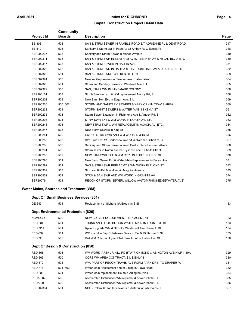### **Capital Construction Project Detail Data**

| <b>Project Id</b> | <b>Community</b><br><b>Boards</b> | <b>Description</b>                                            | Page |
|-------------------|-----------------------------------|---------------------------------------------------------------|------|
| SE-803            | 503                               | SAN & STRM SEWER IN RAMBLE ROAD B/T ADRIENNE PL & DENT ROAD   | 347  |
| SE-812            | 503                               | Sanitary & Storm swr in Page Av b/t Amboy Rd & Estella Pl     | 348  |
| SER002237         | 503                               | Sanitary and Storm Sewer in Manee Avenue                      | 349  |
| SER002311         | 503                               | SAN & STRM SWR IN BERTRAM AV B/T ZEPHYR AV & HYLAN BLVD. ETC  | 350  |
| SER002317         | 503                               | SAN & STRM SEWER IN HALPIN AVE                                | 351  |
| SER002320         | 503                               | SAN & STRM SWR IN DAHLIA ST B/T ROSEDALE AV & DEAD END ETC    | 352  |
| SER002323         | 501                               | SAN & STRM SWRS: WALKER ST, ETC.                              | 353  |
| SER002324         | 503                               | New sanitary sewers in Camden ave. Staten Island              | 354  |
| SER002326         | 501                               | Storm and Sanitary Sewers in Wardwell Ave. S.I.               | 355  |
| SER002329         | 500                               | SAN, STM & WM IN LANDMARK COLONY                              | 356  |
| SER200151         | 503                               | Stm & Sani swr ext. & WM replacement Amboy Rd, SI             | 358  |
| SER200202         | 503                               | New Stm. Swr. Ext. in Eagan Ave. S.I.                         | 359  |
| SER200226         | 500 502                           | STORM AND SANITARY SEWERS & WM WORK IN TRAVIS AREA            | 360  |
| SER200232         | 501                               | STORM, SANIT SEWERS & WATER MAIN IN XENIA ST                  | 361  |
| SER200235         | 503                               | Storm Sewer Extension in Richmond Ave & Amboy Rd, SI          | 362  |
| SER200236         | 501                               | STRM SWR EXT & WM WORK IN NORTH AV, ETC.                      | 363  |
| SER200245         | 503                               | NEW STRM SWR & WM REPLACEMT IN ACACIA AV, ETC.                | 364  |
| SER200247         | 503                               | New Storm Sewers in King St                                   | 365  |
| SER200251         | 502                               | EXT OF STRM SWR AND WM WORK IN 3RD ST                         | 366  |
| SER200255         | 503                               | Stm. Swr. Ext. W. Cedarview Ave b/t Wolverine& Gilbert st, SI | 367  |
| SER200258         | 503                               | Sanitary and Storm Sewer in West Castor Place between Alvers  | 368  |
| SER200261         | 502                               | Storm sewer in Roma Ave bet Tysens Lane & Ebbits Street       | 369  |
| SER200285         | 502                               | NEW STM. SWR EXT. & WM REPL IN TODT HILL RD., SI              | 370  |
| SER200290         | 501                               | New Storm Sewer Ext & Water Main Replacement in Forest Ave    | 371  |
| SER200292         | 501                               | SAN & STRM SWR REPLACMT & WM WORK IN FLOYD ST                 | 372  |
| SER200309         | 503                               | Strm swr R+Ext & WM Work, Maguire Avenue                      | 373  |
| SER200552         | 501                               | STRM & SAN SWR AND WM WORK IN GRANITE AV                      | 374  |
| SER20079          | 501                               | RECON OF STORM SEWER, WILLOW AV(TOMPKINS-EDGEWATER AVS)       | 375  |

### **Water Mains, Sources and Treatment (WM)**

| Dept Of Small Business Services (801) |                                            |                                                             |     |  |
|---------------------------------------|--------------------------------------------|-------------------------------------------------------------|-----|--|
| GE-343                                | 501                                        | Replacement of Siphons b/t Brooklyn & SI                    | 33  |  |
|                                       | <b>Dept Environmental Protection (826)</b> |                                                             |     |  |
| <b>NCMCCSG</b>                        | 500                                        | NEW CLOVE PS: EQUIPMENT REPLACEMENT                         | 83  |  |
| <b>RED-384</b>                        | 501                                        | TRUNK AND DISTRIBUTION WATER MAIN IN FRONT ST. SI           | 103 |  |
| RED391A                               | 501                                        | Rplmt Upgrade WM & SE Infra Westervelt Ave Phase A, SI      | 104 |  |
| <b>RED-392</b>                        | 501                                        | WM rplcmt in Bay St between Slosson Ter & Minthorne St SI   | 105 |  |
| <b>RED393</b>                         | 503                                        | Dist WM Rplmt on Hylan Blvd btwn Arbutus Hales Ave, SI      | 106 |  |
|                                       | Dept Of Design & Construction (850)        |                                                             |     |  |
| <b>RED-366</b>                        | 503                                        | WM WORK ARTHUR KILL RD BTW RICHMOND & ABINGTON AVE HWR1140A | 329 |  |
| <b>RED-369</b>                        | 500                                        | CORE WM AREA CONTRACT, S.I. & BKLYN                         | 330 |  |
| <b>RED-372</b>                        | 501                                        | WM, PART OF RECON TRAVIS AVE FORM PARK DR N TO DRAPER PL    | 331 |  |
| <b>RED-376</b>                        | 501 502                                    | Water Main Replacment and/or Lining in Clove Road           | 332 |  |
| <b>RED-386</b>                        | 501                                        | Water Main replacement, South & Arlington Aves, SI          | 334 |  |
| <b>REDA-002</b>                       | 500                                        | Accelerated Distribution WM replcmnt & sewer rehab: S.I.    | 335 |  |
| <b>REDA-003</b>                       | 500                                        | Accelerated Distribution WM replcmnt & sewer rehab: S.I.    | 336 |  |
| SER002334                             | 501                                        | NDF - Rplcmt 6" sanitary sewers & distribution wtr mains SI | 357 |  |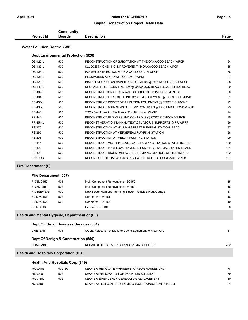|                                               |                                            | <b>Capital Construction Project Detail Data</b>                                    |      |
|-----------------------------------------------|--------------------------------------------|------------------------------------------------------------------------------------|------|
|                                               | <b>Community</b>                           |                                                                                    |      |
| <b>Project Id</b>                             | <b>Boards</b>                              | <b>Description</b>                                                                 | Page |
| <b>Water Pollution Control (WP)</b>           |                                            |                                                                                    |      |
|                                               | <b>Dept Environmental Protection (826)</b> |                                                                                    |      |
|                                               |                                            |                                                                                    |      |
| OB-125-L<br>OB-133-L                          | 500                                        | RECONSTRUCTION OF SUBSTATION AT THE OAKWOOD BEACH WPCP                             | 84   |
|                                               | 500                                        | SLUDGE THICKENING IMPROVEMENT @ OAKWOOD BEACH WPCP                                 | 85   |
| OB-134-L<br>OB-135-L                          | 500                                        | POWER DISTRIBUTION AT OAKWOOD BEACH WPCP<br><b>HEADWORKS AT OAKWOOD BEACH WPCP</b> | 86   |
|                                               | 500                                        |                                                                                    | 87   |
| OB-136-L                                      | 500                                        | INSTALLATION OF (2) MAIN TRANSFORMERS @ OAKWOOD BEACH WPCP                         | 88   |
| OB-149-L                                      | 500                                        | UPGRADE FIRE ALARM SYSTEM @ OAKWOOD BEACH DEWATERING BLDG                          | 89   |
| PR-132-L                                      | 500                                        | RECONSTRUCTION OF SEA WALL/SLUDGE DOCK IMPROVEMENTS                                | 90   |
| PR-134-L                                      | 500                                        | RECONSTRUCT FINAL SETTLING SYSTEM EQUIPMENT @ PORT RICHMOND                        | 91   |
| PR-135-L                                      | 500                                        | RECONSTRUCT POWER DISTRIBUTION EQUIPMENT @ PORT RICHMOND                           | 92   |
| PR-138-L                                      | 500                                        | RECONSTRUCT MAIN SEWAGE PUMP CONTROLS @ PORT RICHMOND WWTP                         | 93   |
| PR-140                                        | 500                                        | TRC - Dechlorination Facilities at Port Richmond WWTP                              | 94   |
| <b>PR-144-L</b>                               | 500                                        | RECONSTRUCT BLOWERS AND CONTROLS @ PORT RICHMOND WPCP                              | 95   |
| PR-151-L                                      | 500                                        | RECONST AERATION TANK GATES/ACTUATOR & SUPPORTS @ PR WRRF                          | 96   |
| <b>PS-276</b>                                 | 500                                        | RECONSTRUCTION AT HANNAH STREET PUMPING STATION (BEDC)                             | 97   |
| <b>PS-295</b>                                 | 500                                        | RECONSTRUCTION AT MERSEREAU PUMPING STATION                                        | 98   |
| <b>PS-296</b>                                 | 500                                        | RECONSTRUCTION AT MELVIN PUMPING STATION                                           | 99   |
| PS-317                                        | 500                                        | RECONSTRUCT VICTORY BOULEVARD PUMPING STATION STATEN ISLAND                        | 100  |
| PS-322                                        | 500                                        | RECONSTRUCT MAYFLOWER AVENUE PUMPING STATION, STATEN ISLAND                        | 101  |
| PS-323                                        | 500                                        | RECONSTRUCT RICHMOND AVENUE PUMPING STATION, STATEN ISLAND                         | 102  |
| <b>SANDOB</b>                                 | 500                                        | RECONS OF THE OAKWOOD BEACH WPCP DUE TO HURRICANE SANDY                            | 107  |
| Fire Department (F)                           |                                            |                                                                                    |      |
| Fire Department (057)                         |                                            |                                                                                    |      |
| F175MC152                                     | 501                                        | Multi-Component Renovations - EC152                                                | 15   |
| F175MC159                                     | 502                                        | Multi-Component Renovations - EC159                                                | 16   |
| F175SEWER                                     | 500                                        | New Sewer Main and Pumping Station - Outside Plant Garage                          | 17   |
| FD175G161                                     | 502                                        | Generator - EC161                                                                  | 18   |
| FD175G165                                     | 502                                        | Generator - EC165                                                                  | 19   |
| FR175G166                                     |                                            | Generator - EC166                                                                  | 20   |
| Health and Mental Hygiene, Department of (HL) |                                            |                                                                                    |      |
|                                               | Dept Of Small Business Services (801)      |                                                                                    |      |
| <b>CMETENT</b>                                | 501                                        | OCME Relocation of Disaster Cache Equipment to Fresh Kills                         | 31   |

**Dept Of Design & Construction (850)** 

| HL82SIABE | REHAB OF THE STATEN ISLAND ANIMAL SHELTER | 282 |
|-----------|-------------------------------------------|-----|
|           |                                           |     |

### **Health and Hospitals Corporation (HO)**

| <b>Health And Hospitals Corp (819)</b> |         |                                                     |    |  |
|----------------------------------------|---------|-----------------------------------------------------|----|--|
| 75200403                               | 500 501 | SEAVIEW RENOVATE MARINER'S HARBOR HOUSES CHC        | 78 |  |
| 75200902                               | 502     | SEAVIEW: RENOVATION OF ISOLATION BUILDING           | 79 |  |
| 75201502                               | 502     | SEAVIEW EMERGENCY GENERATOR REPLACEMENT             | 80 |  |
| 75202101                               |         | SEAVIEW: REH CENTER & HOME GRACE FOUNDATION PHASE 3 | 81 |  |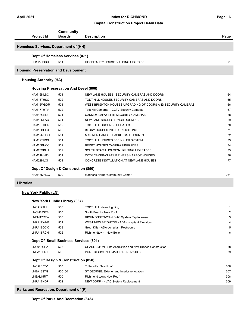### **Capital Construction Project Detail Data**

| Project Id                    |                                       | Community<br><b>Boards</b>                  | <b>Description</b>                                               | Page |  |  |  |
|-------------------------------|---------------------------------------|---------------------------------------------|------------------------------------------------------------------|------|--|--|--|
|                               | Homeless Services, Department of (HH) |                                             |                                                                  |      |  |  |  |
|                               |                                       | Dept Of Homeless Services (071)             |                                                                  |      |  |  |  |
|                               | HH115HOBU                             | 501                                         | HOSPITALITY HOUSE BUILDING UPGRADE                               | 21   |  |  |  |
|                               |                                       | <b>Housing Preservation and Development</b> |                                                                  |      |  |  |  |
| <b>Housing Authority (HA)</b> |                                       |                                             |                                                                  |      |  |  |  |
|                               |                                       | <b>Housing Preservation And Devel (806)</b> |                                                                  |      |  |  |  |
|                               | HAM16NLSC                             | 501                                         | NEW LANE HOUSES - SECURITY CAMERAS AND DOORS                     | 64   |  |  |  |
|                               | HAM16THSC                             | 502                                         | TODT HILL HOUSES SECURITY CAMERAS AND DOORS                      | 65   |  |  |  |
|                               | HAM16WBDR                             | 501                                         | WEST BRIGHTON HOUSES UPGRADING OF DOORS AND SECURITY CAMERAS     | 66   |  |  |  |
|                               | HAM17THTV                             | 502                                         | Todt Hill Cameras -- CCTV Security Cameras                       | 67   |  |  |  |
| HAM18CSLF                     |                                       | 501                                         | CASSIDY LAFAYETTE SECURITY CAMERAS                               | 68   |  |  |  |
|                               | HAM18NLAC                             | 501                                         | NEW LANE SHORES LUNCH ROOM AC                                    | 69   |  |  |  |
|                               | HAM18THGR                             | 502                                         | TODT HILL GROUNDS UPDATES                                        | 70   |  |  |  |
|                               | HAM19BHLU                             | 502                                         | BERRY HOUSES INTERIOR LIGHTING                                   | 71   |  |  |  |
|                               | HAM19MHBC                             | 501                                         | MARINER HARBOR BASKETBALL COURTS                                 | 72   |  |  |  |
|                               | HAM19THSS                             | 501                                         | TODT HILL HOUSES SPRINKLER SYSTEM                                | 73   |  |  |  |
|                               | HAM20BHCC                             | 502                                         | BERRY HOUSES CAMERA UPGRADES                                     | 74   |  |  |  |
|                               | HAM20SBLU                             | 502                                         | SOUTH BEACH HOUSES- LIGHTING UPGRADES                            | 75   |  |  |  |
|                               | HAM21MHTV                             | 501                                         | <b>CCTV CAMERAS AT MARINERS HARBOR HOUSES</b>                    | 76   |  |  |  |
| HAM21NLCI                     |                                       | 501                                         | CONCRETE INSTALLATION AT NEW LANE HOUSES                         | 77   |  |  |  |
|                               |                                       | Dept Of Design & Construction (850)         |                                                                  |      |  |  |  |
|                               |                                       |                                             |                                                                  |      |  |  |  |
|                               | HAM18MHCC                             | 500                                         | Mariner's Harbor Community Center                                | 281  |  |  |  |
| <b>Libraries</b>              |                                       |                                             |                                                                  |      |  |  |  |
| <b>New York Public (LN)</b>   |                                       |                                             |                                                                  |      |  |  |  |
|                               |                                       | New York Public Library (037)               |                                                                  |      |  |  |  |
| LNCA17THL                     |                                       | 500                                         | <b>TODT HILL - New Lighting</b>                                  | 1    |  |  |  |
| LNCM15STB                     |                                       | 500                                         | South Beach - New Roof                                           | 2    |  |  |  |
|                               | LNEM17RTW                             | 500                                         | RICHMONDTOWN - HVAC System Replacement                           | 3    |  |  |  |
|                               | LNRA17WNB                             | 501                                         | WEST NEW BRIGHTON - ADA-compliant Elevators                      | 4    |  |  |  |
|                               | LNRA18GCK                             | 503                                         | Great Kills - ADA-compliant Restrooms                            | 5    |  |  |  |
|                               | LNRA18RCH                             | 502                                         | Richmondtown - New Boiler                                        | 6    |  |  |  |
|                               |                                       | Dept Of Small Business Services (801)       |                                                                  |      |  |  |  |
|                               |                                       |                                             |                                                                  |      |  |  |  |
| LNC018CHA                     |                                       | 503                                         | <b>CHARLESTON - Site Acquisition and New Branch Construction</b> | 38   |  |  |  |
| LNEA16PRT                     |                                       | 500                                         | PORT RICHMOND: MAJOR RENOVATION                                  | 39   |  |  |  |
|                               |                                       | Dept Of Design & Construction (850)         |                                                                  |      |  |  |  |
| LNCAL15TV                     |                                       | 500                                         | <b>Tottenville: New Roof</b>                                     | 306  |  |  |  |
| LNEA13STG                     |                                       | 500 501                                     | ST GEORGE: Exterior and Interior renovation                      | 307  |  |  |  |
| LNEAL15RT                     |                                       | 500                                         | Richmond town: New Roof                                          | 308  |  |  |  |
| LNRA17NDP                     |                                       | 502                                         | NEW DORP - HVAC System Replacement                               | 309  |  |  |  |

### **Parks and Recreation, Department of (P)**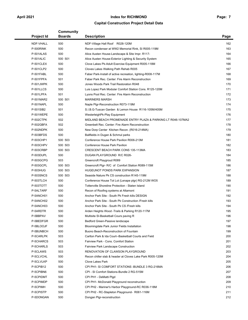### **Capital Construction Project Detail Data**

| Project Id       | Community<br><b>Boards</b> | <b>Description</b>                                                                                 | Page |
|------------------|----------------------------|----------------------------------------------------------------------------------------------------|------|
| NDF-VHALL        | 500                        | NDF-Village Hall Roof R028-120M                                                                    | 162  |
| P-500RINK        | 500                        | Recon condenser at WW2 Memorial Rink, SI R005-119M                                                 | 163  |
| P-501ALAS        | 500                        | Alice Austen House-Landscape & Site Impr. R117-                                                    | 164  |
| P-501ALIC        | 500 501                    | Alice Austen House-Exterior Lighting & Security System                                             | 165  |
| P-501CLEX        | 500                        | Clove Lakes Pk-Adult Exercise Equipment R005-118M                                                  | 166  |
| P-501CLP2        | 500                        | Cloves Lakes Walking Path Rehab R005                                                               | 167  |
| P-501FABL        | 500                        | Faber Park-Install of active recreation, lighting-R008-117M                                        | 168  |
| P-501FPFA        | 501                        | Faber Park Rec. Center: Fire Alarm Reconstruction                                                  | 169  |
| P-501JWPK        | 500                        | Jones Woods Park Trail Restoration R048                                                            | 170  |
| P-501LLCS        | 500                        | Luis Lopez Park Modular Comfort Station Cons. R125-120M                                            | 171  |
| P-501LPFA        | 501                        | Lyons Pool Rec. Center: Fire Alarm Reconstruction                                                  | 172  |
| P-501MAR2        | 500 501                    | <b>MARINERS MARSH</b>                                                                              | 173  |
| P-501NAPL        | 500                        | Naple Plgr-Reconstruction R073-119M                                                                | 174  |
| P-501SIB2        | 501                        | S.I.B.G-Tuscan Garden & Lemon House R116-105M/405M                                                 | 175  |
| P-501WEPE        | 500                        | WesterleighPk-Play Equipment                                                                       | 176  |
| P-502CTPK        | 502                        | MIDLAND BEACH PROMENADE ENTRY PLAZA & PARKING LT R046-107MA2                                       | 177  |
| P-502GBFA        | 502                        | Greenbelt Rec. Center: Fire Alarm Reconstruction                                                   | 178  |
| P-502NDPK        | 500                        | New Dorp Center Kitchen Recon. (R016-214MA)                                                        | 179  |
| P-503BFDS        | 500                        | Ballfields in Dugan & Schmul parks                                                                 | 180  |
| P-503CHP1        | 500 503                    | Conference House Park Pavilion R006-213M                                                           | 181  |
| P-503CHPV        | 500 503                    | Conference House Park Pavilion                                                                     | 182  |
| P-503CRBP        | 500 503                    | CRESCENT BEACH PARK CONS 135-113MA                                                                 | 183  |
| P-503DUPL        | 500                        | DUGAN PLAYGROUND R/C R026-                                                                         | 184  |
| P-503GCPG        | 503                        | Greencroft Playgroud R089                                                                          | 185  |
| P-503GCPL        | 500 503                    | Greencroft Plgr-R/C of Comfort Station R089-115M                                                   | 186  |
| <b>P-503HUG</b>  | 500 503                    | <b>HUGEUNOT PONDS PARK EXPANSION</b>                                                               | 187  |
| <b>P-503SNCS</b> | 500 503                    | Seaside Nature Pk CS construction R145-119M                                                        | 188  |
| P-503TLCH        | 500                        | Conference House Tot Lot (Lenape plgr) RG-212M WO5                                                 | 189  |
| P-503TOTT        | 500                        | Tottenville Shoreline Protection - Staten Island                                                   | 190  |
| P-5ALTARF        | 500                        | Recon of Roofing systems at Altamont                                                               | 191  |
| P-5ANCH01        | 500                        | Anchor Park Site - South Pk Fresh kills DESIGN                                                     | 192  |
| P-5ANCH02        | 500                        | Anchor Park Site - South Pk Construction / Fresh kills                                             | 193  |
| P-5ANCH03        | 500                        | Anchor Park Site - South Pk CS / Fresh kills                                                       | 194  |
| P-5ARDTR         | 500                        | Arden Heights Wood -Trails & Parking R120-117M                                                     | 195  |
| P-5BBPAV         | 500                        | Multisite SI-Basketball Cours paving R                                                             | 196  |
| P-5BEDFGR        | 500                        | Bedford Green-Passive landscape                                                                    | 197  |
| P-5BLOOJF        | 500                        | Bloomingdale Park Junior Fields Installation                                                       | 198  |
| P-5BUNBCH        | 500                        | Buono Beach-Reconstruction of Fountain                                                             | 199  |
| P-5CARLPK        | 503                        | Carlton Park & Ida Court--Basketball Courts and Field                                              | 200  |
| P-5CHARCS        | 503                        | Fairview Park - Cons. Comfort Station                                                              | 201  |
| P-5CHARLS        | 503                        | Fairview Park Landscape Construction                                                               | 202  |
| P-5CLAWS         | 503                        | RENOVATION OF CLAWSON PLAYGROUND                                                                   | 203  |
| P-5CLVCHL        | 500                        | Recon chiller slab & header at Cloves Lake Park R005-120M                                          | 204  |
| P-5CLVLKP        | 500                        | <b>Clove Lakes Park</b>                                                                            | 205  |
| P-5CPIB12        | 500                        | CPI PH1- SI COMFORT STATIONS - BUNDLE 3 RG-216MA                                                   | 206  |
| P-5CPIBN6        | 500                        | CPI - SI Comfort Stations-Bundle 2 RG-515M                                                         | 207  |
| P-5CPIDMT        | 500                        | CPI PH1 - DeMatti Plgd                                                                             | 208  |
| P-5CPIMDP        | 500                        |                                                                                                    | 209  |
| P-5CPIMH         | 500                        | CPI PH1- McDonald Playground reconstruction                                                        | 210  |
| P-5CPISTP        | 500                        | CPI PH2 - Mariner's Harbor Playground-RC R036-118M<br>CPI PH2 - RC-Stapleton Playground- R061-116M | 211  |
|                  |                            |                                                                                                    | 212  |
| P-5DONGAN        | 500                        | Dongan Plgr-reconstruction                                                                         |      |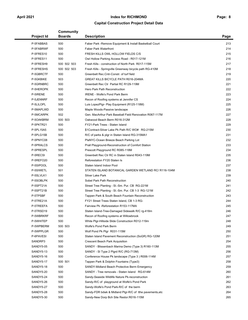### **Capital Construction Project Detail Data**

|                   | <b>Community</b> |                                                          |      |
|-------------------|------------------|----------------------------------------------------------|------|
| <b>Project Id</b> | <b>Boards</b>    | <b>Description</b>                                       | Page |
| P-5FABBAS         | 500              | Faber Park - Remove Equipment & Install Basketball Court | 213  |
| P-5FABRWF         | 500              | <b>Faber Park Waterfront</b>                             | 214  |
| P-5FRES10         | 500              | FRESH KILLS OWL HOLLOW FIELDS C/S                        | 215  |
| P-5FRES11         | 500              | Owl Hollow Parking Access Road - R017-121M               | 216  |
| P-5FRESH9         | 500 502 503      | Fresh Kills - construction of North Park R017-115M       | 217  |
| P-5FRESHS         | 500 502 503      | Fresh Kills - Springville Greenway bicycle path RG-410M  | 218  |
| P-5GBRCTF         | 500              | Greenbelt Rec.Cntr-Constr. of turf field                 | 219  |
| P-5GKBIKE         | 503              | GREAT KILLS BICYCLE PATH R016-204MA                      | 220  |
| P-5GRNBRC         | 500              | Greenbelt Rec Ctr Partial RC R129-119M                   | 221  |
| P-5HEROPK         | 500              | Hero Park Path Reconstruction                            | 222  |
| P-5IRENE          | 500              | IRENE - Wolfe's Pond Park Berm                           | 223  |
| P-5JENNRF         | 500              | Recon of Roofing systems at Jennifer CS                  | 224  |
| P-5LILOPL         | 500              | Luis LopezPlgr- Play Equipment (R125-118M)               | 225  |
| P-5MAPLWD         | 500              | Maple Woods-Passive landscape                            | 226  |
| P-5MCARPK         | 502              | Gen. MacArthur Park Baseball Field Renovation R067-117M  | 227  |
| P-50AKBRM         | 500 503          | Oakwood Beach Berm R016-312M                             | 228  |
| P-5PKTR21         | 500              | FY21-Park Trees - Staten Island                          | 229  |
| P-5PL15A5         | 500              | \$1Contract-Silver Lake Pk Path R/C WO# RG-215M          | 230  |
| P-5PLG15B         | 500              | R/C of parks & plgr in Staten Island RG-315MA1           | 231  |
| P-5PNYC08         | 500              | PlaNYC-Ocean Breeze Beach Parking Lot                    | 232  |
| P-5PRALCS         | 500              | Prall Playground-Reconstruction of Comfort Station       | 233  |
| P-5PRESPL         | 500              | Prescott Playground RC R085-118M                         | 234  |
| P-5RECSI          | 500              | Greenbelt Rec Ctr RC in Staten Island R043-119M          | 235  |
| P-5REFO20         | 500              | Reforestation FY20 Staten Is                             | 236  |
| P-5SIPOOL         | 500              | Staten Island Indoor Pool                                | 237  |
| P-5SIWETL         | 501              | STATEN ISLAND BOTANICAL GARDEN WETLAND RC/ R116-104M     | 238  |
| P-5SLVLK1         | 500              | Silver Lake Park                                         | 239  |
| P-5SOBLPK         | 500              | Sobel Park Path Reconstruction                           | 240  |
| P-5SPT21A         | 500              | Street Tree Planting - SI.-Sm. Pur. CB RG-221M           | 241  |
| P-5SPT21B         | 500              | Street Tree Planting - SI.-Sm. Pur. CB 1-3 RG-121M       | 242  |
| P-5TPSBF          | 500              | Tappen Park & South Beach Fountain Reconstruction        | 243  |
| P-5TRE21A         | 500              | FY21 Street Trees Staten Island, CB 1-3 RG-              | 244  |
| P-5TREEFA         | 500              | Fairview Pk - Reforestation R153-117MA                   | 245  |
| P-5TRSD19         | 500              | Staten Island-Tree-Damaged Sidewalk R/C rg-418m          | 246  |
| P-5WBRKRF         | 500              | Recon of Roofing systems at Willowbrook                  | 247  |
| P-5WHITEP         | 500              | White Plgr-Hillside Slide Construction R012-119m         | 248  |
| P-5WPBERM         | 500 503          | Wolfe's Pond Park Berm                                   | 249  |
| P-5WPPLGR         | 500              | Wolf Pond Pk Plgr R031-115M                              | 250  |
| P-6PAVESI         | 500              | Staten Island Pavement Reconstruction (SoGR) RG-120M     | 251  |
| SANDRP3           | 500              | <b>Crescent Beach Park Acquisition</b>                   | 254  |
| SANDY5-05         | 500              | SANDY - Blissenbach Marina Demo (Type 3) R160-113M       | 255  |
| SANDY5-13         | 500              | SANDY - SI Type 2 Plgrd R/C (RG-713M)                    | 256  |
| SANDY5-16         | 500              | Conference House Pk landscape (Type 3) R006-114M         | 257  |
| SANDY5-17         | 500 501          | Tappen Park & Dolphin Fountains (Type3)                  | 258  |
| SANDY5-18         | 500              | SANDY-Midland Beach Protective Berm Emergency            | 259  |
| SANDY5-20         | 500              | SANDY - Tree removals - Staten Island RG-614M            | 260  |
| SANDY5-24         | 500              | Sandy-Seaside Wildlife Nature Pk-reconstruction          | 261  |
| SANDY5-26         | 500              | Sandy-R/C of playground at Wolfe's Pond Park             | 262  |
| SANDY5-27         | 500              | Sandy-Wolfe's Pond Park-R/C of the berm                  | 263  |
| SANDY5-28         | 500              | Sandy-FDR bdwk & Midland Plgr-R/C of tthe pavements, etc | 264  |
| SANDY5-30         | 500              | Sandy-New Dorp Bch Site Restor.R016-115M                 | 265  |
|                   |                  |                                                          |      |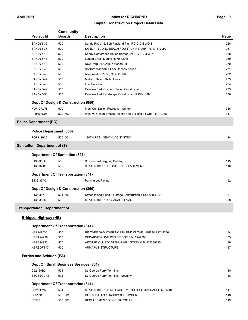### **Capital Construction Project Detail Data**

|                                                                                                                    | <b>Community</b>                          |                                                                                      |            |
|--------------------------------------------------------------------------------------------------------------------|-------------------------------------------|--------------------------------------------------------------------------------------|------------|
| <b>Project Id</b>                                                                                                  | <b>Boards</b>                             | <b>Description</b>                                                                   | Page       |
| SANDY5-32                                                                                                          | 500                                       | Sandy-R/C of S. Bch-Playland Plgr, RG-212M WO 1                                      | 266        |
| SANDY5-37                                                                                                          | 500                                       | SANDY - BUONO BEACH FOUNTAIN REPAIR - R117-117MA                                     | 267        |
| SANDY5-42                                                                                                          | 500                                       | Sandy-Conference House Barrier Rail RG-212M WO6                                      | 268        |
| SANDY5-43                                                                                                          | 500                                       | Lemon Creek Marina R079-120M                                                         | 269        |
| SANDY5-44                                                                                                          | 500                                       | New Dorp Pk./Corp. Kivlehan Pk.                                                      | 270        |
| SANDY5-45                                                                                                          | 500                                       | SANDY-MacArthur Park Reconstruction                                                  | 271        |
| SANDY5-46                                                                                                          | 500                                       | Alice Austen Park (R117-115M)                                                        | 272        |
| SANDY5-47                                                                                                          | 500                                       | Midland Beach Bath House                                                             | 273        |
| SANDY5-48                                                                                                          | 500                                       | Five Parks in SI                                                                     | 274        |
| SANDY5-49                                                                                                          | 503                                       | Fairview Park Comfort Station Construction                                           | 275        |
| SANDY5-50                                                                                                          | 503                                       | Fairview Park Landscape Construction R153-118M                                       | 276        |
|                                                                                                                    | Dept Of Design & Construction (850)       |                                                                                      |            |
| NDF-CRLYN                                                                                                          | 500                                       | Mary Cali Dalton Recreation Center                                                   | 316        |
| P-5PNYC06                                                                                                          | 500 502                                   | PlaNYC-Ocean Breeze Athletic Fac-Building Fit-Out R149-108M                          | 317        |
| <b>Police Department (PO)</b>                                                                                      |                                           |                                                                                      |            |
|                                                                                                                    | <b>Police Department (056)</b>            |                                                                                      |            |
| PO79120AC                                                                                                          | 500 501                                   | 120TH PCT - NEW HVAC SYSTEM                                                          | 14         |
| Sanitation, Department of (S)                                                                                      |                                           |                                                                                      |            |
|                                                                                                                    | <b>Department Of Sanitation (827)</b>     |                                                                                      |            |
|                                                                                                                    |                                           |                                                                                      |            |
| S136-366G<br>S136-374P                                                                                             | 500                                       | S I Compost Bagging Building<br>STATEN ISLAND 2 BOILER REPLACEMENT                   | 115<br>116 |
|                                                                                                                    |                                           |                                                                                      |            |
|                                                                                                                    | 502                                       |                                                                                      |            |
|                                                                                                                    | <b>Department Of Transportation (841)</b> |                                                                                      |            |
| S136-367C                                                                                                          |                                           | Parking Lot Paving                                                                   | 152        |
|                                                                                                                    | Dept Of Design & Construction (850)       |                                                                                      |            |
| S136-367                                                                                                           | 501 503                                   |                                                                                      | 337        |
| S136-383S                                                                                                          | 503                                       | Staten Island 1 and 3 Garage Construction + SOLARGR10<br>STATEN ISLAND 3 GARAGE HVAC | 338        |
|                                                                                                                    |                                           |                                                                                      |            |
|                                                                                                                    |                                           |                                                                                      |            |
|                                                                                                                    |                                           |                                                                                      |            |
|                                                                                                                    | <b>Department Of Transportation (841)</b> |                                                                                      |            |
| HBR249730                                                                                                          | 500                                       | BR OVER DAM OVER NORTH END CLOVE LAKE BIN 2249730                                    | 134        |
| <b>HBRA24939</b>                                                                                                   | 500                                       | CEDARVIEW AVE PED BRIDGE BIN: 2249390                                                | 135        |
| <b>HBRA24982</b>                                                                                                   | 500                                       | ARTHUR KILL RD/ ARTHUR KILL STREAM BIN#2249820                                       | 136        |
| HBRSGFT17                                                                                                          | 500                                       | ARMAJANI STRUCTURE                                                                   | 137        |
|                                                                                                                    |                                           |                                                                                      |            |
|                                                                                                                    | Dept Of Small Business Services (801)     |                                                                                      |            |
| C5215AB2                                                                                                           | 501                                       | St. George Ferry Terminal                                                            | 30         |
| <b>STGSECURE</b>                                                                                                   | 501                                       | St. George Ferry Terminal - Security                                                 | 58         |
|                                                                                                                    | <b>Department Of Transportation (841)</b> |                                                                                      |            |
| C5219FM5                                                                                                           | 501                                       | STATEN ISLAND FMF FACILITY UTILITIES UPGRADES X823.48                                | 117        |
| <b>Transportation, Department of</b><br><b>Bridges, Highway (HB)</b><br><b>Ferries and Aviation (FA)</b><br>C5517B | 500 501                                   | DOCKBUILDING HARDWOOD TIMBER                                                         | 118        |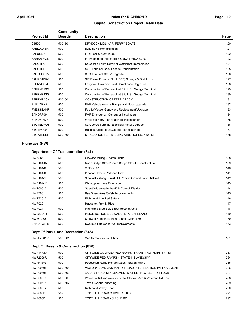### **Capital Construction Project Detail Data**

| <b>Project Id</b> | <b>Community</b><br><b>Boards</b> | <b>Description</b>                                      | Page |
|-------------------|-----------------------------------|---------------------------------------------------------|------|
| C5590             | 500 501                           | DRYDOCK MOLINARI FERRY BOATS                            | 120  |
| FABLDG45R         | 500                               | Building 45 Rehabilitation                              | 121  |
| <b>FAFUELFC</b>   | 500                               | <b>Fuel Facility Centrifuge</b>                         | 122  |
| <b>FASEAWALL</b>  | 500                               | Ferry Maintenance Facility Seawall PinX823.78           | 123  |
| <b>FASGTRCN</b>   | 500                               | St. George Ferry Terminal Waterfront Remediation        | 124  |
| <b>FASGTRHB</b>   | 500                               | <b>SGT Terminal Brick Facade Rehabilitation</b>         | 125  |
| <b>FASTGCCTV</b>  | 500                               | <b>STG Terminal CCTV Upgrade</b>                        | 126  |
| <b>FAUREABRG</b>  | 500                               | SIF Diesel Exhaust Fluid (DEF) Storage & Distribution   | 127  |
| <b>FBENVCOM</b>   | 500                               | Ferryboat Environmental Compliance Upgrades             | 128  |
| FERRYR1SG         | 500                               | Construction of Ferryrack at Slip1, St. George Terminal | 129  |
| FERRYR3SG         | 500                               | Construction of Ferryrack at Slip3, St. George Terminal | 130  |
| <b>FERRYRACK</b>  | 500 501                           | <b>CONSTRUCTION OF FERRY RACK</b>                       | 131  |
| <b>FMFVARNR</b>   | 500                               | FMF Vehicle Access Ramps and Nose Upgrade               | 132  |
| <b>FVESSGANR</b>  | 500                               | Facility/Vessel Gangways Replacement/Upgrade            | 133  |
| SANDRF09          | 500                               | <b>FMF Emergency Generator Installation</b>             | 154  |
| <b>SANDSIFMF</b>  | 500                               | Whitehall Ferry Terminal Roof Replacement               | 155  |
| <b>STGTELPAN</b>  | 500                               | St. George Terminal Electrical Panel Upgrade            | 156  |
| <b>STGTROOF</b>   | 500                               | Reconstruction of St. George Terminal Roof              | 157  |
| <b>STGWIRERP</b>  | 500 501                           | ST. GEORGE FERRY SLIPS WIRE ROPES, X823.66              | 158  |
| Highways (HW)     |                                   |                                                         |      |

### **Department Of Transportation (841)**

| HW2CR19E         | 500 | Citywide Milling - Staten Island                          | 138 |
|------------------|-----|-----------------------------------------------------------|-----|
| HWD104-07        | 500 | North Bridge Street/South Bridge Street - Construction    | 139 |
| HWD104-08        | 500 | Victory CPI                                               | 140 |
| HWD104-09        | 500 | Pleasant Plains Park and Ride                             | 141 |
| HWD104-10        | 500 | Sidewalks along Forest Hill Rd btw Ashworth and Ballfield | 142 |
| HWD104-11        | 500 | <b>Christopher Lane Extension</b>                         | 143 |
| HWR00513         | 500 | Street Widening in the 50th Council District              | 144 |
| <b>HWR703</b>    | 500 | Bay Street Area Safety Improvements                       | 145 |
| <b>HWR72017</b>  | 500 | Richmond Ave Ped Safety                                   | 146 |
| <b>HWR920</b>    |     | Huguenot Park N Ride                                      | 147 |
| <b>HWR921</b>    | 500 | Mid Island Blue Belt Street Reconstruction                | 148 |
| <b>HWS2021R</b>  | 500 | PRIOR NOTICE SIDEWALK - STATEN ISLAND                     | 149 |
| HWSCD50          | 500 | Sidewalk Construction in Council District 50              | 150 |
| <b>SANDHWSIB</b> | 500 | Swaim & Huguenot Ave Improvements                         | 153 |
|                  |     |                                                           |     |

### **Dept Of Parks And Recreation (846)**

| HWPLZ001R | 500 501 | Van Name/Van Pelt Plaza | 161 |
|-----------|---------|-------------------------|-----|
|           |         |                         |     |

| Dept Of Design & Construction (850) |         |                                                            |     |  |  |  |
|-------------------------------------|---------|------------------------------------------------------------|-----|--|--|--|
| HWP14RTA                            | 500     | CITYWIDE COMPLEX PED RAMPS (TRANSIT AUTHORITY) - SI        | 283 |  |  |  |
| <b>HWP2008R</b>                     | 500     | CITYWIDE PED RAMPS - STATEN ISLAND(SIM)                    | 284 |  |  |  |
| HWPR19R                             | 500     | Pedestrian Ramp Rehabilitation - Staten Island             | 285 |  |  |  |
| <b>HWR00505</b>                     | 500 501 | VICTORY BLVD AND MANOR ROAD INTERSECTION IMPROVEMENT       | 286 |  |  |  |
| <b>HWR00508</b>                     | 500 503 | AMBOY ROAD IMPROVEMENTS AT ELTINGVILLE CORRIDOR            | 287 |  |  |  |
| HWR00510                            | 500 503 | Woodrow Rd Improvements btw Gladwin Ave & Veterans Rd East | 288 |  |  |  |
| HWR00511                            | 500 502 | <b>Travis Avenue Widening</b>                              | 289 |  |  |  |
| HWR00512                            | 500     | <b>Richmond Valley Road</b>                                | 290 |  |  |  |
| HWR005B                             | 502     | TODT HILL ROAD CURVE REHAB.                                | 291 |  |  |  |
| <b>HWR005B1</b>                     | 500     | TODT HILL ROAD - CIRCLE RD                                 | 292 |  |  |  |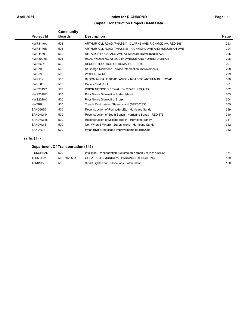### **Capital Construction Project Detail Data**

| <b>Project Id</b> | Community<br><b>Boards</b> | <b>Description</b>                                           | Page |
|-------------------|----------------------------|--------------------------------------------------------------|------|
| <b>HWR1140A</b>   | 503                        | ARTHUR KILL ROAD (PHASE I) - CLARKE AVE, RICHMOD AV, RED-366 | 293  |
| <b>HWR1140B</b>   | 503                        | ARTHUR KILL ROAD (PHASE II) - RICHMOND AVE AND HUGUENOT AVE  | 294  |
| <b>HWR1160</b>    | 502                        | RE- ALIGN ROCKLAND AVE AT MANOR RD/MEISNER AVE               | 295  |
| HWR300-03         | 501                        | ROAD WIDENING AT SOUTH AVENUE AND FOREST AVENUE              | 296  |
| HWR669C           | 502                        | RECONSTRUCTION OF ROMA, HETT, ETC                            | 297  |
| <b>HWR700</b>     | 500                        | St George-Richmond Terrace Intersection Improvements         | 298  |
| <b>HWR890</b>     | 503                        | <b>WOODROW RD</b>                                            | 299  |
| <b>HWR919</b>     | 503                        | BLOOMINGDALE ROAD: AMBOY ROAD TO ARTHUR KILL ROAD            | 300  |
| HWRF05R           | 500                        | Dubois Yard Roof                                             | 301  |
| <b>HWS2013R</b>   | 500                        | PRIOR NOTICE SIDEWALKS - STATEN ISLAND                       | 302  |
| <b>HWS2020R</b>   | 500                        | Prior Notice Sidewalks- Staten Island                        | 303  |
| <b>HWS2020X</b>   | 500                        | <b>Prior Notice Sidewalks- Bronx</b>                         | 304  |
| HWTRR1            | 500                        | Trench Restoration - Staten Island (SER002333)               | 305  |
| SAND669C          | 500                        | Reconstruction of Roma, Hett, Etc - Hurricane Sandy          | 339  |
| SANDHW14          | 500                        | Reconstruction of South Beach - Hurricane Sandy - RED-375    | 340  |
| SANDHW15          | 500                        | Reconstruction of Midland Beach - Hurricane Sandy            | 341  |
| <b>SANDHWSI</b>   | 500                        | Non When & Where - Staten Island - Hurricane Sandy           | 342  |
| SANDR01           | 500                        | Hylan Blvd Streetscape Improvements (MIBBNC05)               | 343  |
|                   |                            |                                                              |      |

### **Traffic (TF)**

### **Department Of Transportation (841)**

| ITSKOREAN | 500         | Intelligent Transportation Systems on Korean Vet Pky X501.65 | 151 |
|-----------|-------------|--------------------------------------------------------------|-----|
| TFD503-07 | 500 502 503 | <b>GREAT KILLS MUNICIPAL PARKING LOT LIGHTING</b>            | 159 |
| TFR0103   | 500         | Smart Lights-various locations Staten Island                 | 160 |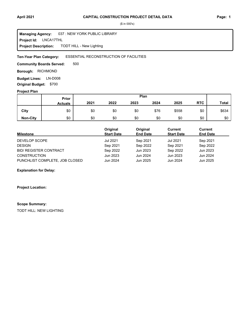LNCA17THL **Project Id:** 037 : NEW YORK PUBLIC LIBRARY TODT HILL - New Lighting **Managing Agency: Project Description:** 

#### ESSENTIAL RECONSTRUCTION OF FACILITIES **Ten-Year Plan Category:**

500 **Community Boards Served:** 

**Borough: RICHMOND** 

**Budget Lines: LN-D008 Original Budget:** \$700

### **Project Plan**

|                 | Prior          |      |      |      | Plan |       |            |              |
|-----------------|----------------|------|------|------|------|-------|------------|--------------|
|                 | <b>Actuals</b> | 2021 | 2022 | 2023 | 2024 | 2025  | <b>RTC</b> | <b>Total</b> |
| City            | \$0            | \$0  | \$0  | \$0  | \$76 | \$558 | \$0        | \$634        |
| <b>Non-City</b> | \$0            | \$0  | \$0  | \$0  | \$0  | \$0   | \$0        | \$0          |

| <b>Milestone</b>               | Original<br><b>Start Date</b> | Original<br><b>End Date</b> | Current<br><b>Start Date</b> | <b>Current</b><br><b>End Date</b> |
|--------------------------------|-------------------------------|-----------------------------|------------------------------|-----------------------------------|
| DEVELOP SCOPE                  | <b>Jul 2021</b>               | Sep 2021                    | Jul 2021                     | Sep 2021                          |
| <b>DESIGN</b>                  | Sep 2021                      | Sep 2022                    | Sep 2021                     | Sep 2022                          |
| <b>BID/ REGISTER CONTRACT</b>  | Sep 2022                      | Jun 2023                    | Sep 2022                     | Jun 2023                          |
| <b>CONSTRUCTION</b>            | Jun 2023                      | Jun 2024                    | Jun 2023                     | Jun 2024                          |
| PUNCHLIST COMPLETE, JOB CLOSED | Jun 2024                      | Jun 2025                    | Jun 2024                     | Jun 2025                          |

### **Explanation for Delay:**

**Project Location:**

### **Scope Summary:**

TODT HILL: NEW LIGHTING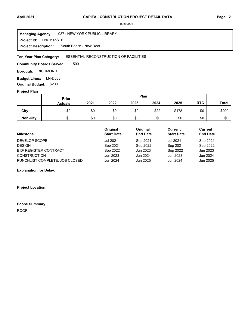**Project Id: LNCM15STB** 037 : NEW YORK PUBLIC LIBRARY South Beach - New Roof **Managing Agency: Project Description:** 

#### ESSENTIAL RECONSTRUCTION OF FACILITIES **Ten-Year Plan Category:**

500 **Community Boards Served:** 

**Borough: RICHMOND** 

**Budget Lines: LN-D008 Original Budget:** \$200

### **Project Plan**

|                 |                | Plan<br>Prior |      |      |      |       |            |              |
|-----------------|----------------|---------------|------|------|------|-------|------------|--------------|
|                 | <b>Actuals</b> | 2021          | 2022 | 2023 | 2024 | 2025  | <b>RTC</b> | <b>Total</b> |
| City            | \$0            | \$0           | \$0  | \$0  | \$22 | \$178 | \$0        | \$200        |
| <b>Non-City</b> | \$0            | \$0           | \$0  | \$0  | \$0  | \$0   | \$0        | \$0          |

| <b>Milestone</b>               | Original<br><b>Start Date</b> | Original<br><b>End Date</b> | Current<br><b>Start Date</b> | Current<br><b>End Date</b> |
|--------------------------------|-------------------------------|-----------------------------|------------------------------|----------------------------|
| DEVELOP SCOPE                  | <b>Jul 2021</b>               | Sep 2021                    | Jul 2021                     | Sep 2021                   |
| <b>DESIGN</b>                  | Sep 2021                      | Sep 2022                    | Sep 2021                     | Sep 2022                   |
| <b>BID/ REGISTER CONTRACT</b>  | Sep 2022                      | Jun 2023                    | Sep 2022                     | Jun 2023                   |
| <b>CONSTRUCTION</b>            | Jun 2023                      | Jun 2024                    | Jun 2023                     | Jun 2024                   |
| PUNCHLIST COMPLETE, JOB CLOSED | Jun 2024                      | Jun 2025                    | Jun 2024                     | Jun 2025                   |

**Explanation for Delay:**

**Project Location:**

### **Scope Summary:**

ROOF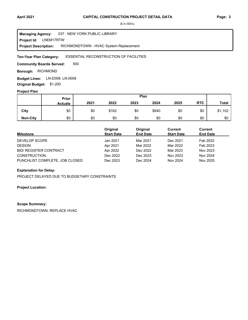#### LNEM17RTW **Project Id:** 037 : NEW YORK PUBLIC LIBRARY RICHMONDTOWN - HVAC System Replacement **Managing Agency: Project Description:**

#### ESSENTIAL RECONSTRUCTION OF FACILITIES **Ten-Year Plan Category:**

500 **Community Boards Served:** 

**Borough: RICHMOND** 

**Budget Lines: LN-D008 LN-0008 Original Budget:** \$1,200

### **Project Plan**

|                 |                | Plan<br>Prior |       |      |       |      |            |              |
|-----------------|----------------|---------------|-------|------|-------|------|------------|--------------|
|                 | <b>Actuals</b> | 2021          | 2022  | 2023 | 2024  | 2025 | <b>RTC</b> | <b>Total</b> |
| City            | \$0            | \$0           | \$162 | \$0  | \$940 | \$0  | \$0        | \$1,102      |
| <b>Non-City</b> | \$0            | \$0           | \$0   | \$0  | \$0   | \$0  | \$0        | \$0          |

| <b>Milestone</b>               | Original<br><b>Start Date</b> | Original<br><b>End Date</b> | Current<br><b>Start Date</b> | Current<br><b>End Date</b> |
|--------------------------------|-------------------------------|-----------------------------|------------------------------|----------------------------|
| DEVELOP SCOPE                  | Jan 2021                      | Mar 2021                    | Dec 2021                     | Feb 2022                   |
| <b>DESIGN</b>                  | Apr 2021                      | Mar 2022                    | Mar 2022                     | Feb 2023                   |
| <b>BID/ REGISTER CONTRACT</b>  | Apr 2022                      | Dec 2022                    | Mar 2023                     | Nov 2023                   |
| <b>CONSTRUCTION</b>            | Dec 2022                      | Dec 2023                    | Nov 2023                     | Nov 2024                   |
| PUNCHLIST COMPLETE, JOB CLOSED | Dec 2023                      | Dec 2024                    | Nov 2024                     | Nov 2025                   |

### **Explanation for Delay:**

PROJECT DELAYED DUE TO BUDGETARY CONSTRAINTS

### **Project Location:**

### **Scope Summary:**

RICHMONDTOWN: REPLACE HVAC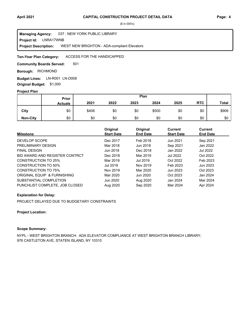**Project Id: LNRA17WNB** 037 : NEW YORK PUBLIC LIBRARY WEST NEW BRIGHTON - ADA-compliant Elevators **Managing Agency: Project Description:** 

#### ACCESS FOR THE HANDICAPPED **Ten-Year Plan Category:**

501 **Community Boards Served:** 

**Borough: RICHMOND** 

Budget Lines: LN-R001 LN-D008 **Original Budget:** \$1,000

### **Project Plan**

|                 |                | Plan<br>Prior |      |      |       |      |            |              |
|-----------------|----------------|---------------|------|------|-------|------|------------|--------------|
|                 | <b>Actuals</b> | 2021          | 2022 | 2023 | 2024  | 2025 | <b>RTC</b> | <b>Total</b> |
| City            | \$0            | \$406         | \$0  | \$0  | \$500 | \$0  | \$0        | \$906        |
| <b>Non-City</b> | \$0            | \$0           | \$0  | \$0  | \$0   | \$0  | \$0        | \$0          |

| <b>Milestone</b>               | Original<br><b>Start Date</b> | Original<br><b>End Date</b> | <b>Current</b><br><b>Start Date</b> | <b>Current</b><br><b>End Date</b> |
|--------------------------------|-------------------------------|-----------------------------|-------------------------------------|-----------------------------------|
| DEVELOP SCOPE                  | Dec 2017                      | Feb 2018                    | Jun 2021                            | Sep 2021                          |
| PRELIMINARY DESIGN             | Mar 2018                      | Jun 2018                    | Sep 2021                            | Jan 2022                          |
| <b>FINAL DESIGN</b>            | Jun 2018                      | Dec 2018                    | Jan 2022                            | Jul 2022                          |
| BID AWARD AND REGISTER CONTRCT | Dec 2018                      | Mar 2019                    | <b>Jul 2022</b>                     | Oct 2022                          |
| CONSTRUCTION TO 25%            | Mar 2019                      | Jul 2019                    | Oct 2022                            | Feb 2023                          |
| CONSTRUCTION TO 50%            | Jul 2019                      | Nov 2019                    | Feb 2023                            | Jun 2023                          |
| <b>CONSTRUCTION TO 75%</b>     | Nov 2019                      | Mar 2020                    | Jun 2023                            | Oct 2023                          |
| ORIGINAL EQUIP & FURNISHING    | Mar 2020                      | Jun 2020                    | Oct 2023                            | Jan 2024                          |
| SUBSTANTIAL COMPLETION         | Jun 2020                      | Aug 2020                    | Jan 2024                            | Mar 2024                          |
| PUNCHLIST COMPLETE, JOB CLOSED | Aug 2020                      | Sep 2020                    | Mar 2024                            | Apr 2024                          |

### **Explanation for Delay:**

PROJECT DELAYED DUE TO BUDGETARY CONSTRAINTS

### **Project Location:**

### **Scope Summary:**

NYPL - WEST BRIGHTON BRANCH: ADA ELEVATOR COMPLIANCE AT WEST BRIGHTON BRANCH LIBRARY; 976 CASTLETON AVE, STATEN ISLAND, NY 10310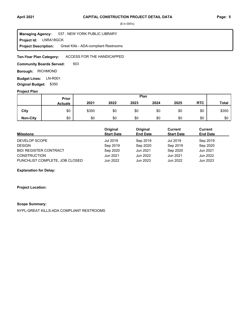### **April 2021 Page: 5 CAPITAL CONSTRUCTION PROJECT DETAIL DATA**

(\$ in 000's)

**Project Id: LNRA18GCK** 037 : NEW YORK PUBLIC LIBRARY Great Kills - ADA-compliant Restrooms **Managing Agency: Project Description:** 

#### ACCESS FOR THE HANDICAPPED **Ten-Year Plan Category:**

503 **Community Boards Served:** 

**Borough: RICHMOND** 

**Budget Lines: LN-R001 Original Budget:** \$350

### **Project Plan**

|                 |                | Plan<br>Prior |      |      |      |      |            |              |
|-----------------|----------------|---------------|------|------|------|------|------------|--------------|
|                 | <b>Actuals</b> | 2021          | 2022 | 2023 | 2024 | 2025 | <b>RTC</b> | <b>Total</b> |
| City            | \$0            | \$350         | \$0  | \$0  | \$0  | \$0  | \$0        | \$350        |
| <b>Non-City</b> | \$0            | \$0           | \$0  | \$0  | \$0  | \$0  | \$0        | \$0          |

| <b>Milestone</b>               | Original<br><b>Start Date</b> | Original<br><b>End Date</b> | Current<br><b>Start Date</b> | <b>Current</b><br><b>End Date</b> |
|--------------------------------|-------------------------------|-----------------------------|------------------------------|-----------------------------------|
| DEVELOP SCOPE                  | Jul 2019                      | Sep 2019                    | Jul 2019                     | Sep 2019                          |
| <b>DESIGN</b>                  | Sep 2019                      | Sep 2020                    | Sep 2019                     | Sep 2020                          |
| <b>BID/ REGISTER CONTRACT</b>  | Sep 2020                      | Jun 2021                    | Sep 2020                     | Jun 2021                          |
| <b>CONSTRUCTION</b>            | Jun 2021                      | Jun 2022                    | Jun 2021                     | Jun 2022                          |
| PUNCHLIST COMPLETE, JOB CLOSED | Jun 2022                      | Jun 2023                    | Jun 2022                     | Jun 2023                          |

### **Explanation for Delay:**

**Project Location:**

### **Scope Summary:**

NYPL-GREAT KILLS-ADA COMPLIANT RESTROOMS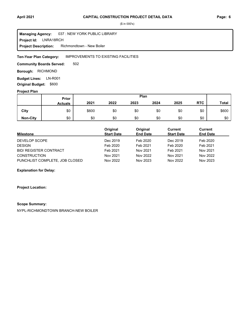### **April 2021 Page: 6 CAPITAL CONSTRUCTION PROJECT DETAIL DATA**

(\$ in 000's)

**Project Id: LNRA18RCH** 037 : NEW YORK PUBLIC LIBRARY Richmondtown - New Boiler **Managing Agency: Project Description:** 

#### IMPROVEMENTS TO EXISTING FACILITIES **Ten-Year Plan Category:**

502 **Community Boards Served:** 

**Borough: RICHMOND** 

**Budget Lines: LN-R001 Original Budget:** \$600

### **Project Plan**

|                 |                | Plan<br>Prior |      |      |      |      |            |              |
|-----------------|----------------|---------------|------|------|------|------|------------|--------------|
|                 | <b>Actuals</b> | 2021          | 2022 | 2023 | 2024 | 2025 | <b>RTC</b> | <b>Total</b> |
| City            | \$0            | \$600         | \$0  | \$0  | \$0  | \$0  | \$0        | \$600        |
| <b>Non-City</b> | \$0            | \$0           | \$0  | \$0  | \$0  | \$0  | \$0        | \$0          |

| <b>Milestone</b>               | Original<br><b>Start Date</b> | Original<br><b>End Date</b> | Current<br><b>Start Date</b> | Current<br><b>End Date</b> |
|--------------------------------|-------------------------------|-----------------------------|------------------------------|----------------------------|
| DEVELOP SCOPE                  | Dec 2019                      | Feb 2020                    | Dec 2019                     | Feb 2020                   |
| <b>DESIGN</b>                  | Feb 2020                      | Feb 2021                    | Feb 2020                     | Feb 2021                   |
| <b>BID/ REGISTER CONTRACT</b>  | Feb 2021                      | Nov 2021                    | Feb 2021                     | Nov 2021                   |
| <b>CONSTRUCTION</b>            | Nov 2021                      | Nov 2022                    | Nov 2021                     | Nov 2022                   |
| PUNCHLIST COMPLETE, JOB CLOSED | Nov 2022                      | Nov 2023                    | Nov 2022                     | Nov 2023                   |

### **Explanation for Delay:**

**Project Location:**

### **Scope Summary:**

NYPL-RICHMONDTOWN BRANCH-NEW BOILER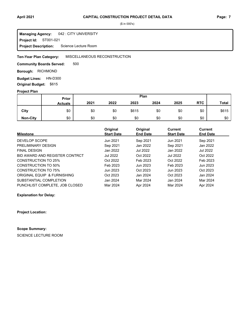#### **Project Id: ST001-021** 042 : CITY UNIVERSITY Science Lecture Room **Managing Agency: Project Description:**

#### MISCELLANEOUS RECONSTRUCTION **Ten-Year Plan Category:**

500 **Community Boards Served:** 

**Borough: RICHMOND** 

**Budget Lines: HN-D300 Original Budget:** \$615

### **Project Plan**

|                 |                | Plan<br>Prior |      |       |      |      |            |              |
|-----------------|----------------|---------------|------|-------|------|------|------------|--------------|
|                 | <b>Actuals</b> | 2021          | 2022 | 2023  | 2024 | 2025 | <b>RTC</b> | <b>Total</b> |
| City            | \$0            | \$0           | \$0  | \$615 | \$0  | \$0  | \$0        | \$615        |
| <b>Non-City</b> | \$0            | \$0           | \$0  | \$0   | \$0  | \$0  | \$0        | \$0          |

| <b>Milestone</b>               | Original<br><b>Start Date</b> | Original<br><b>End Date</b> | <b>Current</b><br><b>Start Date</b> | <b>Current</b><br><b>End Date</b> |
|--------------------------------|-------------------------------|-----------------------------|-------------------------------------|-----------------------------------|
|                                |                               |                             |                                     |                                   |
| DEVELOP SCOPE                  | Jun 2021                      | Sep 2021                    | Jun 2021                            | Sep 2021                          |
| PRELIMINARY DESIGN             | Sep 2021                      | Jan 2022                    | Sep 2021                            | Jan 2022                          |
| <b>FINAL DESIGN</b>            | Jan 2022                      | <b>Jul 2022</b>             | Jan 2022                            | Jul 2022                          |
| BID AWARD AND REGISTER CONTRCT | Jul 2022                      | Oct 2022                    | <b>Jul 2022</b>                     | Oct 2022                          |
| CONSTRUCTION TO 25%            | Oct 2022                      | Feb 2023                    | Oct 2022                            | Feb 2023                          |
| CONSTRUCTION TO 50%            | Feb 2023                      | Jun 2023                    | Feb 2023                            | Jun 2023                          |
| <b>CONSTRUCTION TO 75%</b>     | Jun 2023                      | Oct 2023                    | Jun 2023                            | Oct 2023                          |
| ORIGINAL EQUIP & FURNISHING    | Oct 2023                      | Jan 2024                    | Oct 2023                            | Jan 2024                          |
| SUBSTANTIAL COMPLETION         | Jan 2024                      | Mar 2024                    | Jan 2024                            | Mar 2024                          |
| PUNCHLIST COMPLETE, JOB CLOSED | Mar 2024                      | Apr 2024                    | Mar 2024                            | Apr 2024                          |

**Explanation for Delay:**

**Project Location:**

### **Scope Summary:**

SCIENCE LECTURE ROOM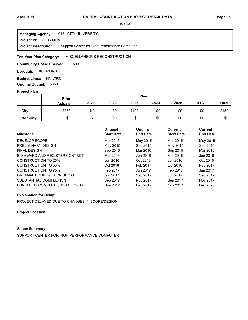#### **Project Id: ST030-015** 042 : CITY UNIVERSITY **Managing Agency:**

Support Center for High Performance Computer **Project Description:** 

#### MISCELLANEOUS RECONSTRUCTION **Ten-Year Plan Category:**

500 **Community Boards Served:** 

**Borough: RICHMOND** 

**Budget Lines: HN-D300 Original Budget:** \$350

### **Project Plan**

|                 |                | Plan<br>Prior |      |       |      |      |            |              |
|-----------------|----------------|---------------|------|-------|------|------|------------|--------------|
|                 | <b>Actuals</b> | 2021          | 2022 | 2023  | 2024 | 2025 | <b>RTC</b> | <b>Total</b> |
| City            | \$353          | $$ -3$        | \$0  | \$100 | \$0  | \$0  | \$0        | \$450        |
| <b>Non-City</b> | \$0            | \$0           | \$0  | \$0   | \$0  | \$0  | \$0        | \$0          |

| <b>Milestone</b>               | Original<br><b>Start Date</b> | Original<br><b>End Date</b> | Current<br><b>Start Date</b> | <b>Current</b><br><b>End Date</b> |
|--------------------------------|-------------------------------|-----------------------------|------------------------------|-----------------------------------|
| DEVELOP SCOPE                  | Mar 2015                      | May 2015                    | Mar 2015                     | May 2015                          |
| PRELIMINARY DESIGN             | May 2015                      | Sep 2015                    | May 2015                     | Sep 2015                          |
| <b>FINAL DESIGN</b>            | Sep 2015                      | Mar 2016                    | Sep 2015                     | Mar 2016                          |
| BID AWARD AND REGISTER CONTRCT | Mar 2016                      | Jun 2016                    | Mar 2016                     | Jun 2016                          |
| CONSTRUCTION TO 25%            | Jun 2016                      | Oct 2016                    | Jun 2016                     | Oct 2016                          |
| <b>CONSTRUCTION TO 50%</b>     | Oct 2016                      | Feb 2017                    | Oct 2016                     | Feb 2017                          |
| <b>CONSTRUCTION TO 75%</b>     | Feb 2017                      | Jun 2017                    | Feb 2017                     | Jun 2017                          |
| ORIGINAL EQUIP & FURNISHING    | Jun 2017                      | Sep 2017                    | Jun 2017                     | Sep 2017                          |
| SUBSTANTIAL COMPLETION         | Sep 2017                      | Nov 2017                    | Sep 2017                     | Nov 2017                          |
| PUNCHLIST COMPLETE, JOB CLOSED | Nov 2017                      | Dec 2017                    | Nov 2017                     | Dec 2025                          |

### **Explanation for Delay:**

PROJECT DELAYED DUE TO CHANGES IN SCOPE/DESIGN

**Project Location:**

### **Scope Summary:**

SUPPORT CENTER FOR HIGH PERFORMANCE COMPUTER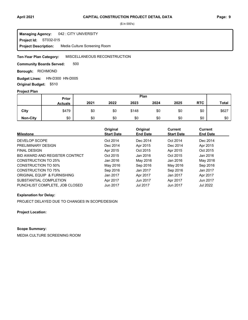#### **Project Id: ST032-015** 042 : CITY UNIVERSITY Media Culture Screening Room **Managing Agency: Project Description:**

#### MISCELLANEOUS RECONSTRUCTION **Ten-Year Plan Category:**

500 **Community Boards Served:** 

### **Borough: RICHMOND**

Budget Lines: HN-D300 HN-D005 **Original Budget:** \$510

### **Project Plan**

|                 |                | Plan<br><b>Prior</b> |      |       |      |      |            |              |
|-----------------|----------------|----------------------|------|-------|------|------|------------|--------------|
|                 | <b>Actuals</b> | 2021                 | 2022 | 2023  | 2024 | 2025 | <b>RTC</b> | <b>Total</b> |
| City            | \$479          | \$0                  | \$0  | \$148 | \$0  | \$0  | \$0        | \$627        |
| <b>Non-City</b> | \$0            | \$0                  | \$0  | \$0   | \$0  | \$0  | \$0        | \$0          |

| <b>Milestone</b>               | Original<br><b>Start Date</b> | Original<br><b>End Date</b> | <b>Current</b><br><b>Start Date</b> | <b>Current</b><br><b>End Date</b> |
|--------------------------------|-------------------------------|-----------------------------|-------------------------------------|-----------------------------------|
| DEVELOP SCOPE                  | Oct 2014                      | Dec 2014                    | Oct 2014                            | Dec 2014                          |
| PRELIMINARY DESIGN             | Dec 2014                      | Apr 2015                    | Dec 2014                            | Apr 2015                          |
| <b>FINAL DESIGN</b>            | Apr 2015                      | Oct 2015                    | Apr 2015                            | Oct 2015                          |
| BID AWARD AND REGISTER CONTRCT | Oct 2015                      | Jan 2016                    | Oct 2015                            | Jan 2016                          |
| CONSTRUCTION TO 25%            | Jan 2016                      | May 2016                    | Jan 2016                            | May 2016                          |
| CONSTRUCTION TO 50%            | May 2016                      | Sep 2016                    | May 2016                            | Sep 2016                          |
| <b>CONSTRUCTION TO 75%</b>     | Sep 2016                      | Jan 2017                    | Sep 2016                            | Jan 2017                          |
| ORIGINAL EQUIP & FURNISHING    | Jan 2017                      | Apr 2017                    | Jan 2017                            | Apr 2017                          |
| SUBSTANTIAL COMPLETION         | Apr 2017                      | Jun 2017                    | Apr 2017                            | Jun 2017                          |
| PUNCHLIST COMPLETE, JOB CLOSED | Jun 2017                      | <b>Jul 2017</b>             | Jun 2017                            | <b>Jul 2022</b>                   |

### **Explanation for Delay:**

PROJECT DELAYED DUE TO CHANGES IN SCOPE/DESIGN

**Project Location:**

### **Scope Summary:**

MEDIA CULTURE SCREENING ROOM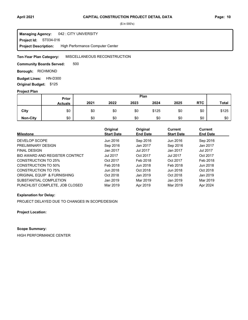### **April 2021 Page: 10 CAPITAL CONSTRUCTION PROJECT DETAIL DATA**

(\$ in 000's)

#### **Project Id: ST034-016** 042 : CITY UNIVERSITY High Performance Computer Center **Managing Agency: Project Description:**

#### MISCELLANEOUS RECONSTRUCTION **Ten-Year Plan Category:**

500 **Community Boards Served:** 

**Borough: RICHMOND** 

**Budget Lines: HN-D300 Original Budget:** \$125

### **Project Plan**

|                 |                | Plan<br><b>Prior</b> |      |      |       |      |            |              |
|-----------------|----------------|----------------------|------|------|-------|------|------------|--------------|
|                 | <b>Actuals</b> | 2021                 | 2022 | 2023 | 2024  | 2025 | <b>RTC</b> | <b>Total</b> |
| City            | \$0            | \$0                  | \$0  | \$0  | \$125 | \$0  | \$0        | \$125        |
| <b>Non-City</b> | \$0            | \$0                  | \$0  | \$0  | \$0   | \$0  | \$0        | \$0          |

| <b>Milestone</b>               | Original<br><b>Start Date</b> | Original<br><b>End Date</b> | <b>Current</b><br><b>Start Date</b> | Current<br><b>End Date</b> |
|--------------------------------|-------------------------------|-----------------------------|-------------------------------------|----------------------------|
|                                |                               |                             |                                     |                            |
| DEVELOP SCOPE                  | Jun 2016                      | Sep 2016                    | Jun 2016                            | Sep 2016                   |
| PRELIMINARY DESIGN             | Sep 2016                      | Jan 2017                    | Sep 2016                            | Jan 2017                   |
| <b>FINAL DESIGN</b>            | Jan 2017                      | Jul 2017                    | Jan 2017                            | Jul 2017                   |
| BID AWARD AND REGISTER CONTRCT | <b>Jul 2017</b>               | Oct 2017                    | <b>Jul 2017</b>                     | Oct 2017                   |
| CONSTRUCTION TO 25%            | Oct 2017                      | Feb 2018                    | Oct 2017                            | Feb 2018                   |
| CONSTRUCTION TO 50%            | Feb 2018                      | Jun 2018                    | Feb 2018                            | Jun 2018                   |
| <b>CONSTRUCTION TO 75%</b>     | Jun 2018                      | Oct 2018                    | Jun 2018                            | Oct 2018                   |
| ORIGINAL EQUIP & FURNISHING    | Oct 2018                      | Jan 2019                    | Oct 2018                            | Jan 2019                   |
| SUBSTANTIAL COMPLETION         | Jan 2019                      | Mar 2019                    | Jan 2019                            | Mar 2019                   |
| PUNCHLIST COMPLETE. JOB CLOSED | Mar 2019                      | Apr 2019                    | Mar 2019                            | Apr 2024                   |

### **Explanation for Delay:**

PROJECT DELAYED DUE TO CHANGES IN SCOPE/DESIGN

**Project Location:**

### **Scope Summary:**

HIGH PERFORMANCE CENTER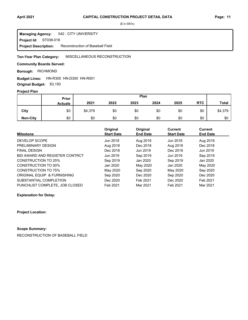#### **Project Id: ST038-018** 042 : CITY UNIVERSITY Reconstruction of Baseball Field **Managing Agency: Project Description:**

#### MISCELLANEOUS RECONSTRUCTION **Ten-Year Plan Category:**

### **Community Boards Served:**

### **Borough: RICHMOND**

### **Budget Lines: HN-R300 HN-D300 HN-R001**

**Original Budget:** \$3,150

### **Project Plan**

|                 |                | Plan<br>Prior |      |      |      |      |            |              |
|-----------------|----------------|---------------|------|------|------|------|------------|--------------|
|                 | <b>Actuals</b> | 2021          | 2022 | 2023 | 2024 | 2025 | <b>RTC</b> | <b>Total</b> |
| City            | \$0            | \$4,379       | \$0  | \$0  | \$0  | \$0  | \$0        | \$4,379      |
| <b>Non-City</b> | \$0            | \$0           | \$0  | \$0  | \$0  | \$0  | \$0        | \$0          |

| <b>Milestone</b>               | Original<br><b>Start Date</b> | Original<br><b>End Date</b> | <b>Current</b><br><b>Start Date</b> | <b>Current</b><br><b>End Date</b> |
|--------------------------------|-------------------------------|-----------------------------|-------------------------------------|-----------------------------------|
| DEVELOP SCOPE                  | Jun 2018                      | Aug 2018                    | Jun 2018                            | Aug 2018                          |
| PRELIMINARY DESIGN             | Aug 2018                      | Dec 2018                    | Aug 2018                            | Dec 2018                          |
| <b>FINAL DESIGN</b>            | Dec 2018                      | Jun 2019                    | Dec 2018                            | Jun 2019                          |
| BID AWARD AND REGISTER CONTRCT | Jun 2019                      | Sep 2019                    | Jun 2019                            | Sep 2019                          |
| CONSTRUCTION TO 25%            | Sep 2019                      | Jan 2020                    | Sep 2019                            | Jan 2020                          |
| CONSTRUCTION TO 50%            | Jan 2020                      | May 2020                    | Jan 2020                            | May 2020                          |
| CONSTRUCTION TO 75%            | May 2020                      | Sep 2020                    | May 2020                            | Sep 2020                          |
| ORIGINAL EQUIP & FURNISHING    | Sep 2020                      | Dec 2020                    | Sep 2020                            | Dec 2020                          |
| SUBSTANTIAL COMPLETION         | Dec 2020                      | Feb 2021                    | Dec 2020                            | Feb 2021                          |
| PUNCHLIST COMPLETE, JOB CLOSED | Feb 2021                      | Mar 2021                    | Feb 2021                            | Mar 2021                          |

### **Explanation for Delay:**

### **Project Location:**

### **Scope Summary:**

RECONSTRUCTION OF BASEBALL FIELD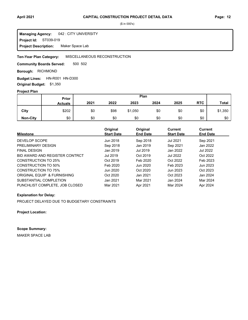#### **Project Id: ST039-019** 042 : CITY UNIVERSITY Maker Space Lab **Managing Agency: Project Description:**

#### MISCELLANEOUS RECONSTRUCTION **Ten-Year Plan Category:**

500 502 **Community Boards Served:** 

**Borough: RICHMOND** 

Budget Lines: HN-R001 HN-D300 **Original Budget:** \$1,350

### **Project Plan**

|                 | Plan<br>Prior  |      |      |         |      |      |            |              |
|-----------------|----------------|------|------|---------|------|------|------------|--------------|
|                 | <b>Actuals</b> | 2021 | 2022 | 2023    | 2024 | 2025 | <b>RTC</b> | <b>Total</b> |
| City            | \$202          | \$0  | \$98 | \$1,050 | \$0  | \$0  | \$0        | \$1,350      |
| <b>Non-City</b> | \$0            | \$0  | \$0  | \$0     | \$0  | \$0  | \$0        | \$0          |

| <b>Milestone</b>               | Original<br><b>Start Date</b> | Original<br><b>End Date</b> | <b>Current</b><br><b>Start Date</b> | <b>Current</b><br><b>End Date</b> |
|--------------------------------|-------------------------------|-----------------------------|-------------------------------------|-----------------------------------|
| DEVELOP SCOPE                  | Jun 2018                      | Sep 2018                    | <b>Jul 2021</b>                     | Sep 2021                          |
| PRELIMINARY DESIGN             | Sep 2018                      | Jan 2019                    | Sep 2021                            | Jan 2022                          |
| <b>FINAL DESIGN</b>            | Jan 2019                      | Jul 2019                    | Jan 2022                            | Jul 2022                          |
| BID AWARD AND REGISTER CONTRCT | Jul 2019                      | Oct 2019                    | Jul 2022                            | Oct 2022                          |
| CONSTRUCTION TO 25%            | Oct 2019                      | Feb 2020                    | Oct 2022                            | Feb 2023                          |
| CONSTRUCTION TO 50%            | Feb 2020                      | Jun 2020                    | Feb 2023                            | Jun 2023                          |
| <b>CONSTRUCTION TO 75%</b>     | Jun 2020                      | Oct 2020                    | Jun 2023                            | Oct 2023                          |
| ORIGINAL EQUIP & FURNISHING    | Oct 2020                      | Jan 2021                    | Oct 2023                            | Jan 2024                          |
| SUBSTANTIAL COMPLETION         | Jan 2021                      | Mar 2021                    | Jan 2024                            | Mar 2024                          |
| PUNCHLIST COMPLETE, JOB CLOSED | Mar 2021                      | Apr 2021                    | Mar 2024                            | Apr 2024                          |

### **Explanation for Delay:**

PROJECT DELAYED DUE TO BUDGETARY CONSTRAINTS

**Project Location:**

### **Scope Summary:**

MAKER SPACE LAB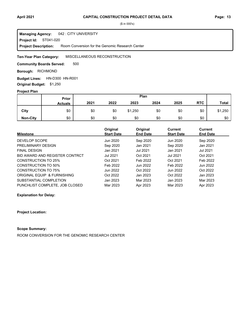#### 042 : CITY UNIVERSITY **Managing Agency:**

**Project Id: ST041-020** 

Room Conversion for the Genomic Research Center **Project Description:** 

#### MISCELLANEOUS RECONSTRUCTION **Ten-Year Plan Category:**

500 **Community Boards Served:** 

**Borough: RICHMOND** 

**Budget Lines: HN-D300 HN-R001 Original Budget:** \$1,250

### **Project Plan**

|                 | Plan<br>Prior  |      |      |         |      |      |            |              |
|-----------------|----------------|------|------|---------|------|------|------------|--------------|
|                 | <b>Actuals</b> | 2021 | 2022 | 2023    | 2024 | 2025 | <b>RTC</b> | <b>Total</b> |
| City            | \$0            | \$0  | \$0  | \$1,250 | \$0  | \$0  | \$0        | \$1,250      |
| <b>Non-City</b> | \$0            | \$0  | \$0  | \$0     | \$0  | \$0  | \$0        | \$0          |

| <b>Milestone</b>               | Original<br><b>Start Date</b> | Original<br><b>End Date</b> | Current<br><b>Start Date</b> | <b>Current</b><br><b>End Date</b> |
|--------------------------------|-------------------------------|-----------------------------|------------------------------|-----------------------------------|
|                                |                               |                             |                              |                                   |
| DEVELOP SCOPE                  | Jun 2020                      | Sep 2020                    | Jun 2020                     | Sep 2020                          |
| PRELIMINARY DESIGN             | Sep 2020                      | Jan 2021                    | Sep 2020                     | Jan 2021                          |
| <b>FINAL DESIGN</b>            | Jan 2021                      | Jul 2021                    | Jan 2021                     | Jul 2021                          |
| BID AWARD AND REGISTER CONTRCT | <b>Jul 2021</b>               | Oct 2021                    | <b>Jul 2021</b>              | Oct 2021                          |
| CONSTRUCTION TO 25%            | Oct 2021                      | Feb 2022                    | Oct 2021                     | Feb 2022                          |
| CONSTRUCTION TO 50%            | Feb 2022                      | Jun 2022                    | Feb 2022                     | Jun 2022                          |
| CONSTRUCTION TO 75%            | Jun 2022                      | Oct 2022                    | Jun 2022                     | Oct 2022                          |
| ORIGINAL EQUIP & FURNISHING    | Oct 2022                      | Jan 2023                    | Oct 2022                     | Jan 2023                          |
| SUBSTANTIAL COMPLETION         | Jan 2023                      | Mar 2023                    | Jan 2023                     | Mar 2023                          |
| PUNCHLIST COMPLETE, JOB CLOSED | Mar 2023                      | Apr 2023                    | Mar 2023                     | Apr 2023                          |

**Explanation for Delay:**

### **Project Location:**

### **Scope Summary:**

ROOM CONVERSION FOR THE GENOMIC RESEARCH CENTER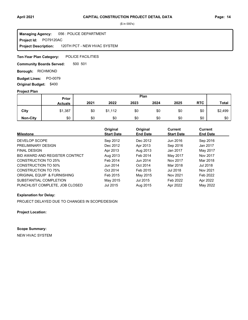**Project Id: PO79120AC** 056 : POLICE DEPARTMENT 120TH PCT - NEW HVAC SYSTEM **Managing Agency: Project Description:** 

POLICE FACILITIES **Ten-Year Plan Category:** 

500 501 **Community Boards Served:** 

**Borough: RICHMOND** 

**Budget Lines: PO-0079 Original Budget:** \$400

### **Project Plan**

|                 |                | Plan<br>Prior |         |      |      |      |            |              |
|-----------------|----------------|---------------|---------|------|------|------|------------|--------------|
|                 | <b>Actuals</b> | 2021          | 2022    | 2023 | 2024 | 2025 | <b>RTC</b> | <b>Total</b> |
| City            | \$1,387        | \$0           | \$1,112 | \$0  | \$0  | \$0  | \$0        | \$2,499      |
| <b>Non-City</b> | \$0            | \$0           | \$0     | \$0  | \$0  | \$0  | \$0        | \$0          |

| <b>Milestone</b>               | Original<br><b>Start Date</b> | Original<br><b>End Date</b> | <b>Current</b><br><b>Start Date</b> | <b>Current</b><br><b>End Date</b> |
|--------------------------------|-------------------------------|-----------------------------|-------------------------------------|-----------------------------------|
| DEVELOP SCOPE                  | Sep 2012                      | Dec 2012                    | Jun 2016                            | Sep 2016                          |
| PRELIMINARY DESIGN             | Dec 2012                      | Apr 2013                    | Sep 2016                            | Jan 2017                          |
| <b>FINAL DESIGN</b>            | Apr 2013                      | Aug 2013                    | Jan 2017                            | May 2017                          |
| BID AWARD AND REGISTER CONTRCT | Aug 2013                      | Feb 2014                    | May 2017                            | Nov 2017                          |
| <b>CONSTRUCTION TO 25%</b>     | Feb 2014                      | Jun 2014                    | Nov 2017                            | Mar 2018                          |
| <b>CONSTRUCTION TO 50%</b>     | Jun 2014                      | Oct 2014                    | Mar 2018                            | Jul 2018                          |
| <b>CONSTRUCTION TO 75%</b>     | Oct 2014                      | Feb 2015                    | Jul 2018                            | Nov 2021                          |
| ORIGINAL EQUIP & FURNISHING    | Feb 2015                      | May 2015                    | Nov 2021                            | Feb 2022                          |
| SUBSTANTIAL COMPLETION         | May 2015                      | Jul 2015                    | Feb 2022                            | Apr 2022                          |
| PUNCHLIST COMPLETE. JOB CLOSED | Jul 2015                      | Aug 2015                    | Apr 2022                            | May 2022                          |

### **Explanation for Delay:**

PROJECT DELAYED DUE TO CHANGES IN SCOPE/DESIGN

**Project Location:**

**Scope Summary:**

NEW HVAC SYSTEM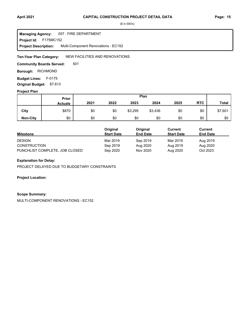### **April 2021 Page: 15 CAPITAL CONSTRUCTION PROJECT DETAIL DATA**

(\$ in 000's)

 F175MC152 **Project Id:** 057 : FIRE DEPARTMENT Multi-Component Renovations - EC152 **Managing Agency: Project Description:** 

NEW FACILITIES AND RENOVATIONS **Ten-Year Plan Category:** 

501 **Community Boards Served:** 

**Borough: RICHMOND** 

Budget Lines: F-0175 **Original Budget:** \$7,613

### **Project Plan**

|                 | Prior          | Plan |      |         |         |      |            |              |
|-----------------|----------------|------|------|---------|---------|------|------------|--------------|
|                 | <b>Actuals</b> | 2021 | 2022 | 2023    | 2024    | 2025 | <b>RTC</b> | <b>Total</b> |
| City            | \$870          | \$0  | \$0  | \$3,295 | \$3,436 | \$0  | \$0        | \$7,601      |
| <b>Non-City</b> | \$0            | \$0  | \$0  | \$0     | \$0     | \$0  | \$0        | \$0          |

|                                | Original          | Original        | Current           | Current         |  |
|--------------------------------|-------------------|-----------------|-------------------|-----------------|--|
| <b>Milestone</b>               | <b>Start Date</b> | <b>End Date</b> | <b>Start Date</b> | <b>End Date</b> |  |
| <b>DESIGN</b>                  | Mar 2019          | Sep 2019        | Mar 2019          | Aug 2019        |  |
| <b>CONSTRUCTION</b>            | Sep 2019          | Aug 2020        | Aug 2019          | Aug 2020        |  |
| PUNCHLIST COMPLETE, JOB CLOSED | Sep 2020          | Nov 2020        | Aug 2020          | Oct 2023        |  |

### **Explanation for Delay:**

PROJECT DELAYED DUE TO BUDGETARY CONSTRAINTS

**Project Location:**

### **Scope Summary:**

MULTI-COMPONENT RENOVATIONS - EC152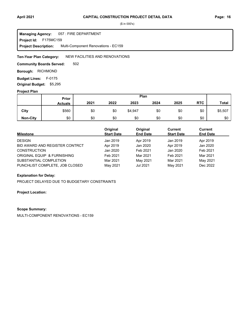### **April 2021 Page: 16 CAPITAL CONSTRUCTION PROJECT DETAIL DATA**

(\$ in 000's)

 F175MC159 **Project Id:** 057 : FIRE DEPARTMENT Multi-Component Renovations - EC159 **Managing Agency: Project Description:** 

#### NEW FACILITIES AND RENOVATIONS **Ten-Year Plan Category:**

502 **Community Boards Served:** 

**Borough: RICHMOND** 

Budget Lines: F-0175 **Original Budget:** \$5,295

### **Project Plan**

|                 | Prior          | Plan |      |         |      |      |            |              |
|-----------------|----------------|------|------|---------|------|------|------------|--------------|
|                 | <b>Actuals</b> | 2021 | 2022 | 2023    | 2024 | 2025 | <b>RTC</b> | <b>Total</b> |
| City            | \$560          | \$0  | \$0  | \$4,947 | \$0  | \$0  | \$0        | \$5,507      |
| <b>Non-City</b> | \$0            | \$0  | \$0  | \$0     | \$0  | \$0  | \$0        | \$0          |

| <b>Milestone</b>               | Original<br><b>Start Date</b> | Original<br><b>End Date</b> | Current<br><b>Start Date</b> | <b>Current</b><br><b>End Date</b> |
|--------------------------------|-------------------------------|-----------------------------|------------------------------|-----------------------------------|
| <b>DESIGN</b>                  | Jan 2019                      | Apr 2019                    | Jan 2019                     | Apr 2019                          |
| BID AWARD AND REGISTER CONTRCT | Apr 2019                      | Jan 2020                    | Apr 2019                     | Jan 2020                          |
| <b>CONSTRUCTION</b>            | Jan 2020                      | Feb 2021                    | Jan 2020                     | Feb 2021                          |
| ORIGINAL EQUIP & FURNISHING    | Feb 2021                      | Mar 2021                    | Feb 2021                     | Mar 2021                          |
| SUBSTANTIAL COMPLETION         | Mar 2021                      | May 2021                    | Mar 2021                     | May 2021                          |
| PUNCHLIST COMPLETE, JOB CLOSED | May 2021                      | Jul 2021                    | May 2021                     | Dec 2022                          |

### **Explanation for Delay:**

PROJECT DELAYED DUE TO BUDGETARY CONSTRAINTS

**Project Location:**

### **Scope Summary:**

MULTI-COMPONENT RENOVATIONS - EC159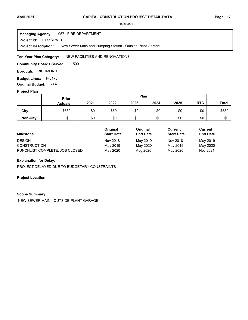#### 057 : FIRE DEPARTMENT **Managing Agency:**

F175SEWER **Project Id:**

New Sewer Main and Pumping Station - Outside Plant Garage **Project Description:** 

#### NEW FACILITIES AND RENOVATIONS **Ten-Year Plan Category:**

500 **Community Boards Served:** 

**Borough: RICHMOND** 

Budget Lines: F-0175 **Original Budget:** \$837

### **Project Plan**

|                 | Prior          | Plan |      |      |      |      |            |              |
|-----------------|----------------|------|------|------|------|------|------------|--------------|
|                 | <b>Actuals</b> | 2021 | 2022 | 2023 | 2024 | 2025 | <b>RTC</b> | <b>Total</b> |
| City            | \$532          | \$0  | \$50 | \$0  | \$0  | \$0  | \$0        | \$582        |
| <b>Non-City</b> | \$0            | \$0  | \$0  | \$0  | \$0  | \$0  | \$0        | \$0          |

|                                | Original          | Original        | Current           | Current         |  |
|--------------------------------|-------------------|-----------------|-------------------|-----------------|--|
| <b>Milestone</b>               | <b>Start Date</b> | <b>End Date</b> | <b>Start Date</b> | <b>End Date</b> |  |
| <b>DESIGN</b>                  | Nov 2018          | May 2019        | Nov 2018          | May 2019        |  |
| <b>CONSTRUCTION</b>            | May 2019          | May 2020        | May 2019          | May 2020        |  |
| PUNCHLIST COMPLETE, JOB CLOSED | May 2020          | Aug 2020        | May 2020          | Nov 2021        |  |

### **Explanation for Delay:**

PROJECT DELAYED DUE TO BUDGETARY CONSTRAINTS

### **Project Location:**

### **Scope Summary:**

NEW SEWER MAIN - OUTSIDE PLANT GARAGE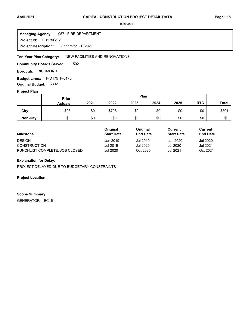Project Id: FD175G161 057 : FIRE DEPARTMENT Generator - EC161 **Managing Agency: Project Description:** 

NEW FACILITIES AND RENOVATIONS **Ten-Year Plan Category:** 

502 **Community Boards Served:** 

**Borough: RICHMOND** 

F-D175 F-0175 **Budget Lines: Original Budget:** \$802

### **Project Plan**

|                 |                | Plan<br>Prior |       |      |      |      |            |              |
|-----------------|----------------|---------------|-------|------|------|------|------------|--------------|
|                 | <b>Actuals</b> | 2021          | 2022  | 2023 | 2024 | 2025 | <b>RTC</b> | <b>Total</b> |
| City            | \$93           | \$0           | \$708 | \$0  | \$0  | \$0  | \$0        | \$801        |
| <b>Non-City</b> | \$0            | \$0           | \$0   | \$0  | \$0  | \$0  | \$0        | \$0          |

|                                | Original          | Original        | Current           | Current         |  |
|--------------------------------|-------------------|-----------------|-------------------|-----------------|--|
| <b>Milestone</b>               | <b>Start Date</b> | <b>End Date</b> | <b>Start Date</b> | <b>End Date</b> |  |
| <b>DESIGN</b>                  | Jan 2019          | Jul 2019        | Jan 2020          | Jul 2020        |  |
| <b>CONSTRUCTION</b>            | Jul 2019          | Jul 2020        | Jul 2020          | Jul 2021        |  |
| PUNCHLIST COMPLETE, JOB CLOSED | <b>Jul 2020</b>   | Oct 2020        | Jul 2021          | Oct 2021        |  |

### **Explanation for Delay:**

PROJECT DELAYED DUE TO BUDGETARY CONSTRAINTS

**Project Location:**

### **Scope Summary:**

GENERATOR - EC161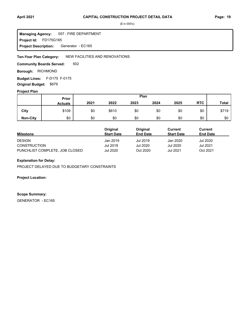**Project Id: FD175G165** 057 : FIRE DEPARTMENT Generator - EC165 **Managing Agency: Project Description:** 

NEW FACILITIES AND RENOVATIONS **Ten-Year Plan Category:** 

502 **Community Boards Served:** 

**Borough: RICHMOND** 

F-D175 F-0175 **Budget Lines: Original Budget:** \$679

### **Project Plan**

|                 |                | Plan<br><b>Prior</b> |       |      |      |      |            |              |
|-----------------|----------------|----------------------|-------|------|------|------|------------|--------------|
|                 | <b>Actuals</b> | 2021                 | 2022  | 2023 | 2024 | 2025 | <b>RTC</b> | <b>Total</b> |
| City            | \$109          | \$0                  | \$610 | \$0  | \$0  | \$0  | \$0        | \$719        |
| <b>Non-City</b> | \$0            | \$0                  | \$0   | \$0  | \$0  | \$0  | \$0        | \$0          |

|                                | Original          | Original        | Current           | Current         |  |
|--------------------------------|-------------------|-----------------|-------------------|-----------------|--|
| <b>Milestone</b>               | <b>Start Date</b> | <b>End Date</b> | <b>Start Date</b> | <b>End Date</b> |  |
| <b>DESIGN</b>                  | Jan 2019          | Jul 2019        | Jan 2020          | Jul 2020        |  |
| <b>CONSTRUCTION</b>            | Jul 2019          | Jul 2020        | Jul 2020          | Jul 2021        |  |
| PUNCHLIST COMPLETE, JOB CLOSED | <b>Jul 2020</b>   | Oct 2020        | Jul 2021          | Oct 2021        |  |

### **Explanation for Delay:**

PROJECT DELAYED DUE TO BUDGETARY CONSTRAINTS

**Project Location:**

### **Scope Summary:**

GENERATOR - EC165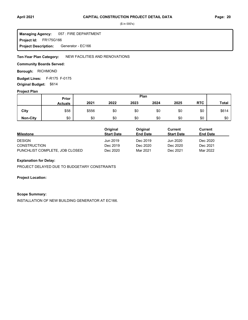FR175G166 **Project Id:** 057 : FIRE DEPARTMENT Generator - EC166 **Managing Agency: Project Description:** 

NEW FACILITIES AND RENOVATIONS **Ten-Year Plan Category:** 

### **Community Boards Served:**

**Borough: RICHMOND** 

F-R175 F-0175 **Budget Lines: Original Budget:** \$614

### **Project Plan**

|                 |                | Plan<br>Prior |      |      |      |      |            |              |
|-----------------|----------------|---------------|------|------|------|------|------------|--------------|
|                 | <b>Actuals</b> | 2021          | 2022 | 2023 | 2024 | 2025 | <b>RTC</b> | <b>Total</b> |
| City            | \$58           | \$556         | \$0  | \$0  | \$0  | \$0  | \$0        | \$614        |
| <b>Non-City</b> | \$0            | \$0           | \$0  | \$0  | \$0  | \$0  | \$0        | \$0          |

|                                | Original          | Original        | Current           | Current         |  |
|--------------------------------|-------------------|-----------------|-------------------|-----------------|--|
| <b>Milestone</b>               | <b>Start Date</b> | <b>End Date</b> | <b>Start Date</b> | <b>End Date</b> |  |
| <b>DESIGN</b>                  | Jun 2019          | Dec 2019        | Jun 2020          | Dec 2020        |  |
| <b>CONSTRUCTION</b>            | Dec 2019          | Dec 2020        | Dec 2020          | Dec 2021        |  |
| PUNCHLIST COMPLETE. JOB CLOSED | Dec 2020          | Mar 2021        | Dec 2021          | Mar 2022        |  |

### **Explanation for Delay:**

PROJECT DELAYED DUE TO BUDGETARY CONSTRAINTS

**Project Location:**

### **Scope Summary:**

INSTALLATION OF NEW BUILDING GENERATOR AT EC166.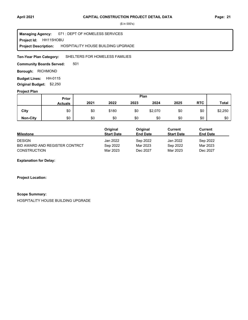**Project Id: HH115HOBU** 071 : DEPT OF HOMELESS SERVICES HOSPITALITY HOUSE BUILDING UPGRADE **Managing Agency: Project Description:** 

SHELTERS FOR HOMELESS FAMILIES **Ten-Year Plan Category:** 

501 **Community Boards Served:** 

**Borough: RICHMOND** 

**Budget Lines: HH-0115 Original Budget:** \$2,250

### **Project Plan**

|                 | Plan<br><b>Prior</b> |      |       |      |         |      |            |              |
|-----------------|----------------------|------|-------|------|---------|------|------------|--------------|
|                 | <b>Actuals</b>       | 2021 | 2022  | 2023 | 2024    | 2025 | <b>RTC</b> | <b>Total</b> |
| City            | \$0                  | \$0  | \$180 | \$0  | \$2,070 | \$0  | \$0        | \$2,250      |
| <b>Non-City</b> | \$0                  | \$0  | \$0   | \$0  | \$0     | \$0  | \$0        | \$0          |

|                                | Original          | Original        | Current           | Current         |
|--------------------------------|-------------------|-----------------|-------------------|-----------------|
| <b>Milestone</b>               | <b>Start Date</b> | <b>End Date</b> | <b>Start Date</b> | <b>End Date</b> |
| <b>DESIGN</b>                  | Jan 2022          | Sep 2022        | Jan 2022          | Sep 2022        |
| BID AWARD AND REGISTER CONTRCT | Sep 2022          | Mar 2023        | Sep 2022          | Mar 2023        |
| <b>CONSTRUCTION</b>            | Mar 2023          | Dec 2027        | Mar 2023          | Dec 2027        |

**Explanation for Delay:**

**Project Location:**

### **Scope Summary:**

HOSPITALITY HOUSE BUILDING UPGRADE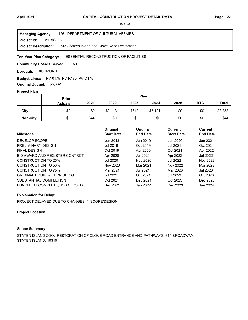**Project Id: PV175CLOV** 126 : DEPARTMENT OF CULTURAL AFFAIRS SIZ - Staten Island Zoo Clove Road Restoration **Managing Agency: Project Description:** 

#### ESSENTIAL RECONSTRUCTION OF FACILITIES **Ten-Year Plan Category:**

501 **Community Boards Served:** 

**Borough: RICHMOND** 

**Budget Lines:** PV-0175 PV-R175 PV-D175 **Original Budget:** \$5,332

## **Project Plan**

| .               | Plan<br>Prior  |      |         |       |         |      |            |              |
|-----------------|----------------|------|---------|-------|---------|------|------------|--------------|
|                 | <b>Actuals</b> | 2021 | 2022    | 2023  | 2024    | 2025 | <b>RTC</b> | <b>Total</b> |
| City            | \$0            | \$0  | \$3,118 | \$619 | \$5,121 | \$0  | \$0        | \$8,858      |
| <b>Non-City</b> | \$0            | \$44 | \$0     | \$0   | \$0     | \$0  | \$0        | \$44         |

| <b>Milestone</b>               | Original<br><b>Start Date</b> | Original<br><b>End Date</b> | Current<br><b>Start Date</b> | <b>Current</b><br><b>End Date</b> |
|--------------------------------|-------------------------------|-----------------------------|------------------------------|-----------------------------------|
| DEVELOP SCOPE                  | Jun 2018                      | Jun 2019                    | Jun 2020                     | Jun 2021                          |
| PRELIMINARY DESIGN             | Jul 2019                      | Oct 2019                    | <b>Jul 2021</b>              | Oct 2021                          |
| <b>FINAL DESIGN</b>            | Oct 2019                      | Apr 2020                    | Oct 2021                     | Apr 2022                          |
| BID AWARD AND REGISTER CONTRCT | Apr 2020                      | <b>Jul 2020</b>             | Apr 2022                     | Jul 2022                          |
| <b>CONSTRUCTION TO 25%</b>     | Jul 2020                      | Nov 2020                    | <b>Jul 2022</b>              | Nov 2022                          |
| <b>CONSTRUCTION TO 50%</b>     | Nov 2020                      | Mar 2021                    | Nov 2022                     | Mar 2023                          |
| <b>CONSTRUCTION TO 75%</b>     | Mar 2021                      | <b>Jul 2021</b>             | Mar 2023                     | <b>Jul 2023</b>                   |
| ORIGINAL EQUIP & FURNISHING    | <b>Jul 2021</b>               | Oct 2021                    | <b>Jul 2023</b>              | Oct 2023                          |
| SUBSTANTIAL COMPLETION         | Oct 2021                      | Dec 2021                    | Oct 2023                     | Dec 2023                          |
| PUNCHLIST COMPLETE. JOB CLOSED | Dec 2021                      | Jan 2022                    | Dec 2023                     | Jan 2024                          |

### **Explanation for Delay:**

PROJECT DELAYED DUE TO CHANGES IN SCOPE/DESIGN

### **Project Location:**

### **Scope Summary:**

STATEN ISLAND ZOO: RESTORATION OF CLOVE ROAD ENTRANCE AND PATHWAYS; 614 BROADWAY, STATEN ISLAND, 10310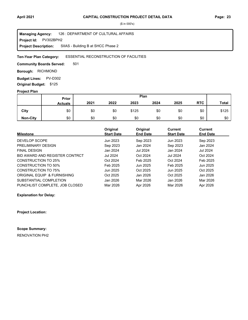**Project Id: PV302BPH2** 126 : DEPARTMENT OF CULTURAL AFFAIRS SIIAS - Building B at SHCC Phase 2 **Managing Agency: Project Description:** 

#### ESSENTIAL RECONSTRUCTION OF FACILITIES **Ten-Year Plan Category:**

501 **Community Boards Served:** 

**Borough: RICHMOND** 

**Budget Lines: PV-D302 Original Budget:** \$125

### **Project Plan**

|                 | Prior          | Plan |      |       |      |      |            |              |
|-----------------|----------------|------|------|-------|------|------|------------|--------------|
|                 | <b>Actuals</b> | 2021 | 2022 | 2023  | 2024 | 2025 | <b>RTC</b> | <b>Total</b> |
| City            | \$0            | \$0  | \$0  | \$125 | \$0  | \$0  | \$0        | \$125        |
| <b>Non-City</b> | \$0            | \$0  | \$0  | \$0   | \$0  | \$0  | \$0        | \$0          |

|                                | Original<br><b>Start Date</b> | Original<br><b>End Date</b> | <b>Current</b><br><b>Start Date</b> | <b>Current</b><br><b>End Date</b> |
|--------------------------------|-------------------------------|-----------------------------|-------------------------------------|-----------------------------------|
| <b>Milestone</b>               |                               |                             |                                     |                                   |
| DEVELOP SCOPE                  | Jun 2023                      | Sep 2023                    | Jun 2023                            | Sep 2023                          |
| PRELIMINARY DESIGN             | Sep 2023                      | Jan 2024                    | Sep 2023                            | Jan 2024                          |
| <b>FINAL DESIGN</b>            | Jan 2024                      | <b>Jul 2024</b>             | Jan 2024                            | <b>Jul 2024</b>                   |
| BID AWARD AND REGISTER CONTRCT | <b>Jul 2024</b>               | Oct 2024                    | <b>Jul 2024</b>                     | Oct 2024                          |
| CONSTRUCTION TO 25%            | Oct 2024                      | Feb 2025                    | Oct 2024                            | Feb 2025                          |
| CONSTRUCTION TO 50%            | Feb 2025                      | Jun 2025                    | Feb 2025                            | Jun 2025                          |
| <b>CONSTRUCTION TO 75%</b>     | Jun 2025                      | Oct 2025                    | Jun 2025                            | Oct 2025                          |
| ORIGINAL EQUIP & FURNISHING    | Oct 2025                      | Jan 2026                    | Oct 2025                            | Jan 2026                          |
| SUBSTANTIAL COMPLETION         | Jan 2026                      | Mar 2026                    | Jan 2026                            | Mar 2026                          |
| PUNCHLIST COMPLETE, JOB CLOSED | Mar 2026                      | Apr 2026                    | Mar 2026                            | Apr 2026                          |

**Explanation for Delay:**

**Project Location:**

**Scope Summary:**

RENOVATION PH2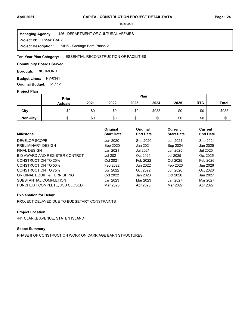**Project Id: PV341CAR2** 126 : DEPARTMENT OF CULTURAL AFFAIRS SIHS - Carriage Barn Phase 2 **Managing Agency: Project Description:** 

ESSENTIAL RECONSTRUCTION OF FACILITIES **Ten-Year Plan Category:** 

### **Community Boards Served:**

**Borough: RICHMOND** 

**Budget Lines: PV-0341 Original Budget:** \$1,112

### **Project Plan**

|                 | <b>Prior</b>   |      |      |      | Plan  |      |            |              |
|-----------------|----------------|------|------|------|-------|------|------------|--------------|
|                 | <b>Actuals</b> | 2021 | 2022 | 2023 | 2024  | 2025 | <b>RTC</b> | <b>Total</b> |
| City            | \$0            | \$0  | \$0  | \$0  | \$988 | \$0  | \$0        | \$988        |
| <b>Non-City</b> | \$0            | \$0  | \$0  | \$0  | \$0   | \$0  | \$0        | \$0          |

| <b>Milestone</b>               | Original<br><b>Start Date</b> | Original<br><b>End Date</b> | <b>Current</b><br><b>Start Date</b> | Current<br><b>End Date</b> |
|--------------------------------|-------------------------------|-----------------------------|-------------------------------------|----------------------------|
| DEVELOP SCOPE                  | Jun 2020                      | Sep 2020                    | Jun 2024                            | Sep 2024                   |
| PRELIMINARY DESIGN             | Sep 2020                      | Jan 2021                    | Sep 2024                            | Jan 2025                   |
| <b>FINAL DESIGN</b>            | Jan 2021                      | <b>Jul 2021</b>             | Jan 2025                            | Jul 2025                   |
| BID AWARD AND REGISTER CONTRCT | <b>Jul 2021</b>               | Oct 2021                    | Jul 2025                            | Oct 2025                   |
| CONSTRUCTION TO 25%            | Oct 2021                      | Feb 2022                    | Oct 2025                            | Feb 2026                   |
| CONSTRUCTION TO 50%            | Feb 2022                      | Jun 2022                    | Feb 2026                            | Jun 2026                   |
| CONSTRUCTION TO 75%            | Jun 2022                      | Oct 2022                    | Jun 2026                            | Oct 2026                   |
| ORIGINAL EQUIP & FURNISHING    | Oct 2022                      | Jan 2023                    | Oct 2026                            | Jan 2027                   |
| SUBSTANTIAL COMPLETION         | Jan 2023                      | Mar 2023                    | Jan 2027                            | Mar 2027                   |
| PUNCHLIST COMPLETE. JOB CLOSED | Mar 2023                      | Apr 2023                    | Mar 2027                            | Apr 2027                   |

### **Explanation for Delay:**

PROJECT DELAYED DUE TO BUDGETARY CONSTRAINTS

### **Project Location:**

441 CLARKE AVENUE, STATEN ISLAND

### **Scope Summary:**

PHASE II OF CONSTRUCTION WORK ON CARRIAGE BARN STRUCTURES.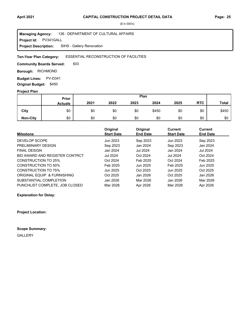**Project Id: PV341GALL** 126 : DEPARTMENT OF CULTURAL AFFAIRS SIHS - Gallery Renovation **Managing Agency: Project Description:** 

#### ESSENTIAL RECONSTRUCTION OF FACILITIES **Ten-Year Plan Category:**

503 **Community Boards Served:** 

**Borough: RICHMOND** 

**Budget Lines: PV-D341 Original Budget:** \$450

#### **Project Plan**

|                 |                | Plan<br>Prior |      |      |       |      |            |              |
|-----------------|----------------|---------------|------|------|-------|------|------------|--------------|
|                 | <b>Actuals</b> | 2021          | 2022 | 2023 | 2024  | 2025 | <b>RTC</b> | <b>Total</b> |
| City            | \$0            | \$0           | \$0  | \$0  | \$450 | \$0  | \$0        | \$450        |
| <b>Non-City</b> | \$0            | \$0           | \$0  | \$0  | \$0   | \$0  | \$0        | \$0          |

|                                | Original          | Original        | <b>Current</b>    | Current         |
|--------------------------------|-------------------|-----------------|-------------------|-----------------|
| <b>Milestone</b>               | <b>Start Date</b> | <b>End Date</b> | <b>Start Date</b> | <b>End Date</b> |
| DEVELOP SCOPE                  | Jun 2023          | Sep 2023        | Jun 2023          | Sep 2023        |
| PRELIMINARY DESIGN             | Sep 2023          | Jan 2024        | Sep 2023          | Jan 2024        |
| <b>FINAL DESIGN</b>            | Jan 2024          | Jul 2024        | Jan 2024          | Jul 2024        |
| BID AWARD AND REGISTER CONTRCT | <b>Jul 2024</b>   | Oct 2024        | <b>Jul 2024</b>   | Oct 2024        |
| CONSTRUCTION TO 25%            | Oct 2024          | Feb 2025        | Oct 2024          | Feb 2025        |
| CONSTRUCTION TO 50%            | Feb 2025          | Jun 2025        | Feb 2025          | Jun 2025        |
| CONSTRUCTION TO 75%            | Jun 2025          | Oct 2025        | Jun 2025          | Oct 2025        |
| ORIGINAL EQUIP & FURNISHING    | Oct 2025          | Jan 2026        | Oct 2025          | Jan 2026        |
| SUBSTANTIAL COMPLETION         | Jan 2026          | Mar 2026        | Jan 2026          | Mar 2026        |
| PUNCHLIST COMPLETE. JOB CLOSED | Mar 2026          | Apr 2026        | Mar 2026          | Apr 2026        |

**Explanation for Delay:**

**Project Location:**

**Scope Summary:** GALLERY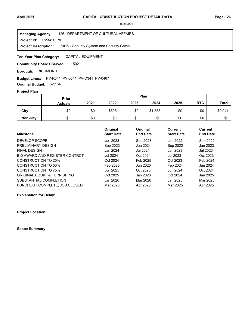**Project Id: PV341SIPA** 126 : DEPARTMENT OF CULTURAL AFFAIRS SIHS - Security System and Security Gates **Managing Agency: Project Description:** 

CAPITAL EQUIPMENT **Ten-Year Plan Category:** 

502 **Community Boards Served:** 

**Borough: RICHMOND** 

#### **Budget Lines:** PV-R341 PV-0341 PV-D341 PV-0467

**Original Budget:** \$2,154

## **Project Plan**

|                 | Plan<br>Prior  |      |       |      |         |      |            |              |
|-----------------|----------------|------|-------|------|---------|------|------------|--------------|
|                 | <b>Actuals</b> | 2021 | 2022  | 2023 | 2024    | 2025 | <b>RTC</b> | <b>Total</b> |
| City            | \$0            | \$0  | \$506 | \$0  | \$1,538 | \$0  | \$0        | \$2,044      |
| <b>Non-City</b> | \$0            | \$0  | \$0   | \$0  | \$0     | \$0  | \$0        | \$0          |

|                                | Original          | Original        | <b>Current</b>    | <b>Current</b>  |
|--------------------------------|-------------------|-----------------|-------------------|-----------------|
| <b>Milestone</b>               | <b>Start Date</b> | <b>End Date</b> | <b>Start Date</b> | <b>End Date</b> |
| DEVELOP SCOPE                  | Jun 2023          | Sep 2023        | Jun 2022          | Sep 2022        |
| PRELIMINARY DESIGN             | Sep 2023          | Jan 2024        | Sep 2022          | Jan 2023        |
| <b>FINAL DESIGN</b>            | Jan 2024          | Jul 2024        | Jan 2023          | Jul 2023        |
| BID AWARD AND REGISTER CONTRCT | <b>Jul 2024</b>   | Oct 2024        | Jul 2023          | Oct 2023        |
| <b>CONSTRUCTION TO 25%</b>     | Oct 2024          | Feb 2025        | Oct 2023          | Feb 2024        |
| CONSTRUCTION TO 50%            | Feb 2025          | Jun 2025        | Feb 2024          | Jun 2024        |
| CONSTRUCTION TO 75%            | Jun 2025          | Oct 2025        | Jun 2024          | Oct 2024        |
| ORIGINAL EQUIP & FURNISHING    | Oct 2025          | Jan 2026        | Oct 2024          | Jan 2025        |
| SUBSTANTIAL COMPLETION         | Jan 2026          | Mar 2026        | Jan 2025          | Mar 2025        |
| PUNCHLIST COMPLETE, JOB CLOSED | Mar 2026          | Apr 2026        | Mar 2025          | Apr 2025        |

**Explanation for Delay:**

**Project Location:**

**Scope Summary:**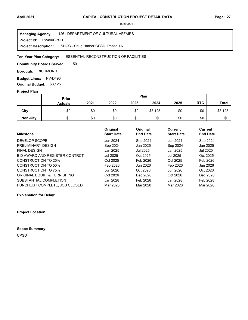**Project Id: PV490CPSD** 126 : DEPARTMENT OF CULTURAL AFFAIRS SHCC - Snug Harbor CPSD: Phase 1A **Managing Agency: Project Description:** 

#### ESSENTIAL RECONSTRUCTION OF FACILITIES **Ten-Year Plan Category:**

501 **Community Boards Served:** 

**Borough: RICHMOND** 

**Budget Lines: PV-D490 Original Budget:** \$3,125

#### **Project Plan**

|                 |                | Plan<br>Prior |      |      |         |      |            |              |
|-----------------|----------------|---------------|------|------|---------|------|------------|--------------|
|                 | <b>Actuals</b> | 2021          | 2022 | 2023 | 2024    | 2025 | <b>RTC</b> | <b>Total</b> |
| City            | \$0            | \$0           | \$0  | \$0  | \$3,125 | \$0  | \$0        | \$3,125      |
| <b>Non-City</b> | \$0            | \$0           | \$0  | \$0  | \$0     | \$0  | \$0        | \$0          |

|                                | Original          | Original        | Current           | Current         |
|--------------------------------|-------------------|-----------------|-------------------|-----------------|
| <b>Milestone</b>               | <b>Start Date</b> | <b>End Date</b> | <b>Start Date</b> | <b>End Date</b> |
| DEVELOP SCOPE                  | Jun 2024          | Sep 2024        | Jun 2024          | Sep 2024        |
| PRELIMINARY DESIGN             | Sep 2024          | Jan 2025        | Sep 2024          | Jan 2025        |
| <b>FINAL DESIGN</b>            | Jan 2025          | Jul 2025        | Jan 2025          | Jul 2025        |
| BID AWARD AND REGISTER CONTRCT | Jul 2025          | Oct 2025        | Jul 2025          | Oct 2025        |
| <b>CONSTRUCTION TO 25%</b>     | Oct 2025          | Feb 2026        | Oct 2025          | Feb 2026        |
| <b>CONSTRUCTION TO 50%</b>     | Feb 2026          | Jun 2026        | Feb 2026          | Jun 2026        |
| CONSTRUCTION TO 75%            | Jun 2026          | Oct 2026        | Jun 2026          | Oct 2026        |
| ORIGINAL EQUIP & FURNISHING    | Oct 2026          | Dec 2026        | Oct 2026          | Dec 2026        |
| SUBSTANTIAL COMPLETION         | Jan 2028          | Feb 2028        | Jan 2028          | Feb 2028        |
| PUNCHLIST COMPLETE. JOB CLOSED | Mar 2028          | Mar 2028        | Mar 2028          | Mar 2028        |

**Explanation for Delay:**

**Project Location:**

**Scope Summary:**

CPSD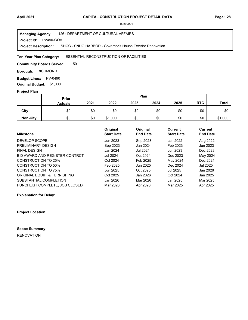**Project Id: PV490-GOV** 126 : DEPARTMENT OF CULTURAL AFFAIRS SHCC - SNUG HARBOR - Governor's House Exterior Renovation **Managing Agency: Project Description:** 

#### ESSENTIAL RECONSTRUCTION OF FACILITIES **Ten-Year Plan Category:**

501 **Community Boards Served:** 

**Borough: RICHMOND** 

**Budget Lines: PV-0490 Original Budget:** \$1,000

#### **Project Plan**

|                 |                | Plan<br><b>Prior</b> |         |      |      |      |            |              |
|-----------------|----------------|----------------------|---------|------|------|------|------------|--------------|
|                 | <b>Actuals</b> | 2021                 | 2022    | 2023 | 2024 | 2025 | <b>RTC</b> | <b>Total</b> |
| City            | \$0            | \$0                  | \$0     | \$0  | \$0  | \$0  | \$0        | \$0          |
| <b>Non-City</b> | \$0            | \$0                  | \$1,000 | \$0  | \$0  | \$0  | \$0        | \$1,000      |

|                                | Original          | Original        | <b>Current</b>    | <b>Current</b>  |
|--------------------------------|-------------------|-----------------|-------------------|-----------------|
| <b>Milestone</b>               | <b>Start Date</b> | <b>End Date</b> | <b>Start Date</b> | <b>End Date</b> |
| DEVELOP SCOPE                  | Jun 2023          | Sep 2023        | Jan 2022          | Aug 2022        |
| PRELIMINARY DESIGN             | Sep 2023          | Jan 2024        | Feb 2023          | Jun 2023        |
| <b>FINAL DESIGN</b>            | Jan 2024          | Jul 2024        | Jun 2023          | Dec 2023        |
| BID AWARD AND REGISTER CONTRCT | <b>Jul 2024</b>   | Oct 2024        | Dec 2023          | May 2024        |
| <b>CONSTRUCTION TO 25%</b>     | Oct 2024          | Feb 2025        | May 2024          | Dec 2024        |
| CONSTRUCTION TO 50%            | Feb 2025          | Jun 2025        | Dec 2024          | Jul 2025        |
| CONSTRUCTION TO 75%            | Jun 2025          | Oct 2025        | Jul 2025          | Jan 2026        |
| ORIGINAL EQUIP & FURNISHING    | Oct 2025          | Jan 2026        | Oct 2024          | Jan 2025        |
| SUBSTANTIAL COMPLETION         | Jan 2026          | Mar 2026        | Jan 2025          | Mar 2025        |
| PUNCHLIST COMPLETE, JOB CLOSED | Mar 2026          | Apr 2026        | Mar 2025          | Apr 2025        |

**Explanation for Delay:**

**Project Location:**

**Scope Summary:**

RENOVATION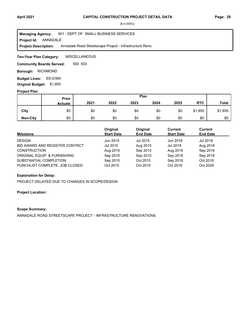**Project Id: ANNADALE** 801 : DEPT OF SMALL BUSINESS SERVICES Annadale Road Streetscape Project - Infrastructure Reno **Managing Agency: Project Description:** 

**MISCELLANEOUS Ten-Year Plan Category:** 

500 503 **Community Boards Served:** 

**Borough: RICHMOND** 

Budget Lines: ED-D384 **Original Budget:** \$1,855

#### **Project Plan**

|                 |                | Plan<br>Prior |      |      |      |      |            |              |
|-----------------|----------------|---------------|------|------|------|------|------------|--------------|
|                 | <b>Actuals</b> | 2021          | 2022 | 2023 | 2024 | 2025 | <b>RTC</b> | <b>Total</b> |
| City            | \$0            | \$0           | \$0  | \$0  | \$0  | \$0  | \$1,855    | \$1,855      |
| <b>Non-City</b> | \$0            | \$0           | \$0  | \$0  | \$0  | \$0  | \$0        | \$0          |

| Milestone                      | Original<br><b>Start Date</b> | Original<br><b>End Date</b> | Current<br><b>Start Date</b> | <b>Current</b><br><b>End Date</b> |
|--------------------------------|-------------------------------|-----------------------------|------------------------------|-----------------------------------|
| <b>DESIGN</b>                  | Jun 2015                      | Jul 2015                    | Jun 2018                     | Jul 2018                          |
| BID AWARD AND REGISTER CONTRCT | Jul 2015                      | Aug 2015                    | Jul 2018                     | Aug 2018                          |
| <b>CONSTRUCTION</b>            | Aug 2015                      | Sep 2015                    | Aug 2018                     | Sep 2018                          |
| ORIGINAL EQUIP & FURNISHING    | Sep 2015                      | Sep 2015                    | Sep 2018                     | Sep 2018                          |
| SUBSTANTIAL COMPLETION         | Sep 2015                      | Oct 2015                    | Sep 2018                     | Oct 2018                          |
| PUNCHLIST COMPLETE, JOB CLOSED | Oct 2015                      | Oct 2015                    | Oct 2018                     | Oct 2029                          |

## **Explanation for Delay:**

PROJECT DELAYED DUE TO CHANGES IN SCOPE/DESIGN

## **Project Location:**

## **Scope Summary:**

ANNADALE ROAD STREETSCAPE PROJECT - INFRASTRUCTURE RENOVATIONS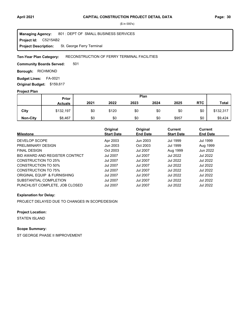Project Id: C5215AB2 801 : DEPT OF SMALL BUSINESS SERVICES St. George Ferry Terminal **Managing Agency: Project Description:** 

#### RECONSTRUCTION OF FERRY TERMINAL FACILITIES **Ten-Year Plan Category:**

501 **Community Boards Served:** 

**Borough: RICHMOND** 

**Budget Lines: FA-0021 Original Budget:** \$159,617

## **Project Plan**

|                 | <b>Prior</b>   |      |       |      | Plan |       |            |              |
|-----------------|----------------|------|-------|------|------|-------|------------|--------------|
|                 | <b>Actuals</b> | 2021 | 2022  | 2023 | 2024 | 2025  | <b>RTC</b> | <b>Total</b> |
| City            | \$132,197      | \$0  | \$120 | \$0  | \$0  | \$0   | \$0        | \$132,317    |
| <b>Non-City</b> | \$8,467        | \$0  | \$0   | \$0  | \$0  | \$957 | \$0        | \$9,424      |

| <b>Milestone</b>               | Original<br><b>Start Date</b> | Original<br><b>End Date</b> | <b>Current</b><br><b>Start Date</b> | Current<br><b>End Date</b> |
|--------------------------------|-------------------------------|-----------------------------|-------------------------------------|----------------------------|
| DEVELOP SCOPE                  | Apr 2003                      | Jun 2003                    | <b>Jul 1999</b>                     | <b>Jul 1999</b>            |
| PRELIMINARY DESIGN             | Jun 2003                      | Oct 2003                    | <b>Jul 1999</b>                     | Aug 1999                   |
| <b>FINAL DESIGN</b>            | Oct 2003                      | <b>Jul 2007</b>             | Aug 1999                            | Jun 2022                   |
| BID AWARD AND REGISTER CONTRCT | <b>Jul 2007</b>               | <b>Jul 2007</b>             | <b>Jul 2022</b>                     | <b>Jul 2022</b>            |
| CONSTRUCTION TO 25%            | <b>Jul 2007</b>               | <b>Jul 2007</b>             | <b>Jul 2022</b>                     | <b>Jul 2022</b>            |
| CONSTRUCTION TO 50%            | <b>Jul 2007</b>               | <b>Jul 2007</b>             | <b>Jul 2022</b>                     | <b>Jul 2022</b>            |
| CONSTRUCTION TO 75%            | <b>Jul 2007</b>               | <b>Jul 2007</b>             | <b>Jul 2022</b>                     | <b>Jul 2022</b>            |
| ORIGINAL EQUIP & FURNISHING    | <b>Jul 2007</b>               | <b>Jul 2007</b>             | <b>Jul 2022</b>                     | <b>Jul 2022</b>            |
| SUBSTANTIAL COMPLETION         | <b>Jul 2007</b>               | <b>Jul 2007</b>             | <b>Jul 2022</b>                     | Jul 2022                   |
| PUNCHLIST COMPLETE, JOB CLOSED | <b>Jul 2007</b>               | <b>Jul 2007</b>             | <b>Jul 2022</b>                     | Jul 2022                   |

#### **Explanation for Delay:**

PROJECT DELAYED DUE TO CHANGES IN SCOPE/DESIGN

## **Project Location:**

STATEN ISLAND

# **Scope Summary:**

ST GEORGE PHASE II IMPROVEMENT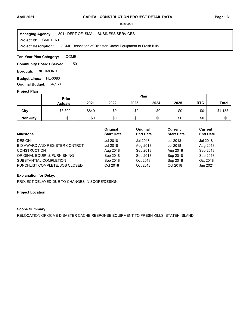**Project Id: CMETENT** 801 : DEPT OF SMALL BUSINESS SERVICES OCME Relocation of Disaster Cache Equipment to Fresh Kills **Managing Agency: Project Description:** 

OCME **Ten-Year Plan Category:** 

501 **Community Boards Served:** 

**Borough: RICHMOND** 

**Budget Lines: HL-0083 Original Budget:** \$4,160

#### **Project Plan**

|                 | Plan<br>Prior  |       |      |      |      |      |            |              |
|-----------------|----------------|-------|------|------|------|------|------------|--------------|
|                 | <b>Actuals</b> | 2021  | 2022 | 2023 | 2024 | 2025 | <b>RTC</b> | <b>Total</b> |
| City            | \$3,309        | \$849 | \$0  | \$0  | \$0  | \$0  | \$0        | \$4,158      |
| <b>Non-City</b> | \$0            | \$0   | \$0  | \$0  | \$0  | \$0  | \$0        | \$0          |

| Milestone                      | Original<br><b>Start Date</b> | Original<br><b>End Date</b> | Current<br><b>Start Date</b> | <b>Current</b><br><b>End Date</b> |
|--------------------------------|-------------------------------|-----------------------------|------------------------------|-----------------------------------|
| <b>DESIGN</b>                  | Jul 2018                      | Jul 2018                    | Jul 2018                     | Jul 2018                          |
| BID AWARD AND REGISTER CONTRCT | Jul 2018                      | Aug 2018                    | Jul 2018                     | Aug 2018                          |
| <b>CONSTRUCTION</b>            | Aug 2018                      | Sep 2018                    | Aug 2018                     | Sep 2018                          |
| ORIGINAL EQUIP & FURNISHING    | Sep 2018                      | Sep 2018                    | Sep 2018                     | Sep 2018                          |
| SUBSTANTIAL COMPLETION         | Sep 2018                      | Oct 2018                    | Sep 2018                     | Oct 2018                          |
| PUNCHLIST COMPLETE, JOB CLOSED | Oct 2018                      | Oct 2018                    | Oct 2018                     | Jun 2021                          |

## **Explanation for Delay:**

PROJECT DELAYED DUE TO CHANGES IN SCOPE/DESIGN

## **Project Location:**

## **Scope Summary:**

RELOCATION OF OCME DISASTER CACHE RESPONSE EQUIPMENT TO FRESH KILLS, STATEN ISLAND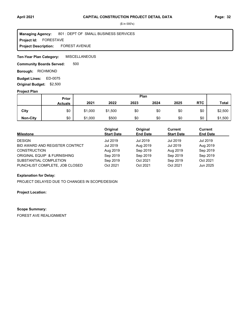#### **Project Id: FORESTAVE** 801 : DEPT OF SMALL BUSINESS SERVICES FOREST AVENUE **Managing Agency: Project Description:**

**MISCELLANEOUS Ten-Year Plan Category:** 

500 **Community Boards Served:** 

**Borough: RICHMOND** 

ED-0075 **Budget Lines: Original Budget:** \$2,500

#### **Project Plan**

|                 |                | Plan<br>Prior |         |      |      |      |            |              |
|-----------------|----------------|---------------|---------|------|------|------|------------|--------------|
|                 | <b>Actuals</b> | 2021          | 2022    | 2023 | 2024 | 2025 | <b>RTC</b> | <b>Total</b> |
| City            | \$0            | \$1,000       | \$1,500 | \$0  | \$0  | \$0  | \$0        | \$2,500      |
| <b>Non-City</b> | \$0            | \$1,000       | \$500   | \$0  | \$0  | \$0  | \$0        | \$1,500      |

| <b>Milestone</b>               | Original<br><b>Start Date</b> | Original<br><b>End Date</b> | Current<br><b>Start Date</b> | <b>Current</b><br><b>End Date</b> |
|--------------------------------|-------------------------------|-----------------------------|------------------------------|-----------------------------------|
| <b>DESIGN</b>                  | Jul 2019                      | Jul 2019                    | Jul 2019                     | Jul 2019                          |
| BID AWARD AND REGISTER CONTRCT | Jul 2019                      | Aug 2019                    | Jul 2019                     | Aug 2019                          |
| <b>CONSTRUCTION</b>            | Aug 2019                      | Sep 2019                    | Aug 2019                     | Sep 2019                          |
| ORIGINAL EQUIP & FURNISHING    | Sep 2019                      | Sep 2019                    | Sep 2019                     | Sep 2019                          |
| SUBSTANTIAL COMPLETION         | Sep 2019                      | Oct 2021                    | Sep 2019                     | Oct 2021                          |
| PUNCHLIST COMPLETE, JOB CLOSED | Oct 2021                      | Oct 2021                    | Oct 2021                     | Jun 2025                          |

## **Explanation for Delay:**

PROJECT DELAYED DUE TO CHANGES IN SCOPE/DESIGN

## **Project Location:**

#### **Scope Summary:**

FOREST AVE REALIGNMENT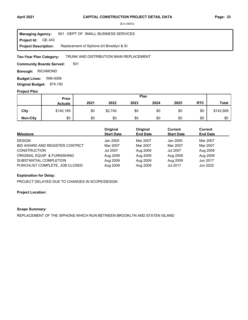**Project Id: GE-343** 801 : DEPT OF SMALL BUSINESS SERVICES Replacement of Siphons b/t Brooklyn & SI **Managing Agency: Project Description:** 

#### TRUNK AND DISTRIBUTION MAIN REPLACEMENT **Ten-Year Plan Category:**

501 **Community Boards Served:** 

**Borough: RICHMOND** 

**Budget Lines: WM-0006 Original Budget:** \$74,150

#### **Project Plan**

|                 | Plan<br>Prior  |      |         |      |      |      |            |           |
|-----------------|----------------|------|---------|------|------|------|------------|-----------|
|                 | <b>Actuals</b> | 2021 | 2022    | 2023 | 2024 | 2025 | <b>RTC</b> | Total     |
| City            | \$140,169      | \$0  | \$2,740 | \$0  | \$0  | \$0  | \$0        | \$142,909 |
| <b>Non-City</b> | \$0            | \$0  | \$0     | \$0  | \$0  | \$0  | \$0        | \$0       |

| <b>Milestone</b>               | Original<br><b>Start Date</b> | Original<br><b>End Date</b> | Current<br><b>Start Date</b> | <b>Current</b><br><b>End Date</b> |  |
|--------------------------------|-------------------------------|-----------------------------|------------------------------|-----------------------------------|--|
| <b>DESIGN</b>                  | Jan 2005                      | Mar 2007                    | Jan 2005                     | Mar 2007                          |  |
| BID AWARD AND REGISTER CONTRCT | Mar 2007                      | Mar 2007                    | Mar 2007                     | Mar 2007                          |  |
| <b>CONSTRUCTION</b>            | <b>Jul 2007</b>               | Aug 2009                    | Jul 2007                     | Aug 2009                          |  |
| ORIGINAL EQUIP & FURNISHING    | Aug 2009                      | Aug 2009                    | Aug 2009                     | Aug 2009                          |  |
| SUBSTANTIAL COMPLETION         | Aug 2009                      | Aug 2009                    | Aug 2009                     | Jun 2017                          |  |
| PUNCHLIST COMPLETE, JOB CLOSED | Aug 2009                      | Aug 2009                    | Jul 2017                     | Jun 2022                          |  |

## **Explanation for Delay:**

PROJECT DELAYED DUE TO CHANGES IN SCOPE/DESIGN

## **Project Location:**

## **Scope Summary:**

REPLACEMENT OF THE SIPHONS WHICH RUN BETWEEN BROOKLYN AND STATEN ISLAND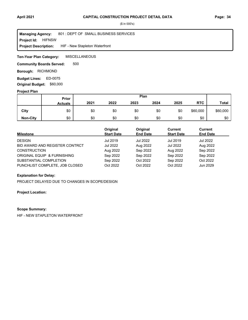**Project Id: HIFNSW** 801 : DEPT OF SMALL BUSINESS SERVICES HIF - New Stapleton Waterfront **Managing Agency: Project Description:** 

**MISCELLANEOUS Ten-Year Plan Category:** 

500 **Community Boards Served:** 

**Borough: RICHMOND** 

ED-0075 **Budget Lines: Original Budget:** \$60,000

#### **Project Plan**

|                 | <b>Prior</b>   | Plan |      |      |      |      |            |              |
|-----------------|----------------|------|------|------|------|------|------------|--------------|
|                 | <b>Actuals</b> | 2021 | 2022 | 2023 | 2024 | 2025 | <b>RTC</b> | <b>Total</b> |
| City            | \$0            | \$0  | \$0  | \$0  | \$0  | \$0  | \$60,000   | \$60,000     |
| <b>Non-City</b> | \$0            | \$0  | \$0  | \$0  | \$0  | \$0  | \$0        | \$0          |

| <b>Milestone</b>               | Original<br><b>Start Date</b> | Original<br><b>End Date</b> | Current<br><b>Start Date</b> | <b>Current</b><br><b>End Date</b> |
|--------------------------------|-------------------------------|-----------------------------|------------------------------|-----------------------------------|
| <b>DESIGN</b>                  | Jul 2019                      | Jul 2022                    | Jul 2019                     | Jul 2022                          |
| BID AWARD AND REGISTER CONTRCT | Jul 2022                      | Aug 2022                    | Jul 2022                     | Aug 2022                          |
| <b>CONSTRUCTION</b>            | Aug 2022                      | Sep 2022                    | Aug 2022                     | Sep 2022                          |
| ORIGINAL EQUIP & FURNISHING    | Sep 2022                      | Sep 2022                    | Sep 2022                     | Sep 2022                          |
| SUBSTANTIAL COMPLETION         | Sep 2022                      | Oct 2022                    | Sep 2022                     | Oct 2022                          |
| PUNCHLIST COMPLETE, JOB CLOSED | Oct 2022                      | Oct 2022                    | Oct 2022                     | Jun 2029                          |

## **Explanation for Delay:**

PROJECT DELAYED DUE TO CHANGES IN SCOPE/DESIGN

## **Project Location:**

#### **Scope Summary:**

HIF - NEW STAPLETON WATERFRONT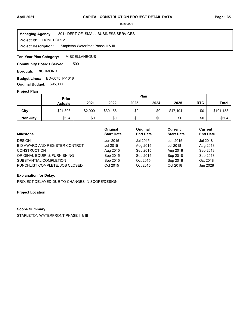**Project Id: HOMEPORT2** 801 : DEPT OF SMALL BUSINESS SERVICES Stapleton Waterfront Phase II & III **Managing Agency: Project Description:** 

**MISCELLANEOUS Ten-Year Plan Category:** 

500 **Community Boards Served:** 

**Borough: RICHMOND** 

ED-0075 P-1018 **Budget Lines: Original Budget:** \$95,000

#### **Project Plan**

|                 |                | Plan<br><b>Prior</b> |          |      |      |          |            |              |
|-----------------|----------------|----------------------|----------|------|------|----------|------------|--------------|
|                 | <b>Actuals</b> | 2021                 | 2022     | 2023 | 2024 | 2025     | <b>RTC</b> | <b>Total</b> |
| City            | \$21,808       | \$2,000              | \$30,156 | \$0  | \$0  | \$47,194 | \$0        | \$101,158    |
| <b>Non-City</b> | \$604          | \$0                  | \$0      | \$0  | \$0  | \$0      | \$0        | \$604        |

| Milestone                      | Original<br><b>Start Date</b> | Original<br><b>End Date</b> | Current<br><b>Start Date</b> | <b>Current</b><br><b>End Date</b> |
|--------------------------------|-------------------------------|-----------------------------|------------------------------|-----------------------------------|
| <b>DESIGN</b>                  | Jun 2015                      | Jul 2015                    | Jun 2015                     | Jul 2018                          |
| BID AWARD AND REGISTER CONTRCT | Jul 2015                      | Aug 2015                    | Jul 2018                     | Aug 2018                          |
| <b>CONSTRUCTION</b>            | Aug 2015                      | Sep 2015                    | Aug 2018                     | Sep 2018                          |
| ORIGINAL EQUIP & FURNISHING    | Sep 2015                      | Sep 2015                    | Sep 2018                     | Sep 2018                          |
| SUBSTANTIAL COMPLETION         | Sep 2015                      | Oct 2015                    | Sep 2018                     | Oct 2018                          |
| PUNCHLIST COMPLETE, JOB CLOSED | Oct 2015                      | Oct 2015                    | Oct 2018                     | Jun 2028                          |

## **Explanation for Delay:**

PROJECT DELAYED DUE TO CHANGES IN SCOPE/DESIGN

**Project Location:**

#### **Scope Summary:**

STAPLETON WATERFRONT PHASE II & III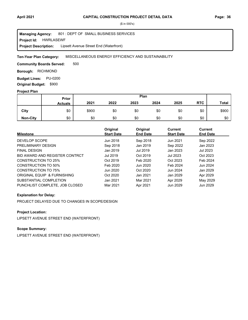**Project Id: HWRLASEWF** 801 : DEPT OF SMALL BUSINESS SERVICES Lipsett Avenue Street End (Waterfront) **Managing Agency: Project Description:** 

MISCELLANEOUS ENERGY EFFICIENCY AND SUSTAINABILITY **Ten-Year Plan Category:** 

500 **Community Boards Served:** 

**Borough: RICHMOND** 

**Budget Lines: PU-0200 Original Budget:** \$900

## **Project Plan**

|                 |                | Plan<br>Prior |      |      |      |      |            |              |
|-----------------|----------------|---------------|------|------|------|------|------------|--------------|
|                 | <b>Actuals</b> | 2021          | 2022 | 2023 | 2024 | 2025 | <b>RTC</b> | <b>Total</b> |
| City            | \$0            | \$900         | \$0  | \$0  | \$0  | \$0  | \$0        | \$900        |
| <b>Non-City</b> | \$0            | \$0           | \$0  | \$0  | \$0  | \$0  | \$0        | \$0          |

| <b>Milestone</b>               | Original<br><b>Start Date</b> | Original<br><b>End Date</b> | <b>Current</b><br><b>Start Date</b> | Current<br><b>End Date</b> |
|--------------------------------|-------------------------------|-----------------------------|-------------------------------------|----------------------------|
| DEVELOP SCOPE                  | Jun 2018                      | Sep 2018                    | Jun 2021                            | Sep 2022                   |
| PRELIMINARY DESIGN             | Sep 2018                      | Jan 2019                    | Sep 2022                            | Jan 2023                   |
| <b>FINAL DESIGN</b>            | Jan 2019                      | Jul 2019                    | Jan 2023                            | Jul 2023                   |
| BID AWARD AND REGISTER CONTRCT | Jul 2019                      | Oct 2019                    | Jul 2023                            | Oct 2023                   |
| CONSTRUCTION TO 25%            | Oct 2019                      | Feb 2020                    | Oct 2023                            | Feb 2024                   |
| CONSTRUCTION TO 50%            | Feb 2020                      | Jun 2020                    | Feb 2024                            | Jun 2024                   |
| <b>CONSTRUCTION TO 75%</b>     | Jun 2020                      | Oct 2020                    | Jun 2024                            | Jan 2029                   |
| ORIGINAL EQUIP & FURNISHING    | Oct 2020                      | Jan 2021                    | Jan 2029                            | Apr 2029                   |
| SUBSTANTIAL COMPLETION         | Jan 2021                      | Mar 2021                    | Apr 2029                            | May 2029                   |
| PUNCHLIST COMPLETE, JOB CLOSED | Mar 2021                      | Apr 2021                    | Jun 2029                            | Jun 2029                   |

## **Explanation for Delay:**

PROJECT DELAYED DUE TO CHANGES IN SCOPE/DESIGN

## **Project Location:**

LIPSETT AVENUE STREET END (WATERFRONT)

## **Scope Summary:**

LIPSETT AVENUE STREET END (WATERFRONT)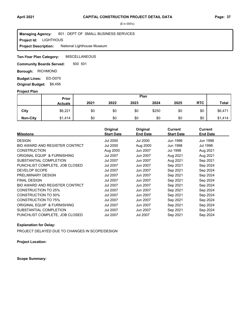#### **Project Id: LIGHTHOUS** 801 : DEPT OF SMALL BUSINESS SERVICES National Lighthouse Museum **Managing Agency: Project Description:**

**MISCELLANEOUS Ten-Year Plan Category:** 

500 501 **Community Boards Served:** 

**Borough: RICHMOND** 

**Budget Lines: ED-D075 Original Budget:** \$8,456

#### **Project Plan**

|                 |                | Plan<br>Prior |      |      |       |      |            |              |
|-----------------|----------------|---------------|------|------|-------|------|------------|--------------|
|                 | <b>Actuals</b> | 2021          | 2022 | 2023 | 2024  | 2025 | <b>RTC</b> | <b>Total</b> |
| City            | \$6,221        | \$0           | \$0  | \$0  | \$250 | \$0  | \$0        | \$6,471      |
| <b>Non-City</b> | \$1,414        | \$0           | \$0  | \$0  | \$0   | \$0  | \$0        | \$1,414      |

|                                | Original          | Original        | <b>Current</b>    | <b>Current</b>  |  |
|--------------------------------|-------------------|-----------------|-------------------|-----------------|--|
| <b>Milestone</b>               | <b>Start Date</b> | <b>End Date</b> | <b>Start Date</b> | <b>End Date</b> |  |
| <b>DESIGN</b>                  | Jul 2000          | Jul 2000        | Jun 1998          | Jun 1998        |  |
| BID AWARD AND REGISTER CONTRCT | Jul 2000          | Aug 2000        | <b>Jun 1998</b>   | Jul 1998        |  |
| <b>CONSTRUCTION</b>            | Aug 2000          | Jun 2007        | Jul 1998          | Aug 2021        |  |
| ORIGINAL EQUIP & FURNISHING    | Jul 2007          | Jun 2007        | Aug 2021          | Aug 2021        |  |
| SUBSTANTIAL COMPLETION         | Jul 2007          | Jun 2007        | Aug 2021          | Sep 2021        |  |
| PUNCHLIST COMPLETE, JOB CLOSED | Jul 2007          | Jun 2007        | Sep 2021          | Sep 2024        |  |
| <b>DEVELOP SCOPE</b>           | Jul 2007          | Jun 2007        | Sep 2021          | Sep 2024        |  |
| PRELIMINARY DESIGN             | Jul 2007          | Jun 2007        | Sep 2021          | Sep 2024        |  |
| <b>FINAL DESIGN</b>            | Jul 2007          | Jun 2007        | Sep 2021          | Sep 2024        |  |
| BID AWARD AND REGISTER CONTRCT | Jul 2007          | Jun 2007        | Sep 2021          | Sep 2024        |  |
| CONSTRUCTION TO 25%            | Jul 2007          | Jun 2007        | Sep 2021          | Sep 2024        |  |
| CONSTRUCTION TO 50%            | Jul 2007          | Jun 2007        | Sep 2021          | Sep 2024        |  |
| <b>CONSTRUCTION TO 75%</b>     | Jul 2007          | Jun 2007        | Sep 2021          | Sep 2024        |  |
| ORIGINAL EQUIP & FURNISHING    | Jul 2007          | Jun 2007        | Sep 2021          | Sep 2024        |  |
| SUBSTANTIAL COMPLETION         | Jul 2007          | Jun 2007        | Sep 2021          | Sep 2024        |  |
| PUNCHLIST COMPLETE, JOB CLOSED | Jul 2007          | <b>Jul 2007</b> | Sep 2021          | Sep 2024        |  |

## **Explanation for Delay:**

PROJECT DELAYED DUE TO CHANGES IN SCOPE/DESIGN

**Project Location:**

**Scope Summary:**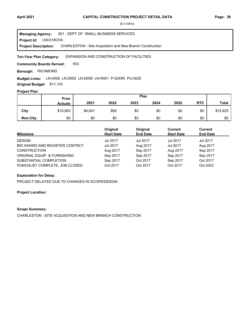LNC018CHA **Project Id:** 801 : DEPT OF SMALL BUSINESS SERVICES CHARLESTON - Site Acquisition and New Branch Construction **Managing Agency: Project Description:** 

#### EXPANSION AND CONSTRUCTION OF FACILITIES **Ten-Year Plan Category:**

503 **Community Boards Served:** 

**Borough: RICHMOND** 

#### Budget Lines: LN-0008 LN-D002 LN-D008 LN-R001 P-0245R PU-0025

**Original Budget:** \$11,103

## **Project Plan**

|                 | Prior          | Plan    |      |      |      |      |            |              |
|-----------------|----------------|---------|------|------|------|------|------------|--------------|
|                 | <b>Actuals</b> | 2021    | 2022 | 2023 | 2024 | 2025 | <b>RTC</b> | <b>Total</b> |
| City            | \$10,893       | \$4,847 | \$85 | \$0  | \$0  | \$0  | \$0        | \$15,825     |
| <b>Non-City</b> | \$0            | \$0     | \$0  | \$0  | \$0  | \$0  | \$0        | \$0          |

| Milestone                      | Original<br><b>Start Date</b> | Original<br><b>End Date</b> | Current<br><b>Start Date</b> | <b>Current</b><br><b>End Date</b> |
|--------------------------------|-------------------------------|-----------------------------|------------------------------|-----------------------------------|
| <b>DESIGN</b>                  | Jul 2017                      | Jul 2017                    | <b>Jul 2017</b>              | Jul 2017                          |
| BID AWARD AND REGISTER CONTRCT | Jul 2017                      | Aug 2017                    | Jul 2017                     | Aug 2017                          |
| <b>CONSTRUCTION</b>            | Aug 2017                      | Sep 2017                    | Aug 2017                     | Sep 2017                          |
| ORIGINAL EQUIP & FURNISHING    | Sep 2017                      | Sep 2017                    | Sep 2017                     | Sep 2017                          |
| SUBSTANTIAL COMPLETION         | Sep 2017                      | Oct 2017                    | Sep 2017                     | Oct 2017                          |
| PUNCHLIST COMPLETE, JOB CLOSED | Oct 2017                      | Oct 2017                    | Oct 2017                     | Oct 2022                          |

# **Explanation for Delay:**

PROJECT DELAYED DUE TO CHANGES IN SCOPE/DESIGN

## **Project Location:**

#### **Scope Summary:**

CHARLESTON - SITE ACQUISITION AND NEW BRANCH CONSTRUCTION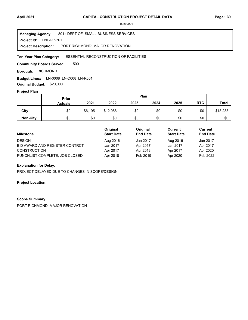LNEA16PRT **Project Id:** 801 : DEPT OF SMALL BUSINESS SERVICES PORT RICHMOND: MAJOR RENOVATION **Managing Agency: Project Description:** 

#### ESSENTIAL RECONSTRUCTION OF FACILITIES **Ten-Year Plan Category:**

500 **Community Boards Served:** 

**Borough: RICHMOND** 

**Budget Lines:** LN-0008 LN-D008 LN-R001 **Original Budget:** \$20,000

#### **Project Plan**

|                 | Prior          | Plan    |          |      |      |      |            |              |
|-----------------|----------------|---------|----------|------|------|------|------------|--------------|
|                 | <b>Actuals</b> | 2021    | 2022     | 2023 | 2024 | 2025 | <b>RTC</b> | <b>Total</b> |
| City            | \$0            | \$6,195 | \$12,088 | \$0  | \$0  | \$0  | \$0        | \$18,283     |
| <b>Non-City</b> | \$0            | \$0     | \$0      | \$0  | \$0  | \$0  | \$0        | \$0          |

|                                | Original          | Original        | Current           | <b>Current</b>  |  |
|--------------------------------|-------------------|-----------------|-------------------|-----------------|--|
| <b>Milestone</b>               | <b>Start Date</b> | <b>End Date</b> | <b>Start Date</b> | <b>End Date</b> |  |
| <b>DESIGN</b>                  | Aug 2016          | Jan 2017        | Aug 2016          | Jan 2017        |  |
| BID AWARD AND REGISTER CONTRCT | Jan 2017          | Apr 2017        | Jan 2017          | Apr 2017        |  |
| <b>CONSTRUCTION</b>            | Apr 2017          | Apr 2018        | Apr 2017          | Apr 2020        |  |
| PUNCHLIST COMPLETE, JOB CLOSED | Apr 2018          | Feb 2019        | Apr 2020          | Feb 2022        |  |

## **Explanation for Delay:**

PROJECT DELAYED DUE TO CHANGES IN SCOPE/DESIGN

## **Project Location:**

## **Scope Summary:**

PORT RICHMOND: MAJOR RENOVATION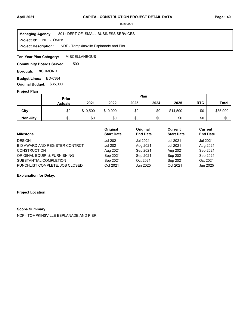**Project Id: NDF-TOMPK** 801 : DEPT OF SMALL BUSINESS SERVICES NDF - Tompkinsville Esplanade and Pier **Managing Agency: Project Description:** 

**MISCELLANEOUS Ten-Year Plan Category:** 

500 **Community Boards Served:** 

**Borough: RICHMOND** 

Budget Lines: ED-0384 **Original Budget:** \$35,000

#### **Project Plan**

|                 | Prior          | Plan     |          |      |      |          |            |              |
|-----------------|----------------|----------|----------|------|------|----------|------------|--------------|
|                 | <b>Actuals</b> | 2021     | 2022     | 2023 | 2024 | 2025     | <b>RTC</b> | <b>Total</b> |
| City            | \$0            | \$10,500 | \$10,000 | \$0  | \$0  | \$14,500 | \$0        | \$35,000     |
| <b>Non-City</b> | \$0            | \$0      | \$0      | \$0  | \$0  | \$0      | \$0        | \$0          |

| <b>Milestone</b>               | Original<br><b>Start Date</b> | Original<br><b>End Date</b> | Current<br><b>Start Date</b> | <b>Current</b><br><b>End Date</b> |
|--------------------------------|-------------------------------|-----------------------------|------------------------------|-----------------------------------|
| <b>DESIGN</b>                  | <b>Jul 2021</b>               | Jul 2021                    | <b>Jul 2021</b>              | Jul 2021                          |
| BID AWARD AND REGISTER CONTRCT | <b>Jul 2021</b>               | Aug 2021                    | Jul 2021                     | Aug 2021                          |
| <b>CONSTRUCTION</b>            | Aug 2021                      | Sep 2021                    | Aug 2021                     | Sep 2021                          |
| ORIGINAL EQUIP & FURNISHING    | Sep 2021                      | Sep 2021                    | Sep 2021                     | Sep 2021                          |
| SUBSTANTIAL COMPLETION         | Sep 2021                      | Oct 2021                    | Sep 2021                     | Oct 2021                          |
| PUNCHLIST COMPLETE, JOB CLOSED | Oct 2021                      | Jun 2025                    | Oct 2021                     | Jun 2025                          |

### **Explanation for Delay:**

**Project Location:**

#### **Scope Summary:**

NDF - TOMPKINSVILLE ESPLANADE AND PIER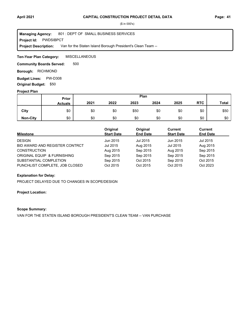**Project Id: PWDSIBPCT** 801 : DEPT OF SMALL BUSINESS SERVICES Van for the Staten Island Borough President's Clean Team -- **Managing Agency: Project Description:** 

MISCELLANEOUS **Ten-Year Plan Category:** 

500 **Community Boards Served:** 

**Borough: RICHMOND** 

**Budget Lines: PW-D308 Original Budget:** \$50

## **Project Plan**

|                 |                | Plan<br>Prior |      |      |      |      |            |              |
|-----------------|----------------|---------------|------|------|------|------|------------|--------------|
|                 | <b>Actuals</b> | 2021          | 2022 | 2023 | 2024 | 2025 | <b>RTC</b> | <b>Total</b> |
| City            | \$0            | \$0           | \$0  | \$50 | \$0  | \$0  | \$0        | \$50         |
| <b>Non-City</b> | \$0            | \$0           | \$0  | \$0  | \$0  | \$0  | \$0        | \$0          |

| Milestone                      | Original<br><b>Start Date</b> | Original<br><b>End Date</b> | Current<br><b>Start Date</b> | Current<br><b>End Date</b> |
|--------------------------------|-------------------------------|-----------------------------|------------------------------|----------------------------|
| <b>DESIGN</b>                  | Jun 2015                      | Jul 2015                    | Jun 2015                     | Jul 2015                   |
| BID AWARD AND REGISTER CONTRCT | Jul 2015                      | Aug 2015                    | Jul 2015                     | Aug 2015                   |
| <b>CONSTRUCTION</b>            | Aug 2015                      | Sep 2015                    | Aug 2015                     | Sep 2015                   |
| ORIGINAL EQUIP & FURNISHING    | Sep 2015                      | Sep 2015                    | Sep 2015                     | Sep 2015                   |
| SUBSTANTIAL COMPLETION         | Sep 2015                      | Oct 2015                    | Sep 2015                     | Oct 2015                   |
| PUNCHLIST COMPLETE, JOB CLOSED | Oct 2015                      | Oct 2015                    | Oct 2015                     | Oct 2023                   |

## **Explanation for Delay:**

PROJECT DELAYED DUE TO CHANGES IN SCOPE/DESIGN

## **Project Location:**

## **Scope Summary:**

VAN FOR THE STATEN ISLAND BOROUGH PRESIDENT'S CLEAN TEAM -- VAN PURCHASE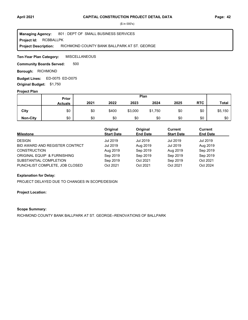**Project Id: RCBBALLPK** 801 : DEPT OF SMALL BUSINESS SERVICES RICHMOND COUNTY BANK BALLPARK AT ST. GEORGE **Managing Agency: Project Description:** 

**MISCELLANEOUS Ten-Year Plan Category:** 

500 **Community Boards Served:** 

**Borough: RICHMOND** 

ED-0075 ED-D075 **Budget Lines: Original Budget:** \$1,750

## **Project Plan**

|                 | Prior          | Plan |       |         |         |      |            |              |
|-----------------|----------------|------|-------|---------|---------|------|------------|--------------|
|                 | <b>Actuals</b> | 2021 | 2022  | 2023    | 2024    | 2025 | <b>RTC</b> | <b>Total</b> |
| City            | \$0            | \$0  | \$400 | \$3,000 | \$1,750 | \$0  | \$0        | \$5,150      |
| <b>Non-City</b> | \$0            | \$0  | \$0   | \$0     | \$0     | \$0  | \$0        | \$0          |

| Milestone                      | Original<br><b>Start Date</b> | Original<br><b>End Date</b> | Current<br><b>Start Date</b> | <b>Current</b><br><b>End Date</b> |
|--------------------------------|-------------------------------|-----------------------------|------------------------------|-----------------------------------|
| <b>DESIGN</b>                  | Jul 2019                      | Jul 2019                    | Jul 2019                     | Jul 2019                          |
| BID AWARD AND REGISTER CONTRCT | Jul 2019                      | Aug 2019                    | Jul 2019                     | Aug 2019                          |
| <b>CONSTRUCTION</b>            | Aug 2019                      | Sep 2019                    | Aug 2019                     | Sep 2019                          |
| ORIGINAL EQUIP & FURNISHING    | Sep 2019                      | Sep 2019                    | Sep 2019                     | Sep 2019                          |
| SUBSTANTIAL COMPLETION         | Sep 2019                      | Oct 2021                    | Sep 2019                     | Oct 2021                          |
| PUNCHLIST COMPLETE, JOB CLOSED | Oct 2021                      | Oct 2021                    | Oct 2021                     | Oct 2024                          |

# **Explanation for Delay:**

PROJECT DELAYED DUE TO CHANGES IN SCOPE/DESIGN

## **Project Location:**

## **Scope Summary:**

RICHMOND COUNTY BANK BALLPARK AT ST. GEORGE--RENOVATIONS OF BALLPARK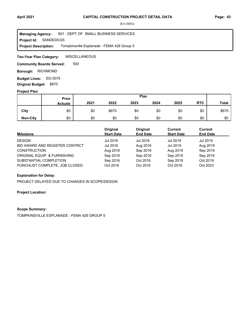**Project Id: SANDEDCG5** 801 : DEPT OF SMALL BUSINESS SERVICES Tompkinsville Esplanade - FEMA 428 Group 5 **Managing Agency: Project Description:** 

**MISCELLANEOUS Ten-Year Plan Category:** 

500 **Community Boards Served:** 

**Borough: RICHMOND** 

ED-0075 **Budget Lines: Original Budget:** \$670

## **Project Plan**

|                 |                | Plan<br><b>Prior</b> |       |      |      |      |            |              |
|-----------------|----------------|----------------------|-------|------|------|------|------------|--------------|
|                 | <b>Actuals</b> | 2021                 | 2022  | 2023 | 2024 | 2025 | <b>RTC</b> | <b>Total</b> |
| City            | \$0            | \$0                  | \$670 | \$0  | \$0  | \$0  | \$0        | \$670        |
| <b>Non-City</b> | \$0            | \$0                  | \$0   | \$0  | \$0  | \$0  | \$0        | \$0          |

| <b>Milestone</b>               | Original<br><b>Start Date</b> | Original<br><b>End Date</b> | Current<br><b>Start Date</b> | <b>Current</b><br><b>End Date</b> |
|--------------------------------|-------------------------------|-----------------------------|------------------------------|-----------------------------------|
| <b>DESIGN</b>                  | Jul 2016                      | Jul 2016                    | <b>Jul 2019</b>              | Jul 2019                          |
| BID AWARD AND REGISTER CONTRCT | Jul 2016                      | Aug 2016                    | Jul 2019                     | Aug 2019                          |
| <b>CONSTRUCTION</b>            | Aug 2016                      | Sep 2016                    | Aug 2019                     | Sep 2019                          |
| ORIGINAL EQUIP & FURNISHING    | Sep 2016                      | Sep 2016                    | Sep 2019                     | Sep 2019                          |
| SUBSTANTIAL COMPLETION         | Sep 2016                      | Oct 2016                    | Sep 2019                     | Oct 2019                          |
| PUNCHLIST COMPLETE, JOB CLOSED | Oct 2016                      | Oct 2016                    | Oct 2019                     | Oct 2023                          |

## **Explanation for Delay:**

PROJECT DELAYED DUE TO CHANGES IN SCOPE/DESIGN

**Project Location:**

#### **Scope Summary:**

TOMPKINSVILLE ESPLANADE - FEMA 428 GROUP 5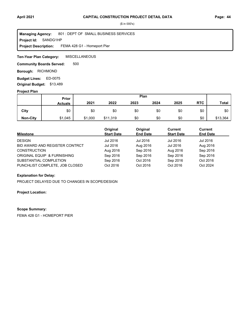**Project Id: SANDG1HP** 801 : DEPT OF SMALL BUSINESS SERVICES FEMA 428 G1 - Homeport Pier **Managing Agency: Project Description:** 

**MISCELLANEOUS Ten-Year Plan Category:** 

500 **Community Boards Served:** 

**Borough: RICHMOND** 

ED-0075 **Budget Lines: Original Budget:** \$13,489

#### **Project Plan**

|                 |                | Plan<br><b>Prior</b> |          |      |      |      |            |          |
|-----------------|----------------|----------------------|----------|------|------|------|------------|----------|
|                 | <b>Actuals</b> | 2021                 | 2022     | 2023 | 2024 | 2025 | <b>RTC</b> | Total    |
| City            | \$0            | \$0                  | \$0      | \$0  | \$0  | \$0  | \$0        | \$0      |
| <b>Non-City</b> | \$1,045        | \$1,000              | \$11,319 | \$0  | \$0  | \$0  | \$0        | \$13,364 |

| <b>Milestone</b>               | Original<br><b>Start Date</b> | Original<br><b>End Date</b> | Current<br><b>Start Date</b> | <b>Current</b><br><b>End Date</b> |
|--------------------------------|-------------------------------|-----------------------------|------------------------------|-----------------------------------|
| <b>DESIGN</b>                  | Jul 2016                      | Jul 2016                    | Jul 2016                     | Jul 2016                          |
| BID AWARD AND REGISTER CONTRCT | Jul 2016                      | Aug 2016                    | Jul 2016                     | Aug 2016                          |
| <b>CONSTRUCTION</b>            | Aug 2016                      | Sep 2016                    | Aug 2016                     | Sep 2016                          |
| ORIGINAL EQUIP & FURNISHING    | Sep 2016                      | Sep 2016                    | Sep 2016                     | Sep 2016                          |
| SUBSTANTIAL COMPLETION         | Sep 2016                      | Oct 2016                    | Sep 2016                     | Oct 2016                          |
| PUNCHLIST COMPLETE, JOB CLOSED | Oct 2016                      | Oct 2016                    | Oct 2016                     | Oct 2024                          |

## **Explanation for Delay:**

PROJECT DELAYED DUE TO CHANGES IN SCOPE/DESIGN

## **Project Location:**

#### **Scope Summary:**

FEMA 428 G1 - HOMEPORT PIER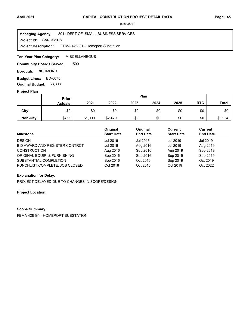**Project Id: SANDG1HS** 801 : DEPT OF SMALL BUSINESS SERVICES FEMA 428 G1 - Homeport Substation **Managing Agency: Project Description:** 

**MISCELLANEOUS Ten-Year Plan Category:** 

500 **Community Boards Served:** 

**Borough: RICHMOND** 

ED-0075 **Budget Lines: Original Budget:** \$3,808

#### **Project Plan**

|                 |                | Plan<br><b>Prior</b> |         |      |      |      |            |              |
|-----------------|----------------|----------------------|---------|------|------|------|------------|--------------|
|                 | <b>Actuals</b> | 2021                 | 2022    | 2023 | 2024 | 2025 | <b>RTC</b> | <b>Total</b> |
| City            | \$0            | \$0                  | \$0     | \$0  | \$0  | \$0  | \$0        | \$0          |
| <b>Non-City</b> | \$455          | \$1,000              | \$2,479 | \$0  | \$0  | \$0  | \$0        | \$3,934      |

| <b>Milestone</b>               | Original<br><b>Start Date</b> | Original<br><b>End Date</b> | Current<br><b>Start Date</b> | <b>Current</b><br><b>End Date</b> |
|--------------------------------|-------------------------------|-----------------------------|------------------------------|-----------------------------------|
| <b>DESIGN</b>                  | Jul 2016                      | Jul 2016                    | Jul 2019                     | Jul 2019                          |
| BID AWARD AND REGISTER CONTRCT | Jul 2016                      | Aug 2016                    | Jul 2019                     | Aug 2019                          |
| <b>CONSTRUCTION</b>            | Aug 2016                      | Sep 2016                    | Aug 2019                     | Sep 2019                          |
| ORIGINAL EQUIP & FURNISHING    | Sep 2016                      | Sep 2016                    | Sep 2019                     | Sep 2019                          |
| SUBSTANTIAL COMPLETION         | Sep 2016                      | Oct 2016                    | Sep 2019                     | Oct 2019                          |
| PUNCHLIST COMPLETE, JOB CLOSED | Oct 2016                      | Oct 2016                    | Oct 2019                     | Oct 2022                          |

## **Explanation for Delay:**

PROJECT DELAYED DUE TO CHANGES IN SCOPE/DESIGN

## **Project Location:**

#### **Scope Summary:**

FEMA 428 G1 - HOMEPORT SUBSTATION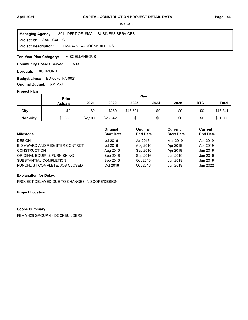**Project Id: SANDG4DOC** 801 : DEPT OF SMALL BUSINESS SERVICES FEMA 428 G4- DOCKBUILDERS **Managing Agency: Project Description:** 

**MISCELLANEOUS Ten-Year Plan Category:** 

500 **Community Boards Served:** 

**Borough: RICHMOND** 

**Budget Lines: ED-0075 FA-0021 Original Budget:** \$31,250

#### **Project Plan**

|                 |                | Plan<br><b>Prior</b> |          |          |      |      |            |              |
|-----------------|----------------|----------------------|----------|----------|------|------|------------|--------------|
|                 | <b>Actuals</b> | 2021                 | 2022     | 2023     | 2024 | 2025 | <b>RTC</b> | <b>Total</b> |
| City            | \$0            | \$0                  | \$250    | \$46,591 | \$0  | \$0  | \$0        | \$46,841     |
| <b>Non-City</b> | \$3,058        | \$2,100              | \$25,842 | \$0      | \$0  | \$0  | \$0        | \$31,000     |

| <b>Milestone</b>               | Original<br><b>Start Date</b> | Original<br><b>End Date</b> | Current<br><b>Start Date</b> | <b>Current</b><br><b>End Date</b> |  |
|--------------------------------|-------------------------------|-----------------------------|------------------------------|-----------------------------------|--|
| <b>DESIGN</b>                  | Jul 2016                      | Jul 2016                    | Mar 2019                     | Apr 2019                          |  |
| BID AWARD AND REGISTER CONTRCT | Jul 2016                      | Aug 2016                    | Apr 2019                     | Apr 2019                          |  |
| <b>CONSTRUCTION</b>            | Aug 2016                      | Sep 2016                    | Apr 2019                     | Jun 2019                          |  |
| ORIGINAL EQUIP & FURNISHING    | Sep 2016                      | Sep 2016                    | Jun 2019                     | Jun 2019                          |  |
| SUBSTANTIAL COMPLETION         | Sep 2016                      | Oct 2016                    | Jun 2019                     | Jun 2019                          |  |
| PUNCHLIST COMPLETE, JOB CLOSED | Oct 2016                      | Oct 2016                    | Jun 2019                     | Jun 2022                          |  |

## **Explanation for Delay:**

PROJECT DELAYED DUE TO CHANGES IN SCOPE/DESIGN

## **Project Location:**

#### **Scope Summary:**

FEMA 428 GROUP 4 - DOCKBUILDERS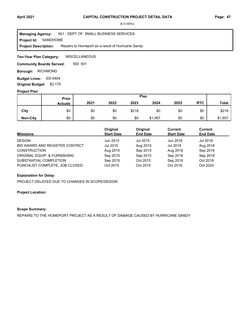**Project Id: SANDHOME** 801 : DEPT OF SMALL BUSINESS SERVICES Repairs to Homeport as a result of Hurricane Sandy **Managing Agency: Project Description:** 

**MISCELLANEOUS Ten-Year Plan Category:** 

500 501 **Community Boards Served:** 

**Borough: RICHMOND** 

Budget Lines: ED-0404 **Original Budget:** \$2,175

#### **Project Plan**

|                 |                | Plan<br>Prior |      |       |         |      |            |              |
|-----------------|----------------|---------------|------|-------|---------|------|------------|--------------|
|                 | <b>Actuals</b> | 2021          | 2022 | 2023  | 2024    | 2025 | <b>RTC</b> | <b>Total</b> |
| City            | \$0            | \$0           | \$0  | \$218 | \$0     | \$0  | \$0        | \$218        |
| <b>Non-City</b> | \$0            | \$0           | \$0  | \$0   | \$1,957 | \$0  | \$0        | \$1,957      |

| <b>Milestone</b>               | Original<br><b>Start Date</b> | Original<br><b>End Date</b> | Current<br><b>Start Date</b> | Current<br><b>End Date</b> |
|--------------------------------|-------------------------------|-----------------------------|------------------------------|----------------------------|
| <b>DESIGN</b>                  | Jun 2015                      | Jul 2015                    | Jun 2018                     | Jul 2018                   |
| BID AWARD AND REGISTER CONTRCT | Jul 2015                      | Aug 2015                    | Jul 2018                     | Aug 2018                   |
| <b>CONSTRUCTION</b>            | Aug 2015                      | Sep 2015                    | Aug 2018                     | Sep 2018                   |
| ORIGINAL EQUIP & FURNISHING    | Sep 2015                      | Sep 2015                    | Sep 2018                     | Sep 2018                   |
| SUBSTANTIAL COMPLETION         | Sep 2015                      | Oct 2015                    | Sep 2018                     | Oct 2018                   |
| PUNCHLIST COMPLETE, JOB CLOSED | Oct 2015                      | Oct 2015                    | Oct 2018                     | Oct 2024                   |

## **Explanation for Delay:**

PROJECT DELAYED DUE TO CHANGES IN SCOPE/DESIGN

## **Project Location:**

## **Scope Summary:**

REPAIRS TO THE HOMEPORT PROJECT AS A RESULT OF DAMAGE CAUSED BY HURRICANE SANDY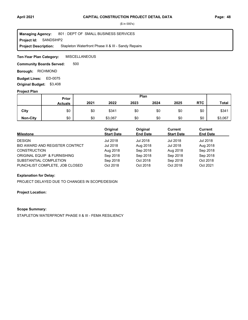**Project Id: SANDSIHP2** 801 : DEPT OF SMALL BUSINESS SERVICES Stapleton Waterfront Phase II & III - Sandy Repairs **Managing Agency: Project Description:** 

**MISCELLANEOUS Ten-Year Plan Category:** 

500 **Community Boards Served:** 

**Borough: RICHMOND** 

ED-0075 **Budget Lines: Original Budget:** \$3,408

#### **Project Plan**

|                 |                | Plan<br>Prior |         |      |      |      |            |              |
|-----------------|----------------|---------------|---------|------|------|------|------------|--------------|
|                 | <b>Actuals</b> | 2021          | 2022    | 2023 | 2024 | 2025 | <b>RTC</b> | <b>Total</b> |
| City            | \$0            | \$0           | \$341   | \$0  | \$0  | \$0  | \$0        | \$341        |
| <b>Non-City</b> | \$0            | \$0           | \$3,067 | \$0  | \$0  | \$0  | \$0        | \$3,067      |

| <b>Milestone</b>               | Original<br><b>Start Date</b> | Original<br><b>End Date</b> | Current<br><b>Start Date</b> | <b>Current</b><br><b>End Date</b> |
|--------------------------------|-------------------------------|-----------------------------|------------------------------|-----------------------------------|
| <b>DESIGN</b>                  | Jul 2018                      | Jul 2018                    | <b>Jul 2018</b>              | Jul 2018                          |
| BID AWARD AND REGISTER CONTRCT | Jul 2018                      | Aug 2018                    | Jul 2018                     | Aug 2018                          |
| <b>CONSTRUCTION</b>            | Aug 2018                      | Sep 2018                    | Aug 2018                     | Sep 2018                          |
| ORIGINAL EQUIP & FURNISHING    | Sep 2018                      | Sep 2018                    | Sep 2018                     | Sep 2018                          |
| SUBSTANTIAL COMPLETION         | Sep 2018                      | Oct 2018                    | Sep 2018                     | Oct 2018                          |
| PUNCHLIST COMPLETE, JOB CLOSED | Oct 2018                      | Oct 2018                    | Oct 2018                     | Oct 2021                          |

## **Explanation for Delay:**

PROJECT DELAYED DUE TO CHANGES IN SCOPE/DESIGN

## **Project Location:**

#### **Scope Summary:**

STAPLETON WATERFRONT PHASE II & III - FEMA RESILIENCY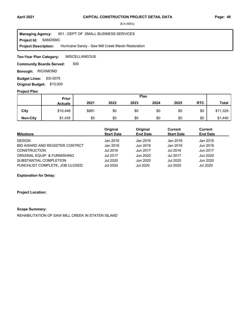**Project Id: SANDSMC** 801 : DEPT OF SMALL BUSINESS SERVICES Hurricane Sandy - Saw Mill Creek Marsh Restoration **Managing Agency: Project Description:** 

**MISCELLANEOUS Ten-Year Plan Category:** 

500 **Community Boards Served:** 

**Borough: RICHMOND** 

ED-0075 **Budget Lines: Original Budget:** \$13,000

#### **Project Plan**

|                 | Plan<br>Prior  |       |      |      |      |      |            |              |
|-----------------|----------------|-------|------|------|------|------|------------|--------------|
|                 | <b>Actuals</b> | 2021  | 2022 | 2023 | 2024 | 2025 | <b>RTC</b> | <b>Total</b> |
| City            | \$10,448       | \$881 | \$0  | \$0  | \$0  | \$0  | \$0        | \$11,329     |
| <b>Non-City</b> | \$1,435        | \$5   | \$0  | \$0  | \$0  | \$0  | \$0        | \$1,440      |

| Milestone                      | Original<br><b>Start Date</b> | Original<br><b>End Date</b> | Current<br><b>Start Date</b> | Current<br><b>End Date</b> |  |
|--------------------------------|-------------------------------|-----------------------------|------------------------------|----------------------------|--|
| <b>DESIGN</b>                  | Jan 2016                      | Jan 2016                    | Jan 2016                     | Jan 2016                   |  |
| BID AWARD AND REGISTER CONTRCT | Jan 2016                      | Jun 2016                    | Jan 2016                     | Jun 2016                   |  |
| <b>CONSTRUCTION</b>            | Jul 2016                      | Jun 2017                    | Jul 2016                     | Jun 2017                   |  |
| ORIGINAL EQUIP & FURNISHING    | Jul 2017                      | Jun 2020                    | <b>Jul 2017</b>              | Jun 2020                   |  |
| SUBSTANTIAL COMPLETION         | <b>Jul 2020</b>               | Jun 2020                    | <b>Jul 2020</b>              | Jun 2020                   |  |
| PUNCHLIST COMPLETE, JOB CLOSED | <b>Jul 2020</b>               | Jul 2020                    | <b>Jul 2020</b>              | Jul 2020                   |  |

# **Explanation for Delay:**

**Project Location:**

#### **Scope Summary:**

REHABILITATION OF SAW MILL CREEK IN STATEN ISLAND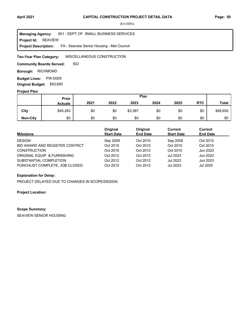**Project Id: SEAVIEW** 801 : DEPT OF SMALL BUSINESS SERVICES FA - Seaview Senior Housing - Met Council **Managing Agency: Project Description:** 

MISCELLANEOUS CONSTRUCTION **Ten-Year Plan Category:** 

502 **Community Boards Served:** 

**Borough: RICHMOND** 

**Budget Lines: PW-D005 Original Budget:** \$53,650

#### **Project Plan**

|                 | Prior          | Plan |      |         |      |      |            |              |
|-----------------|----------------|------|------|---------|------|------|------------|--------------|
|                 | <b>Actuals</b> | 2021 | 2022 | 2023    | 2024 | 2025 | <b>RTC</b> | <b>Total</b> |
| City            | \$45,263       | \$0  | \$0  | \$3,387 | \$0  | \$0  | \$0        | \$48,650     |
| <b>Non-City</b> | \$0            | \$0  | \$0  | \$0     | \$0  | \$0  | \$0        | \$0          |

| <b>Milestone</b>               | Original<br><b>Start Date</b> | Original<br><b>End Date</b> | Current<br><b>Start Date</b> | <b>Current</b><br><b>End Date</b> |  |
|--------------------------------|-------------------------------|-----------------------------|------------------------------|-----------------------------------|--|
| <b>DESIGN</b>                  | Sep 2008                      | Oct 2010                    | Sep 2008                     | Oct 2010                          |  |
| BID AWARD AND REGISTER CONTRCT | Oct 2010                      | Oct 2010                    | Oct 2010                     | Oct 2010                          |  |
| <b>CONSTRUCTION</b>            | Oct 2010                      | Oct 2012                    | Oct 2010                     | Jun 2023                          |  |
| ORIGINAL EQUIP & FURNISHING    | Oct 2012                      | Oct 2012                    | <b>Jul 2023</b>              | Jun 2023                          |  |
| SUBSTANTIAL COMPLETION         | Oct 2012                      | Oct 2012                    | <b>Jul 2023</b>              | Jun 2023                          |  |
| PUNCHLIST COMPLETE, JOB CLOSED | Oct 2012                      | Oct 2012                    | <b>Jul 2023</b>              | Jul 2025                          |  |

# **Explanation for Delay:**

PROJECT DELAYED DUE TO CHANGES IN SCOPE/DESIGN

**Project Location:**

#### **Scope Summary:**

SEAVIEW SENIOR HOUSING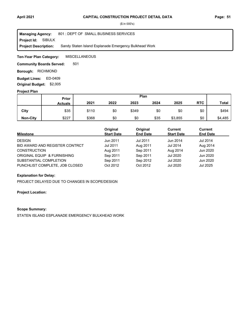**Project Id: SIBULK** 801 : DEPT OF SMALL BUSINESS SERVICES Sandy Staten Island Esplanade Emergency Bulkhead Work **Managing Agency: Project Description:** 

**MISCELLANEOUS Ten-Year Plan Category:** 

501 **Community Boards Served:** 

**Borough: RICHMOND** 

Budget Lines: ED-0409 **Original Budget:** \$2,005

#### **Project Plan**

|                 |                | Plan<br>Prior |      |       |      |         |            |              |
|-----------------|----------------|---------------|------|-------|------|---------|------------|--------------|
|                 | <b>Actuals</b> | 2021          | 2022 | 2023  | 2024 | 2025    | <b>RTC</b> | <b>Total</b> |
| City            | \$35           | \$110         | \$0  | \$349 | \$0  | \$0     | \$0        | \$494        |
| <b>Non-City</b> | \$227          | \$368         | \$0  | \$0   | \$35 | \$3,855 | \$0        | \$4,485      |

| Milestone                      | Original<br><b>Start Date</b> | Original<br><b>End Date</b> | Current<br><b>Start Date</b> | <b>Current</b><br><b>End Date</b> |
|--------------------------------|-------------------------------|-----------------------------|------------------------------|-----------------------------------|
| <b>DESIGN</b>                  | Jun 2011                      | Jul 2011                    | Jun 2014                     | Jul 2014                          |
| BID AWARD AND REGISTER CONTRCT | <b>Jul 2011</b>               | Aug 2011                    | Jul 2014                     | Aug 2014                          |
| <b>CONSTRUCTION</b>            | Aug 2011                      | Sep 2011                    | Aug 2014                     | Jun 2020                          |
| ORIGINAL EQUIP & FURNISHING    | Sep 2011                      | Sep 2011                    | Jul 2020                     | Jun 2020                          |
| SUBSTANTIAL COMPLETION         | Sep 2011                      | Sep 2012                    | Jul 2020                     | Jun 2020                          |
| PUNCHLIST COMPLETE, JOB CLOSED | Oct 2012                      | Oct 2012                    | <b>Jul 2020</b>              | Jul 2025                          |

# **Explanation for Delay:**

PROJECT DELAYED DUE TO CHANGES IN SCOPE/DESIGN

## **Project Location:**

#### **Scope Summary:**

STATEN ISLAND ESPLANADE EMERGENCY BULKHEAD WORK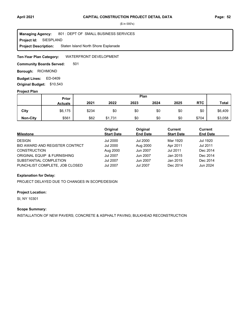**Project Id: SIESPLAND** 801 : DEPT OF SMALL BUSINESS SERVICES Staten Island North Shore Esplanade **Managing Agency: Project Description:** 

WATERFRONT DEVELOPMENT **Ten-Year Plan Category:** 

501 **Community Boards Served:** 

**Borough: RICHMOND** 

Budget Lines: ED-0409 **Original Budget:** \$10,543

#### **Project Plan**

|                 | Plan<br>Prior  |       |         |      |      |      |            |              |
|-----------------|----------------|-------|---------|------|------|------|------------|--------------|
|                 | <b>Actuals</b> | 2021  | 2022    | 2023 | 2024 | 2025 | <b>RTC</b> | <b>Total</b> |
| City            | \$6,175        | \$234 | \$0     | \$0  | \$0  | \$0  | \$0        | \$6,409      |
| <b>Non-City</b> | \$561          | \$62  | \$1,731 | \$0  | \$0  | \$0  | \$704      | \$3,058      |

| Milestone                      | Original<br><b>Start Date</b> | Original<br><b>End Date</b> | Current<br><b>Start Date</b> | <b>Current</b><br><b>End Date</b> |  |
|--------------------------------|-------------------------------|-----------------------------|------------------------------|-----------------------------------|--|
| <b>DESIGN</b>                  | <b>Jul 2000</b>               | Jul 2000                    | Mar 1920                     | Jul 1920                          |  |
| BID AWARD AND REGISTER CONTRCT | Jul 2000                      | Aug 2000                    | Apr 2011                     | Jul 2011                          |  |
| <b>CONSTRUCTION</b>            | Aug 2000                      | Jun 2007                    | Jul 2011                     | Dec 2014                          |  |
| ORIGINAL EQUIP & FURNISHING    | <b>Jul 2007</b>               | Jun 2007                    | Jan 2015                     | Dec 2014                          |  |
| SUBSTANTIAL COMPLETION         | <b>Jul 2007</b>               | Jun 2007                    | Jan 2015                     | Dec 2014                          |  |
| PUNCHLIST COMPLETE, JOB CLOSED | <b>Jul 2007</b>               | <b>Jul 2007</b>             | Dec 2014                     | Jun 2024                          |  |

## **Explanation for Delay:**

PROJECT DELAYED DUE TO CHANGES IN SCOPE/DESIGN

## **Project Location:**

SI, NY 10301

## **Scope Summary:**

INSTALLATION OF NEW PAVERS; CONCRETE & ASPHALT PAVING; BULKHEAD RECONSTRUCTION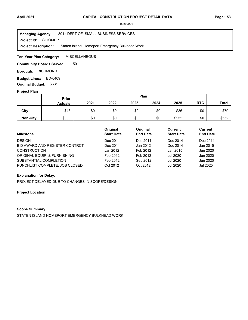**Project Id: SIHOMEPT** 801 : DEPT OF SMALL BUSINESS SERVICES Staten Island Homeport Emergency Bulkhead Work **Managing Agency: Project Description:** 

**MISCELLANEOUS Ten-Year Plan Category:** 

501 **Community Boards Served:** 

**Borough: RICHMOND** 

Budget Lines: ED-0409 **Original Budget:** \$631

## **Project Plan**

|                 | Plan<br><b>Prior</b> |      |      |      |      |       |            |              |
|-----------------|----------------------|------|------|------|------|-------|------------|--------------|
|                 | <b>Actuals</b>       | 2021 | 2022 | 2023 | 2024 | 2025  | <b>RTC</b> | <b>Total</b> |
| City            | \$43                 | \$0  | \$0  | \$0  | \$0  | \$36  | \$0        | \$79         |
| <b>Non-City</b> | \$300                | \$0  | \$0  | \$0  | \$0  | \$252 | \$0        | \$552        |

| <b>Milestone</b>               | Original<br><b>Start Date</b> | Original<br><b>End Date</b> | Current<br><b>Start Date</b> | Current<br><b>End Date</b> |
|--------------------------------|-------------------------------|-----------------------------|------------------------------|----------------------------|
| <b>DESIGN</b>                  | Dec 2011                      | Dec 2011                    | Dec 2014                     | Dec 2014                   |
| BID AWARD AND REGISTER CONTRCT | Dec 2011                      | Jan 2012                    | Dec 2014                     | Jan 2015                   |
| <b>CONSTRUCTION</b>            | Jan 2012                      | Feb 2012                    | Jan 2015                     | Jun 2020                   |
| ORIGINAL EQUIP & FURNISHING    | Feb 2012                      | Feb 2012                    | Jul 2020                     | Jun 2020                   |
| SUBSTANTIAL COMPLETION         | Feb 2012                      | Sep 2012                    | Jul 2020                     | Jun 2020                   |
| PUNCHLIST COMPLETE, JOB CLOSED | Oct 2012                      | Oct 2012                    | <b>Jul 2020</b>              | Jul 2025                   |

## **Explanation for Delay:**

PROJECT DELAYED DUE TO CHANGES IN SCOPE/DESIGN

## **Project Location:**

## **Scope Summary:**

STATEN ISLAND HOMEPORT EMERGENCY BULKHEAD WORK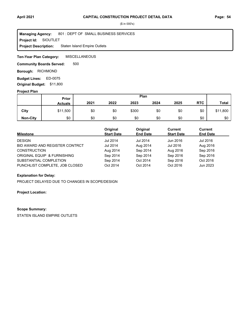#### **Project Id: SIOUTLET** 801 : DEPT OF SMALL BUSINESS SERVICES Staten Island Empire Outlets **Managing Agency: Project Description:**

**MISCELLANEOUS Ten-Year Plan Category:** 

500 **Community Boards Served:** 

**Borough: RICHMOND** 

ED-0075 **Budget Lines: Original Budget:** \$11,800

#### **Project Plan**

|                 | Plan<br>Prior  |      |      |       |      |      |            |              |
|-----------------|----------------|------|------|-------|------|------|------------|--------------|
|                 | <b>Actuals</b> | 2021 | 2022 | 2023  | 2024 | 2025 | <b>RTC</b> | <b>Total</b> |
| City            | \$11,500       | \$0  | \$0  | \$300 | \$0  | \$0  | \$0        | \$11,800     |
| <b>Non-City</b> | \$0            | \$0  | \$0  | \$0   | \$0  | \$0  | \$0        | \$0          |

| <b>Milestone</b>               | Original<br><b>Start Date</b> | Original<br><b>End Date</b> | Current<br><b>Start Date</b> | <b>Current</b><br><b>End Date</b> |
|--------------------------------|-------------------------------|-----------------------------|------------------------------|-----------------------------------|
| <b>DESIGN</b>                  | <b>Jul 2014</b>               | <b>Jul 2014</b>             | Jun 2016                     | Jul 2016                          |
| BID AWARD AND REGISTER CONTRCT | <b>Jul 2014</b>               | Aug 2014                    | Jul 2016                     | Aug 2016                          |
| <b>CONSTRUCTION</b>            | Aug 2014                      | Sep 2014                    | Aug 2016                     | Sep 2016                          |
| ORIGINAL EQUIP & FURNISHING    | Sep 2014                      | Sep 2014                    | Sep 2016                     | Sep 2016                          |
| SUBSTANTIAL COMPLETION         | Sep 2014                      | Oct 2014                    | Sep 2016                     | Oct 2016                          |
| PUNCHLIST COMPLETE, JOB CLOSED | Oct 2014                      | Oct 2014                    | Oct 2016                     | Jun 2023                          |

## **Explanation for Delay:**

PROJECT DELAYED DUE TO CHANGES IN SCOPE/DESIGN

## **Project Location:**

#### **Scope Summary:**

STATEN ISLAND EMPIRE OUTLETS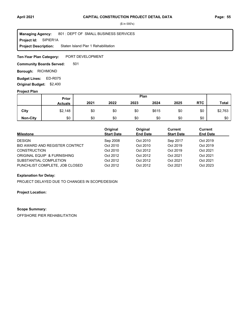**Project Id: SIPIER1A** 801 : DEPT OF SMALL BUSINESS SERVICES Staten Island Pier 1 Rehabilitation **Managing Agency: Project Description:** 

PORT DEVELOPMENT **Ten-Year Plan Category:** 

501 **Community Boards Served:** 

**Borough: RICHMOND** 

**Budget Lines: ED-R075 Original Budget:** \$2,400

#### **Project Plan**

|                 | Plan<br>Prior  |      |      |      |       |      |            |              |
|-----------------|----------------|------|------|------|-------|------|------------|--------------|
|                 | <b>Actuals</b> | 2021 | 2022 | 2023 | 2024  | 2025 | <b>RTC</b> | <b>Total</b> |
| City            | \$2,148        | \$0  | \$0  | \$0  | \$615 | \$0  | \$0        | \$2,763      |
| <b>Non-City</b> | \$0            | \$0  | \$0  | \$0  | \$0   | \$0  | \$0        | \$0          |

| Milestone                      | Original<br><b>Start Date</b> | Original<br><b>End Date</b> | Current<br><b>Start Date</b> | <b>Current</b><br><b>End Date</b> |  |
|--------------------------------|-------------------------------|-----------------------------|------------------------------|-----------------------------------|--|
| <b>DESIGN</b>                  | Sep 2008                      | Oct 2010                    | Sep 2017                     | Oct 2019                          |  |
| BID AWARD AND REGISTER CONTRCT | Oct 2010                      | Oct 2010                    | Oct 2019                     | Oct 2019                          |  |
| <b>CONSTRUCTION</b>            | Oct 2010                      | Oct 2012                    | Oct 2019                     | Oct 2021                          |  |
| ORIGINAL EQUIP & FURNISHING    | Oct 2012                      | Oct 2012                    | Oct 2021                     | Oct 2021                          |  |
| SUBSTANTIAL COMPLETION         | Oct 2012                      | Oct 2012                    | Oct 2021                     | Oct 2021                          |  |
| PUNCHLIST COMPLETE, JOB CLOSED | Oct 2012                      | Oct 2012                    | Oct 2021                     | Oct 2023                          |  |

## **Explanation for Delay:**

PROJECT DELAYED DUE TO CHANGES IN SCOPE/DESIGN

**Project Location:**

#### **Scope Summary:**

OFFSHORE PIER REHABILITATION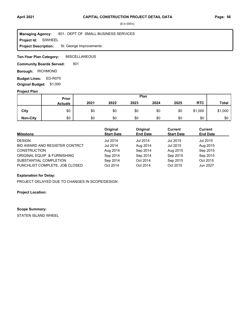**Project Id: SIWHEEL** 801 : DEPT OF SMALL BUSINESS SERVICES St. George Improvements **Managing Agency: Project Description:** 

**MISCELLANEOUS Ten-Year Plan Category:** 

501 **Community Boards Served:** 

**Borough: RICHMOND** 

**Budget Lines: ED-R075 Original Budget:** \$1,000

#### **Project Plan**

|                 | Prior          |      |      |      | Plan |      |            |              |
|-----------------|----------------|------|------|------|------|------|------------|--------------|
|                 | <b>Actuals</b> | 2021 | 2022 | 2023 | 2024 | 2025 | <b>RTC</b> | <b>Total</b> |
| City            | \$0            | \$0  | \$0  | \$0  | \$0  | \$0  | \$1,000    | \$1,000      |
| <b>Non-City</b> | \$0            | \$0  | \$0  | \$0  | \$0  | \$0  | \$0        | \$0          |

| <b>Milestone</b>               | Original<br><b>Start Date</b> | Original<br><b>End Date</b> | Current<br><b>Start Date</b> | <b>Current</b><br><b>End Date</b> |
|--------------------------------|-------------------------------|-----------------------------|------------------------------|-----------------------------------|
| <b>DESIGN</b>                  | <b>Jul 2014</b>               | <b>Jul 2014</b>             | Jul 2015                     | Jul 2015                          |
| BID AWARD AND REGISTER CONTRCT | <b>Jul 2014</b>               | Aug 2014                    | Jul 2015                     | Aug 2015                          |
| <b>CONSTRUCTION</b>            | Aug 2014                      | Sep 2014                    | Aug 2015                     | Sep 2015                          |
| ORIGINAL EQUIP & FURNISHING    | Sep 2014                      | Sep 2014                    | Sep 2015                     | Sep 2015                          |
| SUBSTANTIAL COMPLETION         | Sep 2014                      | Oct 2014                    | Sep 2015                     | Oct 2015                          |
| PUNCHLIST COMPLETE, JOB CLOSED | Oct 2014                      | Oct 2014                    | Oct 2015                     | Jun 2027                          |

## **Explanation for Delay:**

PROJECT DELAYED DUE TO CHANGES IN SCOPE/DESIGN

**Project Location:**

#### **Scope Summary:**

STATEN ISLAND WHEEL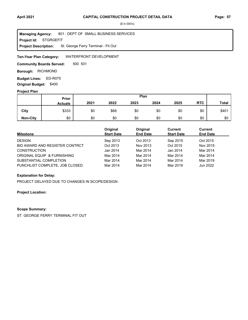**Project Id: STGRGEFIT** 801 : DEPT OF SMALL BUSINESS SERVICES St. George Ferry Terminal - Fit Out **Managing Agency: Project Description:** 

WATERFRONT DEVELOPMENT **Ten-Year Plan Category:** 

500 501 **Community Boards Served:** 

**Borough: RICHMOND** 

**Budget Lines: ED-R075 Original Budget:** \$400

## **Project Plan**

|                 | Plan<br>Prior  |      |      |      |      |      |            |              |
|-----------------|----------------|------|------|------|------|------|------------|--------------|
|                 | <b>Actuals</b> | 2021 | 2022 | 2023 | 2024 | 2025 | <b>RTC</b> | <b>Total</b> |
| City            | \$333          | \$0  | \$68 | \$0  | \$0  | \$0  | \$0        | \$401        |
| <b>Non-City</b> | \$0            | \$0  | \$0  | \$0  | \$0  | \$0  | \$0        | \$0          |

| <b>Milestone</b>               | Original<br><b>Start Date</b> | Original<br><b>End Date</b> | Current<br><b>Start Date</b> | Current<br><b>End Date</b> |  |
|--------------------------------|-------------------------------|-----------------------------|------------------------------|----------------------------|--|
| <b>DESIGN</b>                  | Sep 2013                      | Oct 2013                    | Sep 2015                     | Oct 2015                   |  |
| BID AWARD AND REGISTER CONTRCT | Oct 2013                      | Nov 2013                    | Oct 2015                     | Nov 2015                   |  |
| <b>CONSTRUCTION</b>            | Jan 2014                      | Mar 2014                    | Jan 2014                     | Mar 2014                   |  |
| ORIGINAL EQUIP & FURNISHING    | Mar 2014                      | Mar 2014                    | Mar 2014                     | Mar 2014                   |  |
| SUBSTANTIAL COMPLETION         | Mar 2014                      | Mar 2014                    | Mar 2014                     | Mar 2019                   |  |
| PUNCHLIST COMPLETE, JOB CLOSED | Mar 2014                      | Mar 2014                    | Mar 2019                     | Jun 2022                   |  |

## **Explanation for Delay:**

PROJECT DELAYED DUE TO CHANGES IN SCOPE/DESIGN

## **Project Location:**

## **Scope Summary:**

ST. GEORGE FERRY TERMINAL FIT OUT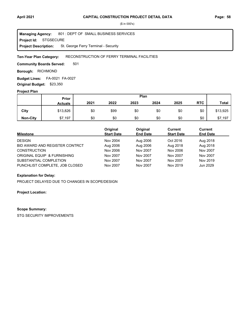**Project Id: STGSECURE** 801 : DEPT OF SMALL BUSINESS SERVICES St. George Ferry Terminal - Security **Managing Agency: Project Description:** 

#### RECONSTRUCTION OF FERRY TERMINAL FACILITIES **Ten-Year Plan Category:**

501 **Community Boards Served:** 

**Borough: RICHMOND** 

FA-0021 FA-0027 **Budget Lines: Original Budget:** \$23,350

#### **Project Plan**

|                 | Plan<br><b>Prior</b> |      |      |      |      |      |            |              |
|-----------------|----------------------|------|------|------|------|------|------------|--------------|
|                 | <b>Actuals</b>       | 2021 | 2022 | 2023 | 2024 | 2025 | <b>RTC</b> | <b>Total</b> |
| City            | \$13,826             | \$0  | \$99 | \$0  | \$0  | \$0  | \$0        | \$13,925     |
| <b>Non-City</b> | \$7,197              | \$0  | \$0  | \$0  | \$0  | \$0  | \$0        | \$7,197      |

| <b>Milestone</b>               | Original<br><b>Start Date</b> | Original<br><b>End Date</b> | Current<br><b>Start Date</b> | <b>Current</b><br><b>End Date</b> |
|--------------------------------|-------------------------------|-----------------------------|------------------------------|-----------------------------------|
| <b>DESIGN</b>                  |                               |                             |                              |                                   |
|                                | Nov 2004                      | Aug 2006                    | Oct 2016                     | Aug 2018                          |
| BID AWARD AND REGISTER CONTRCT | Aug 2006                      | Aug 2006                    | Aug 2018                     | Aug 2018                          |
| <b>CONSTRUCTION</b>            | Nov 2006                      | Nov 2007                    | Nov 2006                     | Nov 2007                          |
| ORIGINAL EQUIP & FURNISHING    | Nov 2007                      | Nov 2007                    | Nov 2007                     | Nov 2007                          |
| SUBSTANTIAL COMPLETION         | Nov 2007                      | Nov 2007                    | Nov 2007                     | Nov 2019                          |
| PUNCHLIST COMPLETE, JOB CLOSED | Nov 2007                      | Nov 2007                    | Nov 2019                     | Jun 2029                          |

## **Explanation for Delay:**

PROJECT DELAYED DUE TO CHANGES IN SCOPE/DESIGN

**Project Location:**

#### **Scope Summary:**

STG SECURITY IMPROVEMENTS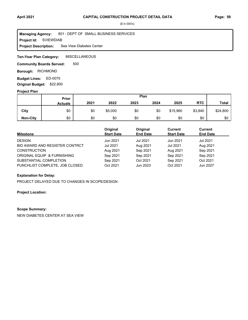#### **Project Id: SVIEWDIAB** 801 : DEPT OF SMALL BUSINESS SERVICES Sea View Diabetes Center **Managing Agency: Project Description:**

**MISCELLANEOUS Ten-Year Plan Category:** 

500 **Community Boards Served:** 

**Borough: RICHMOND** 

ED-0075 **Budget Lines: Original Budget:** \$22,800

#### **Project Plan**

|                 | Plan<br><b>Prior</b> |      |         |      |      |          |            |              |
|-----------------|----------------------|------|---------|------|------|----------|------------|--------------|
|                 | <b>Actuals</b>       | 2021 | 2022    | 2023 | 2024 | 2025     | <b>RTC</b> | <b>Total</b> |
| City            | \$0                  | \$0  | \$5,000 | \$0  | \$0  | \$15,960 | \$3,840    | \$24,800     |
| <b>Non-City</b> | \$0                  | \$0  | \$0     | \$0  | \$0  | \$0      | \$0        | \$0          |

| <b>Milestone</b>               | Original<br><b>Start Date</b> | Original<br><b>End Date</b> | Current<br><b>Start Date</b> | <b>Current</b><br><b>End Date</b> |
|--------------------------------|-------------------------------|-----------------------------|------------------------------|-----------------------------------|
| <b>DESIGN</b>                  | Jun 2021                      | Jul 2021                    | Jun 2021                     | Jul 2021                          |
| BID AWARD AND REGISTER CONTRCT | <b>Jul 2021</b>               | Aug 2021                    | Jul 2021                     | Aug 2021                          |
| <b>CONSTRUCTION</b>            | Aug 2021                      | Sep 2021                    | Aug 2021                     | Sep 2021                          |
| ORIGINAL EQUIP & FURNISHING    | Sep 2021                      | Sep 2021                    | Sep 2021                     | Sep 2021                          |
| SUBSTANTIAL COMPLETION         | Sep 2021                      | Oct 2021                    | Sep 2021                     | Oct 2021                          |
| PUNCHLIST COMPLETE, JOB CLOSED | Oct 2021                      | Jun 2023                    | Oct 2021                     | Jun 2027                          |

## **Explanation for Delay:**

PROJECT DELAYED DUE TO CHANGES IN SCOPE/DESIGN

## **Project Location:**

## **Scope Summary:**

NEW DIABETES CENTER AT SEA VIEW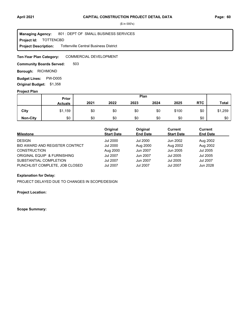**Project Id: FOTTENCBD** 801 : DEPT OF SMALL BUSINESS SERVICES Tottenville Central Business District **Managing Agency: Project Description:** 

COMMERCIAL DEVELOPMENT **Ten-Year Plan Category:** 

503 **Community Boards Served:** 

**Borough: RICHMOND** 

**Budget Lines: PW-D005 Original Budget:** \$1,358

#### **Project Plan**

|                 | Plan<br>Prior  |      |      |      |      |       |            |              |
|-----------------|----------------|------|------|------|------|-------|------------|--------------|
|                 | <b>Actuals</b> | 2021 | 2022 | 2023 | 2024 | 2025  | <b>RTC</b> | <b>Total</b> |
| City            | \$1,159        | \$0  | \$0  | \$0  | \$0  | \$100 | \$0        | \$1,259      |
| <b>Non-City</b> | \$0            | \$0  | \$0  | \$0  | \$0  | \$0   | \$0        | \$0          |

| <b>Milestone</b>               | Original<br><b>Start Date</b> | Original<br><b>End Date</b> | Current<br><b>Start Date</b> | <b>Current</b><br><b>End Date</b> |  |
|--------------------------------|-------------------------------|-----------------------------|------------------------------|-----------------------------------|--|
| <b>DESIGN</b>                  | Jul 2000                      | Jul 2000                    | Jun 2002                     | Aug 2002                          |  |
| BID AWARD AND REGISTER CONTRCT | Jul 2000                      | Aug 2000                    | Aug 2002                     | Aug 2002                          |  |
| <b>CONSTRUCTION</b>            | Aug 2000                      | Jun 2007                    | Jun 2005                     | Jul 2005                          |  |
| ORIGINAL EQUIP & FURNISHING    | <b>Jul 2007</b>               | Jun 2007                    | <b>Jul 2005</b>              | Jul 2005                          |  |
| SUBSTANTIAL COMPLETION         | <b>Jul 2007</b>               | Jun 2007                    | <b>Jul 2005</b>              | <b>Jul 2007</b>                   |  |
| PUNCHLIST COMPLETE, JOB CLOSED | <b>Jul 2007</b>               | Jul 2007                    | <b>Jul 2007</b>              | Jun 2028                          |  |

## **Explanation for Delay:**

PROJECT DELAYED DUE TO CHANGES IN SCOPE/DESIGN

**Project Location:**

**Scope Summary:**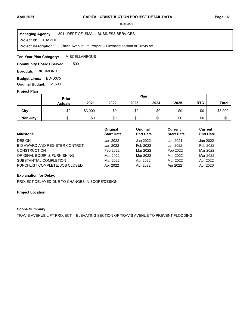**Project Id: TRAVLIFT** 801 : DEPT OF SMALL BUSINESS SERVICES Travis Avenue Lift Project -- Elevating section of Travis Av **Managing Agency: Project Description:** 

**MISCELLANEOUS Ten-Year Plan Category:** 

500 **Community Boards Served:** 

**Borough: RICHMOND** 

**Budget Lines: ED-D075 Original Budget:** \$1,500

## **Project Plan**

|                 |                | Plan<br><b>Prior</b> |      |      |      |      |            |              |
|-----------------|----------------|----------------------|------|------|------|------|------------|--------------|
|                 | <b>Actuals</b> | 2021                 | 2022 | 2023 | 2024 | 2025 | <b>RTC</b> | <b>Total</b> |
| City            | \$0            | \$3,000              | \$0  | \$0  | \$0  | \$0  | \$0        | \$3,000      |
| <b>Non-City</b> | \$0            | \$0                  | \$0  | \$0  | \$0  | \$0  | \$0        | \$0          |

| <b>Milestone</b>               | Original<br><b>Start Date</b> | Original<br><b>End Date</b> | Current<br><b>Start Date</b> | <b>Current</b><br><b>End Date</b> |
|--------------------------------|-------------------------------|-----------------------------|------------------------------|-----------------------------------|
| <b>DESIGN</b>                  | Jan 2022                      | Jan 2022                    | Jan 2021                     | Jan 2022                          |
| BID AWARD AND REGISTER CONTRCT | Jan 2022                      | Feb 2022                    | Jan 2022                     | Feb 2022                          |
| <b>CONSTRUCTION</b>            | Feb 2022                      | Mar 2022                    | Feb 2022                     | Mar 2022                          |
| ORIGINAL EQUIP & FURNISHING    | Mar 2022                      | Mar 2022                    | Mar 2022                     | Mar 2022                          |
| SUBSTANTIAL COMPLETION         | Mar 2022                      | Apr 2022                    | Mar 2022                     | Apr 2022                          |
| PUNCHLIST COMPLETE, JOB CLOSED | Apr 2022                      | Apr 2022                    | Apr 2022                     | Apr 2026                          |

# **Explanation for Delay:**

PROJECT DELAYED DUE TO CHANGES IN SCOPE/DESIGN

# **Project Location:**

# **Scope Summary:**

TRAVIS AVENUE LIFT PROJECT -- ELEVATING SECTION OF TRAVIS AVENUE TO PREVENT FLOODING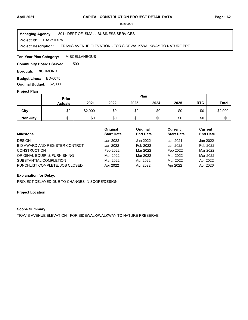#### **Project Id: TRAVSIDEW** 801 : DEPT OF SMALL BUSINESS SERVICES TRAVIS AVENUE ELEVATION - FOR SIDEWALK/WALKWAY TO NATURE PRE **Managing Agency: Project Description:**

**MISCELLANEOUS Ten-Year Plan Category:** 

500 **Community Boards Served:** 

**Borough: RICHMOND** 

Budget Lines: ED-0075 **Original Budget:** \$2,000

## **Project Plan**

|                 |                | Plan<br>Prior |      |      |      |      |            |              |
|-----------------|----------------|---------------|------|------|------|------|------------|--------------|
|                 | <b>Actuals</b> | 2021          | 2022 | 2023 | 2024 | 2025 | <b>RTC</b> | <b>Total</b> |
| City            | \$0            | \$2,000       | \$0  | \$0  | \$0  | \$0  | \$0        | \$2,000      |
| <b>Non-City</b> | \$0            | \$0           | \$0  | \$0  | \$0  | \$0  | \$0        | \$0          |

| <b>Milestone</b>               | Original<br><b>Start Date</b> | Original<br><b>End Date</b> | Current<br><b>Start Date</b> | <b>Current</b><br><b>End Date</b> |
|--------------------------------|-------------------------------|-----------------------------|------------------------------|-----------------------------------|
| <b>DESIGN</b>                  | Jan 2022                      | Jan 2022                    | Jan 2021                     | Jan 2022                          |
| BID AWARD AND REGISTER CONTRCT | Jan 2022                      | Feb 2022                    | Jan 2022                     | Feb 2022                          |
| <b>CONSTRUCTION</b>            | Feb 2022                      | Mar 2022                    | Feb 2022                     | Mar 2022                          |
| ORIGINAL EQUIP & FURNISHING    | Mar 2022                      | Mar 2022                    | Mar 2022                     | Mar 2022                          |
| SUBSTANTIAL COMPLETION         | Mar 2022                      | Apr 2022                    | Mar 2022                     | Apr 2022                          |
| PUNCHLIST COMPLETE, JOB CLOSED | Apr 2022                      | Apr 2022                    | Apr 2022                     | Apr 2026                          |

# **Explanation for Delay:**

PROJECT DELAYED DUE TO CHANGES IN SCOPE/DESIGN

# **Project Location:**

# **Scope Summary:**

TRAVIS AVENUE ELEVATION - FOR SIDEWALK/WALKWAY TO NATURE PRESERVE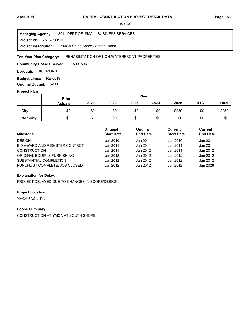**Project Id: YMCASOSH** 801 : DEPT OF SMALL BUSINESS SERVICES YMCA South Shore - Staten Island **Managing Agency: Project Description:** 

#### REHABILITATION OF NON-WATERFRONT PROPERTIES **Ten-Year Plan Category:**

500 503 **Community Boards Served:** 

**Borough: RICHMOND** 

**Budget Lines: RE-0019 Original Budget:** \$290

#### **Project Plan**

|                 |                | Plan<br>Prior |      |      |      |       |            |              |
|-----------------|----------------|---------------|------|------|------|-------|------------|--------------|
|                 | <b>Actuals</b> | 2021          | 2022 | 2023 | 2024 | 2025  | <b>RTC</b> | <b>Total</b> |
| City            | \$0            | \$0           | \$0  | \$0  | \$0  | \$250 | \$0        | \$250        |
| <b>Non-City</b> | \$0            | \$0           | \$0  | \$0  | \$0  | \$0   | \$0        | \$0          |

| <b>Milestone</b>               | Original<br><b>Start Date</b> | Original<br><b>End Date</b> | Current<br><b>Start Date</b> | <b>Current</b><br><b>End Date</b> |
|--------------------------------|-------------------------------|-----------------------------|------------------------------|-----------------------------------|
| <b>DESIGN</b>                  | Jan 2010                      | Jan 2011                    | Jan 2010                     | Jan 2011                          |
| BID AWARD AND REGISTER CONTRCT | Jan 2011                      | Jan 2011                    | Jan 2011                     | Jan 2011                          |
| <b>CONSTRUCTION</b>            | Jan 2011                      | Jan 2012                    | Jan 2011                     | Jan 2012                          |
| ORIGINAL EQUIP & FURNISHING    | Jan 2012                      | Jan 2012                    | Jan 2012                     | Jan 2012                          |
| SUBSTANTIAL COMPLETION         | Jan 2012                      | Jan 2012                    | Jan 2012                     | Jan 2012                          |
| PUNCHLIST COMPLETE, JOB CLOSED | Jan 2012                      | Jan 2012                    | Jan 2012                     | Jun 2026                          |

# **Explanation for Delay:**

PROJECT DELAYED DUE TO CHANGES IN SCOPE/DESIGN

# **Project Location:**

YMCA FACILITY.

#### **Scope Summary:**

CONSTRUCTION AT YMCA AT SOUTH SHORE.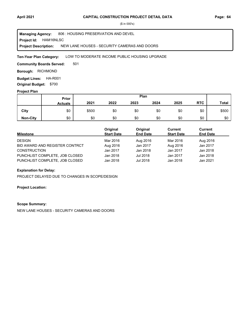**Project Id: HAM16NLSC** 806 : HOUSING PRESERVATION AND DEVEL NEW LANE HOUSES - SECURITY CAMERAS AND DOORS **Managing Agency: Project Description:** 

#### LOW TO MODERATE INCOME PUBLIC HOUSING UPGRADE **Ten-Year Plan Category:**

501 **Community Boards Served:** 

**Borough: RICHMOND** 

**Budget Lines: HA-R001 Original Budget:** \$700

## **Project Plan**

|                 | Plan<br>Prior  |       |      |      |      |      |            |              |
|-----------------|----------------|-------|------|------|------|------|------------|--------------|
|                 | <b>Actuals</b> | 2021  | 2022 | 2023 | 2024 | 2025 | <b>RTC</b> | <b>Total</b> |
| City            | \$0            | \$500 | \$0  | \$0  | \$0  | \$0  | \$0        | \$500        |
| <b>Non-City</b> | \$0            | \$0   | \$0  | \$0  | \$0  | \$0  | \$0        | \$0          |

| Milestone                      | Original<br><b>Start Date</b> | Original<br><b>End Date</b> | Current<br><b>Start Date</b> | Current<br><b>End Date</b> |
|--------------------------------|-------------------------------|-----------------------------|------------------------------|----------------------------|
| <b>DESIGN</b>                  | Mar 2016                      | Aug 2016                    | Mar 2016                     | Aug 2016                   |
| BID AWARD AND REGISTER CONTRCT | Aug 2016                      | Jan 2017                    | Aug 2016                     | Jan 2017                   |
| <b>CONSTRUCTION</b>            | Jan 2017                      | Jan 2018                    | Jan 2017                     | Jan 2018                   |
| PUNCHLIST COMPLETE, JOB CLOSED | Jan 2018                      | Jul 2018                    | Jan 2017                     | Jan 2018                   |
| PUNCHLIST COMPLETE, JOB CLOSED | Jan 2018                      | Jul 2018                    | Jan 2018                     | Jan 2021                   |

## **Explanation for Delay:**

PROJECT DELAYED DUE TO CHANGES IN SCOPE/DESIGN

#### **Project Location:**

#### **Scope Summary:**

NEW LANE HOUSES - SECURITY CAMERAS AND DOORS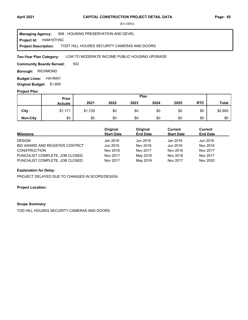**Project Id: HAM16THSC** 806 : HOUSING PRESERVATION AND DEVEL TODT HILL HOUSES SECURITY CAMERAS AND DOORS **Managing Agency: Project Description:** 

LOW TO MODERATE INCOME PUBLIC HOUSING UPGRADE **Ten-Year Plan Category:** 

502 **Community Boards Served:** 

**Borough: RICHMOND** 

**Budget Lines: HA-R001 Original Budget:** \$1,800

## **Project Plan**

|                 |                | Plan<br>Prior |      |      |      |      |            |              |
|-----------------|----------------|---------------|------|------|------|------|------------|--------------|
|                 | <b>Actuals</b> | 2021          | 2022 | 2023 | 2024 | 2025 | <b>RTC</b> | <b>Total</b> |
| City            | \$1,171        | \$1,729       | \$0  | \$0  | \$0  | \$0  | \$0        | \$2,900      |
| <b>Non-City</b> | \$0            | \$0           | \$0  | \$0  | \$0  | \$0  | \$0        | \$0          |

| Milestone                      | Original<br><b>Start Date</b> | Original<br><b>End Date</b> | Current<br><b>Start Date</b> | Current<br><b>End Date</b> |
|--------------------------------|-------------------------------|-----------------------------|------------------------------|----------------------------|
| <b>DESIGN</b>                  | Jan 2016                      | Jun 2016                    | Jan 2016                     | Jun 2016                   |
| BID AWARD AND REGISTER CONTRCT | Jun 2016                      | Nov 2016                    | Jun 2016                     | Nov 2016                   |
| <b>CONSTRUCTION</b>            | Nov 2016                      | Nov 2017                    | Nov 2016                     | Nov 2017                   |
| PUNCHLIST COMPLETE, JOB CLOSED | Nov 2017                      | May 2018                    | Nov 2016                     | Nov 2017                   |
| PUNCHLIST COMPLETE, JOB CLOSED | Nov 2017                      | May 2018                    | Nov 2017                     | Nov 2020                   |

## **Explanation for Delay:**

PROJECT DELAYED DUE TO CHANGES IN SCOPE/DESIGN

#### **Project Location:**

#### **Scope Summary:**

TOD HILL HOUSES SECURITY CAMERAS AND DOORS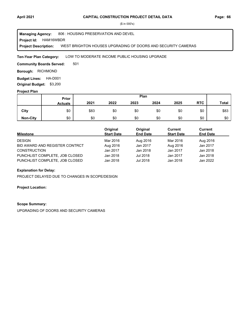#### **Project Id: HAM16WBDR** 806 : HOUSING PRESERVATION AND DEVEL WEST BRIGHTON HOUSES UPGRADING OF DOORS AND SECURITY CAMERAS **Managing Agency: Project Description:**

#### LOW TO MODERATE INCOME PUBLIC HOUSING UPGRADE **Ten-Year Plan Category:**

501 **Community Boards Served:** 

**Borough: RICHMOND** 

**Budget Lines: HA-D001 Original Budget:** \$3,200

#### **Project Plan**

|                 | Plan<br>Prior  |      |      |      |      |      |            |              |
|-----------------|----------------|------|------|------|------|------|------------|--------------|
|                 | <b>Actuals</b> | 2021 | 2022 | 2023 | 2024 | 2025 | <b>RTC</b> | <b>Total</b> |
| City            | \$0            | \$83 | \$0  | \$0  | \$0  | \$0  | \$0        | \$83         |
| <b>Non-City</b> | \$0            | \$0  | \$0  | \$0  | \$0  | \$0  | \$0        | \$0          |

| Milestone                      | Original<br><b>Start Date</b> | Original<br><b>End Date</b> | Current<br><b>Start Date</b> | Current<br><b>End Date</b> |
|--------------------------------|-------------------------------|-----------------------------|------------------------------|----------------------------|
| <b>DESIGN</b>                  | Mar 2016                      | Aug 2016                    | Mar 2016                     | Aug 2016                   |
| BID AWARD AND REGISTER CONTRCT | Aug 2016                      | Jan 2017                    | Aug 2016                     | Jan 2017                   |
| <b>CONSTRUCTION</b>            | Jan 2017                      | Jan 2018                    | Jan 2017                     | Jan 2018                   |
| PUNCHLIST COMPLETE, JOB CLOSED | Jan 2018                      | Jul 2018                    | Jan 2017                     | Jan 2018                   |
| PUNCHLIST COMPLETE, JOB CLOSED | Jan 2018                      | Jul 2018                    | Jan 2018                     | Jan 2022                   |

## **Explanation for Delay:**

PROJECT DELAYED DUE TO CHANGES IN SCOPE/DESIGN

#### **Project Location:**

#### **Scope Summary:**

UPGRADING OF DOORS AND SECURITY CAMERAS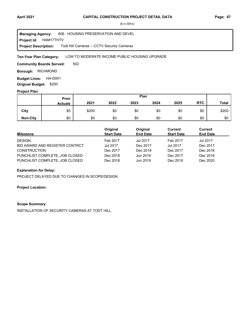**Project Id: HAM17THTV** 806 : HOUSING PRESERVATION AND DEVEL Todt Hill Cameras -- CCTV Security Cameras **Managing Agency: Project Description:** 

#### LOW TO MODERATE INCOME PUBLIC HOUSING UPGRADE **Ten-Year Plan Category:**

502 **Community Boards Served:** 

**Borough: RICHMOND** 

**Budget Lines: HA-D001 Original Budget:** \$200

#### **Project Plan**

|                 |                | Plan<br>Prior |      |      |      |      |            |              |
|-----------------|----------------|---------------|------|------|------|------|------------|--------------|
|                 | <b>Actuals</b> | 2021          | 2022 | 2023 | 2024 | 2025 | <b>RTC</b> | <b>Total</b> |
| City            | \$0            | \$200         | \$0  | \$0  | \$0  | \$0  | \$0        | \$200        |
| <b>Non-City</b> | \$0            | \$0           | \$0  | \$0  | \$0  | \$0  | \$0        | \$0          |

| <b>Milestone</b>               | Original<br><b>Start Date</b> | Original<br><b>End Date</b> | Current<br><b>Start Date</b> | Current<br><b>End Date</b> |
|--------------------------------|-------------------------------|-----------------------------|------------------------------|----------------------------|
| <b>DESIGN</b>                  | Feb 2017                      | <b>Jul 2017</b>             | Feb 2017                     | <b>Jul 2017</b>            |
| BID AWARD AND REGISTER CONTRCT | <b>Jul 2017</b>               | Dec 2017                    | <b>Jul 2017</b>              | Dec 2017                   |
| <b>CONSTRUCTION</b>            | Dec 2017                      | Dec 2018                    | Dec 2017                     | Dec 2018                   |
| PUNCHLIST COMPLETE, JOB CLOSED | Dec 2018                      | Jun 2019                    | Dec 2017                     | Dec 2018                   |
| PUNCHLIST COMPLETE, JOB CLOSED | Dec 2018                      | Jun 2019                    | Dec 2018                     | Dec 2020                   |

#### **Explanation for Delay:**

PROJECT DELAYED DUE TO CHANGES IN SCOPE/DESIGN

#### **Project Location:**

#### **Scope Summary:**

INSTALLATION OF SECURITY CAMERAS AT TODT HILL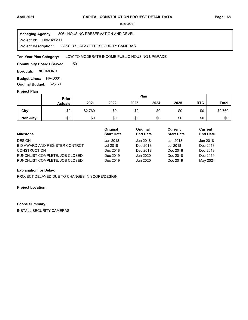**Project Id: HAM18CSLF** 806 : HOUSING PRESERVATION AND DEVEL CASSIDY LAFAYETTE SECURITY CAMERAS **Managing Agency: Project Description:** 

#### LOW TO MODERATE INCOME PUBLIC HOUSING UPGRADE **Ten-Year Plan Category:**

501 **Community Boards Served:** 

**Borough: RICHMOND** 

**Budget Lines: HA-D001 Original Budget:** \$2,760

#### **Project Plan**

|                 |                | Plan<br>Prior |      |      |      |      |            |         |
|-----------------|----------------|---------------|------|------|------|------|------------|---------|
|                 | <b>Actuals</b> | 2021          | 2022 | 2023 | 2024 | 2025 | <b>RTC</b> | Total   |
| City            | \$0            | \$2,760       | \$0  | \$0  | \$0  | \$0  | \$0        | \$2,760 |
| <b>Non-City</b> | \$0            | \$0           | \$0  | \$0  | \$0  | \$0  | \$0        | \$0     |

| <b>Milestone</b>               | Original<br><b>Start Date</b> | Original<br><b>End Date</b> | Current<br><b>Start Date</b> | Current<br><b>End Date</b> |
|--------------------------------|-------------------------------|-----------------------------|------------------------------|----------------------------|
| <b>DESIGN</b>                  | Jan 2018                      | Jun 2018                    | Jan 2018                     | Jun 2018                   |
| BID AWARD AND REGISTER CONTRCT | Jul 2018                      | Dec 2018                    | Jul 2018                     | Dec 2018                   |
| <b>CONSTRUCTION</b>            | Dec 2018                      | Dec 2019                    | Dec 2018                     | Dec 2019                   |
| PUNCHLIST COMPLETE, JOB CLOSED | Dec 2019                      | Jun 2020                    | Dec 2018                     | Dec 2019                   |
| PUNCHLIST COMPLETE, JOB CLOSED | Dec 2019                      | Jun 2020                    | Dec 2019                     | May 2021                   |

## **Explanation for Delay:**

PROJECT DELAYED DUE TO CHANGES IN SCOPE/DESIGN

#### **Project Location:**

#### **Scope Summary:**

INSTALL SECURITY CAMERAS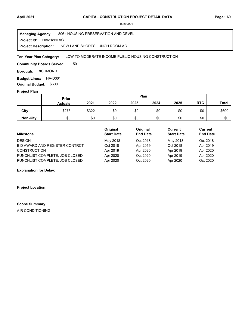**Project Id: HAM18NLAC** 806 : HOUSING PRESERVATION AND DEVEL NEW LANE SHORES LUNCH ROOM AC **Managing Agency: Project Description:** 

LOW TO MODERATE INCOME PUBLIC HOUSING CONSTRUCTION **Ten-Year Plan Category:** 

501 **Community Boards Served:** 

**Borough: RICHMOND** 

**Budget Lines: HA-D001 Original Budget:** \$600

## **Project Plan**

|                 |                | Plan<br>Prior |      |      |      |      |            |              |
|-----------------|----------------|---------------|------|------|------|------|------------|--------------|
|                 | <b>Actuals</b> | 2021          | 2022 | 2023 | 2024 | 2025 | <b>RTC</b> | <b>Total</b> |
| City            | \$278          | \$322         | \$0  | \$0  | \$0  | \$0  | \$0        | \$600        |
| <b>Non-City</b> | \$0            | \$0           | \$0  | \$0  | \$0  | \$0  | \$0        | \$0          |

| <b>Milestone</b>               | Original<br><b>Start Date</b> | Original<br><b>End Date</b> | Current<br><b>Start Date</b> | Current<br><b>End Date</b> |
|--------------------------------|-------------------------------|-----------------------------|------------------------------|----------------------------|
| <b>DESIGN</b>                  | May 2018                      | Oct 2018                    | May 2018                     | Oct 2018                   |
| BID AWARD AND REGISTER CONTRCT | Oct 2018                      | Apr 2019                    | Oct 2018                     | Apr 2019                   |
| <b>CONSTRUCTION</b>            | Apr 2019                      | Apr 2020                    | Apr 2019                     | Apr 2020                   |
| PUNCHLIST COMPLETE, JOB CLOSED | Apr 2020                      | Oct 2020                    | Apr 2019                     | Apr 2020                   |
| PUNCHLIST COMPLETE, JOB CLOSED | Apr 2020                      | Oct 2020                    | Apr 2020                     | Oct 2020                   |

## **Explanation for Delay:**

**Project Location:**

#### **Scope Summary:**

AIR CONDITIONING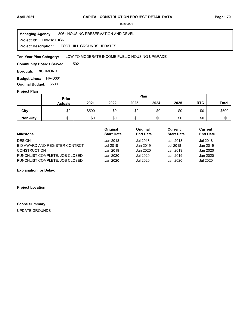**Project Id: HAM18THGR** 806 : HOUSING PRESERVATION AND DEVEL TODT HILL GROUNDS UPDATES **Managing Agency: Project Description:** 

#### LOW TO MODERATE INCOME PUBLIC HOUSING UPGRADE **Ten-Year Plan Category:**

502 **Community Boards Served:** 

**Borough: RICHMOND** 

**Budget Lines: HA-D001 Original Budget:** \$500

#### **Project Plan**

|                 |                | Plan<br>Prior |      |      |      |      |            |       |
|-----------------|----------------|---------------|------|------|------|------|------------|-------|
|                 | <b>Actuals</b> | 2021          | 2022 | 2023 | 2024 | 2025 | <b>RTC</b> | Total |
| City            | \$0            | \$500         | \$0  | \$0  | \$0  | \$0  | \$0        | \$500 |
| <b>Non-City</b> | \$0            | \$0           | \$0  | \$0  | \$0  | \$0  | \$0        | \$0   |

| <b>Milestone</b>               | Original<br><b>Start Date</b> | Original<br><b>End Date</b> | Current<br><b>Start Date</b> | Current<br><b>End Date</b> |
|--------------------------------|-------------------------------|-----------------------------|------------------------------|----------------------------|
| <b>DESIGN</b>                  | Jan 2018                      | Jul 2018                    | Jan 2018                     | Jul 2018                   |
| BID AWARD AND REGISTER CONTRCT | Jul 2018                      | Jan 2019                    | Jul 2018                     | Jan 2019                   |
| <b>CONSTRUCTION</b>            | Jan 2019                      | Jan 2020                    | Jan 2019                     | Jan 2020                   |
| PUNCHLIST COMPLETE, JOB CLOSED | Jan 2020                      | Jul 2020                    | Jan 2019                     | Jan 2020                   |
| PUNCHLIST COMPLETE, JOB CLOSED | Jan 2020                      | Jul 2020                    | Jan 2020                     | <b>Jul 2020</b>            |

#### **Explanation for Delay:**

**Project Location:**

# **Scope Summary:**

UPDATE GROUNDS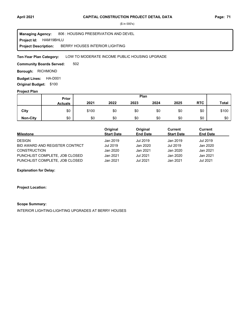**Project Id: HAM19BHLU** 806 : HOUSING PRESERVATION AND DEVEL BERRY HOUSES INTERIOR LIGHTING **Managing Agency: Project Description:** 

#### LOW TO MODERATE INCOME PUBLIC HOUSING UPGRADE **Ten-Year Plan Category:**

502 **Community Boards Served:** 

**Borough: RICHMOND** 

**Budget Lines: HA-D001 Original Budget:** \$100

#### **Project Plan**

|                 |                | Plan<br>Prior |      |      |      |      |            |              |
|-----------------|----------------|---------------|------|------|------|------|------------|--------------|
|                 | <b>Actuals</b> | 2021          | 2022 | 2023 | 2024 | 2025 | <b>RTC</b> | <b>Total</b> |
| City            | \$0            | \$100         | \$0  | \$0  | \$0  | \$0  | \$0        | \$100        |
| <b>Non-City</b> | \$0            | \$0           | \$0  | \$0  | \$0  | \$0  | \$0        | \$0          |

| <b>Milestone</b>               | Original<br><b>Start Date</b> | Original<br><b>End Date</b> | Current<br><b>Start Date</b> | Current<br><b>End Date</b> |
|--------------------------------|-------------------------------|-----------------------------|------------------------------|----------------------------|
| <b>DESIGN</b>                  | Jan 2019                      | Jul 2019                    | Jan 2019                     | Jul 2019                   |
| BID AWARD AND REGISTER CONTRCT | Jul 2019                      | Jan 2020                    | Jul 2019                     | Jan 2020                   |
| <b>CONSTRUCTION</b>            | Jan 2020                      | Jan 2021                    | Jan 2020                     | Jan 2021                   |
| PUNCHLIST COMPLETE, JOB CLOSED | Jan 2021                      | Jul 2021                    | Jan 2020                     | Jan 2021                   |
| PUNCHLIST COMPLETE, JOB CLOSED | Jan 2021                      | Jul 2021                    | Jan 2021                     | Jul 2021                   |

## **Explanation for Delay:**

#### **Project Location:**

#### **Scope Summary:**

INTERIOR LIGHTING-LIGHTING UPGRADES AT BERRY HOUSES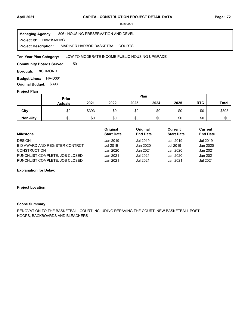**Project Id: HAM19MHBC** 806 : HOUSING PRESERVATION AND DEVEL MARINER HARBOR BASKETBALL COURTS **Managing Agency: Project Description:** 

LOW TO MODERATE INCOME PUBLIC HOUSING UPGRADE **Ten-Year Plan Category:** 

501 **Community Boards Served:** 

**Borough: RICHMOND** 

**Budget Lines: HA-D001 Original Budget:** \$393

## **Project Plan**

|                 |                | Plan<br>Prior |      |      |      |      |            |              |
|-----------------|----------------|---------------|------|------|------|------|------------|--------------|
|                 | <b>Actuals</b> | 2021          | 2022 | 2023 | 2024 | 2025 | <b>RTC</b> | <b>Total</b> |
| City            | \$0            | \$393         | \$0  | \$0  | \$0  | \$0  | \$0        | \$393        |
| <b>Non-City</b> | \$0            | \$0           | \$0  | \$0  | \$0  | \$0  | \$0        | \$0          |

| <b>Milestone</b>               | Original<br><b>Start Date</b> | Original<br><b>End Date</b> | Current<br><b>Start Date</b> | Current<br><b>End Date</b> |
|--------------------------------|-------------------------------|-----------------------------|------------------------------|----------------------------|
| <b>DESIGN</b>                  | Jan 2019                      | Jul 2019                    | Jan 2019                     | Jul 2019                   |
| BID AWARD AND REGISTER CONTRCT | Jul 2019                      | Jan 2020                    | Jul 2019                     | Jan 2020                   |
| <b>CONSTRUCTION</b>            | Jan 2020                      | Jan 2021                    | Jan 2020                     | Jan 2021                   |
| PUNCHLIST COMPLETE, JOB CLOSED | Jan 2021                      | Jul 2021                    | Jan 2020                     | Jan 2021                   |
| PUNCHLIST COMPLETE, JOB CLOSED | Jan 2021                      | Jul 2021                    | Jan 2021                     | Jul 2021                   |

## **Explanation for Delay:**

#### **Project Location:**

# **Scope Summary:**

RENOVATION TO THE BASKETBALL COURT INCLUDING REPAVING THE COURT, NEW BASKETBALL POST, HOOPS, BACKBOARDS AND BLEACHERS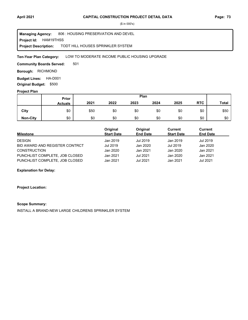**Project Id: HAM19THSS** 806 : HOUSING PRESERVATION AND DEVEL TODT HILL HOUSES SPRINKLER SYSTEM **Managing Agency: Project Description:** 

#### LOW TO MODERATE INCOME PUBLIC HOUSING UPGRADE **Ten-Year Plan Category:**

501 **Community Boards Served:** 

**Borough: RICHMOND** 

**Budget Lines: HA-D001 Original Budget:** \$500

#### **Project Plan**

|                 |                | Plan<br>Prior |      |      |      |      |            |              |
|-----------------|----------------|---------------|------|------|------|------|------------|--------------|
|                 | <b>Actuals</b> | 2021          | 2022 | 2023 | 2024 | 2025 | <b>RTC</b> | <b>Total</b> |
| City            | \$0            | \$50          | \$0  | \$0  | \$0  | \$0  | \$0        | \$50         |
| <b>Non-City</b> | \$0            | \$0           | \$0  | \$0  | \$0  | \$0  | \$0        | \$0          |

| <b>Milestone</b>               | Original<br><b>Start Date</b> | Original<br><b>End Date</b> | Current<br><b>Start Date</b> | Current<br><b>End Date</b> |
|--------------------------------|-------------------------------|-----------------------------|------------------------------|----------------------------|
| <b>DESIGN</b>                  | Jan 2019                      | Jul 2019                    | Jan 2019                     | Jul 2019                   |
| BID AWARD AND REGISTER CONTRCT | Jul 2019                      | Jan 2020                    | Jul 2019                     | Jan 2020                   |
| <b>CONSTRUCTION</b>            | Jan 2020                      | Jan 2021                    | Jan 2020                     | Jan 2021                   |
| PUNCHLIST COMPLETE, JOB CLOSED | Jan 2021                      | Jul 2021                    | Jan 2020                     | Jan 2021                   |
| PUNCHLIST COMPLETE, JOB CLOSED | Jan 2021                      | Jul 2021                    | Jan 2021                     | Jul 2021                   |

## **Explanation for Delay:**

#### **Project Location:**

#### **Scope Summary:**

INSTALL A BRAND-NEW LARGE CHILDRENS SPRINKLER SYSTEM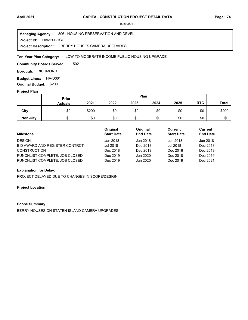**Project Id: HAM20BHCC** 806 : HOUSING PRESERVATION AND DEVEL BERRY HOUSES CAMERA UPGRADES **Managing Agency: Project Description:** 

#### LOW TO MODERATE INCOME PUBLIC HOUSING UPGRADE **Ten-Year Plan Category:**

502 **Community Boards Served:** 

**Borough: RICHMOND** 

**Budget Lines: HA-D001 Original Budget:** \$200

#### **Project Plan**

|                 |                | Plan<br>Prior |      |      |      |      |            |              |
|-----------------|----------------|---------------|------|------|------|------|------------|--------------|
|                 | <b>Actuals</b> | 2021          | 2022 | 2023 | 2024 | 2025 | <b>RTC</b> | <b>Total</b> |
| City            | \$0            | \$200         | \$0  | \$0  | \$0  | \$0  | \$0        | \$200        |
| <b>Non-City</b> | \$0            | \$0           | \$0  | \$0  | \$0  | \$0  | \$0        | \$0          |

| Milestone                      | Original<br><b>Start Date</b> | Original<br><b>End Date</b> | Current<br><b>Start Date</b> | Current<br><b>End Date</b> |
|--------------------------------|-------------------------------|-----------------------------|------------------------------|----------------------------|
| <b>DESIGN</b>                  | Jan 2018                      | Jun 2018                    | Jan 2018                     | Jun 2018                   |
| BID AWARD AND REGISTER CONTRCT | Jul 2018                      | Dec 2018                    | Jul 2018                     | Dec 2018                   |
| <b>CONSTRUCTION</b>            | Dec 2018                      | Dec 2019                    | Dec 2018                     | Dec 2019                   |
| PUNCHLIST COMPLETE, JOB CLOSED | Dec 2019                      | Jun 2020                    | Dec 2018                     | Dec 2019                   |
| PUNCHLIST COMPLETE, JOB CLOSED | Dec 2019                      | Jun 2020                    | Dec 2019                     | Dec 2021                   |

# **Explanation for Delay:**

PROJECT DELAYED DUE TO CHANGES IN SCOPE/DESIGN

#### **Project Location:**

#### **Scope Summary:**

BERRY HOUSES ON STATEN ISLAND CAMERA UPGRADES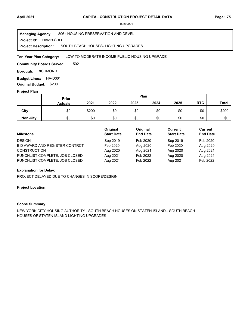**Project Id: HAM20SBLU** 806 : HOUSING PRESERVATION AND DEVEL SOUTH BEACH HOUSES- LIGHTING UPGRADES **Managing Agency: Project Description:** 

#### LOW TO MODERATE INCOME PUBLIC HOUSING UPGRADE **Ten-Year Plan Category:**

502 **Community Boards Served:** 

**Borough: RICHMOND** 

**Budget Lines: HA-D001 Original Budget:** \$200

#### **Project Plan**

|                 |                | Plan<br>Prior |      |      |      |      |            |              |
|-----------------|----------------|---------------|------|------|------|------|------------|--------------|
|                 | <b>Actuals</b> | 2021          | 2022 | 2023 | 2024 | 2025 | <b>RTC</b> | <b>Total</b> |
| City            | \$0            | \$200         | \$0  | \$0  | \$0  | \$0  | \$0        | \$200        |
| <b>Non-City</b> | \$0            | \$0           | \$0  | \$0  | \$0  | \$0  | \$0        | \$0          |

| Milestone                      | Original<br><b>Start Date</b> | Original<br><b>End Date</b> | Current<br><b>Start Date</b> | Current<br><b>End Date</b> |
|--------------------------------|-------------------------------|-----------------------------|------------------------------|----------------------------|
| <b>DESIGN</b>                  | Sep 2019                      | Feb 2020                    | Sep 2019                     | Feb 2020                   |
| BID AWARD AND REGISTER CONTRCT | Feb 2020                      | Aug 2020                    | Feb 2020                     | Aug 2020                   |
| <b>CONSTRUCTION</b>            | Aug 2020                      | Aug 2021                    | Aug 2020                     | Aug 2021                   |
| PUNCHLIST COMPLETE, JOB CLOSED | Aug 2021                      | Feb 2022                    | Aug 2020                     | Aug 2021                   |
| PUNCHLIST COMPLETE, JOB CLOSED | Aug 2021                      | Feb 2022                    | Aug 2021                     | Feb 2022                   |

## **Explanation for Delay:**

PROJECT DELAYED DUE TO CHANGES IN SCOPE/DESIGN

#### **Project Location:**

#### **Scope Summary:**

NEW YORK CITY HOUSING AUTHORITY - SOUTH BEACH HOUSES ON STATEN ISLAND-- SOUTH BEACH HOUSES OF STATEN ISLAND LIGHTING UPGRADES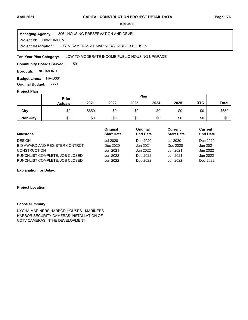**Project Id: HAM21MHTV** 806 : HOUSING PRESERVATION AND DEVEL CCTV CAMERAS AT MARINERS HARBOR HOUSES **Managing Agency: Project Description:** 

#### LOW TO MODERATE INCOME PUBLIC HOUSING UPGRADE **Ten-Year Plan Category:**

501 **Community Boards Served:** 

**Borough: RICHMOND** 

**Budget Lines: HA-D001 Original Budget:** \$650

#### **Project Plan**

|                 |                | Plan<br>Prior |      |      |      |      |            |              |
|-----------------|----------------|---------------|------|------|------|------|------------|--------------|
|                 | <b>Actuals</b> | 2021          | 2022 | 2023 | 2024 | 2025 | <b>RTC</b> | <b>Total</b> |
| City            | \$0            | \$650         | \$0  | \$0  | \$0  | \$0  | \$0        | \$650        |
| <b>Non-City</b> | \$0            | \$0           | \$0  | \$0  | \$0  | \$0  | \$0        | \$0          |

| Milestone                      | Original<br><b>Start Date</b> | Original<br><b>End Date</b> | Current<br><b>Start Date</b> | Current<br><b>End Date</b> |
|--------------------------------|-------------------------------|-----------------------------|------------------------------|----------------------------|
| <b>DESIGN</b>                  | <b>Jul 2020</b>               | Dec 2020                    | <b>Jul 2020</b>              | Dec 2020                   |
| BID AWARD AND REGISTER CONTRCT | Dec 2020                      | Jun 2021                    | Dec 2020                     | Jun 2021                   |
| <b>CONSTRUCTION</b>            | Jun 2021                      | Jun 2022                    | Jun 2021                     | Jun 2022                   |
| PUNCHLIST COMPLETE, JOB CLOSED | Jun 2022                      | Dec 2022                    | Jun 2021                     | Jun 2022                   |
| PUNCHLIST COMPLETE, JOB CLOSED | Jun 2022                      | Dec 2022                    | Jun 2022                     | Dec 2022                   |

## **Explanation for Delay:**

#### **Project Location:**

#### **Scope Summary:**

NYCHA MARINERS HARBOR HOUSES - MARINERS HARBOR SECURITY CAMERAS-INSTALLATION OF CCTV CAMERAS INTHE DEVELOPMENT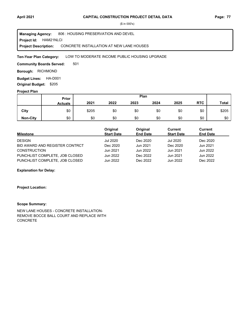**Project Id: HAM21NLCI** 806 : HOUSING PRESERVATION AND DEVEL CONCRETE INSTALLATION AT NEW LANE HOUSES **Managing Agency: Project Description:** 

#### LOW TO MODERATE INCOME PUBLIC HOUSING UPGRADE **Ten-Year Plan Category:**

501 **Community Boards Served:** 

**Borough: RICHMOND** 

**Budget Lines: HA-D001 Original Budget:** \$205

#### **Project Plan**

|                 |                | Plan<br>Prior |      |      |      |      |            |              |
|-----------------|----------------|---------------|------|------|------|------|------------|--------------|
|                 | <b>Actuals</b> | 2021          | 2022 | 2023 | 2024 | 2025 | <b>RTC</b> | <b>Total</b> |
| City            | \$0            | \$205         | \$0  | \$0  | \$0  | \$0  | \$0        | \$205        |
| <b>Non-City</b> | \$0            | \$0           | \$0  | \$0  | \$0  | \$0  | \$0        | \$0          |

| <b>Milestone</b>               | Original<br><b>Start Date</b> | Original<br><b>End Date</b> | Current<br><b>Start Date</b> | <b>Current</b><br><b>End Date</b> |
|--------------------------------|-------------------------------|-----------------------------|------------------------------|-----------------------------------|
| <b>DESIGN</b>                  | Jul 2020                      | Dec 2020                    | <b>Jul 2020</b>              | Dec 2020                          |
| BID AWARD AND REGISTER CONTRCT | Dec 2020                      | Jun 2021                    | Dec 2020                     | Jun 2021                          |
| <b>CONSTRUCTION</b>            | Jun 2021                      | Jun 2022                    | Jun 2021                     | Jun 2022                          |
| PUNCHLIST COMPLETE, JOB CLOSED | Jun 2022                      | Dec 2022                    | Jun 2021                     | Jun 2022                          |
| PUNCHLIST COMPLETE, JOB CLOSED | Jun 2022                      | Dec 2022                    | Jun 2022                     | Dec 2022                          |

## **Explanation for Delay:**

#### **Project Location:**

#### **Scope Summary:**

NEW LANE HOUSES - CONCRETE INSTALLATION-REMOVE BOCCE BALL COURT AND REPLACE WITH CONCRETE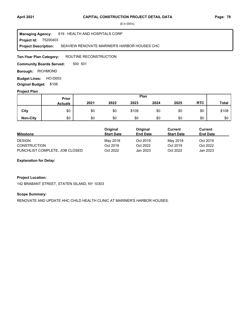75200403 **Project Id:** 819 : HEALTH AND HOSPITALS CORP SEAVIEW RENOVATE MARINER'S HARBOR HOUSES CHC **Managing Agency: Project Description:** 

ROUTINE RECONSTRUCTION **Ten-Year Plan Category:** 

500 501 **Community Boards Served:** 

**Borough: RICHMOND** 

**Budget Lines: HO-D003 Original Budget:** \$108

## **Project Plan**

|                 |                | Plan<br>Prior |      |       |      |      |            |              |
|-----------------|----------------|---------------|------|-------|------|------|------------|--------------|
|                 | <b>Actuals</b> | 2021          | 2022 | 2023  | 2024 | 2025 | <b>RTC</b> | <b>Total</b> |
| City            | \$0            | \$0           | \$0  | \$108 | \$0  | \$0  | \$0        | \$108        |
| <b>Non-City</b> | \$0            | \$0           | \$0  | \$0   | \$0  | \$0  | \$0        | \$0          |

|                                | Original          | Original        | Current           | Current         |
|--------------------------------|-------------------|-----------------|-------------------|-----------------|
| <b>Milestone</b>               | <b>Start Date</b> | <b>End Date</b> | <b>Start Date</b> | <b>End Date</b> |
| <b>DESIGN</b>                  | May 2018          | Oct 2019        | May 2018          | Oct 2019        |
| <b>CONSTRUCTION</b>            | Oct 2019          | Oct 2022        | Oct 2019          | Oct 2022        |
| PUNCHLIST COMPLETE, JOB CLOSED | Oct 2022          | Jan 2023        | Oct 2022          | Jan 2023        |

#### **Explanation for Delay:**

#### **Project Location:**

142 BRABANT STREET, STATEN ISLAND, NY 10303

#### **Scope Summary:**

RENOVATE AND UPDATE HHC CHILD HEALTH CLINIC AT MARINER'S HARBOR HOUSES.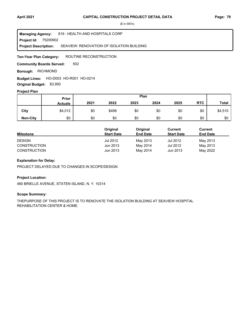75200902 **Project Id:** 819 : HEALTH AND HOSPITALS CORP SEAVIEW: RENOVATION OF ISOLATION BUILDING **Managing Agency: Project Description:** 

ROUTINE RECONSTRUCTION **Ten-Year Plan Category:** 

502 **Community Boards Served:** 

**Borough: RICHMOND** 

**Budget Lines: HO-D003 HO-R001 HO-0214 Original Budget:** \$3,950

#### **Project Plan**

|                 | Plan<br>Prior  |      |       |      |      |      |            |              |
|-----------------|----------------|------|-------|------|------|------|------------|--------------|
|                 | <b>Actuals</b> | 2021 | 2022  | 2023 | 2024 | 2025 | <b>RTC</b> | <b>Total</b> |
| City            | \$4,012        | \$0  | \$498 | \$0  | \$0  | \$0  | \$0        | \$4,510      |
| <b>Non-City</b> | \$0            | \$0  | \$0   | \$0  | \$0  | \$0  | \$0        | \$0          |

|                     | Original          | Original        | Current           | Current         |
|---------------------|-------------------|-----------------|-------------------|-----------------|
| <b>Milestone</b>    | <b>Start Date</b> | <b>End Date</b> | <b>Start Date</b> | <b>End Date</b> |
| <b>DESIGN</b>       | Jul 2012          | May 2013        | Jul 2012          | May 2013        |
| <b>CONSTRUCTION</b> | Jun 2013          | May 2014        | Jul 2012          | May 2013        |
| <b>CONSTRUCTION</b> | Jun 2013          | May 2014        | Jun 2013          | May 2022        |

# **Explanation for Delay:**

PROJECT DELAYED DUE TO CHANGES IN SCOPE/DESIGN

#### **Project Location:**

460 BRIELLE AVENUE, STATEN ISLAND, N. Y. 10314

#### **Scope Summary:**

THEPURPOSE OF THIS PROJECT IS TO RENOVATE THE ISOLATION BUILDING AT SEAVIEW HOSPITAL REHABILITATION CENTER & HOME.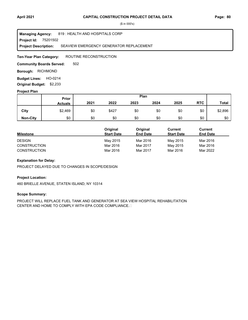75201502 **Project Id:** 819 : HEALTH AND HOSPITALS CORP SEAVIEW EMERGENCY GENERATOR REPLACEMENT **Managing Agency: Project Description:** 

ROUTINE RECONSTRUCTION **Ten-Year Plan Category:** 

502 **Community Boards Served:** 

**Borough: RICHMOND** 

**Budget Lines: HO-0214 Original Budget:** \$2,233

#### **Project Plan**

|                 |                | Plan<br>Prior |       |      |      |      |            |              |
|-----------------|----------------|---------------|-------|------|------|------|------------|--------------|
|                 | <b>Actuals</b> | 2021          | 2022  | 2023 | 2024 | 2025 | <b>RTC</b> | <b>Total</b> |
| City            | \$2,469        | \$0           | \$427 | \$0  | \$0  | \$0  | \$0        | \$2,896      |
| <b>Non-City</b> | \$0            | \$0           | \$0   | \$0  | \$0  | \$0  | \$0        | \$0          |

|                     | Original          | Original        | Current           | Current         |
|---------------------|-------------------|-----------------|-------------------|-----------------|
| <b>Milestone</b>    | <b>Start Date</b> | <b>End Date</b> | <b>Start Date</b> | <b>End Date</b> |
| <b>DESIGN</b>       | May 2015          | Mar 2016        | May 2015          | Mar 2016        |
| <b>CONSTRUCTION</b> | Mar 2016          | Mar 2017        | May 2015          | Mar 2016        |
| <b>CONSTRUCTION</b> | Mar 2016          | Mar 2017        | Mar 2016          | Mar 2022        |

# **Explanation for Delay:**

PROJECT DELAYED DUE TO CHANGES IN SCOPE/DESIGN

#### **Project Location:**

460 BRIELLE AVENUE, STATEN ISLAND, NY 10314

#### **Scope Summary:**

PROJECT WILL REPLACE FUEL TANK AND GENERATOR AT SEA VIEW HOSPITAL REHABILITATION CENTER AND HOME TO COMPLY WITH EPA CODE COMPLIANCE.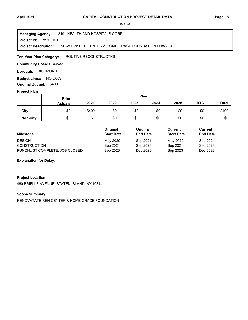75202101 **Project Id:** 819 : HEALTH AND HOSPITALS CORP SEAVIEW: REH CENTER & HOME GRACE FOUNDATION PHASE 3 **Managing Agency: Project Description:** 

ROUTINE RECONSTRUCTION **Ten-Year Plan Category:** 

## **Community Boards Served:**

**Borough: RICHMOND** 

**Budget Lines: HO-D003 Original Budget:** \$400

#### **Project Plan**

|                 |                | Plan<br><b>Prior</b> |      |      |      |      |            |       |
|-----------------|----------------|----------------------|------|------|------|------|------------|-------|
|                 | <b>Actuals</b> | 2021                 | 2022 | 2023 | 2024 | 2025 | <b>RTC</b> | Total |
| City            | \$0            | \$400                | \$0  | \$0  | \$0  | \$0  | \$0        | \$400 |
| <b>Non-City</b> | \$0            | \$0                  | \$0  | \$0  | \$0  | \$0  | \$0        | \$0   |

|                                | <b>Original</b>   | Original        | Current           | Current         |
|--------------------------------|-------------------|-----------------|-------------------|-----------------|
| <b>Milestone</b>               | <b>Start Date</b> | <b>End Date</b> | <b>Start Date</b> | <b>End Date</b> |
| <b>DESIGN</b>                  | May 2020          | Sep 2021        | May 2020          | Sep 2021        |
| <b>CONSTRUCTION</b>            | Sep 2021          | Sep 2023        | Sep 2021          | Sep 2023        |
| PUNCHLIST COMPLETE, JOB CLOSED | Sep 2023          | Dec 2023        | Sep 2023          | Dec 2023        |

#### **Explanation for Delay:**

#### **Project Location:**

460 BRIELLE AVENUE, STATEN ISLAND, NY 10314

#### **Scope Summary:**

RENOVATATE REH CENTER & HOME GRACE FOUNDATION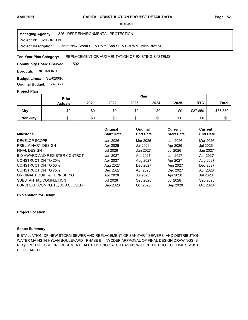MIBBNC05B 826 : DEPT ENVIRONMENTAL PROTECTION Instal New Storm SE & Rplmt San SE & Dist WM Hylan Blvd SI **Managing Agency: Project Id: Project Description:** 

#### REPLACEMENT OR AUGMENTATION OF EXISTING SYSTEMS **Ten-Year Plan Category:**

502 **Community Boards Served:** 

**Borough: RICHMOND** 

**Budget Lines: SE-0200R Original Budget:** \$37,850

#### **Project Plan**

|                 | Plan<br>Prior  |      |      |      |      |      |            |              |
|-----------------|----------------|------|------|------|------|------|------------|--------------|
|                 | <b>Actuals</b> | 2021 | 2022 | 2023 | 2024 | 2025 | <b>RTC</b> | <b>Total</b> |
| City            | \$0            | \$0  | \$0  | \$0  | \$0  | \$0  | \$37,850   | \$37,850     |
| <b>Non-City</b> | \$0            | \$0  | \$0  | \$0  | \$0  | \$0  | \$0        | \$0          |

| <b>Milestone</b>               | Original<br><b>Start Date</b> | Original<br><b>End Date</b> | <b>Current</b><br><b>Start Date</b> | <b>Current</b><br><b>End Date</b> |
|--------------------------------|-------------------------------|-----------------------------|-------------------------------------|-----------------------------------|
| DEVELOP SCOPE                  | Jan 2026                      | Mar 2026                    | Jan 2026                            | Mar 2026                          |
| PRELIMINARY DESIGN             | Apr 2026                      | Jul 2026                    | Apr 2026                            | Jul 2026                          |
| <b>FINAL DESIGN</b>            | Jul 2026                      | Jan 2027                    | Jul 2026                            | Jan 2027                          |
| BID AWARD AND REGISTER CONTRCT | Jan 2027                      | Apr 2027                    | Jan 2027                            | Apr 2027                          |
| CONSTRUCTION TO 25%            | Apr 2027                      | Aug 2027                    | Apr 2027                            | Aug 2027                          |
| <b>CONSTRUCTION TO 50%</b>     | Aug 2027                      | Dec 2027                    | Aug 2027                            | Dec 2027                          |
| <b>CONSTRUCTION TO 75%</b>     | Dec 2027                      | Apr 2028                    | Dec 2027                            | Apr 2028                          |
| ORIGINAL EQUIP & FURNISHING    | Apr 2028                      | Jul 2028                    | Apr 2028                            | Jul 2028                          |
| SUBSTANTIAL COMPLETION         | Jul 2028                      | Sep 2028                    | Jul 2028                            | Sep 2028                          |
| PUNCHLIST COMPLETE. JOB CLOSED | Sep 2028                      | Oct 2028                    | Sep 2028                            | Oct 2028                          |

**Explanation for Delay:**

#### **Project Location:**

#### **Scope Summary:**

INSTALLATION OF NEW STORM SEWER AND REPLACEMENT OF SANITARY SEWERS AND DISTRIBUTION WATER MAINS IN HYLAN BOULEVARD - PHASE B. NYCDEP APPROVAL OF FINAL DESIGN DRAWINGS IS REQUIRED BEFORE PROCUREMENT. ALL EXISTING CATCH BASINS WITHIN THE PROJECT LIMITS MUST BE CLEANED.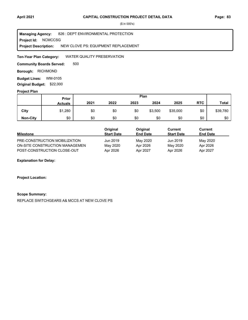**Project Id: NCMCCSG** 826 : DEPT ENVIRONMENTAL PROTECTION NEW CLOVE PS: EQUIPMENT REPLACEMENT **Managing Agency: Project Description:** 

WATER QUALITY PRESERVATION **Ten-Year Plan Category:** 

500 **Community Boards Served:** 

**Borough: RICHMOND** 

**Budget Lines: WM-0105 Original Budget:** \$22,000

#### **Project Plan**

|                 | Plan<br><b>Prior</b> |      |      |      |         |          |            |              |
|-----------------|----------------------|------|------|------|---------|----------|------------|--------------|
|                 | <b>Actuals</b>       | 2021 | 2022 | 2023 | 2024    | 2025     | <b>RTC</b> | <b>Total</b> |
| City            | \$1,280              | \$0  | \$0  | \$0  | \$3,500 | \$35,000 | \$0        | \$39,780     |
| <b>Non-City</b> | \$0                  | \$0  | \$0  | \$0  | \$0     | \$0      | \$0        | \$0          |

|                                | Original          | Original        | Current           | Current         |  |
|--------------------------------|-------------------|-----------------|-------------------|-----------------|--|
| <b>Milestone</b>               | <b>Start Date</b> | <b>End Date</b> | <b>Start Date</b> | <b>End Date</b> |  |
| PRE-CONSTRUCTION MOBILIZATION  | Jun 2019          | May 2020        | Jun 2019          | May 2020        |  |
| ON-SITE CONSTRUCTION MANAGEMEN | May 2020          | Apr 2026        | May 2020          | Apr 2026        |  |
| POST-CONSTRUCTION CLOSE-OUT    | Apr 2026          | Apr 2027        | Apr 2026          | Apr 2027        |  |

**Explanation for Delay:**

**Project Location:**

#### **Scope Summary:**

REPLACE SWITCHGEARS A& MCCS AT NEW CLOVE PS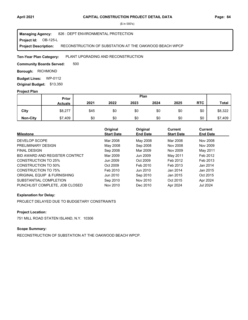#### **Project Id: OB-125-L** 826 : DEPT ENVIRONMENTAL PROTECTION RECONSTRUCTION OF SUBSTATION AT THE OAKWOOD BEACH WPCP **Managing Agency: Project Description:**

PLANT UPGRADING AND RECONSTRUCTION **Ten-Year Plan Category:** 

500 **Community Boards Served:** 

**Borough: RICHMOND** 

**Budget Lines: WP-0112 Original Budget:** \$13,350

#### **Project Plan**

|                 |                | Plan<br>Prior |      |      |      |      |            |              |
|-----------------|----------------|---------------|------|------|------|------|------------|--------------|
|                 | <b>Actuals</b> | 2021          | 2022 | 2023 | 2024 | 2025 | <b>RTC</b> | <b>Total</b> |
| City            | \$8,277        | \$45          | \$0  | \$0  | \$0  | \$0  | \$0        | \$8,322      |
| <b>Non-City</b> | \$7,409        | \$0           | \$0  | \$0  | \$0  | \$0  | \$0        | \$7,409      |

| <b>Milestone</b>               | Original<br><b>Start Date</b> | Original<br><b>End Date</b> | <b>Current</b><br><b>Start Date</b> | Current<br><b>End Date</b> |
|--------------------------------|-------------------------------|-----------------------------|-------------------------------------|----------------------------|
|                                |                               |                             |                                     |                            |
| DEVELOP SCOPE                  | Mar 2008                      | May 2008                    | Mar 2008                            | Nov 2008                   |
| PRELIMINARY DESIGN             | May 2008                      | Sep 2008                    | Nov 2008                            | Nov 2009                   |
| <b>FINAL DESIGN</b>            | Sep 2008                      | Mar 2009                    | Nov 2009                            | May 2011                   |
| BID AWARD AND REGISTER CONTRCT | Mar 2009                      | Jun 2009                    | May 2011                            | Feb 2012                   |
| CONSTRUCTION TO 25%            | Jun 2009                      | Oct 2009                    | Feb 2012                            | Feb 2013                   |
| CONSTRUCTION TO 50%            | Oct 2009                      | Feb 2010                    | Feb 2013                            | Jan 2014                   |
| <b>CONSTRUCTION TO 75%</b>     | Feb 2010                      | Jun 2010                    | Jan 2014                            | Jan 2015                   |
| ORIGINAL EQUIP & FURNISHING    | Jun 2010                      | Sep 2010                    | Jan 2015                            | Oct 2015                   |
| SUBSTANTIAL COMPLETION         | Sep 2010                      | Nov 2010                    | Oct 2015                            | Apr 2024                   |
| PUNCHLIST COMPLETE. JOB CLOSED | Nov 2010                      | Dec 2010                    | Apr 2024                            | Jul 2024                   |

# **Explanation for Delay:**

PROJECT DELAYED DUE TO BUDGETARY CONSTRAINTS

# **Project Location:**

751 MILL ROAD STATEN ISLAND, N.Y. 10306

# **Scope Summary:**

RECONSTRUCTION OF SUBSTATION AT THE OAKWOOD BEACH WPCP.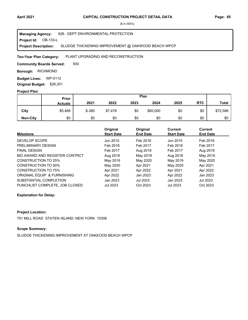#### **Project Id: OB-133-L** 826 : DEPT ENVIRONMENTAL PROTECTION SLUDGE THICKENING IMPROVEMENT @ OAKWOOD BEACH WPCP **Managing Agency: Project Description:**

#### PLANT UPGRADING AND RECONSTRUCTION **Ten-Year Plan Category:**

500 **Community Boards Served:** 

**Borough: RICHMOND** 

**Budget Lines: WP-0112 Original Budget:** \$26,201

#### **Project Plan**

| $\overline{\phantom{a}}$ |                | Plan<br>Prior |         |      |          |      |            |              |
|--------------------------|----------------|---------------|---------|------|----------|------|------------|--------------|
|                          | <b>Actuals</b> | 2021          | 2022    | 2023 | 2024     | 2025 | <b>RTC</b> | <b>Total</b> |
| City                     | \$5,468        | $$ -380$      | \$7,478 | \$0  | \$60,000 | \$0  | \$0        | \$72,566     |
| <b>Non-City</b>          | \$0            | \$0           | \$0     | \$0  | \$0      | \$0  | \$0        | \$0          |

| <b>Milestone</b>               | Original<br><b>Start Date</b> | Original<br><b>End Date</b> | <b>Current</b><br><b>Start Date</b> | <b>Current</b><br><b>End Date</b> |
|--------------------------------|-------------------------------|-----------------------------|-------------------------------------|-----------------------------------|
| DEVELOP SCOPE                  | Jun 2015                      | Feb 2016                    | Jun 2015                            | Feb 2016                          |
| PRELIMINARY DESIGN             | Feb 2016                      | Feb 2017                    | Feb 2016                            | Feb 2017                          |
| <b>FINAL DESIGN</b>            | Feb 2017                      | Aug 2018                    | Feb 2017                            | Aug 2018                          |
| BID AWARD AND REGISTER CONTRCT | Aug 2018                      | May 2019                    | Aug 2018                            | May 2019                          |
| <b>CONSTRUCTION TO 25%</b>     | May 2019                      | May 2020                    | May 2019                            | May 2020                          |
| CONSTRUCTION TO 50%            | May 2020                      | Apr 2021                    | May 2020                            | Apr 2021                          |
| <b>CONSTRUCTION TO 75%</b>     | Apr 2021                      | Apr 2022                    | Apr 2021                            | Apr 2022                          |
| ORIGINAL EQUIP & FURNISHING    | Apr 2022                      | Jan 2023                    | Apr 2022                            | Jan 2023                          |
| SUBSTANTIAL COMPLETION         | Jan 2023                      | <b>Jul 2023</b>             | Jan 2023                            | Jul 2023                          |
| PUNCHLIST COMPLETE, JOB CLOSED | <b>Jul 2023</b>               | Oct 2023                    | <b>Jul 2023</b>                     | Oct 2023                          |

## **Explanation for Delay:**

## **Project Location:**

751 MILL ROAD STATEN ISLAND, NEW YORK 10306

# **Scope Summary:**

SLUDGE THICKENING IMPROVEMENT AT OAKEOOD BEACH WPCP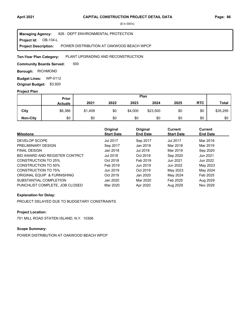#### **Project Id: OB-134-L** 826 : DEPT ENVIRONMENTAL PROTECTION POWER DISTRIBUTION AT OAKWOOD BEACH WPCP **Managing Agency: Project Description:**

#### PLANT UPGRADING AND RECONSTRUCTION **Ten-Year Plan Category:**

500 **Community Boards Served:** 

**Borough: RICHMOND** 

**Budget Lines: WP-0112 Original Budget:** \$3,920

#### **Project Plan**

|                 |                | Plan<br>Prior |      |         |          |      |            |              |
|-----------------|----------------|---------------|------|---------|----------|------|------------|--------------|
|                 | <b>Actuals</b> | 2021          | 2022 | 2023    | 2024     | 2025 | <b>RTC</b> | <b>Total</b> |
| City            | \$6,386        | \$1,409       | \$0  | \$4,000 | \$23,500 | \$0  | \$0        | \$35,295     |
| <b>Non-City</b> | \$0            | \$0           | \$0  | \$0     | \$0      | \$0  | \$0        | \$0          |

| <b>Milestone</b>               | Original<br><b>Start Date</b> | Original<br><b>End Date</b> | Current<br><b>Start Date</b> | Current<br><b>End Date</b> |
|--------------------------------|-------------------------------|-----------------------------|------------------------------|----------------------------|
| DEVELOP SCOPE                  | <b>Jul 2017</b>               | Sep 2017                    | <b>Jul 2017</b>              | Mar 2018                   |
| PRELIMINARY DESIGN             | Sep 2017                      | Jan 2018                    | Mar 2018                     | Mar 2019                   |
| <b>FINAL DESIGN</b>            | Jan 2018                      | Jul 2018                    | Mar 2019                     | Sep 2020                   |
| BID AWARD AND REGISTER CONTRCT | Jul 2018                      | Oct 2018                    | Sep 2020                     | Jun 2021                   |
| CONSTRUCTION TO 25%            | Oct 2018                      | Feb 2019                    | Jun 2021                     | Jun 2022                   |
| CONSTRUCTION TO 50%            | Feb 2019                      | Jun 2019                    | Jun 2022                     | May 2023                   |
| <b>CONSTRUCTION TO 75%</b>     | Jun 2019                      | Oct 2019                    | May 2023                     | May 2024                   |
| ORIGINAL EQUIP & FURNISHING    | Oct 2019                      | Jan 2020                    | May 2024                     | Feb 2025                   |
| SUBSTANTIAL COMPLETION         | Jan 2020                      | Mar 2020                    | Feb 2025                     | Aug 2029                   |
| PUNCHLIST COMPLETE, JOB CLOSED | Mar 2020                      | Apr 2020                    | Aug 2029                     | Nov 2029                   |

## **Explanation for Delay:**

PROJECT DELAYED DUE TO BUDGETARY CONSTRAINTS

# **Project Location:**

751 MILL ROAD STATEN ISLAND, N.Y. 10306

# **Scope Summary:**

POWER DISTRIBUTION AT OAKWOOD BEACH WPCP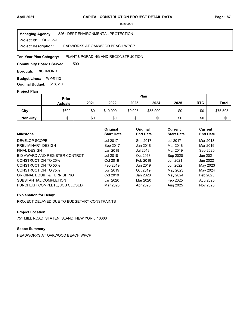**Project Id: OB-135-L** 826 : DEPT ENVIRONMENTAL PROTECTION HEADWORKS AT OAKWOOD BEACH WPCP **Managing Agency: Project Description:** 

#### PLANT UPGRADING AND RECONSTRUCTION **Ten-Year Plan Category:**

500 **Community Boards Served:** 

**Borough: RICHMOND** 

**Budget Lines: WP-0112 Original Budget:** \$18,610

#### **Project Plan**

|                 | Prior<br><b>Actuals</b> | Plan |          |         |          |      |            |              |
|-----------------|-------------------------|------|----------|---------|----------|------|------------|--------------|
|                 |                         | 2021 | 2022     | 2023    | 2024     | 2025 | <b>RTC</b> | <b>Total</b> |
| City            | \$600                   | \$0  | \$10,000 | \$9,995 | \$55,000 | \$0  | \$0        | \$75,595     |
| <b>Non-City</b> | \$0                     | \$0  | \$0      | \$0     | \$0      | \$0  | \$0        | \$0          |

| <b>Milestone</b>               | Original<br><b>Start Date</b> | Original<br><b>End Date</b> | <b>Current</b><br><b>Start Date</b> | Current<br><b>End Date</b> |
|--------------------------------|-------------------------------|-----------------------------|-------------------------------------|----------------------------|
| DEVELOP SCOPE                  | <b>Jul 2017</b>               | Sep 2017                    | <b>Jul 2017</b>                     | Mar 2018                   |
| PRELIMINARY DESIGN             | Sep 2017                      | Jan 2018                    | Mar 2018                            | Mar 2019                   |
| <b>FINAL DESIGN</b>            | Jan 2018                      | Jul 2018                    | Mar 2019                            | Sep 2020                   |
| BID AWARD AND REGISTER CONTRCT | Jul 2018                      | Oct 2018                    | Sep 2020                            | Jun 2021                   |
| CONSTRUCTION TO 25%            | Oct 2018                      | Feb 2019                    | Jun 2021                            | Jun 2022                   |
| CONSTRUCTION TO 50%            | Feb 2019                      | Jun 2019                    | Jun 2022                            | May 2023                   |
| CONSTRUCTION TO 75%            | Jun 2019                      | Oct 2019                    | May 2023                            | May 2024                   |
| ORIGINAL EQUIP & FURNISHING    | Oct 2019                      | Jan 2020                    | May 2024                            | Feb 2025                   |
| SUBSTANTIAL COMPLETION         | Jan 2020                      | Mar 2020                    | Feb 2025                            | Aug 2025                   |
| PUNCHLIST COMPLETE, JOB CLOSED | Mar 2020                      | Apr 2020                    | Aug 2025                            | Nov 2025                   |

## **Explanation for Delay:**

PROJECT DELAYED DUE TO BUDGETARY CONSTRAINTS

# **Project Location:**

751 MILL ROAD, STATEN ISLAND NEW YORK 10306

# **Scope Summary:**

HEADWORKS AT OAKWOOD BEACH WPCP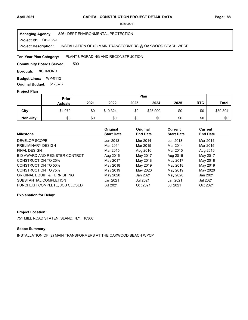#### **Project Id: OB-136-L** 826 : DEPT ENVIRONMENTAL PROTECTION INSTALLATION OF (2) MAIN TRANSFORMERS @ OAKWOOD BEACH WPCP **Managing Agency: Project Description:**

#### PLANT UPGRADING AND RECONSTRUCTION **Ten-Year Plan Category:**

500 **Community Boards Served:** 

**Borough: RICHMOND** 

**Budget Lines: WP-0112 Original Budget:** \$17,676

#### **Project Plan**

|                 |                | Plan<br><b>Prior</b> |          |      |          |      |            |              |
|-----------------|----------------|----------------------|----------|------|----------|------|------------|--------------|
|                 | <b>Actuals</b> | 2021                 | 2022     | 2023 | 2024     | 2025 | <b>RTC</b> | <b>Total</b> |
| City            | \$4,070        | \$0                  | \$10,324 | \$0  | \$25,000 | \$0  | \$0        | \$39,394     |
| <b>Non-City</b> | \$0            | \$0                  | \$0      | \$0  | \$0      | \$0  | \$0        | \$0          |

| <b>Milestone</b>               | Original<br><b>Start Date</b> | Original<br><b>End Date</b> | Current<br><b>Start Date</b> | <b>Current</b><br><b>End Date</b> |
|--------------------------------|-------------------------------|-----------------------------|------------------------------|-----------------------------------|
| DEVELOP SCOPE                  | Jun 2013                      | Mar 2014                    | Jun 2013                     | Mar 2014                          |
| PRELIMINARY DESIGN             | Mar 2014                      | Mar 2015                    | Mar 2014                     | Mar 2015                          |
| <b>FINAL DESIGN</b>            | Mar 2015                      | Aug 2016                    | Mar 2015                     | Aug 2016                          |
| BID AWARD AND REGISTER CONTRCT | Aug 2016                      | May 2017                    | Aug 2016                     | May 2017                          |
| CONSTRUCTION TO 25%            | May 2017                      | May 2018                    | May 2017                     | May 2018                          |
| <b>CONSTRUCTION TO 50%</b>     | May 2018                      | May 2019                    | May 2018                     | May 2019                          |
| <b>CONSTRUCTION TO 75%</b>     | May 2019                      | May 2020                    | May 2019                     | May 2020                          |
| ORIGINAL EQUIP & FURNISHING    | May 2020                      | Jan 2021                    | May 2020                     | Jan 2021                          |
| SUBSTANTIAL COMPLETION         | Jan 2021                      | <b>Jul 2021</b>             | Jan 2021                     | Jul 2021                          |
| PUNCHLIST COMPLETE, JOB CLOSED | Jul 2021                      | Oct 2021                    | <b>Jul 2021</b>              | Oct 2021                          |

#### **Explanation for Delay:**

## **Project Location:**

751 MILL ROAD STATEN ISLAND, N.Y. 10306

# **Scope Summary:**

INSTALLATION OF (2) MAIN TRANSFORMERS AT THE OAKWOOD BEACH WPCP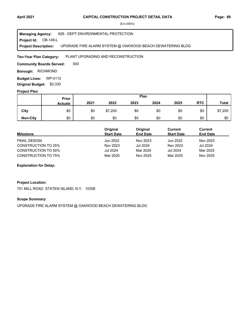#### **Project Id: OB-149-L** 826 : DEPT ENVIRONMENTAL PROTECTION UPGRADE FIRE ALARM SYSTEM @ OAKWOOD BEACH DEWATERING BLDG **Managing Agency: Project Description:**

PLANT UPGRADING AND RECONSTRUCTION **Ten-Year Plan Category:** 

500 **Community Boards Served:** 

**Borough: RICHMOND** 

**Budget Lines: WP-0112 Original Budget:** \$2,330

## **Project Plan**

|                 | Prior<br><b>Actuals</b> | Plan |         |      |      |      |            |              |
|-----------------|-------------------------|------|---------|------|------|------|------------|--------------|
|                 |                         | 2021 | 2022    | 2023 | 2024 | 2025 | <b>RTC</b> | <b>Total</b> |
| City            | \$0                     | \$0  | \$7,200 | \$0  | \$0  | \$0  | \$0        | \$7,200      |
| <b>Non-City</b> | \$0                     | \$0  | \$0     | \$0  | \$0  | \$0  | \$0        | \$0          |

|                            | Original          | Original        | Current           | Current         |  |
|----------------------------|-------------------|-----------------|-------------------|-----------------|--|
| <b>Milestone</b>           | <b>Start Date</b> | <b>End Date</b> | <b>Start Date</b> | <b>End Date</b> |  |
| FINAL DESIGN               | Jun 2022          | Nov 2023        | Jun 2022          | Nov 2023        |  |
| <b>CONSTRUCTION TO 25%</b> | Nov 2023          | <b>Jul 2024</b> | Nov 2023          | <b>Jul 2024</b> |  |
| <b>CONSTRUCTION TO 50%</b> | Jul 2024          | Mar 2025        | <b>Jul 2024</b>   | Mar 2025        |  |
| <b>CONSTRUCTION TO 75%</b> | Mar 2025          | Nov 2025        | Mar 2025          | Nov 2025        |  |

## **Explanation for Delay:**

## **Project Location:**

751 MILL ROAD STATEN ISLAND, N.Y. 10306

# **Scope Summary:**

UPGRADE FIRE ALARM SYSTEM @ OAKWOOD BEACH DEWATERING BLDG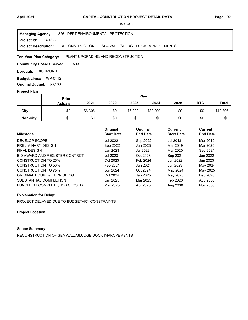#### **Project Id: PR-132-L** 826 : DEPT ENVIRONMENTAL PROTECTION RECONSTRUCTION OF SEA WALL/SLUDGE DOCK IMPROVEMENTS **Managing Agency: Project Description:**

PLANT UPGRADING AND RECONSTRUCTION **Ten-Year Plan Category:** 

500 **Community Boards Served:** 

**Borough: RICHMOND** 

**Budget Lines: WP-0112 Original Budget:** \$3,188

#### **Project Plan**

|                 | Prior<br><b>Actuals</b> | Plan    |      |         |          |      |            |              |
|-----------------|-------------------------|---------|------|---------|----------|------|------------|--------------|
|                 |                         | 2021    | 2022 | 2023    | 2024     | 2025 | <b>RTC</b> | <b>Total</b> |
| City            | \$0                     | \$6,306 | \$0  | \$6,000 | \$30,000 | \$0  | \$0        | \$42,306     |
| <b>Non-City</b> | \$0                     | \$0     | \$0  | \$0     | \$0      | \$0  | \$0        | \$0          |

| <b>Milestone</b>               | Original<br><b>Start Date</b> | Original<br><b>End Date</b> | <b>Current</b><br><b>Start Date</b> | Current<br><b>End Date</b> |
|--------------------------------|-------------------------------|-----------------------------|-------------------------------------|----------------------------|
| DEVELOP SCOPE                  | <b>Jul 2022</b>               | Sep 2022                    | Jul 2018                            | Mar 2019                   |
| PRELIMINARY DESIGN             | Sep 2022                      | Jan 2023                    | Mar 2019                            | Mar 2020                   |
| <b>FINAL DESIGN</b>            | Jan 2023                      | Jul 2023                    | Mar 2020                            | Sep 2021                   |
| BID AWARD AND REGISTER CONTRCT | <b>Jul 2023</b>               | Oct 2023                    | Sep 2021                            | Jun 2022                   |
| <b>CONSTRUCTION TO 25%</b>     | Oct 2023                      | Feb 2024                    | Jun 2022                            | Jun 2023                   |
| CONSTRUCTION TO 50%            | Feb 2024                      | Jun 2024                    | Jun 2023                            | May 2024                   |
| <b>CONSTRUCTION TO 75%</b>     | Jun 2024                      | Oct 2024                    | May 2024                            | May 2025                   |
| ORIGINAL EQUIP & FURNISHING    | Oct 2024                      | Jan 2025                    | May 2025                            | Feb 2026                   |
| SUBSTANTIAL COMPLETION         | Jan 2025                      | Mar 2025                    | Feb 2026                            | Aug 2030                   |
| PUNCHLIST COMPLETE. JOB CLOSED | Mar 2025                      | Apr 2025                    | Aug 2030                            | Nov 2030                   |

# **Explanation for Delay:**

PROJECT DELAYED DUE TO BUDGETARY CONSTRAINTS

**Project Location:**

# **Scope Summary:**

RECONSTRUCTION OF SEA WALL/SLUDGE DOCK IMPROVEMENTS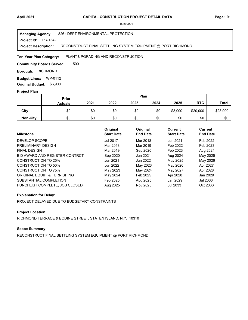#### **Project Id: PR-134-L** 826 : DEPT ENVIRONMENTAL PROTECTION RECONSTRUCT FINAL SETTLING SYSTEM EQUIPMENT @ PORT RICHMOND **Managing Agency: Project Description:**

PLANT UPGRADING AND RECONSTRUCTION **Ten-Year Plan Category:** 

500 **Community Boards Served:** 

**Borough: RICHMOND** 

**Budget Lines: WP-0112 Original Budget:** \$6,900

#### **Project Plan**

|                 |                | Plan<br>Prior |      |      |      |         |            |              |
|-----------------|----------------|---------------|------|------|------|---------|------------|--------------|
|                 | <b>Actuals</b> | 2021          | 2022 | 2023 | 2024 | 2025    | <b>RTC</b> | <b>Total</b> |
| City            | \$0            | \$0           | \$0  | \$0  | \$0  | \$3,000 | \$20,000   | \$23,000     |
| <b>Non-City</b> | \$0            | \$0           | \$0  | \$0  | \$0  | \$0     | \$0        | \$0          |

| <b>Milestone</b>               | Original<br><b>Start Date</b> | Original<br><b>End Date</b> | <b>Current</b><br><b>Start Date</b> | Current<br><b>End Date</b> |
|--------------------------------|-------------------------------|-----------------------------|-------------------------------------|----------------------------|
| DEVELOP SCOPE                  | <b>Jul 2017</b>               | Mar 2018                    | Jun 2021                            | Feb 2022                   |
| PRELIMINARY DESIGN             | Mar 2018                      | Mar 2019                    | Feb 2022                            | Feb 2023                   |
| <b>FINAL DESIGN</b>            | Mar 2019                      | Sep 2020                    | Feb 2023                            | Aug 2024                   |
| BID AWARD AND REGISTER CONTRCT | Sep 2020                      | Jun 2021                    | Aug 2024                            | May 2025                   |
| <b>CONSTRUCTION TO 25%</b>     | Jun 2021                      | Jun 2022                    | May 2025                            | May 2026                   |
| CONSTRUCTION TO 50%            | Jun 2022                      | May 2023                    | May 2026                            | Apr 2027                   |
| CONSTRUCTION TO 75%            | May 2023                      | May 2024                    | May 2027                            | Apr 2028                   |
| ORIGINAL EQUIP & FURNISHING    | May 2024                      | Feb 2025                    | Apr 2028                            | Jan 2029                   |
| SUBSTANTIAL COMPLETION         | Feb 2025                      | Aug 2025                    | Jan 2029                            | Jul 2033                   |
| PUNCHLIST COMPLETE. JOB CLOSED | Aug 2025                      | Nov 2025                    | <b>Jul 2033</b>                     | Oct 2033                   |

## **Explanation for Delay:**

PROJECT DELAYED DUE TO BUDGETARY CONSTRAINTS

# **Project Location:**

RICHMOND TERRACE & BODINE STREET, STATEN ISLAND, N.Y. 10310

# **Scope Summary:**

RECONSTRUCT FINAL SETTLING SYSTEM EQUIPMENT @ PORT RICHMOND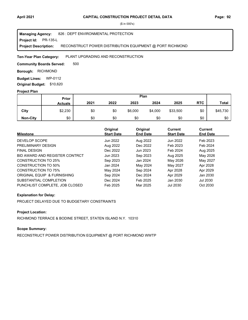#### **Project Id: PR-135-L** 826 : DEPT ENVIRONMENTAL PROTECTION RECONSTRUCT POWER DISTRIBUTION EQUIPMENT @ PORT RICHMOND **Managing Agency: Project Description:**

PLANT UPGRADING AND RECONSTRUCTION **Ten-Year Plan Category:** 

500 **Community Boards Served:** 

**Borough: RICHMOND** 

**Budget Lines: WP-0112 Original Budget:** \$10,620

#### **Project Plan**

|                 |                | Plan<br>Prior |      |         |         |          |            |              |
|-----------------|----------------|---------------|------|---------|---------|----------|------------|--------------|
|                 | <b>Actuals</b> | 2021          | 2022 | 2023    | 2024    | 2025     | <b>RTC</b> | <b>Total</b> |
| City            | \$2,230        | \$0           | \$0  | \$6,000 | \$4,000 | \$33,500 | \$0        | \$45,730     |
| <b>Non-City</b> | \$0            | \$0           | \$0  | \$0     | \$0     | \$0      | \$0        | \$0          |

| <b>Milestone</b>               | Original<br><b>Start Date</b> | Original<br><b>End Date</b> | Current<br><b>Start Date</b> | Current<br><b>End Date</b> |
|--------------------------------|-------------------------------|-----------------------------|------------------------------|----------------------------|
| DEVELOP SCOPE                  | Jun 2022                      | Aug 2022                    | Jun 2022                     | Feb 2023                   |
| PRELIMINARY DESIGN             | Aug 2022                      | Dec 2022                    | Feb 2023                     | Feb 2024                   |
| <b>FINAL DESIGN</b>            | Dec 2022                      | Jun 2023                    | Feb 2024                     | Aug 2025                   |
| BID AWARD AND REGISTER CONTRCT | Jun 2023                      | Sep 2023                    | Aug 2025                     | May 2026                   |
| CONSTRUCTION TO 25%            | Sep 2023                      | Jan 2024                    | May 2026                     | May 2027                   |
| CONSTRUCTION TO 50%            | Jan 2024                      | May 2024                    | May 2027                     | Apr 2028                   |
| <b>CONSTRUCTION TO 75%</b>     | May 2024                      | Sep 2024                    | Apr 2028                     | Apr 2029                   |
| ORIGINAL EQUIP & FURNISHING    | Sep 2024                      | Dec 2024                    | Apr 2029                     | Jan 2030                   |
| SUBSTANTIAL COMPLETION         | Dec 2024                      | Feb 2025                    | Jan 2030                     | Jul 2030                   |
| PUNCHLIST COMPLETE, JOB CLOSED | Feb 2025                      | Mar 2025                    | <b>Jul 2030</b>              | Oct 2030                   |

## **Explanation for Delay:**

PROJECT DELAYED DUE TO BUDGETARY CONSTRAINTS

# **Project Location:**

RICHMOND TERRACE & BODINE STREET, STATEN ISLAND N.Y. 10310

# **Scope Summary:**

RECONSTRUCT POWER DISTRIBUTION EQUIPMENT @ PORT RICHMOND WWTP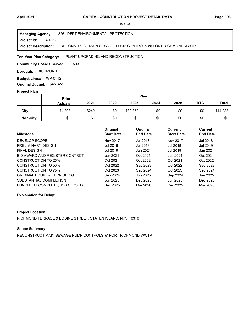#### **Project Id: PR-138-L** 826 : DEPT ENVIRONMENTAL PROTECTION RECONSTRUCT MAIN SEWAGE PUMP CONTROLS @ PORT RICHMOND WWTP **Managing Agency: Project Description:**

#### PLANT UPGRADING AND RECONSTRUCTION **Ten-Year Plan Category:**

500 **Community Boards Served:** 

**Borough: RICHMOND** 

**Budget Lines: WP-0112 Original Budget:** \$45,322

#### **Project Plan**

|                 |                | Plan<br><b>Prior</b> |      |          |      |      |            |              |
|-----------------|----------------|----------------------|------|----------|------|------|------------|--------------|
|                 | <b>Actuals</b> | 2021                 | 2022 | 2023     | 2024 | 2025 | <b>RTC</b> | <b>Total</b> |
| City            | \$4,893        | \$240                | \$0  | \$39,850 | \$0  | \$0  | \$0        | \$44,983     |
| <b>Non-City</b> | \$0            | \$0                  | \$0  | \$0      | \$0  | \$0  | \$0        | \$0          |

| <b>Milestone</b>               | Original<br><b>Start Date</b> | Original<br><b>End Date</b> | Current<br><b>Start Date</b> | Current<br><b>End Date</b> |
|--------------------------------|-------------------------------|-----------------------------|------------------------------|----------------------------|
| DEVELOP SCOPE                  | Nov 2017                      | <b>Jul 2018</b>             | Nov 2017                     | Jul 2018                   |
| PRELIMINARY DESIGN             | Jul 2018                      | Jul 2019                    | Jul 2018                     | Jul 2019                   |
| <b>FINAL DESIGN</b>            | Jul 2019                      | Jan 2021                    | Jul 2019                     | Jan 2021                   |
| BID AWARD AND REGISTER CONTRCT | Jan 2021                      | Oct 2021                    | Jan 2021                     | Oct 2021                   |
| CONSTRUCTION TO 25%            | Oct 2021                      | Oct 2022                    | Oct 2021                     | Oct 2022                   |
| <b>CONSTRUCTION TO 50%</b>     | Oct 2022                      | Sep 2023                    | Oct 2022                     | Sep 2023                   |
| <b>CONSTRUCTION TO 75%</b>     | Oct 2023                      | Sep 2024                    | Oct 2023                     | Sep 2024                   |
| ORIGINAL EQUIP & FURNISHING    | Sep 2024                      | Jun 2025                    | Sep 2024                     | Jun 2025                   |
| SUBSTANTIAL COMPLETION         | Jun 2025                      | Dec 2025                    | Jun 2025                     | Dec 2025                   |
| PUNCHLIST COMPLETE, JOB CLOSED | Dec 2025                      | Mar 2026                    | Dec 2025                     | Mar 2026                   |

## **Explanation for Delay:**

## **Project Location:**

RICHMOND TERRACE & BODINE STREET, STATEN ISLAND, N.Y. 10310

# **Scope Summary:**

RECONSTRUCT MAIN SEWAGE PUMP CONTROLS @ PORT RICHMOND WWTP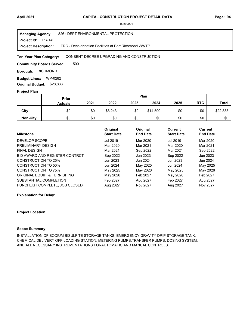| <b>Managing Agency:</b>     | 826 : DEPT ENVIRONMENTAL PROTECTION                   |
|-----------------------------|-------------------------------------------------------|
| <b>Project Id:</b> PR-140   |                                                       |
| <b>Project Description:</b> | TRC - Dechlorination Facilities at Port Richmond WWTP |

#### CONSENT DECREE UPGRADING AND CONSTRUCTION **Ten-Year Plan Category:**

500 **Community Boards Served:** 

**Borough: RICHMOND** 

**Budget Lines: WP-0282 Original Budget:** \$28,833

#### **Project Plan**

|                 |                | Plan<br>Prior |         |      |          |      |            |              |
|-----------------|----------------|---------------|---------|------|----------|------|------------|--------------|
|                 | <b>Actuals</b> | 2021          | 2022    | 2023 | 2024     | 2025 | <b>RTC</b> | <b>Total</b> |
| City            | \$0            | \$0           | \$8,243 | \$0  | \$14,590 | \$0  | \$0        | \$22,833     |
| <b>Non-City</b> | \$0            | \$0           | \$0     | \$0  | \$0      | \$0  | \$0        | \$0          |

|                                | Original          | Original        | Current           | <b>Current</b>  |
|--------------------------------|-------------------|-----------------|-------------------|-----------------|
| <b>Milestone</b>               | <b>Start Date</b> | <b>End Date</b> | <b>Start Date</b> | <b>End Date</b> |
| DEVELOP SCOPE                  | Jul 2019          | Mar 2020        | Jul 2019          | Mar 2020        |
| PRELIMINARY DESIGN             | Mar 2020          | Mar 2021        | Mar 2020          | Mar 2021        |
| <b>FINAL DESIGN</b>            | Mar 2021          | Sep 2022        | Mar 2021          | Sep 2022        |
| BID AWARD AND REGISTER CONTRCT | Sep 2022          | Jun 2023        | Sep 2022          | Jun 2023        |
| <b>CONSTRUCTION TO 25%</b>     | Jun 2023          | Jun 2024        | Jun 2023          | Jun 2024        |
| <b>CONSTRUCTION TO 50%</b>     | Jun 2024          | May 2025        | Jun 2024          | May 2025        |
| <b>CONSTRUCTION TO 75%</b>     | May 2025          | May 2026        | May 2025          | May 2026        |
| ORIGINAL EQUIP & FURNISHING    | May 2026          | Feb 2027        | May 2026          | Feb 2027        |
| SUBSTANTIAL COMPLETION         | Feb 2027          | Aug 2027        | Feb 2027          | Aug 2027        |
| PUNCHLIST COMPLETE, JOB CLOSED | Aug 2027          | Nov 2027        | Aug 2027          | Nov 2027        |

#### **Explanation for Delay:**

#### **Project Location:**

#### **Scope Summary:**

INSTALLATION OF SODIUM BISULFITE STORAGE TANKS, EMERGENCY GRAVITY DRIP STORAGE TANK, CHEMICAL DELIVERY OFF-LOADING STATION, METERING PUMPS,TRANSFER PUMPS, DOSING SYSTEM, AND ALL NECESSARY INSTRUMENTATIONS FORAUTOMATIC AND MANUAL CONTROLS.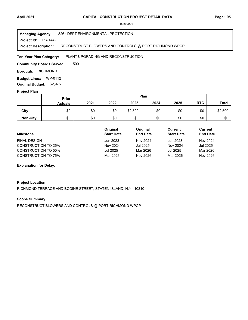#### **Project Id: PR-144-L** 826 : DEPT ENVIRONMENTAL PROTECTION RECONSTRUCT BLOWERS AND CONTROLS @ PORT RICHMOND WPCP **Managing Agency: Project Description:**

PLANT UPGRADING AND RECONSTRUCTION **Ten-Year Plan Category:** 

500 **Community Boards Served:** 

**Borough: RICHMOND** 

**Budget Lines: WP-0112 Original Budget:** \$2,975

## **Project Plan**

|                 |                | Plan<br>Prior |      |         |      |      |            |              |
|-----------------|----------------|---------------|------|---------|------|------|------------|--------------|
|                 | <b>Actuals</b> | 2021          | 2022 | 2023    | 2024 | 2025 | <b>RTC</b> | <b>Total</b> |
| City            | \$0            | \$0           | \$0  | \$2,500 | \$0  | \$0  | \$0        | \$2,500      |
| <b>Non-City</b> | \$0            | \$0           | \$0  | \$0     | \$0  | \$0  | \$0        | \$0          |

|                            | Original          | Original        | Current           | Current         |
|----------------------------|-------------------|-----------------|-------------------|-----------------|
| <b>Milestone</b>           | <b>Start Date</b> | <b>End Date</b> | <b>Start Date</b> | <b>End Date</b> |
| FINAL DESIGN               | Jun 2023          | Nov 2024        | Jun 2023          | Nov 2024        |
| <b>CONSTRUCTION TO 25%</b> | Nov 2024          | Jul 2025        | Nov 2024          | Jul 2025        |
| <b>CONSTRUCTION TO 50%</b> | Jul 2025          | Mar 2026        | Jul 2025          | Mar 2026        |
| <b>CONSTRUCTION TO 75%</b> | Mar 2026          | Nov 2026        | Mar 2026          | Nov 2026        |

## **Explanation for Delay:**

## **Project Location:**

RICHMOND TERRACE AND BODINE STREET, STATEN ISLAND, N.Y 10310

# **Scope Summary:**

RECONSTRUCT BLOWERS AND CONTROLS @ PORT RICHMOND WPCP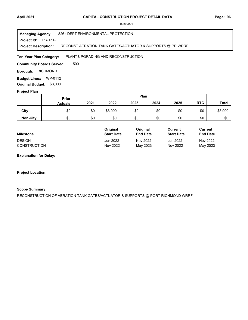#### **Project Id: PR-151-L** 826 : DEPT ENVIRONMENTAL PROTECTION RECONST AERATION TANK GATES/ACTUATOR & SUPPORTS @ PR WRRF **Managing Agency: Project Description:**

PLANT UPGRADING AND RECONSTRUCTION **Ten-Year Plan Category:** 

500 **Community Boards Served:** 

**Borough: RICHMOND** 

**Budget Lines: WP-0112 Original Budget:** \$8,000

#### **Project Plan**

|                 |                | Plan<br><b>Prior</b> |         |      |      |      |            |              |
|-----------------|----------------|----------------------|---------|------|------|------|------------|--------------|
|                 | <b>Actuals</b> | 2021                 | 2022    | 2023 | 2024 | 2025 | <b>RTC</b> | <b>Total</b> |
| City            | \$0            | \$0                  | \$8,000 | \$0  | \$0  | \$0  | \$0        | \$8,000      |
| <b>Non-City</b> | \$0            | \$0                  | \$0     | \$0  | \$0  | \$0  | \$0        | \$0          |

|                     | <b>Original</b>   | Original        | Current           | Current         |
|---------------------|-------------------|-----------------|-------------------|-----------------|
| <b>Milestone</b>    | <b>Start Date</b> | <b>End Date</b> | <b>Start Date</b> | <b>End Date</b> |
| <b>DESIGN</b>       | Jun 2022          | Nov 2022        | Jun 2022          | Nov 2022        |
| <b>CONSTRUCTION</b> | Nov 2022          | May 2023        | Nov 2022          | May 2023        |

**Explanation for Delay:**

**Project Location:**

## **Scope Summary:**

RECONSTRUCTION OF AERATION TANK GATES/ACTUATOR & SUPPORTS @ PORT RICHMOND WRRF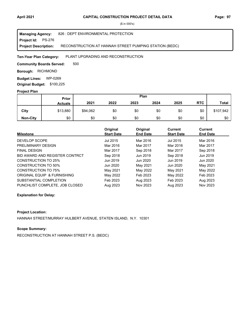#### **Project Id: PS-276** 826 : DEPT ENVIRONMENTAL PROTECTION RECONSTRUCTION AT HANNAH STREET PUMPING STATION (BEDC) **Managing Agency: Project Description:**

PLANT UPGRADING AND RECONSTRUCTION **Ten-Year Plan Category:** 

500 **Community Boards Served:** 

**Borough: RICHMOND** 

**Budget Lines: WP-0269 Original Budget:** \$100,225

### **Project Plan**

|                 | Prior          |          |      | Plan |      |      |            |              |
|-----------------|----------------|----------|------|------|------|------|------------|--------------|
|                 | <b>Actuals</b> | 2021     | 2022 | 2023 | 2024 | 2025 | <b>RTC</b> | <b>Total</b> |
| City            | \$13,880       | \$94,062 | \$0  | \$0  | \$0  | \$0  | \$0        | \$107,942    |
| <b>Non-City</b> | \$0            | \$0      | \$0  | \$0  | \$0  | \$0  | \$0        | \$0          |

| <b>Milestone</b>               | Original<br><b>Start Date</b> | Original<br><b>End Date</b> | Current<br><b>Start Date</b> | <b>Current</b><br><b>End Date</b> |
|--------------------------------|-------------------------------|-----------------------------|------------------------------|-----------------------------------|
|                                |                               |                             |                              |                                   |
| DEVELOP SCOPE                  | Jul 2015                      | Mar 2016                    | Jul 2015                     | Mar 2016                          |
| PRELIMINARY DESIGN             | Mar 2016                      | Mar 2017                    | Mar 2016                     | Mar 2017                          |
| <b>FINAL DESIGN</b>            | Mar 2017                      | Sep 2018                    | Mar 2017                     | Sep 2018                          |
| BID AWARD AND REGISTER CONTRCT | Sep 2018                      | Jun 2019                    | Sep 2018                     | Jun 2019                          |
| <b>CONSTRUCTION TO 25%</b>     | Jun 2019                      | Jun 2020                    | Jun 2019                     | Jun 2020                          |
| <b>CONSTRUCTION TO 50%</b>     | Jun 2020                      | May 2021                    | Jun 2020                     | May 2021                          |
| <b>CONSTRUCTION TO 75%</b>     | May 2021                      | May 2022                    | May 2021                     | May 2022                          |
| ORIGINAL EQUIP & FURNISHING    | May 2022                      | Feb 2023                    | May 2022                     | Feb 2023                          |
| SUBSTANTIAL COMPLETION         | Feb 2023                      | Aug 2023                    | Feb 2023                     | Aug 2023                          |
| PUNCHLIST COMPLETE. JOB CLOSED | Aug 2023                      | Nov 2023                    | Aug 2023                     | Nov 2023                          |

# **Explanation for Delay:**

# **Project Location:**

HANNAH STREET/MURRAY HULBERT AVENUE, STATEN ISLAND, N.Y. 10301

# **Scope Summary:**

RECONSTRUCTION AT HANNAH STREET P.S. (BEDC)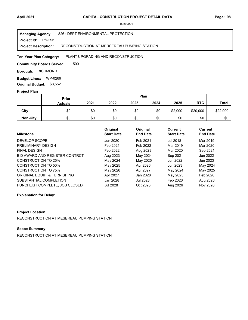#### **Project Id: PS-295** 826 : DEPT ENVIRONMENTAL PROTECTION RECONSTRUCTION AT MERSEREAU PUMPING STATION **Managing Agency: Project Description:**

PLANT UPGRADING AND RECONSTRUCTION **Ten-Year Plan Category:** 

500 **Community Boards Served:** 

**Borough: RICHMOND** 

**Budget Lines: WP-0269 Original Budget:** \$8,552

### **Project Plan**

|                 |                | Plan<br>Prior |      |      |      |         |            |              |
|-----------------|----------------|---------------|------|------|------|---------|------------|--------------|
|                 | <b>Actuals</b> | 2021          | 2022 | 2023 | 2024 | 2025    | <b>RTC</b> | <b>Total</b> |
| City            | \$0            | \$0           | \$0  | \$0  | \$0  | \$2,000 | \$20,000   | \$22,000     |
| <b>Non-City</b> | \$0            | \$0           | \$0  | \$0  | \$0  | \$0     | \$0        | \$0          |

|                                | Original          | Original        | <b>Current</b>    | Current         |
|--------------------------------|-------------------|-----------------|-------------------|-----------------|
| <b>Milestone</b>               | <b>Start Date</b> | <b>End Date</b> | <b>Start Date</b> | <b>End Date</b> |
| DEVELOP SCOPE                  | Jun 2020          | Feb 2021        | <b>Jul 2018</b>   | Mar 2019        |
| PRELIMINARY DESIGN             | Feb 2021          | Feb 2022        | Mar 2019          | Mar 2020        |
| <b>FINAL DESIGN</b>            | Feb 2022          | Aug 2023        | Mar 2020          | Sep 2021        |
| BID AWARD AND REGISTER CONTRCT | Aug 2023          | May 2024        | Sep 2021          | Jun 2022        |
| <b>CONSTRUCTION TO 25%</b>     | May 2024          | May 2025        | Jun 2022          | Jun 2023        |
| <b>CONSTRUCTION TO 50%</b>     | May 2025          | Apr 2026        | Jun 2023          | May 2024        |
| CONSTRUCTION TO 75%            | May 2026          | Apr 2027        | May 2024          | May 2025        |
| ORIGINAL EQUIP & FURNISHING    | Apr 2027          | Jan 2028        | May 2025          | Feb 2026        |
| SUBSTANTIAL COMPLETION         | Jan 2028          | Jul 2028        | Feb 2026          | Aug 2026        |
| PUNCHLIST COMPLETE, JOB CLOSED | <b>Jul 2028</b>   | Oct 2028        | Aug 2026          | Nov 2026        |

# **Explanation for Delay:**

# **Project Location:**

RECONSTRUCTION AT MESEREAU PUMPING STATION

# **Scope Summary:**

RECONSTRUCTION AT MESEREAU PUMPING STATION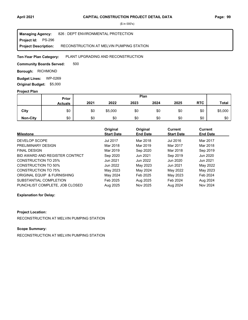| <b>Managing Agency:</b>     | 826 : DEPT ENVIRONMENTAL PROTECTION      |
|-----------------------------|------------------------------------------|
| <b>Project Id: PS-296</b>   |                                          |
| <b>Project Description:</b> | RECONSTRUCTION AT MELVIN PUMPING STATION |

PLANT UPGRADING AND RECONSTRUCTION **Ten-Year Plan Category:** 

500 **Community Boards Served:** 

**Borough: RICHMOND** 

**Budget Lines: WP-0269 Original Budget:** \$5,000

# **Project Plan**

|                 |                | Plan<br>Prior |         |      |      |      |            |              |
|-----------------|----------------|---------------|---------|------|------|------|------------|--------------|
|                 | <b>Actuals</b> | 2021          | 2022    | 2023 | 2024 | 2025 | <b>RTC</b> | <b>Total</b> |
| City            | \$0            | \$0           | \$5,000 | \$0  | \$0  | \$0  | \$0        | \$5,000      |
| <b>Non-City</b> | \$0            | \$0           | \$0     | \$0  | \$0  | \$0  | \$0        | \$0          |

|                                | Original          | Original        | <b>Current</b>    | Current         |
|--------------------------------|-------------------|-----------------|-------------------|-----------------|
| <b>Milestone</b>               | <b>Start Date</b> | <b>End Date</b> | <b>Start Date</b> | <b>End Date</b> |
| DEVELOP SCOPE                  | <b>Jul 2017</b>   | Mar 2018        | Jul 2016          | Mar 2017        |
| PRELIMINARY DESIGN             | Mar 2018          | Mar 2019        | Mar 2017          | Mar 2018        |
| <b>FINAL DESIGN</b>            | Mar 2019          | Sep 2020        | Mar 2018          | Sep 2019        |
| BID AWARD AND REGISTER CONTRCT | Sep 2020          | Jun 2021        | Sep 2019          | Jun 2020        |
| <b>CONSTRUCTION TO 25%</b>     | Jun 2021          | Jun 2022        | Jun 2020          | Jun 2021        |
| <b>CONSTRUCTION TO 50%</b>     | Jun 2022          | May 2023        | Jun 2021          | May 2022        |
| <b>CONSTRUCTION TO 75%</b>     | May 2023          | May 2024        | May 2022          | May 2023        |
| ORIGINAL EQUIP & FURNISHING    | May 2024          | Feb 2025        | May 2023          | Feb 2024        |
| SUBSTANTIAL COMPLETION         | Feb 2025          | Aug 2025        | Feb 2024          | Aug 2024        |
| PUNCHLIST COMPLETE. JOB CLOSED | Aug 2025          | Nov 2025        | Aug 2024          | Nov 2024        |

# **Explanation for Delay:**

# **Project Location:**

RECONSTRUCTION AT MELVIN PUMPING STATION

# **Scope Summary:**

RECONSTRUCTION AT MELVIN PUMPING STATION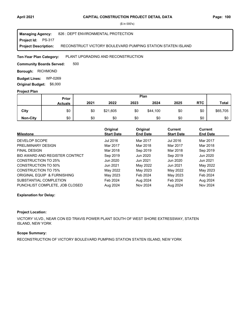#### **Project Id: PS-317** 826 : DEPT ENVIRONMENTAL PROTECTION RECONSTRUCT VICTORY BOULEVARD PUMPING STATION STATEN ISLAND **Managing Agency: Project Description:**

PLANT UPGRADING AND RECONSTRUCTION **Ten-Year Plan Category:** 

500 **Community Boards Served:** 

**Borough: RICHMOND** 

**Budget Lines: WP-0269 Original Budget:** \$6,000

### **Project Plan**

|                 |                | Plan<br>Prior |          |      |          |      |            |              |
|-----------------|----------------|---------------|----------|------|----------|------|------------|--------------|
|                 | <b>Actuals</b> | 2021          | 2022     | 2023 | 2024     | 2025 | <b>RTC</b> | <b>Total</b> |
| City            | \$0            | \$0           | \$21,605 | \$0  | \$44,100 | \$0  | \$0        | \$65,705     |
| <b>Non-City</b> | \$0            | \$0           | \$0      | \$0  | \$0      | \$0  | \$0        | \$0          |

| <b>Milestone</b>               | Original<br><b>Start Date</b> | Original<br><b>End Date</b> | <b>Current</b><br><b>Start Date</b> | <b>Current</b><br><b>End Date</b> |
|--------------------------------|-------------------------------|-----------------------------|-------------------------------------|-----------------------------------|
| <b>DEVELOP SCOPE</b>           | Jul 2016                      | Mar 2017                    | Jul 2016                            | Mar 2017                          |
| PRELIMINARY DESIGN             | Mar 2017                      | Mar 2018                    | Mar 2017                            | Mar 2018                          |
| <b>FINAL DESIGN</b>            | Mar 2018                      | Sep 2019                    | Mar 2018                            | Sep 2019                          |
| BID AWARD AND REGISTER CONTRCT | Sep 2019                      | Jun 2020                    | Sep 2019                            | Jun 2020                          |
| <b>CONSTRUCTION TO 25%</b>     | Jun 2020                      | Jun 2021                    | Jun 2020                            | Jun 2021                          |
| <b>CONSTRUCTION TO 50%</b>     | Jun 2021                      | May 2022                    | Jun 2021                            | May 2022                          |
| <b>CONSTRUCTION TO 75%</b>     | May 2022                      | May 2023                    | May 2022                            | May 2023                          |
| ORIGINAL EQUIP & FURNISHING    | May 2023                      | Feb 2024                    | May 2023                            | Feb 2024                          |
| SUBSTANTIAL COMPLETION         | Feb 2024                      | Aug 2024                    | Feb 2024                            | Aug 2024                          |
| PUNCHLIST COMPLETE, JOB CLOSED | Aug 2024                      | Nov 2024                    | Aug 2024                            | Nov 2024                          |

# **Explanation for Delay:**

# **Project Location:**

VICTORY VLVD., NEAR CON ED TRAVIS POWER PLANT SOUTH OF WEST SHORE EXTRESSWAY, STATEN ISLAND, NEW YORK

# **Scope Summary:**

RECONSTRUCTION OF VICTORY BOULEVARD PUMPING STATION STATEN ISLAND, NEW YORK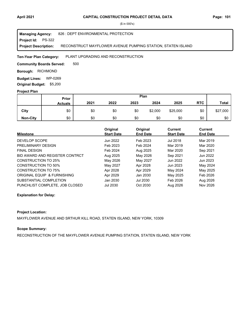#### **Project Id: PS-322** 826 : DEPT ENVIRONMENTAL PROTECTION RECONSTRUCT MAYFLOWER AVENUE PUMPING STATION, STATEN ISLAND **Managing Agency: Project Description:**

PLANT UPGRADING AND RECONSTRUCTION **Ten-Year Plan Category:** 

500 **Community Boards Served:** 

**Borough: RICHMOND** 

**Budget Lines: WP-0269 Original Budget:** \$5,200

### **Project Plan**

|                 | Plan<br><b>Prior</b> |      |      |      |         |          |            |              |
|-----------------|----------------------|------|------|------|---------|----------|------------|--------------|
|                 | <b>Actuals</b>       | 2021 | 2022 | 2023 | 2024    | 2025     | <b>RTC</b> | <b>Total</b> |
| City            | \$0                  | \$0  | \$0  | \$0  | \$2,000 | \$25,000 | \$0        | \$27,000     |
| <b>Non-City</b> | \$0                  | \$0  | \$0  | \$0  | \$0     | \$0      | \$0        | \$0          |

| <b>Milestone</b>               | Original<br><b>Start Date</b> | Original<br><b>End Date</b> | Current<br><b>Start Date</b> | Current<br><b>End Date</b> |
|--------------------------------|-------------------------------|-----------------------------|------------------------------|----------------------------|
| DEVELOP SCOPE                  | Jun 2022                      | Feb 2023                    | <b>Jul 2018</b>              | Mar 2019                   |
| PRELIMINARY DESIGN             | Feb 2023                      | Feb 2024                    | Mar 2019                     | Mar 2020                   |
| <b>FINAL DESIGN</b>            | Feb 2024                      | Aug 2025                    | Mar 2020                     | Sep 2021                   |
| BID AWARD AND REGISTER CONTRCT | Aug 2025                      | May 2026                    | Sep 2021                     | Jun 2022                   |
| <b>CONSTRUCTION TO 25%</b>     | May 2026                      | May 2027                    | Jun 2022                     | Jun 2023                   |
| CONSTRUCTION TO 50%            | May 2027                      | Apr 2028                    | Jun 2023                     | May 2024                   |
| CONSTRUCTION TO 75%            | Apr 2028                      | Apr 2029                    | May 2024                     | May 2025                   |
| ORIGINAL EQUIP & FURNISHING    | Apr 2029                      | Jan 2030                    | May 2025                     | Feb 2026                   |
| SUBSTANTIAL COMPLETION         | Jan 2030                      | Jul 2030                    | Feb 2026                     | Aug 2026                   |
| PUNCHLIST COMPLETE. JOB CLOSED | <b>Jul 2030</b>               | Oct 2030                    | Aug 2026                     | Nov 2026                   |

# **Explanation for Delay:**

# **Project Location:**

MAYFLOWER AVENUE AND SRTHUR KILL ROAD, STATEN ISLAND, NEW YORK, 10309

# **Scope Summary:**

RECONSTRUCTION OF THE MAYFLOWER AVENUE PUMPING STATION, STATEN ISLAND, NEW YORK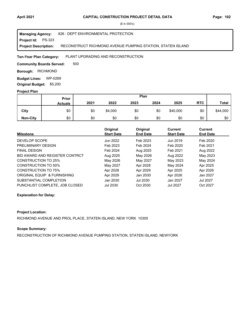#### **Project Id: PS-323** 826 : DEPT ENVIRONMENTAL PROTECTION RECONSTRUCT RICHMOND AVENUE PUMPING STATION, STATEN ISLAND **Managing Agency: Project Description:**

PLANT UPGRADING AND RECONSTRUCTION **Ten-Year Plan Category:** 

500 **Community Boards Served:** 

**Borough: RICHMOND** 

**Budget Lines: WP-0269 Original Budget:** \$5,200

### **Project Plan**

|                 | Plan<br><b>Prior</b> |      |         |      |      |          |            |              |
|-----------------|----------------------|------|---------|------|------|----------|------------|--------------|
|                 | <b>Actuals</b>       | 2021 | 2022    | 2023 | 2024 | 2025     | <b>RTC</b> | <b>Total</b> |
| City            | \$0                  | \$0  | \$4,000 | \$0  | \$0  | \$40,000 | \$0        | \$44,000     |
| <b>Non-City</b> | \$0                  | \$0  | \$0     | \$0  | \$0  | \$0      | \$0        | \$0          |

| <b>Milestone</b>               | Original<br><b>Start Date</b> | Original<br><b>End Date</b> | Current<br><b>Start Date</b> | Current<br><b>End Date</b> |
|--------------------------------|-------------------------------|-----------------------------|------------------------------|----------------------------|
| DEVELOP SCOPE                  | Jun 2022                      | Feb 2023                    | Jun 2019                     | Feb 2020                   |
| PRELIMINARY DESIGN             | Feb 2023                      | Feb 2024                    | Feb 2020                     | Feb 2021                   |
| <b>FINAL DESIGN</b>            | Feb 2024                      | Aug 2025                    | Feb 2021                     | Aug 2022                   |
| BID AWARD AND REGISTER CONTRCT | Aug 2025                      | May 2026                    | Aug 2022                     | May 2023                   |
| <b>CONSTRUCTION TO 25%</b>     | May 2026                      | May 2027                    | May 2023                     | May 2024                   |
| CONSTRUCTION TO 50%            | May 2027                      | Apr 2028                    | May 2024                     | Apr 2025                   |
| <b>CONSTRUCTION TO 75%</b>     | Apr 2028                      | Apr 2029                    | Apr 2025                     | Apr 2026                   |
| ORIGINAL EQUIP & FURNISHING    | Apr 2029                      | Jan 2030                    | Apr 2026                     | Jan 2027                   |
| SUBSTANTIAL COMPLETION         | Jan 2030                      | Jul 2030                    | Jan 2027                     | Jul 2027                   |
| PUNCHLIST COMPLETE. JOB CLOSED | <b>Jul 2030</b>               | Oct 2030                    | <b>Jul 2027</b>              | Oct 2027                   |

# **Explanation for Delay:**

# **Project Location:**

RICHMOND AVENUE AND PROL PLACE, STATEN ISLAND, NEW YORK 10305

# **Scope Summary:**

RECONSTRUCTION OF RICHMOND AVENUE PUMPING STATION, STATEN ISLAND, NEWYORK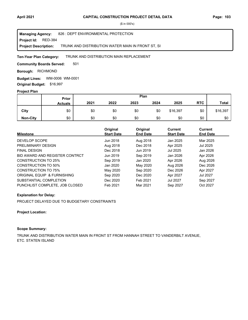#### Project Id: RED-384 826 : DEPT ENVIRONMENTAL PROTECTION TRUNK AND DISTRIBUTION WATER MAIN IN FRONT ST, SI **Managing Agency: Project Description:**

#### TRUNK AND DISTRIBUTION MAIN REPLACEMENT **Ten-Year Plan Category:**

501 **Community Boards Served:** 

**Borough: RICHMOND** 

WM-0006 WM-0001 **Budget Lines: Original Budget:** \$16,997

### **Project Plan**

|                 | Prior          |      |      |      | Plan |          |            |              |
|-----------------|----------------|------|------|------|------|----------|------------|--------------|
|                 | <b>Actuals</b> | 2021 | 2022 | 2023 | 2024 | 2025     | <b>RTC</b> | <b>Total</b> |
| City            | \$0            | \$0  | \$0  | \$0  | \$0  | \$16,397 | \$0        | \$16,397     |
| <b>Non-City</b> | \$0            | \$0  | \$0  | \$0  | \$0  | \$0      | \$0        | \$0          |

| <b>Milestone</b>               | Original<br><b>Start Date</b> | Original<br><b>End Date</b> | Current<br><b>Start Date</b> | Current<br><b>End Date</b> |
|--------------------------------|-------------------------------|-----------------------------|------------------------------|----------------------------|
| DEVELOP SCOPE                  | Jun 2018                      | Aug 2018                    | Jan 2025                     | Mar 2025                   |
| PRELIMINARY DESIGN             | Aug 2018                      | Dec 2018                    | Apr 2025                     | Jul 2025                   |
| <b>FINAL DESIGN</b>            | Dec 2018                      | Jun 2019                    | Jul 2025                     | Jan 2026                   |
| BID AWARD AND REGISTER CONTRCT | Jun 2019                      | Sep 2019                    | Jan 2026                     | Apr 2026                   |
| <b>CONSTRUCTION TO 25%</b>     | Sep 2019                      | Jan 2020                    | Apr 2026                     | Aug 2026                   |
| <b>CONSTRUCTION TO 50%</b>     | Jan 2020                      | May 2020                    | Aug 2026                     | Dec 2026                   |
| <b>CONSTRUCTION TO 75%</b>     | May 2020                      | Sep 2020                    | Dec 2026                     | Apr 2027                   |
| ORIGINAL EQUIP & FURNISHING    | Sep 2020                      | Dec 2020                    | Apr 2027                     | Jul 2027                   |
| SUBSTANTIAL COMPLETION         | Dec 2020                      | Feb 2021                    | <b>Jul 2027</b>              | Sep 2027                   |
| PUNCHLIST COMPLETE, JOB CLOSED | Feb 2021                      | Mar 2021                    | Sep 2027                     | Oct 2027                   |

# **Explanation for Delay:**

PROJECT DELAYED DUE TO BUDGETARY CONSTRAINTS

#### **Project Location:**

### **Scope Summary:**

TRUNK AND DISTRIBUTION WATER MAIN IN FRONT ST FROM HANNAH STREET TO VANDERBILT AVENUE, ETC. STATEN ISLAND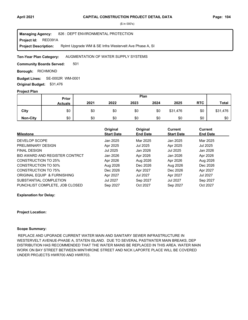#### RED391A 826 : DEPT ENVIRONMENTAL PROTECTION Rplmt Upgrade WM & SE Infra Westervelt Ave Phase A, SI **Managing Agency: Project Id: Project Description:**

#### AUGMENTATION OF WATER SUPPLY SYSTEMS **Ten-Year Plan Category:**

501 **Community Boards Served:** 

**Borough: RICHMOND** 

SE-0002R WM-0001 **Budget Lines: Original Budget:** \$31,476

#### **Project Plan**

|                 | Prior          |      |      |      | Plan |          |            |              |
|-----------------|----------------|------|------|------|------|----------|------------|--------------|
|                 | <b>Actuals</b> | 2021 | 2022 | 2023 | 2024 | 2025     | <b>RTC</b> | <b>Total</b> |
| City            | \$0            | \$0  | \$0  | \$0  | \$0  | \$31,476 | \$0        | \$31,476     |
| <b>Non-City</b> | \$0            | \$0  | \$0  | \$0  | \$0  | \$0      | \$0        | \$0          |

| <b>Milestone</b>               | Original<br><b>Start Date</b> | Original<br><b>End Date</b> | <b>Current</b><br><b>Start Date</b> | <b>Current</b><br><b>End Date</b> |
|--------------------------------|-------------------------------|-----------------------------|-------------------------------------|-----------------------------------|
| DEVELOP SCOPE                  | Jan 2025                      | Mar 2025                    | Jan 2025                            | Mar 2025                          |
| PRELIMINARY DESIGN             | Apr 2025                      | Jul 2025                    | Apr 2025                            | Jul 2025                          |
| <b>FINAL DESIGN</b>            | Jul 2025                      | Jan 2026                    | Jul 2025                            | Jan 2026                          |
| BID AWARD AND REGISTER CONTRCT | Jan 2026                      | Apr 2026                    | Jan 2026                            | Apr 2026                          |
| <b>CONSTRUCTION TO 25%</b>     | Apr 2026                      | Aug 2026                    | Apr 2026                            | Aug 2026                          |
| <b>CONSTRUCTION TO 50%</b>     | Aug 2026                      | Dec 2026                    | Aug 2026                            | Dec 2026                          |
| CONSTRUCTION TO 75%            | Dec 2026                      | Apr 2027                    | Dec 2026                            | Apr 2027                          |
| ORIGINAL EQUIP & FURNISHING    | Apr 2027                      | Jul 2027                    | Apr 2027                            | Jul 2027                          |
| SUBSTANTIAL COMPLETION         | Jul 2027                      | Sep 2027                    | Jul 2027                            | Sep 2027                          |
| PUNCHLIST COMPLETE. JOB CLOSED | Sep 2027                      | Oct 2027                    | Sep 2027                            | Oct 2027                          |

#### **Explanation for Delay:**

#### **Project Location:**

### **Scope Summary:**

 REPLACE AND UPGRADE CURRENT WATER MAIN AND SANITARY SEWER INFRASTRUCTURE IN WESTERVELT AVENUE-PHASE A, STATEN ISLAND. DUE TO SEVERAL PASTWATER MAIN BREAKS, DEP DISTRIBUTION HAS RECOMMENDED THAT THE WATER MAINS BE REPLACED IN THIS AREA. WATER MAIN WORK ON BAY STREET BETWEEN MINTHRONE STREET AND NICK LAPORTE PLACE WILL BE COVERED UNDER PROJECTS HWR700 AND HWR703.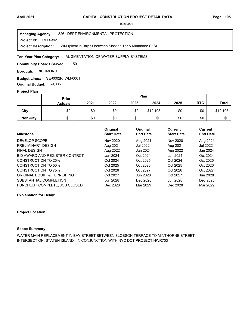#### Project Id: RED-392 826 : DEPT ENVIRONMENTAL PROTECTION WM rplcmt in Bay St between Slosson Ter & Minthorne St SI **Managing Agency: Project Description:**

#### AUGMENTATION OF WATER SUPPLY SYSTEMS **Ten-Year Plan Category:**

501 **Community Boards Served:** 

**Borough: RICHMOND** 

SE-0002R WM-0001 **Budget Lines: Original Budget:** \$9,005

### **Project Plan**

|                 | Plan<br>Prior  |      |      |      |          |      |            |          |
|-----------------|----------------|------|------|------|----------|------|------------|----------|
|                 | <b>Actuals</b> | 2021 | 2022 | 2023 | 2024     | 2025 | <b>RTC</b> | Total    |
| City            | \$0            | \$0  | \$0  | \$0  | \$12,103 | \$0  | \$0        | \$12,103 |
| <b>Non-City</b> | \$0            | \$0  | \$0  | \$0  | \$0      | \$0  | \$0        | \$0      |

| <b>Milestone</b>               | Original<br><b>Start Date</b> | Original<br><b>End Date</b> | <b>Current</b><br><b>Start Date</b> | Current<br><b>End Date</b> |
|--------------------------------|-------------------------------|-----------------------------|-------------------------------------|----------------------------|
|                                |                               |                             |                                     |                            |
| DEVELOP SCOPE                  | Nov 2020                      | Aug 2021                    | Nov 2020                            | Aug 2021                   |
| PRELIMINARY DESIGN             | Aug 2021                      | Jul 2022                    | Aug 2021                            | <b>Jul 2022</b>            |
| <b>FINAL DESIGN</b>            | Aug 2022                      | Jan 2024                    | Aug 2022                            | Jan 2024                   |
| BID AWARD AND REGISTER CONTRCT | Jan 2024                      | Oct 2024                    | Jan 2024                            | Oct 2024                   |
| <b>CONSTRUCTION TO 25%</b>     | Oct 2024                      | Oct 2025                    | Oct 2024                            | Oct 2025                   |
| CONSTRUCTION TO 50%            | Oct 2025                      | Oct 2026                    | Oct 2025                            | Oct 2026                   |
| <b>CONSTRUCTION TO 75%</b>     | Oct 2026                      | Oct 2027                    | Oct 2026                            | Oct 2027                   |
| ORIGINAL EQUIP & FURNISHING    | Oct 2027                      | Jun 2028                    | Oct 2027                            | Jun 2028                   |
| SUBSTANTIAL COMPLETION         | Jun 2028                      | Dec 2028                    | Jun 2028                            | Dec 2028                   |
| PUNCHLIST COMPLETE, JOB CLOSED | Dec 2028                      | Mar 2029                    | Dec 2028                            | Mar 2029                   |

**Explanation for Delay:**

#### **Project Location:**

#### **Scope Summary:**

WATER MAIN REPLACEMENT IN BAY STREET BETWEEN SLOSSON TERRACE TO MINTHORNE STREET INTERSECTION, STATEN ISLAND. IN CONJUNCTION WITH NYC DOT PROJECT HWR703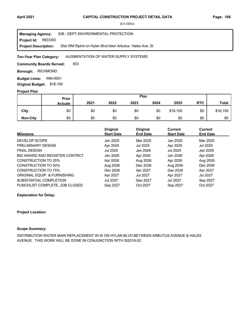**Project Id: RED393** 826 : DEPT ENVIRONMENTAL PROTECTION Dist WM Rplmt on Hylan Blvd btwn Arbutus Hales Ave, SI **Managing Agency: Project Description:** 

#### AUGMENTATION OF WATER SUPPLY SYSTEMS **Ten-Year Plan Category:**

503 **Community Boards Served:** 

**Borough: RICHMOND** 

**Budget Lines: WM-0001 Original Budget:** \$16,150

### **Project Plan**

|                 | <b>Prior</b>   |      |      |      | Plan |          |            |              |
|-----------------|----------------|------|------|------|------|----------|------------|--------------|
|                 | <b>Actuals</b> | 2021 | 2022 | 2023 | 2024 | 2025     | <b>RTC</b> | <b>Total</b> |
| City            | \$0            | \$0  | \$0  | \$0  | \$0  | \$16,150 | \$0        | \$16,150     |
| <b>Non-City</b> | \$0            | \$0  | \$0  | \$0  | \$0  | \$0      | \$0        | \$0          |

| <b>Milestone</b>               | Original<br><b>Start Date</b> | Original<br><b>End Date</b> | <b>Current</b><br><b>Start Date</b> | Current<br><b>End Date</b> |
|--------------------------------|-------------------------------|-----------------------------|-------------------------------------|----------------------------|
| DEVELOP SCOPE                  | Jan 2025                      | Mar 2025                    | Jan 2025                            | Mar 2025                   |
| PRELIMINARY DESIGN             | Apr 2025                      | Jul 2025                    | Apr 2025                            | Jul 2025                   |
| <b>FINAL DESIGN</b>            | Jul 2025                      | Jan 2026                    | Jul 2025                            | Jan 2026                   |
| BID AWARD AND REGISTER CONTRCT | Jan 2026                      | Apr 2026                    | Jan 2026                            | Apr 2026                   |
| <b>CONSTRUCTION TO 25%</b>     | Apr 2026                      | Aug 2026                    | Apr 2026                            | Aug 2026                   |
| <b>CONSTRUCTION TO 50%</b>     | Aug 2026                      | Dec 2026                    | Aug 2026                            | Dec 2026                   |
| CONSTRUCTION TO 75%            | Dec 2026                      | Apr 2027                    | Dec 2026                            | Apr 2027                   |
| ORIGINAL EQUIP & FURNISHING    | Apr 2027                      | Jul 2027                    | Apr 2027                            | Jul 2027                   |
| SUBSTANTIAL COMPLETION         | Jul 2027                      | Sep 2027                    | Jul 2027                            | Sep 2027                   |
| PUNCHLIST COMPLETE, JOB CLOSED | Sep 2027                      | Oct 2027                    | Sep 2027                            | Oct 2027                   |

#### **Explanation for Delay:**

#### **Project Location:**

# **Scope Summary:**

DISTRIBUTION WATER MAIN REPLACEMENT IN SI ON HYLAN BLVD BETWEEN ARBUTUS AVENUE & HALES AVENUE. THIS WORK WILL BE DONE IN CONJUNCTION WITH SI2018-02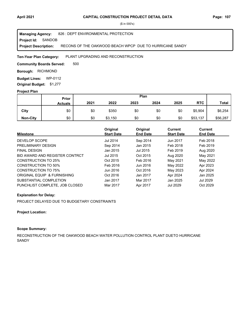#### **Project Id: SANDOB** 826 : DEPT ENVIRONMENTAL PROTECTION RECONS OF THE OAKWOOD BEACH WPCP DUE TO HURRICANE SANDY **Managing Agency: Project Description:**

#### PLANT UPGRADING AND RECONSTRUCTION **Ten-Year Plan Category:**

500 **Community Boards Served:** 

**Borough: RICHMOND** 

**Budget Lines: WP-0112 Original Budget:** \$1,277

### **Project Plan**

|                 | Prior          |      |         |      | Plan |      |            |              |
|-----------------|----------------|------|---------|------|------|------|------------|--------------|
|                 | <b>Actuals</b> | 2021 | 2022    | 2023 | 2024 | 2025 | <b>RTC</b> | <b>Total</b> |
| City            | \$0            | \$0  | \$350   | \$0  | \$0  | \$0  | \$5,904    | \$6,254      |
| <b>Non-City</b> | \$0            | \$0  | \$3,150 | \$0  | \$0  | \$0  | \$53,137   | \$56,287     |

|                                | Original          | Original        | <b>Current</b>    | Current         |
|--------------------------------|-------------------|-----------------|-------------------|-----------------|
| <b>Milestone</b>               | <b>Start Date</b> | <b>End Date</b> | <b>Start Date</b> | <b>End Date</b> |
| DEVELOP SCOPE                  | Jul 2014          | Sep 2014        | Jun 2017          | Feb 2018        |
| PRELIMINARY DESIGN             | Sep 2014          | Jan 2015        | Feb 2018          | Feb 2019        |
| <b>FINAL DESIGN</b>            | Jan 2015          | Jul 2015        | Feb 2019          | Aug 2020        |
| BID AWARD AND REGISTER CONTRCT | Jul 2015          | Oct 2015        | Aug 2020          | May 2021        |
| CONSTRUCTION TO 25%            | Oct 2015          | Feb 2016        | May 2021          | May 2022        |
| CONSTRUCTION TO 50%            | Feb 2016          | Jun 2016        | May 2022          | Apr 2023        |
| CONSTRUCTION TO 75%            | Jun 2016          | Oct 2016        | May 2023          | Apr 2024        |
| ORIGINAL EQUIP & FURNISHING    | Oct 2016          | Jan 2017        | Apr 2024          | Jan 2025        |
| SUBSTANTIAL COMPLETION         | Jan 2017          | Mar 2017        | Jan 2025          | <b>Jul 2029</b> |
| PUNCHLIST COMPLETE. JOB CLOSED | Mar 2017          | Apr 2017        | <b>Jul 2029</b>   | Oct 2029        |

# **Explanation for Delay:**

PROJECT DELAYED DUE TO BUDGETARY CONSTRAINTS

# **Project Location:**

# **Scope Summary:**

RECONSTRUCTION OF THE OAKWOOD BEACH WATER POLLUTION CONTROL PLANT DUETO HURRICANE **SANDY**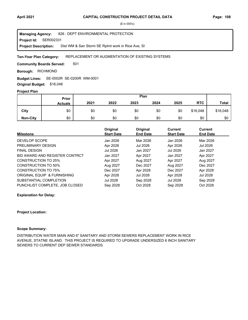**Project Id: SER002331** 826 : DEPT ENVIRONMENTAL PROTECTION Dist WM & San Storm SE Rplmt work in Rice Ave, SI **Managing Agency: Project Description:** 

#### REPLACEMENT OR AUGMENTATION OF EXISTING SYSTEMS **Ten-Year Plan Category:**

501 **Community Boards Served:** 

**Borough: RICHMOND** 

SE-0002R SE-0200R WM-0001 **Budget Lines:** 

**Original Budget:** \$16,048

# **Project Plan**

|                 | Prior          |      | Plan |      |      |      |            |              |
|-----------------|----------------|------|------|------|------|------|------------|--------------|
|                 | <b>Actuals</b> | 2021 | 2022 | 2023 | 2024 | 2025 | <b>RTC</b> | <b>Total</b> |
| City            | \$0            | \$0  | \$0  | \$0  | \$0  | \$0  | \$16,048   | \$16,048     |
| <b>Non-City</b> | \$0            | \$0  | \$0  | \$0  | \$0  | \$0  | \$0        | \$0          |

| <b>Milestone</b>               | Original<br><b>Start Date</b> | Original<br><b>End Date</b> | <b>Current</b><br><b>Start Date</b> | <b>Current</b><br><b>End Date</b> |
|--------------------------------|-------------------------------|-----------------------------|-------------------------------------|-----------------------------------|
|                                |                               |                             |                                     |                                   |
| DEVELOP SCOPE                  | Jan 2026                      | Mar 2026                    | Jan 2026                            | Mar 2026                          |
| PRELIMINARY DESIGN             | Apr 2026                      | Jul 2026                    | Apr 2026                            | Jul 2026                          |
| <b>FINAL DESIGN</b>            | Jul 2026                      | Jan 2027                    | Jul 2026                            | Jan 2027                          |
| BID AWARD AND REGISTER CONTRCT | Jan 2027                      | Apr 2027                    | Jan 2027                            | Apr 2027                          |
| <b>CONSTRUCTION TO 25%</b>     | Apr 2027                      | Aug 2027                    | Apr 2027                            | Aug 2027                          |
| <b>CONSTRUCTION TO 50%</b>     | Aug 2027                      | Dec 2027                    | Aug 2027                            | Dec 2027                          |
| <b>CONSTRUCTION TO 75%</b>     | Dec 2027                      | Apr 2028                    | Dec 2027                            | Apr 2028                          |
| ORIGINAL EQUIP & FURNISHING    | Apr 2028                      | Jul 2028                    | Apr 2028                            | Jul 2028                          |
| SUBSTANTIAL COMPLETION         | Jul 2028                      | Sep 2028                    | Jul 2028                            | Sep 2028                          |
| PUNCHLIST COMPLETE. JOB CLOSED | Sep 2028                      | Oct 2028                    | Sep 2028                            | Oct 2028                          |

**Explanation for Delay:**

#### **Project Location:**

### **Scope Summary:**

DISTRIBUTION WATER MAIN AND 6" SANITARY AND STORM SEWERS REPLACEMENT WORK IN RICE AVENUE, STATNE ISLAND. THIS PROJECT IS REQUIRED TO UPGRADE UNDERSIZED 6 INCH SANITARY SEWERS TO CURRENT DEP SEWER STANDARDS.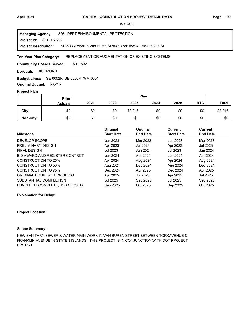**Project Id: SER002333** 826 : DEPT ENVIRONMENTAL PROTECTION SE & WM work in Van Buren St btwn York Ave & FranklIn Ave SI **Managing Agency: Project Description:** 

#### REPLACEMENT OR AUGMENTATION OF EXISTING SYSTEMS **Ten-Year Plan Category:**

501 502 **Community Boards Served:** 

**Borough: RICHMOND** 

SE-0002R SE-0200R WM-0001 **Budget Lines:** 

**Original Budget:** \$8,216

# **Project Plan**

|                 | Prior          |      |      |         | Plan |      |            |              |
|-----------------|----------------|------|------|---------|------|------|------------|--------------|
|                 | <b>Actuals</b> | 2021 | 2022 | 2023    | 2024 | 2025 | <b>RTC</b> | <b>Total</b> |
| City            | \$0            | \$0  | \$0  | \$8,216 | \$0  | \$0  | \$0        | \$8,216      |
| <b>Non-City</b> | \$0            | \$0  | \$0  | \$0     | \$0  | \$0  | \$0        | \$0          |

| <b>Milestone</b>               | Original<br><b>Start Date</b> | Original<br><b>End Date</b> | <b>Current</b><br><b>Start Date</b> | <b>Current</b><br><b>End Date</b> |
|--------------------------------|-------------------------------|-----------------------------|-------------------------------------|-----------------------------------|
| DEVELOP SCOPE                  | Jan 2023                      | Mar 2023                    | Jan 2023                            | Mar 2023                          |
| PRELIMINARY DESIGN             | Apr 2023                      | Jul 2023                    | Apr 2023                            | Jul 2023                          |
| <b>FINAL DESIGN</b>            | Jul 2023                      | Jan 2024                    | Jul 2023                            | Jan 2024                          |
| BID AWARD AND REGISTER CONTRCT | Jan 2024                      | Apr 2024                    | Jan 2024                            | Apr 2024                          |
| <b>CONSTRUCTION TO 25%</b>     | Apr 2024                      | Aug 2024                    | Apr 2024                            | Aug 2024                          |
| <b>CONSTRUCTION TO 50%</b>     | Aug 2024                      | Dec 2024                    | Aug 2024                            | Dec 2024                          |
| <b>CONSTRUCTION TO 75%</b>     | Dec 2024                      | Apr 2025                    | Dec 2024                            | Apr 2025                          |
| ORIGINAL EQUIP & FURNISHING    | Apr 2025                      | Jul 2025                    | Apr 2025                            | Jul 2025                          |
| SUBSTANTIAL COMPLETION         | Jul 2025                      | Sep 2025                    | Jul 2025                            | Sep 2025                          |
| PUNCHLIST COMPLETE. JOB CLOSED | Sep 2025                      | Oct 2025                    | Sep 2025                            | Oct 2025                          |

#### **Explanation for Delay:**

#### **Project Location:**

### **Scope Summary:**

NEW SANITARY SEWER & WATER MAIN WORK IN VAN BUREN STREET BETWEEN TORKAVENUE & FRANKLIN AVENUE IN STATEN ISLANDS. THIS PROJECT IS IN CONJUNCTION WITH DOT PROJECT HWTRR1.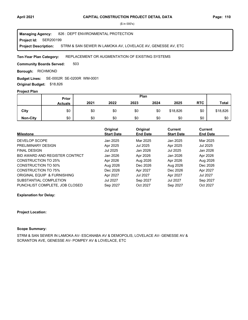**Project Id: SER200199** 826 : DEPT ENVIRONMENTAL PROTECTION STRM & SAN SEWER IN LAMOKA AV, LOVELACE AV, GENESSE AV, ETC **Managing Agency: Project Description:** 

REPLACEMENT OR AUGMENTATION OF EXISTING SYSTEMS **Ten-Year Plan Category:** 

503 **Community Boards Served:** 

**Borough: RICHMOND** 

SE-0002R SE-0200R WM-0001 **Budget Lines:** 

**Original Budget:** \$18,826

# **Project Plan**

|                 | Prior          |      |      |      | Plan |          |            |              |
|-----------------|----------------|------|------|------|------|----------|------------|--------------|
|                 | <b>Actuals</b> | 2021 | 2022 | 2023 | 2024 | 2025     | <b>RTC</b> | <b>Total</b> |
| City            | \$0            | \$0  | \$0  | \$0  | \$0  | \$18,826 | \$0        | \$18,826     |
| <b>Non-City</b> | \$0            | \$0  | \$0  | \$0  | \$0  | \$0      | \$0        | \$0          |

| <b>Milestone</b>               | Original<br><b>Start Date</b> | Original<br><b>End Date</b> | <b>Current</b><br><b>Start Date</b> | Current<br><b>End Date</b> |
|--------------------------------|-------------------------------|-----------------------------|-------------------------------------|----------------------------|
| DEVELOP SCOPE                  | Jan 2025                      | Mar 2025                    | Jan 2025                            | Mar 2025                   |
| PRELIMINARY DESIGN             | Apr 2025                      | Jul 2025                    | Apr 2025                            | Jul 2025                   |
| <b>FINAL DESIGN</b>            | Jul 2025                      | Jan 2026                    | Jul 2025                            | Jan 2026                   |
| BID AWARD AND REGISTER CONTRCT | Jan 2026                      | Apr 2026                    | Jan 2026                            | Apr 2026                   |
| <b>CONSTRUCTION TO 25%</b>     | Apr 2026                      | Aug 2026                    | Apr 2026                            | Aug 2026                   |
| <b>CONSTRUCTION TO 50%</b>     | Aug 2026                      | Dec 2026                    | Aug 2026                            | Dec 2026                   |
| <b>CONSTRUCTION TO 75%</b>     | Dec 2026                      | Apr 2027                    | Dec 2026                            | Apr 2027                   |
| ORIGINAL EQUIP & FURNISHING    | Apr 2027                      | Jul 2027                    | Apr 2027                            | Jul 2027                   |
| SUBSTANTIAL COMPLETION         | Jul 2027                      | Sep 2027                    | Jul 2027                            | Sep 2027                   |
| PUNCHLIST COMPLETE. JOB CLOSED | Sep 2027                      | Oct 2027                    | Sep 2027                            | Oct 2027                   |

**Explanation for Delay:**

#### **Project Location:**

# **Scope Summary:**

STRM & SAN SEWER IN LAMOKA AV- ESCANABA AV & DEMOPOLIS, LOVELACE AV- GENESSE AV & SCRANTON AVE, GENESSE AV- POMPEY AV & LOVELACE, ETC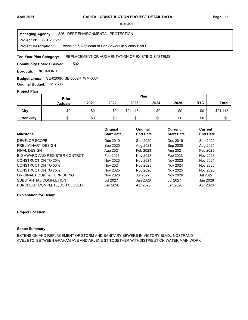**Project Id: SER200256** 826 : DEPT ENVIRONMENTAL PROTECTION Extension & Replacmt of San Sewers in Victory Blvd SI **Managing Agency: Project Description:** 

#### REPLACEMENT OR AUGMENTATION OF EXISTING SYSTEMS **Ten-Year Plan Category:**

502 **Community Boards Served:** 

**Borough: RICHMOND** 

SE-0200R SE-0002R WM-0001 **Budget Lines:** 

**Original Budget:** \$16,608

# **Project Plan**

|                 | Prior          |      |      |          | Plan |      |            |              |
|-----------------|----------------|------|------|----------|------|------|------------|--------------|
|                 | <b>Actuals</b> | 2021 | 2022 | 2023     | 2024 | 2025 | <b>RTC</b> | <b>Total</b> |
| City            | \$0            | \$0  | \$0  | \$21,415 | \$0  | \$0  | \$0        | \$21,415     |
| <b>Non-City</b> | \$0            | \$0  | \$0  | \$0      | \$0  | \$0  | \$0        | \$0          |

| <b>Milestone</b>               | Original<br><b>Start Date</b> | Original<br><b>End Date</b> | <b>Current</b><br><b>Start Date</b> | <b>Current</b><br><b>End Date</b> |
|--------------------------------|-------------------------------|-----------------------------|-------------------------------------|-----------------------------------|
|                                |                               |                             |                                     |                                   |
| DEVELOP SCOPE                  | Dec 2019                      | Sep 2020                    | Dec 2019                            | Sep 2020                          |
| PRELIMINARY DESIGN             | Sep 2020                      | Aug 2021                    | Sep 2020                            | Aug 2021                          |
| <b>FINAL DESIGN</b>            | Aug 2021                      | Feb 2023                    | Aug 2021                            | Feb 2023                          |
| BID AWARD AND REGISTER CONTRCT | Feb 2023                      | Nov 2023                    | Feb 2023                            | Nov 2023                          |
| CONSTRUCTION TO 25%            | Nov 2023                      | Nov 2024                    | Nov 2023                            | Nov 2024                          |
| CONSTRUCTION TO 50%            | Nov 2024                      | Nov 2025                    | Nov 2024                            | Nov 2025                          |
| <b>CONSTRUCTION TO 75%</b>     | Nov 2025                      | Nov 2026                    | Nov 2025                            | Nov 2026                          |
| ORIGINAL EQUIP & FURNISHING    | Nov 2026                      | <b>Jul 2027</b>             | Nov 2026                            | <b>Jul 2027</b>                   |
| SUBSTANTIAL COMPLETION         | <b>Jul 2027</b>               | Jan 2028                    | Jul 2027                            | Jan 2028                          |
| PUNCHLIST COMPLETE, JOB CLOSED | Jan 2028                      | Apr 2028                    | Jan 2028                            | Apr 2028                          |

**Explanation for Delay:**

#### **Project Location:**

#### **Scope Summary:**

EXTENSION AND REPLACEMENT OF STORM AND SANITARY SEWERS IN VICTORY BLVD.. NOSTRAND AVE., ETC. BETWEEN GRAHAM AVE AND ARLENE ST TOGETHER WITHDISTRIBUTION WATER MAIN WORK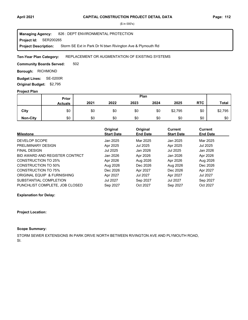**Project Id: SER200265** 826 : DEPT ENVIRONMENTAL PROTECTION Storm SE Ext in Park Dr N btwn Rivington Ave & Plymouth Rd **Managing Agency: Project Description:** 

#### REPLACEMENT OR AUGMENTATION OF EXISTING SYSTEMS **Ten-Year Plan Category:**

502 **Community Boards Served:** 

**Borough: RICHMOND** 

**Budget Lines: SE-0200R Original Budget:** \$2,795

# **Project Plan**

|                 |                | Plan<br>Prior |      |      |      |         |            |              |
|-----------------|----------------|---------------|------|------|------|---------|------------|--------------|
|                 | <b>Actuals</b> | 2021          | 2022 | 2023 | 2024 | 2025    | <b>RTC</b> | <b>Total</b> |
| City            | \$0            | \$0           | \$0  | \$0  | \$0  | \$2,795 | \$0        | \$2,795      |
| <b>Non-City</b> | \$0            | \$0           | \$0  | \$0  | \$0  | \$0     | \$0        | \$0          |

| <b>Milestone</b>               | Original<br><b>Start Date</b> | Original<br><b>End Date</b> | <b>Current</b><br><b>Start Date</b> | Current<br><b>End Date</b> |
|--------------------------------|-------------------------------|-----------------------------|-------------------------------------|----------------------------|
|                                |                               |                             |                                     |                            |
| DEVELOP SCOPE                  | Jan 2025                      | Mar 2025                    | Jan 2025                            | Mar 2025                   |
| PRELIMINARY DESIGN             | Apr 2025                      | Jul 2025                    | Apr 2025                            | Jul 2025                   |
| <b>FINAL DESIGN</b>            | Jul 2025                      | Jan 2026                    | Jul 2025                            | Jan 2026                   |
| BID AWARD AND REGISTER CONTRCT | Jan 2026                      | Apr 2026                    | Jan 2026                            | Apr 2026                   |
| <b>CONSTRUCTION TO 25%</b>     | Apr 2026                      | Aug 2026                    | Apr 2026                            | Aug 2026                   |
| <b>CONSTRUCTION TO 50%</b>     | Aug 2026                      | Dec 2026                    | Aug 2026                            | Dec 2026                   |
| CONSTRUCTION TO 75%            | Dec 2026                      | Apr 2027                    | Dec 2026                            | Apr 2027                   |
| ORIGINAL EQUIP & FURNISHING    | Apr 2027                      | Jul 2027                    | Apr 2027                            | Jul 2027                   |
| SUBSTANTIAL COMPLETION         | Jul 2027                      | Sep 2027                    | Jul 2027                            | Sep 2027                   |
| PUNCHLIST COMPLETE, JOB CLOSED | Sep 2027                      | Oct 2027                    | Sep 2027                            | Oct 2027                   |

#### **Explanation for Delay:**

#### **Project Location:**

# **Scope Summary:**

STORM SEWER EXTENSIONS IN PARK DRIVE NORTH BETWEEN RIVINGTON AVE AND PLYMOUTH ROAD, SI.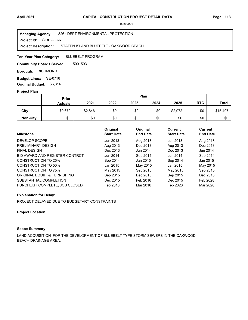**Project Id: SIBB2-OAK** 826 : DEPT ENVIRONMENTAL PROTECTION STATEN ISLAND BLUEBELT - OAKWOOD BEACH **Managing Agency: Project Description:** 

BLUEBELT PROGRAM **Ten-Year Plan Category:** 

500 503 **Community Boards Served:** 

**Borough: RICHMOND** 

**Budget Lines: SE-0716 Original Budget:** \$6,814

### **Project Plan**

|                 |                | Plan<br><b>Prior</b> |      |      |      |         |            |              |
|-----------------|----------------|----------------------|------|------|------|---------|------------|--------------|
|                 | <b>Actuals</b> | 2021                 | 2022 | 2023 | 2024 | 2025    | <b>RTC</b> | <b>Total</b> |
| City            | \$9,679        | \$2,846              | \$0  | \$0  | \$0  | \$2,972 | \$0        | \$15,497     |
| <b>Non-City</b> | \$0            | \$0                  | \$0  | \$0  | \$0  | \$0     | \$0        | \$0          |

| <b>Milestone</b>               | Original<br><b>Start Date</b> | Original<br><b>End Date</b> | <b>Current</b><br><b>Start Date</b> | <b>Current</b><br><b>End Date</b> |
|--------------------------------|-------------------------------|-----------------------------|-------------------------------------|-----------------------------------|
| DEVELOP SCOPE                  | Jun 2013                      | Aug 2013                    | Jun 2013                            | Aug 2013                          |
| PRELIMINARY DESIGN             | Aug 2013                      | Dec 2013                    | Aug 2013                            | Dec 2013                          |
| <b>FINAL DESIGN</b>            | Dec 2013                      | Jun 2014                    | Dec 2013                            | Jun 2014                          |
| BID AWARD AND REGISTER CONTRCT | Jun 2014                      | Sep 2014                    | Jun 2014                            | Sep 2014                          |
| <b>CONSTRUCTION TO 25%</b>     | Sep 2014                      | Jan 2015                    | Sep 2014                            | Jan 2015                          |
| CONSTRUCTION TO 50%            | Jan 2015                      | May 2015                    | Jan 2015                            | May 2015                          |
| <b>CONSTRUCTION TO 75%</b>     | May 2015                      | Sep 2015                    | May 2015                            | Sep 2015                          |
| ORIGINAL EQUIP & FURNISHING    | Sep 2015                      | Dec 2015                    | Sep 2015                            | Dec 2015                          |
| SUBSTANTIAL COMPLETION         | Dec 2015                      | Feb 2016                    | Dec 2015                            | Feb 2028                          |
| PUNCHLIST COMPLETE, JOB CLOSED | Feb 2016                      | Mar 2016                    | Feb 2028                            | Mar 2028                          |

# **Explanation for Delay:**

PROJECT DELAYED DUE TO BUDGETARY CONSTRAINTS

# **Project Location:**

# **Scope Summary:**

LAND ACQUISITION FOR THE DEVELOPMENT OF BLUEBELT TYPE STORM SEWERS IN THE OAKWOOD BEACH DRAINAGE AREA.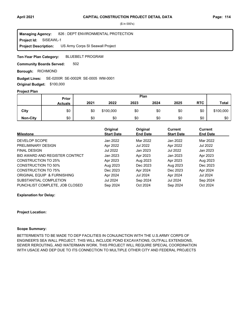SISEAWL-1 826 : DEPT ENVIRONMENTAL PROTECTION US Army Corps SI Seawall Project **Managing Agency: Project Id: Project Description:** 

BLUEBELT PROGRAM **Ten-Year Plan Category:** 

502 **Community Boards Served:** 

**Borough: RICHMOND** 

### SE-0200R SE-0002R SE-0005 WM-0001 **Budget Lines:**

**Original Budget:** \$100,000

# **Project Plan**

|                 | Prior          |      |           |      | Plan |      |            |              |
|-----------------|----------------|------|-----------|------|------|------|------------|--------------|
|                 | <b>Actuals</b> | 2021 | 2022      | 2023 | 2024 | 2025 | <b>RTC</b> | <b>Total</b> |
| City            | \$0            | \$0  | \$100,000 | \$0  | \$0  | \$0  | \$0        | \$100,000    |
| <b>Non-City</b> | \$0            | \$0  | \$0       | \$0  | \$0  | \$0  | \$0        | \$0          |

| <b>Milestone</b>               | Original<br><b>Start Date</b> | Original<br><b>End Date</b> | Current<br><b>Start Date</b> | Current<br><b>End Date</b> |
|--------------------------------|-------------------------------|-----------------------------|------------------------------|----------------------------|
| DEVELOP SCOPE                  | Jan 2022                      | Mar 2022                    | Jan 2022                     | Mar 2022                   |
| PRELIMINARY DESIGN             | Apr 2022                      | <b>Jul 2022</b>             | Apr 2022                     | <b>Jul 2022</b>            |
| <b>FINAL DESIGN</b>            | Jul 2022                      | Jan 2023                    | Jul 2022                     | Jan 2023                   |
| BID AWARD AND REGISTER CONTRCT | Jan 2023                      | Apr 2023                    | Jan 2023                     | Apr 2023                   |
| <b>CONSTRUCTION TO 25%</b>     | Apr 2023                      | Aug 2023                    | Apr 2023                     | Aug 2023                   |
| <b>CONSTRUCTION TO 50%</b>     | Aug 2023                      | Dec 2023                    | Aug 2023                     | Dec 2023                   |
| CONSTRUCTION TO 75%            | Dec 2023                      | Apr 2024                    | Dec 2023                     | Apr 2024                   |
| ORIGINAL EQUIP & FURNISHING    | Apr 2024                      | Jul 2024                    | Apr 2024                     | Jul 2024                   |
| SUBSTANTIAL COMPLETION         | <b>Jul 2024</b>               | Sep 2024                    | Jul 2024                     | Sep 2024                   |
| PUNCHLIST COMPLETE, JOB CLOSED | Sep 2024                      | Oct 2024                    | Sep 2024                     | Oct 2024                   |

#### **Explanation for Delay:**

#### **Project Location:**

### **Scope Summary:**

BETTERMENTS TO BE MADE TO DEP FACILITIES IN CONJUNCTION WITH THE U.S.ARMY CORPS OF ENGINEER'S SEA WALL PROJECT. THIS WILL INCLUDE POND EXCAVATIONS, OUTFALL EXTENSIONS, SEWER REROUTING, AND WATERMAIN WORK. THIS PROJECT WILL REQUIRE SPECIAL COORDINATION WITH USACE AND DEP DUE TO ITS CONNECTION TO MULTIPLE OTHER CITY AND FEDERAL PROJECTS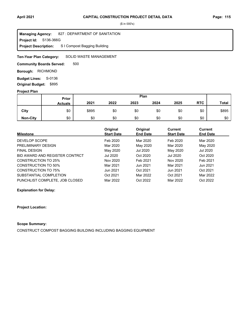**Project Id: S136-366G** 827 : DEPARTMENT OF SANITATION S I Compost Bagging Building **Managing Agency: Project Description:** 

#### SOLID WASTE MANAGEMENT **Ten-Year Plan Category:**

500 **Community Boards Served:** 

**Borough: RICHMOND** 

**Budget Lines: S-0136 Original Budget:** \$895

### **Project Plan**

|                 | <b>Prior</b>   |       |      |      | Plan |      |            |       |
|-----------------|----------------|-------|------|------|------|------|------------|-------|
|                 | <b>Actuals</b> | 2021  | 2022 | 2023 | 2024 | 2025 | <b>RTC</b> | Total |
| City            | \$0            | \$895 | \$0  | \$0  | \$0  | \$0  | \$0        | \$895 |
| <b>Non-City</b> | \$0            | \$0   | \$0  | \$0  | \$0  | \$0  | \$0        | \$0   |

|                                | Original<br><b>Start Date</b> | Original<br><b>End Date</b> | <b>Current</b><br><b>Start Date</b> | <b>Current</b><br><b>End Date</b> |
|--------------------------------|-------------------------------|-----------------------------|-------------------------------------|-----------------------------------|
| <b>Milestone</b>               |                               |                             |                                     |                                   |
| DEVELOP SCOPE                  | Feb 2020                      | Mar 2020                    | Feb 2020                            | Mar 2020                          |
| PRELIMINARY DESIGN             | Mar 2020                      | May 2020                    | Mar 2020                            | May 2020                          |
| <b>FINAL DESIGN</b>            | May 2020                      | Jul 2020                    | May 2020                            | <b>Jul 2020</b>                   |
| BID AWARD AND REGISTER CONTRCT | Jul 2020                      | Oct 2020                    | Jul 2020                            | Oct 2020                          |
| <b>CONSTRUCTION TO 25%</b>     | Nov 2020                      | Feb 2021                    | Nov 2020                            | Feb 2021                          |
| <b>CONSTRUCTION TO 50%</b>     | Mar 2021                      | Jun 2021                    | Mar 2021                            | Jun 2021                          |
| <b>CONSTRUCTION TO 75%</b>     | Jun 2021                      | Oct 2021                    | Jun 2021                            | Oct 2021                          |
| SUBSTANTIAL COMPLETION         | Oct 2021                      | Mar 2022                    | Oct 2021                            | Mar 2022                          |
| PUNCHLIST COMPLETE, JOB CLOSED | Mar 2022                      | Oct 2022                    | Mar 2022                            | Oct 2022                          |

# **Explanation for Delay:**

# **Project Location:**

### **Scope Summary:**

CONSTRUCT COMPOST BAGGING BUILDING INCLUDING BAGGING EQUIPMENT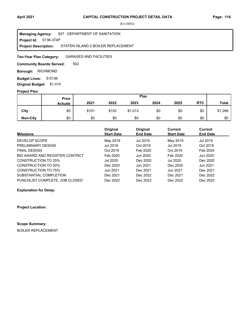**Project Id: S136-374P** 827 : DEPARTMENT OF SANITATION STATEN ISLAND 2 BOILER REPLACEMENT **Managing Agency: Project Description:** 

GARAGES AND FACILITIES **Ten-Year Plan Category:** 

502 **Community Boards Served:** 

**Borough: RICHMOND** 

**Budget Lines: S-0136 Original Budget:** \$1,414

#### **Project Plan**

|                 | Prior          |       |       |         | Plan |      |            |         |
|-----------------|----------------|-------|-------|---------|------|------|------------|---------|
|                 | <b>Actuals</b> | 2021  | 2022  | 2023    | 2024 | 2025 | <b>RTC</b> | Total   |
| City            | \$0            | \$101 | \$152 | \$1,013 | \$0  | \$0  | \$0        | \$1,266 |
| <b>Non-City</b> | \$0            | \$0   | \$0   | \$0     | \$0  | \$0  | \$0        | \$0     |

|                                | Original          | Original        | Current           | Current         |
|--------------------------------|-------------------|-----------------|-------------------|-----------------|
| <b>Milestone</b>               | <b>Start Date</b> | <b>End Date</b> | <b>Start Date</b> | <b>End Date</b> |
| DEVELOP SCOPE                  | May 2019          | Jul 2019        | May 2019          | Jul 2019        |
| PRELIMINARY DESIGN             | Jul 2019          | Oct 2019        | Jul 2019          | Oct 2019        |
| <b>FINAL DESIGN</b>            | Oct 2019          | Feb 2020        | Oct 2019          | Feb 2020        |
| BID AWARD AND REGISTER CONTRCT | Feb 2020          | Jun 2020        | Feb 2020          | Jun 2020        |
| <b>CONSTRUCTION TO 25%</b>     | Jul 2020          | Dec 2020        | <b>Jul 2020</b>   | Dec 2020        |
| CONSTRUCTION TO 50%            | Dec 2020          | Jun 2021        | Dec 2020          | Jun 2021        |
| CONSTRUCTION TO 75%            | Jun 2021          | Dec 2021        | Jun 2021          | Dec 2021        |
| SUBSTANTIAL COMPLETION         | Dec 2021          | Dec 2022        | Dec 2021          | Dec 2022        |
| PUNCHLIST COMPLETE, JOB CLOSED | Dec 2022          | Dec 2023        | Dec 2022          | Dec 2023        |

# **Explanation for Delay:**

**Project Location:**

**Scope Summary:**

BOILER REPLACEMENT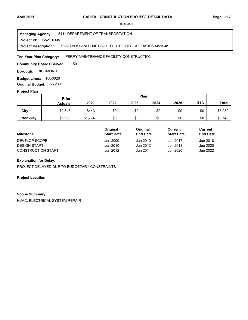#### **Project Id: C5219FM5** 841 : DEPARTMENT OF TRANSPORTATION STATEN ISLAND FMF FACILITY UTILITIES UPGRADES X823.48 **Managing Agency: Project Description:**

#### FERRY MAINTENANCE FACILITY CONSTRUCTION **Ten-Year Plan Category:**

501 **Community Boards Served:** 

**Borough: RICHMOND** 

**Budget Lines: FA-0026 Original Budget:** \$5,280

# **Project Plan**

|                 | Prior          |         |      | Plan |      |      |            |              |
|-----------------|----------------|---------|------|------|------|------|------------|--------------|
|                 | <b>Actuals</b> | 2021    | 2022 | 2023 | 2024 | 2025 | <b>RTC</b> | <b>Total</b> |
| City            | \$2,646        | \$443   | \$0  | \$0  | \$0  | \$0  | \$0        | \$3,089      |
| <b>Non-City</b> | \$6,968        | \$1,774 | \$0  | \$0  | \$0  | \$0  | \$0        | \$8,742      |

|                           | Original          | Original        | Current           | Current         |
|---------------------------|-------------------|-----------------|-------------------|-----------------|
| <b>Milestone</b>          | <b>Start Date</b> | <b>End Date</b> | <b>Start Date</b> | <b>End Date</b> |
| DEVELOP SCOPE             | Jun 2009          | Jun 2010        | Jun 2017          | Jun 2018        |
| <b>DESIGN START</b>       | Jun 2010          | Jun 2012        | Jun 2018          | Jun 2020        |
| <b>CONSTRUCTION START</b> | Jun 2012          | Jun 2014        | Jun 2020          | Jun 2022        |

# **Explanation for Delay:**

PROJECT DELAYED DUE TO BUDGETARY CONSTRAINTS

### **Project Location:**

#### **Scope Summary:**

HVAC, ELECTRICAL SYSTEM REPAIR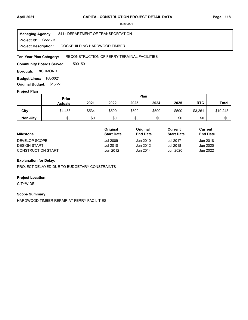**Project Id: C5517B** 841 : DEPARTMENT OF TRANSPORTATION DOCKBUILDING HARDWOOD TIMBER **Managing Agency: Project Description:** 

#### RECONSTRUCTION OF FERRY TERMINAL FACILITIES **Ten-Year Plan Category:**

500 501 **Community Boards Served:** 

**Borough: RICHMOND** 

**Budget Lines: FA-0021 Original Budget:** \$1,727

### **Project Plan**

|                 | Prior          |       |       |       | Plan  |       |            |              |
|-----------------|----------------|-------|-------|-------|-------|-------|------------|--------------|
|                 | <b>Actuals</b> | 2021  | 2022  | 2023  | 2024  | 2025  | <b>RTC</b> | <b>Total</b> |
| City            | \$4,453        | \$534 | \$500 | \$500 | \$500 | \$500 | \$3,261    | \$10,248     |
| <b>Non-City</b> | \$0            | \$0   | \$0   | \$0   | \$0   | \$0   | \$0        | \$0          |

|                           | Original          | Original        | Current           | Current         |  |
|---------------------------|-------------------|-----------------|-------------------|-----------------|--|
| <b>Milestone</b>          | <b>Start Date</b> | <b>End Date</b> | <b>Start Date</b> | <b>End Date</b> |  |
| DEVELOP SCOPE             | <b>Jul 2009</b>   | Jun 2010        | <b>Jul 2017</b>   | Jun 2018        |  |
| <b>DESIGN START</b>       | Jul 2010          | Jun 2012        | Jul 2018          | Jun 2020        |  |
| <b>CONSTRUCTION START</b> | Jun 2012          | Jun 2014        | Jun 2020          | Jun 2022        |  |

# **Explanation for Delay:**

PROJECT DELAYED DUE TO BUDGETARY CONSTRAINTS

### **Project Location:**

CITYWIDE

## **Scope Summary:**

HARDWOOD TIMBER REPAIR AT FERRY FACILITIES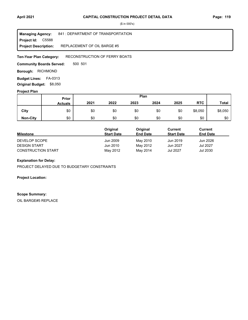**Project Id: C5588** 841 : DEPARTMENT OF TRANSPORTATION REPLACEMENT OF OIL BARGE #5 **Managing Agency: Project Description:** 

RECONSTRUCTION OF FERRY BOATS **Ten-Year Plan Category:** 

500 501 **Community Boards Served:** 

**Borough: RICHMOND** 

**Budget Lines: FA-0313 Original Budget:** \$8,050

### **Project Plan**

|                 | Prior          |      |      |      | Plan |      |            |              |
|-----------------|----------------|------|------|------|------|------|------------|--------------|
|                 | <b>Actuals</b> | 2021 | 2022 | 2023 | 2024 | 2025 | <b>RTC</b> | <b>Total</b> |
| City            | \$0            | \$0  | \$0  | \$0  | \$0  | \$0  | \$8,050    | \$8,050      |
| <b>Non-City</b> | \$0            | \$0  | \$0  | \$0  | \$0  | \$0  | \$0        | \$0          |

|                           | Original          | Original        | Current           | Current         |
|---------------------------|-------------------|-----------------|-------------------|-----------------|
| <b>Milestone</b>          | <b>Start Date</b> | <b>End Date</b> | <b>Start Date</b> | <b>End Date</b> |
| DEVELOP SCOPE             | Jun 2009          | May 2010        | Jun 2019          | Jun 2026        |
| <b>DESIGN START</b>       | Jun 2010          | May 2012        | Jun 2027          | Jul 2027        |
| <b>CONSTRUCTION START</b> | May 2012          | May 2014        | Jul 2027          | Jul 2030        |

# **Explanation for Delay:**

PROJECT DELAYED DUE TO BUDGETARY CONSTRAINTS

**Project Location:**

## **Scope Summary:**

OIL BARGE#5 REPLACE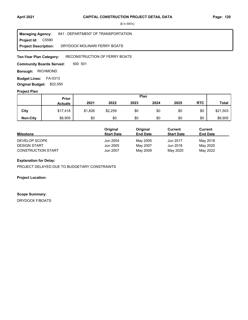Project Id: C5590 841 : DEPARTMENT OF TRANSPORTATION DRYDOCK MOLINARI FERRY BOATS **Managing Agency: Project Description:** 

RECONSTRUCTION OF FERRY BOATS **Ten-Year Plan Category:** 

500 501 **Community Boards Served:** 

**Borough: RICHMOND** 

**Budget Lines: FA-0313 Original Budget:** \$22,550

### **Project Plan**

|                 | Prior          |         |         | Plan |      |      |            |              |
|-----------------|----------------|---------|---------|------|------|------|------------|--------------|
|                 | <b>Actuals</b> | 2021    | 2022    | 2023 | 2024 | 2025 | <b>RTC</b> | <b>Total</b> |
| City            | \$17,418       | \$1,826 | \$2,259 | \$0  | \$0  | \$0  | \$0        | \$21,503     |
| <b>Non-City</b> | \$8,905        | \$0     | \$0     | \$0  | \$0  | \$0  | \$0        | \$8,905      |

|                           | Original          | Original        | Current           | Current         |
|---------------------------|-------------------|-----------------|-------------------|-----------------|
| <b>Milestone</b>          | <b>Start Date</b> | <b>End Date</b> | <b>Start Date</b> | <b>End Date</b> |
| DEVELOP SCOPE             | Jun 2004          | May 2005        | Jun 2017          | May 2018        |
| <b>DESIGN START</b>       | Jun 2005          | May 2007        | Jun 2018          | May 2020        |
| <b>CONSTRUCTION START</b> | Jun 2007          | May 2009        | May 2020          | May 2022        |

# **Explanation for Delay:**

PROJECT DELAYED DUE TO BUDGETARY CONSTRAINTS

**Project Location:**

**Scope Summary:**

DRYDOCK F/BOATS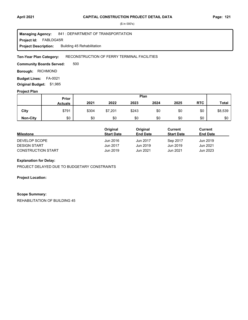**Project Id: FABLDG45R** 841 : DEPARTMENT OF TRANSPORTATION Building 45 Rehabilitation **Managing Agency: Project Description:** 

#### RECONSTRUCTION OF FERRY TERMINAL FACILITIES **Ten-Year Plan Category:**

500 **Community Boards Served:** 

**Borough: RICHMOND** 

**Budget Lines: FA-0021 Original Budget:** \$1,985

# **Project Plan**

|                 | <b>Prior</b>   | Plan  |         |       |      |      |            |              |
|-----------------|----------------|-------|---------|-------|------|------|------------|--------------|
|                 | <b>Actuals</b> | 2021  | 2022    | 2023  | 2024 | 2025 | <b>RTC</b> | <b>Total</b> |
| City            | \$791          | \$304 | \$7,201 | \$243 | \$0  | \$0  | \$0        | \$8,539      |
| <b>Non-City</b> | \$0            | \$0   | \$0     | \$0   | \$0  | \$0  | \$0        | \$0          |

|                           | Original          | Original        | Current           | Current         |  |
|---------------------------|-------------------|-----------------|-------------------|-----------------|--|
| <b>Milestone</b>          | <b>Start Date</b> | <b>End Date</b> | <b>Start Date</b> | <b>End Date</b> |  |
| DEVELOP SCOPE             | Jun 2016          | Jun 2017        | Sep 2017          | Jun 2019        |  |
| <b>DESIGN START</b>       | Jun 2017          | Jun 2019        | Jun 2019          | Jun 2021        |  |
| <b>CONSTRUCTION START</b> | Jun 2019          | Jun 2021        | Jun 2021          | Jun 2023        |  |

# **Explanation for Delay:**

PROJECT DELAYED DUE TO BUDGETARY CONSTRAINTS

**Project Location:**

#### **Scope Summary:**

REHABILITATION OF BUILDING 45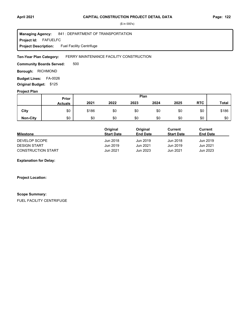#### **Project Id: FAFUELFC** 841 : DEPARTMENT OF TRANSPORTATION Fuel Facility Centrifuge **Managing Agency: Project Description:**

#### FERRY MAINTENANCE FACILITY CONSTRUCTION **Ten-Year Plan Category:**

500 **Community Boards Served:** 

**Borough: RICHMOND** 

**Budget Lines: FA-0026 Original Budget:** \$125

# **Project Plan**

|                 |                | Plan<br>Prior |      |      |      |      |            |              |
|-----------------|----------------|---------------|------|------|------|------|------------|--------------|
|                 | <b>Actuals</b> | 2021          | 2022 | 2023 | 2024 | 2025 | <b>RTC</b> | <b>Total</b> |
| City            | \$0            | \$186         | \$0  | \$0  | \$0  | \$0  | \$0        | \$186        |
| <b>Non-City</b> | \$0            | \$0           | \$0  | \$0  | \$0  | \$0  | \$0        | \$0          |

|                           | Original          | Original        | Current           | Current         |
|---------------------------|-------------------|-----------------|-------------------|-----------------|
| <b>Milestone</b>          | <b>Start Date</b> | <b>End Date</b> | <b>Start Date</b> | <b>End Date</b> |
| DEVELOP SCOPE             | Jun 2018          | Jun 2019        | Jun 2018          | Jun 2019        |
| <b>DESIGN START</b>       | Jun 2019          | Jun 2021        | Jun 2019          | Jun 2021        |
| <b>CONSTRUCTION START</b> | Jun 2021          | Jun 2023        | Jun 2021          | Jun 2023        |

**Explanation for Delay:**

**Project Location:**

#### **Scope Summary:**

FUEL FACILITY CENTRIFUGE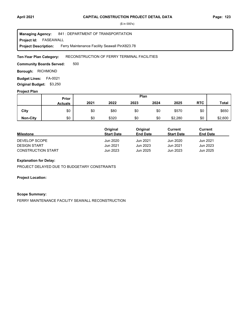**Project Id: FASEAWALL** 841 : DEPARTMENT OF TRANSPORTATION Ferry Maintenance Facility Seawall PinX823.78 **Managing Agency: Project Description:** 

#### RECONSTRUCTION OF FERRY TERMINAL FACILITIES **Ten-Year Plan Category:**

500 **Community Boards Served:** 

**Borough: RICHMOND** 

**Budget Lines: FA-0021 Original Budget:** \$3,250

# **Project Plan**

|                 |                | Plan<br>Prior |       |      |      |         |            |              |
|-----------------|----------------|---------------|-------|------|------|---------|------------|--------------|
|                 | <b>Actuals</b> | 2021          | 2022  | 2023 | 2024 | 2025    | <b>RTC</b> | <b>Total</b> |
| City            | \$0            | \$0           | \$80  | \$0  | \$0  | \$570   | \$0        | \$650        |
| <b>Non-City</b> | \$0            | \$0           | \$320 | \$0  | \$0  | \$2,280 | \$0        | \$2,600      |

|                           | Original          | Original        | Current           | Current         |
|---------------------------|-------------------|-----------------|-------------------|-----------------|
| <b>Milestone</b>          | <b>Start Date</b> | <b>End Date</b> | <b>Start Date</b> | <b>End Date</b> |
| DEVELOP SCOPE             | Jun 2020          | Jun 2021        | Jun 2020          | Jun 2021        |
| <b>DESIGN START</b>       | Jun 2021          | Jun 2023        | Jun 2021          | Jun 2023        |
| <b>CONSTRUCTION START</b> | Jun 2023          | Jun 2025        | Jun 2023          | Jun 2025        |

# **Explanation for Delay:**

PROJECT DELAYED DUE TO BUDGETARY CONSTRAINTS

**Project Location:**

#### **Scope Summary:**

FERRY MAINTENANCE FACILITY SEAWALL RECONSTRUCTION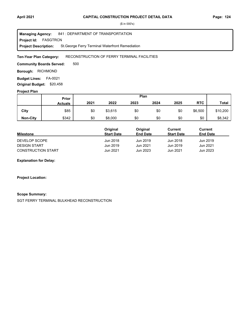FASGTRCN **Project Id:** 841 : DEPARTMENT OF TRANSPORTATION St.George Ferry Terminal Waterfront Remediation **Managing Agency: Project Description:** 

#### RECONSTRUCTION OF FERRY TERMINAL FACILITIES **Ten-Year Plan Category:**

500 **Community Boards Served:** 

**Borough: RICHMOND** 

**Budget Lines: FA-0021 Original Budget:** \$20,458

### **Project Plan**

|                 | Prior          | Plan |         |      |      |      |            |              |
|-----------------|----------------|------|---------|------|------|------|------------|--------------|
|                 | <b>Actuals</b> | 2021 | 2022    | 2023 | 2024 | 2025 | <b>RTC</b> | <b>Total</b> |
| City            | \$85           | \$0  | \$3,615 | \$0  | \$0  | \$0  | \$6,500    | \$10,200     |
| <b>Non-City</b> | \$342          | \$0  | \$8,000 | \$0  | \$0  | \$0  | \$0        | \$8,342      |

|                           | Original          | Original        | Current           | <b>Current</b>  |  |
|---------------------------|-------------------|-----------------|-------------------|-----------------|--|
| <b>Milestone</b>          | <b>Start Date</b> | <b>End Date</b> | <b>Start Date</b> | <b>End Date</b> |  |
| DEVELOP SCOPE             | Jun 2018          | Jun 2019        | Jun 2018          | Jun 2019        |  |
| <b>DESIGN START</b>       | Jun 2019          | Jun 2021        | Jun 2019          | Jun 2021        |  |
| <b>CONSTRUCTION START</b> | Jun 2021          | Jun 2023        | Jun 2021          | Jun 2023        |  |

**Explanation for Delay:**

**Project Location:**

## **Scope Summary:**

SGT FERRY TERMINAL BULKHEAD RECONSTRUCTION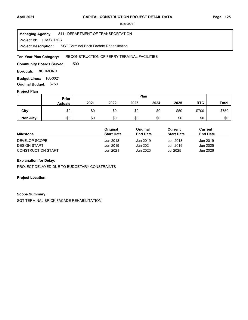#### FASGTRHB **Project Id:** 841 : DEPARTMENT OF TRANSPORTATION SGT Terminal Brick Facade Rehabilitation **Managing Agency: Project Description:**

#### RECONSTRUCTION OF FERRY TERMINAL FACILITIES **Ten-Year Plan Category:**

500 **Community Boards Served:** 

**Borough: RICHMOND** 

**Budget Lines: FA-0021 Original Budget:** \$750

### **Project Plan**

|                 |                | Plan<br>Prior |      |      |      |      |            |              |
|-----------------|----------------|---------------|------|------|------|------|------------|--------------|
|                 | <b>Actuals</b> | 2021          | 2022 | 2023 | 2024 | 2025 | <b>RTC</b> | <b>Total</b> |
| City            | \$0            | \$0           | \$0  | \$0  | \$0  | \$50 | \$700      | \$750        |
| <b>Non-City</b> | \$0            | \$0           | \$0  | \$0  | \$0  | \$0  | \$0        | \$0          |

|                           | Original          | Original        | Current           | Current         |  |
|---------------------------|-------------------|-----------------|-------------------|-----------------|--|
| <b>Milestone</b>          | <b>Start Date</b> | <b>End Date</b> | <b>Start Date</b> | <b>End Date</b> |  |
| DEVELOP SCOPE             | Jun 2018          | Jun 2019        | Jun 2018          | Jun 2019        |  |
| <b>DESIGN START</b>       | Jun 2019          | Jun 2021        | Jun 2019          | Jun 2025        |  |
| <b>CONSTRUCTION START</b> | Jun 2021          | Jun 2023        | <b>Jul 2025</b>   | Jun 2026        |  |

# **Explanation for Delay:**

PROJECT DELAYED DUE TO BUDGETARY CONSTRAINTS

**Project Location:**

## **Scope Summary:**

SGT TERMINAL BRICK FACADE REHABILITATION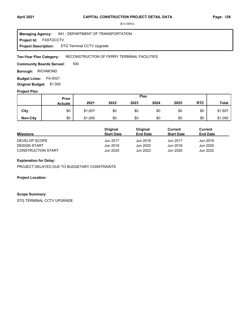**Project Id: FASTGCCTV** 841 : DEPARTMENT OF TRANSPORTATION STG Terminal CCTV Upgrade **Managing Agency: Project Description:** 

#### RECONSTRUCTION OF FERRY TERMINAL FACILITIES **Ten-Year Plan Category:**

500 **Community Boards Served:** 

**Borough: RICHMOND** 

**Budget Lines: FA-0021 Original Budget:** \$1,500

### **Project Plan**

|                 | <b>Prior</b>   | Plan    |      |      |      |      |            |              |
|-----------------|----------------|---------|------|------|------|------|------------|--------------|
|                 | <b>Actuals</b> | 2021    | 2022 | 2023 | 2024 | 2025 | <b>RTC</b> | <b>Total</b> |
| City            | \$0            | \$1,657 | \$0  | \$0  | \$0  | \$0  | \$0        | \$1,657      |
| <b>Non-City</b> | \$0            | \$1,000 | \$0  | \$0  | \$0  | \$0  | \$0        | \$1,000      |

|                           | Original          | Original        | Current           | Current         |
|---------------------------|-------------------|-----------------|-------------------|-----------------|
| <b>Milestone</b>          | <b>Start Date</b> | <b>End Date</b> | <b>Start Date</b> | <b>End Date</b> |
| DEVELOP SCOPE             | Jun 2017          | Jun 2018        | Jun 2017          | Jun 2018        |
| <b>DESIGN START</b>       | Jun 2018          | Jun 2020        | Jun 2018          | Jun 2020        |
| <b>CONSTRUCTION START</b> | Jun 2020          | Jun 2022        | Jun 2020          | Jun 2022        |

# **Explanation for Delay:**

PROJECT DELAYED DUE TO BUDGETARY CONSTRAINTS

**Project Location:**

#### **Scope Summary:**

STG TERMINAL CCTV UPGRADE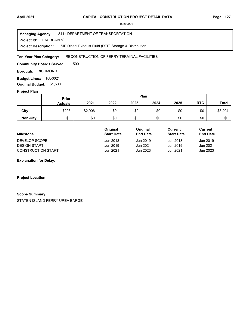FAUREABRG **Project Id:** 841 : DEPARTMENT OF TRANSPORTATION SIF Diesel Exhaust Fluid (DEF) Storage & Distribution **Managing Agency: Project Description:** 

#### RECONSTRUCTION OF FERRY TERMINAL FACILITIES **Ten-Year Plan Category:**

500 **Community Boards Served:** 

**Borough: RICHMOND** 

**Budget Lines: FA-0021 Original Budget:** \$1,500

### **Project Plan**

|                 |                | Plan<br>Prior |      |      |      |      |            |              |
|-----------------|----------------|---------------|------|------|------|------|------------|--------------|
|                 | <b>Actuals</b> | 2021          | 2022 | 2023 | 2024 | 2025 | <b>RTC</b> | <b>Total</b> |
| City            | \$298          | \$2,906       | \$0  | \$0  | \$0  | \$0  | \$0        | \$3,204      |
| <b>Non-City</b> | \$0            | \$0           | \$0  | \$0  | \$0  | \$0  | \$0        | \$0          |

|                           | Original          | Original        | Current           | Current         |
|---------------------------|-------------------|-----------------|-------------------|-----------------|
| <b>Milestone</b>          | <b>Start Date</b> | <b>End Date</b> | <b>Start Date</b> | <b>End Date</b> |
| DEVELOP SCOPE             | Jun 2018          | Jun 2019        | Jun 2018          | Jun 2019        |
| <b>DESIGN START</b>       | Jun 2019          | Jun 2021        | Jun 2019          | Jun 2021        |
| <b>CONSTRUCTION START</b> | Jun 2021          | Jun 2023        | Jun 2021          | Jun 2023        |

**Explanation for Delay:**

**Project Location:**

## **Scope Summary:**

STATEN ISLAND FERRY UREA BARGE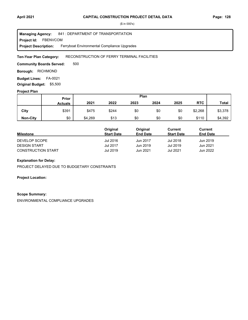**Project Id: FBENVCOM** 841 : DEPARTMENT OF TRANSPORTATION Ferryboat Environmental Compliance Upgrades **Managing Agency: Project Description:** 

#### RECONSTRUCTION OF FERRY TERMINAL FACILITIES **Ten-Year Plan Category:**

500 **Community Boards Served:** 

**Borough: RICHMOND** 

**Budget Lines: FA-0021 Original Budget:** \$5,500

### **Project Plan**

|                 |                | Plan<br><b>Prior</b> |       |      |      |      |            |              |
|-----------------|----------------|----------------------|-------|------|------|------|------------|--------------|
|                 | <b>Actuals</b> | 2021                 | 2022  | 2023 | 2024 | 2025 | <b>RTC</b> | <b>Total</b> |
| City            | \$391          | \$475                | \$244 | \$0  | \$0  | \$0  | \$2,268    | \$3,378      |
| <b>Non-City</b> | \$0            | \$4,269              | \$13  | \$0  | \$0  | \$0  | \$110      | \$4,392      |

|                           | Original          | Original        | Current           | Current         |
|---------------------------|-------------------|-----------------|-------------------|-----------------|
| <b>Milestone</b>          | <b>Start Date</b> | <b>End Date</b> | <b>Start Date</b> | <b>End Date</b> |
| DEVELOP SCOPE             | Jul 2016          | Jun 2017        | Jul 2018          | Jun 2019        |
| <b>DESIGN START</b>       | <b>Jul 2017</b>   | Jun 2019        | Jul 2019          | Jun 2021        |
| <b>CONSTRUCTION START</b> | Jul 2019          | Jun 2021        | Jul 2021          | Jun 2022        |

# **Explanation for Delay:**

PROJECT DELAYED DUE TO BUDGETARY CONSTRAINTS

**Project Location:**

## **Scope Summary:**

ENVIRONMENTAL COMPLIANCE UPGRADES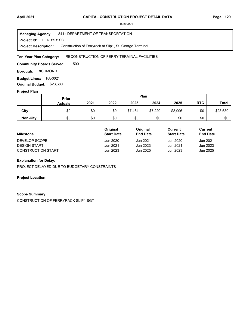**Project Id: FERRYR1SG** 841 : DEPARTMENT OF TRANSPORTATION Construction of Ferryrack at Slip1, St. George Terminal **Managing Agency: Project Description:** 

#### RECONSTRUCTION OF FERRY TERMINAL FACILITIES **Ten-Year Plan Category:**

500 **Community Boards Served:** 

**Borough: RICHMOND** 

**Budget Lines: FA-0021 Original Budget:** \$23,680

### **Project Plan**

|                 |                | Plan<br><b>Prior</b> |      |         |         |         |            |              |
|-----------------|----------------|----------------------|------|---------|---------|---------|------------|--------------|
|                 | <b>Actuals</b> | 2021                 | 2022 | 2023    | 2024    | 2025    | <b>RTC</b> | <b>Total</b> |
| City            | \$0            | \$0                  | \$0  | \$7,464 | \$7,220 | \$8,996 | \$0        | \$23,680     |
| <b>Non-City</b> | \$0            | \$0                  | \$0  | \$0     | \$0     | \$0     | \$0        | \$0          |

|                           | Original          | Original        | Current           | Current         |
|---------------------------|-------------------|-----------------|-------------------|-----------------|
| <b>Milestone</b>          | <b>Start Date</b> | <b>End Date</b> | <b>Start Date</b> | <b>End Date</b> |
| DEVELOP SCOPE             | Jun 2020          | Jun 2021        | Jun 2020          | Jun 2021        |
| <b>DESIGN START</b>       | Jun 2021          | Jun 2023        | Jun 2021          | Jun 2023        |
| <b>CONSTRUCTION START</b> | Jun 2023          | Jun 2025        | Jun 2023          | Jun 2025        |

# **Explanation for Delay:**

PROJECT DELAYED DUE TO BUDGETARY CONSTRAINTS

**Project Location:**

## **Scope Summary:**

CONSTRUCTION OF FERRYRACK SLIP1 SGT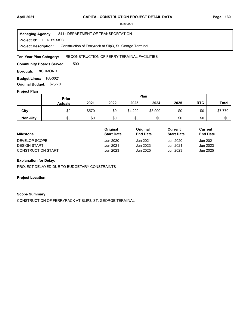**Project Id: FERRYR3SG** 841 : DEPARTMENT OF TRANSPORTATION Construction of Ferryrack at Slip3, St. George Terminal **Managing Agency: Project Description:** 

#### RECONSTRUCTION OF FERRY TERMINAL FACILITIES **Ten-Year Plan Category:**

500 **Community Boards Served:** 

**Borough: RICHMOND** 

**Budget Lines: FA-0021 Original Budget:** \$7,770

# **Project Plan**

|                 | Prior          |       |      |         | Plan    |      |            |              |
|-----------------|----------------|-------|------|---------|---------|------|------------|--------------|
|                 | <b>Actuals</b> | 2021  | 2022 | 2023    | 2024    | 2025 | <b>RTC</b> | <b>Total</b> |
| City            | \$0            | \$570 | \$0  | \$4,200 | \$3,000 | \$0  | \$0        | \$7,770      |
| <b>Non-City</b> | \$0            | \$0   | \$0  | \$0     | \$0     | \$0  | \$0        | \$0          |

|                           | Original          | Original        | Current           | Current         |  |
|---------------------------|-------------------|-----------------|-------------------|-----------------|--|
| <b>Milestone</b>          | <b>Start Date</b> | <b>End Date</b> | <b>Start Date</b> | <b>End Date</b> |  |
| DEVELOP SCOPE             | Jun 2020          | Jun 2021        | Jun 2020          | Jun 2021        |  |
| <b>DESIGN START</b>       | Jun 2021          | Jun 2023        | Jun 2021          | Jun 2023        |  |
| <b>CONSTRUCTION START</b> | Jun 2023          | Jun 2025        | Jun 2023          | Jun 2025        |  |

# **Explanation for Delay:**

PROJECT DELAYED DUE TO BUDGETARY CONSTRAINTS

**Project Location:**

## **Scope Summary:**

CONSTRUCTION OF FERRYRACK AT SLIP3, ST. GEORGE TERMINAL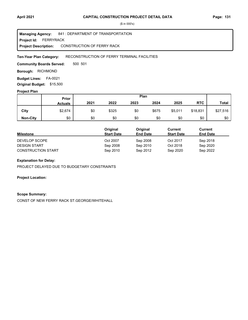**Project Id: FERRYRACK** 841 : DEPARTMENT OF TRANSPORTATION CONSTRUCTION OF FERRY RACK **Managing Agency: Project Description:** 

#### RECONSTRUCTION OF FERRY TERMINAL FACILITIES **Ten-Year Plan Category:**

500 501 **Community Boards Served:** 

**Borough: RICHMOND** 

**Budget Lines: FA-0021 Original Budget:** \$15,500

### **Project Plan**

| $\overline{\phantom{a}}$ |                | Plan<br>Prior |       |      |       |         |            |              |
|--------------------------|----------------|---------------|-------|------|-------|---------|------------|--------------|
|                          | <b>Actuals</b> | 2021          | 2022  | 2023 | 2024  | 2025    | <b>RTC</b> | <b>Total</b> |
| City                     | \$2,674        | \$0           | \$325 | \$0  | \$675 | \$5,011 | \$18,831   | \$27,516     |
| <b>Non-City</b>          | \$0            | \$0           | \$0   | \$0  | \$0   | \$0     | \$0        | \$0          |

|                           | Original          | Original        | Current           | <b>Current</b>  |  |
|---------------------------|-------------------|-----------------|-------------------|-----------------|--|
| <b>Milestone</b>          | <b>Start Date</b> | <b>End Date</b> | <b>Start Date</b> | <b>End Date</b> |  |
| DEVELOP SCOPE             | Oct 2007          | Sep 2008        | Oct 2017          | Sep 2018        |  |
| <b>DESIGN START</b>       | Sep 2008          | Sep 2010        | Oct 2018          | Sep 2020        |  |
| <b>CONSTRUCTION START</b> | Sep 2010          | Sep 2012        | Sep 2020          | Sep 2022        |  |

# **Explanation for Delay:**

PROJECT DELAYED DUE TO BUDGETARY CONSTRAINTS

**Project Location:**

#### **Scope Summary:**

CONST OF NEW FERRY RACK ST.GEORGE/WHITEHALL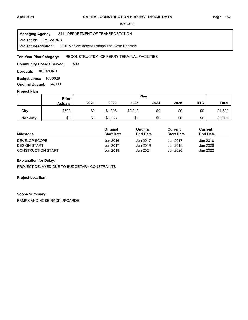FMFVARNR **Project Id:** 841 : DEPARTMENT OF TRANSPORTATION FMF Vehicle Access Ramps and Nose Upgrade **Managing Agency: Project Description:** 

#### RECONSTRUCTION OF FERRY TERMINAL FACILITIES **Ten-Year Plan Category:**

500 **Community Boards Served:** 

**Borough: RICHMOND** 

**Budget Lines: FA-0026 Original Budget:** \$4,000

### **Project Plan**

|                 |                | Plan<br>Prior |         |         |      |      |            |              |
|-----------------|----------------|---------------|---------|---------|------|------|------------|--------------|
|                 | <b>Actuals</b> | 2021          | 2022    | 2023    | 2024 | 2025 | <b>RTC</b> | <b>Total</b> |
| City            | \$508          | \$0           | \$1,906 | \$2,218 | \$0  | \$0  | \$0        | \$4,632      |
| <b>Non-City</b> | \$0            | \$0           | \$3,666 | \$0     | \$0  | \$0  | \$0        | \$3,666      |

|                           | Original          | Original        | Current           | Current         |
|---------------------------|-------------------|-----------------|-------------------|-----------------|
| <b>Milestone</b>          | <b>Start Date</b> | <b>End Date</b> | <b>Start Date</b> | <b>End Date</b> |
| DEVELOP SCOPE             | Jun 2016          | Jun 2017        | Jun 2017          | Jun 2018        |
| <b>DESIGN START</b>       | Jun 2017          | Jun 2019        | Jun 2018          | Jun 2020        |
| <b>CONSTRUCTION START</b> | Jun 2019          | Jun 2021        | Jun 2020          | Jun 2022        |

# **Explanation for Delay:**

PROJECT DELAYED DUE TO BUDGETARY CONSTRAINTS

**Project Location:**

## **Scope Summary:**

RAMPS AND NOSE RACK UPGARDE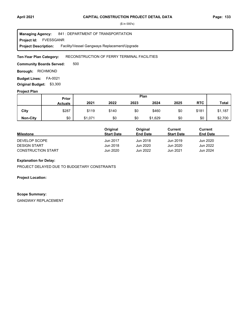FVESSGANR **Project Id:** 841 : DEPARTMENT OF TRANSPORTATION Facility/Vessel Gangways Replacement/Upgrade **Managing Agency: Project Description:** 

### RECONSTRUCTION OF FERRY TERMINAL FACILITIES **Ten-Year Plan Category:**

500 **Community Boards Served:** 

**Borough: RICHMOND** 

**Budget Lines: FA-0021 Original Budget:** \$3,300

### **Project Plan**

|                 |                | Plan<br><b>Prior</b> |       |      |         |      |            |              |
|-----------------|----------------|----------------------|-------|------|---------|------|------------|--------------|
|                 | <b>Actuals</b> | 2021                 | 2022  | 2023 | 2024    | 2025 | <b>RTC</b> | <b>Total</b> |
| City            | \$287          | \$119                | \$140 | \$0  | \$460   | \$0  | \$181      | \$1,187      |
| <b>Non-City</b> | \$0            | \$1,071              | \$0   | \$0  | \$1,629 | \$0  | \$0        | \$2,700      |

|                           | Original          | Original        | Current           | Current         |
|---------------------------|-------------------|-----------------|-------------------|-----------------|
| <b>Milestone</b>          | <b>Start Date</b> | <b>End Date</b> | <b>Start Date</b> | <b>End Date</b> |
| DEVELOP SCOPE             | Jun 2017          | Jun 2018        | Jun 2019          | Jun 2020        |
| <b>DESIGN START</b>       | Jun 2018          | Jun 2020        | Jun 2020          | Jun 2022        |
| <b>CONSTRUCTION START</b> | Jun 2020          | Jun 2022        | Jun 2021          | Jun 2024        |

# **Explanation for Delay:**

PROJECT DELAYED DUE TO BUDGETARY CONSTRAINTS

**Project Location:**

### **Scope Summary:**

GANGWAY REPLACEMENT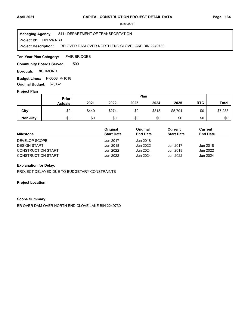### **Project Id: HBR249730** 841 : DEPARTMENT OF TRANSPORTATION BR OVER DAM OVER NORTH END CLOVE LAKE BIN 2249730 **Managing Agency: Project Description:**

FAIR BRIDGES **Ten-Year Plan Category:** 

500 **Community Boards Served:** 

**Borough: RICHMOND** 

**Budget Lines:** P-0508 P-1018 **Original Budget:** \$7,062

### **Project Plan**

|                 |                | Plan<br>Prior |       |      |       |         |            |              |
|-----------------|----------------|---------------|-------|------|-------|---------|------------|--------------|
|                 | <b>Actuals</b> | 2021          | 2022  | 2023 | 2024  | 2025    | <b>RTC</b> | <b>Total</b> |
| City            | \$0            | \$440         | \$274 | \$0  | \$815 | \$5,704 | \$0        | \$7,233      |
| <b>Non-City</b> | \$0            | \$0           | \$0   | \$0  | \$0   | \$0     | \$0        | \$0          |

|                           | Original          | Original        | Current           | Current         |
|---------------------------|-------------------|-----------------|-------------------|-----------------|
| <b>Milestone</b>          | <b>Start Date</b> | <b>End Date</b> | <b>Start Date</b> | <b>End Date</b> |
| DEVELOP SCOPE             | Jun 2017          | Jun 2018        |                   |                 |
| <b>DESIGN START</b>       | Jun 2018          | Jun 2022        | Jun 2017          | Jun 2018        |
| <b>CONSTRUCTION START</b> | Jun 2022          | Jun 2024        | Jun 2018          | Jun 2022        |
| <b>CONSTRUCTION START</b> | Jun 2022          | Jun 2024        | Jun 2022          | Jun 2024        |

### **Explanation for Delay:**

PROJECT DELAYED DUE TO BUDGETARY CONSTRAINTS

### **Project Location:**

### **Scope Summary:**

BR OVER DAM OVER NORTH END CLOVE LAKE BIN 2249730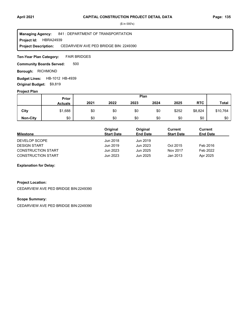### **Project Id: HBRA24939** 841 : DEPARTMENT OF TRANSPORTATION CEDARVIEW AVE PED BRIDGE BIN: 2249390 **Managing Agency: Project Description:**

FAIR BRIDGES **Ten-Year Plan Category:** 

500 **Community Boards Served:** 

**Borough: RICHMOND** 

**Budget Lines: HB-1012 HB-4939 Original Budget:** \$9,819

### **Project Plan**

|                 |                | Plan<br>Prior |      |      |      |       |            |              |
|-----------------|----------------|---------------|------|------|------|-------|------------|--------------|
|                 | <b>Actuals</b> | 2021          | 2022 | 2023 | 2024 | 2025  | <b>RTC</b> | <b>Total</b> |
| City            | \$1,688        | \$0           | \$0  | \$0  | \$0  | \$252 | \$8,824    | \$10,764     |
| <b>Non-City</b> | \$0            | \$0           | \$0  | \$0  | \$0  | \$0   | \$0        | \$0          |

|                           | Original          | Original        | Current           | Current         |
|---------------------------|-------------------|-----------------|-------------------|-----------------|
| <b>Milestone</b>          | <b>Start Date</b> | <b>End Date</b> | <b>Start Date</b> | <b>End Date</b> |
| DEVELOP SCOPE             | Jun 2018          | Jun 2019        |                   |                 |
| <b>DESIGN START</b>       | Jun 2019          | Jun 2023        | Oct 2015          | Feb 2016        |
| <b>CONSTRUCTION START</b> | Jun 2023          | Jun 2025        | Nov 2017          | Feb 2022        |
| <b>CONSTRUCTION START</b> | Jun 2023          | Jun 2025        | Jan 2013          | Apr 2025        |

**Explanation for Delay:**

# **Project Location:**

CEDARVIEW AVE PED BRIDGE BIN:2249390

### **Scope Summary:**

CEDARVIEW AVE PED BRIDGE BIN:2249390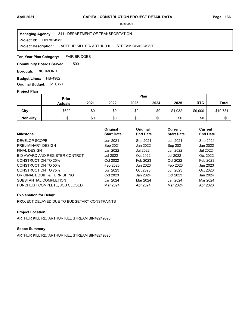### **Project Id: HBRA24982** 841 : DEPARTMENT OF TRANSPORTATION ARTHUR KILL RD/ ARTHUR KILL STREAM BIN#2249820 **Managing Agency: Project Description:**

FAIR BRIDGES **Ten-Year Plan Category:** 

500 **Community Boards Served:** 

**Borough: RICHMOND** 

**Budget Lines: HB-4982 Original Budget:** \$10,350

### **Project Plan**

|                 |                | Plan<br>Prior |      |      |      |         |            |              |
|-----------------|----------------|---------------|------|------|------|---------|------------|--------------|
|                 | <b>Actuals</b> | 2021          | 2022 | 2023 | 2024 | 2025    | <b>RTC</b> | <b>Total</b> |
| City            | \$699          | \$0           | \$0  | \$0  | \$0  | \$1,032 | \$9,000    | \$10,731     |
| <b>Non-City</b> | \$0            | \$0           | \$0  | \$0  | \$0  | \$0     | \$0        | \$0          |

| <b>Milestone</b>               | Original<br><b>Start Date</b> | Original<br><b>End Date</b> | Current<br><b>Start Date</b> | <b>Current</b><br><b>End Date</b> |
|--------------------------------|-------------------------------|-----------------------------|------------------------------|-----------------------------------|
| DEVELOP SCOPE                  | Jun 2021                      | Sep 2021                    | Jun 2021                     | Sep 2021                          |
| PRELIMINARY DESIGN             | Sep 2021                      | Jan 2022                    | Sep 2021                     | Jan 2022                          |
| <b>FINAL DESIGN</b>            | Jan 2022                      | Jul 2022                    | Jan 2022                     | Jul 2022                          |
| BID AWARD AND REGISTER CONTRCT | <b>Jul 2022</b>               | Oct 2022                    | <b>Jul 2022</b>              | Oct 2022                          |
| CONSTRUCTION TO 25%            | Oct 2022                      | Feb 2023                    | Oct 2022                     | Feb 2023                          |
| CONSTRUCTION TO 50%            | Feb 2023                      | Jun 2023                    | Feb 2023                     | Jun 2023                          |
| <b>CONSTRUCTION TO 75%</b>     | Jun 2023                      | Oct 2023                    | Jun 2023                     | Oct 2023                          |
| ORIGINAL EQUIP & FURNISHING    | Oct 2023                      | Jan 2024                    | Oct 2023                     | Jan 2024                          |
| SUBSTANTIAL COMPLETION         | Jan 2024                      | Mar 2024                    | Jan 2024                     | Mar 2024                          |
| PUNCHLIST COMPLETE. JOB CLOSED | Mar 2024                      | Apr 2024                    | Mar 2024                     | Apr 2026                          |

### **Explanation for Delay:**

PROJECT DELAYED DUE TO BUDGETARY CONSTRAINTS

# **Project Location:**

ARTHUR KILL RD/ ARTHUR KILL STREAM BIN#2249820

# **Scope Summary:**

ARTHUR KILL RD/ ARTHUR KILL STREAM BIN#2249820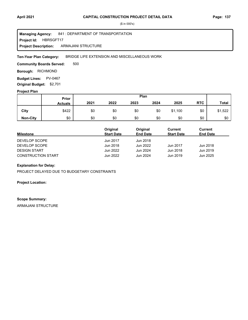**Project Id: HBRSGFT17** 841 : DEPARTMENT OF TRANSPORTATION ARMAJANI STRUCTURE **Managing Agency: Project Description:** 

BRIDGE LIFE EXTENSION AND MISCELLANEOUS WORK **Ten-Year Plan Category:** 

500 **Community Boards Served:** 

**Borough: RICHMOND** 

**Budget Lines: PV-0467 Original Budget:** \$2,701

### **Project Plan**

|                 |                | Plan<br>Prior |      |      |      |         |            |              |
|-----------------|----------------|---------------|------|------|------|---------|------------|--------------|
|                 | <b>Actuals</b> | 2021          | 2022 | 2023 | 2024 | 2025    | <b>RTC</b> | <b>Total</b> |
| City            | \$422          | \$0           | \$0  | \$0  | \$0  | \$1,100 | \$0        | \$1,522      |
| <b>Non-City</b> | \$0            | \$0           | \$0  | \$0  | \$0  | \$0     | \$0        | \$0          |

|                           | Original          | Original        | Current           | Current         |
|---------------------------|-------------------|-----------------|-------------------|-----------------|
| <b>Milestone</b>          | <b>Start Date</b> | <b>End Date</b> | <b>Start Date</b> | <b>End Date</b> |
| DEVELOP SCOPE             | Jun 2017          | Jun 2018        |                   |                 |
| DEVELOP SCOPE             | Jun 2018          | Jun 2022        | Jun 2017          | Jun 2018        |
| <b>DESIGN START</b>       | Jun 2022          | Jun 2024        | Jun 2018          | Jun 2019        |
| <b>CONSTRUCTION START</b> | Jun 2022          | Jun 2024        | Jun 2019          | Jun 2025        |

### **Explanation for Delay:**

PROJECT DELAYED DUE TO BUDGETARY CONSTRAINTS

**Project Location:**

### **Scope Summary:**

ARMAJANI STRUCTURE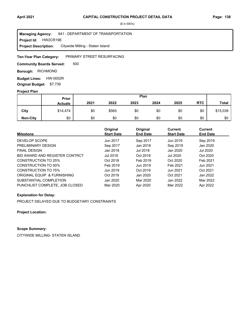### **Project Id: HW2CR19E** 841 : DEPARTMENT OF TRANSPORTATION Citywide Milling - Staten Island **Managing Agency: Project Description:**

### PRIMARY STREET RESURFACING **Ten-Year Plan Category:**

500 **Community Boards Served:** 

**Borough: RICHMOND** 

**Budget Lines: HW-0002R Original Budget:** \$7,739

### **Project Plan**

|                 |                | Plan<br><b>Prior</b> |       |      |      |      |            |          |
|-----------------|----------------|----------------------|-------|------|------|------|------------|----------|
|                 | <b>Actuals</b> | 2021                 | 2022  | 2023 | 2024 | 2025 | <b>RTC</b> | Total    |
| City            | \$14,474       | \$0                  | \$565 | \$0  | \$0  | \$0  | \$0        | \$15,039 |
| <b>Non-City</b> | \$0            | \$0                  | \$0   | \$0  | \$0  | \$0  | \$0        | \$0      |

| <b>Milestone</b>               | Original<br><b>Start Date</b> | Original<br><b>End Date</b> | Current<br><b>Start Date</b> | Current<br><b>End Date</b> |
|--------------------------------|-------------------------------|-----------------------------|------------------------------|----------------------------|
| DEVELOP SCOPE                  | Jun 2017                      | Sep 2017                    | Jun 2019                     | Sep 2019                   |
| PRELIMINARY DESIGN             | Sep 2017                      | Jan 2018                    | Sep 2019                     | Jan 2020                   |
| <b>FINAL DESIGN</b>            | Jan 2018                      | Jul 2018                    | Jan 2020                     | Jul 2020                   |
| BID AWARD AND REGISTER CONTRCT | Jul 2018                      | Oct 2018                    | Jul 2020                     | Oct 2020                   |
| CONSTRUCTION TO 25%            | Oct 2018                      | Feb 2019                    | Oct 2020                     | Feb 2021                   |
| CONSTRUCTION TO 50%            | Feb 2019                      | Jun 2019                    | Feb 2021                     | Jun 2021                   |
| CONSTRUCTION TO 75%            | Jun 2019                      | Oct 2019                    | Jun 2021                     | Oct 2021                   |
| ORIGINAL EQUIP & FURNISHING    | Oct 2019                      | Jan 2020                    | Oct 2021                     | Jan 2022                   |
| SUBSTANTIAL COMPLETION         | Jan 2020                      | Mar 2020                    | Jan 2022                     | Mar 2022                   |
| PUNCHLIST COMPLETE, JOB CLOSED | Mar 2020                      | Apr 2020                    | Mar 2022                     | Apr 2022                   |

### **Explanation for Delay:**

PROJECT DELAYED DUE TO BUDGETARY CONSTRAINTS

**Project Location:**

# **Scope Summary:**

CITYWIDE MILLING- STATEN ISLAND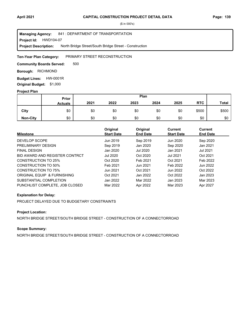### Project Id: HWD104-07 841 : DEPARTMENT OF TRANSPORTATION North Bridge Street/South Bridge Street - Construction **Managing Agency: Project Description:**

#### PRIMARY STREET RECONSTRUCTION **Ten-Year Plan Category:**

500 **Community Boards Served:** 

**Borough: RICHMOND** 

**Budget Lines: HW-0001R Original Budget:** \$1,000

### **Project Plan**

|                 |                | Plan<br><b>Prior</b> |      |      |      |      |            |              |
|-----------------|----------------|----------------------|------|------|------|------|------------|--------------|
|                 | <b>Actuals</b> | 2021                 | 2022 | 2023 | 2024 | 2025 | <b>RTC</b> | <b>Total</b> |
| City            | \$0            | \$0                  | \$0  | \$0  | \$0  | \$0  | \$500      | \$500        |
| <b>Non-City</b> | \$0            | \$0                  | \$0  | \$0  | \$0  | \$0  | \$0        | \$0          |

| <b>Milestone</b>               | Original<br><b>Start Date</b> | Original<br><b>End Date</b> | Current<br><b>Start Date</b> | <b>Current</b><br><b>End Date</b> |
|--------------------------------|-------------------------------|-----------------------------|------------------------------|-----------------------------------|
| DEVELOP SCOPE                  | Jun 2019                      | Sep 2019                    | Jun 2020                     | Sep 2020                          |
| PRELIMINARY DESIGN             | Sep 2019                      | Jan 2020                    | Sep 2020                     | Jan 2021                          |
| <b>FINAL DESIGN</b>            | Jan 2020                      | Jul 2020                    | Jan 2021                     | Jul 2021                          |
| BID AWARD AND REGISTER CONTRCT | <b>Jul 2020</b>               | Oct 2020                    | <b>Jul 2021</b>              | Oct 2021                          |
| CONSTRUCTION TO 25%            | Oct 2020                      | Feb 2021                    | Oct 2021                     | Feb 2022                          |
| CONSTRUCTION TO 50%            | Feb 2021                      | Jun 2021                    | Feb 2022                     | Jun 2022                          |
| <b>CONSTRUCTION TO 75%</b>     | Jun 2021                      | Oct 2021                    | Jun 2022                     | Oct 2022                          |
| ORIGINAL EQUIP & FURNISHING    | Oct 2021                      | Jan 2022                    | Oct 2022                     | Jan 2023                          |
| SUBSTANTIAL COMPLETION         | Jan 2022                      | Mar 2022                    | Jan 2023                     | Mar 2023                          |
| PUNCHLIST COMPLETE. JOB CLOSED | Mar 2022                      | Apr 2022                    | Mar 2023                     | Apr 2027                          |

### **Explanation for Delay:**

PROJECT DELAYED DUE TO BUDGETARY CONSTRAINTS

# **Project Location:**

NORTH BRIDGE STREET/SOUTH BRIDGE STREET - CONSTRUCTION OF A CONNECTORROAD

### **Scope Summary:**

NORTH BRIDGE STREET/SOUTH BRIDGE STREET - CONSTRUCTION OF A CONNECTORROAD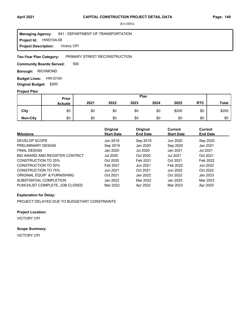### **Project Id: HWD104-08** 841 : DEPARTMENT OF TRANSPORTATION Victory CPI **Managing Agency: Project Description:**

#### PRIMARY STREET RECONSTRUCTION **Ten-Year Plan Category:**

500 **Community Boards Served:** 

**Borough: RICHMOND** 

**Budget Lines: HW-D104 Original Budget:** \$200

### **Project Plan**

|                 |                | Plan<br>Prior |      |      |      |       |            |              |
|-----------------|----------------|---------------|------|------|------|-------|------------|--------------|
|                 | <b>Actuals</b> | 2021          | 2022 | 2023 | 2024 | 2025  | <b>RTC</b> | <b>Total</b> |
| City            | \$0            | \$0           | \$0  | \$0  | \$0  | \$200 | \$0        | \$200        |
| <b>Non-City</b> | \$0            | \$0           | \$0  | \$0  | \$0  | \$0   | \$0        | \$0          |

| <b>Milestone</b>               | Original<br><b>Start Date</b> | Original<br><b>End Date</b> | Current<br><b>Start Date</b> | <b>Current</b><br><b>End Date</b> |
|--------------------------------|-------------------------------|-----------------------------|------------------------------|-----------------------------------|
| DEVELOP SCOPE                  | Jun 2019                      | Sep 2019                    | Jun 2020                     | Sep 2020                          |
| PRELIMINARY DESIGN             | Sep 2019                      | Jan 2020                    | Sep 2020                     | Jan 2021                          |
| <b>FINAL DESIGN</b>            | Jan 2020                      | Jul 2020                    | Jan 2021                     | Jul 2021                          |
| BID AWARD AND REGISTER CONTRCT | Jul 2020                      | Oct 2020                    | <b>Jul 2021</b>              | Oct 2021                          |
| CONSTRUCTION TO 25%            | Oct 2020                      | Feb 2021                    | Oct 2021                     | Feb 2022                          |
| CONSTRUCTION TO 50%            | Feb 2021                      | Jun 2021                    | Feb 2022                     | Jun 2022                          |
| CONSTRUCTION TO 75%            | Jun 2021                      | Oct 2021                    | Jun 2022                     | Oct 2022                          |
| ORIGINAL EQUIP & FURNISHING    | Oct 2021                      | Jan 2022                    | Oct 2022                     | Jan 2023                          |
| SUBSTANTIAL COMPLETION         | Jan 2022                      | Mar 2022                    | Jan 2023                     | Mar 2023                          |
| PUNCHLIST COMPLETE, JOB CLOSED | Mar 2022                      | Apr 2022                    | Mar 2023                     | Apr 2025                          |

### **Explanation for Delay:**

PROJECT DELAYED DUE TO BUDGETARY CONSTRAINTS

### **Project Location:**

VICTORY CPI

# **Scope Summary:**

VICTORY CPI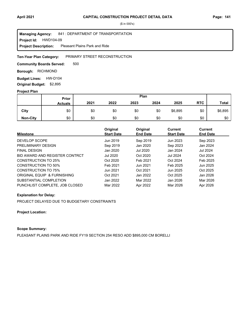### **Project Id: HWD104-09** 841 : DEPARTMENT OF TRANSPORTATION Pleasant Plains Park and Ride **Managing Agency: Project Description:**

### PRIMARY STREET RECONSTRUCTION **Ten-Year Plan Category:**

500 **Community Boards Served:** 

**Borough: RICHMOND** 

**Budget Lines: HW-D104 Original Budget:** \$2,895

### **Project Plan**

|                 |                | Plan<br><b>Prior</b> |      |      |      |         |            |              |
|-----------------|----------------|----------------------|------|------|------|---------|------------|--------------|
|                 | <b>Actuals</b> | 2021                 | 2022 | 2023 | 2024 | 2025    | <b>RTC</b> | <b>Total</b> |
| City            | \$0            | \$0                  | \$0  | \$0  | \$0  | \$6,895 | \$0        | \$6,895      |
| <b>Non-City</b> | \$0            | \$0                  | \$0  | \$0  | \$0  | \$0     | \$0        | \$0          |

| <b>Milestone</b>               | Original<br><b>Start Date</b> | Original<br><b>End Date</b> | <b>Current</b><br><b>Start Date</b> | <b>Current</b><br><b>End Date</b> |
|--------------------------------|-------------------------------|-----------------------------|-------------------------------------|-----------------------------------|
| DEVELOP SCOPE                  | Jun 2019                      | Sep 2019                    | Jun 2023                            | Sep 2023                          |
| PRELIMINARY DESIGN             | Sep 2019                      | Jan 2020                    | Sep 2023                            | Jan 2024                          |
| <b>FINAL DESIGN</b>            | Jan 2020                      | Jul 2020                    | Jan 2024                            | Jul 2024                          |
| BID AWARD AND REGISTER CONTRCT | Jul 2020                      | Oct 2020                    | <b>Jul 2024</b>                     | Oct 2024                          |
| CONSTRUCTION TO 25%            | Oct 2020                      | Feb 2021                    | Oct 2024                            | Feb 2025                          |
| CONSTRUCTION TO 50%            | Feb 2021                      | Jun 2021                    | Feb 2025                            | Jun 2025                          |
| CONSTRUCTION TO 75%            | Jun 2021                      | Oct 2021                    | Jun 2025                            | Oct 2025                          |
| ORIGINAL EQUIP & FURNISHING    | Oct 2021                      | Jan 2022                    | Oct 2025                            | Jan 2026                          |
| SUBSTANTIAL COMPLETION         | Jan 2022                      | Mar 2022                    | Jan 2026                            | Mar 2026                          |
| PUNCHLIST COMPLETE, JOB CLOSED | Mar 2022                      | Apr 2022                    | Mar 2026                            | Apr 2026                          |

### **Explanation for Delay:**

PROJECT DELAYED DUE TO BUDGETARY CONSTRAINTS

### **Project Location:**

# **Scope Summary:**

PLEASANT PLAINS PARK AND RIDE FY19 SECTION 254 RESO ADD \$895,000 CM BORELLI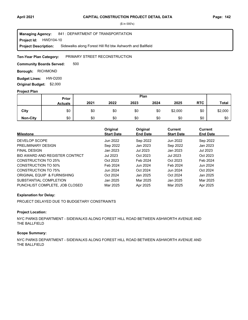### **Project Id: HWD104-10** 841 : DEPARTMENT OF TRANSPORTATION Sidewalks along Forest Hill Rd btw Ashworth and Ballfield **Managing Agency: Project Description:**

#### PRIMARY STREET RECONSTRUCTION **Ten-Year Plan Category:**

500 **Community Boards Served:** 

**Borough: RICHMOND** 

**Budget Lines: HW-D200 Original Budget:** \$2,000

### **Project Plan**

|                 |                | Plan<br>Prior |      |      |      |         |            |              |
|-----------------|----------------|---------------|------|------|------|---------|------------|--------------|
|                 | <b>Actuals</b> | 2021          | 2022 | 2023 | 2024 | 2025    | <b>RTC</b> | <b>Total</b> |
| City            | \$0            | \$0           | \$0  | \$0  | \$0  | \$2,000 | \$0        | \$2,000      |
| <b>Non-City</b> | \$0            | \$0           | \$0  | \$0  | \$0  | \$0     | \$0        | \$0          |

| <b>Milestone</b>               | Original<br><b>Start Date</b> | Original<br><b>End Date</b> | <b>Current</b><br><b>Start Date</b> | Current<br><b>End Date</b> |
|--------------------------------|-------------------------------|-----------------------------|-------------------------------------|----------------------------|
| DEVELOP SCOPE                  | Jun 2022                      | Sep 2022                    | Jun 2022                            | Sep 2022                   |
| PRELIMINARY DESIGN             | Sep 2022                      | Jan 2023                    | Sep 2022                            | Jan 2023                   |
| <b>FINAL DESIGN</b>            | Jan 2023                      | Jul 2023                    | Jan 2023                            | Jul 2023                   |
| BID AWARD AND REGISTER CONTRCT | Jul 2023                      | Oct 2023                    | <b>Jul 2023</b>                     | Oct 2023                   |
| CONSTRUCTION TO 25%            | Oct 2023                      | Feb 2024                    | Oct 2023                            | Feb 2024                   |
| CONSTRUCTION TO 50%            | Feb 2024                      | Jun 2024                    | Feb 2024                            | Jun 2024                   |
| CONSTRUCTION TO 75%            | Jun 2024                      | Oct 2024                    | Jun 2024                            | Oct 2024                   |
| ORIGINAL EQUIP & FURNISHING    | Oct 2024                      | Jan 2025                    | Oct 2024                            | Jan 2025                   |
| SUBSTANTIAL COMPLETION         | Jan 2025                      | Mar 2025                    | Jan 2025                            | Mar 2025                   |
| PUNCHLIST COMPLETE, JOB CLOSED | Mar 2025                      | Apr 2025                    | Mar 2025                            | Apr 2025                   |

### **Explanation for Delay:**

PROJECT DELAYED DUE TO BUDGETARY CONSTRAINTS

# **Project Location:**

NYC PARKS DEPARTMENT - SIDEWALKS ALONG FOREST HILL ROAD BETWEEN ASHWORTH AVENUE AND THE BALLFIELD

### **Scope Summary:**

NYC PARKS DEPARTMENT - SIDEWALKS ALONG FOREST HILL ROAD BETWEEN ASHWORTH AVENUE AND THE BALLFIELD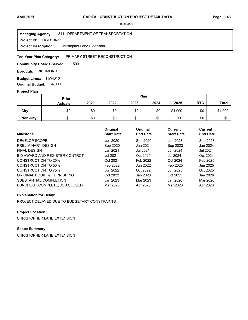### **Project Id: HWD104-11** 841 : DEPARTMENT OF TRANSPORTATION Christopher Lane Extension **Managing Agency: Project Description:**

### PRIMARY STREET RECONSTRUCTION **Ten-Year Plan Category:**

500 **Community Boards Served:** 

**Borough: RICHMOND** 

**Budget Lines: HW-D104 Original Budget:** \$4,000

### **Project Plan**

|                 |                | Plan<br>Prior |      |      |      |         |            |              |
|-----------------|----------------|---------------|------|------|------|---------|------------|--------------|
|                 | <b>Actuals</b> | 2021          | 2022 | 2023 | 2024 | 2025    | <b>RTC</b> | <b>Total</b> |
| City            | \$0            | \$0           | \$0  | \$0  | \$0  | \$4,000 | \$0        | \$4,000      |
| <b>Non-City</b> | \$0            | \$0           | \$0  | \$0  | \$0  | \$0     | \$0        | \$0          |

| <b>Milestone</b>               | Original<br><b>Start Date</b> | Original<br><b>End Date</b> | <b>Current</b><br><b>Start Date</b> | Current<br><b>End Date</b> |
|--------------------------------|-------------------------------|-----------------------------|-------------------------------------|----------------------------|
| DEVELOP SCOPE                  | Jun 2020                      | Sep 2020                    | Jun 2023                            | Sep 2023                   |
| PRELIMINARY DESIGN             | Sep 2020                      | Jan 2021                    | Sep 2023                            | Jan 2024                   |
| <b>FINAL DESIGN</b>            | Jan 2021                      | <b>Jul 2021</b>             | Jan 2024                            | <b>Jul 2024</b>            |
| BID AWARD AND REGISTER CONTRCT | <b>Jul 2021</b>               | Oct 2021                    | Jul 2024                            | Oct 2024                   |
| CONSTRUCTION TO 25%            | Oct 2021                      | Feb 2022                    | Oct 2024                            | Feb 2025                   |
| CONSTRUCTION TO 50%            | Feb 2022                      | Jun 2022                    | Feb 2025                            | Jun 2025                   |
| CONSTRUCTION TO 75%            | Jun 2022                      | Oct 2022                    | Jun 2025                            | Oct 2025                   |
| ORIGINAL EQUIP & FURNISHING    | Oct 2022                      | Jan 2023                    | Oct 2025                            | Jan 2026                   |
| SUBSTANTIAL COMPLETION         | Jan 2023                      | Mar 2023                    | Jan 2026                            | Mar 2026                   |
| PUNCHLIST COMPLETE, JOB CLOSED | Mar 2023                      | Apr 2023                    | Mar 2026                            | Apr 2026                   |

### **Explanation for Delay:**

PROJECT DELAYED DUE TO BUDGETARY CONSTRAINTS

# **Project Location:**

CHRISTOPHER LANE EXTENSION

# **Scope Summary:**

CHRISTOPHER LANE EXTENSION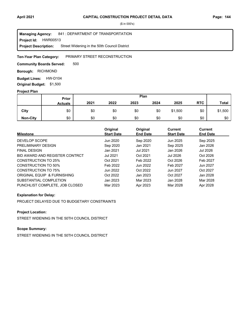### **Project Id: HWR00513** 841 : DEPARTMENT OF TRANSPORTATION Street Widening in the 50th Council District **Managing Agency: Project Description:**

### PRIMARY STREET RECONSTRUCTION **Ten-Year Plan Category:**

500 **Community Boards Served:** 

**Borough: RICHMOND** 

**Budget Lines: HW-D104 Original Budget:** \$1,500

### **Project Plan**

|                 |                | Plan<br><b>Prior</b> |      |      |      |         |            |         |
|-----------------|----------------|----------------------|------|------|------|---------|------------|---------|
|                 | <b>Actuals</b> | 2021                 | 2022 | 2023 | 2024 | 2025    | <b>RTC</b> | Total   |
| City            | \$0            | \$0                  | \$0  | \$0  | \$0  | \$1,500 | \$0        | \$1,500 |
| <b>Non-City</b> | \$0            | \$0                  | \$0  | \$0  | \$0  | \$0     | \$0        | \$0     |

| <b>Milestone</b>               | Original<br><b>Start Date</b> | Original<br><b>End Date</b> | <b>Current</b><br><b>Start Date</b> | <b>Current</b><br><b>End Date</b> |
|--------------------------------|-------------------------------|-----------------------------|-------------------------------------|-----------------------------------|
| DEVELOP SCOPE                  | Jun 2020                      | Sep 2020                    | Jun 2025                            | Sep 2025                          |
| PRELIMINARY DESIGN             | Sep 2020                      | Jan 2021                    | Sep 2025                            | Jan 2026                          |
| <b>FINAL DESIGN</b>            | Jan 2021                      | Jul 2021                    | Jan 2026                            | Jul 2026                          |
| BID AWARD AND REGISTER CONTRCT | <b>Jul 2021</b>               | Oct 2021                    | Jul 2026                            | Oct 2026                          |
| CONSTRUCTION TO 25%            | Oct 2021                      | Feb 2022                    | Oct 2026                            | Feb 2027                          |
| CONSTRUCTION TO 50%            | Feb 2022                      | Jun 2022                    | Feb 2027                            | Jun 2027                          |
| CONSTRUCTION TO 75%            | Jun 2022                      | Oct 2022                    | Jun 2027                            | Oct 2027                          |
| ORIGINAL EQUIP & FURNISHING    | Oct 2022                      | Jan 2023                    | Oct 2027                            | Jan 2028                          |
| SUBSTANTIAL COMPLETION         | Jan 2023                      | Mar 2023                    | Jan 2028                            | Mar 2028                          |
| PUNCHLIST COMPLETE, JOB CLOSED | Mar 2023                      | Apr 2023                    | Mar 2028                            | Apr 2028                          |

### **Explanation for Delay:**

PROJECT DELAYED DUE TO BUDGETARY CONSTRAINTS

# **Project Location:**

STREET WIDENING IN THE 50TH COUNCIL DISTRICT

# **Scope Summary:**

STREET WIDENING IN THE 50TH COUNCIL DISTRICT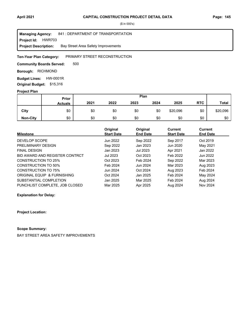### **Project Id: HWR703** 841 : DEPARTMENT OF TRANSPORTATION Bay Street Area Safety Improvements **Managing Agency: Project Description:**

### PRIMARY STREET RECONSTRUCTION **Ten-Year Plan Category:**

500 **Community Boards Served:** 

**Borough: RICHMOND** 

**Budget Lines: HW-0001R Original Budget:** \$15,316

### **Project Plan**

|                 |                | Plan<br>Prior |      |      |      |          |            |              |
|-----------------|----------------|---------------|------|------|------|----------|------------|--------------|
|                 | <b>Actuals</b> | 2021          | 2022 | 2023 | 2024 | 2025     | <b>RTC</b> | <b>Total</b> |
| City            | \$0            | \$0           | \$0  | \$0  | \$0  | \$20,096 | \$0        | \$20,096     |
| <b>Non-City</b> | \$0            | \$0           | \$0  | \$0  | \$0  | \$0      | \$0        | \$0          |

|                                | Original          | Original        | Current           | <b>Current</b>  |  |
|--------------------------------|-------------------|-----------------|-------------------|-----------------|--|
| <b>Milestone</b>               | <b>Start Date</b> | <b>End Date</b> | <b>Start Date</b> | <b>End Date</b> |  |
| DEVELOP SCOPE                  | Jun 2022          | Sep 2022        | Sep 2017          | Oct 2019        |  |
| PRELIMINARY DESIGN             | Sep 2022          | Jan 2023        | Jun 2020          | May 2021        |  |
| <b>FINAL DESIGN</b>            | Jan 2023          | Jul 2023        | Apr 2021          | Jan 2022        |  |
| BID AWARD AND REGISTER CONTRCT | <b>Jul 2023</b>   | Oct 2023        | Feb 2022          | Jun 2022        |  |
| CONSTRUCTION TO 25%            | Oct 2023          | Feb 2024        | Sep 2022          | Mar 2023        |  |
| CONSTRUCTION TO 50%            | Feb 2024          | Jun 2024        | Mar 2023          | Aug 2023        |  |
| <b>CONSTRUCTION TO 75%</b>     | Jun 2024          | Oct 2024        | Aug 2023          | Feb 2024        |  |
| ORIGINAL EQUIP & FURNISHING    | Oct 2024          | Jan 2025        | Feb 2024          | May 2024        |  |
| SUBSTANTIAL COMPLETION         | Jan 2025          | Mar 2025        | Feb 2024          | Aug 2024        |  |
| PUNCHLIST COMPLETE. JOB CLOSED | Mar 2025          | Apr 2025        | Aug 2024          | Nov 2024        |  |

**Explanation for Delay:**

**Project Location:**

# **Scope Summary:**

BAY STREET AREA SAFETY IMPROVEMENTS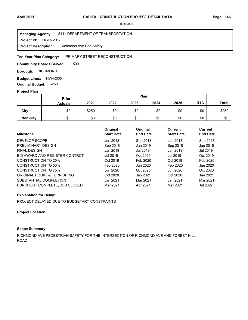### **Project Id: HWR72017** 841 : DEPARTMENT OF TRANSPORTATION Richmond Ave Ped Safety **Managing Agency: Project Description:**

### PRIMARY STREET RECONSTRUCTION **Ten-Year Plan Category:**

500 **Community Boards Served:** 

**Borough: RICHMOND** 

**Budget Lines: HW-R005 Original Budget:** \$250

### **Project Plan**

|                 |                | Plan<br><b>Prior</b> |      |      |      |      |            |              |
|-----------------|----------------|----------------------|------|------|------|------|------------|--------------|
|                 | <b>Actuals</b> | 2021                 | 2022 | 2023 | 2024 | 2025 | <b>RTC</b> | <b>Total</b> |
| City            | \$0            | \$250                | \$0  | \$0  | \$0  | \$0  | \$0        | \$250        |
| <b>Non-City</b> | \$0            | \$0                  | \$0  | \$0  | \$0  | \$0  | \$0        | \$0          |

| <b>Milestone</b>               | Original<br><b>Start Date</b> | Original<br><b>End Date</b> | Current<br><b>Start Date</b> | Current<br><b>End Date</b> |
|--------------------------------|-------------------------------|-----------------------------|------------------------------|----------------------------|
|                                |                               |                             |                              |                            |
| DEVELOP SCOPE                  | Jun 2018                      | Sep 2018                    | Jun 2018                     | Sep 2018                   |
| PRELIMINARY DESIGN             | Sep 2018                      | Jan 2019                    | Sep 2018                     | Jan 2019                   |
| <b>FINAL DESIGN</b>            | Jan 2019                      | Jul 2019                    | Jan 2019                     | Jul 2019                   |
| BID AWARD AND REGISTER CONTRCT | Jul 2019                      | Oct 2019                    | Jul 2019                     | Oct 2019                   |
| <b>CONSTRUCTION TO 25%</b>     | Oct 2019                      | Feb 2020                    | Oct 2019                     | Feb 2020                   |
| CONSTRUCTION TO 50%            | Feb 2020                      | Jun 2020                    | Feb 2020                     | Jun 2020                   |
| CONSTRUCTION TO 75%            | Jun 2020                      | Oct 2020                    | Jun 2020                     | Oct 2020                   |
| ORIGINAL EQUIP & FURNISHING    | Oct 2020                      | Jan 2021                    | Oct 2020                     | Jan 2021                   |
| SUBSTANTIAL COMPLETION         | Jan 2021                      | Mar 2021                    | Jan 2021                     | Mar 2021                   |
| PUNCHLIST COMPLETE. JOB CLOSED | Mar 2021                      | Apr 2021                    | Mar 2021                     | <b>Jul 2027</b>            |

### **Explanation for Delay:**

PROJECT DELAYED DUE TO BUDGETARY CONSTRAINTS

### **Project Location:**

# **Scope Summary:**

RICHMOND AVE PEDESTRIAN SAFETY FOR THE INTERSECTION OF RICHMOND AVE AND FOREST HILL ROAD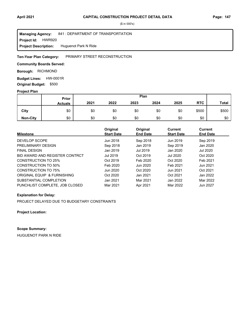### **Project Id: HWR920** 841 : DEPARTMENT OF TRANSPORTATION **Managing Agency:**

Huguenot Park N Ride **Project Description:** 

#### PRIMARY STREET RECONSTRUCTION **Ten-Year Plan Category:**

### **Community Boards Served:**

**Borough: RICHMOND** 

**Budget Lines: HW-0001R** 

**Original Budget:** \$500

# **Project Plan**

|                 | Prior          | Plan |      |      |      |      |            |              |
|-----------------|----------------|------|------|------|------|------|------------|--------------|
|                 | <b>Actuals</b> | 2021 | 2022 | 2023 | 2024 | 2025 | <b>RTC</b> | <b>Total</b> |
| City            | \$0            | \$0  | \$0  | \$0  | \$0  | \$0  | \$500      | \$500        |
| <b>Non-City</b> | \$0            | \$0  | \$0  | \$0  | \$0  | \$0  | \$0        | \$0          |

| <b>Milestone</b>               | Original<br><b>Start Date</b> | Original<br><b>End Date</b> | <b>Current</b><br><b>Start Date</b> | Current<br><b>End Date</b> |
|--------------------------------|-------------------------------|-----------------------------|-------------------------------------|----------------------------|
|                                |                               |                             |                                     |                            |
| DEVELOP SCOPE                  | Jun 2018                      | Sep 2018                    | Jun 2019                            | Sep 2019                   |
| PRELIMINARY DESIGN             | Sep 2018                      | Jan 2019                    | Sep 2019                            | Jan 2020                   |
| <b>FINAL DESIGN</b>            | Jan 2019                      | Jul 2019                    | Jan 2020                            | Jul 2020                   |
| BID AWARD AND REGISTER CONTRCT | Jul 2019                      | Oct 2019                    | <b>Jul 2020</b>                     | Oct 2020                   |
| CONSTRUCTION TO 25%            | Oct 2019                      | Feb 2020                    | Oct 2020                            | Feb 2021                   |
| CONSTRUCTION TO 50%            | Feb 2020                      | Jun 2020                    | Feb 2021                            | Jun 2021                   |
| <b>CONSTRUCTION TO 75%</b>     | Jun 2020                      | Oct 2020                    | Jun 2021                            | Oct 2021                   |
| ORIGINAL EQUIP & FURNISHING    | Oct 2020                      | Jan 2021                    | Oct 2021                            | Jan 2022                   |
| SUBSTANTIAL COMPLETION         | Jan 2021                      | Mar 2021                    | Jan 2022                            | Mar 2022                   |
| PUNCHLIST COMPLETE. JOB CLOSED | Mar 2021                      | Apr 2021                    | Mar 2022                            | Jun 2027                   |

### **Explanation for Delay:**

PROJECT DELAYED DUE TO BUDGETARY CONSTRAINTS

**Project Location:**

# **Scope Summary:**

HUGUENOT PARK N RIDE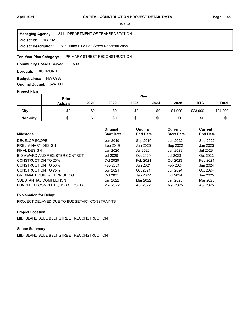### **Project Id: HWR921** 841 : DEPARTMENT OF TRANSPORTATION Mid Island Blue Belt Street Reconstruction **Managing Agency: Project Description:**

### PRIMARY STREET RECONSTRUCTION **Ten-Year Plan Category:**

500 **Community Boards Served:** 

**Borough: RICHMOND** 

**Budget Lines: HW-0988 Original Budget:** \$24,000

### **Project Plan**

|                 |                | Plan<br>Prior |      |      |      |         |            |              |
|-----------------|----------------|---------------|------|------|------|---------|------------|--------------|
|                 | <b>Actuals</b> | 2021          | 2022 | 2023 | 2024 | 2025    | <b>RTC</b> | <b>Total</b> |
| City            | \$0            | \$0           | \$0  | \$0  | \$0  | \$1,000 | \$23,000   | \$24,000     |
| <b>Non-City</b> | \$0            | \$0           | \$0  | \$0  | \$0  | \$0     | \$0        | \$0          |

| <b>Milestone</b>               | Original<br><b>Start Date</b> | Original<br><b>End Date</b> | <b>Current</b><br><b>Start Date</b> | <b>Current</b><br><b>End Date</b> |
|--------------------------------|-------------------------------|-----------------------------|-------------------------------------|-----------------------------------|
| DEVELOP SCOPE                  | Jun 2019                      | Sep 2019                    | Jun 2022                            | Sep 2022                          |
| PRELIMINARY DESIGN             | Sep 2019                      | Jan 2020                    | Sep 2022                            | Jan 2023                          |
| <b>FINAL DESIGN</b>            | Jan 2020                      | Jul 2020                    | Jan 2023                            | Jul 2023                          |
| BID AWARD AND REGISTER CONTRCT | Jul 2020                      | Oct 2020                    | Jul 2023                            | Oct 2023                          |
| CONSTRUCTION TO 25%            | Oct 2020                      | Feb 2021                    | Oct 2023                            | Feb 2024                          |
| CONSTRUCTION TO 50%            | Feb 2021                      | Jun 2021                    | Feb 2024                            | Jun 2024                          |
| CONSTRUCTION TO 75%            | Jun 2021                      | Oct 2021                    | Jun 2024                            | Oct 2024                          |
| ORIGINAL EQUIP & FURNISHING    | Oct 2021                      | Jan 2022                    | Oct 2024                            | Jan 2025                          |
| SUBSTANTIAL COMPLETION         | Jan 2022                      | Mar 2022                    | Jan 2025                            | Mar 2025                          |
| PUNCHLIST COMPLETE, JOB CLOSED | Mar 2022                      | Apr 2022                    | Mar 2025                            | Apr 2025                          |

### **Explanation for Delay:**

PROJECT DELAYED DUE TO BUDGETARY CONSTRAINTS

# **Project Location:**

MID ISLAND BLUE BELT STREET RECONSTRUCTION

# **Scope Summary:**

MID ISLAND BLUE BELT STREET RECONSTRUCTION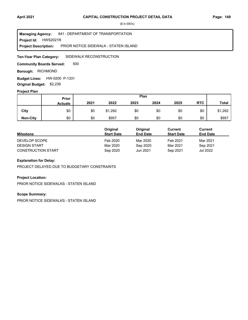**Project Id: HWS2021R** 841 : DEPARTMENT OF TRANSPORTATION PRIOR NOTICE SIDEWALK - STATEN ISLAND **Managing Agency: Project Description:** 

SIDEWALK RECONSTRUCTION **Ten-Year Plan Category:** 

500 **Community Boards Served:** 

**Borough: RICHMOND** 

**Budget Lines: HW-0200 P-1331 Original Budget:** \$2,239

### **Project Plan**

|                 |                | Plan<br>Prior |         |      |      |      |            |              |
|-----------------|----------------|---------------|---------|------|------|------|------------|--------------|
|                 | <b>Actuals</b> | 2021          | 2022    | 2023 | 2024 | 2025 | <b>RTC</b> | <b>Total</b> |
| City            | \$0            | \$0           | \$1,282 | \$0  | \$0  | \$0  | \$0        | \$1,282      |
| <b>Non-City</b> | \$0            | \$0           | \$957   | \$0  | \$0  | \$0  | \$0        | \$957        |

|                           | Original          | Original        | Current           | Current         |
|---------------------------|-------------------|-----------------|-------------------|-----------------|
| <b>Milestone</b>          | <b>Start Date</b> | <b>End Date</b> | <b>Start Date</b> | <b>End Date</b> |
| DEVELOP SCOPE             | Feb 2020          | Mar 2020        | Feb 2021          | Mar 2021        |
| <b>DESIGN START</b>       | Mar 2020          | Sep 2020        | Mar 2021          | Sep 2021        |
| <b>CONSTRUCTION START</b> | Sep 2020          | Jun 2021        | Sep 2021          | Jul 2022        |

# **Explanation for Delay:**

PROJECT DELAYED DUE TO BUDGETARY CONSTRAINTS

### **Project Location:**

PRIOR NOTICE SIDEWALKS - STATEN ISLAND

### **Scope Summary:**

PRIOR NOTICE SIDEWALKS - STATEN ISLAND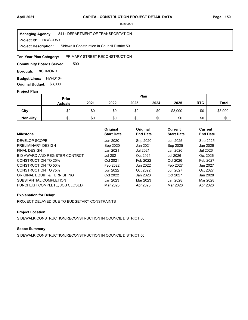### **Project Id: HWSCD50** 841 : DEPARTMENT OF TRANSPORTATION Sidewalk Construction in Council District 50 **Managing Agency: Project Description:**

### PRIMARY STREET RECONSTRUCTION **Ten-Year Plan Category:**

500 **Community Boards Served:** 

**Borough: RICHMOND** 

**Budget Lines: HW-D104 Original Budget:** \$3,000

### **Project Plan**

|                 |                | Plan<br>Prior |      |      |      |         |            |              |
|-----------------|----------------|---------------|------|------|------|---------|------------|--------------|
|                 | <b>Actuals</b> | 2021          | 2022 | 2023 | 2024 | 2025    | <b>RTC</b> | <b>Total</b> |
| City            | \$0            | \$0           | \$0  | \$0  | \$0  | \$3,000 | \$0        | \$3,000      |
| <b>Non-City</b> | \$0            | \$0           | \$0  | \$0  | \$0  | \$0     | \$0        | \$0          |

| <b>Milestone</b>               | Original<br><b>Start Date</b> | Original<br><b>End Date</b> | <b>Current</b><br><b>Start Date</b> | <b>Current</b><br><b>End Date</b> |
|--------------------------------|-------------------------------|-----------------------------|-------------------------------------|-----------------------------------|
| DEVELOP SCOPE                  | Jun 2020                      | Sep 2020                    | Jun 2025                            | Sep 2025                          |
| PRELIMINARY DESIGN             | Sep 2020                      | Jan 2021                    | Sep 2025                            | Jan 2026                          |
| <b>FINAL DESIGN</b>            | Jan 2021                      | Jul 2021                    | Jan 2026                            | Jul 2026                          |
| BID AWARD AND REGISTER CONTRCT | <b>Jul 2021</b>               | Oct 2021                    | Jul 2026                            | Oct 2026                          |
| CONSTRUCTION TO 25%            | Oct 2021                      | Feb 2022                    | Oct 2026                            | Feb 2027                          |
| CONSTRUCTION TO 50%            | Feb 2022                      | Jun 2022                    | Feb 2027                            | Jun 2027                          |
| CONSTRUCTION TO 75%            | Jun 2022                      | Oct 2022                    | Jun 2027                            | Oct 2027                          |
| ORIGINAL EQUIP & FURNISHING    | Oct 2022                      | Jan 2023                    | Oct 2027                            | Jan 2028                          |
| SUBSTANTIAL COMPLETION         | Jan 2023                      | Mar 2023                    | Jan 2028                            | Mar 2028                          |
| PUNCHLIST COMPLETE, JOB CLOSED | Mar 2023                      | Apr 2023                    | Mar 2028                            | Apr 2028                          |

### **Explanation for Delay:**

PROJECT DELAYED DUE TO BUDGETARY CONSTRAINTS

# **Project Location:**

SIDEWALK CONSTRUCTION/RECONSTRUCTION IN COUNCIL DISTRICT 50

### **Scope Summary:**

SIDEWALK CONSTRUCTION/RECONSTRUCTION IN COUNCIL DISTRICT 50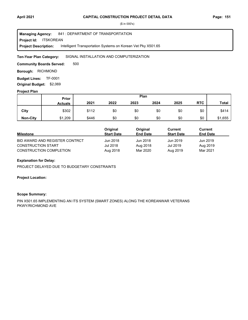**Project Id: ITSKOREAN** 841 : DEPARTMENT OF TRANSPORTATION Intelligent Transportation Systems on Korean Vet Pky X501.65 **Managing Agency: Project Description:** 

SIGNAL INSTALLATION AND COMPUTERIZATION **Ten-Year Plan Category:** 

500 **Community Boards Served:** 

**Borough: RICHMOND** 

**Budget Lines: TF-0001 Original Budget:** \$2,069

### **Project Plan**

|                 |                | Plan<br>Prior |      |      |      |      |            |              |
|-----------------|----------------|---------------|------|------|------|------|------------|--------------|
|                 | <b>Actuals</b> | 2021          | 2022 | 2023 | 2024 | 2025 | <b>RTC</b> | <b>Total</b> |
| City            | \$302          | \$112         | \$0  | \$0  | \$0  | \$0  | \$0        | \$414        |
| <b>Non-City</b> | \$1,209        | \$446         | \$0  | \$0  | \$0  | \$0  | \$0        | \$1,655      |

|                                | Original          | Original        | Current           | <b>Current</b>  |  |
|--------------------------------|-------------------|-----------------|-------------------|-----------------|--|
| <b>Milestone</b>               | <b>Start Date</b> | <b>End Date</b> | <b>Start Date</b> | <b>End Date</b> |  |
| BID AWARD AND REGISTER CONTRCT | Jun 2018          | Jun 2018        | Jun 2019          | Jun 2019        |  |
| <b>CONSTRUCTION START</b>      | Jul 2018          | Aug 2018        | Jul 2019          | Aug 2019        |  |
| <b>CONSTRUCTION COMPLETION</b> | Aug 2018          | Mar 2020        | Aug 2019          | Mar 2021        |  |

### **Explanation for Delay:**

PROJECT DELAYED DUE TO BUDGETARY CONSTRAINTS

### **Project Location:**

### **Scope Summary:**

PIN X501.65 IMPLEMENTING AN ITS SYSTEM (SMART ZONES) ALONG THE KOREANWAR VETERANS PKWY/RICHMOND AVE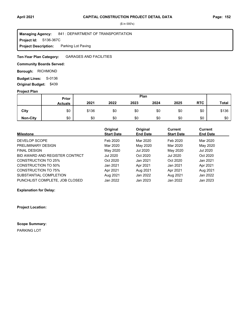### **Project Id: S136-367C** 841 : DEPARTMENT OF TRANSPORTATION Parking Lot Paving **Managing Agency: Project Description:**

GARAGES AND FACILITIES **Ten-Year Plan Category:** 

# **Community Boards Served:**

**Borough: RICHMOND** 

**Budget Lines: S-0136 Original Budget:** \$439

# **Project Plan**

#### \$136 \$0 \$0 \$0 \$0 \$0 \$0 \$0 \$0 **Non-City** | \$0 | \$0 \$0 \$0 \$0 \$0 \$0 **City Prior Actuals 2021 2022 2023 2024 2025** \$0 \$0 **RTC** \$136 \$0 **Total Plan** \$0 \$0

| <b>Milestone</b>               | Original<br><b>Start Date</b> | Original<br><b>End Date</b> | Current<br><b>Start Date</b> | <b>Current</b><br><b>End Date</b> |
|--------------------------------|-------------------------------|-----------------------------|------------------------------|-----------------------------------|
| DEVELOP SCOPE                  | Feb 2020                      | Mar 2020                    | Feb 2020                     | Mar 2020                          |
| PRELIMINARY DESIGN             | Mar 2020                      | May 2020                    | Mar 2020                     | May 2020                          |
| <b>FINAL DESIGN</b>            | May 2020                      | Jul 2020                    | May 2020                     | Jul 2020                          |
| BID AWARD AND REGISTER CONTRCT | Jul 2020                      | Oct 2020                    | <b>Jul 2020</b>              | Oct 2020                          |
| <b>CONSTRUCTION TO 25%</b>     | Oct 2020                      | Jan 2021                    | Oct 2020                     | Jan 2021                          |
| <b>CONSTRUCTION TO 50%</b>     | Jan 2021                      | Apr 2021                    | Jan 2021                     | Apr 2021                          |
| <b>CONSTRUCTION TO 75%</b>     | Apr 2021                      | Aug 2021                    | Apr 2021                     | Aug 2021                          |
| SUBSTANTIAL COMPLETION         | Aug 2021                      | Jan 2022                    | Aug 2021                     | Jan 2022                          |
| PUNCHLIST COMPLETE, JOB CLOSED | Jan 2022                      | Jan 2023                    | Jan 2022                     | Jan 2023                          |

### **Explanation for Delay:**

**Project Location:**

### **Scope Summary:**

PARKING LOT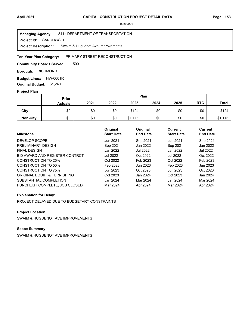**Project Id: SANDHWSIB** 841 : DEPARTMENT OF TRANSPORTATION Swaim & Huguenot Ave Improvements **Managing Agency: Project Description:** 

#### PRIMARY STREET RECONSTRUCTION **Ten-Year Plan Category:**

500 **Community Boards Served:** 

**Borough: RICHMOND** 

**Budget Lines: HW-0001R Original Budget:** \$1,240

### **Project Plan**

|                 |                | Plan<br>Prior |      |         |      |      |            |         |
|-----------------|----------------|---------------|------|---------|------|------|------------|---------|
|                 | <b>Actuals</b> | 2021          | 2022 | 2023    | 2024 | 2025 | <b>RTC</b> | Total   |
| City            | \$0            | \$0           | \$0  | \$124   | \$0  | \$0  | \$0        | \$124   |
| <b>Non-City</b> | \$0            | \$0           | \$0  | \$1,116 | \$0  | \$0  | \$0        | \$1,116 |

| <b>Milestone</b>               | Original<br><b>Start Date</b> | Original<br><b>End Date</b> | Current<br><b>Start Date</b> | <b>Current</b><br><b>End Date</b> |
|--------------------------------|-------------------------------|-----------------------------|------------------------------|-----------------------------------|
| DEVELOP SCOPE                  | Jun 2021                      | Sep 2021                    | Jun 2021                     | Sep 2021                          |
| PRELIMINARY DESIGN             | Sep 2021                      | Jan 2022                    | Sep 2021                     | Jan 2022                          |
| <b>FINAL DESIGN</b>            | Jan 2022                      | <b>Jul 2022</b>             | Jan 2022                     | Jul 2022                          |
| BID AWARD AND REGISTER CONTRCT | Jul 2022                      | Oct 2022                    | Jul 2022                     | Oct 2022                          |
| CONSTRUCTION TO 25%            | Oct 2022                      | Feb 2023                    | Oct 2022                     | Feb 2023                          |
| CONSTRUCTION TO 50%            | Feb 2023                      | Jun 2023                    | Feb 2023                     | Jun 2023                          |
| <b>CONSTRUCTION TO 75%</b>     | Jun 2023                      | Oct 2023                    | Jun 2023                     | Oct 2023                          |
| ORIGINAL EQUIP & FURNISHING    | Oct 2023                      | Jan 2024                    | Oct 2023                     | Jan 2024                          |
| SUBSTANTIAL COMPLETION         | Jan 2024                      | Mar 2024                    | Jan 2024                     | Mar 2024                          |
| PUNCHLIST COMPLETE, JOB CLOSED | Mar 2024                      | Apr 2024                    | Mar 2024                     | Apr 2024                          |

### **Explanation for Delay:**

PROJECT DELAYED DUE TO BUDGETARY CONSTRAINTS

# **Project Location:**

SWAIM & HUGUENOT AVE IMPROVEMENTS

# **Scope Summary:**

SWAIM & HUGUENOT AVE IMPROVEMENTS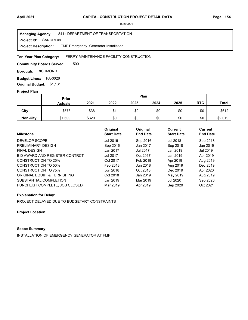**Project Id: SANDRF09** 841 : DEPARTMENT OF TRANSPORTATION FMF Emergency Generator Installation **Managing Agency: Project Description:** 

### FERRY MAINTENANCE FACILITY CONSTRUCTION **Ten-Year Plan Category:**

500 **Community Boards Served:** 

**Borough: RICHMOND** 

**Budget Lines: FA-0026 Original Budget:** \$1,131

### **Project Plan**

|                 |                | Plan<br>Prior |      |      |      |      |            |              |
|-----------------|----------------|---------------|------|------|------|------|------------|--------------|
|                 | <b>Actuals</b> | 2021          | 2022 | 2023 | 2024 | 2025 | <b>RTC</b> | <b>Total</b> |
| City            | \$573          | \$38          | \$1  | \$0  | \$0  | \$0  | \$0        | \$612        |
| <b>Non-City</b> | \$1,699        | \$320         | \$0  | \$0  | \$0  | \$0  | \$0        | \$2,019      |

| <b>Milestone</b>               | Original<br><b>Start Date</b> | Original<br><b>End Date</b> | Current<br><b>Start Date</b> | <b>Current</b><br><b>End Date</b> |
|--------------------------------|-------------------------------|-----------------------------|------------------------------|-----------------------------------|
| DEVELOP SCOPE                  | Jul 2016                      | Sep 2016                    | Jul 2018                     | Sep 2018                          |
| PRELIMINARY DESIGN             | Sep 2016                      | Jan 2017                    | Sep 2018                     | Jan 2019                          |
| <b>FINAL DESIGN</b>            | Jan 2017                      | <b>Jul 2017</b>             | Jan 2019                     | Jul 2019                          |
| BID AWARD AND REGISTER CONTRCT | Jul 2017                      | Oct 2017                    | Jan 2019                     | Apr 2019                          |
| CONSTRUCTION TO 25%            | Oct 2017                      | Feb 2018                    | Apr 2019                     | Aug 2019                          |
| CONSTRUCTION TO 50%            | Feb 2018                      | Jun 2018                    | Aug 2019                     | Dec 2019                          |
| <b>CONSTRUCTION TO 75%</b>     | Jun 2018                      | Oct 2018                    | Dec 2019                     | Apr 2020                          |
| ORIGINAL EQUIP & FURNISHING    | Oct 2018                      | Jan 2019                    | May 2019                     | Aug 2019                          |
| SUBSTANTIAL COMPLETION         | Jan 2019                      | Mar 2019                    | <b>Jul 2020</b>              | Sep 2020                          |
| PUNCHLIST COMPLETE, JOB CLOSED | Mar 2019                      | Apr 2019                    | Sep 2020                     | Oct 2021                          |

### **Explanation for Delay:**

PROJECT DELAYED DUE TO BUDGETARY CONSTRAINTS

**Project Location:**

# **Scope Summary:**

INSTALLATION OF EMERGENCY GENERATOR AT FMF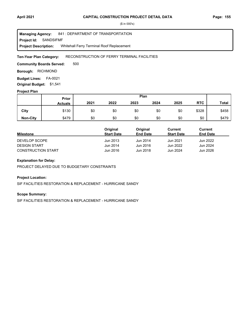**Project Id: SANDSIFMF** 841 : DEPARTMENT OF TRANSPORTATION Whitehall Ferry Terminal Roof Replacement **Managing Agency: Project Description:** 

### RECONSTRUCTION OF FERRY TERMINAL FACILITIES **Ten-Year Plan Category:**

500 **Community Boards Served:** 

**Borough: RICHMOND** 

**Budget Lines: FA-0021 Original Budget:** \$1,541

### **Project Plan**

|                 | Plan<br>Prior  |      |      |      |      |      |            |              |
|-----------------|----------------|------|------|------|------|------|------------|--------------|
|                 | <b>Actuals</b> | 2021 | 2022 | 2023 | 2024 | 2025 | <b>RTC</b> | <b>Total</b> |
| City            | \$130          | \$0  | \$0  | \$0  | \$0  | \$0  | \$328      | \$458        |
| <b>Non-City</b> | \$479          | \$0  | \$0  | \$0  | \$0  | \$0  | \$0        | \$479        |

|                           | Original          | Original        | Current           | Current         |
|---------------------------|-------------------|-----------------|-------------------|-----------------|
| <b>Milestone</b>          | <b>Start Date</b> | <b>End Date</b> | <b>Start Date</b> | <b>End Date</b> |
| DEVELOP SCOPE             | Jun 2013          | Jun 2014        | Jun 2021          | Jun 2022        |
| <b>DESIGN START</b>       | Jun 2014          | Jun 2016        | Jun 2022          | Jun 2024        |
| <b>CONSTRUCTION START</b> | Jun 2016          | Jun 2018        | Jun 2024          | Jun 2026        |

# **Explanation for Delay:**

PROJECT DELAYED DUE TO BUDGETARY CONSTRAINTS

### **Project Location:**

SIF FACILITIES RESTORATION & REPLACEMENT - HURRICANE SANDY

### **Scope Summary:**

SIF FACILITIES RESTORATION & REPLACEMENT - HURRICANE SANDY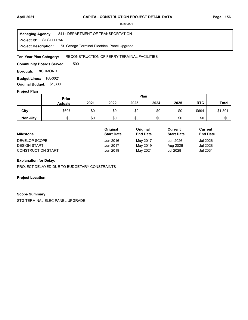**Project Id: STGTELPAN** 841 : DEPARTMENT OF TRANSPORTATION St. George Terminal Electrical Panel Upgrade **Managing Agency: Project Description:** 

### RECONSTRUCTION OF FERRY TERMINAL FACILITIES **Ten-Year Plan Category:**

500 **Community Boards Served:** 

**Borough: RICHMOND** 

**Budget Lines: FA-0021 Original Budget:** \$1,300

### **Project Plan**

|                 | Plan<br>Prior  |      |      |      |      |      |            |              |
|-----------------|----------------|------|------|------|------|------|------------|--------------|
|                 | <b>Actuals</b> | 2021 | 2022 | 2023 | 2024 | 2025 | <b>RTC</b> | <b>Total</b> |
| City            | \$607          | \$0  | \$0  | \$0  | \$0  | \$0  | \$694      | \$1,301      |
| <b>Non-City</b> | \$0            | \$0  | \$0  | \$0  | \$0  | \$0  | \$0        | \$0          |

|                           | Original          | Original        | Current           | Current         |
|---------------------------|-------------------|-----------------|-------------------|-----------------|
| <b>Milestone</b>          | <b>Start Date</b> | <b>End Date</b> | <b>Start Date</b> | <b>End Date</b> |
| DEVELOP SCOPE             | Jun 2016          | May 2017        | Jun 2026          | Jul 2026        |
| <b>DESIGN START</b>       | Jun 2017          | May 2019        | Aug 2026          | Jul 2028        |
| <b>CONSTRUCTION START</b> | Jun 2019          | May 2021        | Jul 2028          | Jul 2031        |

# **Explanation for Delay:**

PROJECT DELAYED DUE TO BUDGETARY CONSTRAINTS

**Project Location:**

### **Scope Summary:**

STG TERMINAL ELEC PANEL UPGRADE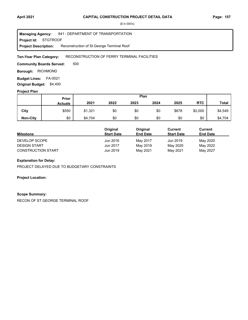### **Project Id: STGTROOF** 841 : DEPARTMENT OF TRANSPORTATION Reconstruction of St.George Terminal Roof **Managing Agency: Project Description:**

### RECONSTRUCTION OF FERRY TERMINAL FACILITIES **Ten-Year Plan Category:**

500 **Community Boards Served:** 

**Borough: RICHMOND** 

**Budget Lines: FA-0021 Original Budget:** \$4,400

### **Project Plan**

|                 |                | Plan<br><b>Prior</b> |      |      |      |       |            |              |
|-----------------|----------------|----------------------|------|------|------|-------|------------|--------------|
|                 | <b>Actuals</b> | 2021                 | 2022 | 2023 | 2024 | 2025  | <b>RTC</b> | <b>Total</b> |
| City            | \$550          | \$1,321              | \$0  | \$0  | \$0  | \$678 | \$2,000    | \$4,549      |
| <b>Non-City</b> | \$0            | \$4,704              | \$0  | \$0  | \$0  | \$0   | \$0        | \$4,704      |

|                           | Original          | Original        | Current           | Current         |
|---------------------------|-------------------|-----------------|-------------------|-----------------|
| <b>Milestone</b>          | <b>Start Date</b> | <b>End Date</b> | <b>Start Date</b> | <b>End Date</b> |
| DEVELOP SCOPE             | Jun 2016          | May 2017        | Jun 2019          | May 2020        |
| <b>DESIGN START</b>       | Jun 2017          | May 2019        | May 2020          | May 2022        |
| <b>CONSTRUCTION START</b> | Jun 2019          | May 2021        | May 2021          | May 2027        |

### **Explanation for Delay:**

PROJECT DELAYED DUE TO BUDGETARY CONSTRAINTS

**Project Location:**

### **Scope Summary:**

RECON OF ST GEORGE TERMINAL ROOF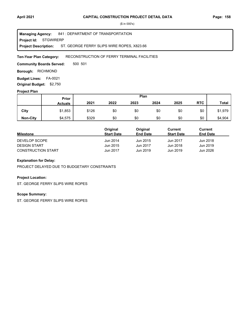**Project Id: STGWIRERP** 841 : DEPARTMENT OF TRANSPORTATION ST. GEORGE FERRY SLIPS WIRE ROPES, X823.66 **Managing Agency: Project Description:** 

### RECONSTRUCTION OF FERRY TERMINAL FACILITIES **Ten-Year Plan Category:**

500 501 **Community Boards Served:** 

**Borough: RICHMOND** 

**Budget Lines: FA-0021** 

**Original Budget:** \$2,750

# **Project Plan**

|                 | Prior          |       |      | Plan |      |      |            |              |
|-----------------|----------------|-------|------|------|------|------|------------|--------------|
|                 | <b>Actuals</b> | 2021  | 2022 | 2023 | 2024 | 2025 | <b>RTC</b> | <b>Total</b> |
| City            | \$1,853        | \$126 | \$0  | \$0  | \$0  | \$0  | \$0        | \$1,979      |
| <b>Non-City</b> | \$4,575        | \$329 | \$0  | \$0  | \$0  | \$0  | \$0        | \$4,904      |

|                           | Original          | Original        | Current           | Current         |
|---------------------------|-------------------|-----------------|-------------------|-----------------|
| <b>Milestone</b>          | <b>Start Date</b> | <b>End Date</b> | <b>Start Date</b> | <b>End Date</b> |
| DEVELOP SCOPE             | Jun 2014          | Jun 2015        | Jun 2017          | Jun 2018        |
| <b>DESIGN START</b>       | Jun 2015          | Jun 2017        | Jun 2018          | Jun 2019        |
| <b>CONSTRUCTION START</b> | Jun 2017          | Jun 2019        | Jun 2019          | Jun 2026        |

# **Explanation for Delay:**

PROJECT DELAYED DUE TO BUDGETARY CONSTRAINTS

### **Project Location:**

ST. GEORGE FERRY SLIPS WIRE ROPES

### **Scope Summary:**

ST. GEORGE FERRY SLIPS WIRE ROPES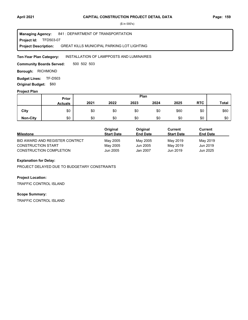**Project Id: TFD503-07** 841 : DEPARTMENT OF TRANSPORTATION GREAT KILLS MUNICIPAL PARKING LOT LIGHTING **Managing Agency: Project Description:** 

### INSTALLATION OF LAMPPOSTS AND LUMINAIRES **Ten-Year Plan Category:**

500 502 503 **Community Boards Served:** 

**Borough: RICHMOND** 

**Budget Lines: TF-D503 Original Budget:** \$60

### **Project Plan**

|                 |                | Plan<br>Prior |      |      |      |      |            |              |
|-----------------|----------------|---------------|------|------|------|------|------------|--------------|
|                 | <b>Actuals</b> | 2021          | 2022 | 2023 | 2024 | 2025 | <b>RTC</b> | <b>Total</b> |
| City            | \$0            | \$0           | \$0  | \$0  | \$0  | \$60 | \$0        | \$60         |
| <b>Non-City</b> | \$0            | \$0           | \$0  | \$0  | \$0  | \$0  | \$0        | \$0          |

|                                | Original          | Original        | Current           | Current         |
|--------------------------------|-------------------|-----------------|-------------------|-----------------|
| <b>Milestone</b>               | <b>Start Date</b> | <b>End Date</b> | <b>Start Date</b> | <b>End Date</b> |
| BID AWARD AND REGISTER CONTRCT | May 2005          | May 2005        | May 2019          | May 2019        |
| <b>CONSTRUCTION START</b>      | May 2005          | Jun 2005        | May 2019          | Jun 2019        |
| <b>CONSTRUCTION COMPLETION</b> | Jun 2005          | Jan 2007        | Jun 2019          | Jun 2025        |

# **Explanation for Delay:**

PROJECT DELAYED DUE TO BUDGETARY CONSTRAINTS

### **Project Location:**

TRAFFIC CONTROL ISLAND

### **Scope Summary:**

TRAFFIC CONTROL ISLAND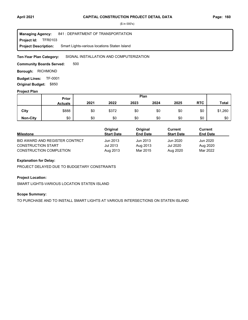**Project Id: FFR0103** 841 : DEPARTMENT OF TRANSPORTATION Smart Lights-various locations Staten Island **Managing Agency: Project Description:** 

SIGNAL INSTALLATION AND COMPUTERIZATION **Ten-Year Plan Category:** 

500 **Community Boards Served:** 

**Borough: RICHMOND** 

**Budget Lines: TF-0001 Original Budget:** \$850

### **Project Plan**

|                 | Plan<br>Prior  |      |       |      |      |      |            |              |
|-----------------|----------------|------|-------|------|------|------|------------|--------------|
|                 | <b>Actuals</b> | 2021 | 2022  | 2023 | 2024 | 2025 | <b>RTC</b> | <b>Total</b> |
| City            | \$888          | \$0  | \$372 | \$0  | \$0  | \$0  | \$0        | \$1,260      |
| <b>Non-City</b> | \$0            | \$0  | \$0   | \$0  | \$0  | \$0  | \$0        | \$0          |

|                                | Original          | Original        | Current           | Current         |  |
|--------------------------------|-------------------|-----------------|-------------------|-----------------|--|
| <b>Milestone</b>               | <b>Start Date</b> | <b>End Date</b> | <b>Start Date</b> | <b>End Date</b> |  |
| BID AWARD AND REGISTER CONTRCT | Jun 2013          | Jun 2013        | Jun 2020          | Jun 2020        |  |
| <b>CONSTRUCTION START</b>      | Jul 2013          | Aug 2013        | Jul 2020          | Aug 2020        |  |
| <b>CONSTRUCTION COMPLETION</b> | Aug 2013          | Mar 2015        | Aug 2020          | Mar 2022        |  |

# **Explanation for Delay:**

PROJECT DELAYED DUE TO BUDGETARY CONSTRAINTS

### **Project Location:**

SMART LIGHTS-VARIOUS LOCATION STATEN ISLAND

### **Scope Summary:**

TO PURCHASE AND TO INSTALL SMART LIGHTS AT VARIOUS INTERSECTIONS ON STATEN ISLAND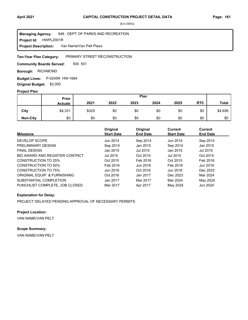**Project Id: HWPLZ001R** 846 : DEPT OF PARKS AND RECREATION Van Name/Van Pelt Plaza **Managing Agency: Project Description:** 

#### PRIMARY STREET RECONSTRUCTION **Ten-Year Plan Category:**

500 501 **Community Boards Served:** 

**Borough: RICHMOND** 

**Budget Lines:** P-0245R HW-1684 **Original Budget:** \$2,000

### **Project Plan**

|                 | Plan<br><b>Prior</b> |       |      |      |      |      |            |         |
|-----------------|----------------------|-------|------|------|------|------|------------|---------|
|                 | <b>Actuals</b>       | 2021  | 2022 | 2023 | 2024 | 2025 | <b>RTC</b> | Total   |
| City            | \$4,331              | \$325 | \$0  | \$0  | \$0  | \$0  | \$0        | \$4,656 |
| <b>Non-City</b> | \$0                  | \$0   | \$0  | \$0  | \$0  | \$0  | \$0        | \$0     |

| <b>Milestone</b>               | Original<br><b>Start Date</b> | Original<br><b>End Date</b> | <b>Current</b><br><b>Start Date</b> | Current<br><b>End Date</b> |
|--------------------------------|-------------------------------|-----------------------------|-------------------------------------|----------------------------|
| DEVELOP SCOPE                  | Jun 2014                      | Sep 2014                    | Jun 2014                            | Sep 2014                   |
| PRELIMINARY DESIGN             | Sep 2014                      | Jan 2015                    | Sep 2014                            | Jan 2015                   |
| <b>FINAL DESIGN</b>            | Jan 2015                      | Jul 2015                    | Jan 2015                            | Jul 2015                   |
| BID AWARD AND REGISTER CONTRCT | Jul 2015                      | Oct 2015                    | Jul 2015                            | Oct 2015                   |
| CONSTRUCTION TO 25%            | Oct 2015                      | Feb 2016                    | Oct 2015                            | Feb 2016                   |
| CONSTRUCTION TO 50%            | Feb 2016                      | Jun 2016                    | Feb 2016                            | Jun 2016                   |
| CONSTRUCTION TO 75%            | Jun 2016                      | Oct 2016                    | Jun 2016                            | Dec 2023                   |
| ORIGINAL EQUIP & FURNISHING    | Oct 2016                      | Jan 2017                    | Dec 2023                            | Mar 2024                   |
| SUBSTANTIAL COMPLETION         | Jan 2017                      | Mar 2017                    | Mar 2024                            | May 2024                   |
| PUNCHLIST COMPLETE. JOB CLOSED | Mar 2017                      | Apr 2017                    | May 2024                            | Jun 2024                   |

### **Explanation for Delay:**

PROJECT DELAYED PENDING APPROVAL OF NECESSARY PERMITS

### **Project Location:**

VAN NAME/VAN PELT

# **Scope Summary:**

VAN NAME/VAN PELT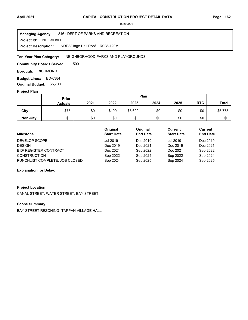**Project Id: NDF-VHALL** 846 : DEPT OF PARKS AND RECREATION NDF-Village Hall Roof R028-120M **Managing Agency: Project Description:** 

NEIGHBORHOOD PARKS AND PLAYGROUNDS **Ten-Year Plan Category:** 

500 **Community Boards Served:** 

**Borough: RICHMOND** 

Budget Lines: ED-0384 **Original Budget:** \$5,700

### **Project Plan**

|                 | Prior          |      |       |         | Plan |      |            |              |
|-----------------|----------------|------|-------|---------|------|------|------------|--------------|
|                 | <b>Actuals</b> | 2021 | 2022  | 2023    | 2024 | 2025 | <b>RTC</b> | <b>Total</b> |
| City            | \$75           | \$0  | \$100 | \$5,600 | \$0  | \$0  | \$0        | \$5,775      |
| <b>Non-City</b> | \$0            | \$0  | \$0   | \$0     | \$0  | \$0  | \$0        | \$0          |

| <b>Milestone</b>               | Original<br><b>Start Date</b> | Original<br><b>End Date</b> | Current<br><b>Start Date</b> | Current<br><b>End Date</b> |
|--------------------------------|-------------------------------|-----------------------------|------------------------------|----------------------------|
| DEVELOP SCOPE                  | Jul 2019                      | Dec 2019                    | Jul 2019                     | Dec 2019                   |
| <b>DESIGN</b>                  | Dec 2019                      | Dec 2021                    | Dec 2019                     | Dec 2021                   |
| <b>BID/ REGISTER CONTRACT</b>  | Dec 2021                      | Sep 2022                    | Dec 2021                     | Sep 2022                   |
| <b>CONSTRUCTION</b>            | Sep 2022                      | Sep 2024                    | Sep 2022                     | Sep 2024                   |
| PUNCHLIST COMPLETE, JOB CLOSED | Sep 2024                      | Sep 2025                    | Sep 2024                     | Sep 2025                   |

### **Explanation for Delay:**

### **Project Location:**

CANAL STREET, WATER STREET, BAY STREET.

### **Scope Summary:**

BAY STREET REZONING -TAPPAN VILLAGE HALL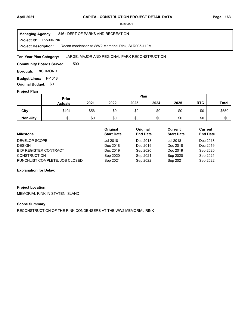**Project Id: P-500RINK** 846 : DEPT OF PARKS AND RECREATION Recon condenser at WW2 Memorial Rink, SI R005-119M **Managing Agency: Project Description:** 

### LARGE, MAJOR AND REGIONAL PARK RECONSTRUCTION **Ten-Year Plan Category:**

500 **Community Boards Served:** 

**Borough: RICHMOND** 

**Budget Lines: P-1018 Original Budget:** \$0

### **Project Plan**

|                 |                | Plan<br><b>Prior</b> |      |      |      |      |            |              |
|-----------------|----------------|----------------------|------|------|------|------|------------|--------------|
|                 | <b>Actuals</b> | 2021                 | 2022 | 2023 | 2024 | 2025 | <b>RTC</b> | <b>Total</b> |
| City            | \$494          | \$56                 | \$0  | \$0  | \$0  | \$0  | \$0        | \$550        |
| <b>Non-City</b> | \$0            | \$0                  | \$0  | \$0  | \$0  | \$0  | \$0        | \$0          |

| Milestone                      | Original<br><b>Start Date</b> | Original<br><b>End Date</b> | Current<br><b>Start Date</b> | Current<br><b>End Date</b> |
|--------------------------------|-------------------------------|-----------------------------|------------------------------|----------------------------|
| DEVELOP SCOPE                  | Jul 2018                      | Dec 2018                    | <b>Jul 2018</b>              | Dec 2018                   |
| <b>DESIGN</b>                  | Dec 2018                      | Dec 2019                    | Dec 2018                     | Dec 2019                   |
| <b>BID/ REGISTER CONTRACT</b>  | Dec 2019                      | Sep 2020                    | Dec 2019                     | Sep 2020                   |
| <b>CONSTRUCTION</b>            | Sep 2020                      | Sep 2021                    | Sep 2020                     | Sep 2021                   |
| PUNCHLIST COMPLETE, JOB CLOSED | Sep 2021                      | Sep 2022                    | Sep 2021                     | Sep 2022                   |

### **Explanation for Delay:**

# **Project Location:**

MEMORIAL RINK IN STATEN ISLAND

### **Scope Summary:**

RECONSTRUCTION OF THE RINK CONDENSERS AT THE WW2 MEMORIAL RINK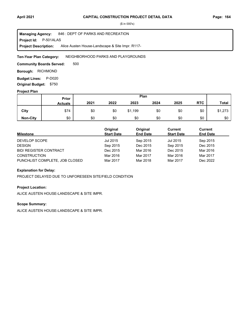**Project Id: P-501ALAS** 846 : DEPT OF PARKS AND RECREATION Alice Austen House-Landscape & Site Impr. R117- **Managing Agency: Project Description:** 

NEIGHBORHOOD PARKS AND PLAYGROUNDS **Ten-Year Plan Category:** 

500 **Community Boards Served:** 

**Borough: RICHMOND** 

**Budget Lines: P-D020 Original Budget:** \$750

### **Project Plan**

|                 | Plan<br>Prior  |      |      |         |      |      |            |              |
|-----------------|----------------|------|------|---------|------|------|------------|--------------|
|                 | <b>Actuals</b> | 2021 | 2022 | 2023    | 2024 | 2025 | <b>RTC</b> | <b>Total</b> |
| City            | \$74           | \$0  | \$0  | \$1,199 | \$0  | \$0  | \$0        | \$1,273      |
| <b>Non-City</b> | \$0            | \$0  | \$0  | \$0     | \$0  | \$0  | \$0        | \$0          |

| <b>Milestone</b>               | Original<br><b>Start Date</b> | Original<br><b>End Date</b> | Current<br><b>Start Date</b> | Current<br><b>End Date</b> |
|--------------------------------|-------------------------------|-----------------------------|------------------------------|----------------------------|
| DEVELOP SCOPE                  | Jul 2015                      | Sep 2015                    | Jul 2015                     | Sep 2015                   |
| <b>DESIGN</b>                  | Sep 2015                      | Dec 2015                    | Sep 2015                     | Dec 2015                   |
| <b>BID/ REGISTER CONTRACT</b>  | Dec 2015                      | Mar 2016                    | Dec 2015                     | Mar 2016                   |
| <b>CONSTRUCTION</b>            | Mar 2016                      | Mar 2017                    | Mar 2016                     | Mar 2017                   |
| PUNCHLIST COMPLETE, JOB CLOSED | Mar 2017                      | Mar 2018                    | Mar 2017                     | Dec 2022                   |

### **Explanation for Delay:**

PROJECT DELAYED DUE TO UNFORESEEN SITE/FIELD CONDITION

### **Project Location:**

ALICE AUSTEN HOUSE-LANDSCAPE & SITE IMPR.

# **Scope Summary:**

ALICE AUSTEN HOUSE-LANDSCAPE & SITE IMPR.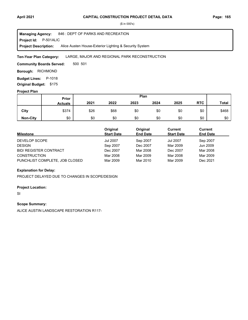**Project Id: P-501ALIC** 846 : DEPT OF PARKS AND RECREATION Alice Austen House-Exterior Lighting & Security System **Managing Agency: Project Description:** 

### LARGE, MAJOR AND REGIONAL PARK RECONSTRUCTION **Ten-Year Plan Category:**

500 501 **Community Boards Served:** 

**Borough: RICHMOND** 

**Budget Lines: P-1018** 

**Original Budget:** \$175

# **Project Plan**

|                 | Prior          |      |      |      | Plan |      |            |              |
|-----------------|----------------|------|------|------|------|------|------------|--------------|
|                 | <b>Actuals</b> | 2021 | 2022 | 2023 | 2024 | 2025 | <b>RTC</b> | <b>Total</b> |
| City            | \$374          | \$26 | \$68 | \$0  | \$0  | \$0  | \$0        | \$468        |
| <b>Non-City</b> | \$0            | \$0  | \$0  | \$0  | \$0  | \$0  | \$0        | \$0          |

| <b>Milestone</b>               | Original<br><b>Start Date</b> | Original<br><b>End Date</b> | Current<br><b>Start Date</b> | <b>Current</b><br><b>End Date</b> |
|--------------------------------|-------------------------------|-----------------------------|------------------------------|-----------------------------------|
| DEVELOP SCOPE                  | <b>Jul 2007</b>               | Sep 2007                    | Jul 2007                     | Sep 2007                          |
| <b>DESIGN</b>                  | Sep 2007                      | Dec 2007                    | Mar 2009                     | Jun 2009                          |
| <b>BID/ REGISTER CONTRACT</b>  | Dec 2007                      | Mar 2008                    | Dec 2007                     | Mar 2008                          |
| <b>CONSTRUCTION</b>            | Mar 2008                      | Mar 2009                    | Mar 2008                     | Mar 2009                          |
| PUNCHLIST COMPLETE, JOB CLOSED | Mar 2009                      | Mar 2010                    | Mar 2009                     | Dec 2021                          |

### **Explanation for Delay:**

PROJECT DELAYED DUE TO CHANGES IN SCOPE/DESIGN

### **Project Location:**

SI

### **Scope Summary:**

ALICE AUSTIN LANDSCAPE RESTORATION R117-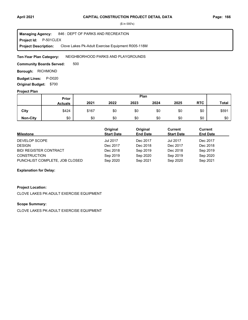**Project Id: P-501CLEX** 846 : DEPT OF PARKS AND RECREATION Clove Lakes Pk-Adult Exercise Equipment R005-118M **Managing Agency: Project Description:** 

NEIGHBORHOOD PARKS AND PLAYGROUNDS **Ten-Year Plan Category:** 

500 **Community Boards Served:** 

**Borough: RICHMOND** 

**Budget Lines: P-D020 Original Budget:** \$700

### **Project Plan**

|                 | <b>Prior</b>   |       |      |      | Plan |      |            |              |
|-----------------|----------------|-------|------|------|------|------|------------|--------------|
|                 | <b>Actuals</b> | 2021  | 2022 | 2023 | 2024 | 2025 | <b>RTC</b> | <b>Total</b> |
| City            | \$424          | \$167 | \$0  | \$0  | \$0  | \$0  | \$0        | \$591        |
| <b>Non-City</b> | \$0            | \$0   | \$0  | \$0  | \$0  | \$0  | \$0        | \$0          |

| <b>Milestone</b>               | Original<br><b>Start Date</b> | Original<br><b>End Date</b> | Current<br><b>Start Date</b> | Current<br><b>End Date</b> |
|--------------------------------|-------------------------------|-----------------------------|------------------------------|----------------------------|
| DEVELOP SCOPE                  | <b>Jul 2017</b>               | Dec 2017                    | <b>Jul 2017</b>              | Dec 2017                   |
| <b>DESIGN</b>                  | Dec 2017                      | Dec 2018                    | Dec 2017                     | Dec 2018                   |
| <b>BID/ REGISTER CONTRACT</b>  | Dec 2018                      | Sep 2019                    | Dec 2018                     | Sep 2019                   |
| <b>CONSTRUCTION</b>            | Sep 2019                      | Sep 2020                    | Sep 2019                     | Sep 2020                   |
| PUNCHLIST COMPLETE, JOB CLOSED | Sep 2020                      | Sep 2021                    | Sep 2020                     | Sep 2021                   |

### **Explanation for Delay:**

### **Project Location:**

CLOVE LAKES PK-ADULT EXERCISE EQUIPMENT

### **Scope Summary:**

CLOVE LAKES PK-ADULT EXERCISE EQUIPMENT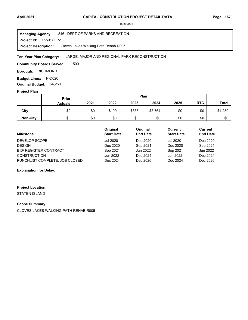**Project Id: P-501CLP2** 846 : DEPT OF PARKS AND RECREATION Cloves Lakes Walking Path Rehab R005 **Managing Agency: Project Description:** 

### LARGE, MAJOR AND REGIONAL PARK RECONSTRUCTION **Ten-Year Plan Category:**

500 **Community Boards Served:** 

**Borough: RICHMOND** 

**Budget Lines: P-D020 Original Budget:** \$4,250

### **Project Plan**

|                 | Plan<br>Prior  |      |       |       |         |      |            |              |
|-----------------|----------------|------|-------|-------|---------|------|------------|--------------|
|                 | <b>Actuals</b> | 2021 | 2022  | 2023  | 2024    | 2025 | <b>RTC</b> | <b>Total</b> |
| City            | \$0            | \$0  | \$100 | \$386 | \$3,764 | \$0  | \$0        | \$4,250      |
| <b>Non-City</b> | \$0            | \$0  | \$0   | \$0   | \$0     | \$0  | \$0        | \$0          |

| <b>Milestone</b>               | Original<br><b>Start Date</b> | Original<br><b>End Date</b> | Current<br><b>Start Date</b> | Current<br><b>End Date</b> |
|--------------------------------|-------------------------------|-----------------------------|------------------------------|----------------------------|
| DEVELOP SCOPE                  | Jul 2020                      | Dec 2020                    | Jul 2020                     | Dec 2020                   |
| <b>DESIGN</b>                  | Dec 2020                      | Sep 2021                    | Dec 2020                     | Sep 2021                   |
| <b>BID/ REGISTER CONTRACT</b>  | Sep 2021                      | Jun 2022                    | Sep 2021                     | Jun 2022                   |
| <b>CONSTRUCTION</b>            | Jun 2022                      | Dec 2024                    | Jun 2022                     | Dec 2024                   |
| PUNCHLIST COMPLETE, JOB CLOSED | Dec 2024                      | Dec 2026                    | Dec 2024                     | Dec 2026                   |

### **Explanation for Delay:**

### **Project Location:**

STATEN ISLAND

### **Scope Summary:**

CLOVES LAKES WALKING PATH REHAB R005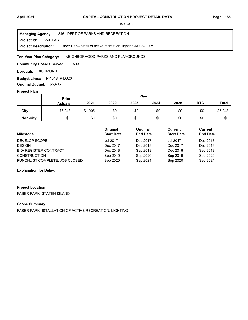### **Project Id: P-501FABL** 846 : DEPT OF PARKS AND RECREATION Faber Park-Install of active recreation, lighting-R008-117M **Managing Agency: Project Description:**

### NEIGHBORHOOD PARKS AND PLAYGROUNDS **Ten-Year Plan Category:**

500 **Community Boards Served:** 

**Borough: RICHMOND** 

**Budget Lines:** P-1018 P-D020 **Original Budget:** \$5,405

### **Project Plan**

|                 | Prior          |         |      | Plan |      |      |            |              |
|-----------------|----------------|---------|------|------|------|------|------------|--------------|
|                 | <b>Actuals</b> | 2021    | 2022 | 2023 | 2024 | 2025 | <b>RTC</b> | <b>Total</b> |
| City            | \$6,243        | \$1,005 | \$0  | \$0  | \$0  | \$0  | \$0        | \$7,248      |
| <b>Non-City</b> | \$0            | \$0     | \$0  | \$0  | \$0  | \$0  | \$0        | \$0          |

| <b>Milestone</b>               | Original<br><b>Start Date</b> | Original<br><b>End Date</b> | Current<br><b>Start Date</b> | Current<br><b>End Date</b> |
|--------------------------------|-------------------------------|-----------------------------|------------------------------|----------------------------|
| DEVELOP SCOPE                  | <b>Jul 2017</b>               | Dec 2017                    | <b>Jul 2017</b>              | Dec 2017                   |
| <b>DESIGN</b>                  | Dec 2017                      | Dec 2018                    | Dec 2017                     | Dec 2018                   |
| <b>BID/ REGISTER CONTRACT</b>  | Dec 2018                      | Sep 2019                    | Dec 2018                     | Sep 2019                   |
| <b>CONSTRUCTION</b>            | Sep 2019                      | Sep 2020                    | Sep 2019                     | Sep 2020                   |
| PUNCHLIST COMPLETE, JOB CLOSED | Sep 2020                      | Sep 2021                    | Sep 2020                     | Sep 2021                   |

### **Explanation for Delay:**

# **Project Location:** FABER PARK, STATEN ISLAND

# **Scope Summary:**

FABER PARK -ISTALLATION OF ACTIVE RECREATION, LIGHTING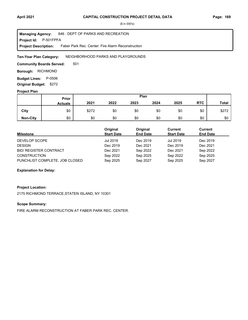**Project Id: P-501FPFA** 846 : DEPT OF PARKS AND RECREATION Faber Park Rec. Center: Fire Alarm Reconstruction **Managing Agency: Project Description:** 

NEIGHBORHOOD PARKS AND PLAYGROUNDS **Ten-Year Plan Category:** 

501 **Community Boards Served:** 

**Borough: RICHMOND** 

**Budget Lines: P-0506 Original Budget:** \$272

#### **Project Plan**

|                 |                | Plan<br>Prior |      |      |      |      |            |              |
|-----------------|----------------|---------------|------|------|------|------|------------|--------------|
|                 | <b>Actuals</b> | 2021          | 2022 | 2023 | 2024 | 2025 | <b>RTC</b> | <b>Total</b> |
| City            | \$0            | \$272         | \$0  | \$0  | \$0  | \$0  | \$0        | \$272        |
| <b>Non-City</b> | \$0            | \$0           | \$0  | \$0  | \$0  | \$0  | \$0        | \$0          |

| <b>Milestone</b>               | Original<br><b>Start Date</b> | Original<br><b>End Date</b> | Current<br><b>Start Date</b> | Current<br><b>End Date</b> |
|--------------------------------|-------------------------------|-----------------------------|------------------------------|----------------------------|
| DEVELOP SCOPE                  | Jul 2019                      | Dec 2019                    | <b>Jul 2019</b>              | Dec 2019                   |
| <b>DESIGN</b>                  | Dec 2019                      | Dec 2021                    | Dec 2019                     | Dec 2021                   |
| <b>BID/ REGISTER CONTRACT</b>  | Dec 2021                      | Sep 2022                    | Dec 2021                     | Sep 2022                   |
| <b>CONSTRUCTION</b>            | Sep 2022                      | Sep 2025                    | Sep 2022                     | Sep 2025                   |
| PUNCHLIST COMPLETE, JOB CLOSED | Sep 2025                      | Sep 2027                    | Sep 2025                     | Sep 2027                   |

### **Explanation for Delay:**

#### **Project Location:**

2175 RICHMOND TERRACE,STATEN ISLAND, NY 10301

#### **Scope Summary:**

FIRE ALARM RECONSTRUCTION AT FABER PARK REC. CENTER.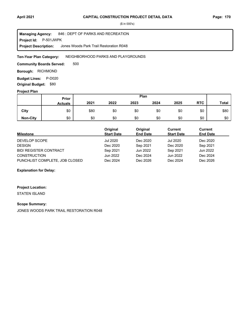**Project Id: P-501JWPK** 846 : DEPT OF PARKS AND RECREATION Jones Woods Park Trail Restoration R048 **Managing Agency: Project Description:** 

#### NEIGHBORHOOD PARKS AND PLAYGROUNDS **Ten-Year Plan Category:**

500 **Community Boards Served:** 

**Borough: RICHMOND** 

**Budget Lines: P-D020 Original Budget:** \$80

#### **Project Plan**

|                 |                | Plan<br>Prior |      |      |      |      |            |              |
|-----------------|----------------|---------------|------|------|------|------|------------|--------------|
|                 | <b>Actuals</b> | 2021          | 2022 | 2023 | 2024 | 2025 | <b>RTC</b> | <b>Total</b> |
| City            | \$0            | \$80          | \$0  | \$0  | \$0  | \$0  | \$0        | \$80         |
| <b>Non-City</b> | \$0            | \$0           | \$0  | \$0  | \$0  | \$0  | \$0        | \$0          |

| Milestone                      | Original<br><b>Start Date</b> | Original<br><b>End Date</b> | Current<br><b>Start Date</b> | Current<br><b>End Date</b> |
|--------------------------------|-------------------------------|-----------------------------|------------------------------|----------------------------|
| DEVELOP SCOPE                  | Jul 2020                      | Dec 2020                    | <b>Jul 2020</b>              | Dec 2020                   |
| <b>DESIGN</b>                  | Dec 2020                      | Sep 2021                    | Dec 2020                     | Sep 2021                   |
| <b>BID/ REGISTER CONTRACT</b>  | Sep 2021                      | Jun 2022                    | Sep 2021                     | Jun 2022                   |
| <b>CONSTRUCTION</b>            | Jun 2022                      | Dec 2024                    | Jun 2022                     | Dec 2024                   |
| PUNCHLIST COMPLETE, JOB CLOSED | Dec 2024                      | Dec 2026                    | Dec 2024                     | Dec 2026                   |

### **Explanation for Delay:**

### **Project Location:**

STATEN ISLAND

#### **Scope Summary:**

JONES WOODS PARK TRAIL RESTORATION R048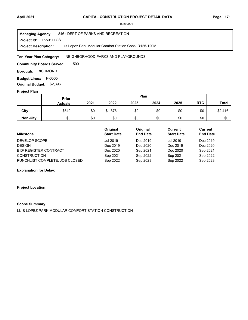#### **Project Id: P-501LLCS** 846 : DEPT OF PARKS AND RECREATION Luis Lopez Park Modular Comfort Station Cons. R125-120M **Managing Agency: Project Description:**

NEIGHBORHOOD PARKS AND PLAYGROUNDS **Ten-Year Plan Category:** 

500 **Community Boards Served:** 

**Borough: RICHMOND** 

**Budget Lines: P-0505 Original Budget:** \$2,396

#### **Project Plan**

|                 |                | Plan<br>Prior |         |      |      |      |            |              |
|-----------------|----------------|---------------|---------|------|------|------|------------|--------------|
|                 | <b>Actuals</b> | 2021          | 2022    | 2023 | 2024 | 2025 | <b>RTC</b> | <b>Total</b> |
| City            | \$540          | \$0           | \$1,876 | \$0  | \$0  | \$0  | \$0        | \$2,416      |
| <b>Non-City</b> | \$0            | \$0           | \$0     | \$0  | \$0  | \$0  | \$0        | \$0          |

| Milestone                      | Original<br><b>Start Date</b> | Original<br><b>End Date</b> | Current<br><b>Start Date</b> | Current<br><b>End Date</b> |
|--------------------------------|-------------------------------|-----------------------------|------------------------------|----------------------------|
| DEVELOP SCOPE                  | Jul 2019                      | Dec 2019                    | Jul 2019                     | Dec 2019                   |
| <b>DESIGN</b>                  | Dec 2019                      | Dec 2020                    | Dec 2019                     | Dec 2020                   |
| <b>BID/ REGISTER CONTRACT</b>  | Dec 2020                      | Sep 2021                    | Dec 2020                     | Sep 2021                   |
| <b>CONSTRUCTION</b>            | Sep 2021                      | Sep 2022                    | Sep 2021                     | Sep 2022                   |
| PUNCHLIST COMPLETE, JOB CLOSED | Sep 2022                      | Sep 2023                    | Sep 2022                     | Sep 2023                   |

### **Explanation for Delay:**

#### **Project Location:**

#### **Scope Summary:**

LUIS LOPEZ PARK MODULAR COMFORT STATION CONSTRUCTION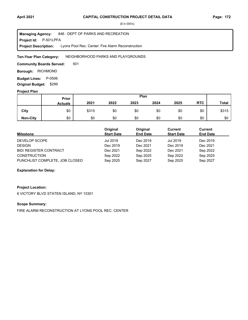**Project Id: P-501LPFA** 846 : DEPT OF PARKS AND RECREATION Lyons Pool Rec. Center: Fire Alarm Reconstruction **Managing Agency: Project Description:** 

NEIGHBORHOOD PARKS AND PLAYGROUNDS **Ten-Year Plan Category:** 

501 **Community Boards Served:** 

**Borough: RICHMOND** 

**Budget Lines: P-0506 Original Budget:** \$299

#### **Project Plan**

|                 |                | Plan<br>Prior |      |      |      |      |            |              |
|-----------------|----------------|---------------|------|------|------|------|------------|--------------|
|                 | <b>Actuals</b> | 2021          | 2022 | 2023 | 2024 | 2025 | <b>RTC</b> | <b>Total</b> |
| City            | \$0            | \$315         | \$0  | \$0  | \$0  | \$0  | \$0        | \$315        |
| <b>Non-City</b> | \$0            | \$0           | \$0  | \$0  | \$0  | \$0  | \$0        | \$0          |

| <b>Milestone</b>               | Original<br><b>Start Date</b> | Original<br><b>End Date</b> | Current<br><b>Start Date</b> | Current<br><b>End Date</b> |
|--------------------------------|-------------------------------|-----------------------------|------------------------------|----------------------------|
| DEVELOP SCOPE                  | Jul 2019                      | Dec 2019                    | <b>Jul 2019</b>              | Dec 2019                   |
| <b>DESIGN</b>                  | Dec 2019                      | Dec 2021                    | Dec 2019                     | Dec 2021                   |
| <b>BID/ REGISTER CONTRACT</b>  | Dec 2021                      | Sep 2022                    | Dec 2021                     | Sep 2022                   |
| <b>CONSTRUCTION</b>            | Sep 2022                      | Sep 2025                    | Sep 2022                     | Sep 2025                   |
| PUNCHLIST COMPLETE, JOB CLOSED | Sep 2025                      | Sep 2027                    | Sep 2025                     | Sep 2027                   |

### **Explanation for Delay:**

### **Project Location:**

6 VICTORY BLVD STATEN ISLAND, NY 10301

#### **Scope Summary:**

FIRE ALARM RECONSTRUCTION AT LYONS POOL REC. CENTER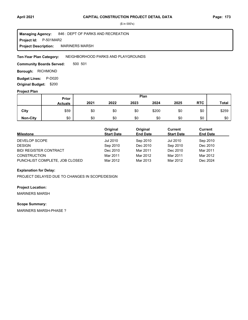**Project Id: P-501MAR2** 846 : DEPT OF PARKS AND RECREATION MARINERS MARSH **Managing Agency: Project Description:** 

NEIGHBORHOOD PARKS AND PLAYGROUNDS **Ten-Year Plan Category:** 

500 501 **Community Boards Served:** 

**Borough: RICHMOND** 

**Budget Lines: P-D020** 

**Original Budget:** \$200

# **Project Plan**

|                 | Plan<br>Prior  |      |      |      |       |      |            |              |
|-----------------|----------------|------|------|------|-------|------|------------|--------------|
|                 | <b>Actuals</b> | 2021 | 2022 | 2023 | 2024  | 2025 | <b>RTC</b> | <b>Total</b> |
| City            | \$59           | \$0  | \$0  | \$0  | \$200 | \$0  | \$0        | \$259        |
| <b>Non-City</b> | \$0            | \$0  | \$0  | \$0  | \$0   | \$0  | \$0        | \$0          |

| <b>Milestone</b>               | Original<br><b>Start Date</b> | Original<br><b>End Date</b> | Current<br><b>Start Date</b> | Current<br><b>End Date</b> |
|--------------------------------|-------------------------------|-----------------------------|------------------------------|----------------------------|
| DEVELOP SCOPE                  | Jul 2010                      | Sep 2010                    | Jul 2010                     | Sep 2010                   |
| <b>DESIGN</b>                  | Sep 2010                      | Dec 2010                    | Sep 2010                     | Dec 2010                   |
| <b>BID/ REGISTER CONTRACT</b>  | Dec 2010                      | Mar 2011                    | Dec 2010                     | Mar 2011                   |
| <b>CONSTRUCTION</b>            | Mar 2011                      | Mar 2012                    | Mar 2011                     | Mar 2012                   |
| PUNCHLIST COMPLETE, JOB CLOSED | Mar 2012                      | Mar 2013                    | Mar 2012                     | Dec 2024                   |

# **Explanation for Delay:**

PROJECT DELAYED DUE TO CHANGES IN SCOPE/DESIGN

### **Project Location:**

MARINERS MARSH

#### **Scope Summary:**

MARINERS MARSH-PHASE ?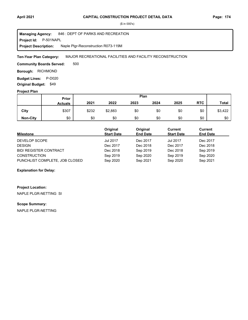#### **April 2021 Page: 174 CAPITAL CONSTRUCTION PROJECT DETAIL DATA**

(\$ in 000's)

**Project Id: P-501NAPL** 846 : DEPT OF PARKS AND RECREATION Naple Plgr-Reconstruction R073-119M **Managing Agency: Project Description:** 

MAJOR RECREATIONAL FACILITIES AND FACILITY RECONSTRUCTION **Ten-Year Plan Category:** 

500 **Community Boards Served:** 

**Borough: RICHMOND** 

**Budget Lines: P-D020 Original Budget:** \$49

## **Project Plan**

|                 | Plan<br>Prior  |       |         |      |      |      |            |              |
|-----------------|----------------|-------|---------|------|------|------|------------|--------------|
|                 | <b>Actuals</b> | 2021  | 2022    | 2023 | 2024 | 2025 | <b>RTC</b> | <b>Total</b> |
| City            | \$307          | \$232 | \$2,883 | \$0  | \$0  | \$0  | \$0        | \$3,422      |
| <b>Non-City</b> | \$0            | \$0   | \$0     | \$0  | \$0  | \$0  | \$0        | \$0          |

| <b>Milestone</b>               | Original<br><b>Start Date</b> | Original<br><b>End Date</b> | Current<br><b>Start Date</b> | Current<br><b>End Date</b> |
|--------------------------------|-------------------------------|-----------------------------|------------------------------|----------------------------|
| DEVELOP SCOPE                  | <b>Jul 2017</b>               | Dec 2017                    | <b>Jul 2017</b>              | Dec 2017                   |
| <b>DESIGN</b>                  | Dec 2017                      | Dec 2018                    | Dec 2017                     | Dec 2018                   |
| <b>BID/ REGISTER CONTRACT</b>  | Dec 2018                      | Sep 2019                    | Dec 2018                     | Sep 2019                   |
| <b>CONSTRUCTION</b>            | Sep 2019                      | Sep 2020                    | Sep 2019                     | Sep 2020                   |
| PUNCHLIST COMPLETE, JOB CLOSED | Sep 2020                      | Sep 2021                    | Sep 2020                     | Sep 2021                   |

### **Explanation for Delay:**

**Project Location:**

NAPLE PLGR-NETTING SI

# **Scope Summary:**

NAPLE PLGR-NETTING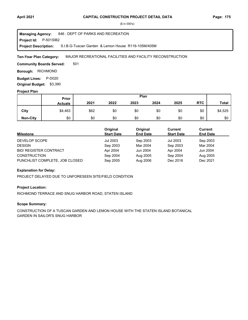**Project Id: P-501SIB2** 846 : DEPT OF PARKS AND RECREATION S.I.B.G-Tuscan Garden & Lemon House R116-105M/405M **Managing Agency: Project Description:** 

MAJOR RECREATIONAL FACILITIES AND FACILITY RECONSTRUCTION **Ten-Year Plan Category:** 

501 **Community Boards Served:** 

**Borough: RICHMOND** 

**Budget Lines: P-D020 Original Budget:** \$3,390

#### **Project Plan**

|                 | Plan<br>Prior  |      |      |      |      |      |            |              |
|-----------------|----------------|------|------|------|------|------|------------|--------------|
|                 | <b>Actuals</b> | 2021 | 2022 | 2023 | 2024 | 2025 | <b>RTC</b> | <b>Total</b> |
| City            | \$4,463        | \$62 | \$0  | \$0  | \$0  | \$0  | \$0        | \$4,525      |
| <b>Non-City</b> | \$0            | \$0  | \$0  | \$0  | \$0  | \$0  | \$0        | \$0          |

| <b>Milestone</b>               | Original<br><b>Start Date</b> | Original<br><b>End Date</b> | Current<br><b>Start Date</b> | Current<br><b>End Date</b> |
|--------------------------------|-------------------------------|-----------------------------|------------------------------|----------------------------|
| DEVELOP SCOPE                  | Jul 2003                      | Sep 2003                    | Jul 2003                     | Sep 2003                   |
| <b>DESIGN</b>                  | Sep 2003                      | Mar 2004                    | Sep 2003                     | Mar 2004                   |
| <b>BID/ REGISTER CONTRACT</b>  | Apr 2004                      | Jun 2004                    | Apr 2004                     | Jun 2004                   |
| <b>CONSTRUCTION</b>            | Sep 2004                      | Aug 2005                    | Sep 2004                     | Aug 2005                   |
| PUNCHLIST COMPLETE, JOB CLOSED | Sep 2005                      | Aug 2006                    | Dec 2016                     | Dec 2021                   |

### **Explanation for Delay:**

PROJECT DELAYED DUE TO UNFORESEEN SITE/FIELD CONDITION

# **Project Location:**

RICHMOND TERRACE AND SNUG HARBOR ROAD, STATEN ISLAND

# **Scope Summary:**

CONSTRUCTION OF A TUSCAN GARDEN AND LEMON HOUSE WITH THE STATEN ISLAND BOTANICAL GARDEN IN SAILOR'S SNUG HARBOR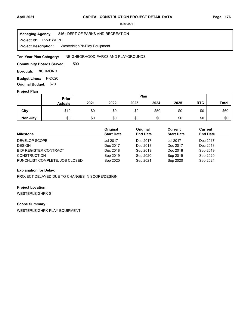**Project Id: P-501WEPE** 846 : DEPT OF PARKS AND RECREATION WesterleighPk-Play Equipment **Managing Agency: Project Description:** 

NEIGHBORHOOD PARKS AND PLAYGROUNDS **Ten-Year Plan Category:** 

500 **Community Boards Served:** 

**Borough: RICHMOND** 

**Budget Lines: P-D020 Original Budget:** \$70

### **Project Plan**

|                 | Plan<br>Prior  |      |      |      |      |      |            |              |
|-----------------|----------------|------|------|------|------|------|------------|--------------|
|                 | <b>Actuals</b> | 2021 | 2022 | 2023 | 2024 | 2025 | <b>RTC</b> | <b>Total</b> |
| City            | \$10           | \$0  | \$0  | \$0  | \$50 | \$0  | \$0        | \$60         |
| <b>Non-City</b> | \$0            | \$0  | \$0  | \$0  | \$0  | \$0  | \$0        | \$0          |

| <b>Milestone</b>               | Original<br><b>Start Date</b> | Original<br><b>End Date</b> | Current<br><b>Start Date</b> | Current<br><b>End Date</b> |
|--------------------------------|-------------------------------|-----------------------------|------------------------------|----------------------------|
| DEVELOP SCOPE                  | <b>Jul 2017</b>               | Dec 2017                    | <b>Jul 2017</b>              | Dec 2017                   |
| <b>DESIGN</b>                  | Dec 2017                      | Dec 2018                    | Dec 2017                     | Dec 2018                   |
| <b>BID/ REGISTER CONTRACT</b>  | Dec 2018                      | Sep 2019                    | Dec 2018                     | Sep 2019                   |
| <b>CONSTRUCTION</b>            | Sep 2019                      | Sep 2020                    | Sep 2019                     | Sep 2020                   |
| PUNCHLIST COMPLETE, JOB CLOSED | Sep 2020                      | Sep 2021                    | Sep 2020                     | Sep 2024                   |

# **Explanation for Delay:**

PROJECT DELAYED DUE TO CHANGES IN SCOPE/DESIGN

# **Project Location:**

WESTERLEIGHPK-SI

# **Scope Summary:**

WESTERLEIGHPK-PLAY EQUIPMENT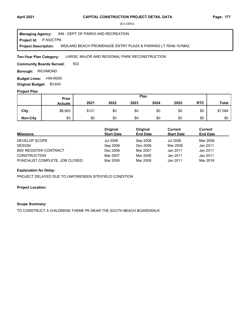#### **Project Id: P-502CTPK** 846 : DEPT OF PARKS AND RECREATION MIDLAND BEACH PROMENADE ENTRY PLAZA & PARKING LT R046-107MA2 **Managing Agency: Project Description:**

#### LARGE, MAJOR AND REGIONAL PARK RECONSTRUCTION **Ten-Year Plan Category:**

502 **Community Boards Served:** 

**Borough: RICHMOND** 

**Budget Lines: HW-R005 Original Budget:** \$5,643

#### **Project Plan**

|                 | Plan<br>Prior  |       |      |      |      |      |            |              |
|-----------------|----------------|-------|------|------|------|------|------------|--------------|
|                 | <b>Actuals</b> | 2021  | 2022 | 2023 | 2024 | 2025 | <b>RTC</b> | <b>Total</b> |
| City            | \$6,963        | \$121 | \$0  | \$0  | \$0  | \$0  | \$0        | \$7,084      |
| <b>Non-City</b> | \$0            | \$0   | \$0  | \$0  | \$0  | \$0  | \$0        | \$0          |

| <b>Milestone</b>               | Original<br><b>Start Date</b> | Original<br><b>End Date</b> | Current<br><b>Start Date</b> | Current<br><b>End Date</b> |
|--------------------------------|-------------------------------|-----------------------------|------------------------------|----------------------------|
| DEVELOP SCOPE                  | Jul 2006                      | Sep 2006                    | Jul 2006                     | Mar 2008                   |
| <b>DESIGN</b>                  | Sep 2006                      | Dec 2006                    | Mar 2008                     | Jan 2011                   |
| <b>BID/ REGISTER CONTRACT</b>  | Dec 2006                      | Mar 2007                    | Jan 2011                     | Jan 2011                   |
| <b>CONSTRUCTION</b>            | Mar 2007                      | Mar 2008                    | Jan 2011                     | Jan 2011                   |
| PUNCHLIST COMPLETE, JOB CLOSED | Mar 2008                      | Mar 2009                    | Jan 2011                     | Mar 2018                   |

#### **Explanation for Delay:**

PROJECT DELAYED DUE TO UNFORESEEN SITE/FIELD CONDITION

#### **Project Location:**

#### **Scope Summary:**

TO CONSTRUCT A CHILDRENS THEME PK NEAR THE SOUTH BEACH BOARDWALK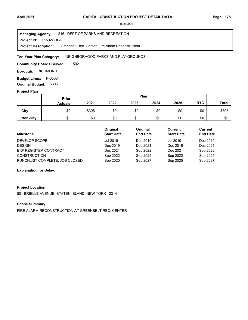**Project Id: P-502GBFA** 846 : DEPT OF PARKS AND RECREATION Greenbelt Rec. Center: Fire Alarm Reconstruction **Managing Agency: Project Description:** 

NEIGHBORHOOD PARKS AND PLAYGROUNDS **Ten-Year Plan Category:** 

502 **Community Boards Served:** 

**Borough: RICHMOND** 

**Budget Lines: P-0506 Original Budget:** \$305

#### **Project Plan**

|                 |                | Plan<br>Prior |      |      |      |      |            |              |
|-----------------|----------------|---------------|------|------|------|------|------------|--------------|
|                 | <b>Actuals</b> | 2021          | 2022 | 2023 | 2024 | 2025 | <b>RTC</b> | <b>Total</b> |
| City            | \$0            | \$305         | \$0  | \$0  | \$0  | \$0  | \$0        | \$305        |
| <b>Non-City</b> | \$0            | \$0           | \$0  | \$0  | \$0  | \$0  | \$0        | \$0          |

| <b>Milestone</b>               | Original<br><b>Start Date</b> | Original<br><b>End Date</b> | Current<br><b>Start Date</b> | Current<br><b>End Date</b> |
|--------------------------------|-------------------------------|-----------------------------|------------------------------|----------------------------|
| DEVELOP SCOPE                  | Jul 2019                      | Dec 2019                    | <b>Jul 2019</b>              | Dec 2019                   |
| <b>DESIGN</b>                  | Dec 2019                      | Dec 2021                    | Dec 2019                     | Dec 2021                   |
| <b>BID/ REGISTER CONTRACT</b>  | Dec 2021                      | Sep 2022                    | Dec 2021                     | Sep 2022                   |
| <b>CONSTRUCTION</b>            | Sep 2022                      | Sep 2025                    | Sep 2022                     | Sep 2025                   |
| PUNCHLIST COMPLETE, JOB CLOSED | Sep 2025                      | Sep 2027                    | Sep 2025                     | Sep 2027                   |

### **Explanation for Delay:**

### **Project Location:**

501 BRIELLE AVENUE, STATEN ISLAND, NEW YORK 10314

# **Scope Summary:**

FIRE ALARM RECONSTRUCTION AT GREENBELT REC. CENTER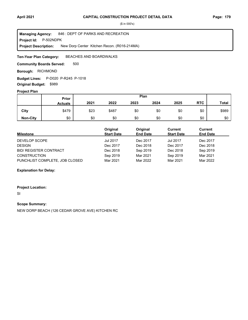**Project Id: P-502NDPK** 846 : DEPT OF PARKS AND RECREATION New Dorp Center Kitchen Recon. (R016-214MA) **Managing Agency: Project Description:** 

BEACHES AND BOARDWALKS **Ten-Year Plan Category:** 

500 **Community Boards Served:** 

**Borough: RICHMOND** 

**Budget Lines:** P-D020 P-R245 P-1018 **Original Budget:** \$989

### **Project Plan**

|                 |                | Plan<br>Prior |       |      |      |      |            |              |
|-----------------|----------------|---------------|-------|------|------|------|------------|--------------|
|                 | <b>Actuals</b> | 2021          | 2022  | 2023 | 2024 | 2025 | <b>RTC</b> | <b>Total</b> |
| City            | \$479          | \$23          | \$487 | \$0  | \$0  | \$0  | \$0        | \$989        |
| <b>Non-City</b> | \$0            | \$0           | \$0   | \$0  | \$0  | \$0  | \$0        | \$0          |

| <b>Milestone</b>               | Original<br><b>Start Date</b> | Original<br><b>End Date</b> | Current<br><b>Start Date</b> | Current<br><b>End Date</b> |
|--------------------------------|-------------------------------|-----------------------------|------------------------------|----------------------------|
| DEVELOP SCOPE                  | <b>Jul 2017</b>               | Dec 2017                    | <b>Jul 2017</b>              | Dec 2017                   |
| <b>DESIGN</b>                  | Dec 2017                      | Dec 2018                    | Dec 2017                     | Dec 2018                   |
| <b>BID/ REGISTER CONTRACT</b>  | Dec 2018                      | Sep 2019                    | Dec 2018                     | Sep 2019                   |
| <b>CONSTRUCTION</b>            | Sep 2019                      | Mar 2021                    | Sep 2019                     | Mar 2021                   |
| PUNCHLIST COMPLETE, JOB CLOSED | Mar 2021                      | Mar 2022                    | Mar 2021                     | Mar 2022                   |

**Explanation for Delay:**

**Project Location:**

SI

**Scope Summary:**

NEW DORP BEACH (126 CEDAR GROVE AVE) KITCHEN RC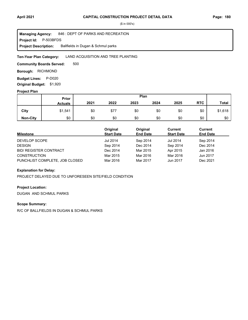**Project Id: P-503BFDS** 846 : DEPT OF PARKS AND RECREATION Ballfields in Dugan & Schmul parks **Managing Agency: Project Description:** 

#### LAND ACQUISITION AND TREE PLANTING **Ten-Year Plan Category:**

500 **Community Boards Served:** 

**Borough: RICHMOND** 

**Budget Lines: P-D020 Original Budget:** \$1,920

#### **Project Plan**

|                 |                | Plan<br>Prior |      |      |      |      |            |         |
|-----------------|----------------|---------------|------|------|------|------|------------|---------|
|                 | <b>Actuals</b> | 2021          | 2022 | 2023 | 2024 | 2025 | <b>RTC</b> | Total   |
| City            | \$1,541        | \$0           | \$77 | \$0  | \$0  | \$0  | \$0        | \$1,618 |
| <b>Non-City</b> | \$0            | \$0           | \$0  | \$0  | \$0  | \$0  | \$0        | \$0     |

| <b>Milestone</b>               | Original<br><b>Start Date</b> | Original<br><b>End Date</b> | Current<br><b>Start Date</b> | <b>Current</b><br><b>End Date</b> |
|--------------------------------|-------------------------------|-----------------------------|------------------------------|-----------------------------------|
| DEVELOP SCOPE                  | Jul 2014                      | Sep 2014                    | <b>Jul 2014</b>              | Sep 2014                          |
| <b>DESIGN</b>                  | Sep 2014                      | Dec 2014                    | Sep 2014                     | Dec 2014                          |
| <b>BID/ REGISTER CONTRACT</b>  | Dec 2014                      | Mar 2015                    | Apr 2015                     | Jan 2016                          |
| <b>CONSTRUCTION</b>            | Mar 2015                      | Mar 2016                    | Mar 2016                     | Jun 2017                          |
| PUNCHLIST COMPLETE, JOB CLOSED | Mar 2016                      | Mar 2017                    | Jun 2017                     | Dec 2021                          |

#### **Explanation for Delay:**

PROJECT DELAYED DUE TO UNFORESEEN SITE/FIELD CONDITION

# **Project Location:**

DUGAN AND SCHMUL PARKS

#### **Scope Summary:**

R/C OF BALLFIELDS IN DUGAN & SCHMUL PARKS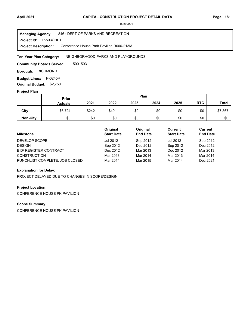**Project Id: P-503CHP1** 846 : DEPT OF PARKS AND RECREATION Conference House Park Pavilion R006-213M **Managing Agency: Project Description:** 

NEIGHBORHOOD PARKS AND PLAYGROUNDS **Ten-Year Plan Category:** 

500 503 **Community Boards Served:** 

**Borough: RICHMOND** 

**Budget Lines: P-0245R Original Budget:** \$2,750

#### **Project Plan**

|                 |                | Plan<br>Prior |       |      |      |      |            |              |
|-----------------|----------------|---------------|-------|------|------|------|------------|--------------|
|                 | <b>Actuals</b> | 2021          | 2022  | 2023 | 2024 | 2025 | <b>RTC</b> | <b>Total</b> |
| City            | \$6,724        | \$242         | \$401 | \$0  | \$0  | \$0  | \$0        | \$7,367      |
| <b>Non-City</b> | \$0            | \$0           | \$0   | \$0  | \$0  | \$0  | \$0        | \$0          |

| <b>Milestone</b>               | Original<br><b>Start Date</b> | Original<br><b>End Date</b> | Current<br><b>Start Date</b> | Current<br><b>End Date</b> |
|--------------------------------|-------------------------------|-----------------------------|------------------------------|----------------------------|
| DEVELOP SCOPE                  | Jul 2012                      | Sep 2012                    | <b>Jul 2012</b>              | Sep 2012                   |
| <b>DESIGN</b>                  | Sep 2012                      | Dec 2012                    | Sep 2012                     | Dec 2012                   |
| <b>BID/ REGISTER CONTRACT</b>  | Dec 2012                      | Mar 2013                    | Dec 2012                     | Mar 2013                   |
| <b>CONSTRUCTION</b>            | Mar 2013                      | Mar 2014                    | Mar 2013                     | Mar 2014                   |
| PUNCHLIST COMPLETE, JOB CLOSED | Mar 2014                      | Mar 2015                    | Mar 2014                     | Dec 2021                   |

### **Explanation for Delay:**

PROJECT DELAYED DUE TO CHANGES IN SCOPE/DESIGN

# **Project Location:**

CONFERENCE HOUSE PK PAVILION

# **Scope Summary:**

CONFERENCE HOUSE PK PAVILION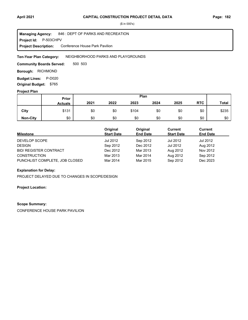**Project Id: P-503CHPV** 846 : DEPT OF PARKS AND RECREATION Conference House Park Pavilion **Managing Agency: Project Description:** 

NEIGHBORHOOD PARKS AND PLAYGROUNDS **Ten-Year Plan Category:** 

500 503 **Community Boards Served:** 

**Borough: RICHMOND** 

**Budget Lines: P-D020** 

**Original Budget:** \$765

# **Project Plan**

|                 | Plan<br>Prior  |      |      |       |      |      |            |              |
|-----------------|----------------|------|------|-------|------|------|------------|--------------|
|                 | <b>Actuals</b> | 2021 | 2022 | 2023  | 2024 | 2025 | <b>RTC</b> | <b>Total</b> |
| City            | \$131          | \$0  | \$0  | \$104 | \$0  | \$0  | \$0        | \$235        |
| <b>Non-City</b> | \$0            | \$0  | \$0  | \$0   | \$0  | \$0  | \$0        | \$0          |

| <b>Milestone</b>               | Original<br><b>Start Date</b> | Original<br><b>End Date</b> | Current<br><b>Start Date</b> | Current<br><b>End Date</b> |
|--------------------------------|-------------------------------|-----------------------------|------------------------------|----------------------------|
| DEVELOP SCOPE                  | Jul 2012                      | Sep 2012                    | <b>Jul 2012</b>              | Jul 2012                   |
| <b>DESIGN</b>                  | Sep 2012                      | Dec 2012                    | <b>Jul 2012</b>              | Aug 2012                   |
| <b>BID/ REGISTER CONTRACT</b>  | Dec 2012                      | Mar 2013                    | Aug 2012                     | Nov 2012                   |
| <b>CONSTRUCTION</b>            | Mar 2013                      | Mar 2014                    | Aug 2012                     | Sep 2012                   |
| PUNCHLIST COMPLETE, JOB CLOSED | Mar 2014                      | Mar 2015                    | Sep 2012                     | Dec 2023                   |

### **Explanation for Delay:**

PROJECT DELAYED DUE TO CHANGES IN SCOPE/DESIGN

#### **Project Location:**

#### **Scope Summary:**

CONFERENCE HOUSE PARK PAVILION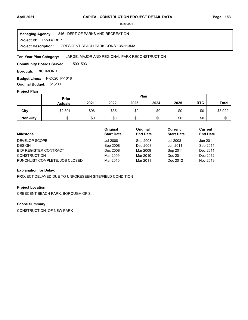**Project Id: P-503CRBP** 846 : DEPT OF PARKS AND RECREATION CRESCENT BEACH PARK CONS 135-113MA **Managing Agency: Project Description:** 

#### LARGE, MAJOR AND REGIONAL PARK RECONSTRUCTION **Ten-Year Plan Category:**

500 503 **Community Boards Served:** 

**Borough: RICHMOND** 

**Budget Lines:** P-D020 P-1018 **Original Budget:** \$1,200

#### **Project Plan**

|                 |                | Plan<br>Prior |      |      |      |      |            |              |
|-----------------|----------------|---------------|------|------|------|------|------------|--------------|
|                 | <b>Actuals</b> | 2021          | 2022 | 2023 | 2024 | 2025 | <b>RTC</b> | <b>Total</b> |
| City            | \$2,891        | \$96          | \$35 | \$0  | \$0  | \$0  | \$0        | \$3,022      |
| <b>Non-City</b> | \$0            | \$0           | \$0  | \$0  | \$0  | \$0  | \$0        | \$0          |

| <b>Milestone</b>               | Original<br><b>Start Date</b> | Original<br><b>End Date</b> | Current<br><b>Start Date</b> | Current<br><b>End Date</b> |
|--------------------------------|-------------------------------|-----------------------------|------------------------------|----------------------------|
| DEVELOP SCOPE                  | Jul 2008                      | Sep 2008                    | Jul 2008                     | Jun 2011                   |
| <b>DESIGN</b>                  | Sep 2008                      | Dec 2008                    | Jun 2011                     | Sep 2011                   |
| <b>BID/ REGISTER CONTRACT</b>  | Dec 2008                      | Mar 2009                    | Sep 2011                     | Dec 2011                   |
| <b>CONSTRUCTION</b>            | Mar 2009                      | Mar 2010                    | Dec 2011                     | Dec 2012                   |
| PUNCHLIST COMPLETE, JOB CLOSED | Mar 2010                      | Mar 2011                    | Dec 2012                     | Nov 2018                   |

### **Explanation for Delay:**

PROJECT DELAYED DUE TO UNFORESEEN SITE/FIELD CONDITION

#### **Project Location:**

CRESCENT BEACH PARK, BOROUGH OF S.I.

# **Scope Summary:**

CONSTRUCTION OF NEW PARK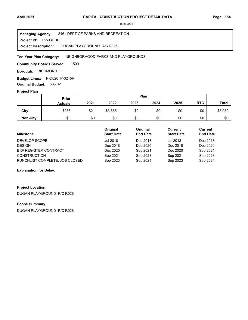**Project Id: P-503DUPL** 846 : DEPT OF PARKS AND RECREATION DUGAN PLAYGROUND R/C R026- **Managing Agency: Project Description:** 

NEIGHBORHOOD PARKS AND PLAYGROUNDS **Ten-Year Plan Category:** 

500 **Community Boards Served:** 

**Borough: RICHMOND** 

**Budget Lines:** P-D020 P-0245R **Original Budget:** \$3,732

#### **Project Plan**

|                 |                | Plan<br>Prior |         |      |      |      |            |              |
|-----------------|----------------|---------------|---------|------|------|------|------------|--------------|
|                 | <b>Actuals</b> | 2021          | 2022    | 2023 | 2024 | 2025 | <b>RTC</b> | <b>Total</b> |
| City            | \$256          | \$21          | \$3,655 | \$0  | \$0  | \$0  | \$0        | \$3,932      |
| <b>Non-City</b> | \$0            | \$0           | \$0     | \$0  | \$0  | \$0  | \$0        | \$0          |

| <b>Milestone</b>               | Original<br><b>Start Date</b> | Original<br><b>End Date</b> | Current<br><b>Start Date</b> | Current<br><b>End Date</b> |
|--------------------------------|-------------------------------|-----------------------------|------------------------------|----------------------------|
| DEVELOP SCOPE                  | Jul 2018                      | Dec 2018                    | <b>Jul 2018</b>              | Dec 2018                   |
| <b>DESIGN</b>                  | Dec 2018                      | Dec 2020                    | Dec 2018                     | Dec 2020                   |
| <b>BID/ REGISTER CONTRACT</b>  | Dec 2020                      | Sep 2021                    | Dec 2020                     | Sep 2021                   |
| <b>CONSTRUCTION</b>            | Sep 2021                      | Sep 2023                    | Sep 2021                     | Sep 2023                   |
| PUNCHLIST COMPLETE, JOB CLOSED | Sep 2023                      | Sep 2024                    | Sep 2023                     | Sep 2024                   |

### **Explanation for Delay:**

# **Project Location:**

DUGAN PLAYGROUND R/C R026-

#### **Scope Summary:**

DUGAN PLAYGROUND R/C R026-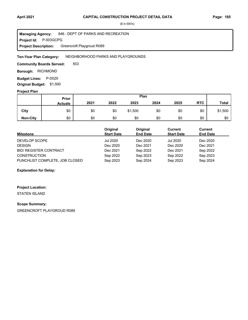**Project Id: P-503GCPG** 846 : DEPT OF PARKS AND RECREATION Greencroft Playgroud R089 **Managing Agency: Project Description:** 

#### NEIGHBORHOOD PARKS AND PLAYGROUNDS **Ten-Year Plan Category:**

503 **Community Boards Served:** 

**Borough: RICHMOND** 

**Budget Lines: P-D020 Original Budget:** \$1,500

#### **Project Plan**

|                 |                | Plan<br>Prior |      |         |      |      |            |              |
|-----------------|----------------|---------------|------|---------|------|------|------------|--------------|
|                 | <b>Actuals</b> | 2021          | 2022 | 2023    | 2024 | 2025 | <b>RTC</b> | <b>Total</b> |
| City            | \$0            | \$0           | \$0  | \$1,500 | \$0  | \$0  | \$0        | \$1,500      |
| <b>Non-City</b> | \$0            | \$0           | \$0  | \$0     | \$0  | \$0  | \$0        | \$0          |

| <b>Milestone</b>               | Original<br><b>Start Date</b> | Original<br><b>End Date</b> | Current<br><b>Start Date</b> | <b>Current</b><br><b>End Date</b> |
|--------------------------------|-------------------------------|-----------------------------|------------------------------|-----------------------------------|
| DEVELOP SCOPE                  | Jul 2020                      | Dec 2020                    | <b>Jul 2020</b>              | Dec 2020                          |
| <b>DESIGN</b>                  | Dec 2020                      | Dec 2021                    | Dec 2020                     | Dec 2021                          |
| <b>BID/ REGISTER CONTRACT</b>  | Dec 2021                      | Sep 2022                    | Dec 2021                     | Sep 2022                          |
| <b>CONSTRUCTION</b>            | Sep 2022                      | Sep 2023                    | Sep 2022                     | Sep 2023                          |
| PUNCHLIST COMPLETE, JOB CLOSED | Sep 2023                      | Sep 2024                    | Sep 2023                     | Sep 2024                          |

# **Explanation for Delay:**

### **Project Location:**

STATEN ISLAND

#### **Scope Summary:**

GREENCROFT PLAYGROUD R089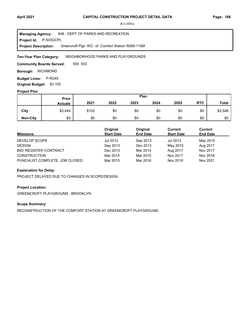**Project Id: P-503GCPL** 846 : DEPT OF PARKS AND RECREATION Greencroft Plgr- R/C of Comfort Station R089-115M **Managing Agency: Project Description:** 

NEIGHBORHOOD PARKS AND PLAYGROUNDS **Ten-Year Plan Category:** 

500 503 **Community Boards Served:** 

**Borough: RICHMOND** 

**Budget Lines: P-R245** 

**Original Budget:** \$3,102

# **Project Plan**

|                 | Plan<br>Prior  |       |      |      |      |      |            |              |
|-----------------|----------------|-------|------|------|------|------|------------|--------------|
|                 | <b>Actuals</b> | 2021  | 2022 | 2023 | 2024 | 2025 | <b>RTC</b> | <b>Total</b> |
| City            | \$3,444        | \$102 | \$0  | \$0  | \$0  | \$0  | \$0        | \$3,546      |
| <b>Non-City</b> | \$0            | \$0   | \$0  | \$0  | \$0  | \$0  | \$0        | \$0          |

| <b>Milestone</b>               | Original<br><b>Start Date</b> | Original<br><b>End Date</b> | Current<br><b>Start Date</b> | Current<br><b>End Date</b> |
|--------------------------------|-------------------------------|-----------------------------|------------------------------|----------------------------|
| DEVELOP SCOPE                  | Jul 2013                      | Sep 2013                    | Jul 2013                     | May 2015                   |
| <b>DESIGN</b>                  | Sep 2013                      | Dec 2013                    | May 2015                     | Aug 2017                   |
| <b>BID/ REGISTER CONTRACT</b>  | Dec 2013                      | Mar 2014                    | Aug 2017                     | Nov 2017                   |
| <b>CONSTRUCTION</b>            | Mar 2014                      | Mar 2015                    | Nov 2017                     | Nov 2018                   |
| PUNCHLIST COMPLETE, JOB CLOSED | Mar 2015                      | Mar 2016                    | Nov 2018                     | Nov 2021                   |

### **Explanation for Delay:**

PROJECT DELAYED DUE TO CHANGES IN SCOPE/DESIGN

#### **Project Location:**

GREENCROFT PLAYGROUND , BROOKLYN

# **Scope Summary:**

RECONSTRUCTION OF THE COMFORT STATION AT GREENCROFT PLAYGROUND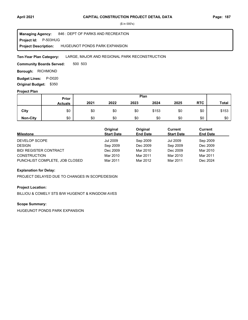**Project Id: P-503HUG** 846 : DEPT OF PARKS AND RECREATION HUGEUNOT PONDS PARK EXPANSION **Managing Agency: Project Description:** 

#### LARGE, MAJOR AND REGIONAL PARK RECONSTRUCTION **Ten-Year Plan Category:**

500 503 **Community Boards Served:** 

**Borough: RICHMOND** 

**Budget Lines: P-D020** 

**Original Budget:** \$350

# **Project Plan**

|                 |                | Plan<br>Prior |      |      |       |      |            |              |
|-----------------|----------------|---------------|------|------|-------|------|------------|--------------|
|                 | <b>Actuals</b> | 2021          | 2022 | 2023 | 2024  | 2025 | <b>RTC</b> | <b>Total</b> |
| City            | \$0            | \$0           | \$0  | \$0  | \$153 | \$0  | \$0        | \$153        |
| <b>Non-City</b> | \$0            | \$0           | \$0  | \$0  | \$0   | \$0  | \$0        | \$0          |

| <b>Milestone</b>               | Original<br><b>Start Date</b> | Original<br><b>End Date</b> | Current<br><b>Start Date</b> | <b>Current</b><br><b>End Date</b> |
|--------------------------------|-------------------------------|-----------------------------|------------------------------|-----------------------------------|
| DEVELOP SCOPE                  | Jul 2009                      | Sep 2009                    | <b>Jul 2009</b>              | Sep 2009                          |
| <b>DESIGN</b>                  | Sep 2009                      | Dec 2009                    | Sep 2009                     | Dec 2009                          |
| <b>BID/ REGISTER CONTRACT</b>  | Dec 2009                      | Mar 2010                    | Dec 2009                     | Mar 2010                          |
| <b>CONSTRUCTION</b>            | Mar 2010                      | Mar 2011                    | Mar 2010                     | Mar 2011                          |
| PUNCHLIST COMPLETE, JOB CLOSED | Mar 2011                      | Mar 2012                    | Mar 2011                     | Dec 2024                          |

#### **Explanation for Delay:**

PROJECT DELAYED DUE TO CHANGES IN SCOPE/DESIGN

#### **Project Location:**

BILLIOU & COMELY STS B/W HUGENOT & KINGDOM AVES

# **Scope Summary:**

HUGEUNOT PONDS PARK EXPANSION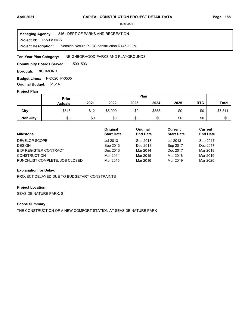**Project Id: P-503SNCS** 846 : DEPT OF PARKS AND RECREATION Seaside Nature Pk CS construction R145-119M **Managing Agency: Project Description:** 

NEIGHBORHOOD PARKS AND PLAYGROUNDS **Ten-Year Plan Category:** 

500 503 **Community Boards Served:** 

**Borough: RICHMOND** 

**Budget Lines:** P-D020 P-0505 **Original Budget:** \$1,207

#### **Project Plan**

|                 |                | Plan<br>Prior |         |      |       |      |            |              |
|-----------------|----------------|---------------|---------|------|-------|------|------------|--------------|
|                 | <b>Actuals</b> | 2021          | 2022    | 2023 | 2024  | 2025 | <b>RTC</b> | <b>Total</b> |
| City            | \$546          | \$12          | \$5,900 | \$0  | \$853 | \$0  | \$0        | \$7,311      |
| <b>Non-City</b> | \$0            | \$0           | \$0     | \$0  | \$0   | \$0  | \$0        | \$0          |

| <b>Milestone</b>               | Original<br><b>Start Date</b> | Original<br><b>End Date</b> | <b>Current</b><br><b>Start Date</b> | <b>Current</b><br><b>End Date</b> |
|--------------------------------|-------------------------------|-----------------------------|-------------------------------------|-----------------------------------|
| DEVELOP SCOPE                  | Jul 2013                      | Sep 2013                    | Jul 2013                            | Sep 2017                          |
| <b>DESIGN</b>                  | Sep 2013                      | Dec 2013                    | Sep 2017                            | Dec 2017                          |
| <b>BID/ REGISTER CONTRACT</b>  | Dec 2013                      | Mar 2014                    | Dec 2017                            | Mar 2018                          |
| <b>CONSTRUCTION</b>            | Mar 2014                      | Mar 2015                    | Mar 2018                            | Mar 2019                          |
| PUNCHLIST COMPLETE, JOB CLOSED | Mar 2015                      | Mar 2016                    | Mar 2019                            | Mar 2020                          |

#### **Explanation for Delay:**

PROJECT DELAYED DUE TO BUDGETARY CONSTRAINTS

#### **Project Location:**

SEASIDE NATURE PARK, SI

#### **Scope Summary:**

THE CONSTRUCTION OF A NEW COMFORT STATION AT SEASIDE NATURE PARK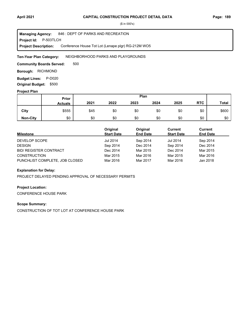#### **Project Id: P-503TLCH** 846 : DEPT OF PARKS AND RECREATION Conference House Tot Lot (Lenape plgr) RG-212M WO5 **Managing Agency: Project Description:**

NEIGHBORHOOD PARKS AND PLAYGROUNDS **Ten-Year Plan Category:** 

500 **Community Boards Served:** 

**Borough: RICHMOND** 

**Budget Lines: P-D020 Original Budget:** \$500

#### **Project Plan**

|                 |                | Plan<br>Prior |      |      |      |      |            |              |
|-----------------|----------------|---------------|------|------|------|------|------------|--------------|
|                 | <b>Actuals</b> | 2021          | 2022 | 2023 | 2024 | 2025 | <b>RTC</b> | <b>Total</b> |
| City            | \$555          | \$45          | \$0  | \$0  | \$0  | \$0  | \$0        | \$600        |
| <b>Non-City</b> | \$0            | \$0           | \$0  | \$0  | \$0  | \$0  | \$0        | \$0          |

| <b>Milestone</b>               | Original<br><b>Start Date</b> | Original<br><b>End Date</b> | Current<br><b>Start Date</b> | Current<br><b>End Date</b> |
|--------------------------------|-------------------------------|-----------------------------|------------------------------|----------------------------|
| DEVELOP SCOPE                  | <b>Jul 2014</b>               | Sep 2014                    | <b>Jul 2014</b>              | Sep 2014                   |
| <b>DESIGN</b>                  | Sep 2014                      | Dec 2014                    | Sep 2014                     | Dec 2014                   |
| <b>BID/ REGISTER CONTRACT</b>  | Dec 2014                      | Mar 2015                    | Dec 2014                     | Mar 2015                   |
| <b>CONSTRUCTION</b>            | Mar 2015                      | Mar 2016                    | Mar 2015                     | Mar 2016                   |
| PUNCHLIST COMPLETE, JOB CLOSED | Mar 2016                      | Mar 2017                    | Mar 2016                     | Jan 2018                   |

### **Explanation for Delay:**

PROJECT DELAYED PENDING APPROVAL OF NECESSARY PERMITS

### **Project Location:**

CONFERENCE HOUSE PARK

# **Scope Summary:**

CONSTRUCTION OF TOT LOT AT CONFERENCE HOUSE PARK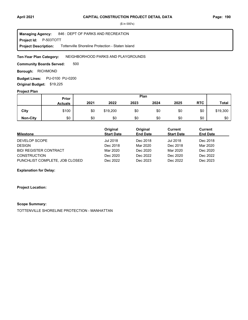#### **Project Id: P-503TOTT** 846 : DEPT OF PARKS AND RECREATION Tottenville Shoreline Protection - Staten Island **Managing Agency: Project Description:**

#### NEIGHBORHOOD PARKS AND PLAYGROUNDS **Ten-Year Plan Category:**

500 **Community Boards Served:** 

**Borough: RICHMOND** 

**Budget Lines: PU-0100 PU-0200 Original Budget:** \$19,225

#### **Project Plan**

|                 |                | Plan<br>Prior |          |      |      |      |            |              |
|-----------------|----------------|---------------|----------|------|------|------|------------|--------------|
|                 | <b>Actuals</b> | 2021          | 2022     | 2023 | 2024 | 2025 | <b>RTC</b> | <b>Total</b> |
| City            | \$100          | \$0           | \$19,200 | \$0  | \$0  | \$0  | \$0        | \$19,300     |
| <b>Non-City</b> | \$0            | \$0           | \$0      | \$0  | \$0  | \$0  | \$0        | \$0          |

| <b>Milestone</b>               | Original<br><b>Start Date</b> | Original<br><b>End Date</b> | Current<br><b>Start Date</b> | Current<br><b>End Date</b> |
|--------------------------------|-------------------------------|-----------------------------|------------------------------|----------------------------|
| DEVELOP SCOPE                  | Jul 2018                      | Dec 2018                    | Jul 2018                     | Dec 2018                   |
| <b>DESIGN</b>                  | Dec 2018                      | Mar 2020                    | Dec 2018                     | Mar 2020                   |
| <b>BID/ REGISTER CONTRACT</b>  | Mar 2020                      | Dec 2020                    | Mar 2020                     | Dec 2020                   |
| <b>CONSTRUCTION</b>            | Dec 2020                      | Dec 2022                    | Dec 2020                     | Dec 2022                   |
| PUNCHLIST COMPLETE, JOB CLOSED | Dec 2022                      | Dec 2023                    | Dec 2022                     | Dec 2023                   |

### **Explanation for Delay:**

**Project Location:**

#### **Scope Summary:**

TOTTENVILLE SHORELINE PROTECTION - MANHATTAN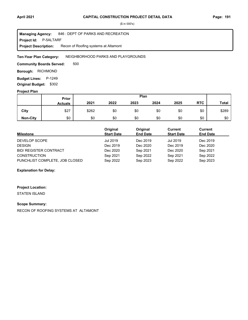**Project Id: P-5ALTARF** 846 : DEPT OF PARKS AND RECREATION Recon of Roofing systems at Altamont **Managing Agency: Project Description:** 

NEIGHBORHOOD PARKS AND PLAYGROUNDS **Ten-Year Plan Category:** 

500 **Community Boards Served:** 

**Borough: RICHMOND** 

**Budget Lines: P-1249 Original Budget:** \$302

#### **Project Plan**

|                 |                | Plan<br>Prior |      |      |      |      |            |              |  |
|-----------------|----------------|---------------|------|------|------|------|------------|--------------|--|
|                 | <b>Actuals</b> | 2021          | 2022 | 2023 | 2024 | 2025 | <b>RTC</b> | <b>Total</b> |  |
| City            | \$27           | \$262         | \$0  | \$0  | \$0  | \$0  | \$0        | \$289        |  |
| <b>Non-City</b> | \$0            | \$0           | \$0  | \$0  | \$0  | \$0  | \$0        | \$0          |  |

| <b>Milestone</b>               | Original<br><b>Start Date</b> | Original<br><b>End Date</b> | Current<br><b>Start Date</b> | Current<br><b>End Date</b> |
|--------------------------------|-------------------------------|-----------------------------|------------------------------|----------------------------|
| DEVELOP SCOPE                  | Jul 2019                      | Dec 2019                    | <b>Jul 2019</b>              | Dec 2019                   |
| <b>DESIGN</b>                  | Dec 2019                      | Dec 2020                    | Dec 2019                     | Dec 2020                   |
| <b>BID/ REGISTER CONTRACT</b>  | Dec 2020                      | Sep 2021                    | Dec 2020                     | Sep 2021                   |
| <b>CONSTRUCTION</b>            | Sep 2021                      | Sep 2022                    | Sep 2021                     | Sep 2022                   |
| PUNCHLIST COMPLETE, JOB CLOSED | Sep 2022                      | Sep 2023                    | Sep 2022                     | Sep 2023                   |

### **Explanation for Delay:**

# **Project Location:**

STATEN ISLAND

#### **Scope Summary:**

RECON OF ROOFING SYSTEMS AT ALTAMONT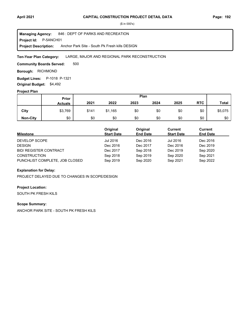**Project Id: P-5ANCH01** 846 : DEPT OF PARKS AND RECREATION Anchor Park Site - South Pk Fresh kills DESIGN **Managing Agency: Project Description:** 

#### LARGE, MAJOR AND REGIONAL PARK RECONSTRUCTION **Ten-Year Plan Category:**

500 **Community Boards Served:** 

**Borough: RICHMOND** 

**Budget Lines:** P-1018 P-1321 **Original Budget:** \$4,492

#### **Project Plan**

|                 |                | Plan<br>Prior |         |      |      |      |            |              |
|-----------------|----------------|---------------|---------|------|------|------|------------|--------------|
|                 | <b>Actuals</b> | 2021          | 2022    | 2023 | 2024 | 2025 | <b>RTC</b> | <b>Total</b> |
| City            | \$3,769        | \$141         | \$1,165 | \$0  | \$0  | \$0  | \$0        | \$5,075      |
| <b>Non-City</b> | \$0            | \$0           | \$0     | \$0  | \$0  | \$0  | \$0        | \$0          |

| <b>Milestone</b>               | Original<br><b>Start Date</b> | Original<br><b>End Date</b> | Current<br><b>Start Date</b> | Current<br><b>End Date</b> |
|--------------------------------|-------------------------------|-----------------------------|------------------------------|----------------------------|
| DEVELOP SCOPE                  | Jul 2016                      | Dec 2016                    | Jul 2016                     | Dec 2016                   |
| <b>DESIGN</b>                  | Dec 2016                      | Dec 2017                    | Dec 2016                     | Dec 2019                   |
| <b>BID/ REGISTER CONTRACT</b>  | Dec 2017                      | Sep 2018                    | Dec 2019                     | Sep 2020                   |
| <b>CONSTRUCTION</b>            | Sep 2018                      | Sep 2019                    | Sep 2020                     | Sep 2021                   |
| PUNCHLIST COMPLETE, JOB CLOSED | Sep 2019                      | Sep 2020                    | Sep 2021                     | Sep 2022                   |

### **Explanation for Delay:**

PROJECT DELAYED DUE TO CHANGES IN SCOPE/DESIGN

### **Project Location:**

SOUTH PK FRESH KILS

# **Scope Summary:**

ANCHOR PARK SITE - SOUTH PK FRESH KILS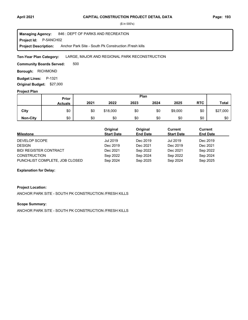**Project Id: P-5ANCH02** 846 : DEPT OF PARKS AND RECREATION Anchor Park Site - South Pk Construction /Fresh kills **Managing Agency: Project Description:** 

#### LARGE, MAJOR AND REGIONAL PARK RECONSTRUCTION **Ten-Year Plan Category:**

500 **Community Boards Served:** 

**Borough: RICHMOND** 

**Budget Lines: P-1321** 

**Original Budget:** \$27,000

# **Project Plan**

|                 | Plan<br>Prior  |      |          |      |      |         |            |              |
|-----------------|----------------|------|----------|------|------|---------|------------|--------------|
|                 | <b>Actuals</b> | 2021 | 2022     | 2023 | 2024 | 2025    | <b>RTC</b> | <b>Total</b> |
| City            | \$0            | \$0  | \$18,000 | \$0  | \$0  | \$9,000 | \$0        | \$27,000     |
| <b>Non-City</b> | \$0            | \$0  | \$0      | \$0  | \$0  | \$0     | \$0        | \$0          |

| <b>Milestone</b>               | Original<br><b>Start Date</b> | Original<br><b>End Date</b> | Current<br><b>Start Date</b> | Current<br><b>End Date</b> |
|--------------------------------|-------------------------------|-----------------------------|------------------------------|----------------------------|
| DEVELOP SCOPE                  | Jul 2019                      | Dec 2019                    | Jul 2019                     | Dec 2019                   |
| <b>DESIGN</b>                  | Dec 2019                      | Dec 2021                    | Dec 2019                     | Dec 2021                   |
| <b>BID/ REGISTER CONTRACT</b>  | Dec 2021                      | Sep 2022                    | Dec 2021                     | Sep 2022                   |
| <b>CONSTRUCTION</b>            | Sep 2022                      | Sep 2024                    | Sep 2022                     | Sep 2024                   |
| PUNCHLIST COMPLETE, JOB CLOSED | Sep 2024                      | Sep 2025                    | Sep 2024                     | Sep 2025                   |

### **Explanation for Delay:**

### **Project Location:**

ANCHOR PARK SITE - SOUTH PK CONSTRUCTION /FRESH KILLS

# **Scope Summary:**

ANCHOR PARK SITE - SOUTH PK CONSTRUCTION /FRESH KILLS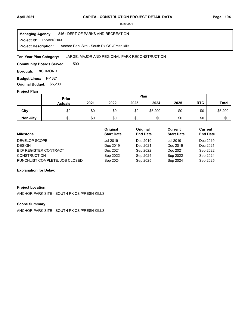**Project Id: P-5ANCH03** 846 : DEPT OF PARKS AND RECREATION Anchor Park Site - South Pk CS /Fresh kills **Managing Agency: Project Description:** 

#### LARGE, MAJOR AND REGIONAL PARK RECONSTRUCTION **Ten-Year Plan Category:**

500 **Community Boards Served:** 

**Borough: RICHMOND** 

**Budget Lines: P-1321** 

**Original Budget:** \$5,200

# **Project Plan**

|                 | Plan<br>Prior  |      |      |      |         |      |            |              |
|-----------------|----------------|------|------|------|---------|------|------------|--------------|
|                 | <b>Actuals</b> | 2021 | 2022 | 2023 | 2024    | 2025 | <b>RTC</b> | <b>Total</b> |
| City            | \$0            | \$0  | \$0  | \$0  | \$5,200 | \$0  | \$0        | \$5,200      |
| <b>Non-City</b> | \$0            | \$0  | \$0  | \$0  | \$0     | \$0  | \$0        | \$0          |

| Milestone                      | Original<br><b>Start Date</b> | Original<br><b>End Date</b> | Current<br><b>Start Date</b> | Current<br><b>End Date</b> |
|--------------------------------|-------------------------------|-----------------------------|------------------------------|----------------------------|
| DEVELOP SCOPE                  | Jul 2019                      | Dec 2019                    | <b>Jul 2019</b>              | Dec 2019                   |
| <b>DESIGN</b>                  | Dec 2019                      | Dec 2021                    | Dec 2019                     | Dec 2021                   |
| <b>BID/ REGISTER CONTRACT</b>  | Dec 2021                      | Sep 2022                    | Dec 2021                     | Sep 2022                   |
| <b>CONSTRUCTION</b>            | Sep 2022                      | Sep 2024                    | Sep 2022                     | Sep 2024                   |
| PUNCHLIST COMPLETE, JOB CLOSED | Sep 2024                      | Sep 2025                    | Sep 2024                     | Sep 2025                   |

### **Explanation for Delay:**

### **Project Location:**

ANCHOR PARK SITE - SOUTH PK CS /FRESH KILLS

#### **Scope Summary:**

ANCHOR PARK SITE - SOUTH PK CS /FRESH KILLS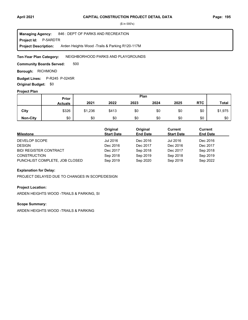**Project Id: P-5ARDTR** 846 : DEPT OF PARKS AND RECREATION Arden Heights Wood -Trails & Parking R120-117M **Managing Agency: Project Description:** 

NEIGHBORHOOD PARKS AND PLAYGROUNDS **Ten-Year Plan Category:** 

500 **Community Boards Served:** 

**Borough: RICHMOND** 

**Budget Lines:** P-R245 P-0245R **Original Budget:** \$0

# **Project Plan**

|                 |                | Plan<br>Prior |       |      |      |      |            |              |
|-----------------|----------------|---------------|-------|------|------|------|------------|--------------|
|                 | <b>Actuals</b> | 2021          | 2022  | 2023 | 2024 | 2025 | <b>RTC</b> | <b>Total</b> |
| City            | \$326          | \$1,236       | \$413 | \$0  | \$0  | \$0  | \$0        | \$1,975      |
| <b>Non-City</b> | \$0            | \$0           | \$0   | \$0  | \$0  | \$0  | \$0        | \$0          |

| <b>Milestone</b>               | Original<br><b>Start Date</b> | Original<br><b>End Date</b> | Current<br><b>Start Date</b> | Current<br><b>End Date</b> |
|--------------------------------|-------------------------------|-----------------------------|------------------------------|----------------------------|
| DEVELOP SCOPE                  | Jul 2016                      | Dec 2016                    | Jul 2016                     | Dec 2016                   |
| <b>DESIGN</b>                  | Dec 2016                      | Dec 2017                    | Dec 2016                     | Dec 2017                   |
| <b>BID/ REGISTER CONTRACT</b>  | Dec 2017                      | Sep 2018                    | Dec 2017                     | Sep 2018                   |
| <b>CONSTRUCTION</b>            | Sep 2018                      | Sep 2019                    | Sep 2018                     | Sep 2019                   |
| PUNCHLIST COMPLETE, JOB CLOSED | Sep 2019                      | Sep 2020                    | Sep 2019                     | Sep 2022                   |

### **Explanation for Delay:**

PROJECT DELAYED DUE TO CHANGES IN SCOPE/DESIGN

#### **Project Location:**

ARDEN HEIGHTS WOOD -TRAILS & PARKING, SI

# **Scope Summary:**

ARDEN HEIGHTS WOOD -TRAILS & PARKING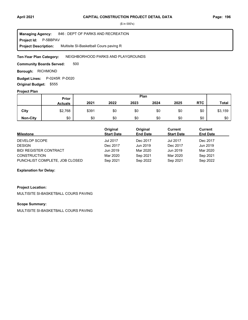#### **Project Id: P-5BBPAV** 846 : DEPT OF PARKS AND RECREATION Multisite SI-Basketball Cours paving R **Managing Agency: Project Description:**

#### NEIGHBORHOOD PARKS AND PLAYGROUNDS **Ten-Year Plan Category:**

500 **Community Boards Served:** 

**Borough: RICHMOND** 

**Budget Lines:** P-0245R P-D020 **Original Budget:** \$555

#### **Project Plan**

|                 |                | Plan<br>Prior |      |      |      |      |            |              |
|-----------------|----------------|---------------|------|------|------|------|------------|--------------|
|                 | <b>Actuals</b> | 2021          | 2022 | 2023 | 2024 | 2025 | <b>RTC</b> | <b>Total</b> |
| City            | \$2,768        | \$391         | \$0  | \$0  | \$0  | \$0  | \$0        | \$3,159      |
| <b>Non-City</b> | \$0            | \$0           | \$0  | \$0  | \$0  | \$0  | \$0        | \$0          |

| <b>Milestone</b>               | Original<br><b>Start Date</b> | Original<br><b>End Date</b> | Current<br><b>Start Date</b> | Current<br><b>End Date</b> |
|--------------------------------|-------------------------------|-----------------------------|------------------------------|----------------------------|
| DEVELOP SCOPE                  | <b>Jul 2017</b>               | Dec 2017                    | <b>Jul 2017</b>              | Dec 2017                   |
| <b>DESIGN</b>                  | Dec 2017                      | Jun 2019                    | Dec 2017                     | Jun 2019                   |
| <b>BID/ REGISTER CONTRACT</b>  | Jun 2019                      | Mar 2020                    | Jun 2019                     | Mar 2020                   |
| <b>CONSTRUCTION</b>            | Mar 2020                      | Sep 2021                    | Mar 2020                     | Sep 2021                   |
| PUNCHLIST COMPLETE, JOB CLOSED | Sep 2021                      | Sep 2022                    | Sep 2021                     | Sep 2022                   |

### **Explanation for Delay:**

# **Project Location:**

MULTISITE SI-BASKETBALL COURS PAVING

# **Scope Summary:**

MULTISITE SI-BASKETBALL COURS PAVING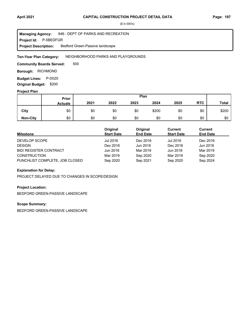**Project Id: P-5BEDFGR** 846 : DEPT OF PARKS AND RECREATION Bedford Green-Passive landscape **Managing Agency: Project Description:** 

NEIGHBORHOOD PARKS AND PLAYGROUNDS **Ten-Year Plan Category:** 

500 **Community Boards Served:** 

**Borough: RICHMOND** 

**Budget Lines: P-D020 Original Budget:** \$200

#### **Project Plan**

|                 |                | Plan<br>Prior |      |      |       |      |            |              |
|-----------------|----------------|---------------|------|------|-------|------|------------|--------------|
|                 | <b>Actuals</b> | 2021          | 2022 | 2023 | 2024  | 2025 | <b>RTC</b> | <b>Total</b> |
| City            | \$0            | \$0           | \$0  | \$0  | \$200 | \$0  | \$0        | \$200        |
| <b>Non-City</b> | \$0            | \$0           | \$0  | \$0  | \$0   | \$0  | \$0        | \$0          |

| <b>Milestone</b>               | Original<br><b>Start Date</b> | Original<br><b>End Date</b> | Current<br><b>Start Date</b> | Current<br><b>End Date</b> |
|--------------------------------|-------------------------------|-----------------------------|------------------------------|----------------------------|
| DEVELOP SCOPE                  | Jul 2016                      | Dec 2016                    | Jul 2016                     | Dec 2016                   |
| <b>DESIGN</b>                  | Dec 2016                      | Jun 2018                    | Dec 2016                     | Jun 2018                   |
| <b>BID/ REGISTER CONTRACT</b>  | Jun 2018                      | Mar 2019                    | Jun 2018                     | Mar 2019                   |
| <b>CONSTRUCTION</b>            | Mar 2019                      | Sep 2020                    | Mar 2019                     | Sep 2020                   |
| PUNCHLIST COMPLETE, JOB CLOSED | Sep 2020                      | Sep 2021                    | Sep 2020                     | Sep 2024                   |

### **Explanation for Delay:**

PROJECT DELAYED DUE TO CHANGES IN SCOPE/DESIGN

# **Project Location:**

BEDFORD GREEN-PASSIVE LANDSCAPE

# **Scope Summary:**

BEDFORD GREEN-PASSIVE LANDSCAPE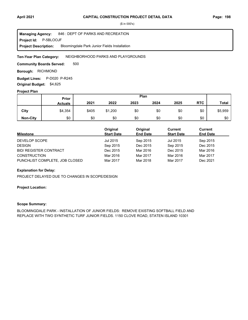**Project Id: P-5BLOOJF** 846 : DEPT OF PARKS AND RECREATION Bloomingdale Park Junior Fields Installation **Managing Agency: Project Description:** 

NEIGHBORHOOD PARKS AND PLAYGROUNDS **Ten-Year Plan Category:** 

500 **Community Boards Served:** 

**Borough: RICHMOND** 

Budget Lines: P-D020 P-R245 **Original Budget:** \$4,625

#### **Project Plan**

|                 |                | Plan<br>Prior |         |      |      |      |            |              |
|-----------------|----------------|---------------|---------|------|------|------|------------|--------------|
|                 | <b>Actuals</b> | 2021          | 2022    | 2023 | 2024 | 2025 | <b>RTC</b> | <b>Total</b> |
| City            | \$4,354        | \$405         | \$1,200 | \$0  | \$0  | \$0  | \$0        | \$5,959      |
| <b>Non-City</b> | \$0            | \$0           | \$0     | \$0  | \$0  | \$0  | \$0        | \$0          |

| <b>Milestone</b>               | Original<br><b>Start Date</b> | Original<br><b>End Date</b> | Current<br><b>Start Date</b> | Current<br><b>End Date</b> |
|--------------------------------|-------------------------------|-----------------------------|------------------------------|----------------------------|
| DEVELOP SCOPE                  | Jul 2015                      | Sep 2015                    | Jul 2015                     | Sep 2015                   |
| <b>DESIGN</b>                  | Sep 2015                      | Dec 2015                    | Sep 2015                     | Dec 2015                   |
| <b>BID/ REGISTER CONTRACT</b>  | Dec 2015                      | Mar 2016                    | Dec 2015                     | Mar 2016                   |
| <b>CONSTRUCTION</b>            | Mar 2016                      | Mar 2017                    | Mar 2016                     | Mar 2017                   |
| PUNCHLIST COMPLETE, JOB CLOSED | Mar 2017                      | Mar 2018                    | Mar 2017                     | Dec 2021                   |

### **Explanation for Delay:**

PROJECT DELAYED DUE TO CHANGES IN SCOPE/DESIGN

#### **Project Location:**

#### **Scope Summary:**

BLOOMINGDALE PARK - INSTALLATION OF JUNIOR FIELDS: REMOVE EXISTING SOFTBALL FIELD AND REPLACE WITH TWO SYNTHETIC TURF JUNIOR FIELDS. 1150 CLOVE ROAD, STATEN ISLAND 10301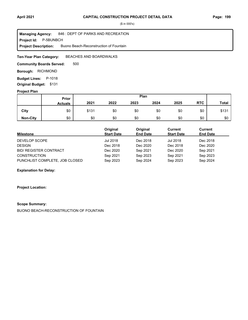**Project Id: P-5BUNBCH** 846 : DEPT OF PARKS AND RECREATION Buono Beach-Reconstruction of Fountain **Managing Agency: Project Description:** 

BEACHES AND BOARDWALKS **Ten-Year Plan Category:** 

500 **Community Boards Served:** 

**Borough: RICHMOND** 

**Budget Lines: P-1018 Original Budget:** \$131

#### **Project Plan**

|                 |                | Plan<br>Prior |      |      |      |      |            |              |
|-----------------|----------------|---------------|------|------|------|------|------------|--------------|
|                 | <b>Actuals</b> | 2021          | 2022 | 2023 | 2024 | 2025 | <b>RTC</b> | <b>Total</b> |
| City            | \$0            | \$131         | \$0  | \$0  | \$0  | \$0  | \$0        | \$131        |
| <b>Non-City</b> | \$0            | \$0           | \$0  | \$0  | \$0  | \$0  | \$0        | \$0          |

| <b>Milestone</b>               | Original<br><b>Start Date</b> | Original<br><b>End Date</b> | Current<br><b>Start Date</b> | Current<br><b>End Date</b> |
|--------------------------------|-------------------------------|-----------------------------|------------------------------|----------------------------|
| DEVELOP SCOPE                  | Jul 2018                      | Dec 2018                    | <b>Jul 2018</b>              | Dec 2018                   |
| <b>DESIGN</b>                  | Dec 2018                      | Dec 2020                    | Dec 2018                     | Dec 2020                   |
| <b>BID/ REGISTER CONTRACT</b>  | Dec 2020                      | Sep 2021                    | Dec 2020                     | Sep 2021                   |
| <b>CONSTRUCTION</b>            | Sep 2021                      | Sep 2023                    | Sep 2021                     | Sep 2023                   |
| PUNCHLIST COMPLETE, JOB CLOSED | Sep 2023                      | Sep 2024                    | Sep 2023                     | Sep 2024                   |

### **Explanation for Delay:**

**Project Location:**

#### **Scope Summary:**

BUONO BEACH-RECONSTRUCTION OF FOUNTAIN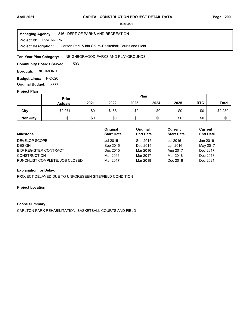**Project Id: P-5CARLPK** 846 : DEPT OF PARKS AND RECREATION Carlton Park & Ida Court--Basketball Courts and Field **Managing Agency: Project Description:** 

NEIGHBORHOOD PARKS AND PLAYGROUNDS **Ten-Year Plan Category:** 

503 **Community Boards Served:** 

**Borough: RICHMOND** 

**Budget Lines: P-D020 Original Budget:** \$338

#### **Project Plan**

|                 |                | Plan<br><b>Prior</b> |       |      |      |      |            |              |
|-----------------|----------------|----------------------|-------|------|------|------|------------|--------------|
|                 | <b>Actuals</b> | 2021                 | 2022  | 2023 | 2024 | 2025 | <b>RTC</b> | <b>Total</b> |
| City            | \$2,071        | \$0                  | \$168 | \$0  | \$0  | \$0  | \$0        | \$2,239      |
| <b>Non-City</b> | \$0            | \$0                  | \$0   | \$0  | \$0  | \$0  | \$0        | \$0          |

| <b>Milestone</b>               | Original<br><b>Start Date</b> | Original<br><b>End Date</b> | Current<br><b>Start Date</b> | Current<br><b>End Date</b> |
|--------------------------------|-------------------------------|-----------------------------|------------------------------|----------------------------|
| DEVELOP SCOPE                  | Jul 2015                      | Sep 2015                    | Jul 2015                     | Jan 2016                   |
| <b>DESIGN</b>                  | Sep 2015                      | Dec 2015                    | Jan 2016                     | May 2017                   |
| <b>BID/ REGISTER CONTRACT</b>  | Dec 2015                      | Mar 2016                    | Aug 2017                     | Dec 2017                   |
| <b>CONSTRUCTION</b>            | Mar 2016                      | Mar 2017                    | Mar 2018                     | Dec 2018                   |
| PUNCHLIST COMPLETE, JOB CLOSED | Mar 2017                      | Mar 2018                    | Dec 2018                     | Dec 2021                   |

### **Explanation for Delay:**

PROJECT DELAYED DUE TO UNFORESEEN SITE/FIELD CONDITION

### **Project Location:**

#### **Scope Summary:**

CARLTON PARK REHABILITATION: BASKETBALL COURTS AND FIELD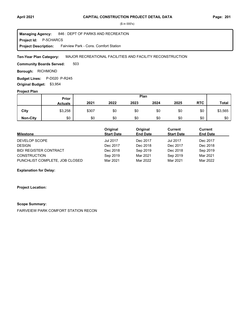#### **April 2021 Page: 201 CAPITAL CONSTRUCTION PROJECT DETAIL DATA**

(\$ in 000's)

**Project Id: P-5CHARCS** 846 : DEPT OF PARKS AND RECREATION Fairview Park - Cons. Comfort Station **Managing Agency: Project Description:** 

MAJOR RECREATIONAL FACILITIES AND FACILITY RECONSTRUCTION **Ten-Year Plan Category:** 

503 **Community Boards Served:** 

**Borough: RICHMOND** 

Budget Lines: P-D020 P-R245 **Original Budget:** \$3,954

#### **Project Plan**

|                 |                | Plan<br>Prior |      |      |      |      |            |              |
|-----------------|----------------|---------------|------|------|------|------|------------|--------------|
|                 | <b>Actuals</b> | 2021          | 2022 | 2023 | 2024 | 2025 | <b>RTC</b> | <b>Total</b> |
| City            | \$3,258        | \$307         | \$0  | \$0  | \$0  | \$0  | \$0        | \$3,565      |
| <b>Non-City</b> | \$0            | \$0           | \$0  | \$0  | \$0  | \$0  | \$0        | \$0          |

| <b>Milestone</b>               | Original<br><b>Start Date</b> | Original<br><b>End Date</b> | Current<br><b>Start Date</b> | Current<br><b>End Date</b> |
|--------------------------------|-------------------------------|-----------------------------|------------------------------|----------------------------|
| DEVELOP SCOPE                  | <b>Jul 2017</b>               | Dec 2017                    | <b>Jul 2017</b>              | Dec 2017                   |
| <b>DESIGN</b>                  | Dec 2017                      | Dec 2018                    | Dec 2017                     | Dec 2018                   |
| <b>BID/ REGISTER CONTRACT</b>  | Dec 2018                      | Sep 2019                    | Dec 2018                     | Sep 2019                   |
| <b>CONSTRUCTION</b>            | Sep 2019                      | Mar 2021                    | Sep 2019                     | Mar 2021                   |
| PUNCHLIST COMPLETE, JOB CLOSED | Mar 2021                      | Mar 2022                    | Mar 2021                     | Mar 2022                   |

**Explanation for Delay:**

**Project Location:**

#### **Scope Summary:**

FAIRVEIEW PARK COMFORT STATION RECON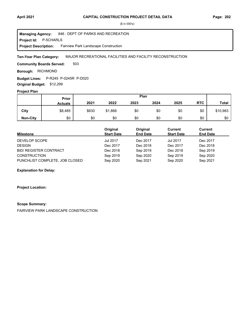#### **April 2021 Page: 202 CAPITAL CONSTRUCTION PROJECT DETAIL DATA**

(\$ in 000's)

**Project Id: P-5CHARLS** 846 : DEPT OF PARKS AND RECREATION Fairview Park Landscape Construction **Managing Agency: Project Description:** 

MAJOR RECREATIONAL FACILITIES AND FACILITY RECONSTRUCTION **Ten-Year Plan Category:** 

503 **Community Boards Served:** 

**Borough: RICHMOND** 

**Budget Lines:** P-R245 P-0245R P-D020 **Original Budget:** \$12,299

### **Project Plan**

|                 |                | Plan<br>Prior |         |      |      |      |            |              |
|-----------------|----------------|---------------|---------|------|------|------|------------|--------------|
|                 | <b>Actuals</b> | 2021          | 2022    | 2023 | 2024 | 2025 | <b>RTC</b> | <b>Total</b> |
| City            | \$8,485        | \$630         | \$1,868 | \$0  | \$0  | \$0  | \$0        | \$10,983     |
| <b>Non-City</b> | \$0            | \$0           | \$0     | \$0  | \$0  | \$0  | \$0        | \$0          |

| Milestone                      | Original<br><b>Start Date</b> | Original<br><b>End Date</b> | Current<br><b>Start Date</b> | Current<br><b>End Date</b> |
|--------------------------------|-------------------------------|-----------------------------|------------------------------|----------------------------|
| DEVELOP SCOPE                  | <b>Jul 2017</b>               | Dec 2017                    | <b>Jul 2017</b>              | Dec 2017                   |
| <b>DESIGN</b>                  | Dec 2017                      | Dec 2018                    | Dec 2017                     | Dec 2018                   |
| <b>BID/ REGISTER CONTRACT</b>  | Dec 2018                      | Sep 2019                    | Dec 2018                     | Sep 2019                   |
| <b>CONSTRUCTION</b>            | Sep 2019                      | Sep 2020                    | Sep 2019                     | Sep 2020                   |
| PUNCHLIST COMPLETE, JOB CLOSED | Sep 2020                      | Sep 2021                    | Sep 2020                     | Sep 2021                   |

**Explanation for Delay:**

**Project Location:**

#### **Scope Summary:**

FAIRVIEW PARK LANDSCAPE CONSTRUCTION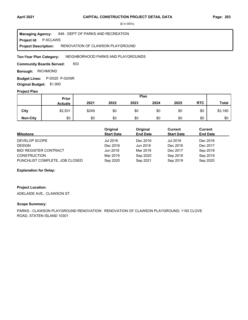**Project Id: P-5CLAWS** 846 : DEPT OF PARKS AND RECREATION RENOVATION OF CLAWSON PLAYGROUND **Managing Agency: Project Description:** 

NEIGHBORHOOD PARKS AND PLAYGROUNDS **Ten-Year Plan Category:** 

503 **Community Boards Served:** 

**Borough: RICHMOND** 

**Budget Lines:** P-D020 P-0245R **Original Budget:** \$1,900

#### **Project Plan**

|                 |                | Plan<br>Prior |      |      |      |      |            |              |
|-----------------|----------------|---------------|------|------|------|------|------------|--------------|
|                 | <b>Actuals</b> | 2021          | 2022 | 2023 | 2024 | 2025 | <b>RTC</b> | <b>Total</b> |
| City            | \$2,931        | \$249         | \$0  | \$0  | \$0  | \$0  | \$0        | \$3,180      |
| <b>Non-City</b> | \$0            | \$0           | \$0  | \$0  | \$0  | \$0  | \$0        | \$0          |

| <b>Milestone</b>               | Original<br><b>Start Date</b> | Original<br><b>End Date</b> | Current<br><b>Start Date</b> | Current<br><b>End Date</b> |
|--------------------------------|-------------------------------|-----------------------------|------------------------------|----------------------------|
| DEVELOP SCOPE                  | Jul 2016                      | Dec 2016                    | Jul 2016                     | Dec 2016                   |
| <b>DESIGN</b>                  | Dec 2016                      | Jun 2018                    | Dec 2016                     | Dec 2017                   |
| <b>BID/ REGISTER CONTRACT</b>  | Jun 2018                      | Mar 2019                    | Dec 2017                     | Sep 2018                   |
| <b>CONSTRUCTION</b>            | Mar 2019                      | Sep 2020                    | Sep 2018                     | Sep 2019                   |
| PUNCHLIST COMPLETE, JOB CLOSED | Sep 2020                      | Sep 2021                    | Sep 2019                     | Sep 2020                   |

### **Explanation for Delay:**

### **Project Location:**

ADELAIDE AVE., CLAWSON ST.

#### **Scope Summary:**

PARKS - CLAWSON PLAYGROUND RENOVATION: RENOVATION OF CLAWSON PLAYGROUND; 1150 CLOVE ROAD, STATEN ISLAND 10301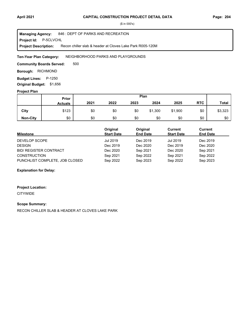#### **Project Id: P-5CLVCHL** 846 : DEPT OF PARKS AND RECREATION Recon chiller slab & header at Cloves Lake Park R005-120M **Managing Agency: Project Description:**

NEIGHBORHOOD PARKS AND PLAYGROUNDS **Ten-Year Plan Category:** 

500 **Community Boards Served:** 

**Borough: RICHMOND** 

**Budget Lines: P-1250 Original Budget:** \$1,656

#### **Project Plan**

|                 |                | Plan<br>Prior |      |      |         |         |            |              |
|-----------------|----------------|---------------|------|------|---------|---------|------------|--------------|
|                 | <b>Actuals</b> | 2021          | 2022 | 2023 | 2024    | 2025    | <b>RTC</b> | <b>Total</b> |
| City            | \$123          | \$0           | \$0  | \$0  | \$1,300 | \$1,900 | \$0        | \$3,323      |
| <b>Non-City</b> | \$0            | \$0           | \$0  | \$0  | \$0     | \$0     | \$0        | \$0          |

| <b>Milestone</b>               | Original<br><b>Start Date</b> | Original<br><b>End Date</b> | Current<br><b>Start Date</b> | Current<br><b>End Date</b> |
|--------------------------------|-------------------------------|-----------------------------|------------------------------|----------------------------|
| DEVELOP SCOPE                  | Jul 2019                      | Dec 2019                    | Jul 2019                     | Dec 2019                   |
| <b>DESIGN</b>                  | Dec 2019                      | Dec 2020                    | Dec 2019                     | Dec 2020                   |
| <b>BID/ REGISTER CONTRACT</b>  | Dec 2020                      | Sep 2021                    | Dec 2020                     | Sep 2021                   |
| <b>CONSTRUCTION</b>            | Sep 2021                      | Sep 2022                    | Sep 2021                     | Sep 2022                   |
| PUNCHLIST COMPLETE, JOB CLOSED | Sep 2022                      | Sep 2023                    | Sep 2022                     | Sep 2023                   |

### **Explanation for Delay:**

### **Project Location:**

**CITYWIDE** 

# **Scope Summary:**

RECON CHILLER SLAB & HEADER AT CLOVES LAKE PARK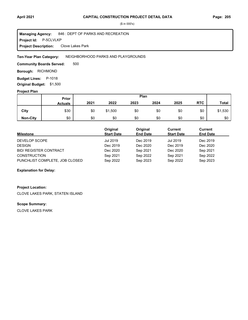#### **Project Id: P-5CLVLKP** 846 : DEPT OF PARKS AND RECREATION Clove Lakes Park **Managing Agency: Project Description:**

#### NEIGHBORHOOD PARKS AND PLAYGROUNDS **Ten-Year Plan Category:**

500 **Community Boards Served:** 

**Borough: RICHMOND** 

**Budget Lines: P-1018 Original Budget:** \$1,500

### **Project Plan**

|                 |                | Plan<br>Prior |         |      |      |      |            |              |
|-----------------|----------------|---------------|---------|------|------|------|------------|--------------|
|                 | <b>Actuals</b> | 2021          | 2022    | 2023 | 2024 | 2025 | <b>RTC</b> | <b>Total</b> |
| City            | \$30           | \$0           | \$1,500 | \$0  | \$0  | \$0  | \$0        | \$1,530      |
| <b>Non-City</b> | \$0            | \$0           | \$0     | \$0  | \$0  | \$0  | \$0        | \$0          |

| <b>Milestone</b>               | Original<br><b>Start Date</b> | Original<br><b>End Date</b> | Current<br><b>Start Date</b> | Current<br><b>End Date</b> |
|--------------------------------|-------------------------------|-----------------------------|------------------------------|----------------------------|
| DEVELOP SCOPE                  | Jul 2019                      | Dec 2019                    | Jul 2019                     | Dec 2019                   |
| <b>DESIGN</b>                  | Dec 2019                      | Dec 2020                    | Dec 2019                     | Dec 2020                   |
| <b>BID/ REGISTER CONTRACT</b>  | Dec 2020                      | Sep 2021                    | Dec 2020                     | Sep 2021                   |
| <b>CONSTRUCTION</b>            | Sep 2021                      | Sep 2022                    | Sep 2021                     | Sep 2022                   |
| PUNCHLIST COMPLETE, JOB CLOSED | Sep 2022                      | Sep 2023                    | Sep 2022                     | Sep 2023                   |

#### **Explanation for Delay:**

#### **Project Location:**

CLOVE LAKES PARK, STATEN ISLAND

### **Scope Summary:**

CLOVE LAKES PARK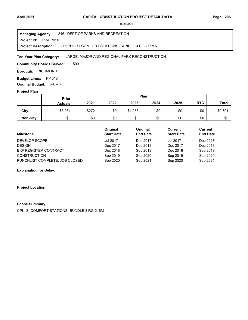**Project Id: P-5CPIB12** 846 : DEPT OF PARKS AND RECREATION CPI PH1- SI COMFORT STATIONS -BUNDLE 3 RG-216MA **Managing Agency: Project Description:** 

#### LARGE, MAJOR AND REGIONAL PARK RECONSTRUCTION **Ten-Year Plan Category:**

500 **Community Boards Served:** 

**Borough: RICHMOND** 

**Budget Lines: P-1018** 

**Original Budget:** \$9,676

### **Project Plan**

|                 |                | Plan<br>Prior |      |         |      |      |            |              |
|-----------------|----------------|---------------|------|---------|------|------|------------|--------------|
|                 | <b>Actuals</b> | 2021          | 2022 | 2023    | 2024 | 2025 | <b>RTC</b> | <b>Total</b> |
| City            | \$8,264        | \$272         | \$0  | \$1,255 | \$0  | \$0  | \$0        | \$9,791      |
| <b>Non-City</b> | \$0            | \$0           | \$0  | \$0     | \$0  | \$0  | \$0        | \$0          |

| <b>Milestone</b>               | Original<br><b>Start Date</b> | Original<br><b>End Date</b> | Current<br><b>Start Date</b> | <b>Current</b><br><b>End Date</b> |
|--------------------------------|-------------------------------|-----------------------------|------------------------------|-----------------------------------|
| DEVELOP SCOPE                  | <b>Jul 2017</b>               | Dec 2017                    | Jul 2017                     | Dec 2017                          |
| <b>DESIGN</b>                  | Dec 2017                      | Dec 2018                    | Dec 2017                     | Dec 2018                          |
| <b>BID/ REGISTER CONTRACT</b>  | Dec 2018                      | Sep 2019                    | Dec 2018                     | Sep 2019                          |
| <b>CONSTRUCTION</b>            | Sep 2019                      | Sep 2020                    | Sep 2019                     | Sep 2020                          |
| PUNCHLIST COMPLETE, JOB CLOSED | Sep 2020                      | Sep 2021                    | Sep 2020                     | Sep 2021                          |

#### **Explanation for Delay:**

#### **Project Location:**

#### **Scope Summary:**

CPI - SI COMFORT STATIONS -BUNDLE 3 RG-216M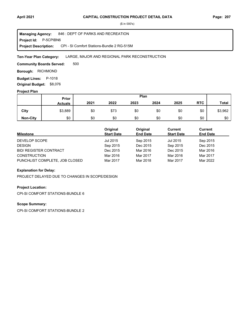**Project Id: P-5CPIBN6** 846 : DEPT OF PARKS AND RECREATION CPI - SI Comfort Stations-Bundle 2 RG-515M **Managing Agency: Project Description:** 

#### LARGE, MAJOR AND REGIONAL PARK RECONSTRUCTION **Ten-Year Plan Category:**

500 **Community Boards Served:** 

**Borough: RICHMOND** 

**Budget Lines: P-1018** 

**Original Budget:** \$8,076

### **Project Plan**

|                 | Plan<br>Prior  |      |      |      |      |      |            |              |
|-----------------|----------------|------|------|------|------|------|------------|--------------|
|                 | <b>Actuals</b> | 2021 | 2022 | 2023 | 2024 | 2025 | <b>RTC</b> | <b>Total</b> |
| City            | \$3,889        | \$0  | \$73 | \$0  | \$0  | \$0  | \$0        | \$3,962      |
| <b>Non-City</b> | \$0            | \$0  | \$0  | \$0  | \$0  | \$0  | \$0        | \$0          |

| <b>Milestone</b>               | Original<br><b>Start Date</b> | Original<br><b>End Date</b> | Current<br><b>Start Date</b> | <b>Current</b><br><b>End Date</b> |
|--------------------------------|-------------------------------|-----------------------------|------------------------------|-----------------------------------|
| DEVELOP SCOPE                  | Jul 2015                      | Sep 2015                    | Jul 2015                     | Sep 2015                          |
| <b>DESIGN</b>                  | Sep 2015                      | Dec 2015                    | Sep 2015                     | Dec 2015                          |
| <b>BID/ REGISTER CONTRACT</b>  | Dec 2015                      | Mar 2016                    | Dec 2015                     | Mar 2016                          |
| <b>CONSTRUCTION</b>            | Mar 2016                      | Mar 2017                    | Mar 2016                     | Mar 2017                          |
| PUNCHLIST COMPLETE, JOB CLOSED | Mar 2017                      | Mar 2018                    | Mar 2017                     | Mar 2022                          |

#### **Explanation for Delay:**

PROJECT DELAYED DUE TO CHANGES IN SCOPE/DESIGN

### **Project Location:**

CPI-SI COMFORT STATIONS-BUNDLE 6

### **Scope Summary:**

CPI-SI COMFORT STATIONS-BUNDLE 2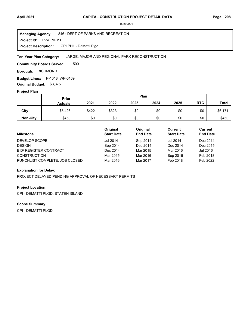**Project Id: P-5CPIDMT** 846 : DEPT OF PARKS AND RECREATION CPI PH1 - DeMatti Plgd **Managing Agency: Project Description:** 

#### LARGE, MAJOR AND REGIONAL PARK RECONSTRUCTION **Ten-Year Plan Category:**

500 **Community Boards Served:** 

**Borough: RICHMOND** 

**Budget Lines:** P-1018 WP-0169 **Original Budget:** \$3,375

#### **Project Plan**

|                 |                | Plan<br>Prior |       |      |      |      |            |              |
|-----------------|----------------|---------------|-------|------|------|------|------------|--------------|
|                 | <b>Actuals</b> | 2021          | 2022  | 2023 | 2024 | 2025 | <b>RTC</b> | <b>Total</b> |
| City            | \$5,426        | \$422         | \$323 | \$0  | \$0  | \$0  | \$0        | \$6,171      |
| <b>Non-City</b> | \$450          | \$0           | \$0   | \$0  | \$0  | \$0  | \$0        | \$450        |

| <b>Milestone</b>               | Original<br><b>Start Date</b> | Original<br><b>End Date</b> | <b>Current</b><br><b>Start Date</b> | <b>Current</b><br><b>End Date</b> |
|--------------------------------|-------------------------------|-----------------------------|-------------------------------------|-----------------------------------|
| DEVELOP SCOPE                  | <b>Jul 2014</b>               | Sep 2014                    | <b>Jul 2014</b>                     | Dec 2014                          |
| <b>DESIGN</b>                  | Sep 2014                      | Dec 2014                    | Dec 2014                            | Dec 2015                          |
| <b>BID/ REGISTER CONTRACT</b>  | Dec 2014                      | Mar 2015                    | Mar 2016                            | Jul 2016                          |
| <b>CONSTRUCTION</b>            | Mar 2015                      | Mar 2016                    | Sep 2016                            | Feb 2018                          |
| PUNCHLIST COMPLETE, JOB CLOSED | Mar 2016                      | Mar 2017                    | Feb 2018                            | Feb 2022                          |

#### **Explanation for Delay:**

PROJECT DELAYED PENDING APPROVAL OF NECESSARY PERMITS

#### **Project Location:**

CPI - DEMATTI PLGD, STATEN ISLAND

### **Scope Summary:**

CPI - DEMATTI PLGD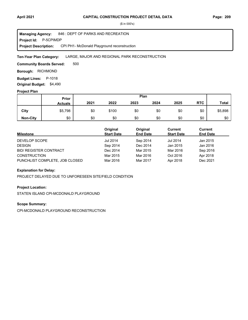**Project Id: P-5CPIMDP** 846 : DEPT OF PARKS AND RECREATION CPI PH1- McDonald Playground reconstruction **Managing Agency: Project Description:** 

#### LARGE, MAJOR AND REGIONAL PARK RECONSTRUCTION **Ten-Year Plan Category:**

500 **Community Boards Served:** 

**Borough: RICHMOND** 

**Budget Lines: P-1018** 

**Original Budget:** \$4,490

### **Project Plan**

|                 | Plan<br>Prior  |      |       |      |      |      |            |              |
|-----------------|----------------|------|-------|------|------|------|------------|--------------|
|                 | <b>Actuals</b> | 2021 | 2022  | 2023 | 2024 | 2025 | <b>RTC</b> | <b>Total</b> |
| City            | \$5,798        | \$0  | \$100 | \$0  | \$0  | \$0  | \$0        | \$5,898      |
| <b>Non-City</b> | \$0            | \$0  | \$0   | \$0  | \$0  | \$0  | \$0        | \$0          |

| <b>Milestone</b>               | Original<br><b>Start Date</b> | Original<br><b>End Date</b> | Current<br><b>Start Date</b> | Current<br><b>End Date</b> |
|--------------------------------|-------------------------------|-----------------------------|------------------------------|----------------------------|
| DEVELOP SCOPE                  | <b>Jul 2014</b>               | Sep 2014                    | <b>Jul 2014</b>              | Jan 2015                   |
| <b>DESIGN</b>                  | Sep 2014                      | Dec 2014                    | Jan 2015                     | Jan 2016                   |
| <b>BID/ REGISTER CONTRACT</b>  | Dec 2014                      | Mar 2015                    | Mar 2016                     | Sep 2016                   |
| <b>CONSTRUCTION</b>            | Mar 2015                      | Mar 2016                    | Oct 2016                     | Apr 2018                   |
| PUNCHLIST COMPLETE, JOB CLOSED | Mar 2016                      | Mar 2017                    | Apr 2018                     | Dec 2021                   |

#### **Explanation for Delay:**

PROJECT DELAYED DUE TO UNFORESEEN SITE/FIELD CONDITION

#### **Project Location:**

STATEN ISLAND CPI-MCDONALD PLAYGROUND

### **Scope Summary:**

CPI-MCDONALD PLAYGROUND RECONSTRUCTION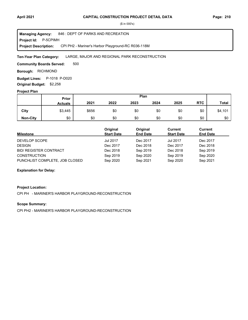**Project Id: P-5CPIMH** 846 : DEPT OF PARKS AND RECREATION CPI PH2 - Mariner's Harbor Playground-RC R036-118M **Managing Agency: Project Description:** 

#### LARGE, MAJOR AND REGIONAL PARK RECONSTRUCTION **Ten-Year Plan Category:**

500 **Community Boards Served:** 

**Borough: RICHMOND** 

**Budget Lines:** P-1018 P-D020 **Original Budget:** \$2,258

#### **Project Plan**

|                 |                | Plan<br>Prior |      |      |      |      |            |              |
|-----------------|----------------|---------------|------|------|------|------|------------|--------------|
|                 | <b>Actuals</b> | 2021          | 2022 | 2023 | 2024 | 2025 | <b>RTC</b> | <b>Total</b> |
| City            | \$3,445        | \$656         | \$0  | \$0  | \$0  | \$0  | \$0        | \$4,101      |
| <b>Non-City</b> | \$0            | \$0           | \$0  | \$0  | \$0  | \$0  | \$0        | \$0          |

| <b>Milestone</b>               | Original<br><b>Start Date</b> | Original<br><b>End Date</b> | Current<br><b>Start Date</b> | Current<br><b>End Date</b> |
|--------------------------------|-------------------------------|-----------------------------|------------------------------|----------------------------|
| DEVELOP SCOPE                  | <b>Jul 2017</b>               | Dec 2017                    | <b>Jul 2017</b>              | Dec 2017                   |
| <b>DESIGN</b>                  | Dec 2017                      | Dec 2018                    | Dec 2017                     | Dec 2018                   |
| <b>BID/ REGISTER CONTRACT</b>  | Dec 2018                      | Sep 2019                    | Dec 2018                     | Sep 2019                   |
| <b>CONSTRUCTION</b>            | Sep 2019                      | Sep 2020                    | Sep 2019                     | Sep 2020                   |
| PUNCHLIST COMPLETE, JOB CLOSED | Sep 2020                      | Sep 2021                    | Sep 2020                     | Sep 2021                   |

#### **Explanation for Delay:**

#### **Project Location:**

CPI PH - MARINER'S HARBOR PLAYGROUND-RECONSTRUCTION

#### **Scope Summary:**

CPI PH2 - MARINER'S HARBOR PLAYGROUND-RECONSTRUCTION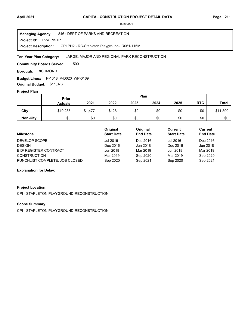**Project Id: P-5CPISTP** 846 : DEPT OF PARKS AND RECREATION CPI PH2 - RC-Stapleton Playground- R061-116M **Managing Agency: Project Description:** 

#### LARGE, MAJOR AND REGIONAL PARK RECONSTRUCTION **Ten-Year Plan Category:**

500 **Community Boards Served:** 

**Borough: RICHMOND** 

**Budget Lines:** P-1018 P-D020 WP-0169 **Original Budget:** \$11,076

#### **Project Plan**

|                 | Plan<br>Prior  |         |       |      |      |      |            |              |
|-----------------|----------------|---------|-------|------|------|------|------------|--------------|
|                 | <b>Actuals</b> | 2021    | 2022  | 2023 | 2024 | 2025 | <b>RTC</b> | <b>Total</b> |
| City            | \$10,285       | \$1,477 | \$128 | \$0  | \$0  | \$0  | \$0        | \$11,890     |
| <b>Non-City</b> | \$0            | \$0     | \$0   | \$0  | \$0  | \$0  | \$0        | \$0          |

| Milestone                      | Original<br><b>Start Date</b> | Original<br><b>End Date</b> | Current<br><b>Start Date</b> | Current<br><b>End Date</b> |
|--------------------------------|-------------------------------|-----------------------------|------------------------------|----------------------------|
| DEVELOP SCOPE                  | Jul 2016                      | Dec 2016                    | Jul 2016                     | Dec 2016                   |
| <b>DESIGN</b>                  | Dec 2016                      | Jun 2018                    | Dec 2016                     | Jun 2018                   |
| <b>BID/ REGISTER CONTRACT</b>  | Jun 2018                      | Mar 2019                    | Jun 2018                     | Mar 2019                   |
| <b>CONSTRUCTION</b>            | Mar 2019                      | Sep 2020                    | Mar 2019                     | Sep 2020                   |
| PUNCHLIST COMPLETE, JOB CLOSED | Sep 2020                      | Sep 2021                    | Sep 2020                     | Sep 2021                   |

#### **Explanation for Delay:**

#### **Project Location:**

CPI - STAPLETON PLAYGROUND-RECONSTRUCTION

#### **Scope Summary:**

CPI - STAPLETON PLAYGROUND-RECONSTRUCTION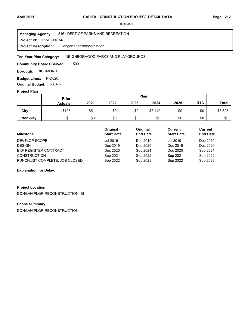**Project Id: P-5DONGAN** 846 : DEPT OF PARKS AND RECREATION Dongan Plgr-reconstruction **Managing Agency: Project Description:** 

#### NEIGHBORHOOD PARKS AND PLAYGROUNDS **Ten-Year Plan Category:**

500 **Community Boards Served:** 

**Borough: RICHMOND** 

**Budget Lines: P-D020 Original Budget:** \$3,875

#### **Project Plan**

|                 |                | Plan<br>Prior |      |      |         |      |            |              |
|-----------------|----------------|---------------|------|------|---------|------|------------|--------------|
|                 | <b>Actuals</b> | 2021          | 2022 | 2023 | 2024    | 2025 | <b>RTC</b> | <b>Total</b> |
| City            | \$125          | \$51          | \$0  | \$0  | \$3,449 | \$0  | \$0        | \$3,625      |
| <b>Non-City</b> | \$0            | \$0           | \$0  | \$0  | \$0     | \$0  | \$0        | \$0          |

| <b>Milestone</b>               | Original<br><b>Start Date</b> | Original<br><b>End Date</b> | Current<br><b>Start Date</b> | Current<br><b>End Date</b> |
|--------------------------------|-------------------------------|-----------------------------|------------------------------|----------------------------|
| DEVELOP SCOPE                  | Jul 2019                      | Dec 2019                    | Jul 2019                     | Dec 2019                   |
| <b>DESIGN</b>                  | Dec 2019                      | Dec 2020                    | Dec 2019                     | Dec 2020                   |
| <b>BID/ REGISTER CONTRACT</b>  | Dec 2020                      | Sep 2021                    | Dec 2020                     | Sep 2021                   |
| <b>CONSTRUCTION</b>            | Sep 2021                      | Sep 2022                    | Sep 2021                     | Sep 2022                   |
| PUNCHLIST COMPLETE, JOB CLOSED | Sep 2022                      | Sep 2023                    | Sep 2022                     | Sep 2023                   |

#### **Explanation for Delay:**

### **Project Location:**

DONGAN PLGR-RECONSTRUCTION, SI

#### **Scope Summary:**

DONGAN PLGR-RECONSTRUCTION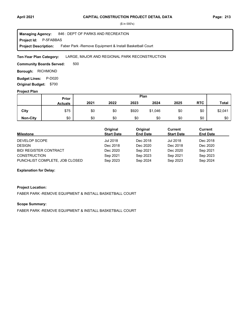**Project Id: P-5FABBAS** 846 : DEPT OF PARKS AND RECREATION Faber Park -Remove Equipment & Install Basketball Court **Managing Agency: Project Description:** 

#### LARGE, MAJOR AND REGIONAL PARK RECONSTRUCTION **Ten-Year Plan Category:**

500 **Community Boards Served:** 

**Borough: RICHMOND** 

**Budget Lines: P-D020 Original Budget:** \$700

#### **Project Plan**

|                 |                | Plan<br>Prior |      |       |         |      |            |              |
|-----------------|----------------|---------------|------|-------|---------|------|------------|--------------|
|                 | <b>Actuals</b> | 2021          | 2022 | 2023  | 2024    | 2025 | <b>RTC</b> | <b>Total</b> |
| City            | \$75           | \$0           | \$0  | \$920 | \$1,046 | \$0  | \$0        | \$2,041      |
| <b>Non-City</b> | \$0            | \$0           | \$0  | \$0   | \$0     | \$0  | \$0        | \$0          |

| <b>Milestone</b>               | Original<br><b>Start Date</b> | Original<br><b>End Date</b> | Current<br><b>Start Date</b> | Current<br><b>End Date</b> |
|--------------------------------|-------------------------------|-----------------------------|------------------------------|----------------------------|
| DEVELOP SCOPE                  | Jul 2018                      | Dec 2018                    | Jul 2018                     | Dec 2018                   |
| <b>DESIGN</b>                  | Dec 2018                      | Dec 2020                    | Dec 2018                     | Dec 2020                   |
| <b>BID/ REGISTER CONTRACT</b>  | Dec 2020                      | Sep 2021                    | Dec 2020                     | Sep 2021                   |
| <b>CONSTRUCTION</b>            | Sep 2021                      | Sep 2023                    | Sep 2021                     | Sep 2023                   |
| PUNCHLIST COMPLETE, JOB CLOSED | Sep 2023                      | Sep 2024                    | Sep 2023                     | Sep 2024                   |

#### **Explanation for Delay:**

#### **Project Location:**

FABER PARK -REMOVE EQUIPMENT & INSTALL BASKETBALL COURT

#### **Scope Summary:**

FABER PARK -REMOVE EQUIPMENT & INSTALL BASKETBALL COURT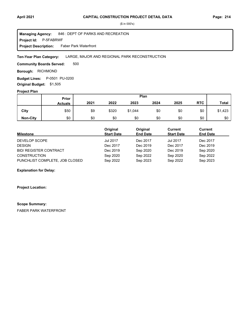**Project Id: P-5FABRWF** 846 : DEPT OF PARKS AND RECREATION Faber Park Waterfront **Managing Agency: Project Description:** 

#### LARGE, MAJOR AND REGIONAL PARK RECONSTRUCTION **Ten-Year Plan Category:**

500 **Community Boards Served:** 

**Borough: RICHMOND** 

**Budget Lines:** P-0501 PU-0200 **Original Budget:** \$1,505

#### **Project Plan**

|                 |                | Plan<br>Prior |       |         |      |      |            |              |
|-----------------|----------------|---------------|-------|---------|------|------|------------|--------------|
|                 | <b>Actuals</b> | 2021          | 2022  | 2023    | 2024 | 2025 | <b>RTC</b> | <b>Total</b> |
| City            | \$50           | \$9           | \$320 | \$1,044 | \$0  | \$0  | \$0        | \$1,423      |
| <b>Non-City</b> | \$0            | \$0           | \$0   | \$0     | \$0  | \$0  | \$0        | \$0          |

| <b>Milestone</b>               | Original<br><b>Start Date</b> | Original<br><b>End Date</b> | Current<br><b>Start Date</b> | Current<br><b>End Date</b> |
|--------------------------------|-------------------------------|-----------------------------|------------------------------|----------------------------|
| DEVELOP SCOPE                  | <b>Jul 2017</b>               | Dec 2017                    | <b>Jul 2017</b>              | Dec 2017                   |
| <b>DESIGN</b>                  | Dec 2017                      | Dec 2019                    | Dec 2017                     | Dec 2019                   |
| <b>BID/ REGISTER CONTRACT</b>  | Dec 2019                      | Sep 2020                    | Dec 2019                     | Sep 2020                   |
| <b>CONSTRUCTION</b>            | Sep 2020                      | Sep 2022                    | Sep 2020                     | Sep 2022                   |
| PUNCHLIST COMPLETE, JOB CLOSED | Sep 2022                      | Sep 2023                    | Sep 2022                     | Sep 2023                   |

**Explanation for Delay:**

**Project Location:**

#### **Scope Summary:**

FABER PARK WATERFRONT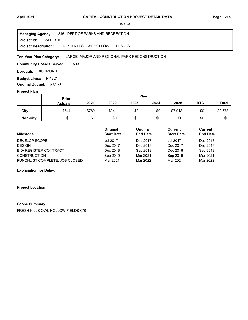**Project Id: P-5FRES10** 846 : DEPT OF PARKS AND RECREATION FRESH KILLS OWL HOLLOW FIELDS C/S **Managing Agency: Project Description:** 

#### LARGE, MAJOR AND REGIONAL PARK RECONSTRUCTION **Ten-Year Plan Category:**

500 **Community Boards Served:** 

**Borough: RICHMOND** 

**Budget Lines: P-1321** 

**Original Budget:** \$9,160

### **Project Plan**

|                 | Plan<br>Prior  |       |       |      |      |         |            |              |
|-----------------|----------------|-------|-------|------|------|---------|------------|--------------|
|                 | <b>Actuals</b> | 2021  | 2022  | 2023 | 2024 | 2025    | <b>RTC</b> | <b>Total</b> |
| City            | \$744          | \$780 | \$341 | \$0  | \$0  | \$7,913 | \$0        | \$9,778      |
| <b>Non-City</b> | \$0            | \$0   | \$0   | \$0  | \$0  | \$0     | \$0        | \$0          |

| <b>Milestone</b>               | Original<br><b>Start Date</b> | Original<br><b>End Date</b> | <b>Current</b><br><b>Start Date</b> | <b>Current</b><br><b>End Date</b> |
|--------------------------------|-------------------------------|-----------------------------|-------------------------------------|-----------------------------------|
| DEVELOP SCOPE                  | <b>Jul 2017</b>               | Dec 2017                    | <b>Jul 2017</b>                     | Dec 2017                          |
| <b>DESIGN</b>                  | Dec 2017                      | Dec 2018                    | Dec 2017                            | Dec 2018                          |
| <b>BID/ REGISTER CONTRACT</b>  | Dec 2018                      | Sep 2019                    | Dec 2018                            | Sep 2019                          |
| <b>CONSTRUCTION</b>            | Sep 2019                      | Mar 2021                    | Sep 2019                            | Mar 2021                          |
| PUNCHLIST COMPLETE, JOB CLOSED | Mar 2021                      | Mar 2022                    | Mar 2021                            | Mar 2022                          |

**Explanation for Delay:**

**Project Location:**

#### **Scope Summary:**

FRESH KILLS OWL HOLLOW FIELDS C/S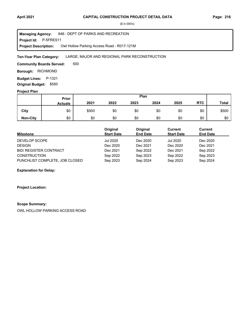**Project Id: P-5FRES11** 846 : DEPT OF PARKS AND RECREATION Owl Hollow Parking Access Road - R017-121M **Managing Agency: Project Description:** 

#### LARGE, MAJOR AND REGIONAL PARK RECONSTRUCTION **Ten-Year Plan Category:**

500 **Community Boards Served:** 

**Borough: RICHMOND** 

**Budget Lines: P-1321** 

**Original Budget:** \$550

### **Project Plan**

|                 |                | Plan<br>Prior |      |      |      |      |            |              |
|-----------------|----------------|---------------|------|------|------|------|------------|--------------|
|                 | <b>Actuals</b> | 2021          | 2022 | 2023 | 2024 | 2025 | <b>RTC</b> | <b>Total</b> |
| City            | \$0            | \$500         | \$0  | \$0  | \$0  | \$0  | \$0        | \$500        |
| <b>Non-City</b> | \$0            | \$0           | \$0  | \$0  | \$0  | \$0  | \$0        | \$0          |

| <b>Milestone</b>               | Original<br><b>Start Date</b> | Original<br><b>End Date</b> | Current<br><b>Start Date</b> | Current<br><b>End Date</b> |
|--------------------------------|-------------------------------|-----------------------------|------------------------------|----------------------------|
| DEVELOP SCOPE                  | Jul 2020                      | Dec 2020                    | <b>Jul 2020</b>              | Dec 2020                   |
| <b>DESIGN</b>                  | Dec 2020                      | Dec 2021                    | Dec 2020                     | Dec 2021                   |
| <b>BID/ REGISTER CONTRACT</b>  | Dec 2021                      | Sep 2022                    | Dec 2021                     | Sep 2022                   |
| <b>CONSTRUCTION</b>            | Sep 2022                      | Sep 2023                    | Sep 2022                     | Sep 2023                   |
| PUNCHLIST COMPLETE, JOB CLOSED | Sep 2023                      | Sep 2024                    | Sep 2023                     | Sep 2024                   |

#### **Explanation for Delay:**

#### **Project Location:**

#### **Scope Summary:**

OWL HOLLOW PARKING ACCESS ROAD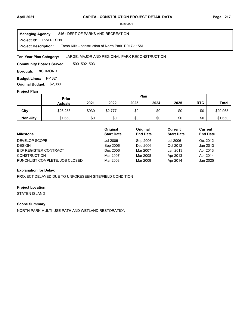**Project Id: P-5FRESH9** 846 : DEPT OF PARKS AND RECREATION Fresh Kills - construction of North Park R017-115M **Managing Agency: Project Description:** 

#### LARGE, MAJOR AND REGIONAL PARK RECONSTRUCTION **Ten-Year Plan Category:**

500 502 503 **Community Boards Served:** 

**Borough: RICHMOND** 

**Budget Lines: P-1321** 

**Original Budget:** \$2,080

### **Project Plan**

|                 | Plan<br><b>Prior</b> |       |         |      |      |      |            |              |
|-----------------|----------------------|-------|---------|------|------|------|------------|--------------|
|                 | <b>Actuals</b>       | 2021  | 2022    | 2023 | 2024 | 2025 | <b>RTC</b> | <b>Total</b> |
| City            | \$26,258             | \$930 | \$2,777 | \$0  | \$0  | \$0  | \$0        | \$29,965     |
| <b>Non-City</b> | \$1,650              | \$0   | \$0     | \$0  | \$0  | \$0  | \$0        | \$1,650      |

| <b>Milestone</b>               | Original<br><b>Start Date</b> | Original<br><b>End Date</b> | Current<br><b>Start Date</b> | Current<br><b>End Date</b> |
|--------------------------------|-------------------------------|-----------------------------|------------------------------|----------------------------|
| DEVELOP SCOPE                  | Jul 2006                      | Sep 2006                    | Jul 2006                     | Oct 2012                   |
| <b>DESIGN</b>                  | Sep 2006                      | Dec 2006                    | Oct 2012                     | Jan 2013                   |
| <b>BID/ REGISTER CONTRACT</b>  | Dec 2006                      | Mar 2007                    | Jan 2013                     | Apr 2013                   |
| <b>CONSTRUCTION</b>            | Mar 2007                      | Mar 2008                    | Apr 2013                     | Apr 2014                   |
| PUNCHLIST COMPLETE, JOB CLOSED | Mar 2008                      | Mar 2009                    | Apr 2014                     | Jan 2025                   |

#### **Explanation for Delay:**

PROJECT DELAYED DUE TO UNFORESEEN SITE/FIELD CONDITION

#### **Project Location:**

STATEN ISLAND

#### **Scope Summary:**

NORTH PARK MULTI-USE PATH AND WETLAND RESTORATION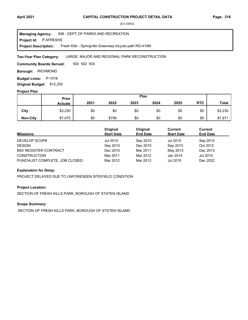**Project Id: P-5FRESHS** 846 : DEPT OF PARKS AND RECREATION Fresh Kills - Springville Greenway bicycle path RG-410M **Managing Agency: Project Description:** 

#### LARGE, MAJOR AND REGIONAL PARK RECONSTRUCTION **Ten-Year Plan Category:**

500 502 503 **Community Boards Served:** 

**Borough: RICHMOND** 

**Budget Lines: P-1018** 

**Original Budget:** \$12,250

### **Project Plan**

|                 | Plan<br>Prior  |      |       |      |      |      |            |              |
|-----------------|----------------|------|-------|------|------|------|------------|--------------|
|                 | <b>Actuals</b> | 2021 | 2022  | 2023 | 2024 | 2025 | <b>RTC</b> | <b>Total</b> |
| City            | \$3,230        | \$0  | \$0   | \$0  | \$0  | \$0  | \$0        | \$3,230      |
| <b>Non-City</b> | \$7,075        | \$0  | \$796 | \$0  | \$0  | \$0  | \$0        | \$7,871      |

| <b>Milestone</b>               | Original<br><b>Start Date</b> | Original<br><b>End Date</b> | Current<br><b>Start Date</b> | Current<br><b>End Date</b> |
|--------------------------------|-------------------------------|-----------------------------|------------------------------|----------------------------|
| DEVELOP SCOPE                  | Jul 2010                      | Sep 2010                    | Jul 2010                     | Sep 2010                   |
| <b>DESIGN</b>                  | Sep 2010                      | Dec 2010                    | Sep 2010                     | Oct 2012                   |
| <b>BID/ REGISTER CONTRACT</b>  | Dec 2010                      | Mar 2011                    | May 2013                     | Dec 2013                   |
| <b>CONSTRUCTION</b>            | Mar 2011                      | Mar 2012                    | Jan 2014                     | Jul 2015                   |
| PUNCHLIST COMPLETE, JOB CLOSED | Mar 2012                      | Mar 2013                    | Jul 2015                     | Dec 2022                   |

#### **Explanation for Delay:**

PROJECT DELAYED DUE TO UNFORESEEN SITE/FIELD CONDITION

#### **Project Location:**

SECTION OF FRESH KILLS PARK, BOROUGH OF STATEN ISLAND

### **Scope Summary:**

SECTION OF FRESH KILLS PARK, BOROUGH OF STATEN ISLAND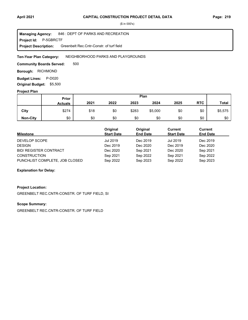**Project Id: P-5GBRCTF** 846 : DEPT OF PARKS AND RECREATION Greenbelt Rec.Cntr-Constr. of turf field **Managing Agency: Project Description:** 

#### NEIGHBORHOOD PARKS AND PLAYGROUNDS **Ten-Year Plan Category:**

500 **Community Boards Served:** 

**Borough: RICHMOND** 

**Budget Lines: P-D020 Original Budget:** \$5,500

#### **Project Plan**

|                 | Plan<br>Prior  |      |      |       |         |      |            |              |
|-----------------|----------------|------|------|-------|---------|------|------------|--------------|
|                 | <b>Actuals</b> | 2021 | 2022 | 2023  | 2024    | 2025 | <b>RTC</b> | <b>Total</b> |
| City            | \$274          | \$18 | \$0  | \$283 | \$5,000 | \$0  | \$0        | \$5,575      |
| <b>Non-City</b> | \$0            | \$0  | \$0  | \$0   | \$0     | \$0  | \$0        | \$0          |

| <b>Milestone</b>               | Original<br><b>Start Date</b> | Original<br><b>End Date</b> | Current<br><b>Start Date</b> | Current<br><b>End Date</b> |
|--------------------------------|-------------------------------|-----------------------------|------------------------------|----------------------------|
| DEVELOP SCOPE                  | Jul 2019                      | Dec 2019                    | Jul 2019                     | Dec 2019                   |
| <b>DESIGN</b>                  | Dec 2019                      | Dec 2020                    | Dec 2019                     | Dec 2020                   |
| <b>BID/ REGISTER CONTRACT</b>  | Dec 2020                      | Sep 2021                    | Dec 2020                     | Sep 2021                   |
| <b>CONSTRUCTION</b>            | Sep 2021                      | Sep 2022                    | Sep 2021                     | Sep 2022                   |
| PUNCHLIST COMPLETE, JOB CLOSED | Sep 2022                      | Sep 2023                    | Sep 2022                     | Sep 2023                   |

#### **Explanation for Delay:**

#### **Project Location:**

GREENBELT REC.CNTR-CONSTR. OF TURF FIELD, SI

#### **Scope Summary:**

GREENBELT REC.CNTR-CONSTR. OF TURF FIELD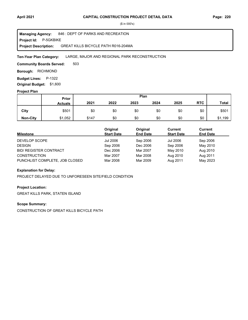**Project Id: P-5GKBIKE** 846 : DEPT OF PARKS AND RECREATION GREAT KILLS BICYCLE PATH R016-204MA **Managing Agency: Project Description:** 

#### LARGE, MAJOR AND REGIONAL PARK RECONSTRUCTION **Ten-Year Plan Category:**

503 **Community Boards Served:** 

**Borough: RICHMOND** 

**Budget Lines: P-1322** 

**Original Budget:** \$1,600

### **Project Plan**

|                 | Plan<br>Prior  |       |      |      |      |      |            |              |
|-----------------|----------------|-------|------|------|------|------|------------|--------------|
|                 | <b>Actuals</b> | 2021  | 2022 | 2023 | 2024 | 2025 | <b>RTC</b> | <b>Total</b> |
| City            | \$501          | \$0   | \$0  | \$0  | \$0  | \$0  | \$0        | \$501        |
| <b>Non-City</b> | \$1,052        | \$147 | \$0  | \$0  | \$0  | \$0  | \$0        | \$1,199      |

| <b>Milestone</b>               | Original<br><b>Start Date</b> | Original<br><b>End Date</b> | Current<br><b>Start Date</b> | <b>Current</b><br><b>End Date</b> |
|--------------------------------|-------------------------------|-----------------------------|------------------------------|-----------------------------------|
| DEVELOP SCOPE                  | Jul 2006                      | Sep 2006                    | Jul 2006                     | Sep 2006                          |
| <b>DESIGN</b>                  | Sep 2006                      | Dec 2006                    | Sep 2006                     | May 2010                          |
| <b>BID/ REGISTER CONTRACT</b>  | Dec 2006                      | Mar 2007                    | May 2010                     | Aug 2010                          |
| <b>CONSTRUCTION</b>            | Mar 2007                      | Mar 2008                    | Aug 2010                     | Aug 2011                          |
| PUNCHLIST COMPLETE, JOB CLOSED | Mar 2008                      | Mar 2009                    | Aug 2011                     | May 2023                          |

#### **Explanation for Delay:**

PROJECT DELAYED DUE TO UNFORESEEN SITE/FIELD CONDITION

#### **Project Location:**

GREAT KILLS PARK, STATEN ISLAND

#### **Scope Summary:**

CONSTRUCTION OF GREAT KILLS BICYCLE PATH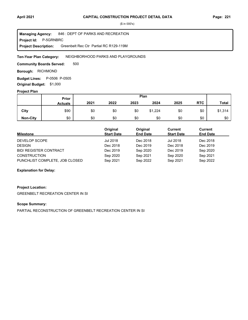**Project Id: P-5GRNBRC** 846 : DEPT OF PARKS AND RECREATION Greenbelt Rec Ctr Partial RC R129-119M **Managing Agency: Project Description:** 

#### NEIGHBORHOOD PARKS AND PLAYGROUNDS **Ten-Year Plan Category:**

500 **Community Boards Served:** 

**Borough: RICHMOND** 

**Budget Lines:** P-0506 P-0505 **Original Budget:** \$1,000

#### **Project Plan**

|                 |                | Plan<br>Prior |      |      |         |      |            |              |
|-----------------|----------------|---------------|------|------|---------|------|------------|--------------|
|                 | <b>Actuals</b> | 2021          | 2022 | 2023 | 2024    | 2025 | <b>RTC</b> | <b>Total</b> |
| City            | \$90           | \$0           | \$0  | \$0  | \$1,224 | \$0  | \$0        | \$1,314      |
| <b>Non-City</b> | \$0            | \$0           | \$0  | \$0  | \$0     | \$0  | \$0        | \$0          |

| <b>Milestone</b>                                      | Original<br><b>Start Date</b> | Original<br><b>End Date</b> | Current<br><b>Start Date</b> | Current<br><b>End Date</b> |
|-------------------------------------------------------|-------------------------------|-----------------------------|------------------------------|----------------------------|
| DEVELOP SCOPE                                         | Jul 2018                      | Dec 2018                    | Jul 2018                     | Dec 2018                   |
| <b>DESIGN</b>                                         | Dec 2018                      | Dec 2019                    | Dec 2018                     | Dec 2019                   |
| <b>BID/ REGISTER CONTRACT</b>                         | Dec 2019                      | Sep 2020                    | Dec 2019                     | Sep 2020                   |
| <b>CONSTRUCTION</b><br>PUNCHLIST COMPLETE, JOB CLOSED | Sep 2020<br>Sep 2021          | Sep 2021<br>Sep 2022        | Sep 2020<br>Sep 2021         | Sep 2021<br>Sep 2022       |
|                                                       |                               |                             |                              |                            |

#### **Explanation for Delay:**

### **Project Location:**

GREENBELT RECREATION CENTER IN SI

#### **Scope Summary:**

PARTIAL RECONSTRUCTION OF GREENBELT RECREATION CENTER IN SI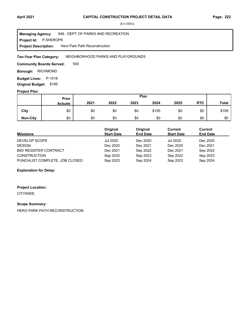**Project Id: P-5HEROPK** 846 : DEPT OF PARKS AND RECREATION Hero Park Path Reconstruction **Managing Agency: Project Description:** 

NEIGHBORHOOD PARKS AND PLAYGROUNDS **Ten-Year Plan Category:** 

500 **Community Boards Served:** 

**Borough: RICHMOND** 

**Budget Lines: P-1018 Original Budget:** \$195

#### **Project Plan**

|                 |                | Plan<br>Prior |      |      |       |      |            |              |
|-----------------|----------------|---------------|------|------|-------|------|------------|--------------|
|                 | <b>Actuals</b> | 2021          | 2022 | 2023 | 2024  | 2025 | <b>RTC</b> | <b>Total</b> |
| City            | \$0            | \$0           | \$0  | \$0  | \$195 | \$0  | \$0        | \$195        |
| <b>Non-City</b> | \$0            | \$0           | \$0  | \$0  | \$0   | \$0  | \$0        | \$0          |

| <b>Milestone</b>               | Original<br><b>Start Date</b> | Original<br><b>End Date</b> | Current<br><b>Start Date</b> | <b>Current</b><br><b>End Date</b> |
|--------------------------------|-------------------------------|-----------------------------|------------------------------|-----------------------------------|
| DEVELOP SCOPE                  | Jul 2020                      | Dec 2020                    | <b>Jul 2020</b>              | Dec 2020                          |
| <b>DESIGN</b>                  | Dec 2020                      | Dec 2021                    | Dec 2020                     | Dec 2021                          |
| <b>BID/ REGISTER CONTRACT</b>  | Dec 2021                      | Sep 2022                    | Dec 2021                     | Sep 2022                          |
| <b>CONSTRUCTION</b>            | Sep 2022                      | Sep 2023                    | Sep 2022                     | Sep 2023                          |
| PUNCHLIST COMPLETE, JOB CLOSED | Sep 2023                      | Sep 2024                    | Sep 2023                     | Sep 2024                          |

### **Explanation for Delay:**

#### **Project Location:**

**CITYWIDE** 

#### **Scope Summary:**

HERO PARK PATH RECONSTRUCTION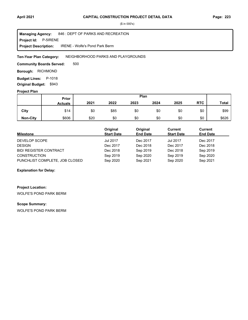**Project Id: P-5IRENE** 846 : DEPT OF PARKS AND RECREATION IRENE - Wolfe's Pond Park Berm **Managing Agency: Project Description:** 

NEIGHBORHOOD PARKS AND PLAYGROUNDS **Ten-Year Plan Category:** 

500 **Community Boards Served:** 

**Borough: RICHMOND** 

**Budget Lines: P-1018 Original Budget:** \$943

#### **Project Plan**

|                 |                | Plan<br><b>Prior</b> |      |      |      |      |            |              |
|-----------------|----------------|----------------------|------|------|------|------|------------|--------------|
|                 | <b>Actuals</b> | 2021                 | 2022 | 2023 | 2024 | 2025 | <b>RTC</b> | <b>Total</b> |
| City            | \$14           | \$0                  | \$85 | \$0  | \$0  | \$0  | \$0        | \$99         |
| <b>Non-City</b> | \$606          | \$20                 | \$0  | \$0  | \$0  | \$0  | \$0        | \$626        |

| <b>Milestone</b>               | Original<br><b>Start Date</b> | Original<br><b>End Date</b> | Current<br><b>Start Date</b> | Current<br><b>End Date</b> |
|--------------------------------|-------------------------------|-----------------------------|------------------------------|----------------------------|
| DEVELOP SCOPE                  | <b>Jul 2017</b>               | Dec 2017                    | <b>Jul 2017</b>              | Dec 2017                   |
| <b>DESIGN</b>                  | Dec 2017                      | Dec 2018                    | Dec 2017                     | Dec 2018                   |
| <b>BID/ REGISTER CONTRACT</b>  | Dec 2018                      | Sep 2019                    | Dec 2018                     | Sep 2019                   |
| <b>CONSTRUCTION</b>            | Sep 2019                      | Sep 2020                    | Sep 2019                     | Sep 2020                   |
| PUNCHLIST COMPLETE, JOB CLOSED | Sep 2020                      | Sep 2021                    | Sep 2020                     | Sep 2021                   |

#### **Explanation for Delay:**

## **Project Location:**

WOLFE'S POND PARK BERM

### **Scope Summary:**

WOLFE'S POND PARK BERM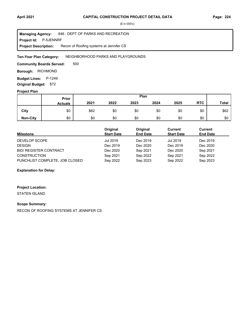**Project Id: P-5JENNRF** 846 : DEPT OF PARKS AND RECREATION Recon of Roofing systems at Jennifer CS **Managing Agency: Project Description:** 

NEIGHBORHOOD PARKS AND PLAYGROUNDS **Ten-Year Plan Category:** 

500 **Community Boards Served:** 

**Borough: RICHMOND** 

**Budget Lines: P-1249 Original Budget:** \$72

#### **Project Plan**

|                 |                | Plan<br>Prior |      |      |      |      |            |              |
|-----------------|----------------|---------------|------|------|------|------|------------|--------------|
|                 | <b>Actuals</b> | 2021          | 2022 | 2023 | 2024 | 2025 | <b>RTC</b> | <b>Total</b> |
| City            | \$0            | \$62          | \$0  | \$0  | \$0  | \$0  | \$0        | \$62         |
| <b>Non-City</b> | \$0            | \$0           | \$0  | \$0  | \$0  | \$0  | \$0        | \$0          |

| <b>Milestone</b>               | Original<br><b>Start Date</b> | Original<br><b>End Date</b> | Current<br><b>Start Date</b> | Current<br><b>End Date</b> |
|--------------------------------|-------------------------------|-----------------------------|------------------------------|----------------------------|
| DEVELOP SCOPE                  | Jul 2019                      | Dec 2019                    | <b>Jul 2019</b>              | Dec 2019                   |
| <b>DESIGN</b>                  | Dec 2019                      | Dec 2020                    | Dec 2019                     | Dec 2020                   |
| <b>BID/ REGISTER CONTRACT</b>  | Dec 2020                      | Sep 2021                    | Dec 2020                     | Sep 2021                   |
| <b>CONSTRUCTION</b>            | Sep 2021                      | Sep 2022                    | Sep 2021                     | Sep 2022                   |
| PUNCHLIST COMPLETE, JOB CLOSED | Sep 2022                      | Sep 2023                    | Sep 2022                     | Sep 2023                   |

**Explanation for Delay:**

### **Project Location:**

STATEN ISLAND

#### **Scope Summary:**

RECON OF ROOFING SYSTEMS AT JENNIFER CS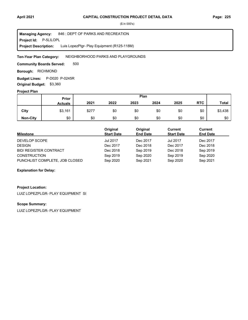**Project Id: P-5LILOPL** 846 : DEPT OF PARKS AND RECREATION Luis LopezPlgr- Play Equipment (R125-118M) **Managing Agency: Project Description:** 

NEIGHBORHOOD PARKS AND PLAYGROUNDS **Ten-Year Plan Category:** 

500 **Community Boards Served:** 

**Borough: RICHMOND** 

**Budget Lines:** P-D020 P-0245R **Original Budget:** \$3,360

#### **Project Plan**

|                 |                | Plan<br>Prior |      |      |      |      |            |              |
|-----------------|----------------|---------------|------|------|------|------|------------|--------------|
|                 | <b>Actuals</b> | 2021          | 2022 | 2023 | 2024 | 2025 | <b>RTC</b> | <b>Total</b> |
| City            | \$3,161        | \$277         | \$0  | \$0  | \$0  | \$0  | \$0        | \$3,438      |
| <b>Non-City</b> | \$0            | \$0           | \$0  | \$0  | \$0  | \$0  | \$0        | \$0          |

| <b>Milestone</b>               | Original<br><b>Start Date</b> | Original<br><b>End Date</b> | Current<br><b>Start Date</b> | Current<br><b>End Date</b> |
|--------------------------------|-------------------------------|-----------------------------|------------------------------|----------------------------|
| DEVELOP SCOPE                  | <b>Jul 2017</b>               | Dec 2017                    | <b>Jul 2017</b>              | Dec 2017                   |
| <b>DESIGN</b>                  | Dec 2017                      | Dec 2018                    | Dec 2017                     | Dec 2018                   |
| <b>BID/ REGISTER CONTRACT</b>  | Dec 2018                      | Sep 2019                    | Dec 2018                     | Sep 2019                   |
| <b>CONSTRUCTION</b>            | Sep 2019                      | Sep 2020                    | Sep 2019                     | Sep 2020                   |
| PUNCHLIST COMPLETE, JOB CLOSED | Sep 2020                      | Sep 2021                    | Sep 2020                     | Sep 2021                   |

#### **Explanation for Delay:**

#### **Project Location:**

LUIZ LOPEZPLGR- PLAY EQUIPMENT SI

#### **Scope Summary:**

LUIZ LOPEZPLGR- PLAY EQUIPMENT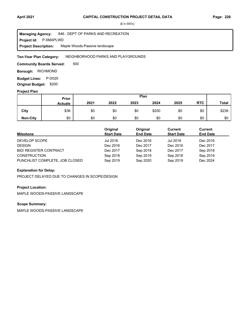**Project Id: P-5MAPLWD** 846 : DEPT OF PARKS AND RECREATION Maple Woods-Passive landscape **Managing Agency: Project Description:** 

NEIGHBORHOOD PARKS AND PLAYGROUNDS **Ten-Year Plan Category:** 

500 **Community Boards Served:** 

**Borough: RICHMOND** 

**Budget Lines: P-D020 Original Budget:** \$200

#### **Project Plan**

|                 |                | Plan<br>Prior |      |      |       |      |            |              |
|-----------------|----------------|---------------|------|------|-------|------|------------|--------------|
|                 | <b>Actuals</b> | 2021          | 2022 | 2023 | 2024  | 2025 | <b>RTC</b> | <b>Total</b> |
| City            | \$36           | \$0           | \$0  | \$0  | \$200 | \$0  | \$0        | \$236        |
| <b>Non-City</b> | \$0            | \$0           | \$0  | \$0  | \$0   | \$0  | \$0        | \$0          |

| <b>Milestone</b>               | Original<br><b>Start Date</b> | Original<br><b>End Date</b> | Current<br><b>Start Date</b> | Current<br><b>End Date</b> |
|--------------------------------|-------------------------------|-----------------------------|------------------------------|----------------------------|
| DEVELOP SCOPE                  | Jul 2016                      | Dec 2016                    | Jul 2016                     | Dec 2016                   |
| <b>DESIGN</b>                  | Dec 2016                      | Dec 2017                    | Dec 2016                     | Dec 2017                   |
| <b>BID/ REGISTER CONTRACT</b>  | Dec 2017                      | Sep 2018                    | Dec 2017                     | Sep 2018                   |
| <b>CONSTRUCTION</b>            | Sep 2018                      | Sep 2019                    | Sep 2018                     | Sep 2019                   |
| PUNCHLIST COMPLETE, JOB CLOSED | Sep 2019                      | Sep 2020                    | Sep 2019                     | Dec 2024                   |

#### **Explanation for Delay:**

PROJECT DELAYED DUE TO CHANGES IN SCOPE/DESIGN

#### **Project Location:**

MAPLE WOODS-PASSIVE LANDSCAPE

### **Scope Summary:**

MAPLE WOODS-PASSIVE LANDSCAPE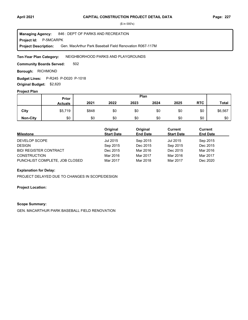**Project Id: P-5MCARPK** 846 : DEPT OF PARKS AND RECREATION Gen. MacArthur Park Baseball Field Renovation R067-117M **Managing Agency: Project Description:** 

NEIGHBORHOOD PARKS AND PLAYGROUNDS **Ten-Year Plan Category:** 

502 **Community Boards Served:** 

**Borough: RICHMOND** 

**Budget Lines:** P-R245 P-D020 P-1018 **Original Budget:** \$2,620

#### **Project Plan**

|                 | Plan<br>Prior  |       |      |      |      |      |            |              |
|-----------------|----------------|-------|------|------|------|------|------------|--------------|
|                 | <b>Actuals</b> | 2021  | 2022 | 2023 | 2024 | 2025 | <b>RTC</b> | <b>Total</b> |
| City            | \$5,719        | \$848 | \$0  | \$0  | \$0  | \$0  | \$0        | \$6,567      |
| <b>Non-City</b> | \$0            | \$0   | \$0  | \$0  | \$0  | \$0  | \$0        | \$0          |

| <b>Milestone</b>               | Original<br><b>Start Date</b> | Original<br><b>End Date</b> | Current<br><b>Start Date</b> | Current<br><b>End Date</b> |
|--------------------------------|-------------------------------|-----------------------------|------------------------------|----------------------------|
| DEVELOP SCOPE                  | Jul 2015                      | Sep 2015                    | Jul 2015                     | Sep 2015                   |
| <b>DESIGN</b>                  | Sep 2015                      | Dec 2015                    | Sep 2015                     | Dec 2015                   |
| <b>BID/ REGISTER CONTRACT</b>  | Dec 2015                      | Mar 2016                    | Dec 2015                     | Mar 2016                   |
| <b>CONSTRUCTION</b>            | Mar 2016                      | Mar 2017                    | Mar 2016                     | Mar 2017                   |
| PUNCHLIST COMPLETE, JOB CLOSED | Mar 2017                      | Mar 2018                    | Mar 2017                     | Dec 2020                   |

#### **Explanation for Delay:**

PROJECT DELAYED DUE TO CHANGES IN SCOPE/DESIGN

#### **Project Location:**

#### **Scope Summary:**

GEN. MACARTHUR PARK BASEBALL FIELD RENOVATION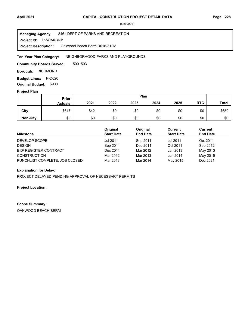**Project Id: P-5OAKBRM** 846 : DEPT OF PARKS AND RECREATION Oakwood Beach Berm R016-312M **Managing Agency: Project Description:** 

NEIGHBORHOOD PARKS AND PLAYGROUNDS **Ten-Year Plan Category:** 

500 503 **Community Boards Served:** 

**Borough: RICHMOND** 

**Budget Lines: P-D020** 

**Original Budget:** \$900

### **Project Plan**

|                 |                | Plan<br>Prior |      |      |      |      |            |              |
|-----------------|----------------|---------------|------|------|------|------|------------|--------------|
|                 | <b>Actuals</b> | 2021          | 2022 | 2023 | 2024 | 2025 | <b>RTC</b> | <b>Total</b> |
| City            | \$617          | \$42          | \$0  | \$0  | \$0  | \$0  | \$0        | \$659        |
| <b>Non-City</b> | \$0            | \$0           | \$0  | \$0  | \$0  | \$0  | \$0        | \$0          |

| <b>Milestone</b>               | Original<br><b>Start Date</b> | Original<br><b>End Date</b> | Current<br><b>Start Date</b> | Current<br><b>End Date</b> |
|--------------------------------|-------------------------------|-----------------------------|------------------------------|----------------------------|
| DEVELOP SCOPE                  | Jul 2011                      | Sep 2011                    | Jul 2011                     | Oct 2011                   |
| <b>DESIGN</b>                  | Sep 2011                      | Dec 2011                    | Oct 2011                     | Sep 2012                   |
| <b>BID/ REGISTER CONTRACT</b>  | Dec 2011                      | Mar 2012                    | Jan 2013                     | May 2013                   |
| <b>CONSTRUCTION</b>            | Mar 2012                      | Mar 2013                    | Jun 2014                     | May 2015                   |
| PUNCHLIST COMPLETE, JOB CLOSED | Mar 2013                      | Mar 2014                    | May 2015                     | Dec 2021                   |

#### **Explanation for Delay:**

PROJECT DELAYED PENDING APPROVAL OF NECESSARY PERMITS

#### **Project Location:**

#### **Scope Summary:**

OAKWOOD BEACH BERM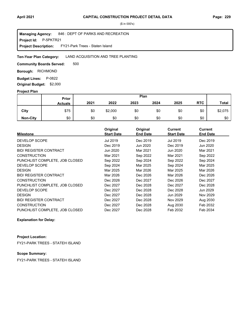**Project Id: P-5PKTR21** 846 : DEPT OF PARKS AND RECREATION FY21-Park Trees - Staten Island **Managing Agency: Project Description:** 

#### LAND ACQUISITION AND TREE PLANTING **Ten-Year Plan Category:**

500 **Community Boards Served:** 

**Borough: RICHMOND** 

**Budget Lines: P-0822** 

**Original Budget:** \$2,000

### **Project Plan**

|                 | Prior          | Plan |         |      |      |      |            |              |
|-----------------|----------------|------|---------|------|------|------|------------|--------------|
|                 | <b>Actuals</b> | 2021 | 2022    | 2023 | 2024 | 2025 | <b>RTC</b> | <b>Total</b> |
| City            | \$75           | \$0  | \$2,000 | \$0  | \$0  | \$0  | \$0        | \$2,075      |
| <b>Non-City</b> | \$0            | \$0  | \$0     | \$0  | \$0  | \$0  | \$0        | \$0          |

| <b>Milestone</b>               | Original<br><b>Start Date</b> | Original<br><b>End Date</b> | <b>Current</b><br><b>Start Date</b> | <b>Current</b><br><b>End Date</b> |
|--------------------------------|-------------------------------|-----------------------------|-------------------------------------|-----------------------------------|
| DEVELOP SCOPE                  | Jul 2019                      | Dec 2019                    | Jul 2019                            | Dec 2019                          |
| <b>DESIGN</b>                  | Dec 2019                      | Jun 2020                    | Dec 2019                            | Jun 2020                          |
| <b>BID/ REGISTER CONTRACT</b>  | Jun 2020                      | Mar 2021                    | Jun 2020                            | Mar 2021                          |
| <b>CONSTRUCTION</b>            | Mar 2021                      | Sep 2022                    | Mar 2021                            | Sep 2022                          |
| PUNCHLIST COMPLETE, JOB CLOSED | Sep 2022                      | Sep 2024                    | Sep 2022                            | Sep 2024                          |
| <b>DEVELOP SCOPE</b>           | Sep 2024                      | Mar 2025                    | Sep 2024                            | Mar 2025                          |
| <b>DESIGN</b>                  | Mar 2025                      | Mar 2026                    | Mar 2025                            | Mar 2026                          |
| <b>BID/ REGISTER CONTRACT</b>  | Mar 2026                      | Dec 2026                    | Mar 2026                            | Dec 2026                          |
| <b>CONSTRUCTION</b>            | Dec 2026                      | Dec 2027                    | Dec 2026                            | Dec 2027                          |
| PUNCHLIST COMPLETE, JOB CLOSED | Dec 2027                      | Dec 2028                    | Dec 2027                            | Dec 2028                          |
| DEVELOP SCOPE                  | Dec 2027                      | Dec 2028                    | Dec 2028                            | Jun 2029                          |
| <b>DESIGN</b>                  | Dec 2027                      | Dec 2028                    | Jun 2029                            | Nov 2029                          |
| <b>BID/ REGISTER CONTRACT</b>  | Dec 2027                      | Dec 2028                    | Nov 2029                            | Aug 2030                          |
| <b>CONSTRUCTION</b>            | Dec 2027                      | Dec 2028                    | Aug 2030                            | Feb 2032                          |
| PUNCHLIST COMPLETE, JOB CLOSED | Dec 2027                      | Dec 2028                    | Feb 2032                            | Feb 2034                          |

**Explanation for Delay:**

#### **Project Location:**

FY21-PARK TREES - STATEH ISLAND

### **Scope Summary:**

FY21-PARK TREES - STATEH ISLAND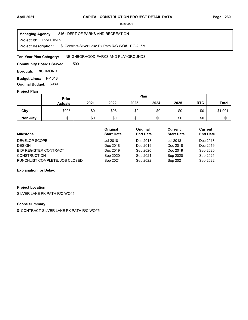**Project Id: P-5PL15A5** 846 : DEPT OF PARKS AND RECREATION \$1Contract-Silver Lake Pk Path R/C WO# RG-215M **Managing Agency: Project Description:** 

NEIGHBORHOOD PARKS AND PLAYGROUNDS **Ten-Year Plan Category:** 

500 **Community Boards Served:** 

**Borough: RICHMOND** 

**Budget Lines: P-1018 Original Budget:** \$989

#### **Project Plan**

|                 |                | Plan<br>Prior |      |      |      |      |            |              |
|-----------------|----------------|---------------|------|------|------|------|------------|--------------|
|                 | <b>Actuals</b> | 2021          | 2022 | 2023 | 2024 | 2025 | <b>RTC</b> | <b>Total</b> |
| City            | \$905          | \$0           | \$96 | \$0  | \$0  | \$0  | \$0        | \$1,001      |
| <b>Non-City</b> | \$0            | \$0           | \$0  | \$0  | \$0  | \$0  | \$0        | \$0          |

| <b>Milestone</b>               | Original<br><b>Start Date</b> | Original<br><b>End Date</b> | Current<br><b>Start Date</b> | Current<br><b>End Date</b> |
|--------------------------------|-------------------------------|-----------------------------|------------------------------|----------------------------|
| DEVELOP SCOPE                  | Jul 2018                      | Dec 2018                    | <b>Jul 2018</b>              | Dec 2018                   |
| <b>DESIGN</b>                  | Dec 2018                      | Dec 2019                    | Dec 2018                     | Dec 2019                   |
| <b>BID/ REGISTER CONTRACT</b>  | Dec 2019                      | Sep 2020                    | Dec 2019                     | Sep 2020                   |
| <b>CONSTRUCTION</b>            | Sep 2020                      | Sep 2021                    | Sep 2020                     | Sep 2021                   |
| PUNCHLIST COMPLETE, JOB CLOSED | Sep 2021                      | Sep 2022                    | Sep 2021                     | Sep 2022                   |

#### **Explanation for Delay:**

# **Project Location:**

SILVER LAKE PK PATH R/C WO#5

### **Scope Summary:**

\$1CONTRACT-SILVER LAKE PK PATH R/C WO#5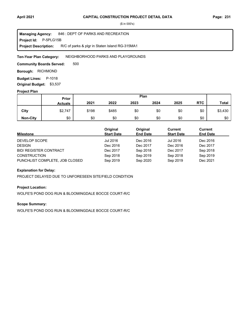**Project Id: P-5PLG15B** 846 : DEPT OF PARKS AND RECREATION R/C of parks & plgr in Staten Island RG-315MA1 **Managing Agency: Project Description:** 

NEIGHBORHOOD PARKS AND PLAYGROUNDS **Ten-Year Plan Category:** 

500 **Community Boards Served:** 

**Borough: RICHMOND** 

**Budget Lines: P-1018 Original Budget:** \$3,537

#### **Project Plan**

|                 |                | Plan<br>Prior |       |      |      |      |            |              |
|-----------------|----------------|---------------|-------|------|------|------|------------|--------------|
|                 | <b>Actuals</b> | 2021          | 2022  | 2023 | 2024 | 2025 | <b>RTC</b> | <b>Total</b> |
| City            | \$2,747        | \$198         | \$485 | \$0  | \$0  | \$0  | \$0        | \$3,430      |
| <b>Non-City</b> | \$0            | \$0           | \$0   | \$0  | \$0  | \$0  | \$0        | \$0          |

| <b>Milestone</b>               | Original<br><b>Start Date</b> | Original<br><b>End Date</b> | Current<br><b>Start Date</b> | Current<br><b>End Date</b> |
|--------------------------------|-------------------------------|-----------------------------|------------------------------|----------------------------|
| DEVELOP SCOPE                  | Jul 2016                      | Dec 2016                    | Jul 2016                     | Dec 2016                   |
| <b>DESIGN</b>                  | Dec 2016                      | Dec 2017                    | Dec 2016                     | Dec 2017                   |
| <b>BID/ REGISTER CONTRACT</b>  | Dec 2017                      | Sep 2018                    | Dec 2017                     | Sep 2018                   |
| <b>CONSTRUCTION</b>            | Sep 2018                      | Sep 2019                    | Sep 2018                     | Sep 2019                   |
| PUNCHLIST COMPLETE, JOB CLOSED | Sep 2019                      | Sep 2020                    | Sep 2019                     | Dec 2021                   |

#### **Explanation for Delay:**

PROJECT DELAYED DUE TO UNFORESEEN SITE/FIELD CONDITION

#### **Project Location:**

WOLFE'S POND DOG RUN & BLOOMINGDALE BOCCE COURT-R/C

### **Scope Summary:**

WOLFE'S POND DOG RUN & BLOOMINGDALE BOCCE COURT-R/C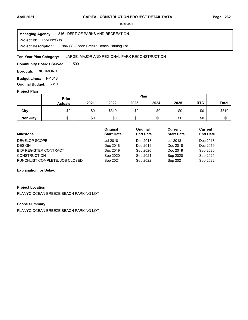**Project Id: P-5PNYC08** 846 : DEPT OF PARKS AND RECREATION PlaNYC-Ocean Breeze Beach Parking Lot **Managing Agency: Project Description:** 

#### LARGE, MAJOR AND REGIONAL PARK RECONSTRUCTION **Ten-Year Plan Category:**

500 **Community Boards Served:** 

**Borough: RICHMOND** 

**Budget Lines: P-1018** 

**Original Budget:** \$310

### **Project Plan**

|                 |                | Plan<br>Prior |       |      |      |      |            |              |
|-----------------|----------------|---------------|-------|------|------|------|------------|--------------|
|                 | <b>Actuals</b> | 2021          | 2022  | 2023 | 2024 | 2025 | <b>RTC</b> | <b>Total</b> |
| City            | \$0            | \$0           | \$310 | \$0  | \$0  | \$0  | \$0        | \$310        |
| <b>Non-City</b> | \$0            | \$0           | \$0   | \$0  | \$0  | \$0  | \$0        | \$0          |

| Milestone                      | Original<br><b>Start Date</b> | Original<br><b>End Date</b> | Current<br><b>Start Date</b> | Current<br><b>End Date</b> |
|--------------------------------|-------------------------------|-----------------------------|------------------------------|----------------------------|
| DEVELOP SCOPE                  | Jul 2018                      | Dec 2018                    | <b>Jul 2018</b>              | Dec 2018                   |
| <b>DESIGN</b>                  | Dec 2018                      | Dec 2019                    | Dec 2018                     | Dec 2019                   |
| <b>BID/ REGISTER CONTRACT</b>  | Dec 2019                      | Sep 2020                    | Dec 2019                     | Sep 2020                   |
| <b>CONSTRUCTION</b>            | Sep 2020                      | Sep 2021                    | Sep 2020                     | Sep 2021                   |
| PUNCHLIST COMPLETE, JOB CLOSED | Sep 2021                      | Sep 2022                    | Sep 2021                     | Sep 2022                   |

#### **Explanation for Delay:**

#### **Project Location:**

PLANYC-OCEAN BREEZE BEACH PARKING LOT

### **Scope Summary:**

PLANYC-OCEAN BREEZE BEACH PARKING LOT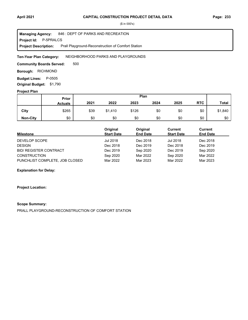**Project Id: P-5PRALCS** 846 : DEPT OF PARKS AND RECREATION Prall Playground-Reconstruction of Comfort Station **Managing Agency: Project Description:** 

NEIGHBORHOOD PARKS AND PLAYGROUNDS **Ten-Year Plan Category:** 

500 **Community Boards Served:** 

**Borough: RICHMOND** 

**Budget Lines: P-0505 Original Budget:** \$1,790

#### **Project Plan**

|                 |                | Plan<br>Prior |         |       |      |      |            |              |
|-----------------|----------------|---------------|---------|-------|------|------|------------|--------------|
|                 | <b>Actuals</b> | 2021          | 2022    | 2023  | 2024 | 2025 | <b>RTC</b> | <b>Total</b> |
| City            | \$265          | \$39          | \$1,410 | \$126 | \$0  | \$0  | \$0        | \$1,840      |
| <b>Non-City</b> | \$0            | \$0           | \$0     | \$0   | \$0  | \$0  | \$0        | \$0          |

| <b>Milestone</b>               | Original<br><b>Start Date</b> | Original<br><b>End Date</b> | Current<br><b>Start Date</b> | Current<br><b>End Date</b> |
|--------------------------------|-------------------------------|-----------------------------|------------------------------|----------------------------|
| DEVELOP SCOPE                  | Jul 2018                      | Dec 2018                    | <b>Jul 2018</b>              | Dec 2018                   |
| <b>DESIGN</b>                  | Dec 2018                      | Dec 2019                    | Dec 2018                     | Dec 2019                   |
| <b>BID/ REGISTER CONTRACT</b>  | Dec 2019                      | Sep 2020                    | Dec 2019                     | Sep 2020                   |
| <b>CONSTRUCTION</b>            | Sep 2020                      | Mar 2022                    | Sep 2020                     | Mar 2022                   |
| PUNCHLIST COMPLETE, JOB CLOSED | Mar 2022                      | Mar 2023                    | Mar 2022                     | Mar 2023                   |

#### **Explanation for Delay:**

#### **Project Location:**

#### **Scope Summary:**

PRALL PLAYGROUND-RECONSTRUCTION OF COMFORT STATION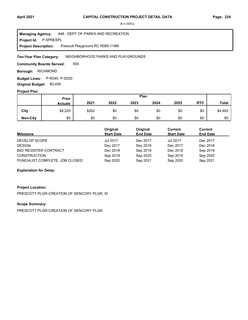**Project Id: P-5PRESPL** 846 : DEPT OF PARKS AND RECREATION Prescott Playground RC R085-118M **Managing Agency: Project Description:** 

NEIGHBORHOOD PARKS AND PLAYGROUNDS **Ten-Year Plan Category:** 

500 **Community Boards Served:** 

**Borough: RICHMOND** 

Budget Lines: P-R245 P-D020 **Original Budget:** \$5,456

#### **Project Plan**

|                 |                | Plan<br>Prior |      |      |      |      |            |              |
|-----------------|----------------|---------------|------|------|------|------|------------|--------------|
|                 | <b>Actuals</b> | 2021          | 2022 | 2023 | 2024 | 2025 | <b>RTC</b> | <b>Total</b> |
| City            | \$4,220        | \$262         | \$0  | \$0  | \$0  | \$0  | \$0        | \$4,482      |
| <b>Non-City</b> | \$0            | \$0           | \$0  | \$0  | \$0  | \$0  | \$0        | \$0          |

| <b>Milestone</b>               | Original<br><b>Start Date</b> | Original<br><b>End Date</b> | Current<br><b>Start Date</b> | Current<br><b>End Date</b> |
|--------------------------------|-------------------------------|-----------------------------|------------------------------|----------------------------|
| DEVELOP SCOPE                  | <b>Jul 2017</b>               | Dec 2017                    | <b>Jul 2017</b>              | Dec 2017                   |
| <b>DESIGN</b>                  | Dec 2017                      | Dec 2018                    | Dec 2017                     | Dec 2018                   |
| <b>BID/ REGISTER CONTRACT</b>  | Dec 2018                      | Sep 2019                    | Dec 2018                     | Sep 2019                   |
| <b>CONSTRUCTION</b>            | Sep 2019                      | Sep 2020                    | Sep 2019                     | Sep 2020                   |
| PUNCHLIST COMPLETE, JOB CLOSED | Sep 2020                      | Sep 2021                    | Sep 2020                     | Sep 2021                   |

#### **Explanation for Delay:**

#### **Project Location:**

PRESCOTT PLGR-CREATION OF SENCORY PLGR, SI

### **Scope Summary:**

PRESCOTT PLGR-CREATION OF SENCORY PLGR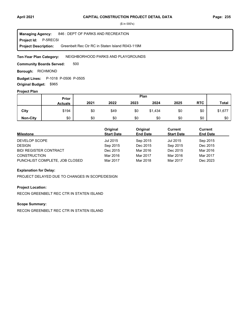**Project Id: P-5RECSI** 846 : DEPT OF PARKS AND RECREATION Greenbelt Rec Ctr RC in Staten Island R043-119M **Managing Agency: Project Description:** 

NEIGHBORHOOD PARKS AND PLAYGROUNDS **Ten-Year Plan Category:** 

500 **Community Boards Served:** 

**Borough: RICHMOND** 

**Budget Lines:** P-1018 P-0506 P-0505 **Original Budget:** \$965

#### **Project Plan**

|                 |                | Plan<br>Prior |      |      |         |      |            |              |
|-----------------|----------------|---------------|------|------|---------|------|------------|--------------|
|                 | <b>Actuals</b> | 2021          | 2022 | 2023 | 2024    | 2025 | <b>RTC</b> | <b>Total</b> |
| City            | \$194          | \$0           | \$49 | \$0  | \$1,434 | \$0  | \$0        | \$1,677      |
| <b>Non-City</b> | \$0            | \$0           | \$0  | \$0  | \$0     | \$0  | \$0        | \$0          |

| <b>Milestone</b>               | Original<br><b>Start Date</b> | Original<br><b>End Date</b> | Current<br><b>Start Date</b> | <b>Current</b><br><b>End Date</b> |
|--------------------------------|-------------------------------|-----------------------------|------------------------------|-----------------------------------|
| DEVELOP SCOPE                  | Jul 2015                      | Sep 2015                    | Jul 2015                     | Sep 2015                          |
| <b>DESIGN</b>                  | Sep 2015                      | Dec 2015                    | Sep 2015                     | Dec 2015                          |
| <b>BID/ REGISTER CONTRACT</b>  | Dec 2015                      | Mar 2016                    | Dec 2015                     | Mar 2016                          |
| <b>CONSTRUCTION</b>            | Mar 2016                      | Mar 2017                    | Mar 2016                     | Mar 2017                          |
| PUNCHLIST COMPLETE, JOB CLOSED | Mar 2017                      | Mar 2018                    | Mar 2017                     | Dec 2023                          |

#### **Explanation for Delay:**

PROJECT DELAYED DUE TO CHANGES IN SCOPE/DESIGN

#### **Project Location:**

RECON GREENBELT REC CTR IN STATEN ISLAND

### **Scope Summary:**

RECON GREENBELT REC CTR IN STATEN ISLAND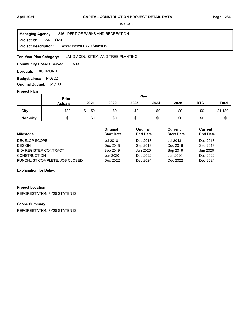**Project Id: P-5REFO20** 846 : DEPT OF PARKS AND RECREATION Reforestation FY20 Staten Is **Managing Agency: Project Description:** 

#### LAND ACQUISITION AND TREE PLANTING **Ten-Year Plan Category:**

500 **Community Boards Served:** 

**Borough: RICHMOND** 

**Budget Lines: P-0822** 

**Original Budget:** \$1,100

## **Project Plan**

|                 |                | Plan<br>Prior |      |      |      |      |            |              |
|-----------------|----------------|---------------|------|------|------|------|------------|--------------|
|                 | <b>Actuals</b> | 2021          | 2022 | 2023 | 2024 | 2025 | <b>RTC</b> | <b>Total</b> |
| City            | \$30           | \$1,150       | \$0  | \$0  | \$0  | \$0  | \$0        | \$1,180      |
| <b>Non-City</b> | \$0            | \$0           | \$0  | \$0  | \$0  | \$0  | \$0        | \$0          |

| <b>Milestone</b>               | Original<br><b>Start Date</b> | Original<br><b>End Date</b> | Current<br><b>Start Date</b> | Current<br><b>End Date</b> |
|--------------------------------|-------------------------------|-----------------------------|------------------------------|----------------------------|
| DEVELOP SCOPE                  | Jul 2018                      | Dec 2018                    | <b>Jul 2018</b>              | Dec 2018                   |
| <b>DESIGN</b>                  | Dec 2018                      | Sep 2019                    | Dec 2018                     | Sep 2019                   |
| <b>BID/ REGISTER CONTRACT</b>  | Sep 2019                      | Jun 2020                    | Sep 2019                     | Jun 2020                   |
| <b>CONSTRUCTION</b>            | Jun 2020                      | Dec 2022                    | Jun 2020                     | Dec 2022                   |
| PUNCHLIST COMPLETE, JOB CLOSED | Dec 2022                      | Dec 2024                    | Dec 2022                     | Dec 2024                   |

#### **Explanation for Delay:**

# **Project Location:**

REFORESTATION FY20 STATEN IS

### **Scope Summary:**

REFORESTATION FY20 STATEN IS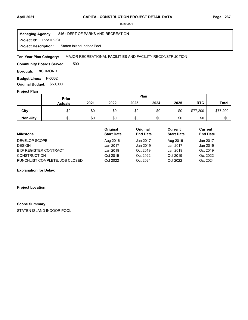#### **April 2021 Page: 237 CAPITAL CONSTRUCTION PROJECT DETAIL DATA**

(\$ in 000's)

**Project Id: P-5SIPOOL** 846 : DEPT OF PARKS AND RECREATION Staten Island Indoor Pool **Managing Agency: Project Description:** 

MAJOR RECREATIONAL FACILITIES AND FACILITY RECONSTRUCTION **Ten-Year Plan Category:** 

500 **Community Boards Served:** 

**Borough: RICHMOND** 

**Budget Lines: P-0632 Original Budget:** \$50,000

**Project Plan**

|                 |                | Plan<br>Prior |      |      |      |      |            |              |
|-----------------|----------------|---------------|------|------|------|------|------------|--------------|
|                 | <b>Actuals</b> | 2021          | 2022 | 2023 | 2024 | 2025 | <b>RTC</b> | <b>Total</b> |
| City            | \$0            | \$0           | \$0  | \$0  | \$0  | \$0  | \$77,200   | \$77,200     |
| <b>Non-City</b> | \$0            | \$0           | \$0  | \$0  | \$0  | \$0  | \$0        | \$0          |

| Milestone                      | Original<br><b>Start Date</b> | Original<br><b>End Date</b> | Current<br><b>Start Date</b> | Current<br><b>End Date</b> |
|--------------------------------|-------------------------------|-----------------------------|------------------------------|----------------------------|
| DEVELOP SCOPE                  | Aug 2016                      | Jan 2017                    | Aug 2016                     | Jan 2017                   |
| <b>DESIGN</b>                  | Jan 2017                      | Jan 2019                    | Jan 2017                     | Jan 2019                   |
| <b>BID/ REGISTER CONTRACT</b>  | Jan 2019                      | Oct 2019                    | Jan 2019                     | Oct 2019                   |
| <b>CONSTRUCTION</b>            | Oct 2019                      | Oct 2022                    | Oct 2019                     | Oct 2022                   |
| PUNCHLIST COMPLETE, JOB CLOSED | Oct 2022                      | Oct 2024                    | Oct 2022                     | Oct 2024                   |

**Explanation for Delay:**

**Project Location:**

#### **Scope Summary:**

STATEN ISLAND INDOOR POOL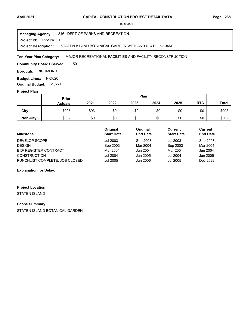**Project Id: P-5SIWETL** 846 : DEPT OF PARKS AND RECREATION STATEN ISLAND BOTANICAL GARDEN WETLAND RC/ R116-104M **Managing Agency: Project Description:** 

MAJOR RECREATIONAL FACILITIES AND FACILITY RECONSTRUCTION **Ten-Year Plan Category:** 

501 **Community Boards Served:** 

**Borough: RICHMOND** 

**Budget Lines: P-D020 Original Budget:** \$1,550

#### **Project Plan**

|                 | Plan<br><b>Prior</b> |      |      |      |      |      |            |              |
|-----------------|----------------------|------|------|------|------|------|------------|--------------|
|                 | <b>Actuals</b>       | 2021 | 2022 | 2023 | 2024 | 2025 | <b>RTC</b> | <b>Total</b> |
| City            | \$905                | \$93 | \$0  | \$0  | \$0  | \$0  | \$0        | \$998        |
| <b>Non-City</b> | \$302                | \$0  | \$0  | \$0  | \$0  | \$0  | \$0        | \$302        |

| <b>Milestone</b>               | Original<br><b>Start Date</b> | Original<br><b>End Date</b> | Current<br><b>Start Date</b> | Current<br><b>End Date</b> |
|--------------------------------|-------------------------------|-----------------------------|------------------------------|----------------------------|
| DEVELOP SCOPE                  | Jul 2003                      | Sep 2003                    | Jul 2003                     | Sep 2003                   |
| <b>DESIGN</b>                  | Sep 2003                      | Mar 2004                    | Sep 2003                     | Mar 2004                   |
| <b>BID/ REGISTER CONTRACT</b>  | Mar 2004                      | Jun 2004                    | Mar 2004                     | Jun 2004                   |
| <b>CONSTRUCTION</b>            | <b>Jul 2004</b>               | Jun 2005                    | <b>Jul 2004</b>              | Jun 2005                   |
| PUNCHLIST COMPLETE, JOB CLOSED | <b>Jul 2005</b>               | Jun 2006                    | Jul 2005                     | Dec 2022                   |

#### **Explanation for Delay:**

#### **Project Location:**

STATEN ISLAND

#### **Scope Summary:**

STATEN ISLAND BOTANICAL GARDEN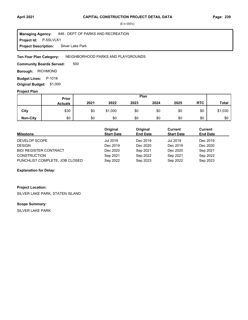#### **Project Id: P-5SLVLK1** 846 : DEPT OF PARKS AND RECREATION Silver Lake Park **Managing Agency: Project Description:**

#### NEIGHBORHOOD PARKS AND PLAYGROUNDS **Ten-Year Plan Category:**

500 **Community Boards Served:** 

**Borough: RICHMOND** 

**Budget Lines: P-1018** 

**Original Budget:** \$1,000

## **Project Plan**

|                 | Plan<br>Prior  |      |         |      |      |      |            |              |
|-----------------|----------------|------|---------|------|------|------|------------|--------------|
|                 | <b>Actuals</b> | 2021 | 2022    | 2023 | 2024 | 2025 | <b>RTC</b> | <b>Total</b> |
| City            | \$30           | \$0  | \$1,000 | \$0  | \$0  | \$0  | \$0        | \$1,030      |
| <b>Non-City</b> | \$0            | \$0  | \$0     | \$0  | \$0  | \$0  | \$0        | \$0          |

| Milestone                      | Original<br><b>Start Date</b> | Original<br><b>End Date</b> | Current<br><b>Start Date</b> | Current<br><b>End Date</b> |
|--------------------------------|-------------------------------|-----------------------------|------------------------------|----------------------------|
| DEVELOP SCOPE                  | Jul 2019                      | Dec 2019                    | <b>Jul 2019</b>              | Dec 2019                   |
| <b>DESIGN</b>                  | Dec 2019                      | Dec 2020                    | Dec 2019                     | Dec 2020                   |
| <b>BID/ REGISTER CONTRACT</b>  | Dec 2020                      | Sep 2021                    | Dec 2020                     | Sep 2021                   |
| <b>CONSTRUCTION</b>            | Sep 2021                      | Sep 2022                    | Sep 2021                     | Sep 2022                   |
| PUNCHLIST COMPLETE, JOB CLOSED | Sep 2022                      | Sep 2023                    | Sep 2022                     | Sep 2023                   |

#### **Explanation for Delay:**

#### **Project Location:**

SILVER LAKE PARK, STATEN ISLAND

### **Scope Summary:**

SILVER LAKE PARK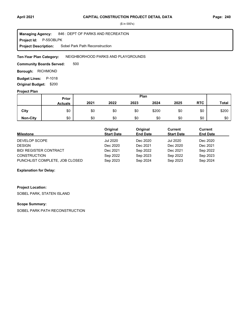**Project Id: P-5SOBLPK** 846 : DEPT OF PARKS AND RECREATION Sobel Park Path Reconstruction **Managing Agency: Project Description:** 

#### NEIGHBORHOOD PARKS AND PLAYGROUNDS **Ten-Year Plan Category:**

500 **Community Boards Served:** 

**Borough: RICHMOND** 

**Budget Lines: P-1018 Original Budget:** \$200

#### **Project Plan**

|                 |                | Plan<br>Prior |      |      |       |      |            |              |
|-----------------|----------------|---------------|------|------|-------|------|------------|--------------|
|                 | <b>Actuals</b> | 2021          | 2022 | 2023 | 2024  | 2025 | <b>RTC</b> | <b>Total</b> |
| City            | \$0            | \$0           | \$0  | \$0  | \$200 | \$0  | \$0        | \$200        |
| <b>Non-City</b> | \$0            | \$0           | \$0  | \$0  | \$0   | \$0  | \$0        | \$0          |

| <b>Milestone</b>               | Original<br><b>Start Date</b> | Original<br><b>End Date</b> | Current<br><b>Start Date</b> | Current<br><b>End Date</b> |
|--------------------------------|-------------------------------|-----------------------------|------------------------------|----------------------------|
| DEVELOP SCOPE                  | Jul 2020                      | Dec 2020                    | <b>Jul 2020</b>              | Dec 2020                   |
| <b>DESIGN</b>                  | Dec 2020                      | Dec 2021                    | Dec 2020                     | Dec 2021                   |
| <b>BID/ REGISTER CONTRACT</b>  | Dec 2021                      | Sep 2022                    | Dec 2021                     | Sep 2022                   |
| <b>CONSTRUCTION</b>            | Sep 2022                      | Sep 2023                    | Sep 2022                     | Sep 2023                   |
| PUNCHLIST COMPLETE, JOB CLOSED | Sep 2023                      | Sep 2024                    | Sep 2023                     | Sep 2024                   |

#### **Explanation for Delay:**

## **Project Location:**

SOBEL PARK, STATEN ISLAND

### **Scope Summary:**

SOBEL PARK PATH RECONSTRUCTION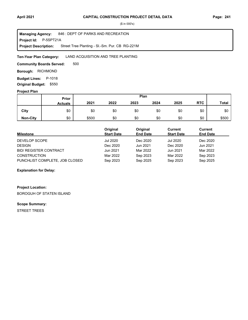**Project Id: P-5SPT21A** 846 : DEPT OF PARKS AND RECREATION Street Tree Planting - SI.-Sm. Pur. CB RG-221M **Managing Agency: Project Description:** 

LAND ACQUISITION AND TREE PLANTING **Ten-Year Plan Category:** 

500 **Community Boards Served:** 

**Borough: RICHMOND** 

**Budget Lines: P-1018** 

**Original Budget:** \$550

# **Project Plan**

|                 | Plan<br>Prior  |       |      |      |      |      |            |              |
|-----------------|----------------|-------|------|------|------|------|------------|--------------|
|                 | <b>Actuals</b> | 2021  | 2022 | 2023 | 2024 | 2025 | <b>RTC</b> | <b>Total</b> |
| City            | \$0            | \$0   | \$0  | \$0  | \$0  | \$0  | \$0        | \$0          |
| <b>Non-City</b> | \$0            | \$500 | \$0  | \$0  | \$0  | \$0  | \$0        | \$500        |

| <b>Milestone</b>               | Original<br><b>Start Date</b> | Original<br><b>End Date</b> | Current<br><b>Start Date</b> | Current<br><b>End Date</b> |
|--------------------------------|-------------------------------|-----------------------------|------------------------------|----------------------------|
| DEVELOP SCOPE                  | Jul 2020                      | Dec 2020                    | <b>Jul 2020</b>              | Dec 2020                   |
| <b>DESIGN</b>                  | Dec 2020                      | Jun 2021                    | Dec 2020                     | Jun 2021                   |
| <b>BID/ REGISTER CONTRACT</b>  | Jun 2021                      | Mar 2022                    | Jun 2021                     | Mar 2022                   |
| <b>CONSTRUCTION</b>            | Mar 2022                      | Sep 2023                    | Mar 2022                     | Sep 2023                   |
| PUNCHLIST COMPLETE, JOB CLOSED | Sep 2023                      | Sep 2025                    | Sep 2023                     | Sep 2025                   |

#### **Explanation for Delay:**

# **Project Location:**

BOROGUH OF STATEN ISLAND

#### **Scope Summary:**

STREET TREES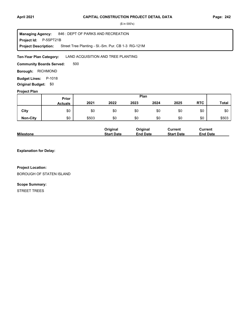**Project Id: P-5SPT21B** 846 : DEPT OF PARKS AND RECREATION Street Tree Planting - SI.-Sm. Pur. CB 1-3 RG-121M **Managing Agency: Project Description:** 

LAND ACQUISITION AND TREE PLANTING **Ten-Year Plan Category:** 

500 **Community Boards Served:** 

**Borough: RICHMOND** 

**Budget Lines: P-1018 Original Budget:** \$0

## **Project Plan**

|                 |                | Plan<br>Prior |      |      |      |      |            |              |
|-----------------|----------------|---------------|------|------|------|------|------------|--------------|
|                 | <b>Actuals</b> | 2021          | 2022 | 2023 | 2024 | 2025 | <b>RTC</b> | <b>Total</b> |
| City            | \$0            | \$0           | \$0  | \$0  | \$0  | \$0  | \$0        | \$0          |
| <b>Non-City</b> | \$0            | \$503         | \$0  | \$0  | \$0  | \$0  | \$0        | \$503        |

|                  | Original          | Original        | Current           | Current         |
|------------------|-------------------|-----------------|-------------------|-----------------|
| <b>Milestone</b> | <b>Start Date</b> | <b>End Date</b> | <b>Start Date</b> | <b>End Date</b> |

**Explanation for Delay:**

#### **Project Location:**

BOROUGH OF STATEN ISLAND

#### **Scope Summary:**

STREET TREES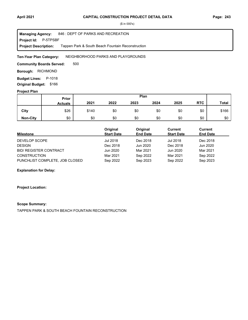**Project Id: P-5TPSBF** 846 : DEPT OF PARKS AND RECREATION Tappen Park & South Beach Fountain Reconstruction **Managing Agency: Project Description:** 

NEIGHBORHOOD PARKS AND PLAYGROUNDS **Ten-Year Plan Category:** 

500 **Community Boards Served:** 

**Borough: RICHMOND** 

**Budget Lines: P-1018 Original Budget:** \$166

#### **Project Plan**

|                 |                | Plan<br>Prior |      |      |      |      |            |              |
|-----------------|----------------|---------------|------|------|------|------|------------|--------------|
|                 | <b>Actuals</b> | 2021          | 2022 | 2023 | 2024 | 2025 | <b>RTC</b> | <b>Total</b> |
| City            | \$26           | \$140         | \$0  | \$0  | \$0  | \$0  | \$0        | \$166        |
| <b>Non-City</b> | \$0            | \$0           | \$0  | \$0  | \$0  | \$0  | \$0        | \$0          |

| <b>Milestone</b>               | Original<br><b>Start Date</b> | Original<br><b>End Date</b> | Current<br><b>Start Date</b> | <b>Current</b><br><b>End Date</b> |
|--------------------------------|-------------------------------|-----------------------------|------------------------------|-----------------------------------|
| DEVELOP SCOPE                  | Jul 2018                      | Dec 2018                    | <b>Jul 2018</b>              | Dec 2018                          |
| <b>DESIGN</b>                  | Dec 2018                      | Jun 2020                    | Dec 2018                     | Jun 2020                          |
| <b>BID/ REGISTER CONTRACT</b>  | Jun 2020                      | Mar 2021                    | Jun 2020                     | Mar 2021                          |
| <b>CONSTRUCTION</b>            | Mar 2021                      | Sep 2022                    | Mar 2021                     | Sep 2022                          |
| PUNCHLIST COMPLETE, JOB CLOSED | Sep 2022                      | Sep 2023                    | Sep 2022                     | Sep 2023                          |

#### **Explanation for Delay:**

**Project Location:**

#### **Scope Summary:**

TAPPEN PARK & SOUTH BEACH FOUNTAIN RECONSTRUCTION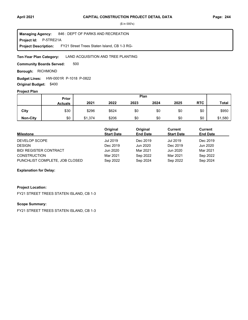**Project Id: P-5TRE21A** 846 : DEPT OF PARKS AND RECREATION FY21 Street Trees Staten Island, CB 1-3 RG-**Managing Agency: Project Description:** 

LAND ACQUISITION AND TREE PLANTING **Ten-Year Plan Category:** 

500 **Community Boards Served:** 

**Borough: RICHMOND** 

**Budget Lines: HW-0001R P-1018 P-0822 Original Budget:** \$400

#### **Project Plan**

|                 | Plan<br>Prior  |         |       |      |      |      |            |              |
|-----------------|----------------|---------|-------|------|------|------|------------|--------------|
|                 | <b>Actuals</b> | 2021    | 2022  | 2023 | 2024 | 2025 | <b>RTC</b> | <b>Total</b> |
| City            | \$30           | \$296   | \$624 | \$0  | \$0  | \$0  | \$0        | \$950        |
| <b>Non-City</b> | \$0            | \$1,374 | \$206 | \$0  | \$0  | \$0  | \$0        | \$1,580      |

| Milestone                      | Original<br><b>Start Date</b> | Original<br><b>End Date</b> | Current<br><b>Start Date</b> | Current<br><b>End Date</b> |
|--------------------------------|-------------------------------|-----------------------------|------------------------------|----------------------------|
| DEVELOP SCOPE                  | Jul 2019                      | Dec 2019                    | <b>Jul 2019</b>              | Dec 2019                   |
| <b>DESIGN</b>                  | Dec 2019                      | Jun 2020                    | Dec 2019                     | Jun 2020                   |
| <b>BID/ REGISTER CONTRACT</b>  | Jun 2020                      | Mar 2021                    | Jun 2020                     | Mar 2021                   |
| <b>CONSTRUCTION</b>            | Mar 2021                      | Sep 2022                    | Mar 2021                     | Sep 2022                   |
| PUNCHLIST COMPLETE, JOB CLOSED | Sep 2022                      | Sep 2024                    | Sep 2022                     | Sep 2024                   |

#### **Explanation for Delay:**

#### **Project Location:**

FY21 STREET TREES STATEN ISLAND, CB 1-3

#### **Scope Summary:**

FY21 STREET TREES STATEN ISLAND, CB 1-3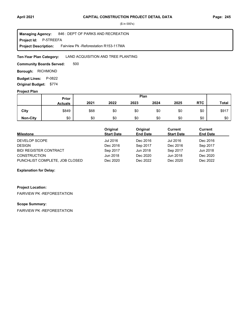**Project Id: P-5TREEFA** 846 : DEPT OF PARKS AND RECREATION Fairview Pk -Reforestation R153-117MA **Managing Agency: Project Description:** 

#### LAND ACQUISITION AND TREE PLANTING **Ten-Year Plan Category:**

500 **Community Boards Served:** 

**Borough: RICHMOND** 

**Budget Lines: P-0822 Original Budget:** \$774

#### **Project Plan**

|                 |                | Plan<br><b>Prior</b> |      |      |      |      |            |              |
|-----------------|----------------|----------------------|------|------|------|------|------------|--------------|
|                 | <b>Actuals</b> | 2021                 | 2022 | 2023 | 2024 | 2025 | <b>RTC</b> | <b>Total</b> |
| City            | \$849          | \$68                 | \$0  | \$0  | \$0  | \$0  | \$0        | \$917        |
| <b>Non-City</b> | \$0            | \$0                  | \$0  | \$0  | \$0  | \$0  | \$0        | \$0          |

| <b>Milestone</b>               | Original<br><b>Start Date</b> | Original<br><b>End Date</b> | Current<br><b>Start Date</b> | <b>Current</b><br><b>End Date</b> |
|--------------------------------|-------------------------------|-----------------------------|------------------------------|-----------------------------------|
| DEVELOP SCOPE                  | Jul 2016                      | Dec 2016                    | Jul 2016                     | Dec 2016                          |
| <b>DESIGN</b>                  | Dec 2016                      | Sep 2017                    | Dec 2016                     | Sep 2017                          |
| <b>BID/ REGISTER CONTRACT</b>  | Sep 2017                      | Jun 2018                    | Sep 2017                     | Jun 2018                          |
| <b>CONSTRUCTION</b>            | Jun 2018                      | Dec 2020                    | Jun 2018                     | Dec 2020                          |
| PUNCHLIST COMPLETE, JOB CLOSED | Dec 2020                      | Dec 2022                    | Dec 2020                     | Dec 2022                          |

#### **Explanation for Delay:**

# **Project Location:**

FAIRVIEW PK -REFORESTATION

#### **Scope Summary:**

FAIRVIEW PK -REFORESTATION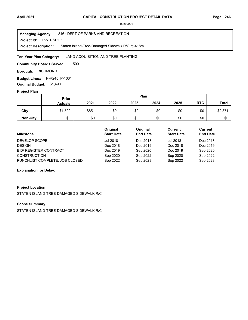**Project Id: P-5TRSD19** 846 : DEPT OF PARKS AND RECREATION Staten Island-Tree-Damaged Sidewalk R/C rg-418m **Managing Agency: Project Description:** 

LAND ACQUISITION AND TREE PLANTING **Ten-Year Plan Category:** 

500 **Community Boards Served:** 

**Borough: RICHMOND** 

**Budget Lines:** P-R245 P-1331

**Original Budget:** \$1,490

# **Project Plan**

|                 | Plan<br>Prior  |       |      |      |      |      |            |              |
|-----------------|----------------|-------|------|------|------|------|------------|--------------|
|                 | <b>Actuals</b> | 2021  | 2022 | 2023 | 2024 | 2025 | <b>RTC</b> | <b>Total</b> |
| City            | \$1,520        | \$851 | \$0  | \$0  | \$0  | \$0  | \$0        | \$2,371      |
| <b>Non-City</b> | \$0            | \$0   | \$0  | \$0  | \$0  | \$0  | \$0        | \$0          |

| <b>Milestone</b>               | Original<br><b>Start Date</b> | Original<br><b>End Date</b> | Current<br><b>Start Date</b> | Current<br><b>End Date</b> |
|--------------------------------|-------------------------------|-----------------------------|------------------------------|----------------------------|
| DEVELOP SCOPE                  | Jul 2018                      | Dec 2018                    | <b>Jul 2018</b>              | Dec 2018                   |
| <b>DESIGN</b>                  | Dec 2018                      | Dec 2019                    | Dec 2018                     | Dec 2019                   |
| <b>BID/ REGISTER CONTRACT</b>  | Dec 2019                      | Sep 2020                    | Dec 2019                     | Sep 2020                   |
| <b>CONSTRUCTION</b>            | Sep 2020                      | Sep 2022                    | Sep 2020                     | Sep 2022                   |
| PUNCHLIST COMPLETE, JOB CLOSED | Sep 2022                      | Sep 2023                    | Sep 2022                     | Sep 2023                   |

#### **Explanation for Delay:**

#### **Project Location:**

STATEN ISLAND-TREE-DAMAGED SIDEWALK R/C

#### **Scope Summary:**

STATEN ISLAND-TREE-DAMAGED SIDEWALK R/C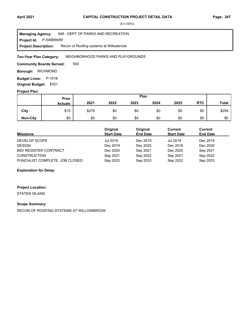**Project Id: P-5WBRKRF** 846 : DEPT OF PARKS AND RECREATION Recon of Roofing systems at Willowbrook **Managing Agency: Project Description:** 

NEIGHBORHOOD PARKS AND PLAYGROUNDS **Ten-Year Plan Category:** 

500 **Community Boards Served:** 

**Borough: RICHMOND** 

**Budget Lines: P-1018 Original Budget:** \$321

#### **Project Plan**

|                 |                | Plan<br>Prior |      |      |      |      |            |              |
|-----------------|----------------|---------------|------|------|------|------|------------|--------------|
|                 | <b>Actuals</b> | 2021          | 2022 | 2023 | 2024 | 2025 | <b>RTC</b> | <b>Total</b> |
| City            | \$15           | \$279         | \$0  | \$0  | \$0  | \$0  | \$0        | \$294        |
| <b>Non-City</b> | \$0            | \$0           | \$0  | \$0  | \$0  | \$0  | \$0        | \$0          |

| <b>Milestone</b>               | Original<br><b>Start Date</b> | Original<br><b>End Date</b> | Current<br><b>Start Date</b> | Current<br><b>End Date</b> |
|--------------------------------|-------------------------------|-----------------------------|------------------------------|----------------------------|
| DEVELOP SCOPE                  | Jul 2019                      | Dec 2019                    | <b>Jul 2019</b>              | Dec 2019                   |
| <b>DESIGN</b>                  | Dec 2019                      | Dec 2020                    | Dec 2019                     | Dec 2020                   |
| <b>BID/ REGISTER CONTRACT</b>  | Dec 2020                      | Sep 2021                    | Dec 2020                     | Sep 2021                   |
| <b>CONSTRUCTION</b>            | Sep 2021                      | Sep 2022                    | Sep 2021                     | Sep 2022                   |
| PUNCHLIST COMPLETE, JOB CLOSED | Sep 2022                      | Sep 2023                    | Sep 2022                     | Sep 2023                   |

**Explanation for Delay:**

#### **Project Location:**

STATEN ISLAND

#### **Scope Summary:**

RECON OF ROOFING SYSTEMS AT WILLOWBROOK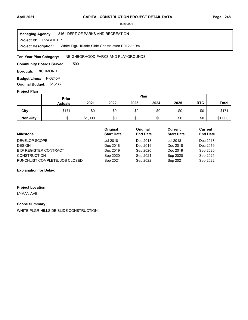**Project Id: P-5WHITEP** 846 : DEPT OF PARKS AND RECREATION White Plgr-Hillside Slide Construction R012-119m **Managing Agency: Project Description:** 

NEIGHBORHOOD PARKS AND PLAYGROUNDS **Ten-Year Plan Category:** 

500 **Community Boards Served:** 

**Borough: RICHMOND** 

**Budget Lines: P-0245R Original Budget:** \$1,236

#### **Project Plan**

|                 |                | Plan<br>Prior |      |      |      |      |            |              |
|-----------------|----------------|---------------|------|------|------|------|------------|--------------|
|                 | <b>Actuals</b> | 2021          | 2022 | 2023 | 2024 | 2025 | <b>RTC</b> | <b>Total</b> |
| City            | \$171          | \$0           | \$0  | \$0  | \$0  | \$0  | \$0        | \$171        |
| <b>Non-City</b> | \$0            | \$1,000       | \$0  | \$0  | \$0  | \$0  | \$0        | \$1,000      |

| <b>Milestone</b>               | Original<br><b>Start Date</b> | Original<br><b>End Date</b> | Current<br><b>Start Date</b> | Current<br><b>End Date</b> |
|--------------------------------|-------------------------------|-----------------------------|------------------------------|----------------------------|
| DEVELOP SCOPE                  | Jul 2018                      | Dec 2018                    | <b>Jul 2018</b>              | Dec 2018                   |
| <b>DESIGN</b>                  | Dec 2018                      | Dec 2019                    | Dec 2018                     | Dec 2019                   |
| <b>BID/ REGISTER CONTRACT</b>  | Dec 2019                      | Sep 2020                    | Dec 2019                     | Sep 2020                   |
| <b>CONSTRUCTION</b>            | Sep 2020                      | Sep 2021                    | Sep 2020                     | Sep 2021                   |
| PUNCHLIST COMPLETE, JOB CLOSED | Sep 2021                      | Sep 2022                    | Sep 2021                     | Sep 2022                   |

#### **Explanation for Delay:**

#### **Project Location:**

LYMAN AVE

## **Scope Summary:**

WHITE PLGR-HILLSIDE SLIDE CONSTRUCTION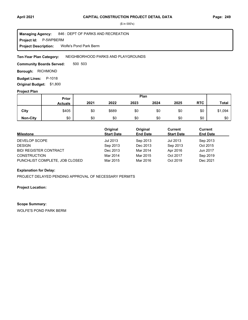**Project Id: P-5WPBERM** 846 : DEPT OF PARKS AND RECREATION Wolfe's Pond Park Berm **Managing Agency: Project Description:** 

NEIGHBORHOOD PARKS AND PLAYGROUNDS **Ten-Year Plan Category:** 

500 503 **Community Boards Served:** 

**Borough: RICHMOND** 

**Budget Lines: P-1018** 

**Original Budget:** \$1,800

# **Project Plan**

|                 |                | Plan<br>Prior |       |      |      |      |            |              |
|-----------------|----------------|---------------|-------|------|------|------|------------|--------------|
|                 | <b>Actuals</b> | 2021          | 2022  | 2023 | 2024 | 2025 | <b>RTC</b> | <b>Total</b> |
| City            | \$405          | \$0           | \$689 | \$0  | \$0  | \$0  | \$0        | \$1,094      |
| <b>Non-City</b> | \$0            | \$0           | \$0   | \$0  | \$0  | \$0  | \$0        | \$0          |

| <b>Milestone</b>               | Original<br><b>Start Date</b> | Original<br><b>End Date</b> | Current<br><b>Start Date</b> | Current<br><b>End Date</b> |
|--------------------------------|-------------------------------|-----------------------------|------------------------------|----------------------------|
| DEVELOP SCOPE                  | Jul 2013                      | Sep 2013                    | Jul 2013                     | Sep 2013                   |
| <b>DESIGN</b>                  | Sep 2013                      | Dec 2013                    | Sep 2013                     | Oct 2015                   |
| <b>BID/ REGISTER CONTRACT</b>  | Dec 2013                      | Mar 2014                    | Apr 2016                     | Jun 2017                   |
| <b>CONSTRUCTION</b>            | Mar 2014                      | Mar 2015                    | Oct 2017                     | Sep 2019                   |
| PUNCHLIST COMPLETE, JOB CLOSED | Mar 2015                      | Mar 2016                    | Oct 2019                     | Dec 2021                   |

#### **Explanation for Delay:**

PROJECT DELAYED PENDING APPROVAL OF NECESSARY PERMITS

#### **Project Location:**

#### **Scope Summary:**

WOLFE'S POND PARK BERM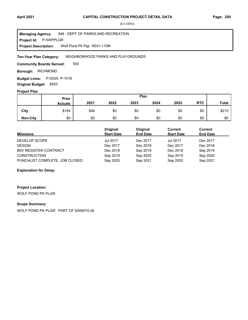**Project Id: P-5WPPLGR** 846 : DEPT OF PARKS AND RECREATION Wolf Pond Pk Plgr R031-115M **Managing Agency: Project Description:** 

NEIGHBORHOOD PARKS AND PLAYGROUNDS **Ten-Year Plan Category:** 

500 **Community Boards Served:** 

**Borough: RICHMOND** 

**Budget Lines:** P-D020 P-1018 **Original Budget:** \$552

## **Project Plan**

|                 |                | Plan<br>Prior |      |      |      |      |            |              |
|-----------------|----------------|---------------|------|------|------|------|------------|--------------|
|                 | <b>Actuals</b> | 2021          | 2022 | 2023 | 2024 | 2025 | <b>RTC</b> | <b>Total</b> |
| City            | \$164          | \$46          | \$0  | \$0  | \$0  | \$0  | \$0        | \$210        |
| <b>Non-City</b> | \$0            | \$0           | \$0  | \$0  | \$0  | \$0  | \$0        | \$0          |

| <b>Milestone</b>               | Original<br><b>Start Date</b> | Original<br><b>End Date</b> | Current<br><b>Start Date</b> | Current<br><b>End Date</b> |
|--------------------------------|-------------------------------|-----------------------------|------------------------------|----------------------------|
| DEVELOP SCOPE                  | <b>Jul 2017</b>               | Dec 2017                    | <b>Jul 2017</b>              | Dec 2017                   |
| <b>DESIGN</b>                  | Dec 2017                      | Dec 2018                    | Dec 2017                     | Dec 2018                   |
| <b>BID/ REGISTER CONTRACT</b>  | Dec 2018                      | Sep 2019                    | Dec 2018                     | Sep 2019                   |
| <b>CONSTRUCTION</b>            | Sep 2019                      | Sep 2020                    | Sep 2019                     | Sep 2020                   |
| PUNCHLIST COMPLETE, JOB CLOSED | Sep 2020                      | Sep 2021                    | Sep 2020                     | Sep 2021                   |

#### **Explanation for Delay:**

**Project Location:**

WOLF POND PK PLGR

# **Scope Summary:**

WOLF POND PK PLGR PART OF SANDY5-26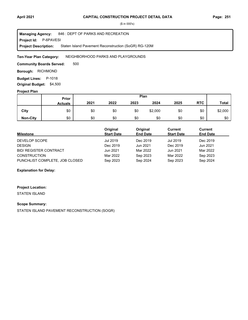**Project Id: P-6PAVESI** 846 : DEPT OF PARKS AND RECREATION Staten Island Pavement Reconstruction (SoGR) RG-120M **Managing Agency: Project Description:** 

NEIGHBORHOOD PARKS AND PLAYGROUNDS **Ten-Year Plan Category:** 

500 **Community Boards Served:** 

**Borough: RICHMOND** 

**Budget Lines: P-1018 Original Budget:** \$4,500

#### **Project Plan**

|                 |                | Plan<br>Prior |      |      |         |      |            |              |
|-----------------|----------------|---------------|------|------|---------|------|------------|--------------|
|                 | <b>Actuals</b> | 2021          | 2022 | 2023 | 2024    | 2025 | <b>RTC</b> | <b>Total</b> |
| City            | \$0            | \$0           | \$0  | \$0  | \$2,000 | \$0  | \$0        | \$2,000      |
| <b>Non-City</b> | \$0            | \$0           | \$0  | \$0  | \$0     | \$0  | \$0        | \$0          |

| Milestone                      | Original<br><b>Start Date</b> | Original<br><b>End Date</b> | Current<br><b>Start Date</b> | Current<br><b>End Date</b> |
|--------------------------------|-------------------------------|-----------------------------|------------------------------|----------------------------|
| DEVELOP SCOPE                  | Jul 2019                      | Dec 2019                    | Jul 2019                     | Dec 2019                   |
| <b>DESIGN</b>                  | Dec 2019                      | Jun 2021                    | Dec 2019                     | Jun 2021                   |
| <b>BID/ REGISTER CONTRACT</b>  | Jun 2021                      | Mar 2022                    | Jun 2021                     | Mar 2022                   |
| <b>CONSTRUCTION</b>            | Mar 2022                      | Sep 2023                    | Mar 2022                     | Sep 2023                   |
| PUNCHLIST COMPLETE, JOB CLOSED | Sep 2023                      | Sep 2024                    | Sep 2023                     | Sep 2024                   |

**Explanation for Delay:**

# **Project Location:**

STATEN ISLAND

## **Scope Summary:**

STATEN ISLAND PAVEMENT RECONSTRUCTION (SOGR)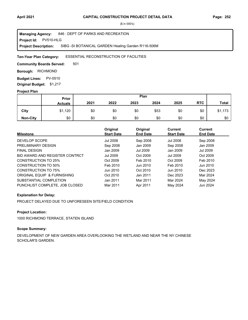**Project Id: PV510-HLG** 846 : DEPT OF PARKS AND RECREATION SIBG -SI BOTANICAL GARDEN Healing Garden R116-506M **Managing Agency: Project Description:** 

#### ESSENTIAL RECONSTRUCTION OF FACILITIES **Ten-Year Plan Category:**

501 **Community Boards Served:** 

**Borough: RICHMOND** 

**Budget Lines: PV-0510 Original Budget:** \$1,217

#### **Project Plan**

|                 |                | Plan<br>Prior |      |      |      |      |            |              |
|-----------------|----------------|---------------|------|------|------|------|------------|--------------|
|                 | <b>Actuals</b> | 2021          | 2022 | 2023 | 2024 | 2025 | <b>RTC</b> | <b>Total</b> |
| City            | \$1,120        | \$0           | \$0  | \$0  | \$53 | \$0  | \$0        | \$1,173      |
| <b>Non-City</b> | \$0            | \$0           | \$0  | \$0  | \$0  | \$0  | \$0        | \$0          |

| <b>Milestone</b>               | Original<br><b>Start Date</b> | Original<br><b>End Date</b> | Current<br><b>Start Date</b> | Current<br><b>End Date</b> |
|--------------------------------|-------------------------------|-----------------------------|------------------------------|----------------------------|
| DEVELOP SCOPE                  | Jul 2008                      | Sep 2008                    | <b>Jul 2008</b>              | Sep 2008                   |
| PRELIMINARY DESIGN             | Sep 2008                      | Jan 2009                    | Sep 2008                     | Jan 2009                   |
| <b>FINAL DESIGN</b>            | Jan 2009                      | Jul 2009                    | Jan 2009                     | Jul 2009                   |
| BID AWARD AND REGISTER CONTRCT | Jul 2009                      | Oct 2009                    | Jul 2009                     | Oct 2009                   |
| CONSTRUCTION TO 25%            | Oct 2009                      | Feb 2010                    | Oct 2009                     | Feb 2010                   |
| CONSTRUCTION TO 50%            | Feb 2010                      | Jun 2010                    | Feb 2010                     | Jun 2010                   |
| <b>CONSTRUCTION TO 75%</b>     | Jun 2010                      | Oct 2010                    | Jun 2010                     | Dec 2023                   |
| ORIGINAL EQUIP & FURNISHING    | Oct 2010                      | Jan 2011                    | Dec 2023                     | Mar 2024                   |
| SUBSTANTIAL COMPLETION         | Jan 2011                      | Mar 2011                    | Mar 2024                     | May 2024                   |
| PUNCHLIST COMPLETE, JOB CLOSED | Mar 2011                      | Apr 2011                    | May 2024                     | Jun 2024                   |

#### **Explanation for Delay:**

PROJECT DELAYED DUE TO UNFORESEEN SITE/FIELD CONDITION

# **Project Location:**

1000 RICHMOND TERRACE, STATEN ISLAND

## **Scope Summary:**

DEVELOPMENT OF NEW GARDEN AREA OVERLOOKING THE WETLAND AND NEAR THE NY CHINESE SCHOLAR'S GARDEN.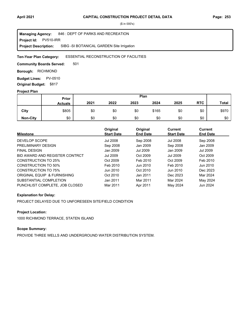**Project Id: PV510-IRR** 846 : DEPT OF PARKS AND RECREATION SIBG -SI BOTANICAL GARDEN Site Irrigation **Managing Agency: Project Description:** 

#### ESSENTIAL RECONSTRUCTION OF FACILITIES **Ten-Year Plan Category:**

501 **Community Boards Served:** 

**Borough: RICHMOND** 

**Budget Lines: PV-0510 Original Budget:** \$817

#### **Project Plan**

|                 |                | Plan<br>Prior |      |      |       |      |            |              |
|-----------------|----------------|---------------|------|------|-------|------|------------|--------------|
|                 | <b>Actuals</b> | 2021          | 2022 | 2023 | 2024  | 2025 | <b>RTC</b> | <b>Total</b> |
| City            | \$805          | \$0           | \$0  | \$0  | \$165 | \$0  | \$0        | \$970        |
| <b>Non-City</b> | \$0            | \$0           | \$0  | \$0  | \$0   | \$0  | \$0        | \$0          |

| <b>Milestone</b>               | Original<br><b>Start Date</b> | Original<br><b>End Date</b> | Current<br><b>Start Date</b> | Current<br><b>End Date</b> |
|--------------------------------|-------------------------------|-----------------------------|------------------------------|----------------------------|
| DEVELOP SCOPE                  | Jul 2008                      | Sep 2008                    | <b>Jul 2008</b>              | Sep 2008                   |
| PRELIMINARY DESIGN             | Sep 2008                      | Jan 2009                    | Sep 2008                     | Jan 2009                   |
| <b>FINAL DESIGN</b>            | Jan 2009                      | Jul 2009                    | Jan 2009                     | Jul 2009                   |
| BID AWARD AND REGISTER CONTRCT | Jul 2009                      | Oct 2009                    | Jul 2009                     | Oct 2009                   |
| CONSTRUCTION TO 25%            | Oct 2009                      | Feb 2010                    | Oct 2009                     | Feb 2010                   |
| CONSTRUCTION TO 50%            | Feb 2010                      | Jun 2010                    | Feb 2010                     | Jun 2010                   |
| <b>CONSTRUCTION TO 75%</b>     | Jun 2010                      | Oct 2010                    | Jun 2010                     | Dec 2023                   |
| ORIGINAL EQUIP & FURNISHING    | Oct 2010                      | Jan 2011                    | Dec 2023                     | Mar 2024                   |
| SUBSTANTIAL COMPLETION         | Jan 2011                      | Mar 2011                    | Mar 2024                     | May 2024                   |
| PUNCHLIST COMPLETE, JOB CLOSED | Mar 2011                      | Apr 2011                    | May 2024                     | Jun 2024                   |

#### **Explanation for Delay:**

PROJECT DELAYED DUE TO UNFORESEEN SITE/FIELD CONDITION

# **Project Location:**

1000 RICHMOND TERRACE, STATEN ISLAND

# **Scope Summary:**

PROVIDE THREE WELLS AND UNDERGROUND WATER DISTRIBUTION SYSTEM.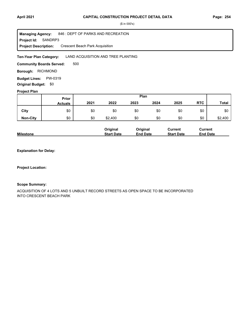#### **April 2021 Page: 254 CAPITAL CONSTRUCTION PROJECT DETAIL DATA**

(\$ in 000's)

**Project Id: SANDRP3** 846 : DEPT OF PARKS AND RECREATION Crescent Beach Park Acquisition **Managing Agency: Project Description:** 

LAND ACQUISITION AND TREE PLANTING **Ten-Year Plan Category:** 

500 **Community Boards Served:** 

**Borough: RICHMOND** 

**Budget Lines: PW-0319 Original Budget:** \$0

## **Project Plan**

|                 |                | Plan<br>Prior |         |      |      |      |            |              |
|-----------------|----------------|---------------|---------|------|------|------|------------|--------------|
|                 | <b>Actuals</b> | 2021          | 2022    | 2023 | 2024 | 2025 | <b>RTC</b> | <b>Total</b> |
| City            | \$0            | \$0           | \$0     | \$0  | \$0  | \$0  | \$0        | \$0          |
| <b>Non-City</b> | \$0            | \$0           | \$2,400 | \$0  | \$0  | \$0  | \$0        | \$2,400      |

|                  | <b>Original</b>   | Original        | Current           | Current         |
|------------------|-------------------|-----------------|-------------------|-----------------|
| <b>Milestone</b> | <b>Start Date</b> | <b>End Date</b> | <b>Start Date</b> | <b>End Date</b> |

**Explanation for Delay:**

**Project Location:**

#### **Scope Summary:**

ACQUISITION OF 4 LOTS AND 5 UNBUILT RECORD STREETS AS OPEN SPACE TO BE INCORPORATED INTO CRESCENT BEACH PARK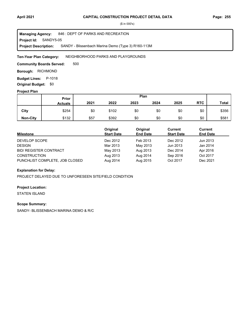**Project Id: SANDY5-05** 846 : DEPT OF PARKS AND RECREATION SANDY - Blissenbach Marina Demo (Type 3) R160-113M **Managing Agency: Project Description:** 

NEIGHBORHOOD PARKS AND PLAYGROUNDS **Ten-Year Plan Category:** 

500 **Community Boards Served:** 

**Borough: RICHMOND** 

**Budget Lines: P-1018 Original Budget:** \$0

## **Project Plan**

|                 | Plan<br>Prior  |      |       |      |      |      |            |              |
|-----------------|----------------|------|-------|------|------|------|------------|--------------|
|                 | <b>Actuals</b> | 2021 | 2022  | 2023 | 2024 | 2025 | <b>RTC</b> | <b>Total</b> |
| City            | \$254          | \$0  | \$102 | \$0  | \$0  | \$0  | \$0        | \$356        |
| <b>Non-City</b> | \$132          | \$57 | \$392 | \$0  | \$0  | \$0  | \$0        | \$581        |

| <b>Milestone</b>               | Original<br><b>Start Date</b> | Original<br><b>End Date</b> | Current<br><b>Start Date</b> | Current<br><b>End Date</b> |
|--------------------------------|-------------------------------|-----------------------------|------------------------------|----------------------------|
| DEVELOP SCOPE                  | Dec 2012                      | Feb 2013                    | Dec 2012                     | Jun 2013                   |
| <b>DESIGN</b>                  | Mar 2013                      | May 2013                    | Jun 2013                     | Jan 2014                   |
| <b>BID/ REGISTER CONTRACT</b>  | May 2013                      | Aug 2013                    | Dec 2014                     | Apr 2016                   |
| <b>CONSTRUCTION</b>            | Aug 2013                      | Aug 2014                    | Sep 2016                     | Oct 2017                   |
| PUNCHLIST COMPLETE, JOB CLOSED | Aug 2014                      | Aug 2015                    | Oct 2017                     | Dec 2021                   |

#### **Explanation for Delay:**

PROJECT DELAYED DUE TO UNFORESEEN SITE/FIELD CONDITION

#### **Project Location:**

STATEN ISLAND

#### **Scope Summary:**

SANDY- BLISSENBACH MARINA DEMO & R/C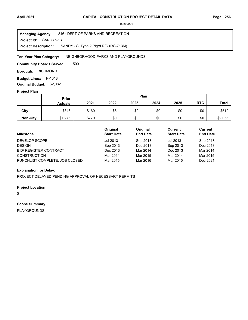**Project Id: SANDY5-13** 846 : DEPT OF PARKS AND RECREATION SANDY - SI Type 2 Plgrd R/C (RG-713M) **Managing Agency: Project Description:** 

NEIGHBORHOOD PARKS AND PLAYGROUNDS **Ten-Year Plan Category:** 

500 **Community Boards Served:** 

**Borough: RICHMOND** 

**Budget Lines: P-1018** 

**Original Budget:** \$2,082

# **Project Plan**

|                 | Plan<br>Prior  |       |      |      |      |      |            |              |
|-----------------|----------------|-------|------|------|------|------|------------|--------------|
|                 | <b>Actuals</b> | 2021  | 2022 | 2023 | 2024 | 2025 | <b>RTC</b> | <b>Total</b> |
| City            | \$346          | \$160 | \$6  | \$0  | \$0  | \$0  | \$0        | \$512        |
| <b>Non-City</b> | \$1,276        | \$779 | \$0  | \$0  | \$0  | \$0  | \$0        | \$2,055      |

| <b>Milestone</b>               | Original<br><b>Start Date</b> | Original<br><b>End Date</b> | Current<br><b>Start Date</b> | Current<br><b>End Date</b> |
|--------------------------------|-------------------------------|-----------------------------|------------------------------|----------------------------|
| DEVELOP SCOPE                  | Jul 2013                      | Sep 2013                    | Jul 2013                     | Sep 2013                   |
| <b>DESIGN</b>                  | Sep 2013                      | Dec 2013                    | Sep 2013                     | Dec 2013                   |
| <b>BID/ REGISTER CONTRACT</b>  | Dec 2013                      | Mar 2014                    | Dec 2013                     | Mar 2014                   |
| <b>CONSTRUCTION</b>            | Mar 2014                      | Mar 2015                    | Mar 2014                     | Mar 2015                   |
| PUNCHLIST COMPLETE, JOB CLOSED | Mar 2015                      | Mar 2016                    | Mar 2015                     | Dec 2021                   |

# **Explanation for Delay:**

PROJECT DELAYED PENDING APPROVAL OF NECESSARY PERMITS

#### **Project Location:**

SI

#### **Scope Summary:**

PLAYGROUNDS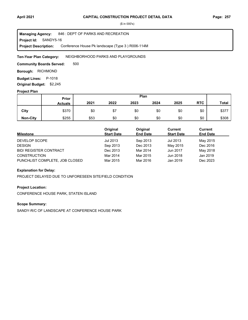**Project Id: SANDY5-16** 846 : DEPT OF PARKS AND RECREATION Conference House Pk landscape (Type 3 ) R006-114M **Managing Agency: Project Description:** 

NEIGHBORHOOD PARKS AND PLAYGROUNDS **Ten-Year Plan Category:** 

500 **Community Boards Served:** 

**Borough: RICHMOND** 

**Budget Lines: P-1018 Original Budget:** \$2,245

#### **Project Plan**

|                 |                | Plan<br><b>Prior</b> |      |      |      |      |            |              |
|-----------------|----------------|----------------------|------|------|------|------|------------|--------------|
|                 | <b>Actuals</b> | 2021                 | 2022 | 2023 | 2024 | 2025 | <b>RTC</b> | <b>Total</b> |
| City            | \$370          | \$0                  | \$7  | \$0  | \$0  | \$0  | \$0        | \$377        |
| <b>Non-City</b> | \$255          | \$53                 | \$0  | \$0  | \$0  | \$0  | \$0        | \$308        |

| <b>Milestone</b>               | Original<br><b>Start Date</b> | Original<br><b>End Date</b> | Current<br><b>Start Date</b> | Current<br><b>End Date</b> |
|--------------------------------|-------------------------------|-----------------------------|------------------------------|----------------------------|
| DEVELOP SCOPE                  | Jul 2013                      | Sep 2013                    | Jul 2013                     | May 2015                   |
| <b>DESIGN</b>                  | Sep 2013                      | Dec 2013                    | May 2015                     | Dec 2016                   |
| <b>BID/ REGISTER CONTRACT</b>  | Dec 2013                      | Mar 2014                    | Jun 2017                     | May 2018                   |
| <b>CONSTRUCTION</b>            | Mar 2014                      | Mar 2015                    | Jun 2018                     | Jan 2019                   |
| PUNCHLIST COMPLETE, JOB CLOSED | Mar 2015                      | Mar 2016                    | Jan 2019                     | Dec 2023                   |

#### **Explanation for Delay:**

PROJECT DELAYED DUE TO UNFORESEEN SITE/FIELD CONDITION

#### **Project Location:**

CONFERENCE HOUSE PARK, STATEN ISLAND

## **Scope Summary:**

SANDY-R/C OF LANDSCAPE AT CONFERENCE HOUSE PARK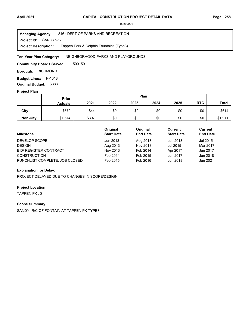**Project Id: SANDY5-17** 846 : DEPT OF PARKS AND RECREATION Tappen Park & Dolphin Fountains (Type3) **Managing Agency: Project Description:** 

NEIGHBORHOOD PARKS AND PLAYGROUNDS **Ten-Year Plan Category:** 

500 501 **Community Boards Served:** 

**Borough: RICHMOND** 

**Budget Lines: P-1018** 

**Original Budget:** \$383

# **Project Plan**

|                 | Plan<br>Prior  |       |      |      |      |      |            |              |
|-----------------|----------------|-------|------|------|------|------|------------|--------------|
|                 | <b>Actuals</b> | 2021  | 2022 | 2023 | 2024 | 2025 | <b>RTC</b> | <b>Total</b> |
| City            | \$570          | \$44  | \$0  | \$0  | \$0  | \$0  | \$0        | \$614        |
| <b>Non-City</b> | \$1,514        | \$397 | \$0  | \$0  | \$0  | \$0  | \$0        | \$1,911      |

| <b>Milestone</b>               | Original<br><b>Start Date</b> | Original<br><b>End Date</b> | Current<br><b>Start Date</b> | Current<br><b>End Date</b> |
|--------------------------------|-------------------------------|-----------------------------|------------------------------|----------------------------|
| DEVELOP SCOPE                  | Jun 2013                      | Aug 2013                    | Jun 2013                     | Jul 2015                   |
| <b>DESIGN</b>                  | Aug 2013                      | Nov 2013                    | Jul 2015                     | Mar 2017                   |
| <b>BID/ REGISTER CONTRACT</b>  | Nov 2013                      | Feb 2014                    | Apr 2017                     | Jun 2017                   |
| <b>CONSTRUCTION</b>            | Feb 2014                      | Feb 2015                    | Jun 2017                     | Jun 2018                   |
| PUNCHLIST COMPLETE, JOB CLOSED | Feb 2015                      | Feb 2016                    | Jun 2018                     | Jun 2021                   |

#### **Explanation for Delay:**

PROJECT DELAYED DUE TO CHANGES IN SCOPE/DESIGN

#### **Project Location:**

TAPPEN PK , SI

# **Scope Summary:**

SANDY- R/C OF FONTAIN AT TAPPEN PK TYPE3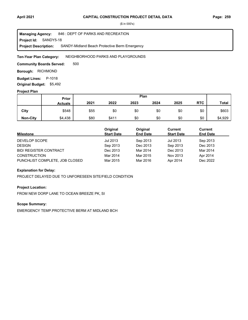**Project Id: SANDY5-18** 846 : DEPT OF PARKS AND RECREATION SANDY-Midland Beach Protective Berm Emergency **Managing Agency: Project Description:** 

NEIGHBORHOOD PARKS AND PLAYGROUNDS **Ten-Year Plan Category:** 

500 **Community Boards Served:** 

**Borough: RICHMOND** 

**Budget Lines: P-1018 Original Budget:** \$5,492

#### **Project Plan**

|                 |                | Plan<br>Prior |       |      |      |      |            |              |
|-----------------|----------------|---------------|-------|------|------|------|------------|--------------|
|                 | <b>Actuals</b> | 2021          | 2022  | 2023 | 2024 | 2025 | <b>RTC</b> | <b>Total</b> |
| City            | \$548          | \$55          | \$0   | \$0  | \$0  | \$0  | \$0        | \$603        |
| <b>Non-City</b> | \$4,438        | \$80          | \$411 | \$0  | \$0  | \$0  | \$0        | \$4,929      |

| <b>Milestone</b>               | Original<br><b>Start Date</b> | Original<br><b>End Date</b> | Current<br><b>Start Date</b> | Current<br><b>End Date</b> |
|--------------------------------|-------------------------------|-----------------------------|------------------------------|----------------------------|
| DEVELOP SCOPE                  | Jul 2013                      | Sep 2013                    | Jul 2013                     | Sep 2013                   |
| <b>DESIGN</b>                  | Sep 2013                      | Dec 2013                    | Sep 2013                     | Dec 2013                   |
| <b>BID/ REGISTER CONTRACT</b>  | Dec 2013                      | Mar 2014                    | Dec 2013                     | Mar 2014                   |
| <b>CONSTRUCTION</b>            | Mar 2014                      | Mar 2015                    | Nov 2013                     | Apr 2014                   |
| PUNCHLIST COMPLETE, JOB CLOSED | Mar 2015                      | Mar 2016                    | Apr 2014                     | Dec 2022                   |

#### **Explanation for Delay:**

PROJECT DELAYED DUE TO UNFORESEEN SITE/FIELD CONDITION

#### **Project Location:**

FROM NEW DORP LANE TO OCEAN BREEZE PK, SI

## **Scope Summary:**

EMERGENCY TEMP.PROTECTIVE BERM AT MIDLAND BCH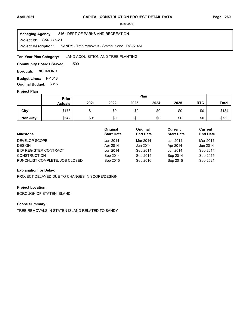**Project Id: SANDY5-20** 846 : DEPT OF PARKS AND RECREATION SANDY - Tree removals - Staten Island RG-614M **Managing Agency: Project Description:** 

LAND ACQUISITION AND TREE PLANTING **Ten-Year Plan Category:** 

500 **Community Boards Served:** 

**Borough: RICHMOND** 

**Budget Lines: P-1018 Original Budget:** \$815

#### **Project Plan**

|                 |                | Plan<br>Prior |      |      |      |      |            |              |
|-----------------|----------------|---------------|------|------|------|------|------------|--------------|
|                 | <b>Actuals</b> | 2021          | 2022 | 2023 | 2024 | 2025 | <b>RTC</b> | <b>Total</b> |
| City            | \$173          | \$11          | \$0  | \$0  | \$0  | \$0  | \$0        | \$184        |
| <b>Non-City</b> | \$642          | \$91          | \$0  | \$0  | \$0  | \$0  | \$0        | \$733        |

| <b>Milestone</b>               | Original<br><b>Start Date</b> | Original<br><b>End Date</b> | Current<br><b>Start Date</b> | Current<br><b>End Date</b> |
|--------------------------------|-------------------------------|-----------------------------|------------------------------|----------------------------|
| DEVELOP SCOPE                  | Jan 2014                      | Mar 2014                    | Jan 2014                     | Mar 2014                   |
| <b>DESIGN</b>                  | Apr 2014                      | Jun 2014                    | Apr 2014                     | Jun 2014                   |
| <b>BID/ REGISTER CONTRACT</b>  | Jun 2014                      | Sep 2014                    | Jun 2014                     | Sep 2014                   |
| <b>CONSTRUCTION</b>            | Sep 2014                      | Sep 2015                    | Sep 2014                     | Sep 2015                   |
| PUNCHLIST COMPLETE, JOB CLOSED | Sep 2015                      | Sep 2016                    | Sep 2015                     | Sep 2021                   |

#### **Explanation for Delay:**

PROJECT DELAYED DUE TO CHANGES IN SCOPE/DESIGN

#### **Project Location:**

BOROUGH OF STATEN ISLAND

#### **Scope Summary:**

TREE REMOVALS IN STATEN ISLAND RELATED TO SANDY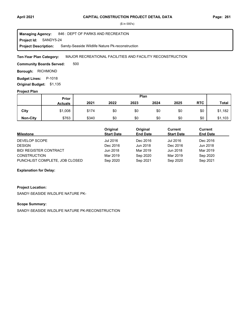#### **April 2021 Page: 261 CAPITAL CONSTRUCTION PROJECT DETAIL DATA**

(\$ in 000's)

**Project Id: SANDY5-24** 846 : DEPT OF PARKS AND RECREATION Sandy-Seaside Wildlife Nature Pk-reconstruction **Managing Agency: Project Description:** 

MAJOR RECREATIONAL FACILITIES AND FACILITY RECONSTRUCTION **Ten-Year Plan Category:** 

500 **Community Boards Served:** 

**Borough: RICHMOND** 

**Budget Lines: P-1018 Original Budget:** \$1,135

**Project Plan**

#### \$174 \$340 \$0 \$0 \$0 \$0 \$0 \$0 \$0 **Non-City** | \$763 | \$340 \$0 \$0 \$0 \$0 **City Prior Actuals 2021 2022 2023 2024 2025** \$0 \$0 **RTC** \$1,182 \$1,103 **Total Plan** \$1,008 \$763

| Milestone                      | Original<br><b>Start Date</b> | Original<br><b>End Date</b> | Current<br><b>Start Date</b> | <b>Current</b><br><b>End Date</b> |
|--------------------------------|-------------------------------|-----------------------------|------------------------------|-----------------------------------|
| DEVELOP SCOPE                  | Jul 2016                      | Dec 2016                    | Jul 2016                     | Dec 2016                          |
| <b>DESIGN</b>                  | Dec 2016                      | Jun 2018                    | Dec 2016                     | Jun 2018                          |
| <b>BID/ REGISTER CONTRACT</b>  | Jun 2018                      | Mar 2019                    | Jun 2018                     | Mar 2019                          |
| <b>CONSTRUCTION</b>            | Mar 2019                      | Sep 2020                    | Mar 2019                     | Sep 2020                          |
| PUNCHLIST COMPLETE, JOB CLOSED | Sep 2020                      | Sep 2021                    | Sep 2020                     | Sep 2021                          |

#### **Explanation for Delay:**

# **Project Location:**

SANDY-SEASIDE WILDLIFE NATURE PK-

#### **Scope Summary:**

SANDY-SEASIDE WILDLIFE NATURE PK-RECONSTRUCTION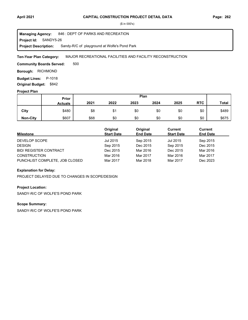**Project Id: SANDY5-26** 846 : DEPT OF PARKS AND RECREATION Sandy-R/C of playground at Wolfe's Pond Park **Managing Agency: Project Description:** 

MAJOR RECREATIONAL FACILITIES AND FACILITY RECONSTRUCTION **Ten-Year Plan Category:** 

500 **Community Boards Served:** 

**Borough: RICHMOND** 

**Budget Lines: P-1018 Original Budget:** \$842

#### **Project Plan**

|                 |                | Plan<br><b>Prior</b> |      |      |      |      |            |              |
|-----------------|----------------|----------------------|------|------|------|------|------------|--------------|
|                 | <b>Actuals</b> | 2021                 | 2022 | 2023 | 2024 | 2025 | <b>RTC</b> | <b>Total</b> |
| City            | \$480          | \$8                  | \$1  | \$0  | \$0  | \$0  | \$0        | \$489        |
| <b>Non-City</b> | \$607          | \$68                 | \$0  | \$0  | \$0  | \$0  | \$0        | \$675        |

| <b>Milestone</b>               | Original<br><b>Start Date</b> | Original<br><b>End Date</b> | Current<br><b>Start Date</b> | Current<br><b>End Date</b> |
|--------------------------------|-------------------------------|-----------------------------|------------------------------|----------------------------|
| DEVELOP SCOPE                  | Jul 2015                      | Sep 2015                    | Jul 2015                     | Sep 2015                   |
| <b>DESIGN</b>                  | Sep 2015                      | Dec 2015                    | Sep 2015                     | Dec 2015                   |
| <b>BID/ REGISTER CONTRACT</b>  | Dec 2015                      | Mar 2016                    | Dec 2015                     | Mar 2016                   |
| <b>CONSTRUCTION</b>            | Mar 2016                      | Mar 2017                    | Mar 2016                     | Mar 2017                   |
| PUNCHLIST COMPLETE, JOB CLOSED | Mar 2017                      | Mar 2018                    | Mar 2017                     | Dec 2023                   |

#### **Explanation for Delay:**

PROJECT DELAYED DUE TO CHANGES IN SCOPE/DESIGN

#### **Project Location:**

SANDY-R/C OF WOLFE'S POND PARK

# **Scope Summary:**

SANDY-R/C OF WOLFE'S POND PARK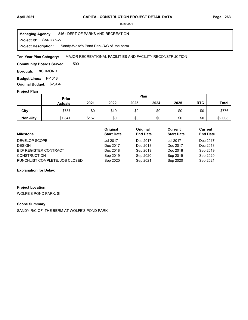#### **April 2021 Page: 263 CAPITAL CONSTRUCTION PROJECT DETAIL DATA**

(\$ in 000's)

**Project Id: SANDY5-27** 846 : DEPT OF PARKS AND RECREATION Sandy-Wolfe's Pond Park-R/C of the berm **Managing Agency: Project Description:** 

MAJOR RECREATIONAL FACILITIES AND FACILITY RECONSTRUCTION **Ten-Year Plan Category:** 

500 **Community Boards Served:** 

**Borough: RICHMOND** 

**Budget Lines: P-1018 Original Budget:** \$2,964

#### **Project Plan**

|                 |                | Plan<br>Prior |      |      |      |      |            |              |
|-----------------|----------------|---------------|------|------|------|------|------------|--------------|
|                 | <b>Actuals</b> | 2021          | 2022 | 2023 | 2024 | 2025 | <b>RTC</b> | <b>Total</b> |
| City            | \$757          | \$0           | \$19 | \$0  | \$0  | \$0  | \$0        | \$776        |
| <b>Non-City</b> | \$1,841        | \$167         | \$0  | \$0  | \$0  | \$0  | \$0        | \$2,008      |

| <b>Milestone</b>               | Original<br><b>Start Date</b> | Original<br><b>End Date</b> | Current<br><b>Start Date</b> | Current<br><b>End Date</b> |
|--------------------------------|-------------------------------|-----------------------------|------------------------------|----------------------------|
| DEVELOP SCOPE                  | <b>Jul 2017</b>               | Dec 2017                    | <b>Jul 2017</b>              | Dec 2017                   |
| <b>DESIGN</b>                  | Dec 2017                      | Dec 2018                    | Dec 2017                     | Dec 2018                   |
| <b>BID/ REGISTER CONTRACT</b>  | Dec 2018                      | Sep 2019                    | Dec 2018                     | Sep 2019                   |
| <b>CONSTRUCTION</b>            | Sep 2019                      | Sep 2020                    | Sep 2019                     | Sep 2020                   |
| PUNCHLIST COMPLETE, JOB CLOSED | Sep 2020                      | Sep 2021                    | Sep 2020                     | Sep 2021                   |

#### **Explanation for Delay:**

**Project Location:**

WOLFE'S POND PARK, SI

## **Scope Summary:**

SANDY-R/C OF THE BERM AT WOLFE'S POND PARK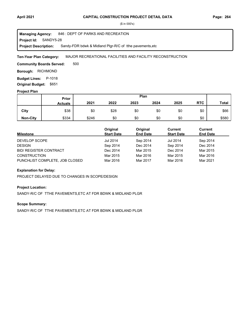**Project Id: SANDY5-28** 846 : DEPT OF PARKS AND RECREATION Sandy-FDR bdwk & Midland Plgr-R/C of tthe pavements,etc **Managing Agency: Project Description:** 

MAJOR RECREATIONAL FACILITIES AND FACILITY RECONSTRUCTION **Ten-Year Plan Category:** 

500 **Community Boards Served:** 

**Borough: RICHMOND** 

**Budget Lines: P-1018 Original Budget:** \$651

#### **Project Plan**

|                 |                | Plan<br><b>Prior</b> |      |      |      |      |            |              |
|-----------------|----------------|----------------------|------|------|------|------|------------|--------------|
|                 | <b>Actuals</b> | 2021                 | 2022 | 2023 | 2024 | 2025 | <b>RTC</b> | <b>Total</b> |
| City            | \$38           | \$0                  | \$28 | \$0  | \$0  | \$0  | \$0        | \$66         |
| <b>Non-City</b> | \$334          | \$246                | \$0  | \$0  | \$0  | \$0  | \$0        | \$580        |

| <b>Milestone</b>               | Original<br><b>Start Date</b> | Original<br><b>End Date</b> | Current<br><b>Start Date</b> | Current<br><b>End Date</b> |
|--------------------------------|-------------------------------|-----------------------------|------------------------------|----------------------------|
| DEVELOP SCOPE                  | <b>Jul 2014</b>               | Sep 2014                    | <b>Jul 2014</b>              | Sep 2014                   |
| <b>DESIGN</b>                  | Sep 2014                      | Dec 2014                    | Sep 2014                     | Dec 2014                   |
| <b>BID/ REGISTER CONTRACT</b>  | Dec 2014                      | Mar 2015                    | Dec 2014                     | Mar 2015                   |
| <b>CONSTRUCTION</b>            | Mar 2015                      | Mar 2016                    | Mar 2015                     | Mar 2016                   |
| PUNCHLIST COMPLETE, JOB CLOSED | Mar 2016                      | Mar 2017                    | Mar 2016                     | Mar 2021                   |

#### **Explanation for Delay:**

PROJECT DELAYED DUE TO CHANGES IN SCOPE/DESIGN

#### **Project Location:**

SANDY-R/C OF TTHE PAVEMENTS,ETC AT FDR BDWK & MIDLAND PLGR

## **Scope Summary:**

SANDY-R/C OF TTHE PAVEMENTS,ETC AT FDR BDWK & MIDLAND PLGR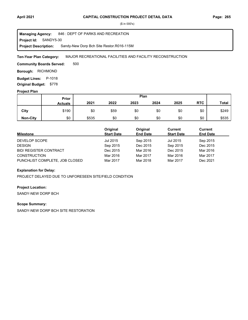**Project Id: SANDY5-30** 846 : DEPT OF PARKS AND RECREATION Sandy-New Dorp Bch Site Restor.R016-115M **Managing Agency: Project Description:** 

MAJOR RECREATIONAL FACILITIES AND FACILITY RECONSTRUCTION **Ten-Year Plan Category:** 

500 **Community Boards Served:** 

**Borough: RICHMOND** 

**Budget Lines: P-1018 Original Budget:** \$778

#### **Project Plan**

|                 |                | Plan<br>Prior |      |      |      |      |            |              |
|-----------------|----------------|---------------|------|------|------|------|------------|--------------|
|                 | <b>Actuals</b> | 2021          | 2022 | 2023 | 2024 | 2025 | <b>RTC</b> | <b>Total</b> |
| City            | \$190          | \$0           | \$59 | \$0  | \$0  | \$0  | \$0        | \$249        |
| <b>Non-City</b> | \$0            | \$535         | \$0  | \$0  | \$0  | \$0  | \$0        | \$535        |

| <b>Milestone</b>               | Original<br><b>Start Date</b> | Original<br><b>End Date</b> | Current<br><b>Start Date</b> | Current<br><b>End Date</b> |
|--------------------------------|-------------------------------|-----------------------------|------------------------------|----------------------------|
| DEVELOP SCOPE                  | Jul 2015                      | Sep 2015                    | Jul 2015                     | Sep 2015                   |
| <b>DESIGN</b>                  | Sep 2015                      | Dec 2015                    | Sep 2015                     | Dec 2015                   |
| <b>BID/ REGISTER CONTRACT</b>  | Dec 2015                      | Mar 2016                    | Dec 2015                     | Mar 2016                   |
| <b>CONSTRUCTION</b>            | Mar 2016                      | Mar 2017                    | Mar 2016                     | Mar 2017                   |
| PUNCHLIST COMPLETE, JOB CLOSED | Mar 2017                      | Mar 2018                    | Mar 2017                     | Dec 2021                   |

#### **Explanation for Delay:**

PROJECT DELAYED DUE TO UNFORESEEN SITE/FIELD CONDITION

#### **Project Location:**

SANDY-NEW DORP BCH

#### **Scope Summary:**

SANDY-NEW DORP BCH SITE RESTORATION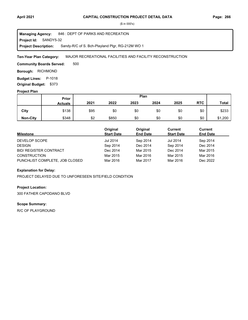**Project Id: SANDY5-32** 846 : DEPT OF PARKS AND RECREATION Sandy-R/C of S. Bch-Playland Plgr, RG-212M WO 1 **Managing Agency: Project Description:** 

MAJOR RECREATIONAL FACILITIES AND FACILITY RECONSTRUCTION **Ten-Year Plan Category:** 

500 **Community Boards Served:** 

**Borough: RICHMOND** 

**Budget Lines: P-1018 Original Budget:** \$373

#### **Project Plan**

|                 | <b>Prior</b>   |      |       |      | Plan |      |            |              |
|-----------------|----------------|------|-------|------|------|------|------------|--------------|
|                 | <b>Actuals</b> | 2021 | 2022  | 2023 | 2024 | 2025 | <b>RTC</b> | <b>Total</b> |
| City            | \$138          | \$95 | \$0   | \$0  | \$0  | \$0  | \$0        | \$233        |
| <b>Non-City</b> | \$348          | \$2  | \$850 | \$0  | \$0  | \$0  | \$0        | \$1,200      |

| <b>Milestone</b>               | Original<br><b>Start Date</b> | Original<br><b>End Date</b> | Current<br><b>Start Date</b> | Current<br><b>End Date</b> |
|--------------------------------|-------------------------------|-----------------------------|------------------------------|----------------------------|
| DEVELOP SCOPE                  | <b>Jul 2014</b>               | Sep 2014                    | <b>Jul 2014</b>              | Sep 2014                   |
| <b>DESIGN</b>                  | Sep 2014                      | Dec 2014                    | Sep 2014                     | Dec 2014                   |
| <b>BID/ REGISTER CONTRACT</b>  | Dec 2014                      | Mar 2015                    | Dec 2014                     | Mar 2015                   |
| <b>CONSTRUCTION</b>            | Mar 2015                      | Mar 2016                    | Mar 2015                     | Mar 2016                   |
| PUNCHLIST COMPLETE, JOB CLOSED | Mar 2016                      | Mar 2017                    | Mar 2016                     | Dec 2022                   |

#### **Explanation for Delay:**

PROJECT DELAYED DUE TO UNFORESEEN SITE/FIELD CONDITION

#### **Project Location:**

300 FATHER CAPODANO BLVD

## **Scope Summary:**

R/C OF PLAYGROUND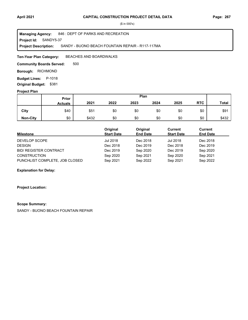**Project Id: SANDY5-37** 846 : DEPT OF PARKS AND RECREATION SANDY - BUONO BEACH FOUNTAIN REPAIR - R117-117MA **Managing Agency: Project Description:** 

BEACHES AND BOARDWALKS **Ten-Year Plan Category:** 

500 **Community Boards Served:** 

**Borough: RICHMOND** 

**Budget Lines: P-1018 Original Budget:** \$381

#### **Project Plan**

|                 | Plan<br>Prior  |       |      |      |      |      |            |              |
|-----------------|----------------|-------|------|------|------|------|------------|--------------|
|                 | <b>Actuals</b> | 2021  | 2022 | 2023 | 2024 | 2025 | <b>RTC</b> | <b>Total</b> |
| City            | \$40           | \$51  | \$0  | \$0  | \$0  | \$0  | \$0        | \$91         |
| <b>Non-City</b> | \$0            | \$432 | \$0  | \$0  | \$0  | \$0  | \$0        | \$432        |

| <b>Milestone</b>               | Original<br><b>Start Date</b> | Original<br><b>End Date</b> | Current<br><b>Start Date</b> | Current<br><b>End Date</b> |
|--------------------------------|-------------------------------|-----------------------------|------------------------------|----------------------------|
| DEVELOP SCOPE                  | Jul 2018                      | Dec 2018                    | <b>Jul 2018</b>              | Dec 2018                   |
| <b>DESIGN</b>                  | Dec 2018                      | Dec 2019                    | Dec 2018                     | Dec 2019                   |
| <b>BID/ REGISTER CONTRACT</b>  | Dec 2019                      | Sep 2020                    | Dec 2019                     | Sep 2020                   |
| <b>CONSTRUCTION</b>            | Sep 2020                      | Sep 2021                    | Sep 2020                     | Sep 2021                   |
| PUNCHLIST COMPLETE, JOB CLOSED | Sep 2021                      | Sep 2022                    | Sep 2021                     | Sep 2022                   |

#### **Explanation for Delay:**

#### **Project Location:**

#### **Scope Summary:**

SANDY - BUONO BEACH FOUNTAIN REPAIR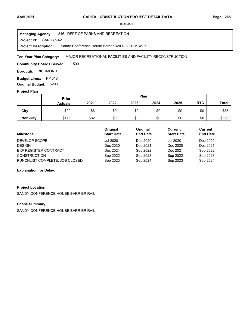**Project Id: SANDY5-42** 846 : DEPT OF PARKS AND RECREATION Sandy-Conference House Barrier Rail RG-212M WO6 **Managing Agency: Project Description:** 

MAJOR RECREATIONAL FACILITIES AND FACILITY RECONSTRUCTION **Ten-Year Plan Category:** 

500 **Community Boards Served:** 

**Borough: RICHMOND** 

**Budget Lines: P-1018 Original Budget:** \$293

#### **Project Plan**

|                 | Plan<br>Prior  |      |      |      |      |      |            |              |
|-----------------|----------------|------|------|------|------|------|------------|--------------|
|                 | <b>Actuals</b> | 2021 | 2022 | 2023 | 2024 | 2025 | <b>RTC</b> | <b>Total</b> |
| City            | \$29           | \$6  | \$0  | \$0  | \$0  | \$0  | \$0        | \$35         |
| <b>Non-City</b> | \$176          | \$82 | \$0  | \$0  | \$0  | \$0  | \$0        | \$258        |

| <b>Milestone</b>               | Original<br><b>Start Date</b> | Original<br><b>End Date</b> | Current<br><b>Start Date</b> | Current<br><b>End Date</b> |
|--------------------------------|-------------------------------|-----------------------------|------------------------------|----------------------------|
| DEVELOP SCOPE                  | Jul 2020                      | Dec 2020                    | <b>Jul 2020</b>              | Dec 2020                   |
| <b>DESIGN</b>                  | Dec 2020                      | Dec 2021                    | Dec 2020                     | Dec 2021                   |
| <b>BID/ REGISTER CONTRACT</b>  | Dec 2021                      | Sep 2022                    | Dec 2021                     | Sep 2022                   |
| <b>CONSTRUCTION</b>            | Sep 2022                      | Sep 2023                    | Sep 2022                     | Sep 2023                   |
| PUNCHLIST COMPLETE, JOB CLOSED | Sep 2023                      | Sep 2024                    | Sep 2023                     | Sep 2024                   |

#### **Explanation for Delay:**

#### **Project Location:**

SANDY-CONFERENCE HOUSE BARRIER RAIL

## **Scope Summary:**

SANDY-CONFERENCE HOUSE BARRIER RAIL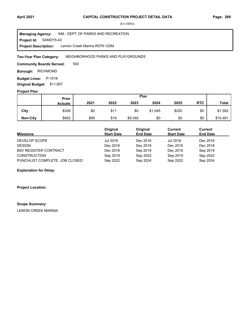**Project Id: SANDY5-43** 846 : DEPT OF PARKS AND RECREATION Lemon Creek Marina R079-120M **Managing Agency: Project Description:** 

NEIGHBORHOOD PARKS AND PLAYGROUNDS **Ten-Year Plan Category:** 

500 **Community Boards Served:** 

**Borough: RICHMOND** 

**Budget Lines: P-1018 Original Budget:** \$11,807

#### **Project Plan**

|                 | Plan<br>Prior  |      |      |         |         |       |            |              |
|-----------------|----------------|------|------|---------|---------|-------|------------|--------------|
|                 | <b>Actuals</b> | 2021 | 2022 | 2023    | 2024    | 2025  | <b>RTC</b> | <b>Total</b> |
| City            | \$306          | \$0  | \$11 | \$0     | \$1,045 | \$220 | \$0        | \$1,582      |
| <b>Non-City</b> | \$952          | \$99 | \$18 | \$9,392 | \$0     | \$0   | \$0        | \$10,461     |

| <b>Milestone</b>               | Original<br><b>Start Date</b> | Original<br><b>End Date</b> | Current<br><b>Start Date</b> | Current<br><b>End Date</b> |
|--------------------------------|-------------------------------|-----------------------------|------------------------------|----------------------------|
| DEVELOP SCOPE                  | Jul 2016                      | Dec 2016                    | Jul 2016                     | Dec 2016                   |
| <b>DESIGN</b>                  | Dec 2016                      | Dec 2018                    | Dec 2016                     | Dec 2018                   |
| <b>BID/ REGISTER CONTRACT</b>  | Dec 2018                      | Sep 2019                    | Dec 2018                     | Sep 2019                   |
| <b>CONSTRUCTION</b>            | Sep 2019                      | Sep 2022                    | Sep 2019                     | Sep 2022                   |
| PUNCHLIST COMPLETE, JOB CLOSED | Sep 2022                      | Sep 2024                    | Sep 2022                     | Sep 2024                   |

#### **Explanation for Delay:**

**Project Location:**

#### **Scope Summary:**

LEMON CREEK MARINA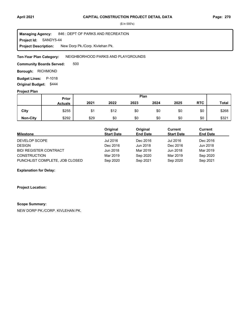**Project Id: SANDY5-44** 846 : DEPT OF PARKS AND RECREATION New Dorp Pk./Corp. Kivlehan Pk. **Managing Agency: Project Description:** 

#### NEIGHBORHOOD PARKS AND PLAYGROUNDS **Ten-Year Plan Category:**

500 **Community Boards Served:** 

**Borough: RICHMOND** 

**Budget Lines: P-1018 Original Budget:** \$444

#### **Project Plan**

|                 | Plan<br>Prior  |      |      |      |      |      |            |              |
|-----------------|----------------|------|------|------|------|------|------------|--------------|
|                 | <b>Actuals</b> | 2021 | 2022 | 2023 | 2024 | 2025 | <b>RTC</b> | <b>Total</b> |
| City            | \$255          | \$1  | \$12 | \$0  | \$0  | \$0  | \$0        | \$268        |
| <b>Non-City</b> | \$292          | \$29 | \$0  | \$0  | \$0  | \$0  | \$0        | \$321        |

| <b>Milestone</b>               | Original<br><b>Start Date</b> | Original<br><b>End Date</b> | Current<br><b>Start Date</b> | <b>Current</b><br><b>End Date</b> |
|--------------------------------|-------------------------------|-----------------------------|------------------------------|-----------------------------------|
| DEVELOP SCOPE                  | Jul 2016                      | Dec 2016                    | Jul 2016                     | Dec 2016                          |
| <b>DESIGN</b>                  | Dec 2016                      | Jun 2018                    | Dec 2016                     | Jun 2018                          |
| <b>BID/ REGISTER CONTRACT</b>  | Jun 2018                      | Mar 2019                    | Jun 2018                     | Mar 2019                          |
| <b>CONSTRUCTION</b>            | Mar 2019                      | Sep 2020                    | Mar 2019                     | Sep 2020                          |
| PUNCHLIST COMPLETE, JOB CLOSED | Sep 2020                      | Sep 2021                    | Sep 2020                     | Sep 2021                          |

#### **Explanation for Delay:**

#### **Project Location:**

#### **Scope Summary:**

NEW DORP PK./CORP. KIVLEHAN PK.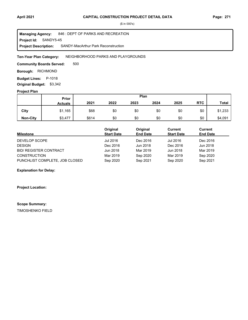**Project Id: SANDY5-45** 846 : DEPT OF PARKS AND RECREATION SANDY-MacArthur Park Reconstruction **Managing Agency: Project Description:** 

NEIGHBORHOOD PARKS AND PLAYGROUNDS **Ten-Year Plan Category:** 

500 **Community Boards Served:** 

**Borough: RICHMOND** 

**Budget Lines: P-1018 Original Budget:** \$3,342

#### **Project Plan**

|                 | Plan<br>Prior  |       |      |      |      |      |            |              |
|-----------------|----------------|-------|------|------|------|------|------------|--------------|
|                 | <b>Actuals</b> | 2021  | 2022 | 2023 | 2024 | 2025 | <b>RTC</b> | <b>Total</b> |
| City            | \$1,165        | \$68  | \$0  | \$0  | \$0  | \$0  | \$0        | \$1,233      |
| <b>Non-City</b> | \$3,477        | \$614 | \$0  | \$0  | \$0  | \$0  | \$0        | \$4,091      |

| <b>Milestone</b>               | Original<br><b>Start Date</b> | Original<br><b>End Date</b> | Current<br><b>Start Date</b> | Current<br><b>End Date</b> |
|--------------------------------|-------------------------------|-----------------------------|------------------------------|----------------------------|
| DEVELOP SCOPE                  | Jul 2016                      | Dec 2016                    | Jul 2016                     | Dec 2016                   |
| <b>DESIGN</b>                  | Dec 2016                      | Jun 2018                    | Dec 2016                     | Jun 2018                   |
| <b>BID/ REGISTER CONTRACT</b>  | Jun 2018                      | Mar 2019                    | Jun 2018                     | Mar 2019                   |
| <b>CONSTRUCTION</b>            | Mar 2019                      | Sep 2020                    | Mar 2019                     | Sep 2020                   |
| PUNCHLIST COMPLETE, JOB CLOSED | Sep 2020                      | Sep 2021                    | Sep 2020                     | Sep 2021                   |

#### **Explanation for Delay:**

**Project Location:**

#### **Scope Summary:**

TIMOSHENKO FIELD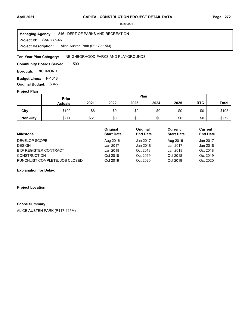**Project Id: SANDY5-46** 846 : DEPT OF PARKS AND RECREATION Alice Austen Park (R117-115M) **Managing Agency: Project Description:** 

NEIGHBORHOOD PARKS AND PLAYGROUNDS **Ten-Year Plan Category:** 

500 **Community Boards Served:** 

**Borough: RICHMOND** 

**Budget Lines: P-1018 Original Budget:** \$345

#### **Project Plan**

|                 | Plan<br>Prior  |      |      |      |      |      |            |              |
|-----------------|----------------|------|------|------|------|------|------------|--------------|
|                 | <b>Actuals</b> | 2021 | 2022 | 2023 | 2024 | 2025 | <b>RTC</b> | <b>Total</b> |
| City            | \$190          | \$8  | \$0  | \$0  | \$0  | \$0  | \$0        | \$198        |
| <b>Non-City</b> | \$211          | \$61 | \$0  | \$0  | \$0  | \$0  | \$0        | \$272        |

| <b>Milestone</b>               | Original<br><b>Start Date</b> | Original<br><b>End Date</b> | Current<br><b>Start Date</b> | Current<br><b>End Date</b> |
|--------------------------------|-------------------------------|-----------------------------|------------------------------|----------------------------|
| DEVELOP SCOPE                  | Aug 2016                      | Jan 2017                    | Aug 2016                     | Jan 2017                   |
| <b>DESIGN</b>                  | Jan 2017                      | Jan 2018                    | Jan 2017                     | Jan 2018                   |
| <b>BID/ REGISTER CONTRACT</b>  | Jan 2018                      | Oct 2018                    | Jan 2018                     | Oct 2018                   |
| <b>CONSTRUCTION</b>            | Oct 2018                      | Oct 2019                    | Oct 2018                     | Oct 2019                   |
| PUNCHLIST COMPLETE, JOB CLOSED | Oct 2019                      | Oct 2020                    | Oct 2019                     | Oct 2020                   |

#### **Explanation for Delay:**

#### **Project Location:**

## **Scope Summary:**

ALICE AUSTEN PARK (R117-115M)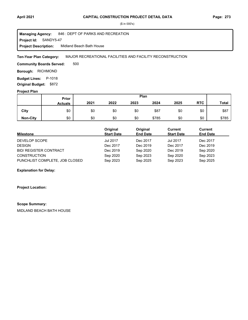#### **April 2021 Page: 273 CAPITAL CONSTRUCTION PROJECT DETAIL DATA**

(\$ in 000's)

**Project Id: SANDY5-47** 846 : DEPT OF PARKS AND RECREATION Midland Beach Bath House **Managing Agency: Project Description:** 

MAJOR RECREATIONAL FACILITIES AND FACILITY RECONSTRUCTION **Ten-Year Plan Category:** 

500 **Community Boards Served:** 

**Borough: RICHMOND** 

**Budget Lines: P-1018 Original Budget:** \$872

#### **Project Plan**

|                 | <b>Prior</b>   |      |      |      | Plan  |      |            |              |
|-----------------|----------------|------|------|------|-------|------|------------|--------------|
|                 | <b>Actuals</b> | 2021 | 2022 | 2023 | 2024  | 2025 | <b>RTC</b> | <b>Total</b> |
| City            | \$0            | \$0  | \$0  | \$0  | \$87  | \$0  | \$0        | \$87         |
| <b>Non-City</b> | \$0            | \$0  | \$0  | \$0  | \$785 | \$0  | \$0        | \$785        |

| <b>Milestone</b>               | Original<br><b>Start Date</b> | Original<br><b>End Date</b> | Current<br><b>Start Date</b> | Current<br><b>End Date</b> |
|--------------------------------|-------------------------------|-----------------------------|------------------------------|----------------------------|
| DEVELOP SCOPE                  | <b>Jul 2017</b>               | Dec 2017                    | <b>Jul 2017</b>              | Dec 2017                   |
| <b>DESIGN</b>                  | Dec 2017                      | Dec 2019                    | Dec 2017                     | Dec 2019                   |
| <b>BID/ REGISTER CONTRACT</b>  | Dec 2019                      | Sep 2020                    | Dec 2019                     | Sep 2020                   |
| <b>CONSTRUCTION</b>            | Sep 2020                      | Sep 2023                    | Sep 2020                     | Sep 2023                   |
| PUNCHLIST COMPLETE, JOB CLOSED | Sep 2023                      | Sep 2025                    | Sep 2023                     | Sep 2025                   |

#### **Explanation for Delay:**

**Project Location:**

#### **Scope Summary:**

MIDLAND BEACH BATH HOUSE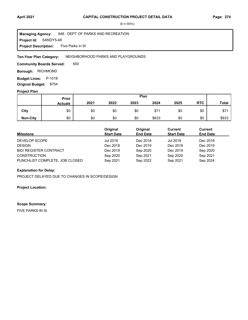#### **Project Id: SANDY5-48** 846 : DEPT OF PARKS AND RECREATION Five Parks in SI **Managing Agency: Project Description:**

#### NEIGHBORHOOD PARKS AND PLAYGROUNDS **Ten-Year Plan Category:**

500 **Community Boards Served:** 

**Borough: RICHMOND** 

**Budget Lines: P-1018 Original Budget:** \$704

#### **Project Plan**

|                 | Plan<br>Prior  |      |      |      |       |      |            |              |
|-----------------|----------------|------|------|------|-------|------|------------|--------------|
|                 | <b>Actuals</b> | 2021 | 2022 | 2023 | 2024  | 2025 | <b>RTC</b> | <b>Total</b> |
| City            | \$0            | \$0  | \$0  | \$0  | \$71  | \$0  | \$0        | \$71         |
| <b>Non-City</b> | \$0            | \$0  | \$0  | \$0  | \$633 | \$0  | \$0        | \$633        |

| <b>Milestone</b>               | Original<br><b>Start Date</b> | Original<br><b>End Date</b> | Current<br><b>Start Date</b> | Current<br><b>End Date</b> |
|--------------------------------|-------------------------------|-----------------------------|------------------------------|----------------------------|
| DEVELOP SCOPE                  | Jul 2018                      | Dec 2018                    | <b>Jul 2018</b>              | Dec 2018                   |
| <b>DESIGN</b>                  | Dec 2018                      | Dec 2019                    | Dec 2018                     | Dec 2019                   |
| <b>BID/ REGISTER CONTRACT</b>  | Dec 2019                      | Sep 2020                    | Dec 2019                     | Sep 2020                   |
| <b>CONSTRUCTION</b>            | Sep 2020                      | Sep 2021                    | Sep 2020                     | Sep 2021                   |
| PUNCHLIST COMPLETE, JOB CLOSED | Sep 2021                      | Sep 2022                    | Sep 2021                     | Sep 2024                   |

# **Explanation for Delay:**

PROJECT DELAYED DUE TO CHANGES IN SCOPE/DESIGN

#### **Project Location:**

#### **Scope Summary:**

FIVE PARKS IN SI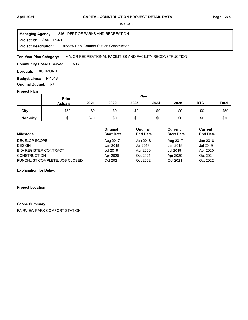#### **April 2021 Page: 275 CAPITAL CONSTRUCTION PROJECT DETAIL DATA**

(\$ in 000's)

**Project Id: SANDY5-49** 846 : DEPT OF PARKS AND RECREATION Fairview Park Comfort Station Construction **Managing Agency: Project Description:** 

MAJOR RECREATIONAL FACILITIES AND FACILITY RECONSTRUCTION **Ten-Year Plan Category:** 

503 **Community Boards Served:** 

**Borough: RICHMOND** 

**Budget Lines: P-1018 Original Budget:** \$0

#### **Project Plan**

|                 | Plan<br>Prior  |      |      |      |      |      |            |              |
|-----------------|----------------|------|------|------|------|------|------------|--------------|
|                 | <b>Actuals</b> | 2021 | 2022 | 2023 | 2024 | 2025 | <b>RTC</b> | <b>Total</b> |
| City            | \$50           | \$9  | \$0  | \$0  | \$0  | \$0  | \$0        | \$59         |
| <b>Non-City</b> | \$0            | \$70 | \$0  | \$0  | \$0  | \$0  | \$0        | \$70         |

| <b>Milestone</b>               | Original<br><b>Start Date</b> | Original<br><b>End Date</b> | Current<br><b>Start Date</b> | Current<br><b>End Date</b> |
|--------------------------------|-------------------------------|-----------------------------|------------------------------|----------------------------|
| DEVELOP SCOPE                  | Aug 2017                      | Jan 2018                    | Aug 2017                     | Jan 2018                   |
| <b>DESIGN</b>                  | Jan 2018                      | Jul 2019                    | Jan 2018                     | Jul 2019                   |
| <b>BID/ REGISTER CONTRACT</b>  | Jul 2019                      | Apr 2020                    | Jul 2019                     | Apr 2020                   |
| <b>CONSTRUCTION</b>            | Apr 2020                      | Oct 2021                    | Apr 2020                     | Oct 2021                   |
| PUNCHLIST COMPLETE, JOB CLOSED | Oct 2021                      | Oct 2022                    | Oct 2021                     | Oct 2022                   |

**Explanation for Delay:**

**Project Location:**

#### **Scope Summary:**

FAIRVIEW PARK COMFORT STATION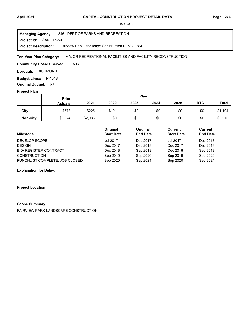**Project Id: SANDY5-50** 846 : DEPT OF PARKS AND RECREATION Fairview Park Landscape Construction R153-118M **Managing Agency: Project Description:** 

MAJOR RECREATIONAL FACILITIES AND FACILITY RECONSTRUCTION **Ten-Year Plan Category:** 

503 **Community Boards Served:** 

**Borough: RICHMOND** 

**Budget Lines: P-1018 Original Budget:** \$0

## **Project Plan**

|                 | Prior          |         |       | Plan |      |      |            |              |
|-----------------|----------------|---------|-------|------|------|------|------------|--------------|
|                 | <b>Actuals</b> | 2021    | 2022  | 2023 | 2024 | 2025 | <b>RTC</b> | <b>Total</b> |
| City            | \$778          | \$225   | \$101 | \$0  | \$0  | \$0  | \$0        | \$1,104      |
| <b>Non-City</b> | \$3,974        | \$2,936 | \$0   | \$0  | \$0  | \$0  | \$0        | \$6,910      |

| <b>Milestone</b>               | Original<br><b>Start Date</b> | Original<br><b>End Date</b> | Current<br><b>Start Date</b> | Current<br><b>End Date</b> |
|--------------------------------|-------------------------------|-----------------------------|------------------------------|----------------------------|
| DEVELOP SCOPE                  | <b>Jul 2017</b>               | Dec 2017                    | <b>Jul 2017</b>              | Dec 2017                   |
| <b>DESIGN</b>                  | Dec 2017                      | Dec 2018                    | Dec 2017                     | Dec 2018                   |
| <b>BID/ REGISTER CONTRACT</b>  | Dec 2018                      | Sep 2019                    | Dec 2018                     | Sep 2019                   |
| <b>CONSTRUCTION</b>            | Sep 2019                      | Sep 2020                    | Sep 2019                     | Sep 2020                   |
| PUNCHLIST COMPLETE, JOB CLOSED | Sep 2020                      | Sep 2021                    | Sep 2020                     | Sep 2021                   |

**Explanation for Delay:**

**Project Location:**

#### **Scope Summary:**

FAIRVIEW PARK LANDSCAPE CONSTRUCTION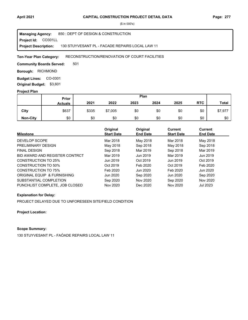**Project Id: CO301LL** 850 : DEPT OF DESIGN & CONSTRUCTION 130 STUYVESANT PL - FACADE REPAIRS LOCAL LAW 11 **Managing Agency: Project Description:** 

#### RECONSTRUCTION/RENOVATION OF COURT FACILITIES **Ten-Year Plan Category:**

501 **Community Boards Served:** 

**Borough: RICHMOND** 

**Budget Lines: CO-0301 Original Budget:** \$3,601

#### **Project Plan**

|                 |                | Plan<br>Prior |         |      |      |      |            |              |
|-----------------|----------------|---------------|---------|------|------|------|------------|--------------|
|                 | <b>Actuals</b> | 2021          | 2022    | 2023 | 2024 | 2025 | <b>RTC</b> | <b>Total</b> |
| City            | \$637          | \$335         | \$7,005 | \$0  | \$0  | \$0  | \$0        | \$7,977      |
| <b>Non-City</b> | \$0            | \$0           | \$0     | \$0  | \$0  | \$0  | \$0        | \$0          |

| <b>Milestone</b>               | Original<br><b>Start Date</b> | Original<br><b>End Date</b> | <b>Current</b><br><b>Start Date</b> | Current<br><b>End Date</b> |
|--------------------------------|-------------------------------|-----------------------------|-------------------------------------|----------------------------|
| DEVELOP SCOPE                  | Mar 2018                      | May 2018                    | Mar 2018                            | May 2018                   |
| PRELIMINARY DESIGN             | May 2018                      | Sep 2018                    | May 2018                            | Sep 2018                   |
| <b>FINAL DESIGN</b>            | Sep 2018                      | Mar 2019                    | Sep 2018                            | Mar 2019                   |
| BID AWARD AND REGISTER CONTRCT | Mar 2019                      | Jun 2019                    | Mar 2019                            | Jun 2019                   |
| CONSTRUCTION TO 25%            | Jun 2019                      | Oct 2019                    | Jun 2019                            | Oct 2019                   |
| CONSTRUCTION TO 50%            | Oct 2019                      | Feb 2020                    | Oct 2019                            | Feb 2020                   |
| CONSTRUCTION TO 75%            | Feb 2020                      | Jun 2020                    | Feb 2020                            | Jun 2020                   |
| ORIGINAL EQUIP & FURNISHING    | Jun 2020                      | Sep 2020                    | Jun 2020                            | Sep 2020                   |
| SUBSTANTIAL COMPLETION         | Sep 2020                      | Nov 2020                    | Sep 2020                            | Nov 2020                   |
| PUNCHLIST COMPLETE, JOB CLOSED | Nov 2020                      | Dec 2020                    | Nov 2020                            | Jul 2023                   |

### **Explanation for Delay:**

PROJECT DELAYED DUE TO UNFORESEEN SITE/FIELD CONDITION

**Project Location:**

## **Scope Summary:**

130 STUYVESANT PL - FAÓADE REPAIRS LOCAL LAW 11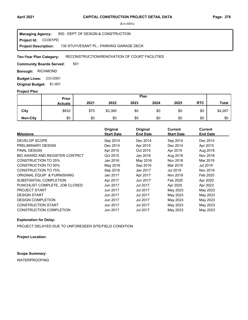**Project Id: CO301PD** 850 : DEPT OF DESIGN & CONSTRUCTION 130 STUYVESANT PL.- PARKING GARAGE DECK **Managing Agency: Project Description:** 

#### RECONSTRUCTION/RENOVATION OF COURT FACILITIES **Ten-Year Plan Category:**

501 **Community Boards Served:** 

**Borough: RICHMOND** 

**Budget Lines: CO-0301 Original Budget:** \$1,401

#### **Project Plan**

|                 |                | Plan<br>Prior |         |      |      |      |            |              |
|-----------------|----------------|---------------|---------|------|------|------|------------|--------------|
|                 | <b>Actuals</b> | 2021          | 2022    | 2023 | 2024 | 2025 | <b>RTC</b> | <b>Total</b> |
| City            | \$832          | \$75          | \$3,360 | \$0  | \$0  | \$0  | \$0        | \$4,267      |
| <b>Non-City</b> | \$0            | \$0           | \$0     | \$0  | \$0  | \$0  | \$0        | \$0          |

| <b>Milestone</b>               | Original<br><b>Start Date</b> | Original<br><b>End Date</b> | <b>Current</b><br><b>Start Date</b> | <b>Current</b><br><b>End Date</b> |
|--------------------------------|-------------------------------|-----------------------------|-------------------------------------|-----------------------------------|
| <b>DEVELOP SCOPE</b>           | Sep 2014                      | Dec 2014                    | Sep 2014                            | Dec 2014                          |
| PRELIMINARY DESIGN             | Dec 2014                      | Apr 2015                    | Dec 2014                            | Apr 2015                          |
| <b>FINAL DESIGN</b>            | Apr 2015                      | Oct 2015                    | Apr 2015                            | Aug 2018                          |
| BID AWARD AND REGISTER CONTRCT | Oct 2015                      | Jan 2016                    | Aug 2018                            | Nov 2018                          |
| CONSTRUCTION TO 25%            | Jan 2016                      | May 2016                    | Nov 2018                            | Mar 2019                          |
| <b>CONSTRUCTION TO 50%</b>     | May 2016                      | Sep 2016                    | Mar 2019                            | Jul 2019                          |
| <b>CONSTRUCTION TO 75%</b>     | Sep 2016                      | Jan 2017                    | Jul 2019                            | Nov 2019                          |
| ORIGINAL EQUIP & FURNISHING    | Jan 2017                      | Apr 2017                    | Nov 2019                            | Feb 2020                          |
| SUBSTANTIAL COMPLETION         | Apr 2017                      | Jun 2017                    | Feb 2020                            | Apr 2020                          |
| PUNCHLIST COMPLETE, JOB CLOSED | Jun 2017                      | Jul 2017                    | Apr 2020                            | Apr 2023                          |
| <b>PROJECT START</b>           | Jun 2017                      | Jul 2017                    | May 2023                            | May 2023                          |
| <b>DESIGN START</b>            | Jun 2017                      | Jul 2017                    | May 2023                            | May 2023                          |
| <b>DESIGN COMPLETION</b>       | Jun 2017                      | Jul 2017                    | May 2023                            | May 2023                          |
| <b>CONSTRUCTION START</b>      | Jun 2017                      | Jul 2017                    | May 2023                            | May 2023                          |
| <b>CONSTRUCTION COMPLETION</b> | Jun 2017                      | <b>Jul 2017</b>             | May 2023                            | May 2023                          |

## **Explanation for Delay:**

PROJECT DELAYED DUE TO UNFORESEEN SITE/FIELD CONDITION

**Project Location:**

## **Scope Summary:**

WATERPROOFING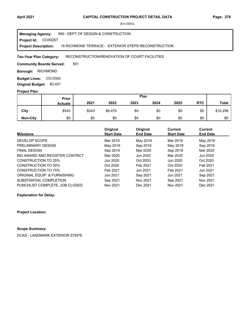#### **Project Id: CO302ST** 850 : DEPT OF DESIGN & CONSTRUCTION 18 RICHMOND TERRACE - EXTERIOR STEPS RECONSTRUCTION **Managing Agency: Project Description:**

#### RECONSTRUCTION/RENOVATION OF COURT FACILITIES **Ten-Year Plan Category:**

501 **Community Boards Served:** 

**Borough: RICHMOND** 

Budget Lines: CO-0302 **Original Budget:** \$2,421

### **Project Plan**

|                 |                | Plan<br>Prior |         |      |      |      |            |              |
|-----------------|----------------|---------------|---------|------|------|------|------------|--------------|
|                 | <b>Actuals</b> | 2021          | 2022    | 2023 | 2024 | 2025 | <b>RTC</b> | <b>Total</b> |
| City            | \$543          | \$243         | \$9,470 | \$0  | \$0  | \$0  | \$0        | \$10,256     |
| <b>Non-City</b> | \$0            | \$0           | \$0     | \$0  | \$0  | \$0  | \$0        | \$0          |

|                                | Original          | Original        | Current           | <b>Current</b>  |
|--------------------------------|-------------------|-----------------|-------------------|-----------------|
| <b>Milestone</b>               | <b>Start Date</b> | <b>End Date</b> | <b>Start Date</b> | <b>End Date</b> |
| DEVELOP SCOPE                  | Mar 2019          | May 2019        | Mar 2019          | May 2019        |
| PRELIMINARY DESIGN             | May 2019          | Sep 2019        | May 2019          | Sep 2019        |
| <b>FINAL DESIGN</b>            | Sep 2019          | Mar 2020        | Sep 2019          | Mar 2020        |
| BID AWARD AND REGISTER CONTRCT | Mar 2020          | Jun 2020        | Mar 2020          | Jun 2020        |
| CONSTRUCTION TO 25%            | Jun 2020          | Oct 2020        | Jun 2020          | Oct 2020        |
| <b>CONSTRUCTION TO 50%</b>     | Oct 2020          | Feb 2021        | Oct 2020          | Feb 2021        |
| <b>CONSTRUCTION TO 75%</b>     | Feb 2021          | Jun 2021        | Feb 2021          | Jun 2021        |
| ORIGINAL EQUIP & FURNISHING    | Jun 2021          | Sep 2021        | Jun 2021          | Sep 2021        |
| SUBSTANTIAL COMPLETION         | Sep 2021          | Nov 2021        | Sep 2021          | Nov 2021        |
| PUNCHLIST COMPLETE, JOB CLOSED | Nov 2021          | Dec 2021        | Nov 2021          | Dec 2021        |

**Explanation for Delay:**

**Project Location:**

## **Scope Summary:**

DCAS - LANDMARK EXTERIOR STEPS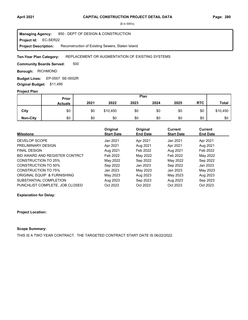**Project Id: EC-SER22** 850 : DEPT OF DESIGN & CONSTRUCTION Reconstruction of Existing Sewers, Staten Island **Managing Agency: Project Description:** 

#### REPLACEMENT OR AUGMENTATION OF EXISTING SYSTEMS **Ten-Year Plan Category:**

500 **Community Boards Served:** 

**Borough: RICHMOND** 

**Budget Lines: EP-0007 SE-0002R Original Budget:** \$11,495

#### **Project Plan**

|                 |                | Plan<br>Prior |          |      |      |      |            |              |
|-----------------|----------------|---------------|----------|------|------|------|------------|--------------|
|                 | <b>Actuals</b> | 2021          | 2022     | 2023 | 2024 | 2025 | <b>RTC</b> | <b>Total</b> |
| City            | \$0            | \$0           | \$10,450 | \$0  | \$0  | \$0  | \$0        | \$10,450     |
| <b>Non-City</b> | \$0            | \$0           | \$0      | \$0  | \$0  | \$0  | \$0        | \$0          |

| <b>Milestone</b>               | Original<br><b>Start Date</b> | Original<br><b>End Date</b> | Current<br><b>Start Date</b> | Current<br><b>End Date</b> |
|--------------------------------|-------------------------------|-----------------------------|------------------------------|----------------------------|
|                                |                               |                             |                              |                            |
| DEVELOP SCOPE                  | Jan 2021                      | Apr 2021                    | Jan 2021                     | Apr 2021                   |
| PRELIMINARY DESIGN             | Apr 2021                      | Aug 2021                    | Apr 2021                     | Aug 2021                   |
| <b>FINAL DESIGN</b>            | Aug 2021                      | Feb 2022                    | Aug 2021                     | Feb 2022                   |
| BID AWARD AND REGISTER CONTRCT | Feb 2022                      | May 2022                    | Feb 2022                     | May 2022                   |
| CONSTRUCTION TO 25%            | May 2022                      | Sep 2022                    | May 2022                     | Sep 2022                   |
| <b>CONSTRUCTION TO 50%</b>     | Sep 2022                      | Jan 2023                    | Sep 2022                     | Jan 2023                   |
| <b>CONSTRUCTION TO 75%</b>     | Jan 2023                      | May 2023                    | Jan 2023                     | May 2023                   |
| ORIGINAL EQUIP & FURNISHING    | May 2023                      | Aug 2023                    | May 2023                     | Aug 2023                   |
| SUBSTANTIAL COMPLETION         | Aug 2023                      | Sep 2023                    | Aug 2023                     | Sep 2023                   |
| PUNCHLIST COMPLETE, JOB CLOSED | Oct 2023                      | Oct 2023                    | Oct 2023                     | Oct 2023                   |

**Explanation for Delay:**

#### **Project Location:**

## **Scope Summary:**

THIS IS A TWO YEAR CONTRACT. THE TARGETED CONTRACT START DATE IS 06/22/2022.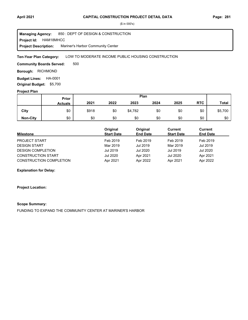#### **April 2021 Page: 281 CAPITAL CONSTRUCTION PROJECT DETAIL DATA**

(\$ in 000's)

**Project Id: HAM18MHCC** 850 : DEPT OF DESIGN & CONSTRUCTION Mariner's Harbor Community Center **Managing Agency: Project Description:** 

LOW TO MODERATE INCOME PUBLIC HOUSING CONSTRUCTION **Ten-Year Plan Category:** 

500 **Community Boards Served:** 

**Borough: RICHMOND** 

**Budget Lines: HA-0001 Original Budget:** \$5,700

#### **Project Plan**

|                 |                | Plan<br>Prior |      |         |      |      |            |              |
|-----------------|----------------|---------------|------|---------|------|------|------------|--------------|
|                 | <b>Actuals</b> | 2021          | 2022 | 2023    | 2024 | 2025 | <b>RTC</b> | <b>Total</b> |
| City            | \$0            | \$918         | \$0  | \$4,782 | \$0  | \$0  | \$0        | \$5,700      |
| <b>Non-City</b> | \$0            | \$0           | \$0  | \$0     | \$0  | \$0  | \$0        | \$0          |

| <b>Milestone</b>               | Original<br><b>Start Date</b> | Original<br><b>End Date</b> | Current<br><b>Start Date</b> | Current<br><b>End Date</b> |
|--------------------------------|-------------------------------|-----------------------------|------------------------------|----------------------------|
| <b>PROJECT START</b>           | Feb 2019                      | Feb 2019                    | Feb 2019                     | Feb 2019                   |
| <b>DESIGN START</b>            | Mar 2019                      | Jul 2019                    | Mar 2019                     | Jul 2019                   |
| <b>DESIGN COMPLETION</b>       | Jul 2019                      | Jul 2020                    | Jul 2019                     | Jul 2020                   |
| <b>CONSTRUCTION START</b>      | Jul 2020                      | Apr 2021                    | Jul 2020                     | Apr 2021                   |
| <b>CONSTRUCTION COMPLETION</b> | Apr 2021                      | Apr 2022                    | Apr 2021                     | Apr 2022                   |

**Explanation for Delay:**

**Project Location:**

#### **Scope Summary:**

FUNDING TO EXPAND THE COMMUNITY CENTER AT MARINER'S HARBOR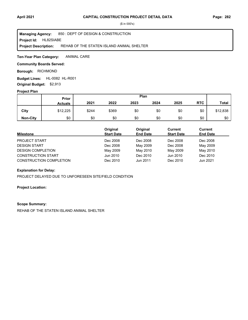**Project Id: HL82SIABE** 850 : DEPT OF DESIGN & CONSTRUCTION REHAB OF THE STATEN ISLAND ANIMAL SHELTER **Managing Agency: Project Description:** 

ANIMAL CARE **Ten-Year Plan Category:** 

### **Community Boards Served:**

**Borough: RICHMOND** 

**Budget Lines: HL-0082 HL-R001 Original Budget:** \$2,913

#### **Project Plan**

|                 |                | Plan<br>Prior |       |      |      |      |            |          |
|-----------------|----------------|---------------|-------|------|------|------|------------|----------|
|                 | <b>Actuals</b> | 2021          | 2022  | 2023 | 2024 | 2025 | <b>RTC</b> | Total    |
| City            | \$12,225       | \$244         | \$369 | \$0  | \$0  | \$0  | \$0        | \$12,838 |
| <b>Non-City</b> | \$0            | \$0           | \$0   | \$0  | \$0  | \$0  | \$0        | \$0      |

| <b>Milestone</b>               | Original<br><b>Start Date</b> | Original<br><b>End Date</b> | <b>Current</b><br><b>Start Date</b> | <b>Current</b><br><b>End Date</b> |
|--------------------------------|-------------------------------|-----------------------------|-------------------------------------|-----------------------------------|
| <b>PROJECT START</b>           | Dec 2008                      | Dec 2008                    | Dec 2008                            | Dec 2008                          |
| <b>DESIGN START</b>            | Dec 2008                      | May 2009                    | Dec 2008                            | May 2009                          |
| <b>DESIGN COMPLETION</b>       | May 2009                      | May 2010                    | May 2009                            | May 2010                          |
| <b>CONSTRUCTION START</b>      | Jun 2010                      | Dec 2010                    | Jun 2010                            | Dec 2010                          |
| <b>CONSTRUCTION COMPLETION</b> | Dec 2010                      | Jun 2011                    | Dec 2010                            | Jun 2021                          |

#### **Explanation for Delay:**

PROJECT DELAYED DUE TO UNFORESEEN SITE/FIELD CONDITION

### **Project Location:**

#### **Scope Summary:**

REHAB OF THE STATEN ISLAND ANIMAL SHELTER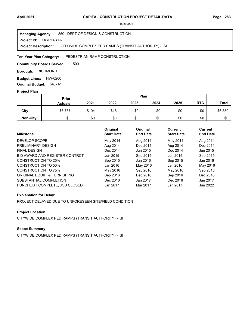#### **Project Id: HWP14RTA** 850 : DEPT OF DESIGN & CONSTRUCTION CITYWIDE COMPLEX PED RAMPS (TRANSIT AUTHORITY) - SI **Managing Agency: Project Description:**

#### PEDESTRIAN RAMP CONSTRUCTION **Ten-Year Plan Category:**

500 **Community Boards Served:** 

**Borough: RICHMOND** 

**Budget Lines: HW-0200 Original Budget:** \$4,602

#### **Project Plan**

|                 |                | Plan<br>Prior |      |      |      |      |            |              |
|-----------------|----------------|---------------|------|------|------|------|------------|--------------|
|                 | <b>Actuals</b> | 2021          | 2022 | 2023 | 2024 | 2025 | <b>RTC</b> | <b>Total</b> |
| City            | \$6,737        | \$104         | \$18 | \$0  | \$0  | \$0  | \$0        | \$6,859      |
| <b>Non-City</b> | \$0            | \$0           | \$0  | \$0  | \$0  | \$0  | \$0        | \$0          |

| <b>Milestone</b>               | Original<br><b>Start Date</b> | Original<br><b>End Date</b> | Current<br><b>Start Date</b> | Current<br><b>End Date</b> |
|--------------------------------|-------------------------------|-----------------------------|------------------------------|----------------------------|
|                                |                               |                             |                              |                            |
| DEVELOP SCOPE                  | May 2014                      | Aug 2014                    | May 2014                     | Aug 2014                   |
| PRELIMINARY DESIGN             | Aug 2014                      | Dec 2014                    | Aug 2014                     | Dec 2014                   |
| <b>FINAL DESIGN</b>            | Dec 2014                      | Jun 2015                    | Dec 2014                     | Jun 2015                   |
| BID AWARD AND REGISTER CONTRCT | Jun 2015                      | Sep 2015                    | Jun 2015                     | Sep 2015                   |
| <b>CONSTRUCTION TO 25%</b>     | Sep 2015                      | Jan 2016                    | Sep 2015                     | Jan 2016                   |
| <b>CONSTRUCTION TO 50%</b>     | Jan 2016                      | May 2016                    | Jan 2016                     | May 2016                   |
| CONSTRUCTION TO 75%            | May 2016                      | Sep 2016                    | May 2016                     | Sep 2016                   |
| ORIGINAL EQUIP & FURNISHING    | Sep 2016                      | Dec 2016                    | Sep 2016                     | Dec 2016                   |
| SUBSTANTIAL COMPLETION         | Dec 2016                      | Jan 2017                    | Dec 2016                     | Jan 2017                   |
| PUNCHLIST COMPLETE. JOB CLOSED | Jan 2017                      | Mar 2017                    | Jan 2017                     | Jun 2022                   |

## **Explanation for Delay:**

PROJECT DELAYED DUE TO UNFORESEEN SITE/FIELD CONDITION

## **Project Location:**

CITYWIDE COMPLEX PED RAMPS (TRANSIT AUTHORITY) - SI

## **Scope Summary:**

CITYWIDE COMPLEX PED RAMPS (TRANSIT AUTHORITY) - SI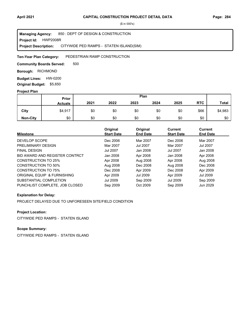**Project Id: HWP2008R** 850 : DEPT OF DESIGN & CONSTRUCTION CITYWIDE PED RAMPS - STATEN ISLAND(SIM) **Managing Agency: Project Description:** 

#### PEDESTRIAN RAMP CONSTRUCTION **Ten-Year Plan Category:**

500 **Community Boards Served:** 

**Borough: RICHMOND** 

**Budget Lines: HW-0200 Original Budget:** \$5,650

#### **Project Plan**

|                 |                | Plan<br>Prior |      |      |      |      |            |              |
|-----------------|----------------|---------------|------|------|------|------|------------|--------------|
|                 | <b>Actuals</b> | 2021          | 2022 | 2023 | 2024 | 2025 | <b>RTC</b> | <b>Total</b> |
| City            | \$4,917        | \$0           | \$0  | \$0  | \$0  | \$0  | \$66       | \$4,983      |
| <b>Non-City</b> | \$0            | \$0           | \$0  | \$0  | \$0  | \$0  | \$0        | \$0          |

| <b>Milestone</b>               | Original<br><b>Start Date</b> | Original<br><b>End Date</b> | Current<br><b>Start Date</b> | Current<br><b>End Date</b> |
|--------------------------------|-------------------------------|-----------------------------|------------------------------|----------------------------|
| DEVELOP SCOPE                  | Dec 2006                      | Mar 2007                    | Dec 2006                     | Mar 2007                   |
| PRELIMINARY DESIGN             | Mar 2007                      | Jul 2007                    | Mar 2007                     | <b>Jul 2007</b>            |
| <b>FINAL DESIGN</b>            | <b>Jul 2007</b>               | Jan 2008                    | <b>Jul 2007</b>              | Jan 2008                   |
| BID AWARD AND REGISTER CONTRCT | Jan 2008                      | Apr 2008                    | Jan 2008                     | Apr 2008                   |
| CONSTRUCTION TO 25%            | Apr 2008                      | Aug 2008                    | Apr 2008                     | Aug 2008                   |
| <b>CONSTRUCTION TO 50%</b>     | Aug 2008                      | Dec 2008                    | Aug 2008                     | Dec 2008                   |
| CONSTRUCTION TO 75%            | Dec 2008                      | Apr 2009                    | Dec 2008                     | Apr 2009                   |
| ORIGINAL EQUIP & FURNISHING    | Apr 2009                      | Jul 2009                    | Apr 2009                     | Jul 2009                   |
| SUBSTANTIAL COMPLETION         | <b>Jul 2009</b>               | Sep 2009                    | Jul 2009                     | Sep 2009                   |
| PUNCHLIST COMPLETE, JOB CLOSED | Sep 2009                      | Oct 2009                    | Sep 2009                     | Jun 2029                   |

### **Explanation for Delay:**

PROJECT DELAYED DUE TO UNFORESEEN SITE/FIELD CONDITION

## **Project Location:**

CITYWIDE PED RAMPS - STATEN ISLAND

# **Scope Summary:**

CITYWIDE PED RAMPS - STATEN ISLAND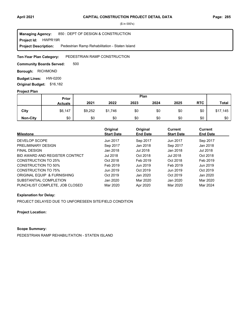**Project Id: HWPR19R** 850 : DEPT OF DESIGN & CONSTRUCTION Pedestrian Ramp Rehabilitation - Staten Island **Managing Agency: Project Description:** 

#### PEDESTRIAN RAMP CONSTRUCTION **Ten-Year Plan Category:**

500 **Community Boards Served:** 

**Borough: RICHMOND** 

**Budget Lines: HW-0200 Original Budget:** \$16,182

#### **Project Plan**

|                 |                | Plan<br>Prior |         |      |      |      |            |          |
|-----------------|----------------|---------------|---------|------|------|------|------------|----------|
|                 | <b>Actuals</b> | 2021          | 2022    | 2023 | 2024 | 2025 | <b>RTC</b> | Total    |
| City            | \$6,147        | \$9,252       | \$1,746 | \$0  | \$0  | \$0  | \$0        | \$17,145 |
| <b>Non-City</b> | \$0            | \$0           | \$0     | \$0  | \$0  | \$0  | \$0        | \$0      |

| <b>Milestone</b>               | Original<br><b>Start Date</b> | Original<br><b>End Date</b> | <b>Current</b><br><b>Start Date</b> | Current<br><b>End Date</b> |
|--------------------------------|-------------------------------|-----------------------------|-------------------------------------|----------------------------|
| DEVELOP SCOPE                  | Jun 2017                      | Sep 2017                    | Jun 2017                            | Sep 2017                   |
| PRELIMINARY DESIGN             | Sep 2017                      | Jan 2018                    | Sep 2017                            | Jan 2018                   |
| <b>FINAL DESIGN</b>            | Jan 2018                      | Jul 2018                    | Jan 2018                            | Jul 2018                   |
| BID AWARD AND REGISTER CONTRCT | Jul 2018                      | Oct 2018                    | Jul 2018                            | Oct 2018                   |
| <b>CONSTRUCTION TO 25%</b>     | Oct 2018                      | Feb 2019                    | Oct 2018                            | Feb 2019                   |
| CONSTRUCTION TO 50%            | Feb 2019                      | Jun 2019                    | Feb 2019                            | Jun 2019                   |
| CONSTRUCTION TO 75%            | Jun 2019                      | Oct 2019                    | Jun 2019                            | Oct 2019                   |
| ORIGINAL EQUIP & FURNISHING    | Oct 2019                      | Jan 2020                    | Oct 2019                            | Jan 2020                   |
| SUBSTANTIAL COMPLETION         | Jan 2020                      | Mar 2020                    | Jan 2020                            | Mar 2020                   |
| PUNCHLIST COMPLETE, JOB CLOSED | Mar 2020                      | Apr 2020                    | Mar 2020                            | Mar 2024                   |

### **Explanation for Delay:**

PROJECT DELAYED DUE TO UNFORESEEN SITE/FIELD CONDITION

**Project Location:**

**Scope Summary:**

PEDESTRIAN RAMP REHABILITATION - STATEN ISLAND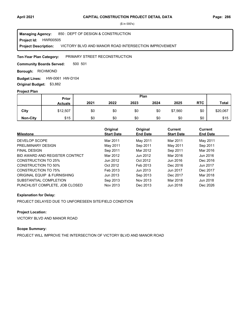Project Id: HWR00505 850 : DEPT OF DESIGN & CONSTRUCTION VICTORY BLVD AND MANOR ROAD INTERSECTION IMPROVEMENT **Managing Agency: Project Description:** 

PRIMARY STREET RECONSTRUCTION **Ten-Year Plan Category:** 

500 501 **Community Boards Served:** 

**Borough: RICHMOND** 

**Budget Lines: HW-0061 HW-D104 Original Budget:** \$3,882

### **Project Plan**

|                 |                | Plan<br>Prior |      |      |      |         |            |              |
|-----------------|----------------|---------------|------|------|------|---------|------------|--------------|
|                 | <b>Actuals</b> | 2021          | 2022 | 2023 | 2024 | 2025    | <b>RTC</b> | <b>Total</b> |
| City            | \$12,507       | \$0           | \$0  | \$0  | \$0  | \$7,560 | \$0        | \$20,067     |
| <b>Non-City</b> | \$15           | \$0           | \$0  | \$0  | \$0  | \$0     | \$0        | \$15         |

| <b>Milestone</b>               | Original<br><b>Start Date</b> | Original<br><b>End Date</b> | <b>Current</b><br><b>Start Date</b> | Current<br><b>End Date</b> |
|--------------------------------|-------------------------------|-----------------------------|-------------------------------------|----------------------------|
| DEVELOP SCOPE                  | Mar 2011                      | May 2011                    | Mar 2011                            | May 2011                   |
| PRELIMINARY DESIGN             | May 2011                      | Sep 2011                    | May 2011                            | Sep 2011                   |
| <b>FINAL DESIGN</b>            | Sep 2011                      | Mar 2012                    | Sep 2011                            | Mar 2016                   |
| BID AWARD AND REGISTER CONTRCT | Mar 2012                      | Jun 2012                    | Mar 2016                            | Jun 2016                   |
| CONSTRUCTION TO 25%            | Jun 2012                      | Oct 2012                    | Jun 2016                            | Dec 2016                   |
| CONSTRUCTION TO 50%            | Oct 2012                      | Feb 2013                    | Dec 2016                            | Jun 2017                   |
| <b>CONSTRUCTION TO 75%</b>     | Feb 2013                      | Jun 2013                    | Jun 2017                            | Dec 2017                   |
| ORIGINAL EQUIP & FURNISHING    | Jun 2013                      | Sep 2013                    | Dec 2017                            | Mar 2018                   |
| SUBSTANTIAL COMPLETION         | Sep 2013                      | Nov 2013                    | Mar 2018                            | Jun 2018                   |
| PUNCHLIST COMPLETE, JOB CLOSED | Nov 2013                      | Dec 2013                    | Jun 2018                            | Dec 2026                   |

## **Explanation for Delay:**

PROJECT DELAYED DUE TO UNFORESEEN SITE/FIELD CONDITION

## **Project Location:**

VICTORY BLVD AND MANOR ROAD

## **Scope Summary:**

PROJECT WILL IMPROVE THE INTERSECTION OF VICTORY BLVD AND MANOR ROAD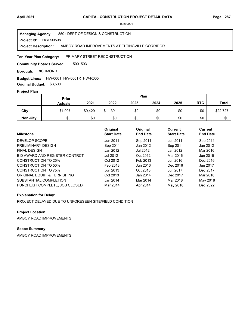**Project Id: HWR00508** 850 : DEPT OF DESIGN & CONSTRUCTION AMBOY ROAD IMPROVEMENTS AT ELTINGVILLE CORRIDOR **Managing Agency: Project Description:** 

PRIMARY STREET RECONSTRUCTION **Ten-Year Plan Category:** 

500 503 **Community Boards Served:** 

**Borough: RICHMOND** 

**Budget Lines: HW-0061 HW-0001R HW-R005** 

**Original Budget:** \$3,500

## **Project Plan**

|                 | Plan<br><b>Prior</b> |         |          |      |      |      |            |              |
|-----------------|----------------------|---------|----------|------|------|------|------------|--------------|
|                 | <b>Actuals</b>       | 2021    | 2022     | 2023 | 2024 | 2025 | <b>RTC</b> | <b>Total</b> |
| City            | \$1,907              | \$9,429 | \$11,391 | \$0  | \$0  | \$0  | \$0        | \$22,727     |
| <b>Non-City</b> | \$0                  | \$0     | \$0      | \$0  | \$0  | \$0  | \$0        | \$0          |

| <b>Milestone</b>               | Original<br><b>Start Date</b> | Original<br><b>End Date</b> | <b>Current</b><br><b>Start Date</b> | <b>Current</b><br><b>End Date</b> |
|--------------------------------|-------------------------------|-----------------------------|-------------------------------------|-----------------------------------|
| DEVELOP SCOPE                  | Jun 2011                      | Sep 2011                    | Jun 2011                            | Sep 2011                          |
| PRELIMINARY DESIGN             | Sep 2011                      | Jan 2012                    | Sep 2011                            | Jan 2012                          |
| <b>FINAL DESIGN</b>            | Jan 2012                      | Jul 2012                    | Jan 2012                            | Mar 2016                          |
| BID AWARD AND REGISTER CONTRCT | Jul 2012                      | Oct 2012                    | Mar 2016                            | Jun 2016                          |
| CONSTRUCTION TO 25%            | Oct 2012                      | Feb 2013                    | Jun 2016                            | Dec 2016                          |
| CONSTRUCTION TO 50%            | Feb 2013                      | Jun 2013                    | Dec 2016                            | Jun 2017                          |
| CONSTRUCTION TO 75%            | Jun 2013                      | Oct 2013                    | Jun 2017                            | Dec 2017                          |
| ORIGINAL EQUIP & FURNISHING    | Oct 2013                      | Jan 2014                    | Dec 2017                            | Mar 2018                          |
| SUBSTANTIAL COMPLETION         | Jan 2014                      | Mar 2014                    | Mar 2018                            | May 2018                          |
| PUNCHLIST COMPLETE, JOB CLOSED | Mar 2014                      | Apr 2014                    | May 2018                            | Dec 2022                          |

#### **Explanation for Delay:**

PROJECT DELAYED DUE TO UNFORESEEN SITE/FIELD CONDITION

**Project Location:**

AMBOY ROAD IMPROVEMENTS

# **Scope Summary:**

AMBOY ROAD IMPROVEMENTS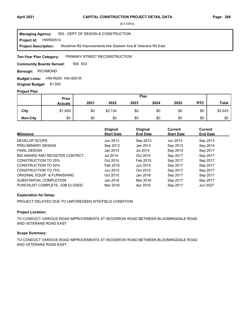**Project Id: HWR00510** 850 : DEPT OF DESIGN & CONSTRUCTION Woodrow Rd Improvements btw Gladwin Ave & Veterans Rd East **Managing Agency: Project Description:** 

#### PRIMARY STREET RECONSTRUCTION **Ten-Year Plan Category:**

500 503 **Community Boards Served:** 

**Borough: RICHMOND** 

Budget Lines: HW-R005 HW-0001R **Original Budget:** \$1,500

#### **Project Plan**

|                 |                | Plan<br>Prior |         |      |      |      |            |              |
|-----------------|----------------|---------------|---------|------|------|------|------------|--------------|
|                 | <b>Actuals</b> | 2021          | 2022    | 2023 | 2024 | 2025 | <b>RTC</b> | <b>Total</b> |
| City            | \$1,409        | \$0           | \$2,134 | \$0  | \$0  | \$0  | \$0        | \$3,543      |
| <b>Non-City</b> | \$0            | \$0           | \$0     | \$0  | \$0  | \$0  | \$0        | \$0          |

| <b>Milestone</b>               | Original<br><b>Start Date</b> | Original<br><b>End Date</b> | Current<br><b>Start Date</b> | Current<br><b>End Date</b> |
|--------------------------------|-------------------------------|-----------------------------|------------------------------|----------------------------|
| DEVELOP SCOPE                  | Jun 2013                      | Sep 2013                    | Jun 2013                     | Sep 2013                   |
| PRELIMINARY DESIGN             | Sep 2013                      | Jan 2014                    | Sep 2013                     | Sep 2014                   |
| <b>FINAL DESIGN</b>            | Jan 2014                      | Jul 2014                    | Sep 2014                     | Sep 2017                   |
| BID AWARD AND REGISTER CONTRCT | Jul 2014                      | Oct 2014                    | Sep 2017                     | Sep 2017                   |
| <b>CONSTRUCTION TO 25%</b>     | Oct 2014                      | Feb 2015                    | Sep 2017                     | Sep 2017                   |
| <b>CONSTRUCTION TO 50%</b>     | Feb 2015                      | Jun 2015                    | Sep 2017                     | Sep 2017                   |
| <b>CONSTRUCTION TO 75%</b>     | Jun 2015                      | Oct 2015                    | Sep 2017                     | Sep 2017                   |
| ORIGINAL EQUIP & FURNISHING    | Oct 2015                      | Jan 2016                    | Sep 2017                     | Sep 2017                   |
| SUBSTANTIAL COMPLETION         | Jan 2016                      | Mar 2016                    | Sep 2017                     | Sep 2017                   |
| PUNCHLIST COMPLETE, JOB CLOSED | Mar 2016                      | Apr 2016                    | Sep 2017                     | Jun 2027                   |

## **Explanation for Delay:**

PROJECT DELAYED DUE TO UNFORESEEN SITE/FIELD CONDITION

### **Project Location:**

TO CONDUCT VARIOUS ROAD IMPROVEMENTS AT WOODROW ROAD BETWEEN BLOOMINGDALE ROAD AND VETERANS ROAD EAST

### **Scope Summary:**

TO CONDUCT VARIOUS ROAD IMPROVEMENTS AT WOODROW ROAD BETWEEN BLOOMINGDALE ROAD AND VETERANS ROAD EAST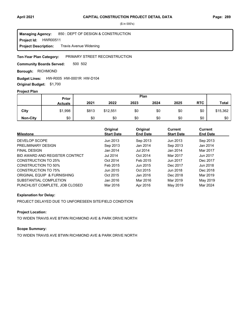**Project Id: HWR00511** 850 : DEPT OF DESIGN & CONSTRUCTION Travis Avenue Widening **Managing Agency: Project Description:** 

#### PRIMARY STREET RECONSTRUCTION **Ten-Year Plan Category:**

500 502 **Community Boards Served:** 

**Borough: RICHMOND** 

### **Budget Lines: HW-R005 HW-0001R HW-D104**

**Original Budget:** \$1,700

## **Project Plan**

|                 |                | Plan<br>Prior |          |      |      |      |            |              |
|-----------------|----------------|---------------|----------|------|------|------|------------|--------------|
|                 | <b>Actuals</b> | 2021          | 2022     | 2023 | 2024 | 2025 | <b>RTC</b> | <b>Total</b> |
| City            | \$1,998        | \$813         | \$12,551 | \$0  | \$0  | \$0  | \$0        | \$15,362     |
| <b>Non-City</b> | \$0            | \$0           | \$0      | \$0  | \$0  | \$0  | \$0        | \$0          |

| <b>Milestone</b>               | Original<br><b>Start Date</b> | Original<br><b>End Date</b> | <b>Current</b><br><b>Start Date</b> | Current<br><b>End Date</b> |
|--------------------------------|-------------------------------|-----------------------------|-------------------------------------|----------------------------|
| DEVELOP SCOPE                  | Jun 2013                      | Sep 2013                    | Jun 2013                            | Sep 2013                   |
| PRELIMINARY DESIGN             | Sep 2013                      | Jan 2014                    | Sep 2013                            | Jan 2014                   |
| <b>FINAL DESIGN</b>            | Jan 2014                      | Jul 2014                    | Jan 2014                            | Mar 2017                   |
| BID AWARD AND REGISTER CONTRCT | Jul 2014                      | Oct 2014                    | Mar 2017                            | Jun 2017                   |
| CONSTRUCTION TO 25%            | Oct 2014                      | Feb 2015                    | Jun 2017                            | Dec 2017                   |
| CONSTRUCTION TO 50%            | Feb 2015                      | Jun 2015                    | Dec 2017                            | Jun 2018                   |
| CONSTRUCTION TO 75%            | Jun 2015                      | Oct 2015                    | Jun 2018                            | Dec 2018                   |
| ORIGINAL EQUIP & FURNISHING    | Oct 2015                      | Jan 2016                    | Dec 2018                            | Mar 2019                   |
| SUBSTANTIAL COMPLETION         | Jan 2016                      | Mar 2016                    | Mar 2019                            | May 2019                   |
| PUNCHLIST COMPLETE, JOB CLOSED | Mar 2016                      | Apr 2016                    | May 2019                            | Mar 2024                   |

#### **Explanation for Delay:**

PROJECT DELAYED DUE TO UNFORESEEN SITE/FIELD CONDITION

## **Project Location:**

TO WIDEN TRAVIS AVE BTWN RICHMOND AVE & PARK DRIVE NORTH

#### **Scope Summary:**

TO WIDEN TRAVIS AVE BTWN RICHMOND AVE & PARK DRIVE NORTH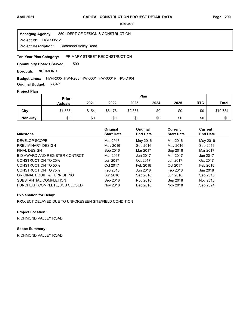**Project Id: HWR00512** 850 : DEPT OF DESIGN & CONSTRUCTION Richmond Valley Road **Managing Agency: Project Description:** 

#### PRIMARY STREET RECONSTRUCTION **Ten-Year Plan Category:**

500 **Community Boards Served:** 

**Borough: RICHMOND** 

#### **Budget Lines:** HW-R005 HW-R988 HW-0061 HW-0001R HW-D104

**Original Budget:** \$3,971

## **Project Plan**

|                 | Plan<br>Prior  |       |         |         |      |      |            |              |
|-----------------|----------------|-------|---------|---------|------|------|------------|--------------|
|                 | <b>Actuals</b> | 2021  | 2022    | 2023    | 2024 | 2025 | <b>RTC</b> | <b>Total</b> |
| City            | \$1,535        | \$154 | \$6,178 | \$2,867 | \$0  | \$0  | \$0        | \$10,734     |
| <b>Non-City</b> | \$0            | \$0   | \$0     | \$0     | \$0  | \$0  | \$0        | \$0          |

| <b>Milestone</b>               | Original<br><b>Start Date</b> | Original<br><b>End Date</b> | <b>Current</b><br><b>Start Date</b> | Current<br><b>End Date</b> |
|--------------------------------|-------------------------------|-----------------------------|-------------------------------------|----------------------------|
| DEVELOP SCOPE                  | Mar 2016                      | May 2016                    | Mar 2016                            | May 2016                   |
| PRELIMINARY DESIGN             | May 2016                      | Sep 2016                    | May 2016                            | Sep 2016                   |
| <b>FINAL DESIGN</b>            | Sep 2016                      | Mar 2017                    | Sep 2016                            | Mar 2017                   |
| BID AWARD AND REGISTER CONTRCT | Mar 2017                      | Jun 2017                    | Mar 2017                            | Jun 2017                   |
| <b>CONSTRUCTION TO 25%</b>     | Jun 2017                      | Oct 2017                    | Jun 2017                            | Oct 2017                   |
| <b>CONSTRUCTION TO 50%</b>     | Oct 2017                      | Feb 2018                    | Oct 2017                            | Feb 2018                   |
| <b>CONSTRUCTION TO 75%</b>     | Feb 2018                      | Jun 2018                    | Feb 2018                            | Jun 2018                   |
| ORIGINAL EQUIP & FURNISHING    | Jun 2018                      | Sep 2018                    | Jun 2018                            | Sep 2018                   |
| SUBSTANTIAL COMPLETION         | Sep 2018                      | Nov 2018                    | Sep 2018                            | Nov 2018                   |
| PUNCHLIST COMPLETE, JOB CLOSED | Nov 2018                      | Dec 2018                    | Nov 2018                            | Sep 2024                   |

### **Explanation for Delay:**

PROJECT DELAYED DUE TO UNFORESEEN SITE/FIELD CONDITION

## **Project Location:**

RICHMOND VALLEY ROAD

# **Scope Summary:**

RICHMOND VALLEY ROAD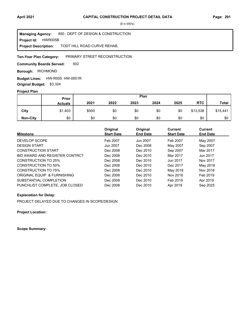**Project Id: HWR005B** 850 : DEPT OF DESIGN & CONSTRUCTION TODT HILL ROAD CURVE REHAB, **Managing Agency: Project Description:** 

#### PRIMARY STREET RECONSTRUCTION **Ten-Year Plan Category:**

502 **Community Boards Served:** 

**Borough: RICHMOND** 

Budget Lines: HW-R005 HW-0001R **Original Budget:** \$3,324

#### **Project Plan**

|                 |                | Plan<br><b>Prior</b> |      |      |      |      |            |              |
|-----------------|----------------|----------------------|------|------|------|------|------------|--------------|
|                 | <b>Actuals</b> | 2021                 | 2022 | 2023 | 2024 | 2025 | <b>RTC</b> | <b>Total</b> |
| City            | \$1,403        | \$500                | \$0  | \$0  | \$0  | \$0  | \$13,538   | \$15,441     |
| <b>Non-City</b> | \$0            | \$0                  | \$0  | \$0  | \$0  | \$0  | \$0        | \$0          |

| <b>Milestone</b>               | Original<br><b>Start Date</b> | Original<br><b>End Date</b> | Current<br><b>Start Date</b> | <b>Current</b><br><b>End Date</b> |
|--------------------------------|-------------------------------|-----------------------------|------------------------------|-----------------------------------|
| DEVELOP SCOPE                  | Feb 2007                      | Jun 2007                    | Feb 2007                     | May 2007                          |
| <b>DESIGN START</b>            | Jun 2007                      | Dec 2008                    | May 2007                     | Sep 2007                          |
| <b>CONSTRUCTION START</b>      | Dec 2008                      | Dec 2010                    | Sep 2007                     | Mar 2017                          |
| BID AWARD AND REGISTER CONTRCT | Dec 2008                      | Dec 2010                    | Mar 2017                     | Jun 2017                          |
| CONSTRUCTION TO 25%            | Dec 2008                      | Dec 2010                    | Jun 2017                     | Nov 2017                          |
| CONSTRUCTION TO 50%            | Dec 2008                      | Dec 2010                    | Dec 2017                     | May 2018                          |
| <b>CONSTRUCTION TO 75%</b>     | Dec 2008                      | Dec 2010                    | May 2018                     | Nov 2018                          |
| ORIGINAL EQUIP & FURNISHING    | Dec 2008                      | Dec 2010                    | Nov 2018                     | Feb 2019                          |
| SUBSTANTIAL COMPLETION         | Dec 2008                      | Dec 2010                    | Feb 2019                     | Apr 2019                          |
| PUNCHLIST COMPLETE, JOB CLOSED | Dec 2008                      | Dec 2010                    | Apr 2019                     | Sep 2025                          |

#### **Explanation for Delay:**

PROJECT DELAYED DUE TO CHANGES IN SCOPE/DESIGN

**Project Location:**

**Scope Summary:**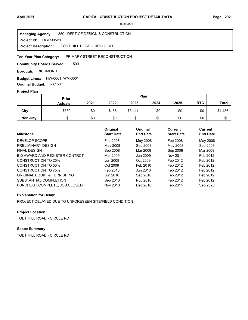**Project Id: HWR005B1** 850 : DEPT OF DESIGN & CONSTRUCTION TODT HILL ROAD - CIRCLE RD **Managing Agency: Project Description:** 

#### PRIMARY STREET RECONSTRUCTION **Ten-Year Plan Category:**

500 **Community Boards Served:** 

**Borough: RICHMOND** 

**Budget Lines: HW-0061 WM-0001 Original Budget:** \$3,150

#### **Project Plan**

|                 | Plan<br><b>Prior</b> |      |       |         |      |      |            |         |
|-----------------|----------------------|------|-------|---------|------|------|------------|---------|
|                 | <b>Actuals</b>       | 2021 | 2022  | 2023    | 2024 | 2025 | <b>RTC</b> | Total   |
| City            | \$889                | \$0  | \$156 | \$3,441 | \$0  | \$0  | \$0        | \$4,486 |
| <b>Non-City</b> | \$0                  | \$0  | \$0   | \$0     | \$0  | \$0  | \$0        | \$0     |

| <b>Milestone</b>               | Original<br><b>Start Date</b> | Original<br><b>End Date</b> | Current<br><b>Start Date</b> | <b>Current</b><br><b>End Date</b> |
|--------------------------------|-------------------------------|-----------------------------|------------------------------|-----------------------------------|
| DEVELOP SCOPE                  | Feb 2008                      | May 2008                    | Feb 2008                     | May 2008                          |
| PRELIMINARY DESIGN             | May 2008                      | Sep 2008                    | May 2008                     | Sep 2008                          |
| <b>FINAL DESIGN</b>            | Sep 2008                      | Mar 2009                    | Sep 2008                     | Mar 2009                          |
| BID AWARD AND REGISTER CONTRCT | Mar 2009                      | Jun 2009                    | Nov 2011                     | Feb 2012                          |
| <b>CONSTRUCTION TO 25%</b>     | Jun 2009                      | Oct 2009                    | Feb 2012                     | Feb 2012                          |
| CONSTRUCTION TO 50%            | Oct 2009                      | Feb 2010                    | Feb 2012                     | Feb 2012                          |
| <b>CONSTRUCTION TO 75%</b>     | Feb 2010                      | Jun 2010                    | Feb 2012                     | Feb 2012                          |
| ORIGINAL EQUIP & FURNISHING    | Jun 2010                      | Sep 2010                    | Feb 2012                     | Feb 2012                          |
| SUBSTANTIAL COMPLETION         | Sep 2010                      | Nov 2010                    | Feb 2012                     | Feb 2012                          |
| PUNCHLIST COMPLETE, JOB CLOSED | Nov 2010                      | Dec 2010                    | Feb 2014                     | Sep 2023                          |

### **Explanation for Delay:**

PROJECT DELAYED DUE TO UNFORESEEN SITE/FIELD CONDITION

## **Project Location:**

TODT HILL ROAD - CIRCLE RD

# **Scope Summary:**

TODT HILL ROAD - CIRCLE RD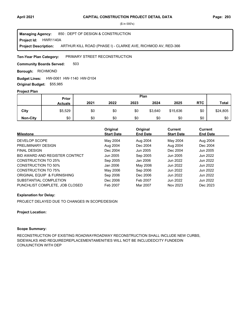**Project Id: HWR1140A** 850 : DEPT OF DESIGN & CONSTRUCTION ARTHUR KILL ROAD (PHASE I) - CLARKE AVE, RICHMOD AV, RED-366 **Managing Agency: Project Description:** 

PRIMARY STREET RECONSTRUCTION **Ten-Year Plan Category:** 

503 **Community Boards Served:** 

**Borough: RICHMOND** 

**Budget Lines: HW-0061 HW-1140 HW-D104 Original Budget:** \$55,985

## **Project Plan**

|                 |                | Plan<br>Prior |      |      |         |          |            |              |
|-----------------|----------------|---------------|------|------|---------|----------|------------|--------------|
|                 | <b>Actuals</b> | 2021          | 2022 | 2023 | 2024    | 2025     | <b>RTC</b> | <b>Total</b> |
| City            | \$5,529        | \$0           | \$0  | \$0  | \$3,640 | \$15,636 | \$0        | \$24,805     |
| <b>Non-City</b> | \$0            | \$0           | \$0  | \$0  | \$0     | \$0      | \$0        | \$0          |

| <b>Milestone</b>               | Original<br><b>Start Date</b> | Original<br><b>End Date</b> | Current<br><b>Start Date</b> | Current<br><b>End Date</b> |
|--------------------------------|-------------------------------|-----------------------------|------------------------------|----------------------------|
| DEVELOP SCOPE                  | May 2004                      | Aug 2004                    | May 2004                     | Aug 2004                   |
| PRELIMINARY DESIGN             | Aug 2004                      | Dec 2004                    | Aug 2004                     | Dec 2004                   |
| <b>FINAL DESIGN</b>            | Dec 2004                      | Jun 2005                    | Dec 2004                     | Jun 2005                   |
| BID AWARD AND REGISTER CONTRCT | Jun 2005                      | Sep 2005                    | Jun 2005                     | Jun 2022                   |
| CONSTRUCTION TO 25%            | Sep 2005                      | Jan 2006                    | Jun 2022                     | Jun 2022                   |
| CONSTRUCTION TO 50%            | Jan 2006                      | May 2006                    | Jun 2022                     | Jun 2022                   |
| CONSTRUCTION TO 75%            | May 2006                      | Sep 2006                    | Jun 2022                     | Jun 2022                   |
| ORIGINAL EQUIP & FURNISHING    | Sep 2006                      | Dec 2006                    | Jun 2022                     | Jun 2022                   |
| SUBSTANTIAL COMPLETION         | Dec 2006                      | Feb 2007                    | Jun 2022                     | Jun 2022                   |
| PUNCHLIST COMPLETE, JOB CLOSED | Feb 2007                      | Mar 2007                    | Nov 2023                     | Dec 2023                   |

## **Explanation for Delay:**

PROJECT DELAYED DUE TO CHANGES IN SCOPE/DESIGN

#### **Project Location:**

## **Scope Summary:**

RECONSTRUCTION OF EXISTING ROADWAYROADWAY RECONSTRUCTION SHALL INCLUDE NEW CURBS, SIDEWALKS AND REQUIREDREPLACEMENTAMENITIES WILL NOT BE INCLUDEDCITY FUNDEDIN CONJUNCTION WITH DEP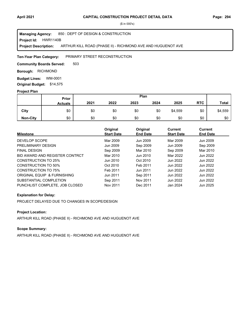**Project Id: HWR1140B** 850 : DEPT OF DESIGN & CONSTRUCTION ARTHUR KILL ROAD (PHASE II) - RICHMOND AVE AND HUGUENOT AVE **Managing Agency: Project Description:** 

PRIMARY STREET RECONSTRUCTION **Ten-Year Plan Category:** 

503 **Community Boards Served:** 

**Borough: RICHMOND** 

**Budget Lines: WM-0001 Original Budget:** \$14,575

#### **Project Plan**

|                 |                | Plan<br>Prior |      |      |      |         |            |              |
|-----------------|----------------|---------------|------|------|------|---------|------------|--------------|
|                 | <b>Actuals</b> | 2021          | 2022 | 2023 | 2024 | 2025    | <b>RTC</b> | <b>Total</b> |
| City            | \$0            | \$0           | \$0  | \$0  | \$0  | \$4,559 | \$0        | \$4,559      |
| <b>Non-City</b> | \$0            | \$0           | \$0  | \$0  | \$0  | \$0     | \$0        | \$0          |

| <b>Milestone</b>               | Original<br><b>Start Date</b> | Original<br><b>End Date</b> | Current<br><b>Start Date</b> | <b>Current</b><br><b>End Date</b> |
|--------------------------------|-------------------------------|-----------------------------|------------------------------|-----------------------------------|
| DEVELOP SCOPE                  | Mar 2009                      | Jun 2009                    | Mar 2009                     | Jun 2009                          |
| PRELIMINARY DESIGN             | Jun 2009                      | Sep 2009                    | Jun 2009                     | Sep 2009                          |
| <b>FINAL DESIGN</b>            | Sep 2009                      | Mar 2010                    | Sep 2009                     | Mar 2010                          |
| BID AWARD AND REGISTER CONTRCT | Mar 2010                      | Jun 2010                    | Mar 2022                     | Jun 2022                          |
| <b>CONSTRUCTION TO 25%</b>     | Jun 2010                      | Oct 2010                    | Jun 2022                     | Jun 2022                          |
| <b>CONSTRUCTION TO 50%</b>     | Oct 2010                      | Feb 2011                    | Jun 2022                     | Jun 2022                          |
| <b>CONSTRUCTION TO 75%</b>     | Feb 2011                      | Jun 2011                    | Jun 2022                     | Jun 2022                          |
| ORIGINAL EQUIP & FURNISHING    | Jun 2011                      | Sep 2011                    | Jun 2022                     | Jun 2022                          |
| SUBSTANTIAL COMPLETION         | Sep 2011                      | Nov 2011                    | Jun 2022                     | Jun 2022                          |
| PUNCHLIST COMPLETE. JOB CLOSED | Nov 2011                      | Dec 2011                    | Jan 2024                     | Jun 2025                          |

## **Explanation for Delay:**

PROJECT DELAYED DUE TO CHANGES IN SCOPE/DESIGN

## **Project Location:**

ARTHUR KILL ROAD (PHASE II) - RICHMOND AVE AND HUGUENOT AVE

#### **Scope Summary:**

ARTHUR KILL ROAD (PHASE II) - RICHMOND AVE AND HUGUENOT AVE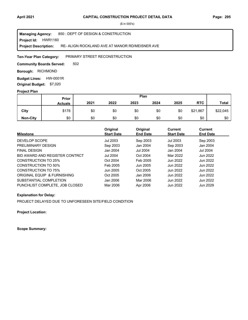**Project Id: HWR1160** 850 : DEPT OF DESIGN & CONSTRUCTION RE- ALIGN ROCKLAND AVE AT MANOR RD/MEISNER AVE **Managing Agency: Project Description:** 

#### PRIMARY STREET RECONSTRUCTION **Ten-Year Plan Category:**

502 **Community Boards Served:** 

**Borough: RICHMOND** 

**Budget Lines: HW-0001R Original Budget:** \$7,020

#### **Project Plan**

|                 |                | Plan<br><b>Prior</b> |      |      |      |      |            |          |
|-----------------|----------------|----------------------|------|------|------|------|------------|----------|
|                 | <b>Actuals</b> | 2021                 | 2022 | 2023 | 2024 | 2025 | <b>RTC</b> | Total    |
| City            | \$178          | \$0                  | \$0  | \$0  | \$0  | \$0  | \$21,867   | \$22,045 |
| <b>Non-City</b> | \$0            | \$0                  | \$0  | \$0  | \$0  | \$0  | \$0        | \$0      |

| <b>Milestone</b>               | Original<br><b>Start Date</b> | Original<br><b>End Date</b> | Current<br><b>Start Date</b> | Current<br><b>End Date</b> |
|--------------------------------|-------------------------------|-----------------------------|------------------------------|----------------------------|
| DEVELOP SCOPE                  | <b>Jul 2003</b>               | Sep 2003                    | Jul 2003                     | Sep 2003                   |
| PRELIMINARY DESIGN             | Sep 2003                      | Jan 2004                    | Sep 2003                     | Jan 2004                   |
| <b>FINAL DESIGN</b>            | Jan 2004                      | <b>Jul 2004</b>             | Jan 2004                     | <b>Jul 2004</b>            |
| BID AWARD AND REGISTER CONTRCT | <b>Jul 2004</b>               | Oct 2004                    | Mar 2022                     | Jun 2022                   |
| CONSTRUCTION TO 25%            | Oct 2004                      | Feb 2005                    | Jun 2022                     | Jun 2022                   |
| <b>CONSTRUCTION TO 50%</b>     | Feb 2005                      | Jun 2005                    | Jun 2022                     | Jun 2022                   |
| <b>CONSTRUCTION TO 75%</b>     | Jun 2005                      | Oct 2005                    | Jun 2022                     | Jun 2022                   |
| ORIGINAL EQUIP & FURNISHING    | Oct 2005                      | Jan 2006                    | Jun 2022                     | Jun 2022                   |
| SUBSTANTIAL COMPLETION         | Jan 2006                      | Mar 2006                    | Jun 2022                     | Jun 2022                   |
| PUNCHLIST COMPLETE, JOB CLOSED | Mar 2006                      | Apr 2006                    | Jun 2022                     | Jun 2029                   |

#### **Explanation for Delay:**

PROJECT DELAYED DUE TO UNFORESEEN SITE/FIELD CONDITION

**Project Location:**

**Scope Summary:**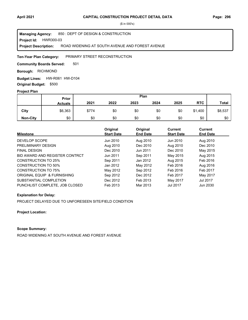**Project Id: HWR300-03** 850 : DEPT OF DESIGN & CONSTRUCTION ROAD WIDENING AT SOUTH AVENUE AND FOREST AVENUE **Managing Agency: Project Description:** 

#### PRIMARY STREET RECONSTRUCTION **Ten-Year Plan Category:**

501 **Community Boards Served:** 

**Borough: RICHMOND** 

**Budget Lines: HW-R061 HW-D104 Original Budget:** \$500

#### **Project Plan**

|                 |                | Plan<br><b>Prior</b> |      |      |      |      |            |              |
|-----------------|----------------|----------------------|------|------|------|------|------------|--------------|
|                 | <b>Actuals</b> | 2021                 | 2022 | 2023 | 2024 | 2025 | <b>RTC</b> | <b>Total</b> |
| City            | \$6,363        | \$774                | \$0  | \$0  | \$0  | \$0  | \$1,400    | \$8,537      |
| <b>Non-City</b> | \$0            | \$0                  | \$0  | \$0  | \$0  | \$0  | \$0        | \$0          |

| <b>Milestone</b>               | Original<br><b>Start Date</b> | Original<br><b>End Date</b> | <b>Current</b><br><b>Start Date</b> | Current<br><b>End Date</b> |
|--------------------------------|-------------------------------|-----------------------------|-------------------------------------|----------------------------|
| DEVELOP SCOPE                  | Jun 2010                      | Aug 2010                    | Jun 2010                            | Aug 2010                   |
| PRELIMINARY DESIGN             | Aug 2010                      | Dec 2010                    | Aug 2010                            | Dec 2010                   |
| <b>FINAL DESIGN</b>            | Dec 2010                      | Jun 2011                    | Dec 2010                            | May 2015                   |
| BID AWARD AND REGISTER CONTRCT | Jun 2011                      | Sep 2011                    | May 2015                            | Aug 2015                   |
| CONSTRUCTION TO 25%            | Sep 2011                      | Jan 2012                    | Aug 2015                            | Feb 2016                   |
| <b>CONSTRUCTION TO 50%</b>     | Jan 2012                      | May 2012                    | Feb 2016                            | Aug 2016                   |
| CONSTRUCTION TO 75%            | May 2012                      | Sep 2012                    | Feb 2016                            | Feb 2017                   |
| ORIGINAL EQUIP & FURNISHING    | Sep 2012                      | Dec 2012                    | Feb 2017                            | May 2017                   |
| SUBSTANTIAL COMPLETION         | Dec 2012                      | Feb 2013                    | May 2017                            | Jul 2017                   |
| PUNCHLIST COMPLETE, JOB CLOSED | Feb 2013                      | Mar 2013                    | <b>Jul 2017</b>                     | Jun 2030                   |

#### **Explanation for Delay:**

PROJECT DELAYED DUE TO UNFORESEEN SITE/FIELD CONDITION

**Project Location:**

## **Scope Summary:**

ROAD WIDENING AT SOUTH AVENUE AND FOREST AVENUE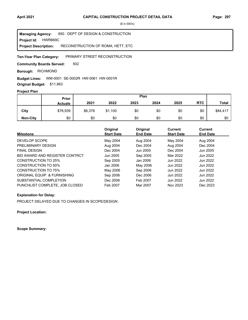**Project Id: HWR669C** 850 : DEPT OF DESIGN & CONSTRUCTION RECONSTRUCTION OF ROMA, HETT, ETC **Managing Agency: Project Description:** 

PRIMARY STREET RECONSTRUCTION **Ten-Year Plan Category:** 

502 **Community Boards Served:** 

**Borough: RICHMOND** 

#### WM-0001 SE-0002R HW-0061 HW-0001R **Budget Lines:**

**Original Budget:** \$11,863

## **Project Plan**

|                 | Plan<br>Prior  |         |         |      |      |      |            |              |
|-----------------|----------------|---------|---------|------|------|------|------------|--------------|
|                 | <b>Actuals</b> | 2021    | 2022    | 2023 | 2024 | 2025 | <b>RTC</b> | <b>Total</b> |
| City            | \$76,939       | \$6,378 | \$1,100 | \$0  | \$0  | \$0  | \$0        | \$84,417     |
| <b>Non-City</b> | \$0            | \$0     | \$0     | \$0  | \$0  | \$0  | \$0        | \$0          |

| <b>Milestone</b>               | Original<br><b>Start Date</b> | Original<br><b>End Date</b> | Current<br><b>Start Date</b> | Current<br><b>End Date</b> |
|--------------------------------|-------------------------------|-----------------------------|------------------------------|----------------------------|
| DEVELOP SCOPE                  | May 2004                      | Aug 2004                    | May 2004                     | Aug 2004                   |
| PRELIMINARY DESIGN             | Aug 2004                      | Dec 2004                    | Aug 2004                     | Dec 2004                   |
| <b>FINAL DESIGN</b>            | Dec 2004                      | Jun 2005                    | Dec 2004                     | Jun 2005                   |
| BID AWARD AND REGISTER CONTRCT | Jun 2005                      | Sep 2005                    | Mar 2022                     | Jun 2022                   |
| CONSTRUCTION TO 25%            | Sep 2005                      | Jan 2006                    | Jun 2022                     | Jun 2022                   |
| CONSTRUCTION TO 50%            | Jan 2006                      | May 2006                    | Jun 2022                     | Jun 2022                   |
| CONSTRUCTION TO 75%            | May 2006                      | Sep 2006                    | Jun 2022                     | Jun 2022                   |
| ORIGINAL EQUIP & FURNISHING    | Sep 2006                      | Dec 2006                    | Jun 2022                     | Jun 2022                   |
| SUBSTANTIAL COMPLETION         | Dec 2006                      | Feb 2007                    | Jun 2022                     | Jun 2022                   |
| PUNCHLIST COMPLETE, JOB CLOSED | Feb 2007                      | Mar 2007                    | Nov 2023                     | Dec 2023                   |

### **Explanation for Delay:**

PROJECT DELAYED DUE TO CHANGES IN SCOPE/DESIGN

**Project Location:**

**Scope Summary:**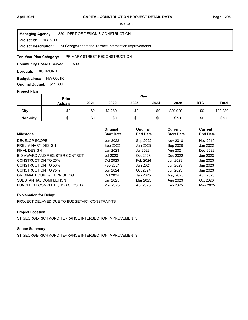**Project Id: HWR700** 850 : DEPT OF DESIGN & CONSTRUCTION St George-Richmond Terrace Intersection Improvements **Managing Agency: Project Description:** 

#### PRIMARY STREET RECONSTRUCTION **Ten-Year Plan Category:**

500 **Community Boards Served:** 

**Borough: RICHMOND** 

**Budget Lines: HW-0001R Original Budget:** \$11,300

#### **Project Plan**

|                 |                | Plan<br>Prior |         |      |      |          |            |              |
|-----------------|----------------|---------------|---------|------|------|----------|------------|--------------|
|                 | <b>Actuals</b> | 2021          | 2022    | 2023 | 2024 | 2025     | <b>RTC</b> | <b>Total</b> |
| City            | \$0            | \$0           | \$2,260 | \$0  | \$0  | \$20,020 | \$0        | \$22,280     |
| <b>Non-City</b> | \$0            | \$0           | \$0     | \$0  | \$0  | \$750    | \$0        | \$750        |

| <b>Milestone</b>               | Original<br><b>Start Date</b> | Original<br><b>End Date</b> | Current<br><b>Start Date</b> | <b>Current</b><br><b>End Date</b> |
|--------------------------------|-------------------------------|-----------------------------|------------------------------|-----------------------------------|
| DEVELOP SCOPE                  | Jun 2022                      | Sep 2022                    | Nov 2018                     | Nov 2019                          |
| PRELIMINARY DESIGN             | Sep 2022                      | Jan 2023                    | Sep 2020                     | Jan 2022                          |
| <b>FINAL DESIGN</b>            | Jan 2023                      | Jul 2023                    | Aug 2021                     | Dec 2022                          |
| BID AWARD AND REGISTER CONTRCT | Jul 2023                      | Oct 2023                    | Dec 2022                     | Jun 2023                          |
| CONSTRUCTION TO 25%            | Oct 2023                      | Feb 2024                    | Jun 2023                     | Jun 2023                          |
| CONSTRUCTION TO 50%            | Feb 2024                      | Jun 2024                    | Jun 2023                     | Jun 2023                          |
| <b>CONSTRUCTION TO 75%</b>     | Jun 2024                      | Oct 2024                    | Jun 2023                     | Jun 2023                          |
| ORIGINAL EQUIP & FURNISHING    | Oct 2024                      | Jan 2025                    | May 2023                     | Aug 2023                          |
| SUBSTANTIAL COMPLETION         | Jan 2025                      | Mar 2025                    | Aug 2023                     | Oct 2023                          |
| PUNCHLIST COMPLETE. JOB CLOSED | Mar 2025                      | Apr 2025                    | Feb 2025                     | May 2025                          |

### **Explanation for Delay:**

PROJECT DELAYED DUE TO BUDGETARY CONSTRAINTS

## **Project Location:**

ST GEORGE-RICHMOND TERRANCE INTERSECTION IMPROVEMENTS

# **Scope Summary:**

ST GEORGE-RICHMOND TERRANCE INTERSECTION IMPROVEMENTS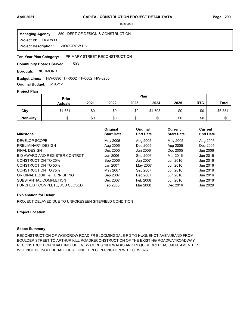**Project Id: HWR890** 850 : DEPT OF DESIGN & CONSTRUCTION WOODROW RD **Managing Agency: Project Description:** 

PRIMARY STREET RECONSTRUCTION **Ten-Year Plan Category:** 

503 **Community Boards Served:** 

**Borough: RICHMOND** 

**Budget Lines:** HW-0890 TF-0502 TF-0002 HW-0200

**Original Budget:** \$19,212

#### **Project Plan**

|                 | Plan<br>Prior  |      |      |      |         |      |            |              |
|-----------------|----------------|------|------|------|---------|------|------------|--------------|
|                 | <b>Actuals</b> | 2021 | 2022 | 2023 | 2024    | 2025 | <b>RTC</b> | <b>Total</b> |
| City            | \$1,651        | \$0  | \$0  | \$0  | \$4,703 | \$0  | \$0        | \$6,354      |
| <b>Non-City</b> | \$0            | \$0  | \$0  | \$0  | \$0     | \$0  | \$0        | \$0          |

| <b>Milestone</b>               | Original<br><b>Start Date</b> | Original<br><b>End Date</b> | <b>Current</b><br><b>Start Date</b> | Current<br><b>End Date</b> |
|--------------------------------|-------------------------------|-----------------------------|-------------------------------------|----------------------------|
| DEVELOP SCOPE                  | May 2005                      | Aug 2005                    | May 2005                            | Aug 2005                   |
| PRELIMINARY DESIGN             | Aug 2005                      | Dec 2005                    | Aug 2005                            | Dec 2005                   |
| <b>FINAL DESIGN</b>            | Dec 2005                      | Jun 2006                    | Dec 2005                            | Jun 2006                   |
| BID AWARD AND REGISTER CONTRCT | Jun 2006                      | Sep 2006                    | Mar 2016                            | Jun 2016                   |
| CONSTRUCTION TO 25%            | Sep 2006                      | Jan 2007                    | Jun 2016                            | Jun 2016                   |
| CONSTRUCTION TO 50%            | Jan 2007                      | May 2007                    | Jun 2016                            | Jun 2016                   |
| CONSTRUCTION TO 75%            | May 2007                      | Sep 2007                    | Jun 2016                            | Jun 2016                   |
| ORIGINAL EQUIP & FURNISHING    | Sep 2007                      | Dec 2007                    | Jun 2016                            | Jun 2016                   |
| SUBSTANTIAL COMPLETION         | Dec 2007                      | Feb 2008                    | Jun 2016                            | Jun 2016                   |
| PUNCHLIST COMPLETE, JOB CLOSED | Feb 2008                      | Mar 2008                    | Dec 2016                            | Jun 2029                   |

#### **Explanation for Delay:**

PROJECT DELAYED DUE TO UNFORESEEN SITE/FIELD CONDITION

#### **Project Location:**

#### **Scope Summary:**

RECONSTRUCTION OF WOODROW ROAD FR BLOOMINGDALE RD TO HUGUENOT AVENUEAND FROM BOULDER STREET TO ARTHUR KILL ROADRECONSTRUCTION OF THE EXISTING ROADWAYROADWAY RECONSTRUCTION SHALL INCLUDE NEW CURBS SIDEWALKS AND REQUIREDREPLACEMENTAMENITIES WILL NOT BE INCLUDEDALL CITY FUNDEDIN CONJUNCTION WITH SEWERS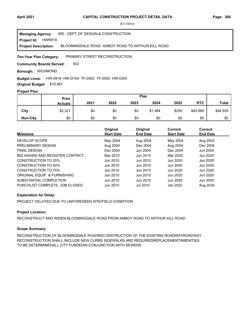850 : DEPT OF DESIGN & CONSTRUCTION **Managing Agency:**

**Project Id: HWR919** 

BLOOMINGDALE ROAD: AMBOY ROAD TO ARTHUR KILL ROAD **Project Description:** 

PRIMARY STREET RECONSTRUCTION **Ten-Year Plan Category:** 

503 **Community Boards Served:** 

**Borough: RICHMOND** 

### Budget Lines: HW-0919 HW-D104 TF-0502 TF-0002 HW-0200

**Original Budget:** \$10,461

### **Project Plan**

|                 | Plan<br>Prior  |      |      |      |         |       |            |              |
|-----------------|----------------|------|------|------|---------|-------|------------|--------------|
|                 | <b>Actuals</b> | 2021 | 2022 | 2023 | 2024    | 2025  | <b>RTC</b> | <b>Total</b> |
| City            | \$2,321        | \$0  | \$0  | \$0  | \$1,484 | \$250 | \$40,880   | \$44,935     |
| <b>Non-City</b> | \$0            | \$0  | \$0  | \$0  | \$0     | \$0   | \$0        | \$0          |

| <b>Milestone</b>               | Original<br><b>Start Date</b> | Original<br><b>End Date</b> | Current<br><b>Start Date</b> | <b>Current</b><br><b>End Date</b> |
|--------------------------------|-------------------------------|-----------------------------|------------------------------|-----------------------------------|
|                                |                               |                             |                              |                                   |
| DEVELOP SCOPE                  | May 2004                      | Aug 2004                    | May 2004                     | Aug 2004                          |
| PRELIMINARY DESIGN             | Aug 2004                      | Dec 2004                    | Aug 2004                     | Dec 2004                          |
| <b>FINAL DESIGN</b>            | Dec 2004                      | Jun 2005                    | Dec 2004                     | Jun 2005                          |
| BID AWARD AND REGISTER CONTRCT | Mar 2010                      | Jun 2010                    | Mar 2020                     | Jun 2020                          |
| CONSTRUCTION TO 25%            | Jun 2010                      | Jun 2010                    | Jun 2020                     | Jun 2020                          |
| CONSTRUCTION TO 50%            | Jun 2010                      | Jun 2010                    | Jun 2020                     | Jun 2020                          |
| CONSTRUCTION TO 75%            | Jun 2010                      | Jun 2010                    | Jun 2020                     | Jun 2020                          |
| ORIGINAL EQUIP & FURNISHING    | Jun 2010                      | Jun 2010                    | Jun 2020                     | Jun 2020                          |
| SUBSTANTIAL COMPLETION         | Jun 2010                      | Jun 2010                    | Jun 2020                     | Jun 2020                          |
| PUNCHLIST COMPLETE, JOB CLOSED | Jun 2010                      | Jul 2010                    | Jan 2022                     | Aug 2030                          |

### **Explanation for Delay:**

PROJECT DELAYED DUE TO UNFORESEEN SITE/FIELD CONDITION

### **Project Location:**

RECONSTRUCT AND WIDEN BLOOMINGDALE ROAD FROM AMBOY ROAD TO ARTHUR KILL ROAD

## **Scope Summary:**

RECONSTRUCTION OF BLOOMINGDALE ROADRECONSTRUCTION OF THE EXISTING ROADWAYROADWAY RECONSTRUCTION SHALL INCLUDE NEW CURBS SIDEWALKS AND REQUIREDREPLACEMENTAMENITIES TO BE DETERMINEDALL CITY FUNDEDIN CONJUNCTION WITH SEWERS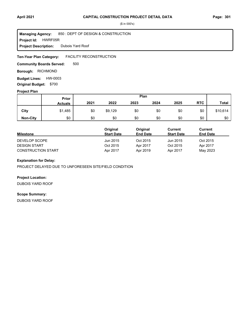#### **Project Id: HWRF05R** 850 : DEPT OF DESIGN & CONSTRUCTION Dubois Yard Roof **Managing Agency: Project Description:**

FACILITY RECONSTRUCTION **Ten-Year Plan Category:** 

500 **Community Boards Served:** 

**Borough: RICHMOND** 

**Budget Lines: HW-0003 Original Budget:** \$700

## **Project Plan**

|                 | Plan<br>Prior  |      |         |      |      |      |            |              |
|-----------------|----------------|------|---------|------|------|------|------------|--------------|
|                 | <b>Actuals</b> | 2021 | 2022    | 2023 | 2024 | 2025 | <b>RTC</b> | <b>Total</b> |
| City            | \$1,485        | \$0  | \$9,129 | \$0  | \$0  | \$0  | \$0        | \$10,614     |
| <b>Non-City</b> | \$0            | \$0  | \$0     | \$0  | \$0  | \$0  | \$0        | \$0          |

|                           | Original          | Original        | Current           | Current         |  |
|---------------------------|-------------------|-----------------|-------------------|-----------------|--|
| <b>Milestone</b>          | <b>Start Date</b> | <b>End Date</b> | <b>Start Date</b> | <b>End Date</b> |  |
| DEVELOP SCOPE             | Jun 2015          | Oct 2015        | Jun 2015          | Oct 2015        |  |
| <b>DESIGN START</b>       | Oct 2015          | Apr 2017        | Oct 2015          | Apr 2017        |  |
| <b>CONSTRUCTION START</b> | Apr 2017          | Apr 2019        | Apr 2017          | May 2023        |  |

## **Explanation for Delay:**

PROJECT DELAYED DUE TO UNFORESEEN SITE/FIELD CONDITION

### **Project Location:**

DUBOIS YARD ROOF

#### **Scope Summary:**

DUBOIS YARD ROOF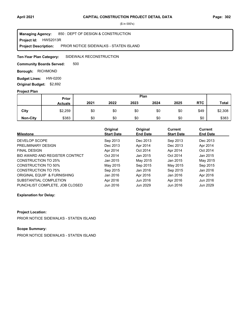**Project Id: HWS2013R** 850 : DEPT OF DESIGN & CONSTRUCTION PRIOR NOTICE SIDEWALKS - STATEN ISLAND **Managing Agency: Project Description:** 

SIDEWALK RECONSTRUCTION **Ten-Year Plan Category:** 

500 **Community Boards Served:** 

**Borough: RICHMOND** 

**Budget Lines: HW-0200 Original Budget:** \$2,692

#### **Project Plan**

|                 | Plan<br><b>Prior</b> |      |      |      |      |      |            |              |
|-----------------|----------------------|------|------|------|------|------|------------|--------------|
|                 | <b>Actuals</b>       | 2021 | 2022 | 2023 | 2024 | 2025 | <b>RTC</b> | <b>Total</b> |
| City            | \$2,259              | \$0  | \$0  | \$0  | \$0  | \$0  | \$49       | \$2,308      |
| <b>Non-City</b> | \$383                | \$0  | \$0  | \$0  | \$0  | \$0  | \$0        | \$383        |

| <b>Milestone</b>               | Original<br><b>Start Date</b> | Original<br><b>End Date</b> | <b>Current</b><br><b>Start Date</b> | <b>Current</b><br><b>End Date</b> |
|--------------------------------|-------------------------------|-----------------------------|-------------------------------------|-----------------------------------|
| DEVELOP SCOPE                  | Sep 2013                      | Dec 2013                    | Sep 2013                            | Dec 2013                          |
| PRELIMINARY DESIGN             | Dec 2013                      | Apr 2014                    | Dec 2013                            | Apr 2014                          |
| <b>FINAL DESIGN</b>            | Apr 2014                      | Oct 2014                    | Apr 2014                            | Oct 2014                          |
| BID AWARD AND REGISTER CONTRCT | Oct 2014                      | Jan 2015                    | Oct 2014                            | Jan 2015                          |
| CONSTRUCTION TO 25%            | Jan 2015                      | May 2015                    | Jan 2015                            | May 2015                          |
| CONSTRUCTION TO 50%            | May 2015                      | Sep 2015                    | May 2015                            | Sep 2015                          |
| CONSTRUCTION TO 75%            | Sep 2015                      | Jan 2016                    | Sep 2015                            | Jan 2016                          |
| ORIGINAL EQUIP & FURNISHING    | Jan 2016                      | Apr 2016                    | Jan 2016                            | Apr 2016                          |
| SUBSTANTIAL COMPLETION         | Apr 2016                      | Jun 2016                    | Apr 2016                            | Jun 2016                          |
| PUNCHLIST COMPLETE. JOB CLOSED | Jun 2016                      | Jun 2029                    | Jun 2016                            | Jun 2029                          |

#### **Explanation for Delay:**

#### **Project Location:**

PRIOR NOTICE SIDEWALKS - STATEN ISLAND

# **Scope Summary:**

PRIOR NOTICE SIDEWALKS - STATEN ISLAND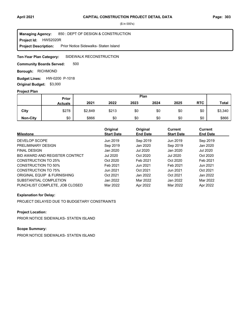**Project Id: HWS2020R** 850 : DEPT OF DESIGN & CONSTRUCTION Prior Notice Sidewalks- Staten Island **Managing Agency: Project Description:** 

#### SIDEWALK RECONSTRUCTION **Ten-Year Plan Category:**

500 **Community Boards Served:** 

**Borough: RICHMOND** 

**Budget Lines: HW-0200 P-1018 Original Budget:** \$3,000

#### **Project Plan**

|                 |                | Plan<br><b>Prior</b> |       |      |      |      |            |              |
|-----------------|----------------|----------------------|-------|------|------|------|------------|--------------|
|                 | <b>Actuals</b> | 2021                 | 2022  | 2023 | 2024 | 2025 | <b>RTC</b> | <b>Total</b> |
| City            | \$278          | \$2,849              | \$213 | \$0  | \$0  | \$0  | \$0        | \$3,340      |
| <b>Non-City</b> | \$0            | \$866                | \$0   | \$0  | \$0  | \$0  | \$0        | \$866        |

| <b>Milestone</b>               | Original<br><b>Start Date</b> | Original<br><b>End Date</b> | Current<br><b>Start Date</b> | Current<br><b>End Date</b> |
|--------------------------------|-------------------------------|-----------------------------|------------------------------|----------------------------|
| DEVELOP SCOPE                  | Jun 2019                      | Sep 2019                    | Jun 2019                     | Sep 2019                   |
| PRELIMINARY DESIGN             | Sep 2019                      | Jan 2020                    | Sep 2019                     | Jan 2020                   |
| <b>FINAL DESIGN</b>            | Jan 2020                      | <b>Jul 2020</b>             | Jan 2020                     | Jul 2020                   |
| BID AWARD AND REGISTER CONTRCT | Jul 2020                      | Oct 2020                    | <b>Jul 2020</b>              | Oct 2020                   |
| CONSTRUCTION TO 25%            | Oct 2020                      | Feb 2021                    | Oct 2020                     | Feb 2021                   |
| CONSTRUCTION TO 50%            | Feb 2021                      | Jun 2021                    | Feb 2021                     | Jun 2021                   |
| <b>CONSTRUCTION TO 75%</b>     | Jun 2021                      | Oct 2021                    | Jun 2021                     | Oct 2021                   |
| ORIGINAL EQUIP & FURNISHING    | Oct 2021                      | Jan 2022                    | Oct 2021                     | Jan 2022                   |
| SUBSTANTIAL COMPLETION         | Jan 2022                      | Mar 2022                    | Jan 2022                     | Mar 2022                   |
| PUNCHLIST COMPLETE, JOB CLOSED | Mar 2022                      | Apr 2022                    | Mar 2022                     | Apr 2022                   |

### **Explanation for Delay:**

PROJECT DELAYED DUE TO BUDGETARY CONSTRAINTS

## **Project Location:**

PRIOR NOTICE SIDEWALKS- STATEN ISLAND

# **Scope Summary:**

PRIOR NOTICE SIDEWALKS- STATEN ISLAND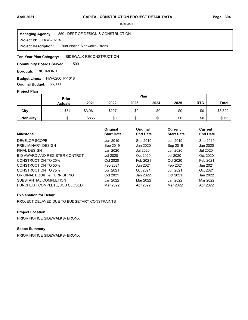**Project Id: HWS2020X** 850 : DEPT OF DESIGN & CONSTRUCTION Prior Notice Sidewalks- Bronx **Managing Agency: Project Description:** 

SIDEWALK RECONSTRUCTION **Ten-Year Plan Category:** 

500 **Community Boards Served:** 

**Borough: RICHMOND** 

**Budget Lines: HW-0200 P-1018 Original Budget:** \$5,000

#### **Project Plan**

|                 |                | Plan<br><b>Prior</b> |       |      |      |      |            |              |
|-----------------|----------------|----------------------|-------|------|------|------|------------|--------------|
|                 | <b>Actuals</b> | 2021                 | 2022  | 2023 | 2024 | 2025 | <b>RTC</b> | <b>Total</b> |
| City            | \$54           | \$3,061              | \$207 | \$0  | \$0  | \$0  | \$0        | \$3,322      |
| <b>Non-City</b> | \$0            | \$866                | \$0   | \$0  | \$0  | \$0  | \$0        | \$866        |

| <b>Milestone</b>               | Original<br><b>Start Date</b> | Original<br><b>End Date</b> | Current<br><b>Start Date</b> | Current<br><b>End Date</b> |
|--------------------------------|-------------------------------|-----------------------------|------------------------------|----------------------------|
| DEVELOP SCOPE                  | Jun 2019                      | Sep 2019                    | Jun 2019                     | Sep 2019                   |
| PRELIMINARY DESIGN             | Sep 2019                      | Jan 2020                    | Sep 2019                     | Jan 2020                   |
| <b>FINAL DESIGN</b>            | Jan 2020                      | <b>Jul 2020</b>             | Jan 2020                     | Jul 2020                   |
| BID AWARD AND REGISTER CONTRCT | Jul 2020                      | Oct 2020                    | <b>Jul 2020</b>              | Oct 2020                   |
| CONSTRUCTION TO 25%            | Oct 2020                      | Feb 2021                    | Oct 2020                     | Feb 2021                   |
| CONSTRUCTION TO 50%            | Feb 2021                      | Jun 2021                    | Feb 2021                     | Jun 2021                   |
| <b>CONSTRUCTION TO 75%</b>     | Jun 2021                      | Oct 2021                    | Jun 2021                     | Oct 2021                   |
| ORIGINAL EQUIP & FURNISHING    | Oct 2021                      | Jan 2022                    | Oct 2021                     | Jan 2022                   |
| SUBSTANTIAL COMPLETION         | Jan 2022                      | Mar 2022                    | Jan 2022                     | Mar 2022                   |
| PUNCHLIST COMPLETE, JOB CLOSED | Mar 2022                      | Apr 2022                    | Mar 2022                     | Apr 2022                   |

### **Explanation for Delay:**

PROJECT DELAYED DUE TO BUDGETARY CONSTRAINTS

## **Project Location:**

PRIOR NOTICE SIDEWALKS- BRONX

# **Scope Summary:**

PRIOR NOTICE SIDEWALKS- BRONX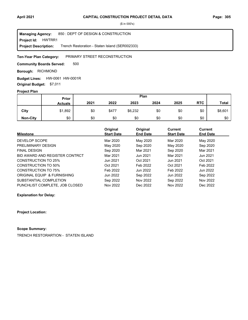**Project Id: HWTRR1** 850 : DEPT OF DESIGN & CONSTRUCTION Trench Restoration - Staten Island (SER002333) **Managing Agency: Project Description:** 

#### PRIMARY STREET RECONSTRUCTION **Ten-Year Plan Category:**

500 **Community Boards Served:** 

**Borough: RICHMOND** 

**Budget Lines: HW-0061 HW-0001R Original Budget:** \$7,011

#### **Project Plan**

|                 | Prior          | Plan |       |         |      |      |            |              |
|-----------------|----------------|------|-------|---------|------|------|------------|--------------|
|                 | <b>Actuals</b> | 2021 | 2022  | 2023    | 2024 | 2025 | <b>RTC</b> | <b>Total</b> |
| City            | \$1,892        | \$0  | \$477 | \$6,232 | \$0  | \$0  | \$0        | \$8,601      |
| <b>Non-City</b> | \$0            | \$0  | \$0   | \$0     | \$0  | \$0  | \$0        | \$0          |

|                                | Original          | Original        | Current           | Current         |  |
|--------------------------------|-------------------|-----------------|-------------------|-----------------|--|
| <b>Milestone</b>               | <b>Start Date</b> | <b>End Date</b> | <b>Start Date</b> | <b>End Date</b> |  |
| DEVELOP SCOPE                  | Mar 2020          | May 2020        | Mar 2020          | May 2020        |  |
| PRELIMINARY DESIGN             | May 2020          | Sep 2020        | May 2020          | Sep 2020        |  |
| <b>FINAL DESIGN</b>            | Sep 2020          | Mar 2021        | Sep 2020          | Mar 2021        |  |
| BID AWARD AND REGISTER CONTRCT | Mar 2021          | Jun 2021        | Mar 2021          | Jun 2021        |  |
| CONSTRUCTION TO 25%            | Jun 2021          | Oct 2021        | Jun 2021          | Oct 2021        |  |
| <b>CONSTRUCTION TO 50%</b>     | Oct 2021          | Feb 2022        | Oct 2021          | Feb 2022        |  |
| CONSTRUCTION TO 75%            | Feb 2022          | Jun 2022        | Feb 2022          | Jun 2022        |  |
| ORIGINAL EQUIP & FURNISHING    | Jun 2022          | Sep 2022        | Jun 2022          | Sep 2022        |  |
| SUBSTANTIAL COMPLETION         | Sep 2022          | Nov 2022        | Sep 2022          | Nov 2022        |  |
| PUNCHLIST COMPLETE, JOB CLOSED | Nov 2022          | Dec 2022        | Nov 2022          | Dec 2022        |  |

**Explanation for Delay:**

**Project Location:**

## **Scope Summary:**

TRENCH RESTORARTION - STATEN ISLAND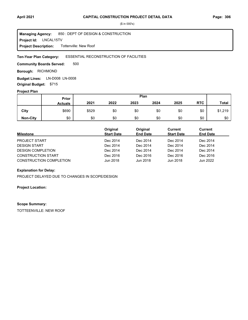#### LNCAL15TV **Project Id:** 850 : DEPT OF DESIGN & CONSTRUCTION Tottenville: New Roof **Managing Agency: Project Description:**

#### ESSENTIAL RECONSTRUCTION OF FACILITIES **Ten-Year Plan Category:**

500 **Community Boards Served:** 

**Borough: RICHMOND** 

**Budget Lines: LN-D008 LN-0008 Original Budget:** \$715

### **Project Plan**

|                 | Prior          | Plan  |      |      |      |      |            |              |
|-----------------|----------------|-------|------|------|------|------|------------|--------------|
|                 | <b>Actuals</b> | 2021  | 2022 | 2023 | 2024 | 2025 | <b>RTC</b> | <b>Total</b> |
| City            | \$690          | \$529 | \$0  | \$0  | \$0  | \$0  | \$0        | \$1,219      |
| <b>Non-City</b> | \$0            | \$0   | \$0  | \$0  | \$0  | \$0  | \$0        | \$0          |

| <b>Milestone</b>               | Original<br><b>Start Date</b> | Original<br><b>End Date</b> | Current<br><b>Start Date</b> | Current<br><b>End Date</b> |
|--------------------------------|-------------------------------|-----------------------------|------------------------------|----------------------------|
| <b>PROJECT START</b>           | Dec 2014                      | Dec 2014                    | Dec 2014                     | Dec 2014                   |
| <b>DESIGN START</b>            | Dec 2014                      | Dec 2014                    | Dec 2014                     | Dec 2014                   |
| <b>DESIGN COMPLETION</b>       | Dec 2014                      | Dec 2014                    | Dec 2014                     | Dec 2014                   |
| <b>CONSTRUCTION START</b>      | Dec 2016                      | Dec 2016                    | Dec 2016                     | Dec 2016                   |
| <b>CONSTRUCTION COMPLETION</b> | Jun 2018                      | Jun 2018                    | Jun 2018                     | Jun 2022                   |

#### **Explanation for Delay:**

PROJECT DELAYED DUE TO CHANGES IN SCOPE/DESIGN

#### **Project Location:**

#### **Scope Summary:**

TOTTEENVILLE: NEW ROOF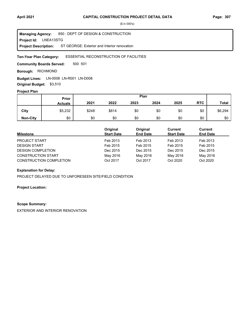LNEA13STG **Project Id:** 850 : DEPT OF DESIGN & CONSTRUCTION ST GEORGE: Exterior and Interior renovation **Managing Agency: Project Description:** 

#### ESSENTIAL RECONSTRUCTION OF FACILITIES **Ten-Year Plan Category:**

500 501 **Community Boards Served:** 

**Borough: RICHMOND** 

LN-0008 LN-R001 LN-D008 **Budget Lines: Original Budget:** \$3,510

#### **Project Plan**

|                 | Plan<br>Prior  |       |       |      |      |      |            |              |
|-----------------|----------------|-------|-------|------|------|------|------------|--------------|
|                 | <b>Actuals</b> | 2021  | 2022  | 2023 | 2024 | 2025 | <b>RTC</b> | <b>Total</b> |
| City            | \$5,232        | \$248 | \$814 | \$0  | \$0  | \$0  | \$0        | \$6,294      |
| <b>Non-City</b> | \$0            | \$0   | \$0   | \$0  | \$0  | \$0  | \$0        | \$0          |

| <b>Milestone</b>               | Original<br><b>Start Date</b> | Original<br><b>End Date</b> | Current<br><b>Start Date</b> | <b>Current</b><br><b>End Date</b> |
|--------------------------------|-------------------------------|-----------------------------|------------------------------|-----------------------------------|
| <b>PROJECT START</b>           | Feb 2013                      | Feb 2013                    | Feb 2013                     | Feb 2013                          |
| <b>DESIGN START</b>            | Feb 2015                      | Feb 2015                    | Feb 2015                     | Feb 2015                          |
| <b>DESIGN COMPLETION</b>       | Dec 2015                      | Dec 2015                    | Dec 2015                     | Dec 2015                          |
| <b>CONSTRUCTION START</b>      | May 2016                      | May 2016                    | May 2016                     | May 2016                          |
| <b>CONSTRUCTION COMPLETION</b> | Oct 2017                      | Oct 2017                    | Oct 2020                     | Oct 2020                          |

### **Explanation for Delay:**

PROJECT DELAYED DUE TO UNFORESEEN SITE/FIELD CONDITION

#### **Project Location:**

#### **Scope Summary:**

EXTERIOR AND INTERIOR RENOVATION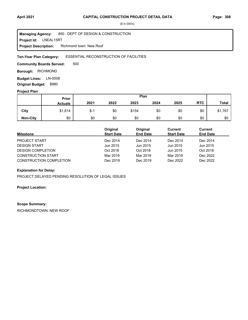LNEAL15RT **Project Id:** 850 : DEPT OF DESIGN & CONSTRUCTION Richmond town: New Roof **Managing Agency: Project Description:** 

#### ESSENTIAL RECONSTRUCTION OF FACILITIES **Ten-Year Plan Category:**

500 **Community Boards Served:** 

**Borough: RICHMOND** 

**Budget Lines: LN-0008 Original Budget:** \$980

### **Project Plan**

|                 |                | Plan<br>Prior |      |       |      |      |            |              |
|-----------------|----------------|---------------|------|-------|------|------|------------|--------------|
|                 | <b>Actuals</b> | 2021          | 2022 | 2023  | 2024 | 2025 | <b>RTC</b> | <b>Total</b> |
| City            | \$1,614        | \$-1          | \$0  | \$154 | \$0  | \$0  | \$0        | \$1,767      |
| <b>Non-City</b> | \$0            | \$0           | \$0  | \$0   | \$0  | \$0  | \$0        | \$0          |

| <b>Milestone</b>               | Original<br><b>Start Date</b> | Original<br><b>End Date</b> | Current<br><b>Start Date</b> | <b>Current</b><br><b>End Date</b> |
|--------------------------------|-------------------------------|-----------------------------|------------------------------|-----------------------------------|
| <b>PROJECT START</b>           | Dec 2014                      | Dec 2014                    | Dec 2014                     | Dec 2014                          |
| <b>DESIGN START</b>            | Jun 2015                      | Jun 2015                    | Jun 2015                     | Jun 2015                          |
| <b>DESIGN COMPLETION</b>       | Oct 2018                      | Oct 2018                    | Jun 2015                     | Oct 2018                          |
| <b>CONSTRUCTION START</b>      | Mar 2019                      | Mar 2019                    | Mar 2019                     | Dec 2022                          |
| <b>CONSTRUCTION COMPLETION</b> | Dec 2019                      | Dec 2019                    | Dec 2022                     | Dec 2022                          |

#### **Explanation for Delay:**

PROJECT DELAYED PENDING RESOLUTION OF LEGAL ISSUES

#### **Project Location:**

#### **Scope Summary:**

RICHMONDTOWN: NEW ROOF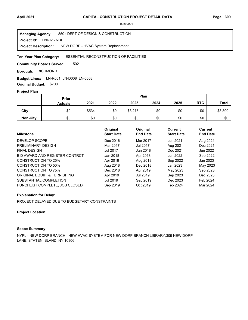**Project Id: LNRA17NDP** 850 : DEPT OF DESIGN & CONSTRUCTION NEW DORP - HVAC System Replacement **Managing Agency: Project Description:** 

#### ESSENTIAL RECONSTRUCTION OF FACILITIES **Ten-Year Plan Category:**

502 **Community Boards Served:** 

**Borough: RICHMOND** 

LN-R001 LN-D008 LN-0008 **Budget Lines: Original Budget:** \$700

#### **Project Plan**

|                 |                | Plan<br>Prior |      |         |      |      |            |              |
|-----------------|----------------|---------------|------|---------|------|------|------------|--------------|
|                 | <b>Actuals</b> | 2021          | 2022 | 2023    | 2024 | 2025 | <b>RTC</b> | <b>Total</b> |
| City            | \$0            | \$534         | \$0  | \$3,275 | \$0  | \$0  | \$0        | \$3,809      |
| <b>Non-City</b> | \$0            | \$0           | \$0  | \$0     | \$0  | \$0  | \$0        | \$0          |

| <b>Milestone</b>               | Original<br><b>Start Date</b> | Original<br><b>End Date</b> | <b>Current</b><br><b>Start Date</b> | Current<br><b>End Date</b> |
|--------------------------------|-------------------------------|-----------------------------|-------------------------------------|----------------------------|
| DEVELOP SCOPE                  | Dec 2016                      | Mar 2017                    | Jun 2021                            | Aug 2021                   |
| PRELIMINARY DESIGN             | Mar 2017                      | <b>Jul 2017</b>             | Aug 2021                            | Dec 2021                   |
| <b>FINAL DESIGN</b>            | <b>Jul 2017</b>               | Jan 2018                    | Dec 2021                            | Jun 2022                   |
| BID AWARD AND REGISTER CONTRCT | Jan 2018                      | Apr 2018                    | Jun 2022                            | Sep 2022                   |
| CONSTRUCTION TO 25%            | Apr 2018                      | Aug 2018                    | Sep 2022                            | Jan 2023                   |
| CONSTRUCTION TO 50%            | Aug 2018                      | Dec 2018                    | Jan 2023                            | May 2023                   |
| <b>CONSTRUCTION TO 75%</b>     | Dec 2018                      | Apr 2019                    | May 2023                            | Sep 2023                   |
| ORIGINAL EQUIP & FURNISHING    | Apr 2019                      | Jul 2019                    | Sep 2023                            | Dec 2023                   |
| SUBSTANTIAL COMPLETION         | Jul 2019                      | Sep 2019                    | Dec 2023                            | Feb 2024                   |
| PUNCHLIST COMPLETE. JOB CLOSED | Sep 2019                      | Oct 2019                    | Feb 2024                            | Mar 2024                   |

### **Explanation for Delay:**

PROJECT DELAYED DUE TO BUDGETARY CONSTRAINTS

#### **Project Location:**

## **Scope Summary:**

NYPL - NEW DORP BRANCH: NEW HVAC SYSTEM FOR NEW DORP BRANCH LIBRARY;309 NEW DORP LANE, STATEN ISLAND, NY 10306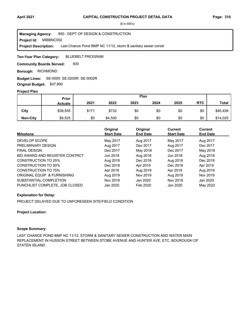**Project Id: MIBBNC002** 850 : DEPT OF DESIGN & CONSTRUCTION Last Chance Pond BMP NC 11/12, storm & sanitary sewer constr **Managing Agency: Project Description:** 

BLUEBELT PROGRAM **Ten-Year Plan Category:** 

500 **Community Boards Served:** 

**Borough: RICHMOND** 

SE-0005 SE-0200R SE-0002R **Budget Lines:** 

**Original Budget:** \$47,890

## **Project Plan**

|                 | Plan<br><b>Prior</b> |       |         |      |      |      |            |              |
|-----------------|----------------------|-------|---------|------|------|------|------------|--------------|
|                 | <b>Actuals</b>       | 2021  | 2022    | 2023 | 2024 | 2025 | <b>RTC</b> | <b>Total</b> |
| City            | \$39,555             | \$171 | \$732   | \$0  | \$0  | \$0  | \$0        | \$40,458     |
| <b>Non-City</b> | \$9,525              | \$0   | \$4,500 | \$0  | \$0  | \$0  | \$0        | \$14,025     |

| <b>Milestone</b>               | Original<br><b>Start Date</b> | Original<br><b>End Date</b> | Current<br><b>Start Date</b> | Current<br><b>End Date</b> |
|--------------------------------|-------------------------------|-----------------------------|------------------------------|----------------------------|
| DEVELOP SCOPE                  | May 2017                      | Aug 2017                    | May 2017                     | Aug 2017                   |
| PRELIMINARY DESIGN             | Aug 2017                      | Dec 2017                    | Aug 2017                     | Dec 2017                   |
| <b>FINAL DESIGN</b>            | Dec 2017                      | May 2018                    | Dec 2017                     | May 2018                   |
| BID AWARD AND REGISTER CONTRCT | Jun 2018                      | Aug 2018                    | Jun 2018                     | Aug 2018                   |
| CONSTRUCTION TO 25%            | Aug 2018                      | Dec 2018                    | Aug 2018                     | Dec 2018                   |
| CONSTRUCTION TO 50%            | Dec 2018                      | Apr 2019                    | Dec 2018                     | Apr 2019                   |
| <b>CONSTRUCTION TO 75%</b>     | Apr 2019                      | Aug 2019                    | Apr 2019                     | Aug 2019                   |
| ORIGINAL EQUIP & FURNISHING    | Aug 2019                      | Nov 2019                    | Aug 2019                     | Nov 2019                   |
| SUBSTANTIAL COMPLETION         | Nov 2019                      | Jan 2020                    | Nov 2019                     | Jan 2020                   |
| PUNCHLIST COMPLETE, JOB CLOSED | Jan 2020                      | Feb 2020                    | Jan 2020                     | May 2022                   |

#### **Explanation for Delay:**

PROJECT DELAYED DUE TO UNFORESEEN SITE/FIELD CONDITION

#### **Project Location:**

#### **Scope Summary:**

LAST CHANCE POND BMP NC 11/12, STORM & SANITARY SEWER CONSTRUCTION AND WATER MAIN REPLACEMENT IN HUSSON STREET BETWEEN STOBE AVENUE AND HUNTER AVE, ETC, BOUROUGH OF STATEN ISLAND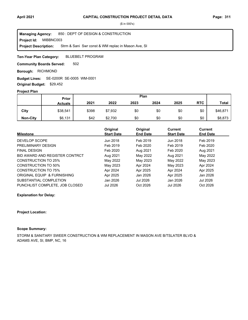**Project Id: MIBBNC003** 850 : DEPT OF DESIGN & CONSTRUCTION Strm & Sani Swr const & WM replac in Mason Ave, SI **Managing Agency: Project Description:** 

BLUEBELT PROGRAM **Ten-Year Plan Category:** 

502 **Community Boards Served:** 

**Borough: RICHMOND** 

SE-0200R SE-0005 WM-0001 **Budget Lines: Original Budget:** \$29,452

## **Project Plan**

|                 |                | Plan<br>Prior |         |      |      |      |            |              |
|-----------------|----------------|---------------|---------|------|------|------|------------|--------------|
|                 | <b>Actuals</b> | 2021          | 2022    | 2023 | 2024 | 2025 | <b>RTC</b> | <b>Total</b> |
| City            | \$38,541       | \$398         | \$7,932 | \$0  | \$0  | \$0  | \$0        | \$46,871     |
| <b>Non-City</b> | \$6,131        | \$42          | \$2,700 | \$0  | \$0  | \$0  | \$0        | \$8,873      |

|                                | Original          | Original        | Current           | Current         |
|--------------------------------|-------------------|-----------------|-------------------|-----------------|
| <b>Milestone</b>               | <b>Start Date</b> | <b>End Date</b> | <b>Start Date</b> | <b>End Date</b> |
| DEVELOP SCOPE                  | Jun 2018          | Feb 2019        | Jun 2018          | Feb 2019        |
| PRELIMINARY DESIGN             | Feb 2019          | Feb 2020        | Feb 2019          | Feb 2020        |
| <b>FINAL DESIGN</b>            | Feb 2020          | Aug 2021        | Feb 2020          | Aug 2021        |
| BID AWARD AND REGISTER CONTRCT | Aug 2021          | May 2022        | Aug 2021          | May 2022        |
| <b>CONSTRUCTION TO 25%</b>     | May 2022          | May 2023        | May 2022          | May 2023        |
| <b>CONSTRUCTION TO 50%</b>     | May 2023          | Apr 2024        | May 2023          | Apr 2024        |
| <b>CONSTRUCTION TO 75%</b>     | Apr 2024          | Apr 2025        | Apr 2024          | Apr 2025        |
| ORIGINAL EQUIP & FURNISHING    | Apr 2025          | Jan 2026        | Apr 2025          | Jan 2026        |
| SUBSTANTIAL COMPLETION         | Jan 2026          | Jul 2026        | Jan 2026          | Jul 2026        |
| PUNCHLIST COMPLETE. JOB CLOSED | Jul 2026          | Oct 2026        | <b>Jul 2026</b>   | Oct 2026        |

#### **Explanation for Delay:**

#### **Project Location:**

## **Scope Summary:**

STORM & SANITARY SWEER CONSTRUCTION & WM REPLACEMENT IN MASON AVE B/TSLATER BLVD & ADAMS AVE, SI, BMP, NC, 16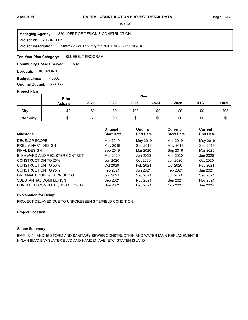**Project Id: MIBBNC005** 850 : DEPT OF DESIGN & CONSTRUCTION Storm Sewer Tributary for BMPs NC-13 and NC-14 **Managing Agency: Project Description:** 

BLUEBELT PROGRAM **Ten-Year Plan Category:** 

502 **Community Boards Served:** 

**Borough: RICHMOND** 

**Budget Lines: TF-0002 Original Budget:** \$53,068

#### **Project Plan**

|                 |                | Plan<br>Prior |      |      |      |      |            |              |
|-----------------|----------------|---------------|------|------|------|------|------------|--------------|
|                 | <b>Actuals</b> | 2021          | 2022 | 2023 | 2024 | 2025 | <b>RTC</b> | <b>Total</b> |
| City            | \$0            | \$0           | \$0  | \$93 | \$0  | \$0  | \$0        | \$93         |
| <b>Non-City</b> | \$0            | \$0           | \$0  | \$0  | \$0  | \$0  | \$0        | \$0          |

| <b>Milestone</b>               | Original<br><b>Start Date</b> | Original<br><b>End Date</b> | <b>Current</b><br><b>Start Date</b> | Current<br><b>End Date</b> |
|--------------------------------|-------------------------------|-----------------------------|-------------------------------------|----------------------------|
| DEVELOP SCOPE                  | Mar 2019                      | May 2019                    | Mar 2019                            | May 2019                   |
| PRELIMINARY DESIGN             | May 2019                      | Sep 2019                    | May 2019                            | Sep 2019                   |
| <b>FINAL DESIGN</b>            | Sep 2019                      | Mar 2020                    | Sep 2019                            | Mar 2020                   |
| BID AWARD AND REGISTER CONTRCT | Mar 2020                      | Jun 2020                    | Mar 2020                            | Jun 2020                   |
| CONSTRUCTION TO 25%            | Jun 2020                      | Oct 2020                    | Jun 2020                            | Oct 2020                   |
| CONSTRUCTION TO 50%            | Oct 2020                      | Feb 2021                    | Oct 2020                            | Feb 2021                   |
| CONSTRUCTION TO 75%            | Feb 2021                      | Jun 2021                    | Feb 2021                            | Jun 2021                   |
| ORIGINAL EQUIP & FURNISHING    | Jun 2021                      | Sep 2021                    | Jun 2021                            | Sep 2021                   |
| SUBSTANTIAL COMPLETION         | Sep 2021                      | Nov 2021                    | Sep 2021                            | Nov 2021                   |
| PUNCHLIST COMPLETE, JOB CLOSED | Nov 2021                      | Dec 2021                    | Nov 2021                            | Jun 2024                   |

### **Explanation for Delay:**

PROJECT DELAYED DUE TO UNFORESEEN SITE/FIELD CONDITION

### **Project Location:**

### **Scope Summary:**

BMP 13, 14 AND 15 STORM AND SANITARY SEWER CONSTRUCTION AND WATER MAIN REPLACEMENT IN HYLAN BLVD B/W SLATER BLVD AND HAMDEN AVE, ETC. STATEN ISLAND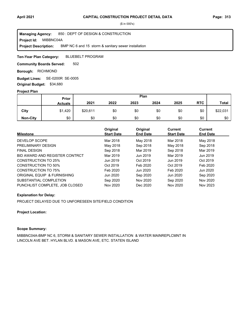**Project Id: MIBBNC04A** 850 : DEPT OF DESIGN & CONSTRUCTION BMP NC 6 and 15 storm & sanitary sewer installation **Managing Agency: Project Description:** 

BLUEBELT PROGRAM **Ten-Year Plan Category:** 

502 **Community Boards Served:** 

**Borough: RICHMOND** 

SE-0200R SE-0005 **Budget Lines: Original Budget:** \$34,680

#### **Project Plan**

|                 |                | Plan<br>Prior |      |      |      |      |            |              |
|-----------------|----------------|---------------|------|------|------|------|------------|--------------|
|                 | <b>Actuals</b> | 2021          | 2022 | 2023 | 2024 | 2025 | <b>RTC</b> | <b>Total</b> |
| City            | \$1,420        | \$20,611      | \$0  | \$0  | \$0  | \$0  | \$0        | \$22,031     |
| <b>Non-City</b> | \$0            | \$0           | \$0  | \$0  | \$0  | \$0  | \$0        | \$0          |

| <b>Milestone</b>               | Original<br><b>Start Date</b> | Original<br><b>End Date</b> | <b>Current</b><br><b>Start Date</b> | Current<br><b>End Date</b> |
|--------------------------------|-------------------------------|-----------------------------|-------------------------------------|----------------------------|
| DEVELOP SCOPE                  | Mar 2018                      | May 2018                    | Mar 2018                            | May 2018                   |
| PRELIMINARY DESIGN             | May 2018                      | Sep 2018                    | May 2018                            | Sep 2018                   |
| <b>FINAL DESIGN</b>            | Sep 2018                      | Mar 2019                    | Sep 2018                            | Mar 2019                   |
| BID AWARD AND REGISTER CONTRCT | Mar 2019                      | Jun 2019                    | Mar 2019                            | Jun 2019                   |
| CONSTRUCTION TO 25%            | Jun 2019                      | Oct 2019                    | Jun 2019                            | Oct 2019                   |
| CONSTRUCTION TO 50%            | Oct 2019                      | Feb 2020                    | Oct 2019                            | Feb 2020                   |
| CONSTRUCTION TO 75%            | Feb 2020                      | Jun 2020                    | Feb 2020                            | Jun 2020                   |
| ORIGINAL EQUIP & FURNISHING    | Jun 2020                      | Sep 2020                    | Jun 2020                            | Sep 2020                   |
| SUBSTANTIAL COMPLETION         | Sep 2020                      | Nov 2020                    | Sep 2020                            | Nov 2020                   |
| PUNCHLIST COMPLETE, JOB CLOSED | Nov 2020                      | Dec 2020                    | Nov 2020                            | Nov 2023                   |

### **Explanation for Delay:**

PROJECT DELAYED DUE TO UNFORESEEN SITE/FIELD CONDITION

#### **Project Location:**

## **Scope Summary:**

MIBBNC04A-BMP NC 6, STORM & SANITARY SEWER INSTALLATION & WATER MAINREPLCMNT IN LINCOLN AVE BET. HYLAN BLVD. & MASON AVE, ETC. STATEN ISLAND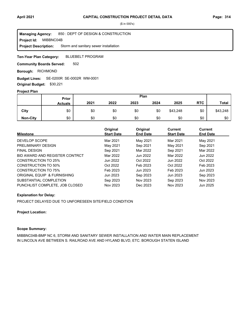**Project Id: MIBBNC04B** 850 : DEPT OF DESIGN & CONSTRUCTION Storm and sanitary sewer installation **Managing Agency: Project Description:** 

BLUEBELT PROGRAM **Ten-Year Plan Category:** 

502 **Community Boards Served:** 

**Borough: RICHMOND** 

SE-0200R SE-0002R WM-0001 **Budget Lines:** 

**Original Budget:** \$30,221

### **Project Plan**

|                 | Plan<br>Prior  |      |      |      |      |          |            |              |
|-----------------|----------------|------|------|------|------|----------|------------|--------------|
|                 | <b>Actuals</b> | 2021 | 2022 | 2023 | 2024 | 2025     | <b>RTC</b> | <b>Total</b> |
| City            | \$0            | \$0  | \$0  | \$0  | \$0  | \$43,248 | \$0        | \$43,248     |
| <b>Non-City</b> | \$0            | \$0  | \$0  | \$0  | \$0  | \$0      | \$0        | \$0          |

| <b>Milestone</b>               | Original<br><b>Start Date</b> | Original<br><b>End Date</b> | Current<br><b>Start Date</b> | Current<br><b>End Date</b> |
|--------------------------------|-------------------------------|-----------------------------|------------------------------|----------------------------|
| DEVELOP SCOPE                  | Mar 2021                      | May 2021                    | Mar 2021                     | May 2021                   |
| PRELIMINARY DESIGN             | May 2021                      | Sep 2021                    | May 2021                     | Sep 2021                   |
| <b>FINAL DESIGN</b>            | Sep 2021                      | Mar 2022                    | Sep 2021                     | Mar 2022                   |
| BID AWARD AND REGISTER CONTRCT | Mar 2022                      | Jun 2022                    | Mar 2022                     | Jun 2022                   |
| <b>CONSTRUCTION TO 25%</b>     | Jun 2022                      | Oct 2022                    | Jun 2022                     | Oct 2022                   |
| CONSTRUCTION TO 50%            | Oct 2022                      | Feb 2023                    | Oct 2022                     | Feb 2023                   |
| CONSTRUCTION TO 75%            | Feb 2023                      | Jun 2023                    | Feb 2023                     | Jun 2023                   |
| ORIGINAL EQUIP & FURNISHING    | Jun 2023                      | Sep 2023                    | Jun 2023                     | Sep 2023                   |
| SUBSTANTIAL COMPLETION         | Sep 2023                      | Nov 2023                    | Sep 2023                     | Nov 2023                   |
| PUNCHLIST COMPLETE, JOB CLOSED | Nov 2023                      | Dec 2023                    | Nov 2023                     | Jun 2025                   |

### **Explanation for Delay:**

PROJECT DELAYED DUE TO UNFORESEEN SITE/FIELD CONDITION

#### **Project Location:**

#### **Scope Summary:**

MIBBNC04B-BMP NC 6, STORM AND SANITARY SEWER INSTALLATION AND WATER MAIN REPLACEMENT IN LINCOLN AVE BETWEEN S. RAILROAD AVE AND HYLAND BLVD, ETC. BOROUGH STATEN ISLAND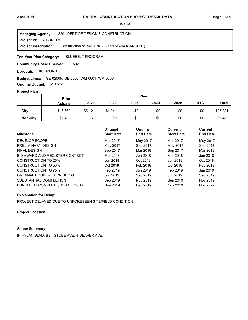**Project Id: MIBBNC05** 850 : DEPT OF DESIGN & CONSTRUCTION Construction of BMPs NC-13 and NC-14 (SANDR01) **Managing Agency: Project Description:** 

BLUEBELT PROGRAM **Ten-Year Plan Category:** 

502 **Community Boards Served:** 

**Borough: RICHMOND** 

### SE-0200R SE-0005 WM-0001 WM-0006 **Budget Lines:**

**Original Budget:** \$19,512

## **Project Plan**

|                 | Prior          |         |         | Plan |      |      |            |              |
|-----------------|----------------|---------|---------|------|------|------|------------|--------------|
|                 | <b>Actuals</b> | 2021    | 2022    | 2023 | 2024 | 2025 | <b>RTC</b> | <b>Total</b> |
| City            | \$16,669       | \$5,121 | \$4,041 | \$0  | \$0  | \$0  | \$0        | \$25,831     |
| <b>Non-City</b> | \$7,489        | \$0     | \$0     | \$0  | \$0  | \$0  | \$0        | \$7,489      |

| <b>Milestone</b>               | Original<br><b>Start Date</b> | Original<br><b>End Date</b> | Current<br><b>Start Date</b> | Current<br><b>End Date</b> |
|--------------------------------|-------------------------------|-----------------------------|------------------------------|----------------------------|
| DEVELOP SCOPE                  | Mar 2017                      | May 2017                    | Mar 2017                     | May 2017                   |
| PRELIMINARY DESIGN             | May 2017                      | Sep 2017                    | May 2017                     | Sep 2017                   |
| <b>FINAL DESIGN</b>            | Sep 2017                      | Mar 2018                    | Sep 2017                     | Mar 2018                   |
| BID AWARD AND REGISTER CONTRCT | Mar 2018                      | Jun 2018                    | Mar 2018                     | Jun 2018                   |
| CONSTRUCTION TO 25%            | Jun 2018                      | Oct 2018                    | Jun 2018                     | Oct 2018                   |
| CONSTRUCTION TO 50%            | Oct 2018                      | Feb 2019                    | Oct 2018                     | Feb 2019                   |
| CONSTRUCTION TO 75%            | Feb 2019                      | Jun 2019                    | Feb 2019                     | Jun 2019                   |
| ORIGINAL EQUIP & FURNISHING    | Jun 2019                      | Sep 2019                    | Jun 2019                     | Sep 2019                   |
| SUBSTANTIAL COMPLETION         | Sep 2019                      | Nov 2019                    | Sep 2019                     | Nov 2019                   |
| PUNCHLIST COMPLETE. JOB CLOSED | Nov 2019                      | Dec 2019                    | Nov 2019                     | Nov 2027                   |

### **Explanation for Delay:**

PROJECT DELAYED DUE TO UNFORESEEN SITE/FIELD CONDITION

**Project Location:**

## **Scope Summary:**

IN HYLAN BLVD. BET STOBE AVE. & SEAVER AVE.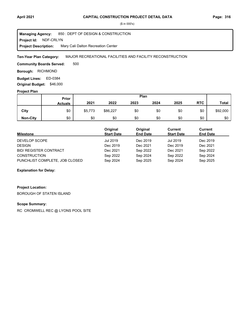#### **April 2021 Page: 316 CAPITAL CONSTRUCTION PROJECT DETAIL DATA**

(\$ in 000's)

**Project Id: NDF-CRLYN** 850 : DEPT OF DESIGN & CONSTRUCTION Mary Cali Dalton Recreation Center **Managing Agency: Project Description:** 

MAJOR RECREATIONAL FACILITIES AND FACILITY RECONSTRUCTION **Ten-Year Plan Category:** 

500 **Community Boards Served:** 

**Borough: RICHMOND** 

Budget Lines: ED-0384 **Original Budget:** \$46,000

#### **Project Plan**

|                 |                | Plan<br>Prior |          |      |      |      |            |              |
|-----------------|----------------|---------------|----------|------|------|------|------------|--------------|
|                 | <b>Actuals</b> | 2021          | 2022     | 2023 | 2024 | 2025 | <b>RTC</b> | <b>Total</b> |
| City            | \$0            | \$5,773       | \$86,227 | \$0  | \$0  | \$0  | \$0        | \$92,000     |
| <b>Non-City</b> | \$0            | \$0           | \$0      | \$0  | \$0  | \$0  | \$0        | \$0          |

| <b>Milestone</b>               | Original<br><b>Start Date</b> | Original<br><b>End Date</b> | Current<br><b>Start Date</b> | Current<br><b>End Date</b> |
|--------------------------------|-------------------------------|-----------------------------|------------------------------|----------------------------|
| DEVELOP SCOPE                  | Jul 2019                      | Dec 2019                    | <b>Jul 2019</b>              | Dec 2019                   |
| <b>DESIGN</b>                  | Dec 2019                      | Dec 2021                    | Dec 2019                     | Dec 2021                   |
| <b>BID/ REGISTER CONTRACT</b>  | Dec 2021                      | Sep 2022                    | Dec 2021                     | Sep 2022                   |
| <b>CONSTRUCTION</b>            | Sep 2022                      | Sep 2024                    | Sep 2022                     | Sep 2024                   |
| PUNCHLIST COMPLETE, JOB CLOSED | Sep 2024                      | Sep 2025                    | Sep 2024                     | Sep 2025                   |

### **Explanation for Delay:**

# **Project Location:**

BOROUGH OF STATEN ISLAND

## **Scope Summary:**

RC CROMWELL REC @ LYONS POOL SITE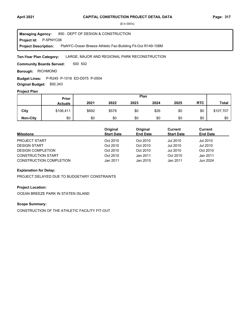**Project Id: P-5PNYC06** 850 : DEPT OF DESIGN & CONSTRUCTION PlaNYC-Ocean Breeze Athletic Fac-Building Fit-Out R149-108M **Managing Agency: Project Description:** 

#### LARGE, MAJOR AND REGIONAL PARK RECONSTRUCTION **Ten-Year Plan Category:**

500 502 **Community Boards Served:** 

**Borough: RICHMOND** 

**Budget Lines:** P-R245 P-1018 ED-D075 P-0504

**Original Budget:** \$92,343

## **Project Plan**

|                 |                | Plan<br>Prior |       |      |      |      |            |           |
|-----------------|----------------|---------------|-------|------|------|------|------------|-----------|
|                 | <b>Actuals</b> | 2021          | 2022  | 2023 | 2024 | 2025 | <b>RTC</b> | Total     |
| City            | \$106,411      | \$692         | \$578 | \$0  | \$26 | \$0  | \$0        | \$107,707 |
| <b>Non-City</b> | \$0            | \$0           | \$0   | \$0  | \$0  | \$0  | \$0        | \$0       |

| <b>Milestone</b>          | Original<br><b>Start Date</b> | Original<br><b>End Date</b> | Current<br><b>Start Date</b> | Current<br><b>End Date</b> |
|---------------------------|-------------------------------|-----------------------------|------------------------------|----------------------------|
| PROJECT START             | Oct 2010                      | Oct 2010                    | Jul 2010                     | Jul 2010                   |
| <b>DESIGN START</b>       | Oct 2010                      | Oct 2010                    | Jul 2010                     | Jul 2010                   |
| <b>DESIGN COMPLETION</b>  | Oct 2010                      | Oct 2010                    | Jul 2010                     | Oct 2010                   |
| <b>CONSTRUCTION START</b> | Oct 2010                      | Jan 2011                    | Oct 2010                     | Jan 2011                   |
| CONSTRUCTION COMPLETION   | Jan 2011                      | Jan 2015                    | Jan 2011                     | Jun 2024                   |

### **Explanation for Delay:**

PROJECT DELAYED DUE TO BUDGETARY CONSTRAINTS

#### **Project Location:**

OCEAN BREEZE PARK IN STATEN ISLAND

## **Scope Summary:**

CONSTRUCTION OF THE ATHLETIC FACILITY FIT-OUT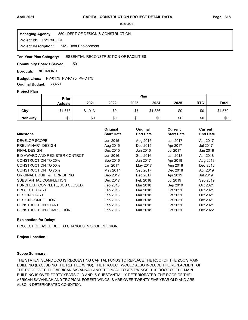**Project Id: PV175ROOF** 850 : DEPT OF DESIGN & CONSTRUCTION SIZ - Roof Replacement **Managing Agency: Project Description:** 

#### ESSENTIAL RECONSTRUCTION OF FACILITIES **Ten-Year Plan Category:**

501 **Community Boards Served:** 

**Borough: RICHMOND** 

**Budget Lines:** PV-0175 PV-R175 PV-D175 **Original Budget:** \$3,450

#### **Project Plan**

|                 |                | Plan<br>Prior |      |      |         |      |            |              |
|-----------------|----------------|---------------|------|------|---------|------|------------|--------------|
|                 | <b>Actuals</b> | 2021          | 2022 | 2023 | 2024    | 2025 | <b>RTC</b> | <b>Total</b> |
| City            | \$1,673        | \$1,013       | \$0  | \$7  | \$1,886 | \$0  | \$0        | \$4,579      |
| <b>Non-City</b> | \$0            | \$0           | \$0  | \$0  | \$0     | \$0  | \$0        | \$0          |

| <b>Milestone</b>               | Original<br><b>Start Date</b> | Original<br><b>End Date</b> | <b>Current</b><br><b>Start Date</b> | <b>Current</b><br><b>End Date</b> |
|--------------------------------|-------------------------------|-----------------------------|-------------------------------------|-----------------------------------|
| DEVELOP SCOPE                  | Jun 2015                      | Aug 2015                    | Jan 2017                            | Apr 2017                          |
| PRELIMINARY DESIGN             | Aug 2015                      | Dec 2015                    | Apr 2017                            | Jul 2017                          |
| <b>FINAL DESIGN</b>            | Dec 2015                      | Jun 2016                    | Jul 2017                            | Jan 2018                          |
| BID AWARD AND REGISTER CONTRCT | Jun 2016                      | Sep 2016                    | Jan 2018                            | Apr 2018                          |
| <b>CONSTRUCTION TO 25%</b>     | Sep 2016                      | Jan 2017                    | Apr 2018                            | Aug 2018                          |
| CONSTRUCTION TO 50%            | Jan 2017                      | May 2017                    | Aug 2018                            | Dec 2018                          |
| <b>CONSTRUCTION TO 75%</b>     | May 2017                      | Sep 2017                    | Dec 2018                            | Apr 2019                          |
| ORIGINAL EQUIP & FURNISHING    | Sep 2017                      | Dec 2017                    | Apr 2019                            | Jul 2019                          |
| SUBSTANTIAL COMPLETION         | Dec 2017                      | Feb 2018                    | Jul 2019                            | Sep 2019                          |
| PUNCHLIST COMPLETE, JOB CLOSED | Feb 2018                      | Mar 2018                    | Sep 2019                            | Oct 2021                          |
| <b>PROJECT START</b>           | Feb 2018                      | Mar 2018                    | Oct 2021                            | Oct 2021                          |
| <b>DESIGN START</b>            | Feb 2018                      | Mar 2018                    | Oct 2021                            | Oct 2021                          |
| <b>DESIGN COMPLETION</b>       | Feb 2018                      | Mar 2018                    | Oct 2021                            | Oct 2021                          |
| <b>CONSTRUCTION START</b>      | Feb 2018                      | Mar 2018                    | Oct 2021                            | Oct 2021                          |
| <b>CONSTRUCTION COMPLETION</b> | Feb 2018                      | Mar 2018                    | Oct 2021                            | Oct 2022                          |

### **Explanation for Delay:**

PROJECT DELAYED DUE TO CHANGES IN SCOPE/DESIGN

### **Project Location:**

#### **Scope Summary:**

THE STATEN ISLAND ZOO IS REQUESTING CAPITAL FUNDS TO REPLACE THE ROOFOF THE ZOO'S MAIN BUILDING (EXCLUDING THE REPTILE WING). THE PROJECT WOULD ALSO INCLUDE THE REPLACMENT OF THE ROOF OVER THE AFRICAN SAVANNAH AND TROPICAL FOREST WINGS. THE ROOF OF THE MAIN BUILDING IS OVER FORTY YEARS OLD AND IS SUBSTANTIALLY DETERIORATED. THE ROOF OF THE AFRICAN SAVANNAH AND TROPICAL FOREST WINGS IS ARE OVER TWENTY FIVE YEAR OLD AND ARE ALSO IN DETERIORATED CONDITION.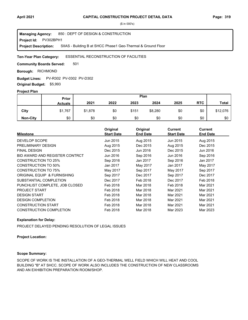**Project Id: PV302BPH1** 850 : DEPT OF DESIGN & CONSTRUCTION SIIAS - Building B at SHCC Phase1 Geo-Thermal & Ground Floor **Managing Agency: Project Description:** 

#### ESSENTIAL RECONSTRUCTION OF FACILITIES **Ten-Year Plan Category:**

501 **Community Boards Served:** 

**Borough: RICHMOND** 

**Budget Lines: PV-R302 PV-0302 PV-D302** 

**Original Budget:** \$5,993

## **Project Plan**

|                 |                | Plan<br>Prior |      |       |         |      |            |              |
|-----------------|----------------|---------------|------|-------|---------|------|------------|--------------|
|                 | <b>Actuals</b> | 2021          | 2022 | 2023  | 2024    | 2025 | <b>RTC</b> | <b>Total</b> |
| City            | \$1,767        | \$1,878       | \$0  | \$151 | \$8,280 | \$0  | \$0        | \$12,076     |
| <b>Non-City</b> | \$0            | \$0           | \$0  | \$0   | \$0     | \$0  | \$0        | \$0          |

| <b>Milestone</b>               | Original<br><b>Start Date</b> | Original<br><b>End Date</b> | <b>Current</b><br><b>Start Date</b> | <b>Current</b><br><b>End Date</b> |
|--------------------------------|-------------------------------|-----------------------------|-------------------------------------|-----------------------------------|
| DEVELOP SCOPE                  | Jun 2015                      | Aug 2015                    | Jun 2015                            | Aug 2015                          |
| PRELIMINARY DESIGN             | Aug 2015                      | Dec 2015                    | Aug 2015                            | Dec 2015                          |
| <b>FINAL DESIGN</b>            | Dec 2015                      | Jun 2016                    | Dec 2015                            | Jun 2016                          |
| BID AWARD AND REGISTER CONTRCT | Jun 2016                      | Sep 2016                    | Jun 2016                            | Sep 2016                          |
| <b>CONSTRUCTION TO 25%</b>     | Sep 2016                      | Jan 2017                    | Sep 2016                            | Jan 2017                          |
| <b>CONSTRUCTION TO 50%</b>     | Jan 2017                      | May 2017                    | Jan 2017                            | May 2017                          |
| <b>CONSTRUCTION TO 75%</b>     | May 2017                      | Sep 2017                    | May 2017                            | Sep 2017                          |
| ORIGINAL EQUIP & FURNISHING    | Sep 2017                      | Dec 2017                    | Sep 2017                            | Dec 2017                          |
| SUBSTANTIAL COMPLETION         | Dec 2017                      | Feb 2018                    | Dec 2017                            | Feb 2018                          |
| PUNCHLIST COMPLETE, JOB CLOSED | Feb 2018                      | Mar 2018                    | Feb 2018                            | Mar 2021                          |
| <b>PROJECT START</b>           | Feb 2018                      | Mar 2018                    | Mar 2021                            | Mar 2021                          |
| <b>DESIGN START</b>            | Feb 2018                      | Mar 2018                    | Mar 2021                            | Mar 2021                          |
| <b>DESIGN COMPLETION</b>       | Feb 2018                      | Mar 2018                    | Mar 2021                            | Mar 2021                          |
| <b>CONSTRUCTION START</b>      | Feb 2018                      | Mar 2018                    | Mar 2021                            | Mar 2021                          |
| <b>CONSTRUCTION COMPLETION</b> | Feb 2018                      | Mar 2018                    | Mar 2023                            | Mar 2023                          |

#### **Explanation for Delay:**

PROJECT DELAYED PENDING RESOLUTION OF LEGAL ISSUES

#### **Project Location:**

## **Scope Summary:**

SCOPE OF WORK IS THE INSTALLATION OF A GEO-THERMAL WELL FIELD WHICH WILL HEAT AND COOL BUILDING "B" AT SHCC. SCOPE OF WORK ALSO INCLUDES THE CONSTRUCTION OF NEW CLASSROOMS AND AN EXHIBITION PREPARATION ROOM/SHOP.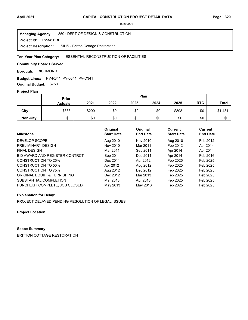**Project Id: PV341BRIT** 850 : DEPT OF DESIGN & CONSTRUCTION SIHS - Britton Cottage Restoration **Managing Agency: Project Description:** 

#### ESSENTIAL RECONSTRUCTION OF FACILITIES **Ten-Year Plan Category:**

### **Community Boards Served:**

**Borough: RICHMOND** 

**Budget Lines:** PV-R341 PV-0341 PV-D341

**Original Budget:** \$750

## **Project Plan**

|                 |                | Plan<br>Prior |      |      |      |       |            |              |
|-----------------|----------------|---------------|------|------|------|-------|------------|--------------|
|                 | <b>Actuals</b> | 2021          | 2022 | 2023 | 2024 | 2025  | <b>RTC</b> | <b>Total</b> |
| City            | \$333          | \$200         | \$0  | \$0  | \$0  | \$898 | \$0        | \$1,431      |
| <b>Non-City</b> | \$0            | \$0           | \$0  | \$0  | \$0  | \$0   | \$0        | \$0          |

| <b>Milestone</b>               | Original<br><b>Start Date</b> | Original<br><b>End Date</b> | <b>Current</b><br><b>Start Date</b> | Current<br><b>End Date</b> |
|--------------------------------|-------------------------------|-----------------------------|-------------------------------------|----------------------------|
| DEVELOP SCOPE                  | Aug 2010                      | Nov 2010                    | Aug 2010                            | Feb 2012                   |
| PRELIMINARY DESIGN             | Nov 2010                      | Mar 2011                    | Feb 2012                            | Apr 2014                   |
| <b>FINAL DESIGN</b>            | Mar 2011                      | Sep 2011                    | Apr 2014                            | Apr 2014                   |
| BID AWARD AND REGISTER CONTRCT | Sep 2011                      | Dec 2011                    | Apr 2014                            | Feb 2016                   |
| CONSTRUCTION TO 25%            | Dec 2011                      | Apr 2012                    | Feb 2025                            | Feb 2025                   |
| CONSTRUCTION TO 50%            | Apr 2012                      | Aug 2012                    | Feb 2025                            | Feb 2025                   |
| <b>CONSTRUCTION TO 75%</b>     | Aug 2012                      | Dec 2012                    | Feb 2025                            | Feb 2025                   |
| ORIGINAL EQUIP & FURNISHING    | Dec 2012                      | Mar 2013                    | Feb 2025                            | Feb 2025                   |
| SUBSTANTIAL COMPLETION         | Mar 2013                      | Apr 2013                    | Feb 2025                            | Feb 2025                   |
| PUNCHLIST COMPLETE. JOB CLOSED | May 2013                      | May 2013                    | Feb 2025                            | Feb 2025                   |

### **Explanation for Delay:**

PROJECT DELAYED PENDING RESOLUTION OF LEGAL ISSUES

**Project Location:**

## **Scope Summary:**

BRITTON COTTAGE RESTORATION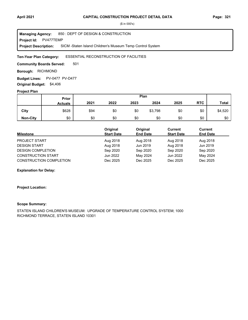**Project Id: PV477TEMP** 850 : DEPT OF DESIGN & CONSTRUCTION SICM -Staten Island Children's Museum Temp Control System **Managing Agency: Project Description:** 

#### ESSENTIAL RECONSTRUCTION OF FACILITIES **Ten-Year Plan Category:**

501 **Community Boards Served:** 

**Borough: RICHMOND** 

Budget Lines: PV-0477 PV-D477 **Original Budget:** \$4,406

#### **Project Plan**

|                 |                | Plan<br>Prior |      |      |         |      |            |              |
|-----------------|----------------|---------------|------|------|---------|------|------------|--------------|
|                 | <b>Actuals</b> | 2021          | 2022 | 2023 | 2024    | 2025 | <b>RTC</b> | <b>Total</b> |
| City            | \$628          | \$94          | \$0  | \$0  | \$3,798 | \$0  | \$0        | \$4,520      |
| <b>Non-City</b> | \$0            | \$0           | \$0  | \$0  | \$0     | \$0  | \$0        | \$0          |

| <b>Milestone</b>               | Original<br><b>Start Date</b> | Original<br><b>End Date</b> | Current<br><b>Start Date</b> | Current<br><b>End Date</b> |
|--------------------------------|-------------------------------|-----------------------------|------------------------------|----------------------------|
| <b>PROJECT START</b>           | Aug 2018                      | Aug 2018                    | Aug 2018                     | Aug 2018                   |
| <b>DESIGN START</b>            | Aug 2018                      | Jun 2019                    | Aug 2018                     | Jun 2019                   |
| <b>DESIGN COMPLETION</b>       | Sep 2020                      | Sep 2020                    | Sep 2020                     | Sep 2020                   |
| <b>CONSTRUCTION START</b>      | Jun 2022                      | May 2024                    | Jun 2022                     | May 2024                   |
| <b>CONSTRUCTION COMPLETION</b> | Dec 2025                      | Dec 2025                    | Dec 2025                     | Dec 2025                   |

**Explanation for Delay:**

#### **Project Location:**

#### **Scope Summary:**

STATEN ISLAND CHILDREN'S MUSEUM: UPGRADE OF TEMPERATURE CONTROL SYSTEM; 1000 RICHMOND TERRACE, STATEN ISLAND 10301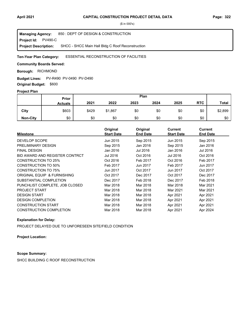**Project Id: PV490-C** 850 : DEPT OF DESIGN & CONSTRUCTION SHCC - SHCC Main Hall Bldg C Roof Reconstruction **Managing Agency: Project Description:** 

#### ESSENTIAL RECONSTRUCTION OF FACILITIES **Ten-Year Plan Category:**

**Community Boards Served:** 

**Borough: RICHMOND** 

**Budget Lines: PV-R490 PV-0490 PV-D490** 

**Original Budget:** \$600

## **Project Plan**

|                 | Plan<br>Prior  |       |         |      |      |      |            |              |
|-----------------|----------------|-------|---------|------|------|------|------------|--------------|
|                 | <b>Actuals</b> | 2021  | 2022    | 2023 | 2024 | 2025 | <b>RTC</b> | <b>Total</b> |
| City            | \$603          | \$429 | \$1,867 | \$0  | \$0  | \$0  | \$0        | \$2,899      |
| <b>Non-City</b> | \$0            | \$0   | \$0     | \$0  | \$0  | \$0  | \$0        | \$0          |

| <b>Milestone</b>               | Original<br><b>Start Date</b> | Original<br><b>End Date</b> | <b>Current</b><br><b>Start Date</b> | <b>Current</b><br><b>End Date</b> |
|--------------------------------|-------------------------------|-----------------------------|-------------------------------------|-----------------------------------|
| <b>DEVELOP SCOPE</b>           | Jun 2015                      | Sep 2015                    | Jun 2015                            | Sep 2015                          |
| PRELIMINARY DESIGN             | Sep 2015                      | Jan 2016                    | Sep 2015                            | Jan 2016                          |
| <b>FINAL DESIGN</b>            | Jan 2016                      | Jul 2016                    | Jan 2016                            | Jul 2016                          |
| BID AWARD AND REGISTER CONTRCT | Jul 2016                      | Oct 2016                    | Jul 2016                            | Oct 2016                          |
| CONSTRUCTION TO 25%            | Oct 2016                      | Feb 2017                    | Oct 2016                            | Feb 2017                          |
| <b>CONSTRUCTION TO 50%</b>     | Feb 2017                      | Jun 2017                    | Feb 2017                            | Jun 2017                          |
| CONSTRUCTION TO 75%            | Jun 2017                      | Oct 2017                    | Jun 2017                            | Oct 2017                          |
| ORIGINAL EQUIP & FURNISHING    | Oct 2017                      | Dec 2017                    | Oct 2017                            | Dec 2017                          |
| SUBSTANTIAL COMPLETION         | Dec 2017                      | Feb 2018                    | Dec 2017                            | Feb 2018                          |
| PUNCHLIST COMPLETE, JOB CLOSED | Mar 2018                      | Mar 2018                    | Mar 2018                            | Mar 2021                          |
| <b>PROJECT START</b>           | Mar 2018                      | Mar 2018                    | Mar 2021                            | Mar 2021                          |
| <b>DESIGN START</b>            | Mar 2018                      | Mar 2018                    | Apr 2021                            | Apr 2021                          |
| <b>DESIGN COMPLETION</b>       | Mar 2018                      | Mar 2018                    | Apr 2021                            | Apr 2021                          |
| <b>CONSTRUCTION START</b>      | Mar 2018                      | Mar 2018                    | Apr 2021                            | Apr 2021                          |
| <b>CONSTRUCTION COMPLETION</b> | Mar 2018                      | Mar 2018                    | Apr 2021                            | Apr 2024                          |

## **Explanation for Delay:**

PROJECT DELAYED DUE TO UNFORESEEN SITE/FIELD CONDITION

#### **Project Location:**

### **Scope Summary:**

SHCC BUILDING C ROOF RECONSTRUCTION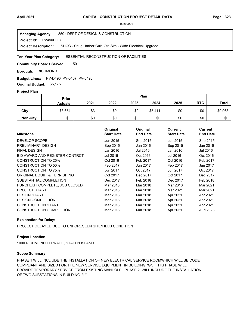**Project Id: PV490ELEC** 850 : DEPT OF DESIGN & CONSTRUCTION SHCC - Snug Harbor Cult. Ctr. Site - Wide Electrical Upgrade **Managing Agency: Project Description:** 

#### ESSENTIAL RECONSTRUCTION OF FACILITIES **Ten-Year Plan Category:**

501 **Community Boards Served:** 

**Borough: RICHMOND** 

**Budget Lines: PV-D490 PV-0467 PV-0490** 

**Original Budget:** \$5,175

### **Project Plan**

|                 |                | Plan<br>Prior |      |      |         |      |            |              |
|-----------------|----------------|---------------|------|------|---------|------|------------|--------------|
|                 | <b>Actuals</b> | 2021          | 2022 | 2023 | 2024    | 2025 | <b>RTC</b> | <b>Total</b> |
| City            | \$3,654        | \$3           | \$0  | \$0  | \$5,411 | \$0  | \$0        | \$9,068      |
| <b>Non-City</b> | \$0            | \$0           | \$0  | \$0  | \$0     | \$0  | \$0        | \$0          |

| <b>Milestone</b>               | Original<br><b>Start Date</b> | Original<br><b>End Date</b> | <b>Current</b><br><b>Start Date</b> | <b>Current</b><br><b>End Date</b> |
|--------------------------------|-------------------------------|-----------------------------|-------------------------------------|-----------------------------------|
| <b>DEVELOP SCOPE</b>           | Jun 2015                      | Sep 2015                    | Jun 2015                            | Sep 2015                          |
| PRELIMINARY DESIGN             | Sep 2015                      | Jan 2016                    | Sep 2015                            | Jan 2016                          |
| <b>FINAL DESIGN</b>            | Jan 2016                      | Jul 2016                    | Jan 2016                            | Jul 2016                          |
| BID AWARD AND REGISTER CONTRCT | Jul 2016                      | Oct 2016                    | Jul 2016                            | Oct 2016                          |
| CONSTRUCTION TO 25%            | Oct 2016                      | Feb 2017                    | Oct 2016                            | Feb 2017                          |
| <b>CONSTRUCTION TO 50%</b>     | Feb 2017                      | Jun 2017                    | Feb 2017                            | Jun 2017                          |
| CONSTRUCTION TO 75%            | Jun 2017                      | Oct 2017                    | Jun 2017                            | Oct 2017                          |
| ORIGINAL EQUIP & FURNISHING    | Oct 2017                      | Dec 2017                    | Oct 2017                            | Dec 2017                          |
| SUBSTANTIAL COMPLETION         | Dec 2017                      | Feb 2018                    | Dec 2017                            | Feb 2018                          |
| PUNCHLIST COMPLETE, JOB CLOSED | Mar 2018                      | Mar 2018                    | Mar 2018                            | Mar 2021                          |
| <b>PROJECT START</b>           | Mar 2018                      | Mar 2018                    | Mar 2021                            | Mar 2021                          |
| <b>DESIGN START</b>            | Mar 2018                      | Mar 2018                    | Apr 2021                            | Apr 2021                          |
| <b>DESIGN COMPLETION</b>       | Mar 2018                      | Mar 2018                    | Apr 2021                            | Apr 2021                          |
| <b>CONSTRUCTION START</b>      | Mar 2018                      | Mar 2018                    | Apr 2021                            | Apr 2021                          |
| <b>CONSTRUCTION COMPLETION</b> | Mar 2018                      | Mar 2018                    | Apr 2021                            | Aug 2023                          |

## **Explanation for Delay:**

PROJECT DELAYED DUE TO UNFORESEEN SITE/FIELD CONDITION

### **Project Location:**

1000 RICHMOND TERRACE, STATEN ISLAND

#### **Scope Summary:**

PHASE 1 WILL INCLIUDE THE INSTALLATION OF NEW ELECTRICAL SERVICE ROOMWHICH WILL BE CODE COMPLIANT AND SIZED FOR THE NEW SERVICE EQUIPMENT IN BUILDING "G". THIS PHASE WILL PROVIDE TEMPORARY SERVICE FROM EXISTING MANHOLE. PHASE 2 WILL INCLUDE THE INSTALLATION OF TWO SUBSTATIONS IN BUILDING "L" .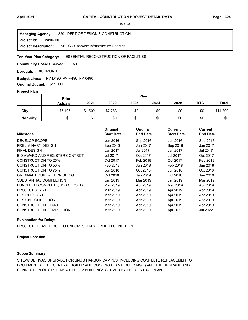**Project Id: PV490-INF** 850 : DEPT OF DESIGN & CONSTRUCTION SHCC - Site-wide Infrastructure Upgrade **Managing Agency: Project Description:** 

#### ESSENTIAL RECONSTRUCTION OF FACILITIES **Ten-Year Plan Category:**

501 **Community Boards Served:** 

**Borough: RICHMOND** 

**Budget Lines: PV-D490 PV-R490 PV-0490 Original Budget:** \$11,000

#### **Project Plan**

|                 |                | Plan<br>Prior |         |      |      |      |            |              |
|-----------------|----------------|---------------|---------|------|------|------|------------|--------------|
|                 | <b>Actuals</b> | 2021          | 2022    | 2023 | 2024 | 2025 | <b>RTC</b> | <b>Total</b> |
| City            | \$5,107        | \$1,500       | \$7,783 | \$0  | \$0  | \$0  | \$0        | \$14,390     |
| <b>Non-City</b> | \$0            | \$0           | \$0     | \$0  | \$0  | \$0  | \$0        | \$0          |

| <b>Milestone</b>               | Original<br><b>Start Date</b> | Original<br><b>End Date</b> | <b>Current</b><br><b>Start Date</b> | <b>Current</b><br><b>End Date</b> |
|--------------------------------|-------------------------------|-----------------------------|-------------------------------------|-----------------------------------|
| <b>DEVELOP SCOPE</b>           | Jun 2016                      | Sep 2016                    | Jun 2016                            | Sep 2016                          |
| PRELIMINARY DESIGN             | Sep 2016                      | Jan 2017                    | Sep 2016                            | Jan 2017                          |
| <b>FINAL DESIGN</b>            | Jan 2017                      | Jul 2017                    | Jan 2017                            | Jul 2017                          |
| BID AWARD AND REGISTER CONTRCT | Jul 2017                      | Oct 2017                    | Jul 2017                            | Oct 2017                          |
| CONSTRUCTION TO 25%            | Oct 2017                      | Feb 2018                    | Oct 2017                            | Feb 2018                          |
| <b>CONSTRUCTION TO 50%</b>     | Feb 2018                      | Jun 2018                    | Feb 2018                            | Jun 2018                          |
| <b>CONSTRUCTION TO 75%</b>     | Jun 2018                      | Oct 2018                    | Jun 2018                            | Oct 2018                          |
| ORIGINAL EQUIP & FURNISHING    | Oct 2018                      | Jan 2019                    | Oct 2018                            | Jan 2019                          |
| SUBSTANTIAL COMPLETION         | Jan 2019                      | Mar 2019                    | Jan 2019                            | Mar 2019                          |
| PUNCHLIST COMPLETE, JOB CLOSED | Mar 2019                      | Apr 2019                    | Mar 2019                            | Apr 2019                          |
| <b>PROJECT START</b>           | Mar 2019                      | Apr 2019                    | Apr 2019                            | Apr 2019                          |
| <b>DESIGN START</b>            | Mar 2019                      | Apr 2019                    | Apr 2019                            | Apr 2019                          |
| <b>DESIGN COMPLETION</b>       | Mar 2019                      | Apr 2019                    | Apr 2019                            | Apr 2019                          |
| <b>CONSTRUCTION START</b>      | Mar 2019                      | Apr 2019                    | Apr 2019                            | Apr 2019                          |
| <b>CONSTRUCTION COMPLETION</b> | Mar 2019                      | Apr 2019                    | Apr 2022                            | Jul 2022                          |

## **Explanation for Delay:**

PROJECT DELAYED DUE TO UNFORESEEN SITE/FIELD CONDITION

## **Project Location:**

## **Scope Summary:**

SITE-WIDE HVAC UPGRADE FOR SNUG HARBOR CAMPUS, INCLUDING COMPLETE REPLACEMENT OF EQUIPMENT AT THE CENTRAL BOILER AND COOLING PLANT (BUILDING L) AND THE UPGRADE AND CONNECTION OF SYSTEMS AT THE 12 BUILDINGS SERVED BY THE CENTRAL PLANT.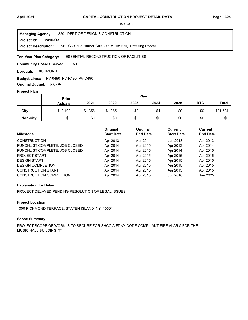**Project Id: PV490-Q3** 850 : DEPT OF DESIGN & CONSTRUCTION SHCC - Snug Harbor Cult. Ctr. Music Hall, Dressing Rooms **Managing Agency: Project Description:** 

#### ESSENTIAL RECONSTRUCTION OF FACILITIES **Ten-Year Plan Category:**

501 **Community Boards Served:** 

**Borough: RICHMOND** 

**Budget Lines: PV-0490 PV-R490 PV-D490** 

**Original Budget:** \$3,634

## **Project Plan**

|                 |                | Plan<br>Prior |         |      |      |      |            |              |
|-----------------|----------------|---------------|---------|------|------|------|------------|--------------|
|                 | <b>Actuals</b> | 2021          | 2022    | 2023 | 2024 | 2025 | <b>RTC</b> | <b>Total</b> |
| City            | \$19,102       | \$1,356       | \$1,065 | \$0  | \$1  | \$0  | \$0        | \$21,524     |
| <b>Non-City</b> | \$0            | \$0           | \$0     | \$0  | \$0  | \$0  | \$0        | \$0          |

| <b>Milestone</b>               | Original<br><b>Start Date</b> | Original<br><b>End Date</b> | Current<br><b>Start Date</b> | <b>Current</b><br><b>End Date</b> |
|--------------------------------|-------------------------------|-----------------------------|------------------------------|-----------------------------------|
| <b>CONSTRUCTION</b>            | Apr 2013                      | Apr 2014                    | Jan 2013                     | Apr 2013                          |
| PUNCHLIST COMPLETE, JOB CLOSED | Apr 2014                      | Apr 2015                    | Apr 2013                     | Apr 2014                          |
| PUNCHLIST COMPLETE, JOB CLOSED | Apr 2014                      | Apr 2015                    | Apr 2014                     | Apr 2015                          |
| <b>PROJECT START</b>           | Apr 2014                      | Apr 2015                    | Apr 2015                     | Apr 2015                          |
| <b>DESIGN START</b>            | Apr 2014                      | Apr 2015                    | Apr 2015                     | Apr 2015                          |
| <b>DESIGN COMPLETION</b>       | Apr 2014                      | Apr 2015                    | Apr 2015                     | Apr 2015                          |
| <b>CONSTRUCTION START</b>      | Apr 2014                      | Apr 2015                    | Apr 2015                     | Apr 2015                          |
| <b>CONSTRUCTION COMPLETION</b> | Apr 2014                      | Apr 2015                    | Jun 2016                     | Jun 2025                          |

### **Explanation for Delay:**

PROJECT DELAYED PENDING RESOLUTION OF LEGAL ISSUES

### **Project Location:**

1000 RICHMOND TERRACE, STATEN ISLAND NY 10301

### **Scope Summary:**

PROJECT SCOPE OF WORK IS TO SECURE FOR SHCC A FDNY CODE COMPLIANT FIRE ALARM FOR THE MUSIC HALL BUILDING "T"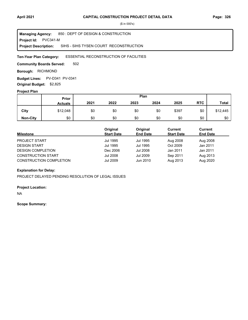**Project Id: PVC341-M** 850 : DEPT OF DESIGN & CONSTRUCTION SIHS - SIHS TYSEN COURT RECONSTRUCTION **Managing Agency: Project Description:** 

#### ESSENTIAL RECONSTRUCTION OF FACILITIES **Ten-Year Plan Category:**

502 **Community Boards Served:** 

**Borough: RICHMOND** 

**Budget Lines: PV-D341 PV-0341 Original Budget:** \$2,825

#### **Project Plan**

|                 |                | Plan<br>Prior |      |      |      |       |            |              |
|-----------------|----------------|---------------|------|------|------|-------|------------|--------------|
|                 | <b>Actuals</b> | 2021          | 2022 | 2023 | 2024 | 2025  | <b>RTC</b> | <b>Total</b> |
| City            | \$12,048       | \$0           | \$0  | \$0  | \$0  | \$397 | \$0        | \$12,445     |
| <b>Non-City</b> | \$0            | \$0           | \$0  | \$0  | \$0  | \$0   | \$0        | \$0          |

| <b>Milestone</b>               | Original<br><b>Start Date</b> | Original<br><b>End Date</b> | Current<br><b>Start Date</b> | Current<br><b>End Date</b> |
|--------------------------------|-------------------------------|-----------------------------|------------------------------|----------------------------|
| <b>PROJECT START</b>           | Jul 1995                      | Jul 1995                    | Aug 2008                     | Aug 2008                   |
| <b>DESIGN START</b>            | Jul 1995                      | Jul 1995                    | Oct 2009                     | Jan 2011                   |
| <b>DESIGN COMPLETION</b>       | Dec 2006                      | Jul 2008                    | Jan 2011                     | Jan 2011                   |
| <b>CONSTRUCTION START</b>      | Jul 2008                      | Jul 2009                    | Sep 2011                     | Aug 2013                   |
| <b>CONSTRUCTION COMPLETION</b> | Jul 2009                      | Jun 2010                    | Aug 2013                     | Aug 2020                   |

### **Explanation for Delay:**

PROJECT DELAYED PENDING RESOLUTION OF LEGAL ISSUES

#### **Project Location:**

NA

#### **Scope Summary:**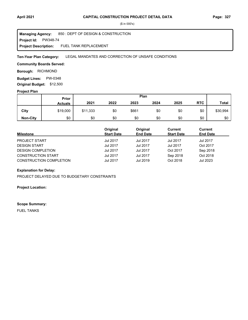**Project Id: PW348-74** 850 : DEPT OF DESIGN & CONSTRUCTION FUEL TANK REPLACEMENT **Managing Agency: Project Description:** 

LEGAL MANDATES AND CORRECTION OF UNSAFE CONDITIONS **Ten-Year Plan Category:** 

### **Community Boards Served:**

**Borough: RICHMOND** 

**Budget Lines: PW-0348 Original Budget:** \$12,500

#### **Project Plan**

|                 |                | Plan<br><b>Prior</b> |      |       |      |      |            |              |
|-----------------|----------------|----------------------|------|-------|------|------|------------|--------------|
|                 | <b>Actuals</b> | 2021                 | 2022 | 2023  | 2024 | 2025 | <b>RTC</b> | <b>Total</b> |
| City            | \$19,000       | \$11,333             | \$0  | \$661 | \$0  | \$0  | \$0        | \$30,994     |
| <b>Non-City</b> | \$0            | \$0                  | \$0  | \$0   | \$0  | \$0  | \$0        | \$0          |

| <b>Milestone</b>               | Original<br><b>Start Date</b> | Original<br><b>End Date</b> | Current<br><b>Start Date</b> | Current<br><b>End Date</b> |
|--------------------------------|-------------------------------|-----------------------------|------------------------------|----------------------------|
| <b>PROJECT START</b>           | Jul 2017                      | Jul 2017                    | Jul 2017                     | Jul 2017                   |
| <b>DESIGN START</b>            | <b>Jul 2017</b>               | Jul 2017                    | <b>Jul 2017</b>              | Oct 2017                   |
| <b>DESIGN COMPLETION</b>       | Jul 2017                      | Jul 2017                    | Oct 2017                     | Sep 2018                   |
| <b>CONSTRUCTION START</b>      | Jul 2017                      | Jul 2017                    | Sep 2018                     | Oct 2018                   |
| <b>CONSTRUCTION COMPLETION</b> | <b>Jul 2017</b>               | Jul 2019                    | Oct 2018                     | Jul 2023                   |

## **Explanation for Delay:**

PROJECT DELAYED DUE TO BUDGETARY CONSTRAINTS

#### **Project Location:**

#### **Scope Summary:**

FUEL TANKS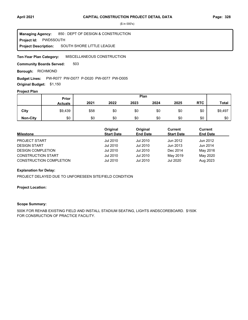**Project Id: PWD5SOUTH** 850 : DEPT OF DESIGN & CONSTRUCTION SOUTH SHORE LITTLE LEAGUE **Managing Agency: Project Description:** 

MISCELLANEOUS CONSTRUCTION **Ten-Year Plan Category:** 

503 **Community Boards Served:** 

**Borough: RICHMOND** 

#### Budget Lines: PW-R077 PW-D077 P-D020 PW-0077 PW-D005

**Original Budget:** \$1,150

## **Project Plan**

|                 | Plan<br><b>Prior</b> |      |      |      |      |      |            |              |
|-----------------|----------------------|------|------|------|------|------|------------|--------------|
|                 | <b>Actuals</b>       | 2021 | 2022 | 2023 | 2024 | 2025 | <b>RTC</b> | <b>Total</b> |
| City            | \$9,439              | \$58 | \$0  | \$0  | \$0  | \$0  | \$0        | \$9,497      |
| <b>Non-City</b> | \$0                  | \$0  | \$0  | \$0  | \$0  | \$0  | \$0        | \$0          |

| <b>Milestone</b>               | Original<br><b>Start Date</b> | Original<br><b>End Date</b> | Current<br><b>Start Date</b> | Current<br><b>End Date</b> |
|--------------------------------|-------------------------------|-----------------------------|------------------------------|----------------------------|
| <b>PROJECT START</b>           | Jul 2010                      | Jul 2010                    | Jun 2012                     | Jun 2012                   |
| <b>DESIGN START</b>            | Jul 2010                      | Jul 2010                    | Jun 2013                     | Jun 2014                   |
| <b>DESIGN COMPLETION</b>       | Jul 2010                      | Jul 2010                    | Dec 2014                     | May 2016                   |
| <b>CONSTRUCTION START</b>      | Jul 2010                      | Jul 2010                    | May 2019                     | May 2020                   |
| <b>CONSTRUCTION COMPLETION</b> | Jul 2010                      | Jul 2010                    | Jul 2020                     | Aug 2023                   |

#### **Explanation for Delay:**

PROJECT DELAYED DUE TO UNFORESEEN SITE/FIELD CONDITION

## **Project Location:**

## **Scope Summary:**

500K FOR REHAB EXISTING FIELD AND INSTALL STADIUM SEATING, LIGHTS ANDSCOREBOARD. \$150K FOR CONSRUCTION OF PRACTICE FACILITY.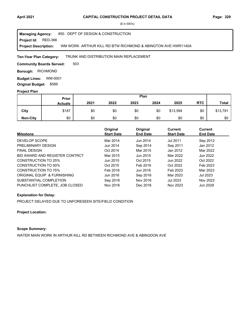#### **Project Id: RED-366** 850 : DEPT OF DESIGN & CONSTRUCTION WM WORK ARTHUR KILL RD BTW RICHMOND & ABINGTON AVE HWR1140A **Managing Agency: Project Description:**

#### TRUNK AND DISTRIBUTION MAIN REPLACEMENT **Ten-Year Plan Category:**

503 **Community Boards Served:** 

**Borough: RICHMOND** 

**Budget Lines: WM-0001 Original Budget:** \$589

#### **Project Plan**

|                 | Plan<br>Prior  |      |      |      |      |          |            |              |
|-----------------|----------------|------|------|------|------|----------|------------|--------------|
|                 | <b>Actuals</b> | 2021 | 2022 | 2023 | 2024 | 2025     | <b>RTC</b> | <b>Total</b> |
| City            | \$187          | \$0  | \$0  | \$0  | \$0  | \$13,594 | \$0        | \$13,781     |
| <b>Non-City</b> | \$0            | \$0  | \$0  | \$0  | \$0  | \$0      | \$0        | \$0          |

| <b>Milestone</b>               | Original<br><b>Start Date</b> | Original<br><b>End Date</b> | <b>Current</b><br><b>Start Date</b> | Current<br><b>End Date</b> |
|--------------------------------|-------------------------------|-----------------------------|-------------------------------------|----------------------------|
| DEVELOP SCOPE                  | Mar 2014                      | Jun 2014                    | Jul 2011                            | Sep 2012                   |
| PRELIMINARY DESIGN             | Jun 2014                      | Sep 2014                    | Sep 2011                            | Jan 2012                   |
| <b>FINAL DESIGN</b>            | Oct 2014                      | Mar 2015                    | Jan 2012                            | Mar 2022                   |
| BID AWARD AND REGISTER CONTRCT | Mar 2015                      | Jun 2015                    | Mar 2022                            | Jun 2022                   |
| <b>CONSTRUCTION TO 25%</b>     | Jun 2015                      | Oct 2015                    | Jun 2022                            | Oct 2022                   |
| <b>CONSTRUCTION TO 50%</b>     | Oct 2015                      | Feb 2016                    | Oct 2022                            | Feb 2023                   |
| <b>CONSTRUCTION TO 75%</b>     | Feb 2016                      | Jun 2016                    | Feb 2023                            | Mar 2023                   |
| ORIGINAL EQUIP & FURNISHING    | Jun 2016                      | Sep 2016                    | Mar 2023                            | <b>Jul 2023</b>            |
| SUBSTANTIAL COMPLETION         | Sep 2016                      | Nov 2016                    | <b>Jul 2023</b>                     | Nov 2023                   |
| PUNCHLIST COMPLETE. JOB CLOSED | Nov 2016                      | Dec 2016                    | Nov 2023                            | Jun 2029                   |

#### **Explanation for Delay:**

PROJECT DELAYED DUE TO UNFORESEEN SITE/FIELD CONDITION

#### **Project Location:**

## **Scope Summary:**

WATER MAIN WORK IN ARTHUR KILL RD BETWEEN RICHMOND AVE & ABINGDON AVE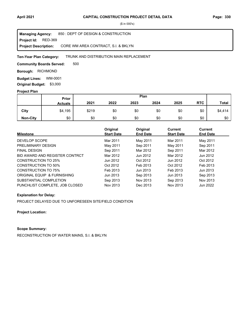**Project Id: RED-369** 850 : DEPT OF DESIGN & CONSTRUCTION CORE WM AREA CONTRACT, S.I. & BKLYN **Managing Agency: Project Description:** 

#### TRUNK AND DISTRIBUTION MAIN REPLACEMENT **Ten-Year Plan Category:**

500 **Community Boards Served:** 

**Borough: RICHMOND** 

**Budget Lines: WM-0001 Original Budget:** \$3,000

#### **Project Plan**

|                 |                | Plan<br>Prior |      |      |      |      |            |              |
|-----------------|----------------|---------------|------|------|------|------|------------|--------------|
|                 | <b>Actuals</b> | 2021          | 2022 | 2023 | 2024 | 2025 | <b>RTC</b> | <b>Total</b> |
| City            | \$4,195        | \$219         | \$0  | \$0  | \$0  | \$0  | \$0        | \$4,414      |
| <b>Non-City</b> | \$0            | \$0           | \$0  | \$0  | \$0  | \$0  | \$0        | \$0          |

| <b>Milestone</b>               | Original<br><b>Start Date</b> | Original<br><b>End Date</b> | <b>Current</b><br><b>Start Date</b> | Current<br><b>End Date</b> |
|--------------------------------|-------------------------------|-----------------------------|-------------------------------------|----------------------------|
| DEVELOP SCOPE                  | Mar 2011                      | May 2011                    | Mar 2011                            | May 2011                   |
| PRELIMINARY DESIGN             | May 2011                      | Sep 2011                    | May 2011                            | Sep 2011                   |
| <b>FINAL DESIGN</b>            | Sep 2011                      | Mar 2012                    | Sep 2011                            | Mar 2012                   |
| BID AWARD AND REGISTER CONTRCT | Mar 2012                      | Jun 2012                    | Mar 2012                            | Jun 2012                   |
| CONSTRUCTION TO 25%            | Jun 2012                      | Oct 2012                    | Jun 2012                            | Oct 2012                   |
| CONSTRUCTION TO 50%            | Oct 2012                      | Feb 2013                    | Oct 2012                            | Feb 2013                   |
| <b>CONSTRUCTION TO 75%</b>     | Feb 2013                      | Jun 2013                    | Feb 2013                            | Jun 2013                   |
| ORIGINAL EQUIP & FURNISHING    | Jun 2013                      | Sep 2013                    | Jun 2013                            | Sep 2013                   |
| SUBSTANTIAL COMPLETION         | Sep 2013                      | Nov 2013                    | Sep 2013                            | Nov 2013                   |
| PUNCHLIST COMPLETE, JOB CLOSED | Nov 2013                      | Dec 2013                    | Nov 2013                            | Jun 2022                   |

### **Explanation for Delay:**

PROJECT DELAYED DUE TO UNFORESEEN SITE/FIELD CONDITION

**Project Location:**

## **Scope Summary:**

RECONSTRUCTION OF WATER MAINS, S.I. & BKLYN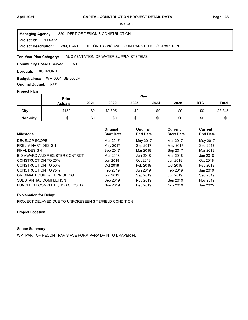#### **Project Id: RED-372** 850 : DEPT OF DESIGN & CONSTRUCTION WM, PART OF RECON TRAVIS AVE FORM PARK DR N TO DRAPER PL **Managing Agency: Project Description:**

#### AUGMENTATION OF WATER SUPPLY SYSTEMS **Ten-Year Plan Category:**

501 **Community Boards Served:** 

**Borough: RICHMOND** 

WM-0001 SE-0002R **Budget Lines: Original Budget:** \$901

#### **Project Plan**

|                 | Plan<br>Prior  |      |         |      |      |      |            |              |
|-----------------|----------------|------|---------|------|------|------|------------|--------------|
|                 | <b>Actuals</b> | 2021 | 2022    | 2023 | 2024 | 2025 | <b>RTC</b> | <b>Total</b> |
| City            | \$150          | \$0  | \$3,695 | \$0  | \$0  | \$0  | \$0        | \$3,845      |
| <b>Non-City</b> | \$0            | \$0  | \$0     | \$0  | \$0  | \$0  | \$0        | \$0          |

| <b>Milestone</b>               | Original<br><b>Start Date</b> | Original<br><b>End Date</b> | <b>Current</b><br><b>Start Date</b> | Current<br><b>End Date</b> |
|--------------------------------|-------------------------------|-----------------------------|-------------------------------------|----------------------------|
| DEVELOP SCOPE                  | Mar 2017                      | May 2017                    | Mar 2017                            | May 2017                   |
| PRELIMINARY DESIGN             | May 2017                      | Sep 2017                    | May 2017                            | Sep 2017                   |
| <b>FINAL DESIGN</b>            | Sep 2017                      | Mar 2018                    | Sep 2017                            | Mar 2018                   |
| BID AWARD AND REGISTER CONTRCT | Mar 2018                      | Jun 2018                    | Mar 2018                            | Jun 2018                   |
| CONSTRUCTION TO 25%            | Jun 2018                      | Oct 2018                    | Jun 2018                            | Oct 2018                   |
| CONSTRUCTION TO 50%            | Oct 2018                      | Feb 2019                    | Oct 2018                            | Feb 2019                   |
| CONSTRUCTION TO 75%            | Feb 2019                      | Jun 2019                    | Feb 2019                            | Jun 2019                   |
| ORIGINAL EQUIP & FURNISHING    | Jun 2019                      | Sep 2019                    | Jun 2019                            | Sep 2019                   |
| SUBSTANTIAL COMPLETION         | Sep 2019                      | Nov 2019                    | Sep 2019                            | Nov 2019                   |
| PUNCHLIST COMPLETE, JOB CLOSED | Nov 2019                      | Dec 2019                    | Nov 2019                            | Jan 2025                   |

#### **Explanation for Delay:**

PROJECT DELAYED DUE TO UNFORESEEN SITE/FIELD CONDITION

#### **Project Location:**

## **Scope Summary:**

WM, PART OF RECON TRAVIS AVE FORM PARK DR N TO DRAPER PL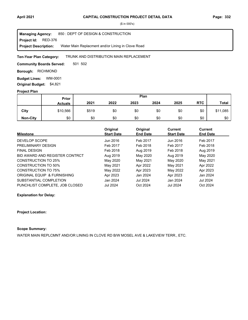**Project Id: RED-376** 850 : DEPT OF DESIGN & CONSTRUCTION Water Main Replacment and/or Lining in Clove Road **Managing Agency: Project Description:** 

#### TRUNK AND DISTRIBUTION MAIN REPLACEMENT **Ten-Year Plan Category:**

501 502 **Community Boards Served:** 

**Borough: RICHMOND** 

**Budget Lines: WM-0001 Original Budget:** \$4,821

#### **Project Plan**

|                 |                | Plan<br>Prior |      |      |      |      |            |              |
|-----------------|----------------|---------------|------|------|------|------|------------|--------------|
|                 | <b>Actuals</b> | 2021          | 2022 | 2023 | 2024 | 2025 | <b>RTC</b> | <b>Total</b> |
| City            | \$10,566       | \$519         | \$0  | \$0  | \$0  | \$0  | \$0        | \$11,085     |
| <b>Non-City</b> | \$0            | \$0           | \$0  | \$0  | \$0  | \$0  | \$0        | \$0          |

|                                | Original<br><b>Start Date</b> | Original<br><b>End Date</b> | Current           | <b>Current</b>  |
|--------------------------------|-------------------------------|-----------------------------|-------------------|-----------------|
| <b>Milestone</b>               |                               |                             | <b>Start Date</b> | <b>End Date</b> |
| DEVELOP SCOPE                  | Jun 2016                      | Feb 2017                    | Jun 2016          | Feb 2017        |
| PRELIMINARY DESIGN             | Feb 2017                      | Feb 2018                    | Feb 2017          | Feb 2018        |
| <b>FINAL DESIGN</b>            | Feb 2018                      | Aug 2019                    | Feb 2018          | Aug 2019        |
| BID AWARD AND REGISTER CONTRCT | Aug 2019                      | May 2020                    | Aug 2019          | May 2020        |
| CONSTRUCTION TO 25%            | May 2020                      | May 2021                    | May 2020          | May 2021        |
| CONSTRUCTION TO 50%            | May 2021                      | Apr 2022                    | May 2021          | Apr 2022        |
| CONSTRUCTION TO 75%            | May 2022                      | Apr 2023                    | May 2022          | Apr 2023        |
| ORIGINAL EQUIP & FURNISHING    | Apr 2023                      | Jan 2024                    | Apr 2023          | Jan 2024        |
| SUBSTANTIAL COMPLETION         | Jan 2024                      | <b>Jul 2024</b>             | Jan 2024          | Jul 2024        |
| PUNCHLIST COMPLETE, JOB CLOSED | <b>Jul 2024</b>               | Oct 2024                    | <b>Jul 2024</b>   | Oct 2024        |

#### **Explanation for Delay:**

#### **Project Location:**

## **Scope Summary:**

WATER MAIN REPLCMNT AND/OR LINING IN CLOVE RD B/W MOSEL AVE & LAKEVIEW TERR., ETC.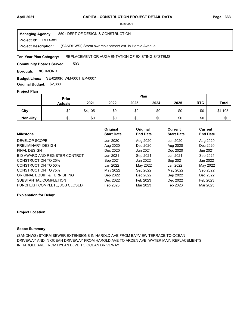**Project Id: RED-381** 850 : DEPT OF DESIGN & CONSTRUCTION (SANDHWSI) Storm swr replacement ext. in Harold Avenue **Managing Agency: Project Description:** 

#### REPLACEMENT OR AUGMENTATION OF EXISTING SYSTEMS **Ten-Year Plan Category:**

503 **Community Boards Served:** 

**Borough: RICHMOND** 

SE-0200R WM-0001 EP-0007 **Budget Lines: Original Budget:** \$2,880

## **Project Plan**

|                 |                | Plan<br>Prior |      |      |      |      |            |              |
|-----------------|----------------|---------------|------|------|------|------|------------|--------------|
|                 | <b>Actuals</b> | 2021          | 2022 | 2023 | 2024 | 2025 | <b>RTC</b> | <b>Total</b> |
| City            | \$0            | \$4,105       | \$0  | \$0  | \$0  | \$0  | \$0        | \$4,105      |
| <b>Non-City</b> | \$0            | \$0           | \$0  | \$0  | \$0  | \$0  | \$0        | \$0          |

|                                | Original          | Original        | <b>Current</b>    | Current         |
|--------------------------------|-------------------|-----------------|-------------------|-----------------|
| <b>Milestone</b>               | <b>Start Date</b> | <b>End Date</b> | <b>Start Date</b> | <b>End Date</b> |
| DEVELOP SCOPE                  | Jun 2020          | Aug 2020        | Jun 2020          | Aug 2020        |
| PRELIMINARY DESIGN             | Aug 2020          | Dec 2020        | Aug 2020          | Dec 2020        |
| <b>FINAL DESIGN</b>            | Dec 2020          | Jun 2021        | Dec 2020          | Jun 2021        |
| BID AWARD AND REGISTER CONTRCT | Jun 2021          | Sep 2021        | Jun 2021          | Sep 2021        |
| <b>CONSTRUCTION TO 25%</b>     | Sep 2021          | Jan 2022        | Sep 2021          | Jan 2022        |
| <b>CONSTRUCTION TO 50%</b>     | Jan 2022          | May 2022        | Jan 2022          | May 2022        |
| <b>CONSTRUCTION TO 75%</b>     | May 2022          | Sep 2022        | May 2022          | Sep 2022        |
| ORIGINAL EQUIP & FURNISHING    | Sep 2022          | Dec 2022        | Sep 2022          | Dec 2022        |
| SUBSTANTIAL COMPLETION         | Dec 2022          | Feb 2023        | Dec 2022          | Feb 2023        |
| PUNCHLIST COMPLETE. JOB CLOSED | Feb 2023          | Mar 2023        | Feb 2023          | Mar 2023        |

**Explanation for Delay:**

#### **Project Location:**

#### **Scope Summary:**

(SANDHWS) STORM SEWER EXTENSIONS IN HAROLD AVE FROM BAYVIEW TERRACE TO OCEAN DRIVEWAY AND IN OCEAN DRIVEWAY FROM HAROLD AVE TO ARDEN AVE; WATER MAIN REPLACEMENTS IN HAROLD AVE FROM HYLAN BLVD TO OCEAN DRIVEWAY.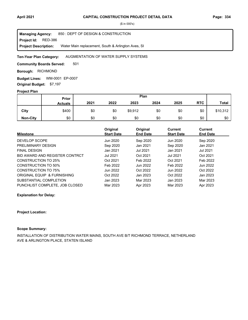**Project Id: RED-386** 850 : DEPT OF DESIGN & CONSTRUCTION Water Main replacement, South & Arlington Aves, SI **Managing Agency: Project Description:** 

#### AUGMENTATION OF WATER SUPPLY SYSTEMS **Ten-Year Plan Category:**

501 **Community Boards Served:** 

**Borough: RICHMOND** 

WM-0001 EP-0007 **Budget Lines: Original Budget:** \$7,197

### **Project Plan**

|                 |                | Plan<br>Prior |      |         |      |      |            |              |
|-----------------|----------------|---------------|------|---------|------|------|------------|--------------|
|                 | <b>Actuals</b> | 2021          | 2022 | 2023    | 2024 | 2025 | <b>RTC</b> | <b>Total</b> |
| City            | \$400          | \$0           | \$0  | \$9,912 | \$0  | \$0  | \$0        | \$10,312     |
| <b>Non-City</b> | \$0            | \$0           | \$0  | \$0     | \$0  | \$0  | \$0        | \$0          |

| <b>Milestone</b>               | Original<br><b>Start Date</b> | Original<br><b>End Date</b> | <b>Current</b><br><b>Start Date</b> | <b>Current</b><br><b>End Date</b> |
|--------------------------------|-------------------------------|-----------------------------|-------------------------------------|-----------------------------------|
| DEVELOP SCOPE                  | Jun 2020                      | Sep 2020                    | Jun 2020                            | Sep 2020                          |
| PRELIMINARY DESIGN             | Sep 2020                      | Jan 2021                    | Sep 2020                            | Jan 2021                          |
| <b>FINAL DESIGN</b>            | Jan 2021                      | Jul 2021                    | Jan 2021                            | Jul 2021                          |
| BID AWARD AND REGISTER CONTRCT | <b>Jul 2021</b>               | Oct 2021                    | <b>Jul 2021</b>                     | Oct 2021                          |
| CONSTRUCTION TO 25%            | Oct 2021                      | Feb 2022                    | Oct 2021                            | Feb 2022                          |
| CONSTRUCTION TO 50%            | Feb 2022                      | Jun 2022                    | Feb 2022                            | Jun 2022                          |
| CONSTRUCTION TO 75%            | Jun 2022                      | Oct 2022                    | Jun 2022                            | Oct 2022                          |
| ORIGINAL EQUIP & FURNISHING    | Oct 2022                      | Jan 2023                    | Oct 2022                            | Jan 2023                          |
| SUBSTANTIAL COMPLETION         | Jan 2023                      | Mar 2023                    | Jan 2023                            | Mar 2023                          |
| PUNCHLIST COMPLETE, JOB CLOSED | Mar 2023                      | Apr 2023                    | Mar 2023                            | Apr 2023                          |

**Explanation for Delay:**

#### **Project Location:**

#### **Scope Summary:**

INSTALLATION OF DISTRIBUTION WATER MAINS, SOUTH AVE B/T RICHMOND TERRACE, NETHERLAND AVE & ARLINGTON PLACE, STATEN ISLAND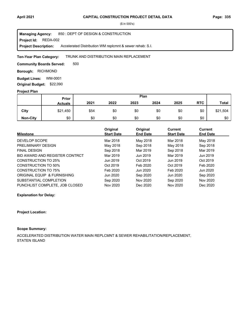Project Id: REDA-002 850 : DEPT OF DESIGN & CONSTRUCTION Accelerated Distribution WM replcmnt & sewer rehab: S.I. **Managing Agency: Project Description:** 

#### TRUNK AND DISTRIBUTION MAIN REPLACEMENT **Ten-Year Plan Category:**

500 **Community Boards Served:** 

**Borough: RICHMOND** 

**Budget Lines: WM-0001 Original Budget:** \$22,090

#### **Project Plan**

|                 |                | Plan<br>Prior |      |      |      |      |            |              |
|-----------------|----------------|---------------|------|------|------|------|------------|--------------|
|                 | <b>Actuals</b> | 2021          | 2022 | 2023 | 2024 | 2025 | <b>RTC</b> | <b>Total</b> |
| City            | \$21,450       | \$54          | \$0  | \$0  | \$0  | \$0  | \$0        | \$21,504     |
| <b>Non-City</b> | \$0            | \$0           | \$0  | \$0  | \$0  | \$0  | \$0        | \$0          |

| <b>Milestone</b>               | Original<br><b>Start Date</b> | Original<br><b>End Date</b> | Current<br><b>Start Date</b> | <b>Current</b><br><b>End Date</b> |  |
|--------------------------------|-------------------------------|-----------------------------|------------------------------|-----------------------------------|--|
|                                |                               |                             |                              |                                   |  |
| DEVELOP SCOPE                  | Mar 2018                      | May 2018                    | Mar 2018                     | May 2018                          |  |
| PRELIMINARY DESIGN             | May 2018                      | Sep 2018                    | May 2018                     | Sep 2018                          |  |
| <b>FINAL DESIGN</b>            | Sep 2018                      | Mar 2019                    | Sep 2018                     | Mar 2019                          |  |
| BID AWARD AND REGISTER CONTRCT | Mar 2019                      | Jun 2019                    | Mar 2019                     | Jun 2019                          |  |
| CONSTRUCTION TO 25%            | Jun 2019                      | Oct 2019                    | Jun 2019                     | Oct 2019                          |  |
| <b>CONSTRUCTION TO 50%</b>     | Oct 2019                      | Feb 2020                    | Oct 2019                     | Feb 2020                          |  |
| <b>CONSTRUCTION TO 75%</b>     | Feb 2020                      | Jun 2020                    | Feb 2020                     | Jun 2020                          |  |
| ORIGINAL EQUIP & FURNISHING    | Jun 2020                      | Sep 2020                    | Jun 2020                     | Sep 2020                          |  |
| SUBSTANTIAL COMPLETION         | Sep 2020                      | Nov 2020                    | Sep 2020                     | Nov 2020                          |  |
| PUNCHLIST COMPLETE, JOB CLOSED | Nov 2020                      | Dec 2020                    | Nov 2020                     | Dec 2020                          |  |

#### **Explanation for Delay:**

#### **Project Location:**

## **Scope Summary:**

ACCELERATED DISTRIBUTION WATER MAIN REPLCMNT & SEWER REHABILITATION/REPLACEMENT, STATEN ISLAND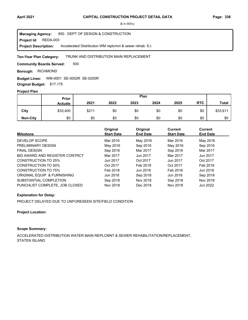Project Id: REDA-003 850 : DEPT OF DESIGN & CONSTRUCTION Accelerated Distribution WM replcmnt & sewer rehab: S.I. **Managing Agency: Project Description:** 

#### TRUNK AND DISTRIBUTION MAIN REPLACEMENT **Ten-Year Plan Category:**

500 **Community Boards Served:** 

**Borough: RICHMOND** 

WM-0001 SE-0002R SE-0200R **Budget Lines:** 

**Original Budget:** \$17,175

## **Project Plan**

|                 | Plan<br>Prior  |       |      |      |      |      |            |              |
|-----------------|----------------|-------|------|------|------|------|------------|--------------|
|                 | <b>Actuals</b> | 2021  | 2022 | 2023 | 2024 | 2025 | <b>RTC</b> | <b>Total</b> |
| City            | \$33,400       | \$211 | \$0  | \$0  | \$0  | \$0  | \$0        | \$33,611     |
| <b>Non-City</b> | \$0            | \$0   | \$0  | \$0  | \$0  | \$0  | \$0        | \$0          |

| <b>Milestone</b>               | Original<br><b>Start Date</b> | Original<br><b>End Date</b> | <b>Current</b><br><b>Start Date</b> | Current<br><b>End Date</b> |
|--------------------------------|-------------------------------|-----------------------------|-------------------------------------|----------------------------|
| DEVELOP SCOPE                  | Mar 2016                      | May 2016                    | Mar 2016                            | May 2016                   |
| PRELIMINARY DESIGN             | May 2016                      | Sep 2016                    | May 2016                            | Sep 2016                   |
| <b>FINAL DESIGN</b>            | Sep 2016                      | Mar 2017                    | Sep 2016                            | Mar 2017                   |
| BID AWARD AND REGISTER CONTRCT | Mar 2017                      | Jun 2017                    | Mar 2017                            | Jun 2017                   |
| CONSTRUCTION TO 25%            | Jun 2017                      | Oct 2017                    | Jun 2017                            | Oct 2017                   |
| CONSTRUCTION TO 50%            | Oct 2017                      | Feb 2018                    | Oct 2017                            | Feb 2018                   |
| CONSTRUCTION TO 75%            | Feb 2018                      | Jun 2018                    | Feb 2018                            | Jun 2018                   |
| ORIGINAL EQUIP & FURNISHING    | Jun 2018                      | Sep 2018                    | Jun 2018                            | Sep 2018                   |
| SUBSTANTIAL COMPLETION         | Sep 2018                      | Nov 2018                    | Sep 2018                            | Nov 2018                   |
| PUNCHLIST COMPLETE, JOB CLOSED | Nov 2018                      | Dec 2018                    | Nov 2018                            | Jun 2022                   |

### **Explanation for Delay:**

PROJECT DELAYED DUE TO UNFORESEEN SITE/FIELD CONDITION

#### **Project Location:**

## **Scope Summary:**

ACCELERATED DISTRIBUTION WATER MAIN REPLCMNT & SEWER REHABILITATION/REPLACEMENT, STATEN ISLAND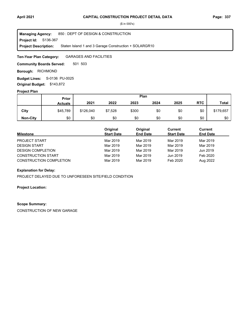**Project Id: S136-367** 850 : DEPT OF DESIGN & CONSTRUCTION Staten Island 1 and 3 Garage Construction + SOLARGR10 **Managing Agency: Project Description:** 

GARAGES AND FACILITIES **Ten-Year Plan Category:** 

501 503 **Community Boards Served:** 

**Borough: RICHMOND** 

S-0136 PU-0025 **Budget Lines: Original Budget:** \$143,872

#### **Project Plan**

|                 | Plan<br><b>Prior</b> |           |         |       |      |      |            |              |
|-----------------|----------------------|-----------|---------|-------|------|------|------------|--------------|
|                 | <b>Actuals</b>       | 2021      | 2022    | 2023  | 2024 | 2025 | <b>RTC</b> | <b>Total</b> |
| City            | \$45,789             | \$126,040 | \$7,528 | \$300 | \$0  | \$0  | \$0        | \$179,657    |
| <b>Non-City</b> | \$0                  | \$0       | \$0     | \$0   | \$0  | \$0  | \$0        | \$0          |

| <b>Milestone</b>               | Original<br><b>Start Date</b> | Original<br><b>End Date</b> | Current<br><b>Start Date</b> | Current<br><b>End Date</b> |
|--------------------------------|-------------------------------|-----------------------------|------------------------------|----------------------------|
| <b>PROJECT START</b>           | Mar 2019                      | Mar 2019                    | Mar 2019                     | Mar 2019                   |
| <b>DESIGN START</b>            | Mar 2019                      | Mar 2019                    | Mar 2019                     | Mar 2019                   |
| <b>DESIGN COMPLETION</b>       | Mar 2019                      | Mar 2019                    | Mar 2019                     | Jun 2019                   |
| <b>CONSTRUCTION START</b>      | Mar 2019                      | Mar 2019                    | Jun 2019                     | Feb 2020                   |
| <b>CONSTRUCTION COMPLETION</b> | Mar 2019                      | Mar 2019                    | Feb 2020                     | Aug 2022                   |

#### **Explanation for Delay:**

PROJECT DELAYED DUE TO UNFORESEEN SITE/FIELD CONDITION

### **Project Location:**

#### **Scope Summary:**

CONSTRUCTION OF NEW GARAGE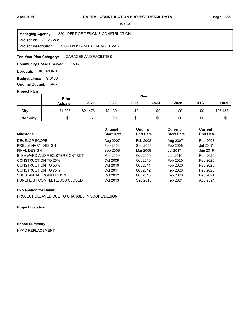**Project Id: S136-383S** 850 : DEPT OF DESIGN & CONSTRUCTION STATEN ISLAND 3 GARAGE HVAC **Managing Agency: Project Description:** 

GARAGES AND FACILITIES **Ten-Year Plan Category:** 

503 **Community Boards Served:** 

**Borough: RICHMOND** 

**Budget Lines: S-0136 Original Budget:** \$477

#### **Project Plan**

|                 |                | Plan<br>Prior |         |      |      |      |            |              |
|-----------------|----------------|---------------|---------|------|------|------|------------|--------------|
|                 | <b>Actuals</b> | 2021          | 2022    | 2023 | 2024 | 2025 | <b>RTC</b> | <b>Total</b> |
| City            | \$1,836        | \$21,478      | \$2,139 | \$0  | \$0  | \$0  | \$0        | \$25,453     |
| <b>Non-City</b> | \$0            | \$0           | \$0     | \$0  | \$0  | \$0  | \$0        | \$0          |

| <b>Milestone</b>               | Original<br><b>Start Date</b> | Original<br><b>End Date</b> | Current<br><b>Start Date</b> | <b>Current</b><br><b>End Date</b> |
|--------------------------------|-------------------------------|-----------------------------|------------------------------|-----------------------------------|
| DEVELOP SCOPE                  | Aug 2007                      | Feb 2008                    | Aug 2007                     | Feb 2008                          |
| PRELIMINARY DESIGN             | Feb 2008                      | Sep 2008                    | Feb 2008                     | Jul 2017                          |
| <b>FINAL DESIGN</b>            | Sep 2008                      | Mar 2009                    | <b>Jul 2017</b>              | Jun 2019                          |
| BID AWARD AND REGISTER CONTRCT | Mar 2009                      | Oct 2009                    | Jun 2019                     | Feb 2020                          |
| <b>CONSTRUCTION TO 25%</b>     | Oct 2009                      | Oct 2010                    | Feb 2020                     | Feb 2020                          |
| <b>CONSTRUCTION TO 50%</b>     | Oct 2010                      | Oct 2011                    | Feb 2020                     | Feb 2020                          |
| <b>CONSTRUCTION TO 75%</b>     | Oct 2011                      | Oct 2012                    | Feb 2020                     | Feb 2020                          |
| SUBSTANTIAL COMPLETION         | Oct 2012                      | Oct 2013                    | Feb 2020                     | Feb 2021                          |
| PUNCHLIST COMPLETE, JOB CLOSED | Oct 2013                      | Sep 2015                    | Feb 2021                     | Aug 2021                          |

## **Explanation for Delay:**

PROJECT DELAYED DUE TO CHANGES IN SCOPE/DESIGN

**Project Location:**

**Scope Summary:**

HVAC REPLACEMENT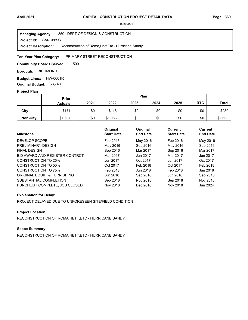**Project Id: SAND669C** 850 : DEPT OF DESIGN & CONSTRUCTION Reconstruction of Roma,Hett,Etc - Hurricane Sandy **Managing Agency: Project Description:** 

#### PRIMARY STREET RECONSTRUCTION **Ten-Year Plan Category:**

500 **Community Boards Served:** 

**Borough: RICHMOND** 

**Budget Lines: HW-0001R Original Budget:** \$3,748

#### **Project Plan**

|                 | <b>Prior</b>   |      |         |      | Plan |      |            |              |
|-----------------|----------------|------|---------|------|------|------|------------|--------------|
|                 | <b>Actuals</b> | 2021 | 2022    | 2023 | 2024 | 2025 | <b>RTC</b> | <b>Total</b> |
| City            | \$171          | \$0  | \$118   | \$0  | \$0  | \$0  | \$0        | \$289        |
| <b>Non-City</b> | \$1,537        | \$0  | \$1,063 | \$0  | \$0  | \$0  | \$0        | \$2,600      |

| <b>Milestone</b>               | Original<br><b>Start Date</b> | Original<br><b>End Date</b> | Current<br><b>Start Date</b> | <b>Current</b><br><b>End Date</b> |
|--------------------------------|-------------------------------|-----------------------------|------------------------------|-----------------------------------|
| DEVELOP SCOPE                  | Feb 2016                      | May 2016                    | Feb 2016                     | May 2016                          |
| PRELIMINARY DESIGN             | May 2016                      | Sep 2016                    | May 2016                     | Sep 2016                          |
| <b>FINAL DESIGN</b>            | Sep 2016                      | Mar 2017                    | Sep 2016                     | Mar 2017                          |
| BID AWARD AND REGISTER CONTRCT | Mar 2017                      | Jun 2017                    | Mar 2017                     | Jun 2017                          |
| CONSTRUCTION TO 25%            | Jun 2017                      | Oct 2017                    | Jun 2017                     | Oct 2017                          |
| <b>CONSTRUCTION TO 50%</b>     | Oct 2017                      | Feb 2018                    | Oct 2017                     | Feb 2018                          |
| <b>CONSTRUCTION TO 75%</b>     | Feb 2018                      | Jun 2018                    | Feb 2018                     | Jun 2018                          |
| ORIGINAL EQUIP & FURNISHING    | Jun 2018                      | Sep 2018                    | Jun 2018                     | Sep 2018                          |
| SUBSTANTIAL COMPLETION         | Sep 2018                      | Nov 2018                    | Sep 2018                     | Nov 2018                          |
| PUNCHLIST COMPLETE, JOB CLOSED | Nov 2018                      | Dec 2018                    | Nov 2018                     | Jun 2024                          |

#### **Explanation for Delay:**

PROJECT DELAYED DUE TO UNFORESEEN SITE/FIELD CONDITION

### **Project Location:**

RECONSTRUCTION OF ROMA,HETT,ETC - HURRICANE SANDY

#### **Scope Summary:**

RECONSTRUCTION OF ROMA,HETT,ETC - HURRICANE SANDY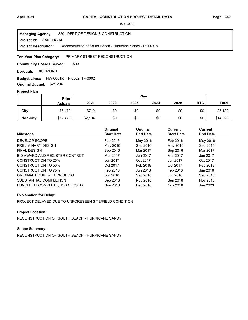**Project Id: SANDHW14** 850 : DEPT OF DESIGN & CONSTRUCTION Reconstruction of South Beach - Hurricane Sandy - RED-375 **Managing Agency: Project Description:** 

PRIMARY STREET RECONSTRUCTION **Ten-Year Plan Category:** 

500 **Community Boards Served:** 

**Borough: RICHMOND** 

HW-0001R TF-0502 TF-0002 **Budget Lines: Original Budget:** \$21,204

#### **Project Plan**

|                 | Prior          |         |      | Plan |      |      |            |              |
|-----------------|----------------|---------|------|------|------|------|------------|--------------|
|                 | <b>Actuals</b> | 2021    | 2022 | 2023 | 2024 | 2025 | <b>RTC</b> | <b>Total</b> |
| City            | \$6,472        | \$710   | \$0  | \$0  | \$0  | \$0  | \$0        | \$7,182      |
| <b>Non-City</b> | \$12,426       | \$2,194 | \$0  | \$0  | \$0  | \$0  | \$0        | \$14,620     |

| <b>Milestone</b>               | Original<br><b>Start Date</b> | Original<br><b>End Date</b> | Current<br><b>Start Date</b> | <b>Current</b><br><b>End Date</b> |
|--------------------------------|-------------------------------|-----------------------------|------------------------------|-----------------------------------|
| DEVELOP SCOPE                  | Feb 2016                      | May 2016                    | Feb 2016                     | May 2016                          |
| PRELIMINARY DESIGN             | May 2016                      | Sep 2016                    | May 2016                     | Sep 2016                          |
| <b>FINAL DESIGN</b>            | Sep 2016                      | Mar 2017                    | Sep 2016                     | Mar 2017                          |
| BID AWARD AND REGISTER CONTRCT | Mar 2017                      | Jun 2017                    | Mar 2017                     | Jun 2017                          |
| CONSTRUCTION TO 25%            | Jun 2017                      | Oct 2017                    | Jun 2017                     | Oct 2017                          |
| <b>CONSTRUCTION TO 50%</b>     | Oct 2017                      | Feb 2018                    | Oct 2017                     | Feb 2018                          |
| <b>CONSTRUCTION TO 75%</b>     | Feb 2018                      | Jun 2018                    | Feb 2018                     | Jun 2018                          |
| ORIGINAL EQUIP & FURNISHING    | Jun 2018                      | Sep 2018                    | Jun 2018                     | Sep 2018                          |
| SUBSTANTIAL COMPLETION         | Sep 2018                      | Nov 2018                    | Sep 2018                     | Nov 2018                          |
| PUNCHLIST COMPLETE, JOB CLOSED | Nov 2018                      | Dec 2018                    | Nov 2018                     | Jun 2023                          |

## **Explanation for Delay:**

PROJECT DELAYED DUE TO UNFORESEEN SITE/FIELD CONDITION

## **Project Location:**

RECONSTRUCTION OF SOUTH BEACH - HURRICANE SANDY

## **Scope Summary:**

RECONSTRUCTION OF SOUTH BEACH - HURRICANE SANDY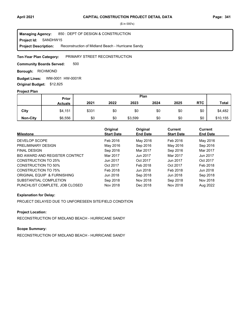**Project Id: SANDHW15** 850 : DEPT OF DESIGN & CONSTRUCTION Reconstruction of Midland Beach - Hurricane Sandy **Managing Agency: Project Description:** 

#### PRIMARY STREET RECONSTRUCTION **Ten-Year Plan Category:**

500 **Community Boards Served:** 

**Borough: RICHMOND** 

**Budget Lines: WM-0001 HW-0001R Original Budget:** \$12,825

#### **Project Plan**

|                 | Plan<br>Prior  |       |      |         |      |      |            |              |
|-----------------|----------------|-------|------|---------|------|------|------------|--------------|
|                 | <b>Actuals</b> | 2021  | 2022 | 2023    | 2024 | 2025 | <b>RTC</b> | <b>Total</b> |
| City            | \$4,151        | \$331 | \$0  | \$0     | \$0  | \$0  | \$0        | \$4,482      |
| <b>Non-City</b> | \$6,556        | \$0   | \$0  | \$3,599 | \$0  | \$0  | \$0        | \$10,155     |

| <b>Milestone</b>               | Original<br><b>Start Date</b> | Original<br><b>End Date</b> | <b>Current</b><br><b>Start Date</b> | Current<br><b>End Date</b> |
|--------------------------------|-------------------------------|-----------------------------|-------------------------------------|----------------------------|
| DEVELOP SCOPE                  | Feb 2016                      | May 2016                    | Feb 2016                            | May 2016                   |
| PRELIMINARY DESIGN             | May 2016                      | Sep 2016                    | May 2016                            | Sep 2016                   |
| <b>FINAL DESIGN</b>            | Sep 2016                      | Mar 2017                    | Sep 2016                            | Mar 2017                   |
| BID AWARD AND REGISTER CONTRCT | Mar 2017                      | Jun 2017                    | Mar 2017                            | Jun 2017                   |
| <b>CONSTRUCTION TO 25%</b>     | Jun 2017                      | Oct 2017                    | Jun 2017                            | Oct 2017                   |
| <b>CONSTRUCTION TO 50%</b>     | Oct 2017                      | Feb 2018                    | Oct 2017                            | Feb 2018                   |
| <b>CONSTRUCTION TO 75%</b>     | Feb 2018                      | Jun 2018                    | Feb 2018                            | Jun 2018                   |
| ORIGINAL EQUIP & FURNISHING    | Jun 2018                      | Sep 2018                    | Jun 2018                            | Sep 2018                   |
| SUBSTANTIAL COMPLETION         | Sep 2018                      | Nov 2018                    | Sep 2018                            | Nov 2018                   |
| PUNCHLIST COMPLETE, JOB CLOSED | Nov 2018                      | Dec 2018                    | Nov 2018                            | Aug 2022                   |

### **Explanation for Delay:**

PROJECT DELAYED DUE TO UNFORESEEN SITE/FIELD CONDITION

## **Project Location:**

RECONSTRUCTION OF MIDLAND BEACH - HURRICANE SANDY

## **Scope Summary:**

RECONSTRUCTION OF MIDLAND BEACH - HURRICANE SANDY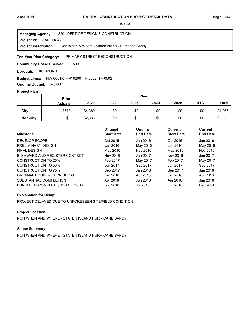**Project Id: SANDHWSI** 850 : DEPT OF DESIGN & CONSTRUCTION Non When & Where - Staten Island - Hurricane Sandy **Managing Agency: Project Description:** 

PRIMARY STREET RECONSTRUCTION **Ten-Year Plan Category:** 

500 **Community Boards Served:** 

**Borough: RICHMOND** 

**Budget Lines:** HW-0001R HW-0200 TF-0002 TF-0502

**Original Budget:** \$7,589

## **Project Plan**

|                 | Plan<br>Prior  |         |      |      |      |      |            |              |
|-----------------|----------------|---------|------|------|------|------|------------|--------------|
|                 | <b>Actuals</b> | 2021    | 2022 | 2023 | 2024 | 2025 | <b>RTC</b> | <b>Total</b> |
| City            | \$578          | \$4,389 | \$0  | \$0  | \$0  | \$0  | \$0        | \$4,967      |
| <b>Non-City</b> | \$0            | \$2,833 | \$0  | \$0  | \$0  | \$0  | \$0        | \$2,833      |

| <b>Milestone</b>               | Original<br><b>Start Date</b> | Original<br><b>End Date</b> | Current<br><b>Start Date</b> | Current<br><b>End Date</b> |
|--------------------------------|-------------------------------|-----------------------------|------------------------------|----------------------------|
| DEVELOP SCOPE                  | Oct 2015                      | Jan 2016                    | Oct 2015                     | Jan 2016                   |
| PRELIMINARY DESIGN             | Jan 2016                      | May 2016                    | Jan 2016                     | May 2016                   |
| <b>FINAL DESIGN</b>            | May 2016                      | Nov 2016                    | May 2016                     | Nov 2016                   |
| BID AWARD AND REGISTER CONTRCT | Nov 2016                      | Jan 2017                    | Nov 2016                     | Jan 2017                   |
| <b>CONSTRUCTION TO 25%</b>     | Feb 2017                      | May 2017                    | Feb 2017                     | May 2017                   |
| <b>CONSTRUCTION TO 50%</b>     | Jun 2017                      | Sep 2017                    | Jun 2017                     | Sep 2017                   |
| <b>CONSTRUCTION TO 75%</b>     | Sep 2017                      | Jan 2018                    | Sep 2017                     | Jan 2018                   |
| ORIGINAL EQUIP & FURNISHING    | Jan 2018                      | Apr 2018                    | Jan 2018                     | Apr 2018                   |
| SUBSTANTIAL COMPLETION         | Apr 2018                      | Jun 2018                    | Apr 2018                     | Jun 2018                   |
| PUNCHLIST COMPLETE. JOB CLOSED | Jun 2018                      | Jul 2018                    | Jun 2018                     | Feb 2021                   |

### **Explanation for Delay:**

PROJECT DELAYED DUE TO UNFORESEEN SITE/FIELD CONDITION

## **Project Location:**

NON WHEN AND WHERE - STATEN ISLAND HURRICANE SANDY

## **Scope Summary:**

NON WHEN AND WHERE - STATEN ISLAND HURRICANE SANDY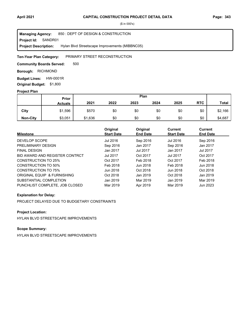**Project Id: SANDR01** 850 : DEPT OF DESIGN & CONSTRUCTION Hylan Blvd Streetscape Improvements (MIBBNC05) **Managing Agency: Project Description:** 

#### PRIMARY STREET RECONSTRUCTION **Ten-Year Plan Category:**

500 **Community Boards Served:** 

**Borough: RICHMOND** 

**Budget Lines: HW-0001R Original Budget:** \$1,800

#### **Project Plan**

|                 |                | Plan<br><b>Prior</b> |      |      |      |      |            |              |
|-----------------|----------------|----------------------|------|------|------|------|------------|--------------|
|                 | <b>Actuals</b> | 2021                 | 2022 | 2023 | 2024 | 2025 | <b>RTC</b> | <b>Total</b> |
| City            | \$1,596        | \$570                | \$0  | \$0  | \$0  | \$0  | \$0        | \$2,166      |
| <b>Non-City</b> | \$3,051        | \$1,636              | \$0  | \$0  | \$0  | \$0  | \$0        | \$4,687      |

| <b>Milestone</b>               | Original<br><b>Start Date</b> | Original<br><b>End Date</b> | Current<br><b>Start Date</b> | <b>Current</b><br><b>End Date</b> |
|--------------------------------|-------------------------------|-----------------------------|------------------------------|-----------------------------------|
| DEVELOP SCOPE                  | Jul 2016                      | Sep 2016                    | Jul 2016                     | Sep 2016                          |
| PRELIMINARY DESIGN             | Sep 2016                      | Jan 2017                    | Sep 2016                     | Jan 2017                          |
| <b>FINAL DESIGN</b>            | Jan 2017                      | Jul 2017                    | Jan 2017                     | Jul 2017                          |
| BID AWARD AND REGISTER CONTRCT | <b>Jul 2017</b>               | Oct 2017                    | <b>Jul 2017</b>              | Oct 2017                          |
| <b>CONSTRUCTION TO 25%</b>     | Oct 2017                      | Feb 2018                    | Oct 2017                     | Feb 2018                          |
| <b>CONSTRUCTION TO 50%</b>     | Feb 2018                      | Jun 2018                    | Feb 2018                     | Jun 2018                          |
| <b>CONSTRUCTION TO 75%</b>     | Jun 2018                      | Oct 2018                    | Jun 2018                     | Oct 2018                          |
| ORIGINAL EQUIP & FURNISHING    | Oct 2018                      | Jan 2019                    | Oct 2018                     | Jan 2019                          |
| SUBSTANTIAL COMPLETION         | Jan 2019                      | Mar 2019                    | Jan 2019                     | Mar 2019                          |
| PUNCHLIST COMPLETE. JOB CLOSED | Mar 2019                      | Apr 2019                    | Mar 2019                     | Jun 2023                          |

### **Explanation for Delay:**

PROJECT DELAYED DUE TO BUDGETARY CONSTRAINTS

## **Project Location:**

HYLAN BLVD STREETSCAPE IMPROVEMENTS

## **Scope Summary:**

HYLAN BLVD STREETSCAPE IMPROVEMENTS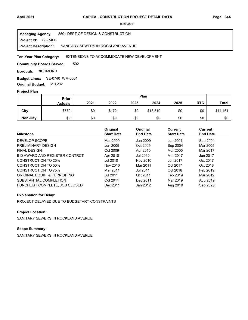**Project Id: SE-740B** 850 : DEPT OF DESIGN & CONSTRUCTION SANITARY SEWERS IN ROCKLAND AVENUE **Managing Agency: Project Description:** 

#### EXTENSIONS TO ACCOMMODATE NEW DEVELOPMENT **Ten-Year Plan Category:**

502 **Community Boards Served:** 

**Borough: RICHMOND** 

SE-0740 WM-0001 **Budget Lines: Original Budget:** \$10,232

### **Project Plan**

|                 | Plan<br>Prior  |      |       |      |          |      |            |              |
|-----------------|----------------|------|-------|------|----------|------|------------|--------------|
|                 | <b>Actuals</b> | 2021 | 2022  | 2023 | 2024     | 2025 | <b>RTC</b> | <b>Total</b> |
| City            | \$770          | \$0  | \$172 | \$0  | \$13,519 | \$0  | \$0        | \$14,461     |
| <b>Non-City</b> | \$0            | \$0  | \$0   | \$0  | \$0      | \$0  | \$0        | \$0          |

| <b>Milestone</b>               | Original<br><b>Start Date</b> | Original<br><b>End Date</b> | <b>Current</b><br><b>Start Date</b> | <b>Current</b><br><b>End Date</b> |
|--------------------------------|-------------------------------|-----------------------------|-------------------------------------|-----------------------------------|
| DEVELOP SCOPE                  | Mar 2009                      | Jun 2009                    | Jun 2004                            | Sep 2004                          |
| PRELIMINARY DESIGN             | Jun 2009                      | Oct 2009                    | Sep 2004                            | Mar 2005                          |
| <b>FINAL DESIGN</b>            | Oct 2009                      | Apr 2010                    | Mar 2005                            | Mar 2017                          |
| BID AWARD AND REGISTER CONTRCT | Apr 2010                      | Jul 2010                    | Mar 2017                            | Jun 2017                          |
| CONSTRUCTION TO 25%            | Jul 2010                      | Nov 2010                    | Jun 2017                            | Oct 2017                          |
| CONSTRUCTION TO 50%            | Nov 2010                      | Mar 2011                    | Oct 2017                            | Oct 2018                          |
| <b>CONSTRUCTION TO 75%</b>     | Mar 2011                      | Jul 2011                    | Oct 2018                            | Feb 2019                          |
| ORIGINAL EQUIP & FURNISHING    | <b>Jul 2011</b>               | Oct 2011                    | Feb 2019                            | Mar 2019                          |
| SUBSTANTIAL COMPLETION         | Oct 2011                      | Dec 2011                    | Mar 2019                            | Aug 2019                          |
| PUNCHLIST COMPLETE, JOB CLOSED | Dec 2011                      | Jan 2012                    | Aug 2019                            | Sep 2028                          |

### **Explanation for Delay:**

PROJECT DELAYED DUE TO BUDGETARY CONSTRAINTS

## **Project Location:**

SANITARY SEWERS IN ROCKLAND AVENUE

## **Scope Summary:**

SANITARY SEWERS IN ROCKLAND AVENUE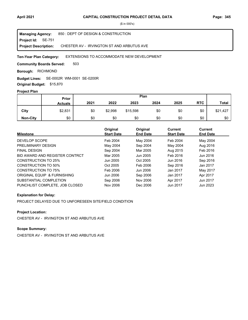**Project Id: SE-751** 850 : DEPT OF DESIGN & CONSTRUCTION CHESTER AV - IRVINGTON ST AND ARBUTUS AVE **Managing Agency: Project Description:** 

#### EXTENSIONS TO ACCOMMODATE NEW DEVELOPMENT **Ten-Year Plan Category:**

503 **Community Boards Served:** 

**Borough: RICHMOND** 

SE-0002R WM-0001 SE-0200R **Budget Lines:** 

**Original Budget:** \$15,870

## **Project Plan**

|                 | Plan<br>Prior  |      |         |          |      |      |            |              |
|-----------------|----------------|------|---------|----------|------|------|------------|--------------|
|                 | <b>Actuals</b> | 2021 | 2022    | 2023     | 2024 | 2025 | <b>RTC</b> | <b>Total</b> |
| City            | \$2,831        | \$0  | \$2,998 | \$15,598 | \$0  | \$0  | \$0        | \$21,427     |
| <b>Non-City</b> | \$0            | \$0  | \$0     | \$0      | \$0  | \$0  | \$0        | \$0          |

| <b>Milestone</b>               | Original<br><b>Start Date</b> | Original<br><b>End Date</b> | Current<br><b>Start Date</b> | Current<br><b>End Date</b> |
|--------------------------------|-------------------------------|-----------------------------|------------------------------|----------------------------|
| DEVELOP SCOPE                  | Feb 2004                      | May 2004                    | Feb 2004                     | May 2004                   |
| PRELIMINARY DESIGN             | May 2004                      | Sep 2004                    | May 2004                     | Aug 2016                   |
| <b>FINAL DESIGN</b>            | Sep 2004                      | Mar 2005                    | Aug 2015                     | Feb 2016                   |
| BID AWARD AND REGISTER CONTRCT | Mar 2005                      | Jun 2005                    | Feb 2016                     | Jun 2016                   |
| <b>CONSTRUCTION TO 25%</b>     | Jun 2005                      | Oct 2005                    | Jun 2016                     | Sep 2016                   |
| CONSTRUCTION TO 50%            | Oct 2005                      | Feb 2006                    | Sep 2016                     | Jan 2017                   |
| <b>CONSTRUCTION TO 75%</b>     | Feb 2006                      | Jun 2006                    | Jan 2017                     | May 2017                   |
| ORIGINAL EQUIP & FURNISHING    | Jun 2006                      | Sep 2006                    | Jan 2017                     | Apr 2017                   |
| SUBSTANTIAL COMPLETION         | Sep 2006                      | Nov 2006                    | Apr 2017                     | Jun 2017                   |
| PUNCHLIST COMPLETE, JOB CLOSED | Nov 2006                      | Dec 2006                    | Jun 2017                     | Jun 2023                   |

### **Explanation for Delay:**

PROJECT DELAYED DUE TO UNFORESEEN SITE/FIELD CONDITION

## **Project Location:**

CHESTER AV - IRVINGTON ST AND ARBUTUS AVE

## **Scope Summary:**

CHESTER AV - IRVINGTON ST AND ARBUTUS AVE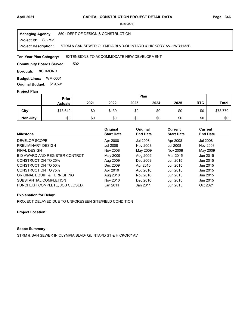**Project Id: SE-793** 850 : DEPT OF DESIGN & CONSTRUCTION STRM & SAN SEWER OLYMPIA BLVD-QUINTARD & HICKORY AV-HWR1132B **Managing Agency: Project Description:** 

EXTENSIONS TO ACCOMMODATE NEW DEVELOPMENT **Ten-Year Plan Category:** 

502 **Community Boards Served:** 

**Borough: RICHMOND** 

**Budget Lines: WM-0001 Original Budget:** \$19,591

#### **Project Plan**

|                 |                | Plan<br>Prior |       |      |      |      |            |              |
|-----------------|----------------|---------------|-------|------|------|------|------------|--------------|
|                 | <b>Actuals</b> | 2021          | 2022  | 2023 | 2024 | 2025 | <b>RTC</b> | <b>Total</b> |
| City            | \$73,640       | \$0           | \$139 | \$0  | \$0  | \$0  | \$0        | \$73,779     |
| <b>Non-City</b> | \$0            | \$0           | \$0   | \$0  | \$0  | \$0  | \$0        | \$0          |

| <b>Milestone</b>               | Original<br><b>Start Date</b> | Original<br><b>End Date</b> | Current<br><b>Start Date</b> | Current<br><b>End Date</b> |
|--------------------------------|-------------------------------|-----------------------------|------------------------------|----------------------------|
| DEVELOP SCOPE                  | Apr 2008                      | Jul 2008                    | Apr 2008                     | <b>Jul 2008</b>            |
| PRELIMINARY DESIGN             | Jul 2008                      | Nov 2008                    | Jul 2008                     | Nov 2008                   |
| <b>FINAL DESIGN</b>            | Nov 2008                      | May 2009                    | Nov 2008                     | May 2009                   |
| BID AWARD AND REGISTER CONTRCT | May 2009                      | Aug 2009                    | Mar 2015                     | Jun 2015                   |
| CONSTRUCTION TO 25%            | Aug 2009                      | Dec 2009                    | Jun 2015                     | Jun 2015                   |
| CONSTRUCTION TO 50%            | Dec 2009                      | Apr 2010                    | Jun 2015                     | Jun 2015                   |
| <b>CONSTRUCTION TO 75%</b>     | Apr 2010                      | Aug 2010                    | Jun 2015                     | Jun 2015                   |
| ORIGINAL EQUIP & FURNISHING    | Aug 2010                      | Nov 2010                    | Jun 2015                     | Jun 2015                   |
| SUBSTANTIAL COMPLETION         | Nov 2010                      | Dec 2010                    | Jun 2015                     | Jun 2015                   |
| PUNCHLIST COMPLETE, JOB CLOSED | Jan 2011                      | Jan 2011                    | Jun 2015                     | Oct 2021                   |

### **Explanation for Delay:**

PROJECT DELAYED DUE TO UNFORESEEN SITE/FIELD CONDITION

**Project Location:**

## **Scope Summary:**

STRM & SAN SEWER IN OLYMPIA BLVD- QUINTARD ST & HICKORY AV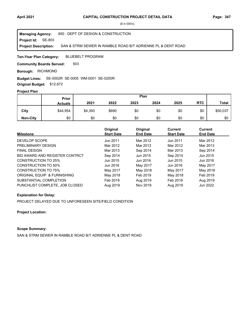**Project Id: SE-803** 850 : DEPT OF DESIGN & CONSTRUCTION SAN & STRM SEWER IN RAMBLE ROAD B/T ADRIENNE PL & DENT ROAD **Managing Agency: Project Description:** 

BLUEBELT PROGRAM **Ten-Year Plan Category:** 

503 **Community Boards Served:** 

**Borough: RICHMOND** 

#### SE-0002R SE-0005 WM-0001 SE-0200R **Budget Lines:**

**Original Budget:** \$12,672

## **Project Plan**

|                 | Plan<br>Prior  |         |       |      |      |      |            |              |
|-----------------|----------------|---------|-------|------|------|------|------------|--------------|
|                 | <b>Actuals</b> | 2021    | 2022  | 2023 | 2024 | 2025 | <b>RTC</b> | <b>Total</b> |
| City            | \$44,954       | \$4,393 | \$690 | \$0  | \$0  | \$0  | \$0        | \$50,037     |
| <b>Non-City</b> | \$0            | \$0     | \$0   | \$0  | \$0  | \$0  | \$0        | \$0          |

| <b>Milestone</b>               | Original<br><b>Start Date</b> | Original<br><b>End Date</b> | Current<br><b>Start Date</b> | Current<br><b>End Date</b> |
|--------------------------------|-------------------------------|-----------------------------|------------------------------|----------------------------|
| DEVELOP SCOPE                  | Jun 2011                      | Mar 2012                    | Jun 2011                     | Mar 2012                   |
| PRELIMINARY DESIGN             | Mar 2012                      | Mar 2013                    | Mar 2012                     | Mar 2013                   |
| <b>FINAL DESIGN</b>            | Mar 2013                      | Sep 2014                    | Mar 2013                     | Sep 2014                   |
| BID AWARD AND REGISTER CONTRCT | Sep 2014                      | Jun 2015                    | Sep 2014                     | Jun 2015                   |
| <b>CONSTRUCTION TO 25%</b>     | Jun 2015                      | Jun 2016                    | Jun 2015                     | Jun 2016                   |
| CONSTRUCTION TO 50%            | Jun 2016                      | May 2017                    | Jun 2016                     | May 2017                   |
| <b>CONSTRUCTION TO 75%</b>     | May 2017                      | May 2018                    | May 2017                     | May 2018                   |
| ORIGINAL EQUIP & FURNISHING    | May 2018                      | Feb 2019                    | May 2018                     | Feb 2019                   |
| SUBSTANTIAL COMPLETION         | Feb 2019                      | Aug 2019                    | Feb 2019                     | Aug 2019                   |
| PUNCHLIST COMPLETE. JOB CLOSED | Aug 2019                      | Nov 2019                    | Aug 2019                     | Jun 2022                   |

#### **Explanation for Delay:**

PROJECT DELAYED DUE TO UNFORESEEN SITE/FIELD CONDITION

**Project Location:**

## **Scope Summary:**

SAN & STRM SEWER IN RAMBLE ROAD B/T ADRIENNE PL & DENT ROAD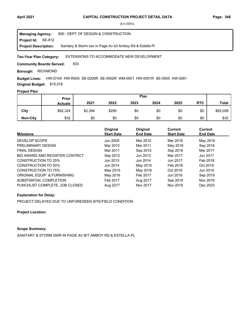**Project Id: SE-812** 850 : DEPT OF DESIGN & CONSTRUCTION Sanitary & Storm swr in Page Av b/t Amboy Rd & Estella Pl **Managing Agency: Project Description:** 

#### EXTENSIONS TO ACCOMMODATE NEW DEVELOPMENT **Ten-Year Plan Category:**

503 **Community Boards Served:** 

**Borough: RICHMOND** 

HW-D104 HW-R005 SE-0200R SE-0002R WM-0001 HW-0001R SE-0005 HW-0061 **Budget Lines: Original Budget:** \$15,518

## **Project Plan**

|                 | <b>Prior</b>   |         |       | Plan |      |      |            |              |
|-----------------|----------------|---------|-------|------|------|------|------------|--------------|
|                 | <b>Actuals</b> | 2021    | 2022  | 2023 | 2024 | 2025 | <b>RTC</b> | <b>Total</b> |
| City            | \$62,324       | \$2,394 | \$290 | \$0  | \$0  | \$0  | \$0        | \$65,008     |
| <b>Non-City</b> | \$32           | \$0     | \$0   | \$0  | \$0  | \$0  | \$0        | \$32         |

| <b>Milestone</b>               | Original<br><b>Start Date</b> | Original<br><b>End Date</b> | Current<br><b>Start Date</b> | Current<br><b>End Date</b> |
|--------------------------------|-------------------------------|-----------------------------|------------------------------|----------------------------|
| DEVELOP SCOPE                  | Jun 2009                      | Mar 2010                    | Mar 2016                     | May 2016                   |
| PRELIMINARY DESIGN             | Mar 2010                      | Mar 2011                    | May 2016                     | Sep 2016                   |
| <b>FINAL DESIGN</b>            | Mar 2011                      | Sep 2012                    | Sep 2016                     | Mar 2017                   |
| BID AWARD AND REGISTER CONTRCT | Sep 2012                      | Jun 2013                    | Mar 2017                     | Jun 2017                   |
| <b>CONSTRUCTION TO 25%</b>     | Jun 2013                      | Jun 2014                    | Jun 2017                     | Feb 2018                   |
| <b>CONSTRUCTION TO 50%</b>     | Jun 2014                      | May 2015                    | Feb 2018                     | Oct 2018                   |
| <b>CONSTRUCTION TO 75%</b>     | May 2015                      | May 2016                    | Oct 2018                     | Jun 2019                   |
| ORIGINAL EQUIP & FURNISHING    | May 2016                      | Feb 2017                    | Jun 2019                     | Sep 2019                   |
| SUBSTANTIAL COMPLETION         | Feb 2017                      | Aug 2017                    | Sep 2019                     | Nov 2019                   |
| PUNCHLIST COMPLETE. JOB CLOSED | Aug 2017                      | Nov 2017                    | Nov 2019                     | Dec 2023                   |

#### **Explanation for Delay:**

PROJECT DELAYED DUE TO UNFORESEEN SITE/FIELD CONDITION

**Project Location:**

#### **Scope Summary:**

SANITARY & STORM SWR IN PAGE AV B/T AMBOY RD & ESTELLA PL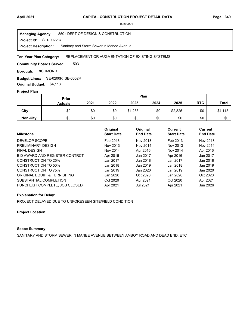**Project Id: SER002237** 850 : DEPT OF DESIGN & CONSTRUCTION Sanitary and Storm Sewer in Manee Avenue **Managing Agency: Project Description:** 

#### REPLACEMENT OR AUGMENTATION OF EXISTING SYSTEMS **Ten-Year Plan Category:**

503 **Community Boards Served:** 

**Borough: RICHMOND** 

SE-0200R SE-0002R **Budget Lines: Original Budget:** \$4,113

### **Project Plan**

|                 | Prior          | Plan |      |         |      |         |            |              |
|-----------------|----------------|------|------|---------|------|---------|------------|--------------|
|                 | <b>Actuals</b> | 2021 | 2022 | 2023    | 2024 | 2025    | <b>RTC</b> | <b>Total</b> |
| City            | \$0            | \$0  | \$0  | \$1,288 | \$0  | \$2,825 | \$0        | \$4,113      |
| <b>Non-City</b> | \$0            | \$0  | \$0  | \$0     | \$0  | \$0     | \$0        | \$0          |

| <b>Milestone</b>               | Original<br><b>Start Date</b> | Original<br><b>End Date</b> | <b>Current</b><br><b>Start Date</b> | Current<br><b>End Date</b> |
|--------------------------------|-------------------------------|-----------------------------|-------------------------------------|----------------------------|
| DEVELOP SCOPE                  | Feb 2013                      | Nov 2013                    | Feb 2013                            | Nov 2013                   |
| PRELIMINARY DESIGN             | Nov 2013                      | Nov 2014                    | Nov 2013                            | Nov 2014                   |
| <b>FINAL DESIGN</b>            | Nov 2014                      | Apr 2016                    | Nov 2014                            | Apr 2016                   |
| BID AWARD AND REGISTER CONTRCT | Apr 2016                      | Jan 2017                    | Apr 2016                            | Jan 2017                   |
| CONSTRUCTION TO 25%            | Jan 2017                      | Jan 2018                    | Jan 2017                            | Jan 2018                   |
| CONSTRUCTION TO 50%            | Jan 2018                      | Jan 2019                    | Jan 2018                            | Jan 2019                   |
| CONSTRUCTION TO 75%            | Jan 2019                      | Jan 2020                    | Jan 2019                            | Jan 2020                   |
| ORIGINAL EQUIP & FURNISHING    | Jan 2020                      | Oct 2020                    | Jan 2020                            | Oct 2020                   |
| SUBSTANTIAL COMPLETION         | Oct 2020                      | Apr 2021                    | Oct 2020                            | Apr 2021                   |
| PUNCHLIST COMPLETE. JOB CLOSED | Apr 2021                      | Jul 2021                    | Apr 2021                            | Jun 2026                   |

## **Explanation for Delay:**

PROJECT DELAYED DUE TO UNFORESEEN SITE/FIELD CONDITION

### **Project Location:**

### **Scope Summary:**

SANITARY AND STORM SEWER IN MANEE AVENUE BETWEEN AMBOY ROAD AND DEAD END, ETC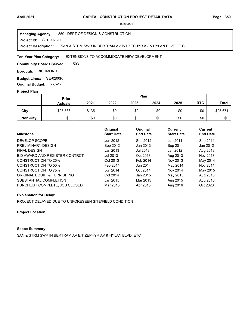#### **Project Id: SER002311** 850 : DEPT OF DESIGN & CONSTRUCTION SAN & STRM SWR IN BERTRAM AV B/T ZEPHYR AV & HYLAN BLVD. ETC **Managing Agency: Project Description:**

#### EXTENSIONS TO ACCOMMODATE NEW DEVELOPMENT **Ten-Year Plan Category:**

503 **Community Boards Served:** 

**Borough: RICHMOND** 

**Budget Lines: SE-0200R Original Budget:** \$6,526

### **Project Plan**

|                 | Prior          | Plan  |      |      |      |      |            |              |
|-----------------|----------------|-------|------|------|------|------|------------|--------------|
|                 | <b>Actuals</b> | 2021  | 2022 | 2023 | 2024 | 2025 | <b>RTC</b> | <b>Total</b> |
| City            | \$25,536       | \$135 | \$0  | \$0  | \$0  | \$0  | \$0        | \$25,671     |
| <b>Non-City</b> | \$0            | \$0   | \$0  | \$0  | \$0  | \$0  | \$0        | \$0          |

| <b>Milestone</b>               | Original<br><b>Start Date</b> | Original<br><b>End Date</b> | <b>Current</b><br><b>Start Date</b> | <b>Current</b><br><b>End Date</b> |
|--------------------------------|-------------------------------|-----------------------------|-------------------------------------|-----------------------------------|
| DEVELOP SCOPE                  | Jun 2012                      | Sep 2012                    | Jun 2011                            | Sep 2011                          |
| PRELIMINARY DESIGN             | Sep 2012                      | Jan 2013                    | Sep 2011                            | Jan 2012                          |
| <b>FINAL DESIGN</b>            | Jan 2013                      | Jul 2013                    | Jan 2012                            | Aug 2013                          |
| BID AWARD AND REGISTER CONTRCT | Jul 2013                      | Oct 2013                    | Aug 2013                            | Nov 2013                          |
| CONSTRUCTION TO 25%            | Oct 2013                      | Feb 2014                    | Nov 2013                            | May 2014                          |
| <b>CONSTRUCTION TO 50%</b>     | Feb 2014                      | Jun 2014                    | May 2014                            | Nov 2014                          |
| <b>CONSTRUCTION TO 75%</b>     | Jun 2014                      | Oct 2014                    | Nov 2014                            | May 2015                          |
| ORIGINAL EQUIP & FURNISHING    | Oct 2014                      | Jan 2015                    | May 2015                            | Aug 2015                          |
| SUBSTANTIAL COMPLETION         | Jan 2015                      | Mar 2015                    | Aug 2015                            | Aug 2016                          |
| PUNCHLIST COMPLETE, JOB CLOSED | Mar 2015                      | Apr 2015                    | Aug 2016                            | Oct 2020                          |

## **Explanation for Delay:**

PROJECT DELAYED DUE TO UNFORESEEN SITE/FIELD CONDITION

**Project Location:**

# **Scope Summary:**

SAN & STRM SWR IN BERTRAM AV B/T ZEPHYR AV & HYLAN BLVD. ETC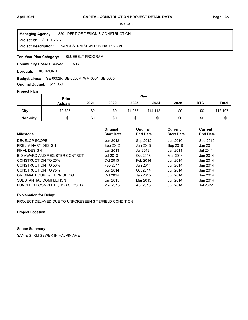**Project Id: SER002317** 850 : DEPT OF DESIGN & CONSTRUCTION SAN & STRM SEWER IN HALPIN AVE **Managing Agency: Project Description:** 

BLUEBELT PROGRAM **Ten-Year Plan Category:** 

503 **Community Boards Served:** 

**Borough: RICHMOND** 

### SE-0002R SE-0200R WM-0001 SE-0005 **Budget Lines:**

**Original Budget:** \$11,969

# **Project Plan**

|                 | Prior          | Plan |      |         |          |      |            |              |
|-----------------|----------------|------|------|---------|----------|------|------------|--------------|
|                 | <b>Actuals</b> | 2021 | 2022 | 2023    | 2024     | 2025 | <b>RTC</b> | <b>Total</b> |
| City            | \$2,737        | \$0  | \$0  | \$1,257 | \$14,113 | \$0  | \$0        | \$18,107     |
| <b>Non-City</b> | \$0            | \$0  | \$0  | \$0     | \$0      | \$0  | \$0        | \$0          |

| <b>Milestone</b>               | Original<br><b>Start Date</b> | Original<br><b>End Date</b> | <b>Current</b><br><b>Start Date</b> | Current<br><b>End Date</b> |
|--------------------------------|-------------------------------|-----------------------------|-------------------------------------|----------------------------|
| DEVELOP SCOPE                  | Jun 2012                      | Sep 2012                    | Jun 2010                            | Sep 2010                   |
| PRELIMINARY DESIGN             | Sep 2012                      | Jan 2013                    | Sep 2010                            | Jan 2011                   |
| <b>FINAL DESIGN</b>            | Jan 2013                      | Jul 2013                    | Jan 2011                            | <b>Jul 2011</b>            |
| BID AWARD AND REGISTER CONTRCT | Jul 2013                      | Oct 2013                    | Mar 2014                            | Jun 2014                   |
| CONSTRUCTION TO 25%            | Oct 2013                      | Feb 2014                    | Jun 2014                            | Jun 2014                   |
| CONSTRUCTION TO 50%            | Feb 2014                      | Jun 2014                    | Jun 2014                            | Jun 2014                   |
| CONSTRUCTION TO 75%            | Jun 2014                      | Oct 2014                    | Jun 2014                            | Jun 2014                   |
| ORIGINAL EQUIP & FURNISHING    | Oct 2014                      | Jan 2015                    | Jun 2014                            | Jun 2014                   |
| SUBSTANTIAL COMPLETION         | Jan 2015                      | Mar 2015                    | Jun 2014                            | Jun 2014                   |
| PUNCHLIST COMPLETE, JOB CLOSED | Mar 2015                      | Apr 2015                    | Jun 2014                            | Jul 2022                   |

## **Explanation for Delay:**

PROJECT DELAYED DUE TO UNFORESEEN SITE/FIELD CONDITION

**Project Location:**

# **Scope Summary:**

SAN & STRM SEWER IN HALPIN AVE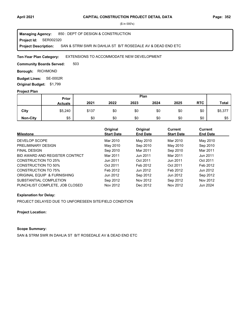**Project Id: SER002320** 850 : DEPT OF DESIGN & CONSTRUCTION SAN & STRM SWR IN DAHLIA ST B/T ROSEDALE AV & DEAD END ETC **Managing Agency: Project Description:** 

EXTENSIONS TO ACCOMMODATE NEW DEVELOPMENT **Ten-Year Plan Category:** 

503 **Community Boards Served:** 

**Borough: RICHMOND** 

**Budget Lines: SE-0002R Original Budget:** \$1,799

## **Project Plan**

|                 | Prior          | Plan  |      |      |      |      |            |              |
|-----------------|----------------|-------|------|------|------|------|------------|--------------|
|                 | <b>Actuals</b> | 2021  | 2022 | 2023 | 2024 | 2025 | <b>RTC</b> | <b>Total</b> |
| City            | \$5,240        | \$137 | \$0  | \$0  | \$0  | \$0  | \$0        | \$5,377      |
| <b>Non-City</b> | \$5            | \$0   | \$0  | \$0  | \$0  | \$0  | \$0        | \$5          |

| <b>Milestone</b>               | Original<br><b>Start Date</b> | Original<br><b>End Date</b> | <b>Current</b><br><b>Start Date</b> | <b>Current</b><br><b>End Date</b> |
|--------------------------------|-------------------------------|-----------------------------|-------------------------------------|-----------------------------------|
|                                |                               |                             |                                     |                                   |
| DEVELOP SCOPE                  | Mar 2010                      | May 2010                    | Mar 2010                            | May 2010                          |
| PRELIMINARY DESIGN             | May 2010                      | Sep 2010                    | May 2010                            | Sep 2010                          |
| <b>FINAL DESIGN</b>            | Sep 2010                      | Mar 2011                    | Sep 2010                            | Mar 2011                          |
| BID AWARD AND REGISTER CONTRCT | Mar 2011                      | Jun 2011                    | Mar 2011                            | Jun 2011                          |
| CONSTRUCTION TO 25%            | Jun 2011                      | Oct 2011                    | Jun 2011                            | Oct 2011                          |
| <b>CONSTRUCTION TO 50%</b>     | Oct 2011                      | Feb 2012                    | Oct 2011                            | Feb 2012                          |
| CONSTRUCTION TO 75%            | Feb 2012                      | Jun 2012                    | Feb 2012                            | Jun 2012                          |
| ORIGINAL EQUIP & FURNISHING    | Jun 2012                      | Sep 2012                    | Jun 2012                            | Sep 2012                          |
| SUBSTANTIAL COMPLETION         | Sep 2012                      | Nov 2012                    | Sep 2012                            | Nov 2012                          |
| PUNCHLIST COMPLETE, JOB CLOSED | Nov 2012                      | Dec 2012                    | Nov 2012                            | Jun 2024                          |

## **Explanation for Delay:**

PROJECT DELAYED DUE TO UNFORESEEN SITE/FIELD CONDITION

**Project Location:**

# **Scope Summary:**

SAN & STRM SWR IN DAHLIA ST B/T ROSEDALE AV & DEAD END ETC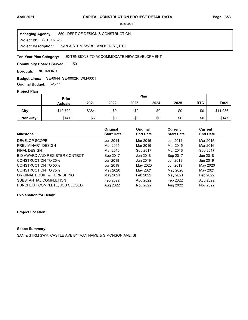**Project Id: SER002323** 850 : DEPT OF DESIGN & CONSTRUCTION SAN & STRM SWRS: WALKER ST, ETC. **Managing Agency: Project Description:** 

#### EXTENSIONS TO ACCOMMODATE NEW DEVELOPMENT **Ten-Year Plan Category:**

501 **Community Boards Served:** 

**Borough: RICHMOND** 

SE-0944 SE-0002R WM-0001 **Budget Lines:** 

**Original Budget:** \$2,711

# **Project Plan**

|                 | Plan<br>Prior  |       |      |      |      |      |            |              |
|-----------------|----------------|-------|------|------|------|------|------------|--------------|
|                 | <b>Actuals</b> | 2021  | 2022 | 2023 | 2024 | 2025 | <b>RTC</b> | <b>Total</b> |
| City            | \$10,702       | \$384 | \$0  | \$0  | \$0  | \$0  | \$0        | \$11,086     |
| <b>Non-City</b> | \$141          | \$6   | \$0  | \$0  | \$0  | \$0  | \$0        | \$147        |

|                                | Original          | Original        | <b>Current</b>    | <b>Current</b>  |  |
|--------------------------------|-------------------|-----------------|-------------------|-----------------|--|
| <b>Milestone</b>               | <b>Start Date</b> | <b>End Date</b> | <b>Start Date</b> | <b>End Date</b> |  |
| DEVELOP SCOPE                  | Jun 2014          | Mar 2015        | Jun 2014          | Mar 2015        |  |
| PRELIMINARY DESIGN             | Mar 2015          | Mar 2016        | Mar 2015          | Mar 2016        |  |
| <b>FINAL DESIGN</b>            | Mar 2016          | Sep 2017        | Mar 2016          | Sep 2017        |  |
| BID AWARD AND REGISTER CONTRCT | Sep 2017          | Jun 2018        | Sep 2017          | Jun 2018        |  |
| CONSTRUCTION TO 25%            | Jun 2018          | Jun 2019        | Jun 2018          | Jun 2019        |  |
| <b>CONSTRUCTION TO 50%</b>     | Jun 2019          | May 2020        | Jun 2019          | May 2020        |  |
| CONSTRUCTION TO 75%            | May 2020          | May 2021        | May 2020          | May 2021        |  |
| ORIGINAL EQUIP & FURNISHING    | May 2021          | Feb 2022        | May 2021          | Feb 2022        |  |
| SUBSTANTIAL COMPLETION         | Feb 2022          | Aug 2022        | Feb 2022          | Aug 2022        |  |
| PUNCHLIST COMPLETE. JOB CLOSED | Aug 2022          | Nov 2022        | Aug 2022          | Nov 2022        |  |

**Explanation for Delay:**

**Project Location:**

# **Scope Summary:**

SAN & STRM SWR. CASTLE AVE B/T VAN NAME & SIMONSON AVE, SI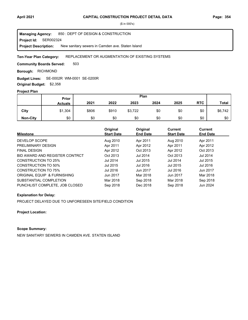**Project Id: SER002324** 850 : DEPT OF DESIGN & CONSTRUCTION New sanitary sewers in Camden ave. Staten Island **Managing Agency: Project Description:** 

#### REPLACEMENT OR AUGMENTATION OF EXISTING SYSTEMS **Ten-Year Plan Category:**

503 **Community Boards Served:** 

**Borough: RICHMOND** 

SE-0002R WM-0001 SE-0200R **Budget Lines:** 

**Original Budget:** \$2,358

# **Project Plan**

|                 | <b>Prior</b>   | Plan  |       |         |      |      |            |              |
|-----------------|----------------|-------|-------|---------|------|------|------------|--------------|
|                 | <b>Actuals</b> | 2021  | 2022  | 2023    | 2024 | 2025 | <b>RTC</b> | <b>Total</b> |
| City            | \$1,304        | \$806 | \$910 | \$3,722 | \$0  | \$0  | \$0        | \$6,742      |
| <b>Non-City</b> | \$0            | \$0   | \$0   | \$0     | \$0  | \$0  | \$0        | \$0          |

| <b>Milestone</b>               | Original<br><b>Start Date</b> | Original<br><b>End Date</b> | <b>Current</b><br><b>Start Date</b> | Current<br><b>End Date</b> |
|--------------------------------|-------------------------------|-----------------------------|-------------------------------------|----------------------------|
| DEVELOP SCOPE                  | Aug 2010                      | Apr 2011                    | Aug 2010                            | Apr 2011                   |
| PRELIMINARY DESIGN             | Apr 2011                      | Apr 2012                    | Apr 2011                            | Apr 2012                   |
| <b>FINAL DESIGN</b>            | Apr 2012                      | Oct 2013                    | Apr 2012                            | Oct 2013                   |
| BID AWARD AND REGISTER CONTRCT | Oct 2013                      | <b>Jul 2014</b>             | Oct 2013                            | <b>Jul 2014</b>            |
| CONSTRUCTION TO 25%            | Jul 2014                      | Jul 2015                    | Jul 2014                            | Jul 2015                   |
| CONSTRUCTION TO 50%            | Jul 2015                      | Jul 2016                    | Jul 2015                            | Jul 2016                   |
| CONSTRUCTION TO 75%            | Jul 2016                      | Jun 2017                    | Jul 2016                            | Jun 2017                   |
| ORIGINAL EQUIP & FURNISHING    | Jun 2017                      | Mar 2018                    | Jun 2017                            | Mar 2018                   |
| SUBSTANTIAL COMPLETION         | Mar 2018                      | Sep 2018                    | Mar 2018                            | Sep 2018                   |
| PUNCHLIST COMPLETE, JOB CLOSED | Sep 2018                      | Dec 2018                    | Sep 2018                            | Jun 2024                   |

## **Explanation for Delay:**

PROJECT DELAYED DUE TO UNFORESEEN SITE/FIELD CONDITION

**Project Location:**

# **Scope Summary:**

NEW SANITARY SEWERS IN CAMDEN AVE. STATEN ISLAND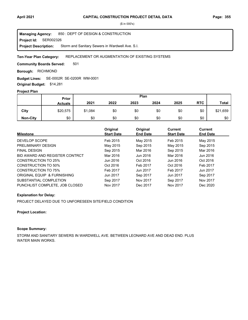**Project Id: SER002326** 850 : DEPT OF DESIGN & CONSTRUCTION Storm and Sanitary Sewers in Wardwell Ave. S.I. **Managing Agency: Project Description:** 

#### REPLACEMENT OR AUGMENTATION OF EXISTING SYSTEMS **Ten-Year Plan Category:**

501 **Community Boards Served:** 

**Borough: RICHMOND** 

SE-0002R SE-0200R WM-0001 **Budget Lines:** 

**Original Budget:** \$14,281

# **Project Plan**

|                 | Plan<br>Prior  |         |      |      |      |      |            |              |
|-----------------|----------------|---------|------|------|------|------|------------|--------------|
|                 | <b>Actuals</b> | 2021    | 2022 | 2023 | 2024 | 2025 | <b>RTC</b> | <b>Total</b> |
| City            | \$20,575       | \$1,084 | \$0  | \$0  | \$0  | \$0  | \$0        | \$21,659     |
| <b>Non-City</b> | \$0            | \$0     | \$0  | \$0  | \$0  | \$0  | \$0        | \$0          |

| <b>Milestone</b>               | Original<br><b>Start Date</b> | Original<br><b>End Date</b> | <b>Current</b><br><b>Start Date</b> | Current<br><b>End Date</b> |
|--------------------------------|-------------------------------|-----------------------------|-------------------------------------|----------------------------|
| DEVELOP SCOPE                  | Feb 2015                      | May 2015                    | Feb 2015                            | May 2015                   |
| PRELIMINARY DESIGN             | May 2015                      | Sep 2015                    | May 2015                            | Sep 2015                   |
| <b>FINAL DESIGN</b>            | Sep 2015                      | Mar 2016                    | Sep 2015                            | Mar 2016                   |
| BID AWARD AND REGISTER CONTRCT | Mar 2016                      | Jun 2016                    | Mar 2016                            | Jun 2016                   |
| CONSTRUCTION TO 25%            | Jun 2016                      | Oct 2016                    | Jun 2016                            | Oct 2016                   |
| CONSTRUCTION TO 50%            | Oct 2016                      | Feb 2017                    | Oct 2016                            | Feb 2017                   |
| CONSTRUCTION TO 75%            | Feb 2017                      | Jun 2017                    | Feb 2017                            | Jun 2017                   |
| ORIGINAL EQUIP & FURNISHING    | Jun 2017                      | Sep 2017                    | Jun 2017                            | Sep 2017                   |
| SUBSTANTIAL COMPLETION         | Sep 2017                      | Nov 2017                    | Sep 2017                            | Nov 2017                   |
| PUNCHLIST COMPLETE, JOB CLOSED | Nov 2017                      | Dec 2017                    | Nov 2017                            | Dec 2020                   |

## **Explanation for Delay:**

PROJECT DELAYED DUE TO UNFORESEEN SITE/FIELD CONDITION

## **Project Location:**

# **Scope Summary:**

STORM AND SANITARY SEWERS IN WARDWELL AVE. BETWEEN LEONARD AVE AND DEAD END. PLUS WATER MAIN WORKS.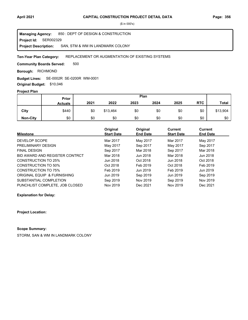**Project Id: SER002329** 850 : DEPT OF DESIGN & CONSTRUCTION SAN, STM & WM IN LANDMARK COLONY **Managing Agency: Project Description:** 

#### REPLACEMENT OR AUGMENTATION OF EXISTING SYSTEMS **Ten-Year Plan Category:**

500 **Community Boards Served:** 

**Borough: RICHMOND** 

# SE-0002R SE-0200R WM-0001 **Budget Lines:**

**Original Budget:** \$10,046

# **Project Plan**

|                 | Plan<br>Prior  |      |          |      |      |      |            |              |
|-----------------|----------------|------|----------|------|------|------|------------|--------------|
|                 | <b>Actuals</b> | 2021 | 2022     | 2023 | 2024 | 2025 | <b>RTC</b> | <b>Total</b> |
| City            | \$440          | \$0  | \$13,464 | \$0  | \$0  | \$0  | \$0        | \$13,904     |
| <b>Non-City</b> | \$0            | \$0  | \$0      | \$0  | \$0  | \$0  | \$0        | \$0          |

|                                | Original          | Original        | Current           | Current         |
|--------------------------------|-------------------|-----------------|-------------------|-----------------|
| <b>Milestone</b>               | <b>Start Date</b> | <b>End Date</b> | <b>Start Date</b> | <b>End Date</b> |
| DEVELOP SCOPE                  | Mar 2017          | May 2017        | Mar 2017          | May 2017        |
| PRELIMINARY DESIGN             | May 2017          | Sep 2017        | May 2017          | Sep 2017        |
| <b>FINAL DESIGN</b>            | Sep 2017          | Mar 2018        | Sep 2017          | Mar 2018        |
| BID AWARD AND REGISTER CONTRCT | Mar 2018          | Jun 2018        | Mar 2018          | Jun 2018        |
| <b>CONSTRUCTION TO 25%</b>     | Jun 2018          | Oct 2018        | Jun 2018          | Oct 2018        |
| CONSTRUCTION TO 50%            | Oct 2018          | Feb 2019        | Oct 2018          | Feb 2019        |
| CONSTRUCTION TO 75%            | Feb 2019          | Jun 2019        | Feb 2019          | Jun 2019        |
| ORIGINAL EQUIP & FURNISHING    | Jun 2019          | Sep 2019        | Jun 2019          | Sep 2019        |
| SUBSTANTIAL COMPLETION         | Sep 2019          | Nov 2019        | Sep 2019          | Nov 2019        |
| PUNCHLIST COMPLETE, JOB CLOSED | Nov 2019          | Dec 2021        | Nov 2019          | Dec 2021        |

**Explanation for Delay:**

**Project Location:**

# **Scope Summary:**

STORM, SAN & WM IN LANDMARK COLONY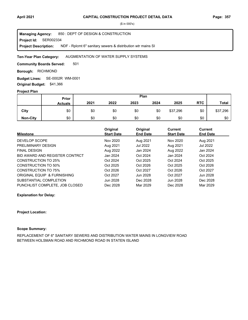**Project Id: SER002334** 850 : DEPT OF DESIGN & CONSTRUCTION NDF - Rplcmt 6" sanitary sewers & distribution wtr mains SI **Managing Agency: Project Description:** 

#### AUGMENTATION OF WATER SUPPLY SYSTEMS **Ten-Year Plan Category:**

501 **Community Boards Served:** 

**Borough: RICHMOND** 

SE-0002R WM-0001 **Budget Lines: Original Budget:** \$41,366

### **Project Plan**

|                 |                | Plan<br>Prior |      |      |      |          |            |              |
|-----------------|----------------|---------------|------|------|------|----------|------------|--------------|
|                 | <b>Actuals</b> | 2021          | 2022 | 2023 | 2024 | 2025     | <b>RTC</b> | <b>Total</b> |
| City            | \$0            | \$0           | \$0  | \$0  | \$0  | \$37,296 | \$0        | \$37,296     |
| <b>Non-City</b> | \$0            | \$0           | \$0  | \$0  | \$0  | \$0      | \$0        | \$0          |

| <b>Milestone</b>               | Original<br><b>Start Date</b> | Original<br><b>End Date</b> | Current<br><b>Start Date</b> | <b>Current</b><br><b>End Date</b> |
|--------------------------------|-------------------------------|-----------------------------|------------------------------|-----------------------------------|
|                                |                               |                             |                              |                                   |
| DEVELOP SCOPE                  | Nov 2020                      | Aug 2021                    | Nov 2020                     | Aug 2021                          |
| PRELIMINARY DESIGN             | Aug 2021                      | Jul 2022                    | Aug 2021                     | Jul 2022                          |
| <b>FINAL DESIGN</b>            | Aug 2022                      | Jan 2024                    | Aug 2022                     | Jan 2024                          |
| BID AWARD AND REGISTER CONTRCT | Jan 2024                      | Oct 2024                    | Jan 2024                     | Oct 2024                          |
| CONSTRUCTION TO 25%            | Oct 2024                      | Oct 2025                    | Oct 2024                     | Oct 2025                          |
| CONSTRUCTION TO 50%            | Oct 2025                      | Oct 2026                    | Oct 2025                     | Oct 2026                          |
| CONSTRUCTION TO 75%            | Oct 2026                      | Oct 2027                    | Oct 2026                     | Oct 2027                          |
| ORIGINAL EQUIP & FURNISHING    | Oct 2027                      | Jun 2028                    | Oct 2027                     | Jun 2028                          |
| SUBSTANTIAL COMPLETION         | Jun 2028                      | Dec 2028                    | Jun 2028                     | Dec 2028                          |
| PUNCHLIST COMPLETE. JOB CLOSED | Dec 2028                      | Mar 2029                    | Dec 2028                     | Mar 2029                          |

**Explanation for Delay:**

#### **Project Location:**

#### **Scope Summary:**

REPLACEMENT OF 6" SANITARY SEWERS AND DISTRIBUTION WATER MAINS IN LONGVIEW ROAD BETWEEN HOLSMAN ROAD AND RICHMOND ROAD IN STATEN ISLAND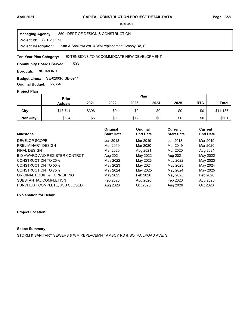**Project Id: SER200151** 850 : DEPT OF DESIGN & CONSTRUCTION Stm & Sani swr ext. & WM replacement Amboy Rd, SI **Managing Agency: Project Description:** 

#### EXTENSIONS TO ACCOMMODATE NEW DEVELOPMENT **Ten-Year Plan Category:**

503 **Community Boards Served:** 

**Borough: RICHMOND** 

SE-0200R SE-0944 **Budget Lines: Original Budget:** \$5,654

## **Project Plan**

|                 |                | Plan<br>Prior |      |      |      |      |            |              |
|-----------------|----------------|---------------|------|------|------|------|------------|--------------|
|                 | <b>Actuals</b> | 2021          | 2022 | 2023 | 2024 | 2025 | <b>RTC</b> | <b>Total</b> |
| City            | \$13,741       | \$396         | \$0  | \$0  | \$0  | \$0  | \$0        | \$14,137     |
| <b>Non-City</b> | \$584          | \$5           | \$0  | \$12 | \$0  | \$0  | \$0        | \$601        |

|                                | Original          | Original        | Current           | Current         |
|--------------------------------|-------------------|-----------------|-------------------|-----------------|
| <b>Milestone</b>               | <b>Start Date</b> | <b>End Date</b> | <b>Start Date</b> | <b>End Date</b> |
| DEVELOP SCOPE                  | Jun 2018          | Mar 2019        | Jun 2018          | Mar 2019        |
| PRELIMINARY DESIGN             | Mar 2019          | Mar 2020        | Mar 2019          | Mar 2020        |
| <b>FINAL DESIGN</b>            | Mar 2020          | Aug 2021        | Mar 2020          | Aug 2021        |
| BID AWARD AND REGISTER CONTRCT | Aug 2021          | May 2022        | Aug 2021          | May 2022        |
| <b>CONSTRUCTION TO 25%</b>     | May 2022          | May 2023        | May 2022          | May 2023        |
| <b>CONSTRUCTION TO 50%</b>     | May 2023          | May 2024        | May 2023          | May 2024        |
| CONSTRUCTION TO 75%            | May 2024          | May 2025        | May 2024          | May 2025        |
| ORIGINAL EQUIP & FURNISHING    | May 2025          | Feb 2026        | May 2025          | Feb 2026        |
| SUBSTANTIAL COMPLETION         | Feb 2026          | Aug 2026        | Feb 2026          | Aug 2026        |
| PUNCHLIST COMPLETE. JOB CLOSED | Aug 2026          | Oct 2026        | Aug 2026          | Oct 2026        |

**Explanation for Delay:**

**Project Location:**

# **Scope Summary:**

STORM & SANITARY SEWERS & WM REPLACEMNT AMBOY RD & SO. RAILROAD AVE, SI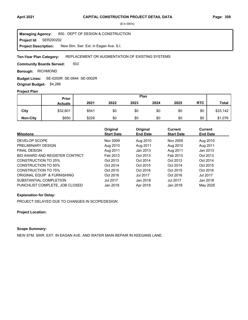**Project Id: SER200202** 850 : DEPT OF DESIGN & CONSTRUCTION New Stm. Swr. Ext. in Eagan Ave. S.I. **Managing Agency: Project Description:** 

#### REPLACEMENT OR AUGMENTATION OF EXISTING SYSTEMS **Ten-Year Plan Category:**

503 **Community Boards Served:** 

**Borough: RICHMOND** 

SE-0200R SE-0944 SE-0002R **Budget Lines:** 

**Original Budget:** \$4,266

# **Project Plan**

|                 | Plan<br><b>Prior</b> |       |      |      |      |      |            |              |
|-----------------|----------------------|-------|------|------|------|------|------------|--------------|
|                 | <b>Actuals</b>       | 2021  | 2022 | 2023 | 2024 | 2025 | <b>RTC</b> | <b>Total</b> |
| City            | \$32,601             | \$541 | \$0  | \$0  | \$0  | \$0  | \$0        | \$33,142     |
| <b>Non-City</b> | \$850                | \$226 | \$0  | \$0  | \$0  | \$0  | \$0        | \$1,076      |

| <b>Milestone</b>               | Original<br><b>Start Date</b> | Original<br><b>End Date</b> | <b>Current</b><br><b>Start Date</b> | Current<br><b>End Date</b> |
|--------------------------------|-------------------------------|-----------------------------|-------------------------------------|----------------------------|
| DEVELOP SCOPE                  | Nov 2009                      | Aug 2010                    | Nov 2009                            | Aug 2010                   |
| PRELIMINARY DESIGN             | Aug 2010                      | Aug 2011                    | Aug 2010                            | Aug 2011                   |
| <b>FINAL DESIGN</b>            | Aug 2011                      | Jan 2013                    | Aug 2011                            | Jan 2013                   |
| BID AWARD AND REGISTER CONTRCT | Feb 2013                      | Oct 2013                    | Feb 2013                            | Oct 2013                   |
| CONSTRUCTION TO 25%            | Oct 2013                      | Oct 2014                    | Oct 2013                            | Oct 2014                   |
| CONSTRUCTION TO 50%            | Oct 2014                      | Oct 2015                    | Oct 2014                            | Oct 2015                   |
| <b>CONSTRUCTION TO 75%</b>     | Oct 2015                      | Oct 2016                    | Oct 2015                            | Oct 2016                   |
| ORIGINAL EQUIP & FURNISHING    | Oct 2016                      | <b>Jul 2017</b>             | Oct 2016                            | <b>Jul 2017</b>            |
| SUBSTANTIAL COMPLETION         | <b>Jul 2017</b>               | Jan 2018                    | <b>Jul 2017</b>                     | Jan 2018                   |
| PUNCHLIST COMPLETE, JOB CLOSED | Jan 2018                      | Apr 2018                    | Jan 2018                            | May 2025                   |

#### **Explanation for Delay:**

PROJECT DELAYED DUE TO CHANGES IN SCOPE/DESIGN

## **Project Location:**

# **Scope Summary:**

NEW STM. SWR. EXT. IN EAGAN AVE. AND WATER MAIN REPAIR IN KEEGANS LANE.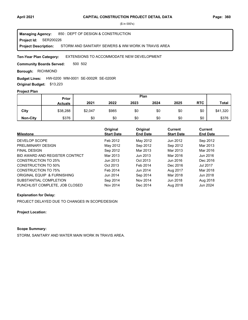**Project Id: SER200226** 850 : DEPT OF DESIGN & CONSTRUCTION STORM AND SANITARY SEWERS & WM WORK IN TRAVIS AREA **Managing Agency: Project Description:** 

#### EXTENSIONS TO ACCOMMODATE NEW DEVELOPMENT **Ten-Year Plan Category:**

500 502 **Community Boards Served:** 

**Borough: RICHMOND** 

### **Budget Lines: HW-0200 WM-0001 SE-0002R SE-0200R**

**Original Budget:** \$13,223

# **Project Plan**

|                 | Plan<br><b>Prior</b> |         |       |      |      |      |            |              |
|-----------------|----------------------|---------|-------|------|------|------|------------|--------------|
|                 | <b>Actuals</b>       | 2021    | 2022  | 2023 | 2024 | 2025 | <b>RTC</b> | <b>Total</b> |
| City            | \$38,288             | \$2,047 | \$985 | \$0  | \$0  | \$0  | \$0        | \$41,320     |
| <b>Non-City</b> | \$376                | \$0     | \$0   | \$0  | \$0  | \$0  | \$0        | \$376        |

| <b>Milestone</b>               | Original<br><b>Start Date</b> | Original<br><b>End Date</b> | Current<br><b>Start Date</b> | <b>Current</b><br><b>End Date</b> |
|--------------------------------|-------------------------------|-----------------------------|------------------------------|-----------------------------------|
| DEVELOP SCOPE                  | Feb 2012                      | May 2012                    | Jun 2012                     | Sep 2012                          |
| PRELIMINARY DESIGN             | May 2012                      | Sep 2012                    | Sep 2012                     | Mar 2013                          |
| <b>FINAL DESIGN</b>            | Sep 2012                      | Mar 2013                    | Mar 2013                     | Mar 2016                          |
| BID AWARD AND REGISTER CONTRCT | Mar 2013                      | Jun 2013                    | Mar 2016                     | Jun 2016                          |
| CONSTRUCTION TO 25%            | Jun 2013                      | Oct 2013                    | Jun 2016                     | Dec 2016                          |
| CONSTRUCTION TO 50%            | Oct 2013                      | Feb 2014                    | Dec 2016                     | <b>Jul 2017</b>                   |
| <b>CONSTRUCTION TO 75%</b>     | Feb 2014                      | Jun 2014                    | Aug 2017                     | Mar 2018                          |
| ORIGINAL EQUIP & FURNISHING    | Jun 2014                      | Sep 2014                    | Mar 2018                     | Jun 2018                          |
| SUBSTANTIAL COMPLETION         | Sep 2014                      | Nov 2014                    | Jun 2018                     | Aug 2018                          |
| PUNCHLIST COMPLETE. JOB CLOSED | Nov 2014                      | Dec 2014                    | Aug 2018                     | Jun 2024                          |

#### **Explanation for Delay:**

PROJECT DELAYED DUE TO CHANGES IN SCOPE/DESIGN

#### **Project Location:**

# **Scope Summary:**

STORM, SANITARY AND WATER MAIN WORK IN TRAVIS AREA.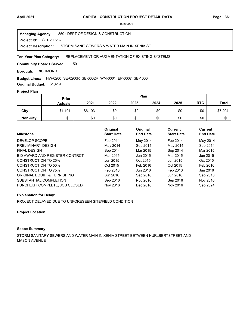**Project Id: SER200232** 850 : DEPT OF DESIGN & CONSTRUCTION STORM,SANIT SEWERS & WATER MAIN IN XENIA ST **Managing Agency: Project Description:** 

#### REPLACEMENT OR AUGMENTATION OF EXISTING SYSTEMS **Ten-Year Plan Category:**

501 **Community Boards Served:** 

**Borough: RICHMOND** 

### HW-0200 SE-0200R SE-0002R WM-0001 EP-0007 SE-1000 **Budget Lines:**

**Original Budget:** \$1,419

# **Project Plan**

|                 |                | Plan<br>Prior |      |      |      |      |            |              |
|-----------------|----------------|---------------|------|------|------|------|------------|--------------|
|                 | <b>Actuals</b> | 2021          | 2022 | 2023 | 2024 | 2025 | <b>RTC</b> | <b>Total</b> |
| City            | \$1,101        | \$6,193       | \$0  | \$0  | \$0  | \$0  | \$0        | \$7,294      |
| <b>Non-City</b> | \$0            | \$0           | \$0  | \$0  | \$0  | \$0  | \$0        | \$0          |

| <b>Milestone</b>               | Original<br><b>Start Date</b> | Original<br><b>End Date</b> | Current<br><b>Start Date</b> | <b>Current</b><br><b>End Date</b> |
|--------------------------------|-------------------------------|-----------------------------|------------------------------|-----------------------------------|
| DEVELOP SCOPE                  | Feb 2014                      | May 2014                    | Feb 2014                     | May 2014                          |
| PRELIMINARY DESIGN             | May 2014                      | Sep 2014                    | May 2014                     | Sep 2014                          |
| <b>FINAL DESIGN</b>            | Sep 2014                      | Mar 2015                    | Sep 2014                     | Mar 2015                          |
| BID AWARD AND REGISTER CONTRCT | Mar 2015                      | Jun 2015                    | Mar 2015                     | Jun 2015                          |
| CONSTRUCTION TO 25%            | Jun 2015                      | Oct 2015                    | Jun 2015                     | Oct 2015                          |
| CONSTRUCTION TO 50%            | Oct 2015                      | Feb 2016                    | Oct 2015                     | Feb 2016                          |
| CONSTRUCTION TO 75%            | Feb 2016                      | Jun 2016                    | Feb 2016                     | Jun 2016                          |
| ORIGINAL EQUIP & FURNISHING    | Jun 2016                      | Sep 2016                    | Jun 2016                     | Sep 2016                          |
| SUBSTANTIAL COMPLETION         | Sep 2016                      | Nov 2016                    | Sep 2016                     | Nov 2016                          |
| PUNCHLIST COMPLETE, JOB CLOSED | Nov 2016                      | Dec 2016                    | Nov 2016                     | Sep 2024                          |

#### **Explanation for Delay:**

PROJECT DELAYED DUE TO UNFORESEEN SITE/FIELD CONDITION

#### **Project Location:**

# **Scope Summary:**

STORM SANITARY SEWERS AND WATER MAIN IN XENIA STREET BETWEEN HURLBERTSTREET AND MASON AVENUE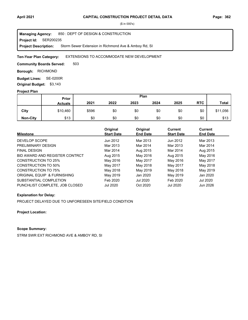**Project Id: SER200235** 850 : DEPT OF DESIGN & CONSTRUCTION Storm Sewer Extension in Richmond Ave & Amboy Rd, SI **Managing Agency: Project Description:** 

#### EXTENSIONS TO ACCOMMODATE NEW DEVELOPMENT **Ten-Year Plan Category:**

503 **Community Boards Served:** 

**Borough: RICHMOND** 

**Budget Lines: SE-0200R Original Budget:** \$3,143

### **Project Plan**

|                 |                | Plan<br>Prior |      |      |      |      |            |              |
|-----------------|----------------|---------------|------|------|------|------|------------|--------------|
|                 | <b>Actuals</b> | 2021          | 2022 | 2023 | 2024 | 2025 | <b>RTC</b> | <b>Total</b> |
| City            | \$10,460       | \$596         | \$0  | \$0  | \$0  | \$0  | \$0        | \$11,056     |
| <b>Non-City</b> | \$13           | \$0           | \$0  | \$0  | \$0  | \$0  | \$0        | \$13         |

| <b>Milestone</b>               | Original<br><b>Start Date</b> | Original<br><b>End Date</b> | Current<br><b>Start Date</b> | Current<br><b>End Date</b> |
|--------------------------------|-------------------------------|-----------------------------|------------------------------|----------------------------|
|                                |                               |                             |                              |                            |
| DEVELOP SCOPE                  | Jun 2012                      | Mar 2013                    | Jun 2012                     | Mar 2013                   |
| PRELIMINARY DESIGN             | Mar 2013                      | Mar 2014                    | Mar 2013                     | Mar 2014                   |
| <b>FINAL DESIGN</b>            | Mar 2014                      | Aug 2015                    | Mar 2014                     | Aug 2015                   |
| BID AWARD AND REGISTER CONTRCT | Aug 2015                      | May 2016                    | Aug 2015                     | May 2016                   |
| CONSTRUCTION TO 25%            | May 2016                      | May 2017                    | May 2016                     | May 2017                   |
| CONSTRUCTION TO 50%            | May 2017                      | May 2018                    | May 2017                     | May 2018                   |
| <b>CONSTRUCTION TO 75%</b>     | May 2018                      | May 2019                    | May 2018                     | May 2019                   |
| ORIGINAL EQUIP & FURNISHING    | May 2019                      | Jan 2020                    | May 2019                     | Jan 2020                   |
| SUBSTANTIAL COMPLETION         | Feb 2020                      | <b>Jul 2020</b>             | Feb 2020                     | Jul 2020                   |
| PUNCHLIST COMPLETE, JOB CLOSED | <b>Jul 2020</b>               | Oct 2020                    | <b>Jul 2020</b>              | Jun 2026                   |

## **Explanation for Delay:**

PROJECT DELAYED DUE TO UNFORESEEN SITE/FIELD CONDITION

**Project Location:**

# **Scope Summary:**

STRM SWR EXT RICHMOND AVE & AMBOY RD, SI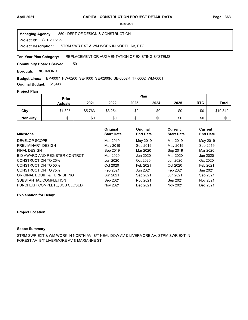**Project Id: SER200236** 850 : DEPT OF DESIGN & CONSTRUCTION STRM SWR EXT & WM WORK IN NORTH AV, ETC. **Managing Agency: Project Description:** 

#### REPLACEMENT OR AUGMENTATION OF EXISTING SYSTEMS **Ten-Year Plan Category:**

501 **Community Boards Served:** 

**Borough: RICHMOND** 

### **Budget Lines:** EP-0007 HW-0200 SE-1000 SE-0200R SE-0002R TF-0002 WM-0001

**Original Budget:** \$1,998

### **Project Plan**

|                 |                | Plan<br>Prior |         |      |      |      |            |              |
|-----------------|----------------|---------------|---------|------|------|------|------------|--------------|
|                 | <b>Actuals</b> | 2021          | 2022    | 2023 | 2024 | 2025 | <b>RTC</b> | <b>Total</b> |
| City            | \$1,325        | \$5,763       | \$3,254 | \$0  | \$0  | \$0  | \$0        | \$10,342     |
| <b>Non-City</b> | \$0            | \$0           | \$0     | \$0  | \$0  | \$0  | \$0        | \$0          |

|                                | Original          | Original        | Current           | <b>Current</b>  |
|--------------------------------|-------------------|-----------------|-------------------|-----------------|
| <b>Milestone</b>               | <b>Start Date</b> | <b>End Date</b> | <b>Start Date</b> | <b>End Date</b> |
| DEVELOP SCOPE                  | Mar 2019          | May 2019        | Mar 2019          | May 2019        |
| PRELIMINARY DESIGN             | May 2019          | Sep 2019        | May 2019          | Sep 2019        |
| <b>FINAL DESIGN</b>            | Sep 2019          | Mar 2020        | Sep 2019          | Mar 2020        |
| BID AWARD AND REGISTER CONTRCT | Mar 2020          | Jun 2020        | Mar 2020          | Jun 2020        |
| CONSTRUCTION TO 25%            | Jun 2020          | Oct 2020        | Jun 2020          | Oct 2020        |
| CONSTRUCTION TO 50%            | Oct 2020          | Feb 2021        | Oct 2020          | Feb 2021        |
| CONSTRUCTION TO 75%            | Feb 2021          | Jun 2021        | Feb 2021          | Jun 2021        |
| ORIGINAL EQUIP & FURNISHING    | Jun 2021          | Sep 2021        | Jun 2021          | Sep 2021        |
| SUBSTANTIAL COMPLETION         | Sep 2021          | Nov 2021        | Sep 2021          | Nov 2021        |
| PUNCHLIST COMPLETE. JOB CLOSED | Nov 2021          | Dec 2021        | Nov 2021          | Dec 2021        |

**Explanation for Delay:**

#### **Project Location:**

#### **Scope Summary:**

STRM SWR EXT & WM WORK IN NORTH AV, B/T NEAL DOW AV & LIVERMORE AV, STRM SWR EXT IN FOREST AV, B/T LIVERMORE AV & MARIANNE ST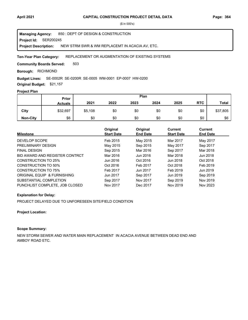**Project Id: SER200245** 850 : DEPT OF DESIGN & CONSTRUCTION NEW STRM SWR & WM REPLACEMT IN ACACIA AV, ETC. **Managing Agency: Project Description:** 

#### REPLACEMENT OR AUGMENTATION OF EXISTING SYSTEMS **Ten-Year Plan Category:**

503 **Community Boards Served:** 

**Borough: RICHMOND** 

### SE-0002R SE-0200R SE-0005 WM-0001 EP-0007 HW-0200 **Budget Lines:**

**Original Budget:** \$21,157

# **Project Plan**

|                 | Plan<br>Prior  |         |      |      |      |      |            |              |
|-----------------|----------------|---------|------|------|------|------|------------|--------------|
|                 | <b>Actuals</b> | 2021    | 2022 | 2023 | 2024 | 2025 | <b>RTC</b> | <b>Total</b> |
| City            | \$32,697       | \$5,108 | \$0  | \$0  | \$0  | \$0  | \$0        | \$37,805     |
| <b>Non-City</b> | \$6            | \$0     | \$0  | \$0  | \$0  | \$0  | \$0        | \$6          |

| <b>Milestone</b>               | Original<br><b>Start Date</b> | Original<br><b>End Date</b> | <b>Current</b><br><b>Start Date</b> | Current<br><b>End Date</b> |
|--------------------------------|-------------------------------|-----------------------------|-------------------------------------|----------------------------|
| DEVELOP SCOPE                  | Feb 2015                      | May 2015                    | Mar 2017                            | May 2017                   |
| PRELIMINARY DESIGN             | May 2015                      | Sep 2015                    | May 2017                            | Sep 2017                   |
| <b>FINAL DESIGN</b>            | Sep 2015                      | Mar 2016                    | Sep 2017                            | Mar 2018                   |
| BID AWARD AND REGISTER CONTRCT | Mar 2016                      | Jun 2016                    | Mar 2018                            | Jun 2018                   |
| CONSTRUCTION TO 25%            | Jun 2016                      | Oct 2016                    | Jun 2018                            | Oct 2018                   |
| CONSTRUCTION TO 50%            | Oct 2016                      | Feb 2017                    | Oct 2018                            | Feb 2019                   |
| CONSTRUCTION TO 75%            | Feb 2017                      | Jun 2017                    | Feb 2019                            | Jun 2019                   |
| ORIGINAL EQUIP & FURNISHING    | Jun 2017                      | Sep 2017                    | Jun 2019                            | Sep 2019                   |
| SUBSTANTIAL COMPLETION         | Sep 2017                      | Nov 2017                    | Sep 2019                            | Nov 2019                   |
| PUNCHLIST COMPLETE, JOB CLOSED | Nov 2017                      | Dec 2017                    | Nov 2019                            | Nov 2023                   |

## **Explanation for Delay:**

PROJECT DELAYED DUE TO UNFORESEEN SITE/FIELD CONDITION

## **Project Location:**

# **Scope Summary:**

NEW STORM SEWER AND WATER MAIN REPLACEMENT IN ACACIA AVENUE BETWEEN DEAD END AND AMBOY ROAD ETC.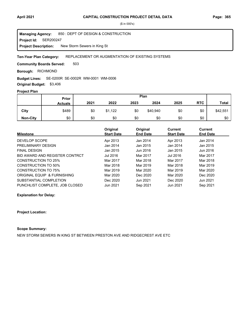**Project Id: SER200247** 850 : DEPT OF DESIGN & CONSTRUCTION New Storm Sewers in King St **Managing Agency: Project Description:** 

#### REPLACEMENT OR AUGMENTATION OF EXISTING SYSTEMS **Ten-Year Plan Category:**

503 **Community Boards Served:** 

**Borough: RICHMOND** 

### SE-0200R SE-0002R WM-0001 WM-0006 **Budget Lines:**

**Original Budget:** \$3,406

# **Project Plan**

|                 | Plan<br>Prior  |      |         |      |          |      |            |              |
|-----------------|----------------|------|---------|------|----------|------|------------|--------------|
|                 | <b>Actuals</b> | 2021 | 2022    | 2023 | 2024     | 2025 | <b>RTC</b> | <b>Total</b> |
| City            | \$489          | \$0  | \$1,122 | \$0  | \$40,940 | \$0  | \$0        | \$42,551     |
| <b>Non-City</b> | \$0            | \$0  | \$0     | \$0  | \$0      | \$0  | \$0        | \$0          |

|                                | Original          | Original        | Current           | <b>Current</b>  |
|--------------------------------|-------------------|-----------------|-------------------|-----------------|
| <b>Milestone</b>               | <b>Start Date</b> | <b>End Date</b> | <b>Start Date</b> | <b>End Date</b> |
| DEVELOP SCOPE                  | Apr 2013          | Jan 2014        | Apr 2013          | Jan 2014        |
| PRELIMINARY DESIGN             | Jan 2014          | Jan 2015        | Jan 2014          | Jan 2015        |
| <b>FINAL DESIGN</b>            | Jan 2015          | Jun 2016        | Jan 2015          | Jun 2016        |
| BID AWARD AND REGISTER CONTRCT | Jul 2016          | Mar 2017        | Jul 2016          | Mar 2017        |
| CONSTRUCTION TO 25%            | Mar 2017          | Mar 2018        | Mar 2017          | Mar 2018        |
| CONSTRUCTION TO 50%            | Mar 2018          | Mar 2019        | Mar 2018          | Mar 2019        |
| CONSTRUCTION TO 75%            | Mar 2019          | Mar 2020        | Mar 2019          | Mar 2020        |
| ORIGINAL EQUIP & FURNISHING    | Mar 2020          | Dec 2020        | Mar 2020          | Dec 2020        |
| SUBSTANTIAL COMPLETION         | Dec 2020          | Jun 2021        | Dec 2020          | Jun 2021        |
| PUNCHLIST COMPLETE. JOB CLOSED | Jun 2021          | Sep 2021        | Jun 2021          | Sep 2021        |

**Explanation for Delay:**

#### **Project Location:**

# **Scope Summary:**

NEW STORM SEWERS IN KING ST BETWEEN PRESTON AVE AND RIDGECREST AVE ETC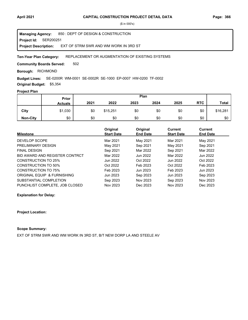**Project Id: SER200251** 850 : DEPT OF DESIGN & CONSTRUCTION EXT OF STRM SWR AND WM WORK IN 3RD ST **Managing Agency: Project Description:** 

#### REPLACEMENT OR AUGMENTATION OF EXISTING SYSTEMS **Ten-Year Plan Category:**

502 **Community Boards Served:** 

**Borough: RICHMOND** 

SE-0200R WM-0001 SE-0002R SE-1000 EP-0007 HW-0200 TF-0002 **Budget Lines:** 

**Original Budget:** \$5,354

# **Project Plan**

|                 | Plan<br><b>Prior</b> |      |          |      |      |      |            |              |
|-----------------|----------------------|------|----------|------|------|------|------------|--------------|
|                 | <b>Actuals</b>       | 2021 | 2022     | 2023 | 2024 | 2025 | <b>RTC</b> | <b>Total</b> |
| City            | \$1,030              | \$0  | \$15,251 | \$0  | \$0  | \$0  | \$0        | \$16,281     |
| <b>Non-City</b> | \$0                  | \$0  | \$0      | \$0  | \$0  | \$0  | \$0        | \$0          |

|                                | Original          | Original        | Current           | Current         |
|--------------------------------|-------------------|-----------------|-------------------|-----------------|
| <b>Milestone</b>               | <b>Start Date</b> | <b>End Date</b> | <b>Start Date</b> | <b>End Date</b> |
| DEVELOP SCOPE                  | Mar 2021          | May 2021        | Mar 2021          | May 2021        |
| PRELIMINARY DESIGN             | May 2021          | Sep 2021        | May 2021          | Sep 2021        |
| <b>FINAL DESIGN</b>            | Sep 2021          | Mar 2022        | Sep 2021          | Mar 2022        |
| BID AWARD AND REGISTER CONTRCT | Mar 2022          | Jun 2022        | Mar 2022          | Jun 2022        |
| <b>CONSTRUCTION TO 25%</b>     | Jun 2022          | Oct 2022        | Jun 2022          | Oct 2022        |
| CONSTRUCTION TO 50%            | Oct 2022          | Feb 2023        | Oct 2022          | Feb 2023        |
| CONSTRUCTION TO 75%            | Feb 2023          | Jun 2023        | Feb 2023          | Jun 2023        |
| ORIGINAL EQUIP & FURNISHING    | Jun 2023          | Sep 2023        | Jun 2023          | Sep 2023        |
| SUBSTANTIAL COMPLETION         | Sep 2023          | Nov 2023        | Sep 2023          | Nov 2023        |
| PUNCHLIST COMPLETE. JOB CLOSED | Nov 2023          | Dec 2023        | Nov 2023          | Dec 2023        |

**Explanation for Delay:**

### **Project Location:**

### **Scope Summary:**

EXT OF STRM SWR AND WM WORK IN 3RD ST, B/T NEW DORP LA AND STEELE AV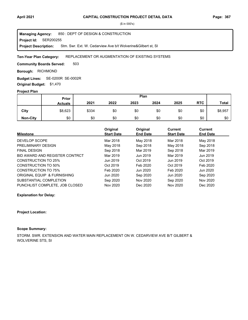**Project Id: SER200255** 850 : DEPT OF DESIGN & CONSTRUCTION Stm. Swr. Ext. W. Cedarview Ave b/t Wolverine&Gilbert st, SI **Managing Agency: Project Description:** 

#### REPLACEMENT OR AUGMENTATION OF EXISTING SYSTEMS **Ten-Year Plan Category:**

503 **Community Boards Served:** 

**Borough: RICHMOND** 

SE-0200R SE-0002R **Budget Lines: Original Budget:** \$1,470

### **Project Plan**

|                 | Plan<br>Prior  |       |      |      |      |      |            |              |
|-----------------|----------------|-------|------|------|------|------|------------|--------------|
|                 | <b>Actuals</b> | 2021  | 2022 | 2023 | 2024 | 2025 | <b>RTC</b> | <b>Total</b> |
| City            | \$8,623        | \$334 | \$0  | \$0  | \$0  | \$0  | \$0        | \$8,957      |
| <b>Non-City</b> | \$0            | \$0   | \$0  | \$0  | \$0  | \$0  | \$0        | \$0          |

| <b>Milestone</b>               | Original<br><b>Start Date</b> | Original<br><b>End Date</b> | Current<br><b>Start Date</b> | <b>Current</b><br><b>End Date</b> |
|--------------------------------|-------------------------------|-----------------------------|------------------------------|-----------------------------------|
|                                |                               |                             |                              |                                   |
| DEVELOP SCOPE                  | Mar 2018                      | May 2018                    | Mar 2018                     | May 2018                          |
| PRELIMINARY DESIGN             | May 2018                      | Sep 2018                    | May 2018                     | Sep 2018                          |
| <b>FINAL DESIGN</b>            | Sep 2018                      | Mar 2019                    | Sep 2018                     | Mar 2019                          |
| BID AWARD AND REGISTER CONTRCT | Mar 2019                      | Jun 2019                    | Mar 2019                     | Jun 2019                          |
| CONSTRUCTION TO 25%            | Jun 2019                      | Oct 2019                    | Jun 2019                     | Oct 2019                          |
| CONSTRUCTION TO 50%            | Oct 2019                      | Feb 2020                    | Oct 2019                     | Feb 2020                          |
| CONSTRUCTION TO 75%            | Feb 2020                      | Jun 2020                    | Feb 2020                     | Jun 2020                          |
| ORIGINAL EQUIP & FURNISHING    | Jun 2020                      | Sep 2020                    | Jun 2020                     | Sep 2020                          |
| SUBSTANTIAL COMPLETION         | Sep 2020                      | Nov 2020                    | Sep 2020                     | Nov 2020                          |
| PUNCHLIST COMPLETE, JOB CLOSED | Nov 2020                      | Dec 2020                    | Nov 2020                     | Dec 2020                          |

### **Explanation for Delay:**

#### **Project Location:**

### **Scope Summary:**

STORM. SWR. EXTENSION AND WATER MAIN REPLACEMENT ON W. CEDARVIEW AVE B/T GILBERT & WOLVERINE STS, SI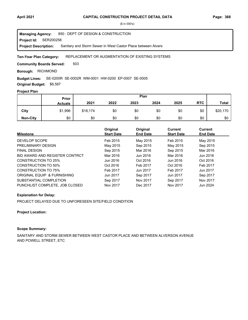**Project Id: SER200258** 850 : DEPT OF DESIGN & CONSTRUCTION Sanitary and Storm Sewer in West Castor Place between Alvers **Managing Agency: Project Description:** 

#### REPLACEMENT OR AUGMENTATION OF EXISTING SYSTEMS **Ten-Year Plan Category:**

503 **Community Boards Served:** 

**Borough: RICHMOND** 

#### SE-0200R SE-0002R WM-0001 HW-0200 EP-0007 SE-0005 **Budget Lines:**

**Original Budget:** \$6,587

# **Project Plan**

|                 |                | Plan<br>Prior |      |      |      |      |            |              |
|-----------------|----------------|---------------|------|------|------|------|------------|--------------|
|                 | <b>Actuals</b> | 2021          | 2022 | 2023 | 2024 | 2025 | <b>RTC</b> | <b>Total</b> |
| City            | \$1,996        | \$18,174      | \$0  | \$0  | \$0  | \$0  | \$0        | \$20,170     |
| <b>Non-City</b> | \$0            | \$0           | \$0  | \$0  | \$0  | \$0  | \$0        | \$0          |

| <b>Milestone</b>               | Original<br><b>Start Date</b> | Original<br><b>End Date</b> | Current<br><b>Start Date</b> | Current<br><b>End Date</b> |
|--------------------------------|-------------------------------|-----------------------------|------------------------------|----------------------------|
| DEVELOP SCOPE                  | Feb 2015                      | May 2015                    | Feb 2015                     | May 2015                   |
| PRELIMINARY DESIGN             | May 2015                      | Sep 2015                    | May 2015                     | Sep 2015                   |
| <b>FINAL DESIGN</b>            | Sep 2015                      | Mar 2016                    | Sep 2015                     | Mar 2016                   |
| BID AWARD AND REGISTER CONTRCT | Mar 2016                      | Jun 2016                    | Mar 2016                     | Jun 2016                   |
| CONSTRUCTION TO 25%            | Jun 2016                      | Oct 2016                    | Jun 2016                     | Oct 2016                   |
| CONSTRUCTION TO 50%            | Oct 2016                      | Feb 2017                    | Oct 2016                     | Feb 2017                   |
| <b>CONSTRUCTION TO 75%</b>     | Feb 2017                      | Jun 2017                    | Feb 2017                     | Jun 2017                   |
| ORIGINAL EQUIP & FURNISHING    | Jun 2017                      | Sep 2017                    | Jun 2017                     | Sep 2017                   |
| SUBSTANTIAL COMPLETION         | Sep 2017                      | Nov 2017                    | Sep 2017                     | Nov 2017                   |
| PUNCHLIST COMPLETE, JOB CLOSED | Nov 2017                      | Dec 2017                    | Nov 2017                     | Jun 2024                   |

#### **Explanation for Delay:**

PROJECT DELAYED DUE TO UNFORESEEN SITE/FIELD CONDITION

#### **Project Location:**

# **Scope Summary:**

SANITARY AND STORM SEWER BETWEEN WEST CASTOR PLACE AND BETWEEN ALVERSON AVENUE AND POWELL STREET, ETC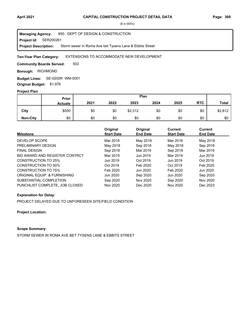**Project Id: SER200261** 850 : DEPT OF DESIGN & CONSTRUCTION Storm sewer in Roma Ave bet Tysens Lane & Ebbits Street **Managing Agency: Project Description:** 

#### EXTENSIONS TO ACCOMMODATE NEW DEVELOPMENT **Ten-Year Plan Category:**

502 **Community Boards Served:** 

**Borough: RICHMOND** 

SE-0200R WM-0001 **Budget Lines: Original Budget:** \$1,976

## **Project Plan**

|                 | Plan<br>Prior  |      |      |         |      |      |            |              |
|-----------------|----------------|------|------|---------|------|------|------------|--------------|
|                 | <b>Actuals</b> | 2021 | 2022 | 2023    | 2024 | 2025 | <b>RTC</b> | <b>Total</b> |
| City            | \$500          | \$0  | \$0  | \$2,312 | \$0  | \$0  | \$0        | \$2,812      |
| <b>Non-City</b> | \$0            | \$0  | \$0  | \$0     | \$0  | \$0  | \$0        | \$0          |

| <b>Milestone</b>               | Original<br><b>Start Date</b> | Original<br><b>End Date</b> | Current<br><b>Start Date</b> | Current<br><b>End Date</b> |
|--------------------------------|-------------------------------|-----------------------------|------------------------------|----------------------------|
| DEVELOP SCOPE                  | Mar 2018                      | May 2018                    | Mar 2018                     | May 2018                   |
| PRELIMINARY DESIGN             | May 2018                      | Sep 2018                    | May 2018                     | Sep 2018                   |
| <b>FINAL DESIGN</b>            | Sep 2018                      | Mar 2019                    | Sep 2018                     | Mar 2019                   |
| BID AWARD AND REGISTER CONTRCT | Mar 2019                      | Jun 2019                    | Mar 2019                     | Jun 2019                   |
| CONSTRUCTION TO 25%            | Jun 2019                      | Oct 2019                    | Jun 2019                     | Oct 2019                   |
| <b>CONSTRUCTION TO 50%</b>     | Oct 2019                      | Feb 2020                    | Oct 2019                     | Feb 2020                   |
| CONSTRUCTION TO 75%            | Feb 2020                      | Jun 2020                    | Feb 2020                     | Jun 2020                   |
| ORIGINAL EQUIP & FURNISHING    | Jun 2020                      | Sep 2020                    | Jun 2020                     | Sep 2020                   |
| SUBSTANTIAL COMPLETION         | Sep 2020                      | Nov 2020                    | Sep 2020                     | Nov 2020                   |
| PUNCHLIST COMPLETE, JOB CLOSED | Nov 2020                      | Dec 2020                    | Nov 2020                     | Dec 2023                   |

## **Explanation for Delay:**

PROJECT DELAYED DUE TO UNFORESEEN SITE/FIELD CONDITION

**Project Location:**

# **Scope Summary:**

STORM SEWER IN ROMA AVE BET TYSENS LANE & EBBITS STREET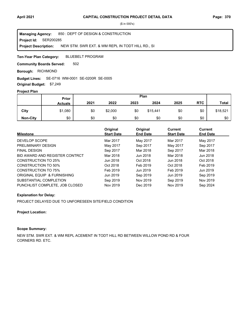**Project Id: SER200285** 850 : DEPT OF DESIGN & CONSTRUCTION NEW STM. SWR EXT. & WM REPL IN TODT HILL RD., SI **Managing Agency: Project Description:** 

BLUEBELT PROGRAM **Ten-Year Plan Category:** 

502 **Community Boards Served:** 

**Borough: RICHMOND** 

SE-0716 WM-0001 SE-0200R SE-0005 **Budget Lines:** 

**Original Budget:** \$7,249

# **Project Plan**

|                 | Plan<br>Prior  |      |         |      |          |      |            |              |
|-----------------|----------------|------|---------|------|----------|------|------------|--------------|
|                 | <b>Actuals</b> | 2021 | 2022    | 2023 | 2024     | 2025 | <b>RTC</b> | <b>Total</b> |
| City            | \$1,080        | \$0  | \$2,000 | \$0  | \$15,441 | \$0  | \$0        | \$18,521     |
| <b>Non-City</b> | \$0            | \$0  | \$0     | \$0  | \$0      | \$0  | \$0        | \$0          |

| <b>Milestone</b>               | Original<br><b>Start Date</b> | Original<br><b>End Date</b> | <b>Current</b><br><b>Start Date</b> | Current<br><b>End Date</b> |
|--------------------------------|-------------------------------|-----------------------------|-------------------------------------|----------------------------|
| DEVELOP SCOPE                  | Mar 2017                      | May 2017                    | Mar 2017                            | May 2017                   |
| PRELIMINARY DESIGN             | May 2017                      | Sep 2017                    | May 2017                            | Sep 2017                   |
| <b>FINAL DESIGN</b>            | Sep 2017                      | Mar 2018                    | Sep 2017                            | Mar 2018                   |
| BID AWARD AND REGISTER CONTRCT | Mar 2018                      | Jun 2018                    | Mar 2018                            | Jun 2018                   |
| CONSTRUCTION TO 25%            | Jun 2018                      | Oct 2018                    | Jun 2018                            | Oct 2018                   |
| <b>CONSTRUCTION TO 50%</b>     | Oct 2018                      | Feb 2019                    | Oct 2018                            | Feb 2019                   |
| CONSTRUCTION TO 75%            | Feb 2019                      | Jun 2019                    | Feb 2019                            | Jun 2019                   |
| ORIGINAL EQUIP & FURNISHING    | Jun 2019                      | Sep 2019                    | Jun 2019                            | Sep 2019                   |
| SUBSTANTIAL COMPLETION         | Sep 2019                      | Nov 2019                    | Sep 2019                            | Nov 2019                   |
| PUNCHLIST COMPLETE. JOB CLOSED | Nov 2019                      | Dec 2019                    | Nov 2019                            | Sep 2024                   |

## **Explanation for Delay:**

PROJECT DELAYED DUE TO UNFORESEEN SITE/FIELD CONDITION

### **Project Location:**

# **Scope Summary:**

NEW STM. SWR EXT. & WM REPL ACEMENT IN TODT HILL RD BETWEEN WILLOW POND RD & FOUR CORNERS RD. ETC.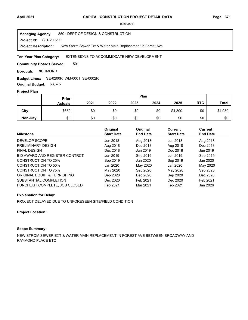**Project Id: SER200290** 850 : DEPT OF DESIGN & CONSTRUCTION New Storm Sewer Ext & Water Main Replacement in Forest Ave **Managing Agency: Project Description:** 

#### EXTENSIONS TO ACCOMMODATE NEW DEVELOPMENT **Ten-Year Plan Category:**

501 **Community Boards Served:** 

**Borough: RICHMOND** 

SE-0200R WM-0001 SE-0002R **Budget Lines:** 

**Original Budget:** \$3,675

# **Project Plan**

|                 |                | Plan<br>Prior |      |      |      |         |            |              |
|-----------------|----------------|---------------|------|------|------|---------|------------|--------------|
|                 | <b>Actuals</b> | 2021          | 2022 | 2023 | 2024 | 2025    | <b>RTC</b> | <b>Total</b> |
| City            | \$650          | \$0           | \$0  | \$0  | \$0  | \$4,300 | \$0        | \$4,950      |
| <b>Non-City</b> | \$0            | \$0           | \$0  | \$0  | \$0  | \$0     | \$0        | \$0          |

| <b>Milestone</b>               | Original<br><b>Start Date</b> | Original<br><b>End Date</b> | Current<br><b>Start Date</b> | Current<br><b>End Date</b> |
|--------------------------------|-------------------------------|-----------------------------|------------------------------|----------------------------|
| DEVELOP SCOPE                  | Jun 2018                      | Aug 2018                    | Jun 2018                     | Aug 2018                   |
| PRELIMINARY DESIGN             | Aug 2018                      | Dec 2018                    | Aug 2018                     | Dec 2018                   |
| <b>FINAL DESIGN</b>            | Dec 2018                      | Jun 2019                    | Dec 2018                     | Jun 2019                   |
| BID AWARD AND REGISTER CONTRCT | Jun 2019                      | Sep 2019                    | Jun 2019                     | Sep 2019                   |
| CONSTRUCTION TO 25%            | Sep 2019                      | Jan 2020                    | Sep 2019                     | Jan 2020                   |
| <b>CONSTRUCTION TO 50%</b>     | Jan 2020                      | May 2020                    | Jan 2020                     | May 2020                   |
| CONSTRUCTION TO 75%            | May 2020                      | Sep 2020                    | May 2020                     | Sep 2020                   |
| ORIGINAL EQUIP & FURNISHING    | Sep 2020                      | Dec 2020                    | Sep 2020                     | Dec 2020                   |
| SUBSTANTIAL COMPLETION         | Dec 2020                      | Feb 2021                    | Dec 2020                     | Feb 2021                   |
| PUNCHLIST COMPLETE. JOB CLOSED | Feb 2021                      | Mar 2021                    | Feb 2021                     | Jan 2026                   |

#### **Explanation for Delay:**

PROJECT DELAYED DUE TO UNFORESEEN SITE/FIELD CONDITION

#### **Project Location:**

# **Scope Summary:**

NEW STROM SEWER EXT & WATER MAIN REPLACEMENT IN FOREST AVE BETWEEN BROADWAY AND RAYMOND PLACE ETC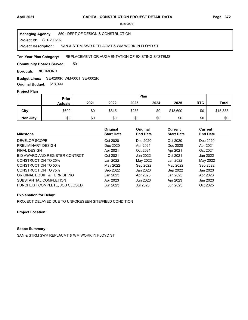**Project Id: SER200292** 850 : DEPT OF DESIGN & CONSTRUCTION SAN & STRM SWR REPLACMT & WM WORK IN FLOYD ST **Managing Agency: Project Description:** 

#### REPLACEMENT OR AUGMENTATION OF EXISTING SYSTEMS **Ten-Year Plan Category:**

501 **Community Boards Served:** 

**Borough: RICHMOND** 

SE-0200R WM-0001 SE-0002R **Budget Lines:** 

**Original Budget:** \$18,099

# **Project Plan**

|                 | <b>Prior</b>   |      |       |       | Plan |          |            |              |
|-----------------|----------------|------|-------|-------|------|----------|------------|--------------|
|                 | <b>Actuals</b> | 2021 | 2022  | 2023  | 2024 | 2025     | <b>RTC</b> | <b>Total</b> |
| City            | \$600          | \$0  | \$815 | \$233 | \$0  | \$13,690 | \$0        | \$15,338     |
| <b>Non-City</b> | \$0            | \$0  | \$0   | \$0   | \$0  | \$0      | \$0        | \$0          |

| <b>Milestone</b>               | Original<br><b>Start Date</b> | Original<br><b>End Date</b> | Current<br><b>Start Date</b> | Current<br><b>End Date</b> |
|--------------------------------|-------------------------------|-----------------------------|------------------------------|----------------------------|
| DEVELOP SCOPE                  | Oct 2020                      | Dec 2020                    | Oct 2020                     | Dec 2020                   |
| PRELIMINARY DESIGN             | Dec 2020                      | Apr 2021                    | Dec 2020                     | Apr 2021                   |
| <b>FINAL DESIGN</b>            | Apr 2021                      | Oct 2021                    | Apr 2021                     | Oct 2021                   |
| BID AWARD AND REGISTER CONTRCT | Oct 2021                      | Jan 2022                    | Oct 2021                     | Jan 2022                   |
| CONSTRUCTION TO 25%            | Jan 2022                      | May 2022                    | Jan 2022                     | May 2022                   |
| CONSTRUCTION TO 50%            | May 2022                      | Sep 2022                    | May 2022                     | Sep 2022                   |
| <b>CONSTRUCTION TO 75%</b>     | Sep 2022                      | Jan 2023                    | Sep 2022                     | Jan 2023                   |
| ORIGINAL EQUIP & FURNISHING    | Jan 2023                      | Apr 2023                    | Jan 2023                     | Apr 2023                   |
| SUBSTANTIAL COMPLETION         | Apr 2023                      | Jun 2023                    | Apr 2023                     | Jun 2023                   |
| PUNCHLIST COMPLETE, JOB CLOSED | Jun 2023                      | Jul 2023                    | Jun 2023                     | Oct 2025                   |

#### **Explanation for Delay:**

PROJECT DELAYED DUE TO UNFORESEEN SITE/FIELD CONDITION

**Project Location:**

# **Scope Summary:**

SAN & STRM SWR REPLACMT & WM WORK IN FLOYD ST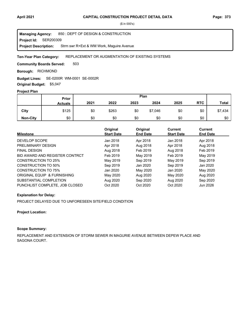**Project Id: SER200309** 850 : DEPT OF DESIGN & CONSTRUCTION Strm swr R+Ext & WM Work, Maguire Avenue **Managing Agency: Project Description:** 

#### REPLACEMENT OR AUGMENTATION OF EXISTING SYSTEMS **Ten-Year Plan Category:**

503 **Community Boards Served:** 

**Borough: RICHMOND** 

SE-0200R WM-0001 SE-0002R **Budget Lines:** 

**Original Budget:** \$5,047

# **Project Plan**

|                 | Plan<br>Prior  |      |       |      |         |      |            |              |
|-----------------|----------------|------|-------|------|---------|------|------------|--------------|
|                 | <b>Actuals</b> | 2021 | 2022  | 2023 | 2024    | 2025 | <b>RTC</b> | <b>Total</b> |
| City            | \$125          | \$0  | \$263 | \$0  | \$7,046 | \$0  | \$0        | \$7,434      |
| <b>Non-City</b> | \$0            | \$0  | \$0   | \$0  | \$0     | \$0  | \$0        | \$0          |

| <b>Milestone</b>               | Original<br><b>Start Date</b> | Original<br><b>End Date</b> | Current<br><b>Start Date</b> | Current<br><b>End Date</b> |
|--------------------------------|-------------------------------|-----------------------------|------------------------------|----------------------------|
| DEVELOP SCOPE                  | Jan 2018                      | Apr 2018                    | Jan 2018                     | Apr 2018                   |
| PRELIMINARY DESIGN             | Apr 2018                      | Aug 2018                    | Apr 2018                     | Aug 2018                   |
| <b>FINAL DESIGN</b>            | Aug 2018                      | Feb 2019                    | Aug 2018                     | Feb 2019                   |
| BID AWARD AND REGISTER CONTRCT | Feb 2019                      | May 2019                    | Feb 2019                     | May 2019                   |
| CONSTRUCTION TO 25%            | May 2019                      | Sep 2019                    | May 2019                     | Sep 2019                   |
| <b>CONSTRUCTION TO 50%</b>     | Sep 2019                      | Jan 2020                    | Sep 2019                     | Jan 2020                   |
| CONSTRUCTION TO 75%            | Jan 2020                      | May 2020                    | Jan 2020                     | May 2020                   |
| ORIGINAL EQUIP & FURNISHING    | May 2020                      | Aug 2020                    | May 2020                     | Aug 2020                   |
| SUBSTANTIAL COMPLETION         | Aug 2020                      | Sep 2020                    | Aug 2020                     | Sep 2020                   |
| PUNCHLIST COMPLETE, JOB CLOSED | Oct 2020                      | Oct 2020                    | Oct 2020                     | Jun 2026                   |

## **Explanation for Delay:**

PROJECT DELAYED DUE TO UNFORESEEN SITE/FIELD CONDITION

#### **Project Location:**

# **Scope Summary:**

REPLACEMENT AND EXTENSION OF STORM SEWER IN MAGURIE AVENUE BETWEEN DEPEW PLACE AND SAGONA COURT.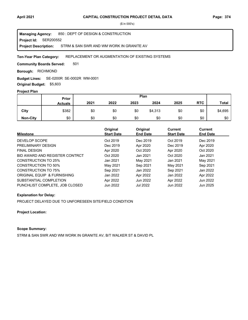**Project Id: SER200552** 850 : DEPT OF DESIGN & CONSTRUCTION STRM & SAN SWR AND WM WORK IN GRANITE AV **Managing Agency: Project Description:** 

#### REPLACEMENT OR AUGMENTATION OF EXISTING SYSTEMS **Ten-Year Plan Category:**

501 **Community Boards Served:** 

**Borough: RICHMOND** 

SE-0200R SE-0002R WM-0001 **Budget Lines:** 

**Original Budget:** \$5,603

# **Project Plan**

|                 | Plan<br>Prior  |      |      |      |         |      |            |              |
|-----------------|----------------|------|------|------|---------|------|------------|--------------|
|                 | <b>Actuals</b> | 2021 | 2022 | 2023 | 2024    | 2025 | <b>RTC</b> | <b>Total</b> |
| City            | \$382          | \$0  | \$0  | \$0  | \$4,313 | \$0  | \$0        | \$4,695      |
| <b>Non-City</b> | \$0            | \$0  | \$0  | \$0  | \$0     | \$0  | \$0        | \$0          |

| <b>Milestone</b>               | Original<br><b>Start Date</b> | Original<br><b>End Date</b> | Current<br><b>Start Date</b> | Current<br><b>End Date</b> |
|--------------------------------|-------------------------------|-----------------------------|------------------------------|----------------------------|
| DEVELOP SCOPE                  | Oct 2019                      | Dec 2019                    | Oct 2019                     | Dec 2019                   |
| PRELIMINARY DESIGN             | Dec 2019                      | Apr 2020                    | Dec 2019                     | Apr 2020                   |
| <b>FINAL DESIGN</b>            | Apr 2020                      | Oct 2020                    | Apr 2020                     | Oct 2020                   |
| BID AWARD AND REGISTER CONTRCT | Oct 2020                      | Jan 2021                    | Oct 2020                     | Jan 2021                   |
| CONSTRUCTION TO 25%            | Jan 2021                      | May 2021                    | Jan 2021                     | May 2021                   |
| CONSTRUCTION TO 50%            | May 2021                      | Sep 2021                    | May 2021                     | Sep 2021                   |
| <b>CONSTRUCTION TO 75%</b>     | Sep 2021                      | Jan 2022                    | Sep 2021                     | Jan 2022                   |
| ORIGINAL EQUIP & FURNISHING    | Jan 2022                      | Apr 2022                    | Jan 2022                     | Apr 2022                   |
| SUBSTANTIAL COMPLETION         | Apr 2022                      | Jun 2022                    | Apr 2022                     | Jun 2022                   |
| PUNCHLIST COMPLETE, JOB CLOSED | Jun 2022                      | <b>Jul 2022</b>             | Jun 2022                     | Jun 2025                   |

## **Explanation for Delay:**

PROJECT DELAYED DUE TO UNFORESEEN SITE/FIELD CONDITION

**Project Location:**

### **Scope Summary:**

STRM & SAN SWR AND WM WORK IN GRANITE AV, B/T WALKER ST & DAVID PL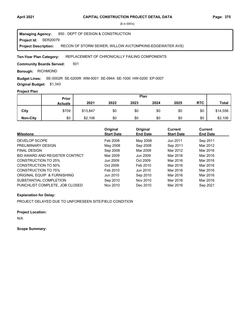**Project Id: SER20079** 850 : DEPT OF DESIGN & CONSTRUCTION RECON OF STORM SEWER, WILLOW AV(TOMPKINS-EDGEWATER AVS) **Managing Agency: Project Description:** 

#### REPLACEMENT OF CHRONICALLY FAILING COMPONENTS **Ten-Year Plan Category:**

501 **Community Boards Served:** 

**Borough: RICHMOND** 

SE-0002R SE-0200R WM-0001 SE-0944 SE-1000 HW-0200 EP-0007 **Budget Lines:** 

**Original Budget:** \$1,343

# **Project Plan**

|                 | Prior          | Plan     |      |      |      |      |            |              |
|-----------------|----------------|----------|------|------|------|------|------------|--------------|
|                 | <b>Actuals</b> | 2021     | 2022 | 2023 | 2024 | 2025 | <b>RTC</b> | <b>Total</b> |
| City            | \$709          | \$13,847 | \$0  | \$0  | \$0  | \$0  | \$0        | \$14,556     |
| <b>Non-City</b> | \$0            | \$2,106  | \$0  | \$0  | \$0  | \$0  | \$0        | \$2,106      |

| <b>Milestone</b>               | Original<br><b>Start Date</b> | Original<br><b>End Date</b> | <b>Current</b><br><b>Start Date</b> | Current<br><b>End Date</b> |
|--------------------------------|-------------------------------|-----------------------------|-------------------------------------|----------------------------|
|                                |                               |                             |                                     |                            |
| DEVELOP SCOPE                  | Feb 2008                      | May 2008                    | Jun 2011                            | Sep 2011                   |
| PRELIMINARY DESIGN             | May 2008                      | Sep 2008                    | Sep 2011                            | Mar 2012                   |
| <b>FINAL DESIGN</b>            | Sep 2008                      | Mar 2009                    | Mar 2012                            | Mar 2016                   |
| BID AWARD AND REGISTER CONTRCT | Mar 2009                      | Jun 2009                    | Mar 2016                            | Mar 2016                   |
| CONSTRUCTION TO 25%            | Jun 2009                      | Oct 2009                    | Mar 2016                            | Mar 2016                   |
| CONSTRUCTION TO 50%            | Oct 2009                      | Feb 2010                    | Mar 2016                            | Mar 2016                   |
| <b>CONSTRUCTION TO 75%</b>     | Feb 2010                      | Jun 2010                    | Mar 2016                            | Mar 2016                   |
| ORIGINAL EQUIP & FURNISHING    | Jun 2010                      | Sep 2010                    | Mar 2016                            | Mar 2016                   |
| SUBSTANTIAL COMPLETION         | Sep 2010                      | Nov 2010                    | Mar 2016                            | Mar 2016                   |
| PUNCHLIST COMPLETE. JOB CLOSED | Nov 2010                      | Dec 2010                    | Mar 2016                            | Sep 2021                   |

# **Explanation for Delay:**

PROJECT DELAYED DUE TO UNFORESEEN SITE/FIELD CONDITION

## **Project Location:**

N/A

**Scope Summary:**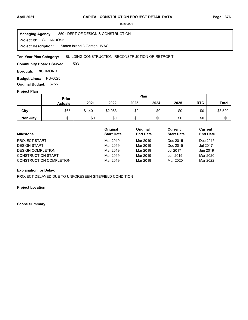**Project Id: SOLARDOS2** 850 : DEPT OF DESIGN & CONSTRUCTION Staten Island 3 Garage HVAC **Managing Agency: Project Description:** 

BUILDING CONSTRUCTION, RECONSTRUCTION OR RETROFIT **Ten-Year Plan Category:** 

503 **Community Boards Served:** 

**Borough: RICHMOND** 

**Budget Lines: PU-0025 Original Budget:** \$755

### **Project Plan**

|                 |                | Plan<br>Prior |         |      |      |      |            |              |
|-----------------|----------------|---------------|---------|------|------|------|------------|--------------|
|                 | <b>Actuals</b> | 2021          | 2022    | 2023 | 2024 | 2025 | <b>RTC</b> | <b>Total</b> |
| City            | \$65           | \$1,401       | \$2,063 | \$0  | \$0  | \$0  | \$0        | \$3,529      |
| <b>Non-City</b> | \$0            | \$0           | \$0     | \$0  | \$0  | \$0  | \$0        | \$0          |

| <b>Milestone</b>               | Original<br><b>Start Date</b> | Original<br><b>End Date</b> | Current<br><b>Start Date</b> | Current<br><b>End Date</b> |
|--------------------------------|-------------------------------|-----------------------------|------------------------------|----------------------------|
| <b>PROJECT START</b>           | Mar 2019                      | Mar 2019                    | Dec 2015                     | Dec 2015                   |
| <b>DESIGN START</b>            | Mar 2019                      | Mar 2019                    | Dec 2015                     | Jul 2017                   |
| <b>DESIGN COMPLETION</b>       | Mar 2019                      | Mar 2019                    | <b>Jul 2017</b>              | Jun 2019                   |
| <b>CONSTRUCTION START</b>      | Mar 2019                      | Mar 2019                    | Jun 2019                     | Mar 2020                   |
| <b>CONSTRUCTION COMPLETION</b> | Mar 2019                      | Mar 2019                    | Mar 2020                     | Mar 2022                   |

## **Explanation for Delay:**

PROJECT DELAYED DUE TO UNFORESEEN SITE/FIELD CONDITION

**Project Location:**

**Scope Summary:**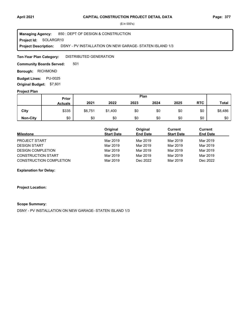**Project Id: SOLARGR10** 850 : DEPT OF DESIGN & CONSTRUCTION DSNY - PV INSTALLATION ON NEW GARAGE- STATEN ISLAND 1/3 **Managing Agency: Project Description:** 

DISTRIBUTED GENERATION **Ten-Year Plan Category:** 

501 **Community Boards Served:** 

**Borough: RICHMOND** 

**Budget Lines: PU-0025 Original Budget:** \$7,601

### **Project Plan**

|                 |                | Plan<br><b>Prior</b> |         |      |      |      |            |              |
|-----------------|----------------|----------------------|---------|------|------|------|------------|--------------|
|                 | <b>Actuals</b> | 2021                 | 2022    | 2023 | 2024 | 2025 | <b>RTC</b> | <b>Total</b> |
| City            | \$335          | \$6,751              | \$1,400 | \$0  | \$0  | \$0  | \$0        | \$8,486      |
| <b>Non-City</b> | \$0            | \$0                  | \$0     | \$0  | \$0  | \$0  | \$0        | \$0          |

| <b>Milestone</b>          | Original<br><b>Start Date</b> | Original<br><b>End Date</b> | Current<br><b>Start Date</b> | Current<br><b>End Date</b> |
|---------------------------|-------------------------------|-----------------------------|------------------------------|----------------------------|
| <b>PROJECT START</b>      | Mar 2019                      | Mar 2019                    | Mar 2019                     | Mar 2019                   |
| <b>DESIGN START</b>       | Mar 2019                      | Mar 2019                    | Mar 2019                     | Mar 2019                   |
| <b>DESIGN COMPLETION</b>  | Mar 2019                      | Mar 2019                    | Mar 2019                     | Mar 2019                   |
| <b>CONSTRUCTION START</b> | Mar 2019                      | Mar 2019                    | Mar 2019                     | Mar 2019                   |
| CONSTRUCTION COMPLETION   | Mar 2019                      | Dec 2022                    | Mar 2019                     | Dec 2022                   |

**Explanation for Delay:**

**Project Location:**

### **Scope Summary:**

DSNY - PV INSTALLATION ON NEW GARAGE- STATEN ISLAND 1/3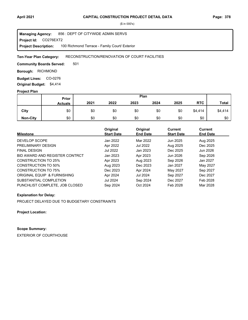**Project Id: CO276EXT2** 856 : DEPT OF CITYWIDE ADMIN SERVS 100 Richmond Terrace - Family Court/ Exterior **Managing Agency: Project Description:** 

#### RECONSTRUCTION/RENOVATION OF COURT FACILITIES **Ten-Year Plan Category:**

501 **Community Boards Served:** 

**Borough: RICHMOND** 

Budget Lines: CO-0276 **Original Budget:** \$4,414

### **Project Plan**

|                 |                | Plan<br>Prior |      |      |      |      |            |              |
|-----------------|----------------|---------------|------|------|------|------|------------|--------------|
|                 | <b>Actuals</b> | 2021          | 2022 | 2023 | 2024 | 2025 | <b>RTC</b> | <b>Total</b> |
| City            | \$0            | \$0           | \$0  | \$0  | \$0  | \$0  | \$4,414    | \$4,414      |
| <b>Non-City</b> | \$0            | \$0           | \$0  | \$0  | \$0  | \$0  | \$0        | \$0          |

| <b>Milestone</b>               | Original<br><b>Start Date</b> | Original<br><b>End Date</b> | <b>Current</b><br><b>Start Date</b> | Current<br><b>End Date</b> |
|--------------------------------|-------------------------------|-----------------------------|-------------------------------------|----------------------------|
| DEVELOP SCOPE                  | Jan 2022                      | Mar 2022                    | Jun 2025                            | Aug 2025                   |
| PRELIMINARY DESIGN             | Apr 2022                      | Jul 2022                    | Aug 2025                            | Dec 2025                   |
| <b>FINAL DESIGN</b>            | Jul 2022                      | Jan 2023                    | Dec 2025                            | Jun 2026                   |
| BID AWARD AND REGISTER CONTRCT | Jan 2023                      | Apr 2023                    | Jun 2026                            | Sep 2026                   |
| CONSTRUCTION TO 25%            | Apr 2023                      | Aug 2023                    | Sep 2026                            | Jan 2027                   |
| <b>CONSTRUCTION TO 50%</b>     | Aug 2023                      | Dec 2023                    | Jan 2027                            | May 2027                   |
| <b>CONSTRUCTION TO 75%</b>     | Dec 2023                      | Apr 2024                    | May 2027                            | Sep 2027                   |
| ORIGINAL EQUIP & FURNISHING    | Apr 2024                      | Jul 2024                    | Sep 2027                            | Dec 2027                   |
| SUBSTANTIAL COMPLETION         | Jul 2024                      | Sep 2024                    | Dec 2027                            | Feb 2028                   |
| PUNCHLIST COMPLETE. JOB CLOSED | Sep 2024                      | Oct 2024                    | Feb 2028                            | Mar 2028                   |

## **Explanation for Delay:**

PROJECT DELAYED DUE TO BUDGETARY CONSTRAINTS

**Project Location:**

# **Scope Summary:**

EXTERIOR OF COURTHOUSE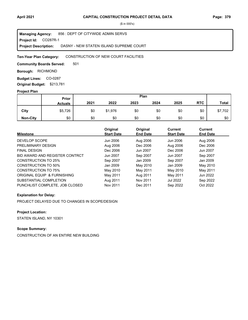**Project Id: CO287R-1** 856 : DEPT OF CITYWIDE ADMIN SERVS DASNY - NEW STATEN ISLAND SUPREME COURT **Managing Agency: Project Description:** 

#### CONSTRUCTION OF NEW COURT FACILITIES **Ten-Year Plan Category:**

501 **Community Boards Served:** 

**Borough: RICHMOND** 

Budget Lines: CO-0287 **Original Budget:** \$213,781

### **Project Plan**

|                 |                | Plan<br>Prior |         |      |      |      |            |              |
|-----------------|----------------|---------------|---------|------|------|------|------------|--------------|
|                 | <b>Actuals</b> | 2021          | 2022    | 2023 | 2024 | 2025 | <b>RTC</b> | <b>Total</b> |
| City            | \$5,726        | \$0           | \$1,976 | \$0  | \$0  | \$0  | \$0        | \$7,702      |
| <b>Non-City</b> | \$0            | \$0           | \$0     | \$0  | \$0  | \$0  | \$0        | \$0          |

| <b>Milestone</b>               | Original<br><b>Start Date</b> | Original<br><b>End Date</b> | Current<br><b>Start Date</b> | Current<br><b>End Date</b> |
|--------------------------------|-------------------------------|-----------------------------|------------------------------|----------------------------|
| DEVELOP SCOPE                  | Jun 2006                      | Aug 2006                    | Jun 2006                     | Aug 2006                   |
| PRELIMINARY DESIGN             | Aug 2006                      | Dec 2006                    | Aug 2006                     | Dec 2006                   |
| <b>FINAL DESIGN</b>            | Dec 2006                      | Jun 2007                    | Dec 2006                     | Jun 2007                   |
| BID AWARD AND REGISTER CONTRCT | Jun 2007                      | Sep 2007                    | Jun 2007                     | Sep 2007                   |
| CONSTRUCTION TO 25%            | Sep 2007                      | Jan 2009                    | Sep 2007                     | Jan 2009                   |
| CONSTRUCTION TO 50%            | Jan 2009                      | May 2010                    | Jan 2009                     | May 2010                   |
| <b>CONSTRUCTION TO 75%</b>     | May 2010                      | May 2011                    | May 2010                     | May 2011                   |
| ORIGINAL EQUIP & FURNISHING    | May 2011                      | Aug 2011                    | May 2011                     | Jun 2022                   |
| SUBSTANTIAL COMPLETION         | Aug 2011                      | Nov 2011                    | Jul 2022                     | Sep 2022                   |
| PUNCHLIST COMPLETE, JOB CLOSED | Nov 2011                      | Dec 2011                    | Sep 2022                     | Oct 2022                   |

## **Explanation for Delay:**

PROJECT DELAYED DUE TO CHANGES IN SCOPE/DESIGN

# **Project Location:**

STATEN ISLAND, NY 10301

# **Scope Summary:**

CONSTRUCTION OF AN ENTIRE NEW BUILDING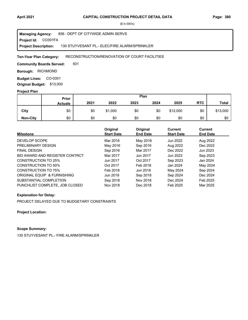**Project Id: CO301FA** 856 : DEPT OF CITYWIDE ADMIN SERVS 130 STUYVESANT PL.- ELEC/FIRE ALARM/SPRINKLER **Managing Agency: Project Description:** 

#### RECONSTRUCTION/RENOVATION OF COURT FACILITIES **Ten-Year Plan Category:**

501 **Community Boards Served:** 

**Borough: RICHMOND** 

**Budget Lines: CO-0301 Original Budget:** \$13,000

### **Project Plan**

|                 | Plan<br><b>Prior</b> |      |         |      |      |          |            |              |
|-----------------|----------------------|------|---------|------|------|----------|------------|--------------|
|                 | <b>Actuals</b>       | 2021 | 2022    | 2023 | 2024 | 2025     | <b>RTC</b> | <b>Total</b> |
| City            | \$0                  | \$0  | \$1,000 | \$0  | \$0  | \$12,000 | \$0        | \$13,000     |
| <b>Non-City</b> | \$0                  | \$0  | \$0     | \$0  | \$0  | \$0      | \$0        | \$0          |

| <b>Milestone</b>               | Original<br><b>Start Date</b> | Original<br><b>End Date</b> | <b>Current</b><br><b>Start Date</b> | Current<br><b>End Date</b> |
|--------------------------------|-------------------------------|-----------------------------|-------------------------------------|----------------------------|
| DEVELOP SCOPE                  | Mar 2016                      | May 2016                    | Jun 2022                            | Aug 2022                   |
| PRELIMINARY DESIGN             | May 2016                      | Sep 2016                    | Aug 2022                            | Dec 2022                   |
| <b>FINAL DESIGN</b>            | Sep 2016                      | Mar 2017                    | Dec 2022                            | Jun 2023                   |
| BID AWARD AND REGISTER CONTRCT | Mar 2017                      | Jun 2017                    | Jun 2023                            | Sep 2023                   |
| CONSTRUCTION TO 25%            | Jun 2017                      | Oct 2017                    | Sep 2023                            | Jan 2024                   |
| CONSTRUCTION TO 50%            | Oct 2017                      | Feb 2018                    | Jan 2024                            | May 2024                   |
| <b>CONSTRUCTION TO 75%</b>     | Feb 2018                      | Jun 2018                    | May 2024                            | Sep 2024                   |
| ORIGINAL EQUIP & FURNISHING    | Jun 2018                      | Sep 2018                    | Sep 2024                            | Dec 2024                   |
| SUBSTANTIAL COMPLETION         | Sep 2018                      | Nov 2018                    | Dec 2024                            | Feb 2025                   |
| PUNCHLIST COMPLETE, JOB CLOSED | Nov 2018                      | Dec 2018                    | Feb 2025                            | Mar 2025                   |

## **Explanation for Delay:**

PROJECT DELAYED DUE TO BUDGETARY CONSTRAINTS

**Project Location:**

# **Scope Summary:**

130 STUYVESANT PL.- FIRE ALARM/SPRINKLER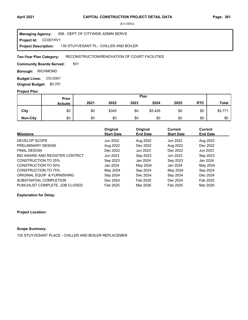**Project Id: CO301HV1** 856 : DEPT OF CITYWIDE ADMIN SERVS 130 STUYVESANT PL.- CHILLER AND BOILER **Managing Agency: Project Description:** 

#### RECONSTRUCTION/RENOVATION OF COURT FACILITIES **Ten-Year Plan Category:**

501 **Community Boards Served:** 

**Borough: RICHMOND** 

**Budget Lines: CO-0301 Original Budget:** \$5,791

### **Project Plan**

|                 |                | Plan<br>Prior |       |      |         |      |            |              |
|-----------------|----------------|---------------|-------|------|---------|------|------------|--------------|
|                 | <b>Actuals</b> | 2021          | 2022  | 2023 | 2024    | 2025 | <b>RTC</b> | <b>Total</b> |
| City            | \$0            | \$0           | \$345 | \$0  | \$5,426 | \$0  | \$0        | \$5,771      |
| <b>Non-City</b> | \$0            | \$0           | \$0   | \$0  | \$0     | \$0  | \$0        | \$0          |

| <b>Milestone</b>               | Original<br><b>Start Date</b> | Original<br><b>End Date</b> | Current<br><b>Start Date</b> | <b>Current</b><br><b>End Date</b> |
|--------------------------------|-------------------------------|-----------------------------|------------------------------|-----------------------------------|
|                                |                               |                             |                              |                                   |
| DEVELOP SCOPE                  | Jun 2022                      | Aug 2022                    | Jun 2022                     | Aug 2022                          |
| PRELIMINARY DESIGN             | Aug 2022                      | Dec 2022                    | Aug 2022                     | Dec 2022                          |
| <b>FINAL DESIGN</b>            | Dec 2022                      | Jun 2023                    | Dec 2022                     | Jun 2023                          |
| BID AWARD AND REGISTER CONTRCT | Jun 2023                      | Sep 2023                    | Jun 2023                     | Sep 2023                          |
| CONSTRUCTION TO 25%            | Sep 2023                      | Jan 2024                    | Sep 2023                     | Jan 2024                          |
| CONSTRUCTION TO 50%            | Jan 2024                      | May 2024                    | Jan 2024                     | May 2024                          |
| <b>CONSTRUCTION TO 75%</b>     | May 2024                      | Sep 2024                    | May 2024                     | Sep 2024                          |
| ORIGINAL EQUIP & FURNISHING    | Sep 2024                      | Dec 2024                    | Sep 2024                     | Dec 2024                          |
| SUBSTANTIAL COMPLETION         | Dec 2024                      | Feb 2025                    | Dec 2024                     | Feb 2025                          |
| PUNCHLIST COMPLETE. JOB CLOSED | Feb 2025                      | Mar 2026                    | Feb 2025                     | Mar 2026                          |

**Explanation for Delay:**

### **Project Location:**

# **Scope Summary:**

130 STUYVESANT PLACE - CHILLER AND BOILER REPLACEMEN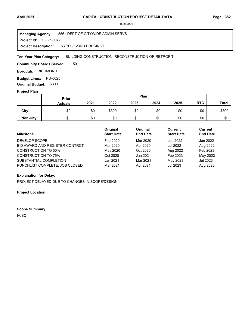EO26-0072 **Project Id:** 856 : DEPT OF CITYWIDE ADMIN SERVS NYPD - 123RD PRECINCT **Managing Agency: Project Description:** 

BUILDING CONSTRUCTION, RECONSTRUCTION OR RETROFIT **Ten-Year Plan Category:** 

501 **Community Boards Served:** 

**Borough: RICHMOND** 

**Budget Lines: PU-0025 Original Budget:** \$300

## **Project Plan**

|                 |                | Plan<br>Prior |       |      |      |      |            |              |
|-----------------|----------------|---------------|-------|------|------|------|------------|--------------|
|                 | <b>Actuals</b> | 2021          | 2022  | 2023 | 2024 | 2025 | <b>RTC</b> | <b>Total</b> |
| City            | \$0            | \$0           | \$300 | \$0  | \$0  | \$0  | \$0        | \$300        |
| <b>Non-City</b> | \$0            | \$0           | \$0   | \$0  | \$0  | \$0  | \$0        | \$0          |

| <b>Milestone</b>               | Original<br><b>Start Date</b> | Original<br><b>End Date</b> | <b>Current</b><br><b>Start Date</b> | <b>Current</b><br><b>End Date</b> |
|--------------------------------|-------------------------------|-----------------------------|-------------------------------------|-----------------------------------|
| DEVELOP SCOPE                  | Feb 2020                      | Mar 2020                    | Jun 2022                            | Jun 2022                          |
| BID AWARD AND REGISTER CONTRCT | Mar 2020                      | Apr 2020                    | Jul 2022                            | Aug 2022                          |
| <b>CONSTRUCTION TO 50%</b>     | May 2020                      | Oct 2020                    | Aug 2022                            | Feb 2023                          |
| <b>CONSTRUCTION TO 75%</b>     | Oct 2020                      | Jan 2021                    | Feb 2023                            | May 2023                          |
| SUBSTANTIAL COMPLETION         | Jan 2021                      | Mar 2021                    | May 2023                            | Jul 2023                          |
| PUNCHLIST COMPLETE, JOB CLOSED | Mar 2021                      | Apr 2021                    | Jul 2023                            | Aug 2023                          |

# **Explanation for Delay:**

PROJECT DELAYED DUE TO CHANGES IN SCOPE/DESIGN

**Project Location:**

**Scope Summary:**

IA/SQ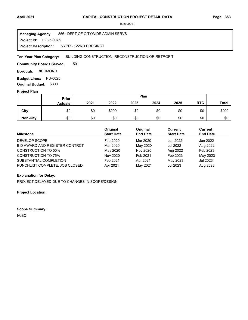EO26-0076 **Project Id:** 856 : DEPT OF CITYWIDE ADMIN SERVS NYPD - 122ND PRECINCT **Managing Agency: Project Description:** 

BUILDING CONSTRUCTION, RECONSTRUCTION OR RETROFIT **Ten-Year Plan Category:** 

501 **Community Boards Served:** 

**Borough: RICHMOND** 

**Budget Lines: PU-0025 Original Budget:** \$300

## **Project Plan**

|                 |                | Plan<br>Prior |       |      |      |      |            |              |
|-----------------|----------------|---------------|-------|------|------|------|------------|--------------|
|                 | <b>Actuals</b> | 2021          | 2022  | 2023 | 2024 | 2025 | <b>RTC</b> | <b>Total</b> |
| City            | \$0            | \$0           | \$299 | \$0  | \$0  | \$0  | \$0        | \$299        |
| <b>Non-City</b> | \$0            | \$0           | \$0   | \$0  | \$0  | \$0  | \$0        | \$0          |

| <b>Milestone</b>               | Original<br><b>Start Date</b> | Original<br><b>End Date</b> | <b>Current</b><br><b>Start Date</b> | <b>Current</b><br><b>End Date</b> |
|--------------------------------|-------------------------------|-----------------------------|-------------------------------------|-----------------------------------|
| DEVELOP SCOPE                  | Feb 2020                      | Mar 2020                    | Jun 2022                            | Jun 2022                          |
| BID AWARD AND REGISTER CONTRCT | Mar 2020                      | May 2020                    | Jul 2022                            | Aug 2022                          |
| <b>CONSTRUCTION TO 50%</b>     | May 2020                      | Nov 2020                    | Aug 2022                            | Feb 2023                          |
| <b>CONSTRUCTION TO 75%</b>     | Nov 2020                      | Feb 2021                    | Feb 2023                            | May 2023                          |
| SUBSTANTIAL COMPLETION         | Feb 2021                      | Apr 2021                    | May 2023                            | Jul 2023                          |
| PUNCHLIST COMPLETE, JOB CLOSED | Apr 2021                      | May 2021                    | Jul 2023                            | Aug 2023                          |

# **Explanation for Delay:**

PROJECT DELAYED DUE TO CHANGES IN SCOPE/DESIGN

**Project Location:**

**Scope Summary:**

IA/SQ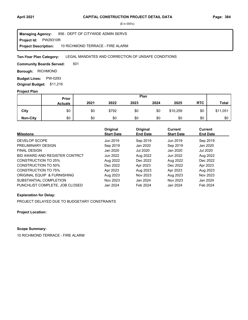**Project Id: PW29310R** 856 : DEPT OF CITYWIDE ADMIN SERVS 10 RICHMOND TERRACE - FIRE ALARM **Managing Agency: Project Description:** 

LEGAL MANDATES AND CORRECTION OF UNSAFE CONDITIONS **Ten-Year Plan Category:** 

501 **Community Boards Served:** 

**Borough: RICHMOND** 

**Budget Lines: PW-0293 Original Budget:** \$11,216

### **Project Plan**

|                 |                | Plan<br>Prior |       |      |      |          |            |              |
|-----------------|----------------|---------------|-------|------|------|----------|------------|--------------|
|                 | <b>Actuals</b> | 2021          | 2022  | 2023 | 2024 | 2025     | <b>RTC</b> | <b>Total</b> |
| City            | \$0            | \$0           | \$792 | \$0  | \$0  | \$10,259 | \$0        | \$11,051     |
| <b>Non-City</b> | \$0            | \$0           | \$0   | \$0  | \$0  | \$0      | \$0        | \$0          |

| <b>Milestone</b>               | Original<br><b>Start Date</b> | Original<br><b>End Date</b> | <b>Current</b><br><b>Start Date</b> | Current<br><b>End Date</b> |
|--------------------------------|-------------------------------|-----------------------------|-------------------------------------|----------------------------|
|                                |                               |                             |                                     |                            |
| DEVELOP SCOPE                  | Jun 2019                      | Sep 2019                    | Jun 2019                            | Sep 2019                   |
| PRELIMINARY DESIGN             | Sep 2019                      | Jan 2020                    | Sep 2019                            | Jan 2020                   |
| <b>FINAL DESIGN</b>            | Jan 2020                      | Jul 2020                    | Jan 2020                            | Jul 2020                   |
| BID AWARD AND REGISTER CONTRCT | Jun 2022                      | Aug 2022                    | Jun 2022                            | Aug 2022                   |
| CONSTRUCTION TO 25%            | Aug 2022                      | Dec 2022                    | Aug 2022                            | Dec 2022                   |
| CONSTRUCTION TO 50%            | Dec 2022                      | Apr 2023                    | Dec 2022                            | Apr 2023                   |
| <b>CONSTRUCTION TO 75%</b>     | Apr 2023                      | Aug 2023                    | Apr 2023                            | Aug 2023                   |
| ORIGINAL EQUIP & FURNISHING    | Aug 2023                      | Nov 2023                    | Aug 2023                            | Nov 2023                   |
| SUBSTANTIAL COMPLETION         | Nov 2023                      | Jan 2024                    | Nov 2023                            | Jan 2024                   |
| PUNCHLIST COMPLETE, JOB CLOSED | Jan 2024                      | Feb 2024                    | Jan 2024                            | Feb 2024                   |

## **Explanation for Delay:**

PROJECT DELAYED DUE TO BUDGETARY CONSTRAINTS

**Project Location:**

# **Scope Summary:**

10 RICHMOND TERRACE - FIRE ALARM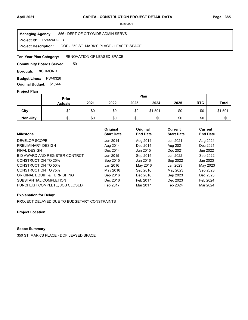**Project Id: PW326DOFR** 856 : DEPT OF CITYWIDE ADMIN SERVS DOF - 350 ST. MARK'S PLACE - LEASED SPACE **Managing Agency: Project Description:** 

#### RENOVATION OF LEASED SPACE **Ten-Year Plan Category:**

501 **Community Boards Served:** 

**Borough: RICHMOND** 

**Budget Lines: PW-0326 Original Budget:** \$1,544

## **Project Plan**

|                 |                | Plan<br>Prior |      |      |         |      |            |              |
|-----------------|----------------|---------------|------|------|---------|------|------------|--------------|
|                 | <b>Actuals</b> | 2021          | 2022 | 2023 | 2024    | 2025 | <b>RTC</b> | <b>Total</b> |
| City            | \$0            | \$0           | \$0  | \$0  | \$1,591 | \$0  | \$0        | \$1,591      |
| <b>Non-City</b> | \$0            | \$0           | \$0  | \$0  | \$0     | \$0  | \$0        | \$0          |

| <b>Milestone</b>               | Original<br><b>Start Date</b> | Original<br><b>End Date</b> | <b>Current</b><br><b>Start Date</b> | Current<br><b>End Date</b> |
|--------------------------------|-------------------------------|-----------------------------|-------------------------------------|----------------------------|
|                                |                               |                             |                                     |                            |
| DEVELOP SCOPE                  | Jun 2014                      | Aug 2014                    | Jun 2021                            | Aug 2021                   |
| PRELIMINARY DESIGN             | Aug 2014                      | Dec 2014                    | Aug 2021                            | Dec 2021                   |
| <b>FINAL DESIGN</b>            | Dec 2014                      | Jun 2015                    | Dec 2021                            | Jun 2022                   |
| BID AWARD AND REGISTER CONTRCT | Jun 2015                      | Sep 2015                    | Jun 2022                            | Sep 2022                   |
| CONSTRUCTION TO 25%            | Sep 2015                      | Jan 2016                    | Sep 2022                            | Jan 2023                   |
| CONSTRUCTION TO 50%            | Jan 2016                      | May 2016                    | Jan 2023                            | May 2023                   |
| <b>CONSTRUCTION TO 75%</b>     | May 2016                      | Sep 2016                    | May 2023                            | Sep 2023                   |
| ORIGINAL EQUIP & FURNISHING    | Sep 2016                      | Dec 2016                    | Sep 2023                            | Dec 2023                   |
| SUBSTANTIAL COMPLETION         | Dec 2016                      | Feb 2017                    | Dec 2023                            | Feb 2024                   |
| PUNCHLIST COMPLETE, JOB CLOSED | Feb 2017                      | Mar 2017                    | Feb 2024                            | Mar 2024                   |

## **Explanation for Delay:**

PROJECT DELAYED DUE TO BUDGETARY CONSTRAINTS

**Project Location:**

# **Scope Summary:**

350 ST. MARK'S PLACE - DOF LEASED SPACE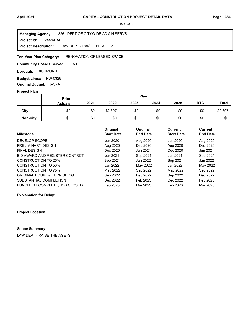**Project Id: PW326RAR** 856 : DEPT OF CITYWIDE ADMIN SERVS LAW DEPT - RAISE THE AGE -SI **Managing Agency: Project Description:** 

#### RENOVATION OF LEASED SPACE **Ten-Year Plan Category:**

501 **Community Boards Served:** 

**Borough: RICHMOND** 

**Budget Lines: PW-0326 Original Budget:** \$2,697

## **Project Plan**

|                 |                | Plan<br>Prior |         |      |      |      |            |              |
|-----------------|----------------|---------------|---------|------|------|------|------------|--------------|
|                 | <b>Actuals</b> | 2021          | 2022    | 2023 | 2024 | 2025 | <b>RTC</b> | <b>Total</b> |
| City            | \$0            | \$0           | \$2,697 | \$0  | \$0  | \$0  | \$0        | \$2,697      |
| <b>Non-City</b> | \$0            | \$0           | \$0     | \$0  | \$0  | \$0  | \$0        | \$0          |

|                                | Original          | Original        | Current           | <b>Current</b>  |
|--------------------------------|-------------------|-----------------|-------------------|-----------------|
| <b>Milestone</b>               | <b>Start Date</b> | <b>End Date</b> | <b>Start Date</b> | <b>End Date</b> |
| DEVELOP SCOPE                  | Jun 2020          | Aug 2020        | Jun 2020          | Aug 2020        |
| PRELIMINARY DESIGN             | Aug 2020          | Dec 2020        | Aug 2020          | Dec 2020        |
| <b>FINAL DESIGN</b>            | Dec 2020          | Jun 2021        | Dec 2020          | Jun 2021        |
| BID AWARD AND REGISTER CONTRCT | Jun 2021          | Sep 2021        | Jun 2021          | Sep 2021        |
| CONSTRUCTION TO 25%            | Sep 2021          | Jan 2022        | Sep 2021          | Jan 2022        |
| CONSTRUCTION TO 50%            | Jan 2022          | May 2022        | Jan 2022          | May 2022        |
| <b>CONSTRUCTION TO 75%</b>     | May 2022          | Sep 2022        | May 2022          | Sep 2022        |
| ORIGINAL EQUIP & FURNISHING    | Sep 2022          | Dec 2022        | Sep 2022          | Dec 2022        |
| SUBSTANTIAL COMPLETION         | Dec 2022          | Feb 2023        | Dec 2022          | Feb 2023        |
| PUNCHLIST COMPLETE, JOB CLOSED | Feb 2023          | Mar 2023        | Feb 2023          | Mar 2023        |

**Explanation for Delay:**

**Project Location:**

# **Scope Summary:**

LAW DEPT - RAISE THE AGE -SI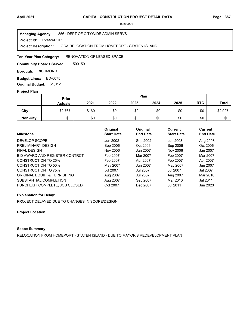**Project Id: PW326RHP** 856 : DEPT OF CITYWIDE ADMIN SERVS OCA RELOCATION FROM HOMEPORT - STATEN ISLAND **Managing Agency: Project Description:** 

RENOVATION OF LEASED SPACE **Ten-Year Plan Category:** 

500 501 **Community Boards Served:** 

**Borough: RICHMOND** 

ED-0075 **Budget Lines: Original Budget:** \$1,012

## **Project Plan**

|                 |                | Plan<br>Prior |      |      |      |      |            |              |
|-----------------|----------------|---------------|------|------|------|------|------------|--------------|
|                 | <b>Actuals</b> | 2021          | 2022 | 2023 | 2024 | 2025 | <b>RTC</b> | <b>Total</b> |
| City            | \$2,767        | \$160         | \$0  | \$0  | \$0  | \$0  | \$0        | \$2,927      |
| <b>Non-City</b> | \$0            | \$0           | \$0  | \$0  | \$0  | \$0  | \$0        | \$0          |

| <b>Milestone</b>               | Original<br><b>Start Date</b> | Original<br><b>End Date</b> | Current<br><b>Start Date</b> | Current<br><b>End Date</b> |
|--------------------------------|-------------------------------|-----------------------------|------------------------------|----------------------------|
| DEVELOP SCOPE                  | Jun 2002                      | Sep 2002                    | Jun 2008                     | Aug 2008                   |
| PRELIMINARY DESIGN             | Sep 2006                      | Oct 2006                    | Sep 2006                     | Oct 2006                   |
| <b>FINAL DESIGN</b>            | Nov 2006                      | Jan 2007                    | Nov 2006                     | Jan 2007                   |
| BID AWARD AND REGISTER CONTRCT | Feb 2007                      | Mar 2007                    | Feb 2007                     | Mar 2007                   |
| <b>CONSTRUCTION TO 25%</b>     | Feb 2007                      | Apr 2007                    | Feb 2007                     | Apr 2007                   |
| <b>CONSTRUCTION TO 50%</b>     | May 2007                      | Jun 2007                    | May 2007                     | Jun 2007                   |
| <b>CONSTRUCTION TO 75%</b>     | <b>Jul 2007</b>               | Jul 2007                    | <b>Jul 2007</b>              | Jul 2007                   |
| ORIGINAL EQUIP & FURNISHING    | Aug 2007                      | Jul 2007                    | Aug 2007                     | Mar 2010                   |
| SUBSTANTIAL COMPLETION         | Aug 2007                      | Sep 2007                    | Mar 2010                     | Jul 2011                   |
| PUNCHLIST COMPLETE. JOB CLOSED | Oct 2007                      | Dec 2007                    | Jul 2011                     | Jun 2023                   |

## **Explanation for Delay:**

PROJECT DELAYED DUE TO CHANGES IN SCOPE/DESIGN

## **Project Location:**

# **Scope Summary:**

RELOCATION FROM HOMEPORT - STATEN ISLAND - DUE TO MAYOR'S REDEVELOPMENT PLAN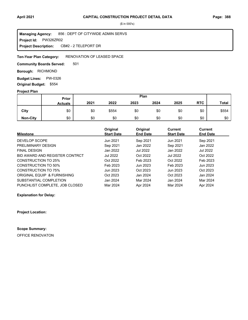**Project Id: PW326ZR02** 856 : DEPT OF CITYWIDE ADMIN SERVS CB#2 - 2 TELEPORT DR **Managing Agency: Project Description:** 

#### RENOVATION OF LEASED SPACE **Ten-Year Plan Category:**

501 **Community Boards Served:** 

**Borough: RICHMOND** 

**Budget Lines: PW-0326 Original Budget:** \$554

## **Project Plan**

|                 |                | Plan<br><b>Prior</b> |       |      |      |      |            |              |
|-----------------|----------------|----------------------|-------|------|------|------|------------|--------------|
|                 | <b>Actuals</b> | 2021                 | 2022  | 2023 | 2024 | 2025 | <b>RTC</b> | <b>Total</b> |
| City            | \$0            | \$0                  | \$554 | \$0  | \$0  | \$0  | \$0        | \$554        |
| <b>Non-City</b> | \$0            | \$0                  | \$0   | \$0  | \$0  | \$0  | \$0        | \$0          |

|                                | Original          | Original        | Current           | Current         |
|--------------------------------|-------------------|-----------------|-------------------|-----------------|
| <b>Milestone</b>               | <b>Start Date</b> | <b>End Date</b> | <b>Start Date</b> | <b>End Date</b> |
| DEVELOP SCOPE                  | Jun 2021          | Sep 2021        | Jun 2021          | Sep 2021        |
| PRELIMINARY DESIGN             | Sep 2021          | Jan 2022        | Sep 2021          | Jan 2022        |
| <b>FINAL DESIGN</b>            | Jan 2022          | Jul 2022        | Jan 2022          | Jul 2022        |
| BID AWARD AND REGISTER CONTRCT | Jul 2022          | Oct 2022        | Jul 2022          | Oct 2022        |
| <b>CONSTRUCTION TO 25%</b>     | Oct 2022          | Feb 2023        | Oct 2022          | Feb 2023        |
| CONSTRUCTION TO 50%            | Feb 2023          | Jun 2023        | Feb 2023          | Jun 2023        |
| CONSTRUCTION TO 75%            | Jun 2023          | Oct 2023        | Jun 2023          | Oct 2023        |
| ORIGINAL EQUIP & FURNISHING    | Oct 2023          | Jan 2024        | Oct 2023          | Jan 2024        |
| SUBSTANTIAL COMPLETION         | Jan 2024          | Mar 2024        | Jan 2024          | Mar 2024        |
| PUNCHLIST COMPLETE, JOB CLOSED | Mar 2024          | Apr 2024        | Mar 2024          | Apr 2024        |

**Explanation for Delay:**

**Project Location:**

**Scope Summary:**

OFFICE RENOVATON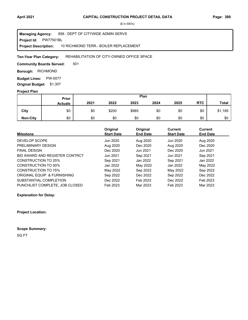**Project Id: PW77501BL** 856 : DEPT OF CITYWIDE ADMIN SERVS 10 RICHMOND TERR.- BOILER REPLACEMENT **Managing Agency: Project Description:** 

#### REHABILITATION OF CITY-OWNED OFFICE SPACE **Ten-Year Plan Category:**

501 **Community Boards Served:** 

**Borough: RICHMOND** 

**Budget Lines: PW-0077 Original Budget:** \$1,307

## **Project Plan**

|                 |                | Plan<br>Prior |       |       |      |      |            |              |
|-----------------|----------------|---------------|-------|-------|------|------|------------|--------------|
|                 | <b>Actuals</b> | 2021          | 2022  | 2023  | 2024 | 2025 | <b>RTC</b> | <b>Total</b> |
| City            | \$0            | \$0           | \$200 | \$985 | \$0  | \$0  | \$0        | \$1,185      |
| <b>Non-City</b> | \$0            | \$0           | \$0   | \$0   | \$0  | \$0  | \$0        | \$0          |

|                                | Original          | Original        | <b>Current</b>    | <b>Current</b>  |
|--------------------------------|-------------------|-----------------|-------------------|-----------------|
| <b>Milestone</b>               | <b>Start Date</b> | <b>End Date</b> | <b>Start Date</b> | <b>End Date</b> |
| DEVELOP SCOPE                  | Jun 2020          | Aug 2020        | Jun 2020          | Aug 2020        |
| PRELIMINARY DESIGN             | Aug 2020          | Dec 2020        | Aug 2020          | Dec 2020        |
| <b>FINAL DESIGN</b>            | Dec 2020          | Jun 2021        | Dec 2020          | Jun 2021        |
| BID AWARD AND REGISTER CONTRCT | Jun 2021          | Sep 2021        | Jun 2021          | Sep 2021        |
| <b>CONSTRUCTION TO 25%</b>     | Sep 2021          | Jan 2022        | Sep 2021          | Jan 2022        |
| CONSTRUCTION TO 50%            | Jan 2022          | May 2022        | Jan 2022          | May 2022        |
| CONSTRUCTION TO 75%            | May 2022          | Sep 2022        | May 2022          | Sep 2022        |
| ORIGINAL EQUIP & FURNISHING    | Sep 2022          | Dec 2022        | Sep 2022          | Dec 2022        |
| SUBSTANTIAL COMPLETION         | Dec 2022          | Feb 2023        | Dec 2022          | Feb 2023        |
| PUNCHLIST COMPLETE, JOB CLOSED | Feb 2023          | Mar 2023        | Feb 2023          | Mar 2023        |

**Explanation for Delay:**

**Project Location:**

**Scope Summary:**

SQ FT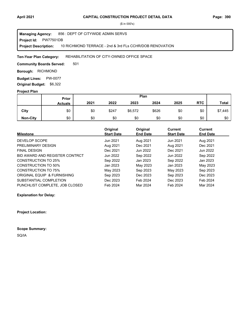#### **Project Id: PW77501DB** 856 : DEPT OF CITYWIDE ADMIN SERVS 10 RICHMOND TERRACE - 2nd & 3rd FLs CCHR/DOB RENOVATION **Managing Agency: Project Description:**

#### REHABILITATION OF CITY-OWNED OFFICE SPACE **Ten-Year Plan Category:**

501 **Community Boards Served:** 

**Borough: RICHMOND** 

**Budget Lines: PW-0077 Original Budget:** \$6,322

## **Project Plan**

|                 |                | Plan<br>Prior |       |         |       |      |            |              |
|-----------------|----------------|---------------|-------|---------|-------|------|------------|--------------|
|                 | <b>Actuals</b> | 2021          | 2022  | 2023    | 2024  | 2025 | <b>RTC</b> | <b>Total</b> |
| City            | \$0            | \$0           | \$247 | \$6,572 | \$626 | \$0  | \$0        | \$7,445      |
| <b>Non-City</b> | \$0            | \$0           | \$0   | \$0     | \$0   | \$0  | \$0        | \$0          |

|                                | Original          | Original        | Current           | <b>Current</b>  |
|--------------------------------|-------------------|-----------------|-------------------|-----------------|
| <b>Milestone</b>               | <b>Start Date</b> | <b>End Date</b> | <b>Start Date</b> | <b>End Date</b> |
| DEVELOP SCOPE                  | Jun 2021          | Aug 2021        | Jun 2021          | Aug 2021        |
| PRELIMINARY DESIGN             | Aug 2021          | Dec 2021        | Aug 2021          | Dec 2021        |
| <b>FINAL DESIGN</b>            | Dec 2021          | Jun 2022        | Dec 2021          | Jun 2022        |
| BID AWARD AND REGISTER CONTRCT | Jun 2022          | Sep 2022        | Jun 2022          | Sep 2022        |
| <b>CONSTRUCTION TO 25%</b>     | Sep 2022          | Jan 2023        | Sep 2022          | Jan 2023        |
| CONSTRUCTION TO 50%            | Jan 2023          | May 2023        | Jan 2023          | May 2023        |
| CONSTRUCTION TO 75%            | May 2023          | Sep 2023        | May 2023          | Sep 2023        |
| ORIGINAL EQUIP & FURNISHING    | Sep 2023          | Dec 2023        | Sep 2023          | Dec 2023        |
| SUBSTANTIAL COMPLETION         | Dec 2023          | Feb 2024        | Dec 2023          | Feb 2024        |
| PUNCHLIST COMPLETE, JOB CLOSED | Feb 2024          | Mar 2024        | Feb 2024          | Mar 2024        |

**Explanation for Delay:**

**Project Location:**

**Scope Summary:**

SQ/IA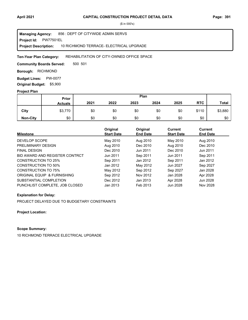**Project Id: PW77501EL** 856 : DEPT OF CITYWIDE ADMIN SERVS 10 RICHMOND TERRACE- ELECTRICAL UPGRADE **Managing Agency: Project Description:** 

#### REHABILITATION OF CITY-OWNED OFFICE SPACE **Ten-Year Plan Category:**

500 501 **Community Boards Served:** 

**Borough: RICHMOND** 

**Budget Lines: PW-0077 Original Budget:** \$5,900

## **Project Plan**

|                 |                | Plan<br>Prior |      |      |      |      |            |              |
|-----------------|----------------|---------------|------|------|------|------|------------|--------------|
|                 | <b>Actuals</b> | 2021          | 2022 | 2023 | 2024 | 2025 | <b>RTC</b> | <b>Total</b> |
| City            | \$3,770        | \$0           | \$0  | \$0  | \$0  | \$0  | \$110      | \$3,880      |
| <b>Non-City</b> | \$0            | \$0           | \$0  | \$0  | \$0  | \$0  | \$0        | \$0          |

| <b>Milestone</b>               | Original<br><b>Start Date</b> | Original<br><b>End Date</b> | Current<br><b>Start Date</b> | Current<br><b>End Date</b> |
|--------------------------------|-------------------------------|-----------------------------|------------------------------|----------------------------|
|                                |                               |                             |                              |                            |
| DEVELOP SCOPE                  | May 2010                      | Aug 2010                    | May 2010                     | Aug 2010                   |
| PRELIMINARY DESIGN             | Aug 2010                      | Dec 2010                    | Aug 2010                     | Dec 2010                   |
| <b>FINAL DESIGN</b>            | Dec 2010                      | Jun 2011                    | Dec 2010                     | Jun 2011                   |
| BID AWARD AND REGISTER CONTRCT | Jun 2011                      | Sep 2011                    | Jun 2011                     | Sep 2011                   |
| <b>CONSTRUCTION TO 25%</b>     | Sep 2011                      | Jan 2012                    | Sep 2011                     | Jan 2012                   |
| <b>CONSTRUCTION TO 50%</b>     | Jan 2012                      | May 2012                    | Jun 2027                     | Sep 2027                   |
| <b>CONSTRUCTION TO 75%</b>     | May 2012                      | Sep 2012                    | Sep 2027                     | Jan 2028                   |
| ORIGINAL EQUIP & FURNISHING    | Sep 2012                      | Nov 2012                    | Jan 2028                     | Apr 2028                   |
| SUBSTANTIAL COMPLETION         | Dec 2012                      | Jan 2013                    | Apr 2028                     | Jun 2028                   |
| PUNCHLIST COMPLETE, JOB CLOSED | Jan 2013                      | Feb 2013                    | Jun 2028                     | Nov 2028                   |

## **Explanation for Delay:**

PROJECT DELAYED DUE TO BUDGETARY CONSTRAINTS

**Project Location:**

# **Scope Summary:**

10 RICHMOND TERRACE ELECTRICAL UPGRADE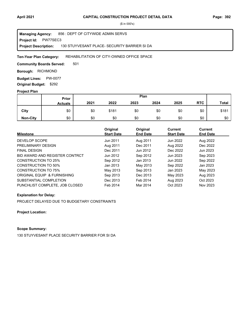**Project Id: PW77SEC3** 856 : DEPT OF CITYWIDE ADMIN SERVS 130 STUYVESANT PLACE- SECURITY BARRIER SI DA **Managing Agency: Project Description:** 

#### REHABILITATION OF CITY-OWNED OFFICE SPACE **Ten-Year Plan Category:**

501 **Community Boards Served:** 

**Borough: RICHMOND** 

**Budget Lines: PW-0077 Original Budget:** \$292

## **Project Plan**

|                 |                | Plan<br>Prior |       |      |      |      |            |              |
|-----------------|----------------|---------------|-------|------|------|------|------------|--------------|
|                 | <b>Actuals</b> | 2021          | 2022  | 2023 | 2024 | 2025 | <b>RTC</b> | <b>Total</b> |
| City            | \$0            | \$0           | \$181 | \$0  | \$0  | \$0  | \$0        | \$181        |
| <b>Non-City</b> | \$0            | \$0           | \$0   | \$0  | \$0  | \$0  | \$0        | \$0          |

| <b>Milestone</b>               | Original<br><b>Start Date</b> | Original<br><b>End Date</b> | <b>Current</b><br><b>Start Date</b> | Current<br><b>End Date</b> |
|--------------------------------|-------------------------------|-----------------------------|-------------------------------------|----------------------------|
| DEVELOP SCOPE                  | Jun 2011                      | Aug 2011                    | Jun 2022                            | Aug 2022                   |
| PRELIMINARY DESIGN             | Aug 2011                      | Dec 2011                    | Aug 2022                            | Dec 2022                   |
| <b>FINAL DESIGN</b>            | Dec 2011                      | Jun 2012                    | Dec 2022                            | Jun 2023                   |
| BID AWARD AND REGISTER CONTRCT | Jun 2012                      | Sep 2012                    | Jun 2023                            | Sep 2023                   |
| <b>CONSTRUCTION TO 25%</b>     | Sep 2012                      | Jan 2013                    | Jun 2022                            | Sep 2022                   |
| CONSTRUCTION TO 50%            | Jan 2013                      | May 2013                    | Sep 2022                            | Jan 2023                   |
| <b>CONSTRUCTION TO 75%</b>     | May 2013                      | Sep 2013                    | Jan 2023                            | May 2023                   |
| ORIGINAL EQUIP & FURNISHING    | Sep 2013                      | Dec 2013                    | May 2023                            | Aug 2023                   |
| SUBSTANTIAL COMPLETION         | Dec 2013                      | Feb 2014                    | Aug 2023                            | Oct 2023                   |
| PUNCHLIST COMPLETE, JOB CLOSED | Feb 2014                      | Mar 2014                    | Oct 2023                            | Nov 2023                   |

## **Explanation for Delay:**

PROJECT DELAYED DUE TO BUDGETARY CONSTRAINTS

**Project Location:**

# **Scope Summary:**

130 STUYVESANT PLACE SECURITY BARRIER FOR SI DA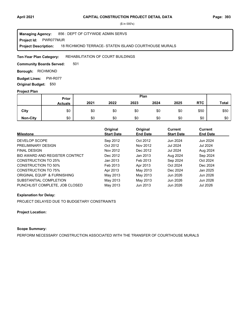#### **Project Id: PWR077MUR** 856 : DEPT OF CITYWIDE ADMIN SERVS 18 RICHMOND TERRACE- STATEN ISLAND COURTHOUSE MURALS **Managing Agency: Project Description:**

#### REHABILITATION OF COURT BUILDINGS **Ten-Year Plan Category:**

501 **Community Boards Served:** 

**Borough: RICHMOND** 

**Budget Lines: PW-R077 Original Budget:** \$50

## **Project Plan**

|                 |                | Plan<br>Prior |      |      |      |      |            |              |
|-----------------|----------------|---------------|------|------|------|------|------------|--------------|
|                 | <b>Actuals</b> | 2021          | 2022 | 2023 | 2024 | 2025 | <b>RTC</b> | <b>Total</b> |
| City            | \$0            | \$0           | \$0  | \$0  | \$0  | \$0  | \$50       | \$50         |
| <b>Non-City</b> | \$0            | \$0           | \$0  | \$0  | \$0  | \$0  | \$0        | \$0          |

| <b>Milestone</b>               | Original<br><b>Start Date</b> | Original<br><b>End Date</b> | <b>Current</b><br><b>Start Date</b> | Current<br><b>End Date</b> |
|--------------------------------|-------------------------------|-----------------------------|-------------------------------------|----------------------------|
| DEVELOP SCOPE                  | Sep 2012                      | Oct 2012                    | Jun 2024                            | Jun 2024                   |
| PRELIMINARY DESIGN             | Oct 2012                      | Nov 2012                    | Jul 2024                            | Jul 2024                   |
| <b>FINAL DESIGN</b>            | Nov 2012                      | Dec 2012                    | Jul 2024                            | Aug 2024                   |
| BID AWARD AND REGISTER CONTRCT | Dec 2012                      | Jan 2013                    | Aug 2024                            | Sep 2024                   |
| CONSTRUCTION TO 25%            | Jan 2013                      | Feb 2013                    | Sep 2024                            | Oct 2024                   |
| <b>CONSTRUCTION TO 50%</b>     | Feb 2013                      | Apr 2013                    | Oct 2024                            | Dec 2024                   |
| CONSTRUCTION TO 75%            | Apr 2013                      | May 2013                    | Dec 2024                            | Jan 2025                   |
| ORIGINAL EQUIP & FURNISHING    | May 2013                      | May 2013                    | Jun 2026                            | Jun 2026                   |
| SUBSTANTIAL COMPLETION         | May 2013                      | May 2013                    | Jun 2026                            | Jun 2026                   |
| PUNCHLIST COMPLETE, JOB CLOSED | May 2013                      | Jun 2013                    | Jun 2026                            | Jul 2026                   |

### **Explanation for Delay:**

PROJECT DELAYED DUE TO BUDGETARY CONSTRAINTS

## **Project Location:**

## **Scope Summary:**

PERFORM NECESSARY CONSTRUCTION ASSOCIATED WITH THE TRANSFER OF COURTHOUSE MURALS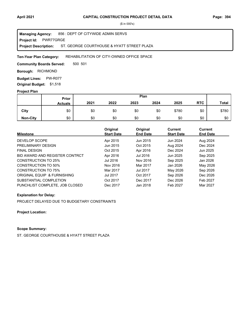**Project Id: PWR77GRGE** 856 : DEPT OF CITYWIDE ADMIN SERVS ST. GEORGE COURTHOUSE & HYATT STREET PLAZA **Managing Agency: Project Description:** 

#### REHABILITATION OF CITY-OWNED OFFICE SPACE **Ten-Year Plan Category:**

500 501 **Community Boards Served:** 

**Borough: RICHMOND** 

**Budget Lines: PW-R077 Original Budget:** \$1,518

## **Project Plan**

|                 |                | Plan<br><b>Prior</b> |      |      |      |       |            |              |
|-----------------|----------------|----------------------|------|------|------|-------|------------|--------------|
|                 | <b>Actuals</b> | 2021                 | 2022 | 2023 | 2024 | 2025  | <b>RTC</b> | <b>Total</b> |
| City            | \$0            | \$0                  | \$0  | \$0  | \$0  | \$780 | \$0        | \$780        |
| <b>Non-City</b> | \$0            | \$0                  | \$0  | \$0  | \$0  | \$0   | \$0        | \$0          |

| <b>Milestone</b>               | Original<br><b>Start Date</b> | Original<br><b>End Date</b> | Current<br><b>Start Date</b> | Current<br><b>End Date</b> |
|--------------------------------|-------------------------------|-----------------------------|------------------------------|----------------------------|
| DEVELOP SCOPE                  | Apr 2015                      | Jun 2015                    | Jun 2024                     | Aug 2024                   |
| PRELIMINARY DESIGN             | Jun 2015                      | Oct 2015                    | Aug 2024                     | Dec 2024                   |
| <b>FINAL DESIGN</b>            | Oct 2015                      | Apr 2016                    | Dec 2024                     | Jun 2025                   |
| BID AWARD AND REGISTER CONTRCT | Apr 2016                      | Jul 2016                    | Jun 2025                     | Sep 2025                   |
| <b>CONSTRUCTION TO 25%</b>     | Jul 2016                      | Nov 2016                    | Sep 2025                     | Jan 2026                   |
| <b>CONSTRUCTION TO 50%</b>     | Nov 2016                      | Mar 2017                    | Jan 2026                     | May 2026                   |
| <b>CONSTRUCTION TO 75%</b>     | Mar 2017                      | <b>Jul 2017</b>             | May 2026                     | Sep 2026                   |
| ORIGINAL EQUIP & FURNISHING    | <b>Jul 2017</b>               | Oct 2017                    | Sep 2026                     | Dec 2026                   |
| SUBSTANTIAL COMPLETION         | Oct 2017                      | Dec 2017                    | Dec 2026                     | Feb 2027                   |
| PUNCHLIST COMPLETE, JOB CLOSED | Dec 2017                      | Jan 2018                    | Feb 2027                     | Mar 2027                   |

## **Explanation for Delay:**

PROJECT DELAYED DUE TO BUDGETARY CONSTRAINTS

**Project Location:**

# **Scope Summary:**

ST. GEORGE COURTHOUSE & HYATT STREET PLAZA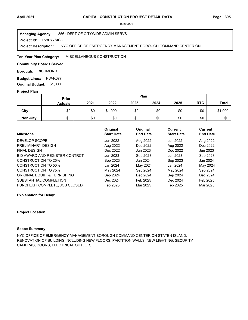**Project Id: PWR77SICC** 856 : DEPT OF CITYWIDE ADMIN SERVS NYC OFFICE OF EMERGENCY MANAGEMENT BOROUGH COMMAND CENTER ON **Managing Agency: Project Description:** 

#### MISCELLANEOUS CONSTRUCTION **Ten-Year Plan Category:**

### **Community Boards Served:**

**Borough: RICHMOND** 

**Budget Lines: PW-R077 Original Budget:** \$1,000

### **Project Plan**

|                 |                | Plan<br><b>Prior</b> |         |      |      |      |            |              |
|-----------------|----------------|----------------------|---------|------|------|------|------------|--------------|
|                 | <b>Actuals</b> | 2021                 | 2022    | 2023 | 2024 | 2025 | <b>RTC</b> | <b>Total</b> |
| City            | \$0            | \$0                  | \$1,000 | \$0  | \$0  | \$0  | \$0        | \$1,000      |
| <b>Non-City</b> | \$0            | \$0                  | \$0     | \$0  | \$0  | \$0  | \$0        | \$0          |

| <b>Milestone</b>               | Original<br><b>Start Date</b> | Original<br><b>End Date</b> | Current<br><b>Start Date</b> | <b>Current</b><br><b>End Date</b> |
|--------------------------------|-------------------------------|-----------------------------|------------------------------|-----------------------------------|
|                                |                               |                             |                              |                                   |
| DEVELOP SCOPE                  | Jun 2022                      | Aug 2022                    | Jun 2022                     | Aug 2022                          |
| PRELIMINARY DESIGN             | Aug 2022                      | Dec 2022                    | Aug 2022                     | Dec 2022                          |
| <b>FINAL DESIGN</b>            | Dec 2022                      | Jun 2023                    | Dec 2022                     | Jun 2023                          |
| BID AWARD AND REGISTER CONTRCT | Jun 2023                      | Sep 2023                    | Jun 2023                     | Sep 2023                          |
| <b>CONSTRUCTION TO 25%</b>     | Sep 2023                      | Jan 2024                    | Sep 2023                     | Jan 2024                          |
| CONSTRUCTION TO 50%            | Jan 2024                      | May 2024                    | Jan 2024                     | May 2024                          |
| <b>CONSTRUCTION TO 75%</b>     | May 2024                      | Sep 2024                    | May 2024                     | Sep 2024                          |
| ORIGINAL EQUIP & FURNISHING    | Sep 2024                      | Dec 2024                    | Sep 2024                     | Dec 2024                          |
| SUBSTANTIAL COMPLETION         | Dec 2024                      | Feb 2025                    | Dec 2024                     | Feb 2025                          |
| PUNCHLIST COMPLETE. JOB CLOSED | Feb 2025                      | Mar 2025                    | Feb 2025                     | Mar 2025                          |

### **Explanation for Delay:**

### **Project Location:**

## **Scope Summary:**

NYC OFFICE OF EMERGENCY MANAGEMENT BOROUGH COMMAND CENTER ON STATEN ISLAND: RENOVATION OF BUILDING INCLUDING NEW FLOORS, PARTITION WALLS, NEW LIGHTING, SECURITY CAMERAS, DOORS, ELECTRICAL OUTLETS.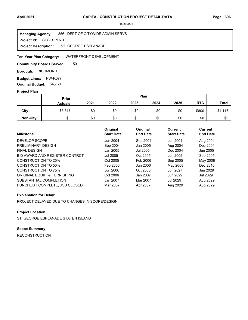**Project Id: STGESPLND** 856 : DEPT OF CITYWIDE ADMIN SERVS ST. GEORGE ESPLANADE **Managing Agency: Project Description:** 

#### WATERFRONT DEVELOPMENT **Ten-Year Plan Category:**

501 **Community Boards Served:** 

**Borough: RICHMOND** 

**Budget Lines: PW-R077 Original Budget:** \$4,760

## **Project Plan**

|                 |                | Plan<br>Prior |      |      |      |      |            |              |
|-----------------|----------------|---------------|------|------|------|------|------------|--------------|
|                 | <b>Actuals</b> | 2021          | 2022 | 2023 | 2024 | 2025 | <b>RTC</b> | <b>Total</b> |
| City            | \$3,317        | \$0           | \$0  | \$0  | \$0  | \$0  | \$800      | \$4,117      |
| <b>Non-City</b> | \$3            | \$0           | \$0  | \$0  | \$0  | \$0  | \$0        | \$3          |

| <b>Milestone</b>               | Original<br><b>Start Date</b> | Original<br><b>End Date</b> | <b>Current</b><br><b>Start Date</b> | Current<br><b>End Date</b> |
|--------------------------------|-------------------------------|-----------------------------|-------------------------------------|----------------------------|
| DEVELOP SCOPE                  | Jun 2004                      | Sep 2004                    | Jun 2004                            | Aug 2004                   |
| PRELIMINARY DESIGN             | Sep 2004                      | Jan 2005                    | Aug 2004                            | Dec 2004                   |
| <b>FINAL DESIGN</b>            | Jan 2005                      | Jul 2005                    | Dec 2004                            | Jun 2005                   |
| BID AWARD AND REGISTER CONTRCT | Jul 2005                      | Oct 2005                    | Jun 2005                            | Sep 2005                   |
| CONSTRUCTION TO 25%            | Oct 2005                      | Feb 2006                    | Sep 2005                            | May 2008                   |
| CONSTRUCTION TO 50%            | Feb 2006                      | Jun 2006                    | May 2008                            | Dec 2010                   |
| CONSTRUCTION TO 75%            | Jun 2006                      | Oct 2006                    | Jun 2027                            | Jun 2029                   |
| ORIGINAL EQUIP & FURNISHING    | Oct 2006                      | Jan 2007                    | Jun 2029                            | Jul 2029                   |
| SUBSTANTIAL COMPLETION         | Jan 2007                      | Mar 2007                    | <b>Jul 2029</b>                     | Aug 2029                   |
| PUNCHLIST COMPLETE, JOB CLOSED | Mar 2007                      | Apr 2007                    | Aug 2029                            | Aug 2029                   |

### **Explanation for Delay:**

PROJECT DELAYED DUE TO CHANGES IN SCOPE/DESIGN

## **Project Location:**

ST. GEORGE ESPLANADE STATEN ISLAND

# **Scope Summary:**

RECONSTRUCTION